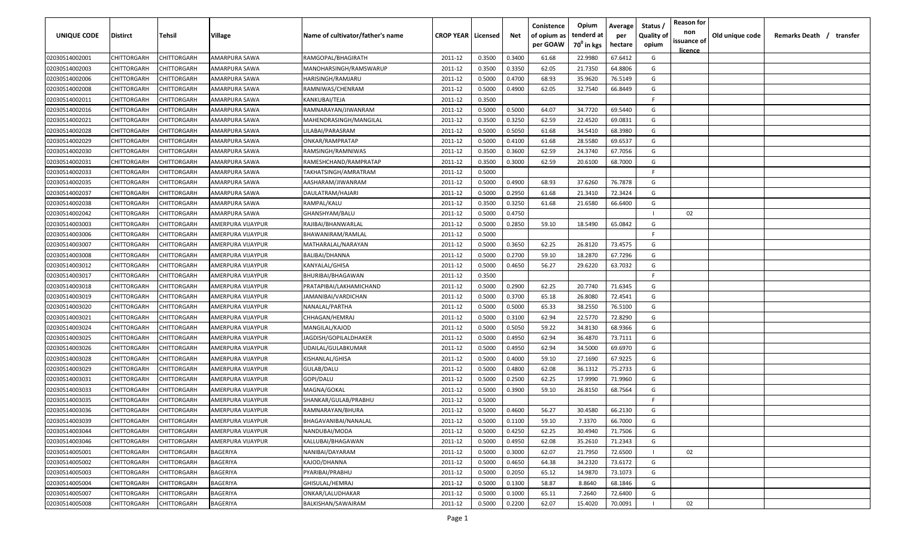| UNIQUE CODE    | Distirct           | Tehsil      | Village           | Name of cultivator/father's name | <b>CROP YEAR   Licensed</b> |        | Net    | Conistence<br>of opium as | Opium<br>tenderd at    | Average<br>per | Status /<br><b>Quality of</b> | <b>Reason for</b><br>non<br>issuance of | Old unique code | Remarks Death / transfer |
|----------------|--------------------|-------------|-------------------|----------------------------------|-----------------------------|--------|--------|---------------------------|------------------------|----------------|-------------------------------|-----------------------------------------|-----------------|--------------------------|
|                |                    |             |                   |                                  |                             |        |        | per GOAW                  | 70 <sup>0</sup> in kgs | hectare        | opium                         | <u>licence</u>                          |                 |                          |
| 02030514002001 | CHITTORGARH        | CHITTORGARH | AMARPURA SAWA     | RAMGOPAL/BHAGIRATH               | 2011-12                     | 0.3500 | 0.3400 | 61.68                     | 22.9980                | 67.6412        | G                             |                                         |                 |                          |
| 02030514002003 | CHITTORGARH        | CHITTORGARH | AMARPURA SAWA     | MANOHARSINGH/RAMSWARUP           | 2011-12                     | 0.3500 | 0.3350 | 62.05                     | 21.7350                | 64.8806        | G                             |                                         |                 |                          |
| 02030514002006 | <b>CHITTORGARH</b> | CHITTORGARH | AMARPURA SAWA     | HARISINGH/RAMJARU                | 2011-12                     | 0.5000 | 0.4700 | 68.93                     | 35.9620                | 76.5149        | G                             |                                         |                 |                          |
| 02030514002008 | CHITTORGARH        | CHITTORGARH | AMARPURA SAWA     | RAMNIWAS/CHENRAM                 | 2011-12                     | 0.5000 | 0.4900 | 62.05                     | 32.7540                | 66.8449        | G                             |                                         |                 |                          |
| 02030514002011 | CHITTORGARH        | CHITTORGARH | AMARPURA SAWA     | KANKUBAI/TEJA                    | 2011-12                     | 0.3500 |        |                           |                        |                | -F.                           |                                         |                 |                          |
| 02030514002016 | CHITTORGARH        | CHITTORGARH | AMARPURA SAWA     | RAMNARAYAN/JIWANRAM              | 2011-12                     | 0.5000 | 0.5000 | 64.07                     | 34.7720                | 69.5440        | G                             |                                         |                 |                          |
| 02030514002021 | CHITTORGARH        | CHITTORGARH | AMARPURA SAWA     | MAHENDRASINGH/MANGILAL           | 2011-12                     | 0.3500 | 0.3250 | 62.59                     | 22.4520                | 69.0831        | G                             |                                         |                 |                          |
| 02030514002028 | CHITTORGARH        | CHITTORGARH | AMARPURA SAWA     | LILABAI/PARASRAM                 | 2011-12                     | 0.5000 | 0.5050 | 61.68                     | 34.5410                | 68.3980        | G                             |                                         |                 |                          |
| 02030514002029 | CHITTORGARH        | CHITTORGARH | AMARPURA SAWA     | ONKAR/RAMPRATAP                  | 2011-12                     | 0.5000 | 0.4100 | 61.68                     | 28.5580                | 69.6537        | G                             |                                         |                 |                          |
| 02030514002030 | CHITTORGARH        | CHITTORGARH | AMARPURA SAWA     | RAMSINGH/RAMNIWAS                | 2011-12                     | 0.3500 | 0.3600 | 62.59                     | 24.3740                | 67.7056        | G                             |                                         |                 |                          |
| 02030514002031 | CHITTORGARH        | CHITTORGARH | AMARPURA SAWA     | RAMESHCHAND/RAMPRATAP            | 2011-12                     | 0.3500 | 0.3000 | 62.59                     | 20.6100                | 68.7000        | G                             |                                         |                 |                          |
| 02030514002033 | CHITTORGARH        | CHITTORGARH | AMARPURA SAWA     | TAKHATSINGH/AMRATRAM             | 2011-12                     | 0.5000 |        |                           |                        |                | F.                            |                                         |                 |                          |
| 02030514002035 | CHITTORGARH        | CHITTORGARH | AMARPURA SAWA     | AASHARAM/JIWANRAM                | 2011-12                     | 0.5000 | 0.4900 | 68.93                     | 37.6260                | 76.7878        | G                             |                                         |                 |                          |
| 02030514002037 | CHITTORGARH        | CHITTORGARH | AMARPURA SAWA     | DAULATRAM/HAJARI                 | 2011-12                     | 0.5000 | 0.2950 | 61.68                     | 21.3410                | 72.3424        | G                             |                                         |                 |                          |
| 02030514002038 | CHITTORGARH        | CHITTORGARH | AMARPURA SAWA     | RAMPAL/KALU                      | 2011-12                     | 0.3500 | 0.3250 | 61.68                     | 21.6580                | 66.6400        | G                             |                                         |                 |                          |
| 02030514002042 | CHITTORGARH        | CHITTORGARH | AMARPURA SAWA     | GHANSHYAM/BALU                   | 2011-12                     | 0.5000 | 0.4750 |                           |                        |                |                               | 02                                      |                 |                          |
| 02030514003003 | CHITTORGARH        | CHITTORGARH | AMERPURA VIJAYPUR | RAJIBAI/BHANWARLAL               | 2011-12                     | 0.5000 | 0.2850 | 59.10                     | 18.5490                | 65.0842        | G                             |                                         |                 |                          |
| 02030514003006 | <b>CHITTORGARH</b> | CHITTORGARH | AMERPURA VIJAYPUR | BHAWANIRAM/RAMLAL                | 2011-12                     | 0.5000 |        |                           |                        |                | F.                            |                                         |                 |                          |
| 02030514003007 | CHITTORGARH        | CHITTORGARH | AMERPURA VIJAYPUR | MATHARALAL/NARAYAN               | 2011-12                     | 0.5000 | 0.3650 | 62.25                     | 26.8120                | 73.4575        | G                             |                                         |                 |                          |
| 02030514003008 | CHITTORGARH        | CHITTORGARH | AMERPURA VIJAYPUR | BALIBAI/DHANNA                   | 2011-12                     | 0.5000 | 0.2700 | 59.10                     | 18.2870                | 67.7296        | G                             |                                         |                 |                          |
| 02030514003012 | CHITTORGARH        | CHITTORGARH | AMERPURA VIJAYPUR | KANYALAL/GHISA                   | 2011-12                     | 0.5000 | 0.4650 | 56.27                     | 29.6220                | 63.7032        | G                             |                                         |                 |                          |
| 02030514003017 | CHITTORGARH        | CHITTORGARH | AMERPURA VIJAYPUR | BHURIBAI/BHAGAWAN                | 2011-12                     | 0.3500 |        |                           |                        |                | -F.                           |                                         |                 |                          |
| 02030514003018 | CHITTORGARH        | CHITTORGARH | AMERPURA VIJAYPUR | PRATAPIBAI/LAKHAMICHAND          | 2011-12                     | 0.5000 | 0.2900 | 62.25                     | 20.7740                | 71.6345        | G                             |                                         |                 |                          |
| 02030514003019 | CHITTORGARH        | CHITTORGARH | AMERPURA VIJAYPUR | JAMANIBAI/VARDICHAN              | 2011-12                     | 0.5000 | 0.3700 | 65.18                     | 26.8080                | 72.4541        | G                             |                                         |                 |                          |
| 02030514003020 | CHITTORGARH        | CHITTORGARH | AMERPURA VIJAYPUR | NANALAL/PARTHA                   | 2011-12                     | 0.5000 | 0.5000 | 65.33                     | 38.2550                | 76.5100        | G                             |                                         |                 |                          |
| 02030514003021 | CHITTORGARH        | CHITTORGARH | AMERPURA VIJAYPUR | CHHAGAN/HEMRAJ                   | 2011-12                     | 0.5000 | 0.3100 | 62.94                     | 22.5770                | 72.8290        | G                             |                                         |                 |                          |
| 02030514003024 | CHITTORGARH        | CHITTORGARH | AMERPURA VIJAYPUR | MANGILAL/KAJOD                   | 2011-12                     | 0.5000 | 0.5050 | 59.22                     | 34.8130                | 68.9366        | G                             |                                         |                 |                          |
| 02030514003025 | CHITTORGARH        | CHITTORGARH | AMERPURA VIJAYPUR | IAGDISH/GOPILALDHAKER            | 2011-12                     | 0.5000 | 0.4950 | 62.94                     | 36.4870                | 73.7111        | G                             |                                         |                 |                          |
| 02030514003026 | CHITTORGARH        | CHITTORGARH | AMERPURA VIJAYPUR | UDAILAL/GULABKUMAR               | 2011-12                     | 0.5000 | 0.4950 | 62.94                     | 34.5000                | 69.6970        | G                             |                                         |                 |                          |
| 02030514003028 | CHITTORGARH        | CHITTORGARH | AMERPURA VIJAYPUR | KISHANLAL/GHISA                  | 2011-12                     | 0.5000 | 0.4000 | 59.10                     | 27.1690                | 67.9225        | G                             |                                         |                 |                          |
| 02030514003029 | CHITTORGARH        | CHITTORGARH | AMERPURA VIJAYPUR | GULAB/DALU                       | 2011-12                     | 0.5000 | 0.4800 | 62.08                     | 36.1312                | 75.2733        | G                             |                                         |                 |                          |
| 02030514003031 | CHITTORGARH        | CHITTORGARH | AMERPURA VIJAYPUR | GOPI/DALU                        | 2011-12                     | 0.5000 | 0.2500 | 62.25                     | 17.9990                | 71.9960        | G                             |                                         |                 |                          |
| 02030514003033 | CHITTORGARH        | CHITTORGARH | AMERPURA VIJAYPUR | MAGNA/GOKAL                      | 2011-12                     | 0.5000 | 0.3900 | 59.10                     | 26.8150                | 68.7564        | G                             |                                         |                 |                          |
| 02030514003035 | CHITTORGARH        | CHITTORGARH | AMERPURA VIJAYPUR | SHANKAR/GULAB/PRABHU             | 2011-12                     | 0.5000 |        |                           |                        |                | E                             |                                         |                 |                          |
| 02030514003036 | CHITTORGARH        | CHITTORGARH | AMERPURA VIJAYPUR | RAMNARAYAN/BHURA                 | 2011-12                     | 0.5000 | 0.4600 | 56.27                     | 30.4580                | 66.2130        | G                             |                                         |                 |                          |
| 02030514003039 | <b>CHITTORGARH</b> | CHITTORGARH | AMERPURA VIJAYPUR | BHAGAVANIBAI/NANALAL             | 2011-12                     | 0.5000 | 0.1100 | 59.10                     | 7.3370                 | 66.7000        | G                             |                                         |                 |                          |
| 02030514003044 | CHITTORGARH        | CHITTORGARH | AMERPURA VIJAYPUR | NANDUBAI/MODA                    | 2011-12                     | 0.5000 | 0.4250 | 62.25                     | 30.4940                | 71.7506        | G                             |                                         |                 |                          |
| 02030514003046 | <b>CHITTORGARH</b> | CHITTORGARH | AMERPURA VIJAYPUR | KALLUBAI/BHAGAWAN                | 2011-12                     | 0.5000 | 0.4950 | 62.08                     | 35.2610                | 71.2343        | G                             |                                         |                 |                          |
| 02030514005001 | <b>CHITTORGARH</b> | CHITTORGARH | BAGERIYA          | NANIBAI/DAYARAM                  | 2011-12                     | 0.5000 | 0.3000 | 62.07                     | 21.7950                | 72.6500        |                               | 02                                      |                 |                          |
| 02030514005002 | CHITTORGARH        | CHITTORGARH | BAGERIYA          | KAJOD/DHANNA                     | 2011-12                     | 0.5000 | 0.4650 | 64.38                     | 34.2320                | 73.6172        | G                             |                                         |                 |                          |
| 02030514005003 | CHITTORGARH        | CHITTORGARH | BAGERIYA          | PYARIBAI/PRABHU                  | 2011-12                     | 0.5000 | 0.2050 | 65.12                     | 14.9870                | 73.1073        | G                             |                                         |                 |                          |
| 02030514005004 | CHITTORGARH        | CHITTORGARH | BAGERIYA          | GHISULAL/HEMRAJ                  | 2011-12                     | 0.5000 | 0.1300 | 58.87                     | 8.8640                 | 68.1846        | G                             |                                         |                 |                          |
| 02030514005007 | CHITTORGARH        | CHITTORGARH | BAGERIYA          | ONKAR/LALUDHAKAR                 | 2011-12                     | 0.5000 | 0.1000 | 65.11                     | 7.2640                 | 72.6400        | G                             |                                         |                 |                          |
| 02030514005008 | CHITTORGARH        | CHITTORGARH | BAGERIYA          | BALKISHAN/SAWAIRAM               | 2011-12                     | 0.5000 | 0.2200 | 62.07                     | 15.4020                | 70.0091        |                               | 02                                      |                 |                          |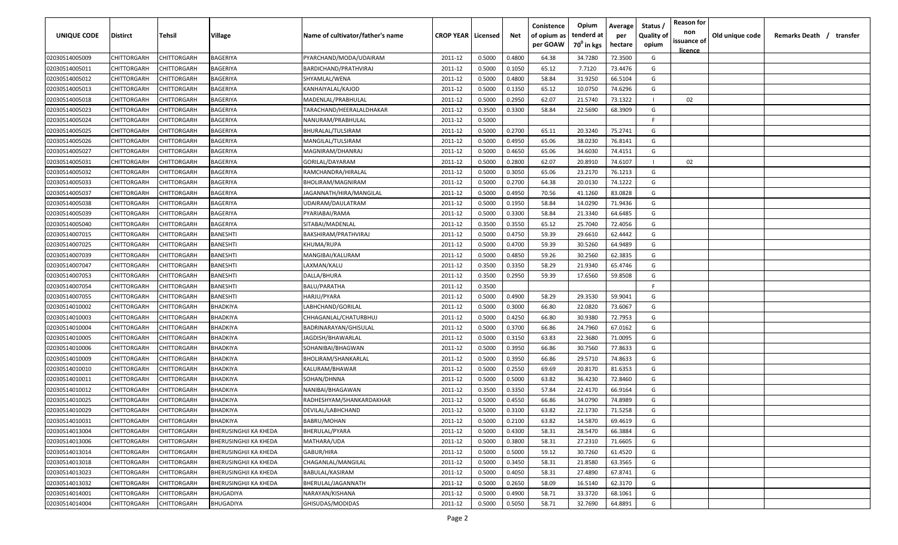| <b>UNIQUE CODE</b> | Distirct           | Tehsil      | Village               | Name of cultivator/father's name | <b>CROP YEAR   Licensed</b> |        | Net    | Conistence<br>of opium as | Opium<br>tenderd at    | Average<br>per | Status /<br><b>Quality of</b> | <b>Reason for</b><br>non<br>issuance of | Old unique code | Remarks Death / transfer |
|--------------------|--------------------|-------------|-----------------------|----------------------------------|-----------------------------|--------|--------|---------------------------|------------------------|----------------|-------------------------------|-----------------------------------------|-----------------|--------------------------|
|                    |                    |             |                       |                                  |                             |        |        | per GOAW                  | 70 <sup>0</sup> in kgs | hectare        | opium                         | <u>licence</u>                          |                 |                          |
| 02030514005009     | CHITTORGARH        | CHITTORGARH | BAGERIYA              | PYARCHAND/MODA/UDAIRAM           | 2011-12                     | 0.5000 | 0.4800 | 64.38                     | 34.7280                | 72.3500        | G                             |                                         |                 |                          |
| 02030514005011     | CHITTORGARH        | CHITTORGARH | BAGERIYA              | BARDICHAND/PRATHVIRAJ            | 2011-12                     | 0.5000 | 0.1050 | 65.12                     | 7.7120                 | 73.4476        | G                             |                                         |                 |                          |
| 02030514005012     | CHITTORGARH        | CHITTORGARH | BAGERIYA              | SHYAMLAL/WENA                    | 2011-12                     | 0.5000 | 0.4800 | 58.84                     | 31.9250                | 66.5104        | G                             |                                         |                 |                          |
| 02030514005013     | CHITTORGARH        | CHITTORGARH | BAGERIYA              | KANHAIYALAL/KAJOD                | 2011-12                     | 0.5000 | 0.1350 | 65.12                     | 10.0750                | 74.6296        | G                             |                                         |                 |                          |
| 02030514005018     | CHITTORGARH        | CHITTORGARH | BAGERIYA              | MADENLAL/PRABHULAL               | 2011-12                     | 0.5000 | 0.2950 | 62.07                     | 21.5740                | 73.1322        |                               | 02                                      |                 |                          |
| 02030514005023     | CHITTORGARH        | CHITTORGARH | BAGERIYA              | TARACHAND/HEERALALDHAKAR         | 2011-12                     | 0.3500 | 0.3300 | 58.84                     | 22.5690                | 68.3909        | G                             |                                         |                 |                          |
| 02030514005024     | CHITTORGARH        | CHITTORGARH | BAGERIYA              | NANURAM/PRABHULAL                | 2011-12                     | 0.5000 |        |                           |                        |                | -F.                           |                                         |                 |                          |
| 02030514005025     | CHITTORGARH        | CHITTORGARH | BAGERIYA              | BHURALAL/TULSIRAM                | 2011-12                     | 0.5000 | 0.2700 | 65.11                     | 20.3240                | 75.2741        | G                             |                                         |                 |                          |
| 02030514005026     | CHITTORGARH        | CHITTORGARH | BAGERIYA              | MANGILAL/TULSIRAM                | 2011-12                     | 0.5000 | 0.4950 | 65.06                     | 38.0230                | 76.8141        | G                             |                                         |                 |                          |
| 02030514005027     | CHITTORGARH        | CHITTORGARH | BAGERIYA              | MAGNIRAM/DHANRAJ                 | 2011-12                     | 0.5000 | 0.4650 | 65.06                     | 34.6030                | 74.4151        | G                             |                                         |                 |                          |
| 02030514005031     | CHITTORGARH        | CHITTORGARH | BAGERIYA              | GORILAL/DAYARAM                  | 2011-12                     | 0.5000 | 0.2800 | 62.07                     | 20.8910                | 74.6107        |                               | 02                                      |                 |                          |
| 02030514005032     | CHITTORGARH        | CHITTORGARH | BAGERIYA              | RAMCHANDRA/HIRALAL               | 2011-12                     | 0.5000 | 0.3050 | 65.06                     | 23.2170                | 76.1213        | G                             |                                         |                 |                          |
| 02030514005033     | CHITTORGARH        | CHITTORGARH | BAGERIYA              | BHOLIRAM/MAGNIRAM                | 2011-12                     | 0.5000 | 0.2700 | 64.38                     | 20.0130                | 74.1222        | G                             |                                         |                 |                          |
| 02030514005037     | CHITTORGARH        | CHITTORGARH | BAGERIYA              | JAGANNATH/HIRA/MANGILAL          | 2011-12                     | 0.5000 | 0.4950 | 70.56                     | 41.1260                | 83.0828        | G                             |                                         |                 |                          |
| 02030514005038     | CHITTORGARH        | CHITTORGARH | BAGERIYA              | UDAIRAM/DAULATRAM                | 2011-12                     | 0.5000 | 0.1950 | 58.84                     | 14.0290                | 71.9436        | G                             |                                         |                 |                          |
| 02030514005039     | CHITTORGARH        | CHITTORGARH | BAGERIYA              | PYARIABAI/RAMA                   | 2011-12                     | 0.5000 | 0.3300 | 58.84                     | 21.3340                | 64.6485        | G                             |                                         |                 |                          |
| 02030514005040     | CHITTORGARH        | CHITTORGARH | BAGERIYA              | SITABAI/MADENLAL                 | 2011-12                     | 0.3500 | 0.3550 | 65.12                     | 25.7040                | 72.4056        | G                             |                                         |                 |                          |
| 02030514007015     | CHITTORGARH        | CHITTORGARH | BANESHTI              | BAKSHIRAM/PRATHVIRAJ             | 2011-12                     | 0.5000 | 0.4750 | 59.39                     | 29.6610                | 62.4442        | G                             |                                         |                 |                          |
| 02030514007025     | CHITTORGARH        | CHITTORGARH | BANESHTI              | KHUMA/RUPA                       | 2011-12                     | 0.5000 | 0.4700 | 59.39                     | 30.5260                | 64.9489        | G                             |                                         |                 |                          |
| 02030514007039     | CHITTORGARH        | CHITTORGARH | BANESHTI              | MANGIBAI/KALURAM                 | 2011-12                     | 0.5000 | 0.4850 | 59.26                     | 30.2560                | 62.3835        | G                             |                                         |                 |                          |
| 02030514007047     | CHITTORGARH        | CHITTORGARH | BANESHTI              | LAXMAN/KALU                      | 2011-12                     | 0.3500 | 0.3350 | 58.29                     | 21.9340                | 65.4746        | G                             |                                         |                 |                          |
| 02030514007053     | CHITTORGARH        | CHITTORGARH | BANESHTI              | DALLA/BHURA                      | 2011-12                     | 0.3500 | 0.2950 | 59.39                     | 17.6560                | 59.8508        | G                             |                                         |                 |                          |
| 02030514007054     | CHITTORGARH        | CHITTORGARH | BANESHTI              | BALU/PARATHA                     | 2011-12                     | 0.3500 |        |                           |                        |                | -F.                           |                                         |                 |                          |
| 02030514007055     | CHITTORGARH        | CHITTORGARH | BANESHTI              | HARJU/PYARA                      | 2011-12                     | 0.5000 | 0.4900 | 58.29                     | 29.3530                | 59.9041        | G                             |                                         |                 |                          |
| 02030514010002     | CHITTORGARH        | CHITTORGARH | BHADKIYA              | LABHCHAND/GORILAL                | 2011-12                     | 0.5000 | 0.3000 | 66.80                     | 22.0820                | 73.6067        | G                             |                                         |                 |                          |
| 02030514010003     | CHITTORGARH        | CHITTORGARH | BHADKIYA              | CHHAGANLAL/CHATURBHUJ            | 2011-12                     | 0.5000 | 0.4250 | 66.80                     | 30.9380                | 72.7953        | G                             |                                         |                 |                          |
| 02030514010004     | CHITTORGARH        | CHITTORGARH | BHADKIYA              | BADRINARAYAN/GHISULAL            | 2011-12                     | 0.5000 | 0.3700 | 66.86                     | 24.7960                | 67.0162        | G                             |                                         |                 |                          |
| 02030514010005     | CHITTORGARH        | CHITTORGARH | BHADKIYA              | IAGDISH/BHAWARLAL                | 2011-12                     | 0.5000 | 0.3150 | 63.83                     | 22.3680                | 71.0095        | G                             |                                         |                 |                          |
| 02030514010006     | CHITTORGARH        | CHITTORGARH | BHADKIYA              | SOHANIBAI/BHAGWAN                | 2011-12                     | 0.5000 | 0.3950 | 66.86                     | 30.7560                | 77.8633        | G                             |                                         |                 |                          |
| 02030514010009     | CHITTORGARH        | CHITTORGARH | BHADKIYA              | BHOLIRAM/SHANKARLAL              | 2011-12                     | 0.5000 | 0.3950 | 66.86                     | 29.5710                | 74.8633        | G                             |                                         |                 |                          |
| 02030514010010     | CHITTORGARH        | CHITTORGARH | BHADKIYA              | KALURAM/BHAWAR                   | 2011-12                     | 0.5000 | 0.2550 | 69.69                     | 20.8170                | 81.6353        | G                             |                                         |                 |                          |
| 02030514010011     | CHITTORGARH        | CHITTORGARH | BHADKIYA              |                                  | 2011-12                     | 0.5000 | 0.5000 | 63.82                     | 36.4230                | 72.8460        | G                             |                                         |                 |                          |
|                    |                    |             |                       | SOHAN/DHNNA                      |                             |        |        |                           |                        |                |                               |                                         |                 |                          |
| 02030514010012     | CHITTORGARH        | CHITTORGARH | BHADKIYA              | NANIBAI/BHAGAWAN                 | 2011-12                     | 0.3500 | 0.3350 | 57.84                     | 22.4170                | 66.9164        | G                             |                                         |                 |                          |
| 02030514010025     | CHITTORGARH        | CHITTORGARH | BHADKIYA              | RADHESHYAM/SHANKARDAKHAR         | 2011-12                     | 0.5000 | 0.4550 | 66.86                     | 34.0790                | 74.8989        | G                             |                                         |                 |                          |
| 02030514010029     | CHITTORGARH        | CHITTORGARH | <b>BHADKIYA</b>       | DEVILAL/LABHCHAND                | 2011-12                     | 0.5000 | 0.3100 | 63.82                     | 22.1730                | 71.5258        | G                             |                                         |                 |                          |
| 02030514010031     | <b>CHITTORGARH</b> | CHITTORGARH | BHADKIYA              | <b>BABRU/MOHAN</b>               | 2011-12                     | 0.5000 | 0.2100 | 63.82                     | 14.5870                | 69.4619        | G                             |                                         |                 |                          |
| 02030514013004     | CHITTORGARH        | CHITTORGARH | BHERUSINGHJI KA KHEDA | BHERULAL/PYARA                   | 2011-12                     | 0.5000 | 0.4300 | 58.31                     | 28.5470                | 66.3884        | G                             |                                         |                 |                          |
| 02030514013006     | <b>CHITTORGARH</b> | CHITTORGARH | BHERUSINGHJI KA KHEDA | MATHARA/UDA                      | 2011-12                     | 0.5000 | 0.3800 | 58.31                     | 27.2310                | 71.6605        | G                             |                                         |                 |                          |
| 02030514013014     | <b>CHITTORGARH</b> | CHITTORGARH | BHERUSINGHJI KA KHEDA | GABUR/HIRA                       | 2011-12                     | 0.5000 | 0.5000 | 59.12                     | 30.7260                | 61.4520        | G                             |                                         |                 |                          |
| 02030514013018     | CHITTORGARH        | CHITTORGARH | BHERUSINGHJI KA KHEDA | CHAGANLAL/MANGILAL               | 2011-12                     | 0.5000 | 0.3450 | 58.31                     | 21.8580                | 63.3565        | G                             |                                         |                 |                          |
| 02030514013023     | CHITTORGARH        | CHITTORGARH | BHERUSINGHJI KA KHEDA | BABULAL/KASIRAM                  | 2011-12                     | 0.5000 | 0.4050 | 58.31                     | 27.4890                | 67.8741        | G                             |                                         |                 |                          |
| 02030514013032     | CHITTORGARH        | CHITTORGARH | BHERUSINGHJI KA KHEDA | BHERULAL/JAGANNATH               | 2011-12                     | 0.5000 | 0.2650 | 58.09                     | 16.5140                | 62.3170        | G                             |                                         |                 |                          |
| 02030514014001     | CHITTORGARH        | CHITTORGARH | <b>BHUGADIYA</b>      | NARAYAN/KISHANA                  | 2011-12                     | 0.5000 | 0.4900 | 58.71                     | 33.3720                | 68.1061        | G                             |                                         |                 |                          |
| 02030514014004     | CHITTORGARH        | CHITTORGARH | <b>BHUGADIYA</b>      | GHISUDAS/MODIDAS                 | 2011-12                     | 0.5000 | 0.5050 | 58.71                     | 32.7690                | 64.8891        | G                             |                                         |                 |                          |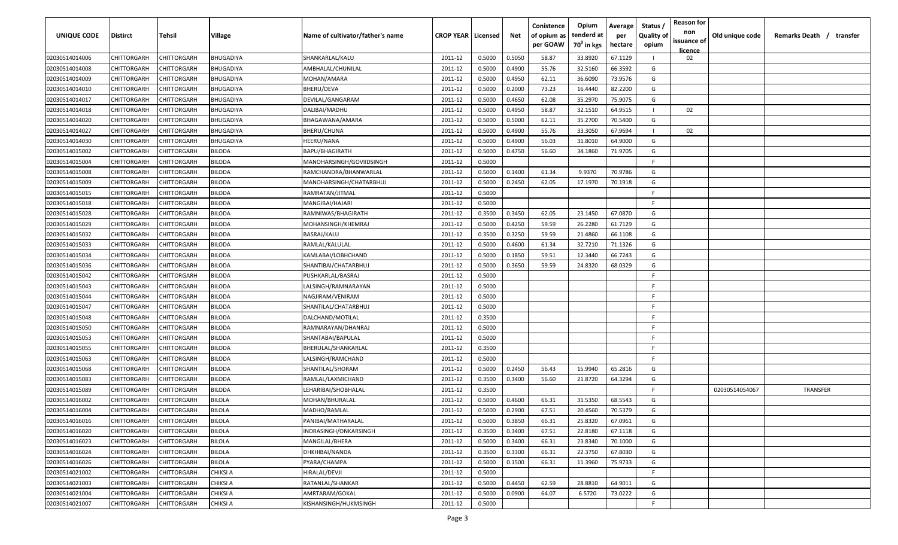| <b>UNIQUE CODE</b> | Distirct           | Tehsil             | Village          | Name of cultivator/father's name | <b>CROP YEAR   Licensed</b> |        | Net    | Conistence<br>of opium as | Opium<br>tenderd at    | Average<br>per | Status /<br><b>Quality of</b> | <b>Reason for</b><br>non<br>issuance of | Old unique code | Remarks Death /<br>transfer |
|--------------------|--------------------|--------------------|------------------|----------------------------------|-----------------------------|--------|--------|---------------------------|------------------------|----------------|-------------------------------|-----------------------------------------|-----------------|-----------------------------|
|                    |                    |                    |                  |                                  |                             |        |        | per GOAW                  | 70 <sup>0</sup> in kgs | hectare        | opium                         | licence                                 |                 |                             |
| 02030514014006     | CHITTORGARH        | CHITTORGARH        | <b>BHUGADIYA</b> | SHANKARLAL/KALU                  | 2011-12                     | 0.5000 | 0.5050 | 58.87                     | 33.8920                | 67.1129        |                               | 02                                      |                 |                             |
| 02030514014008     | CHITTORGARH        | CHITTORGARH        | <b>BHUGADIYA</b> | AMBHALAL/CHUNILAL                | 2011-12                     | 0.5000 | 0.4900 | 55.76                     | 32.5160                | 66.3592        | G                             |                                         |                 |                             |
| 02030514014009     | CHITTORGARH        | CHITTORGARH        | BHUGADIYA        | MOHAN/AMARA                      | 2011-12                     | 0.5000 | 0.4950 | 62.11                     | 36.6090                | 73.9576        | G                             |                                         |                 |                             |
| 02030514014010     | CHITTORGARH        | CHITTORGARH        | BHUGADIYA        | BHERU/DEVA                       | 2011-12                     | 0.5000 | 0.2000 | 73.23                     | 16.4440                | 82.2200        | G                             |                                         |                 |                             |
| 02030514014017     | CHITTORGARH        | CHITTORGARH        | BHUGADIYA        | DEVILAL/GANGARAM                 | 2011-12                     | 0.5000 | 0.4650 | 62.08                     | 35.2970                | 75.9075        | G                             |                                         |                 |                             |
| 02030514014018     | CHITTORGARH        | CHITTORGARH        | BHUGADIYA        | DALIBAI/MADHU                    | 2011-12                     | 0.5000 | 0.4950 | 58.87                     | 32.1510                | 64.9515        |                               | 02                                      |                 |                             |
| 02030514014020     | CHITTORGARH        | CHITTORGARH        | BHUGADIYA        | BHAGAWANA/AMARA                  | 2011-12                     | 0.5000 | 0.5000 | 62.11                     | 35.2700                | 70.5400        | G                             |                                         |                 |                             |
| 02030514014027     | CHITTORGARH        | CHITTORGARH        | BHUGADIYA        | BHERU/CHUNA                      | 2011-12                     | 0.5000 | 0.4900 | 55.76                     | 33.3050                | 67.9694        |                               | 02                                      |                 |                             |
| 02030514014030     | CHITTORGARH        | CHITTORGARH        | BHUGADIYA        | HEERU/NANA                       | 2011-12                     | 0.5000 | 0.4900 | 56.03                     | 31.8010                | 64.9000        | G                             |                                         |                 |                             |
| 02030514015002     | CHITTORGARH        | CHITTORGARH        | BILODA           | <b>BAPU/BHAGIRATH</b>            | 2011-12                     | 0.5000 | 0.4750 | 56.60                     | 34.1860                | 71.9705        | G                             |                                         |                 |                             |
| 02030514015004     | CHITTORGARH        | CHITTORGARH        | BILODA           | MANOHARSINGH/GOVIIDSINGH         | 2011-12                     | 0.5000 |        |                           |                        |                | -F.                           |                                         |                 |                             |
| 02030514015008     | CHITTORGARH        | CHITTORGARH        | BILODA           | RAMCHANDRA/BHANWARLAL            | 2011-12                     | 0.5000 | 0.1400 | 61.34                     | 9.9370                 | 70.9786        | G                             |                                         |                 |                             |
| 02030514015009     | CHITTORGARH        | CHITTORGARH        | BILODA           | MANOHARSINGH/CHATARBHUJ          | 2011-12                     | 0.5000 | 0.2450 | 62.05                     | 17.1970                | 70.1918        | G                             |                                         |                 |                             |
| 02030514015015     | CHITTORGARH        | CHITTORGARH        | BILODA           | RAMRATAN/JITMAL                  | 2011-12                     | 0.5000 |        |                           |                        |                | F                             |                                         |                 |                             |
| 02030514015018     | CHITTORGARH        | CHITTORGARH        | <b>BILODA</b>    | MANGIBAI/HAJARI                  | 2011-12                     | 0.5000 |        |                           |                        |                | -F.                           |                                         |                 |                             |
| 02030514015028     | CHITTORGARH        | CHITTORGARH        | <b>BILODA</b>    | RAMNIWAS/BHAGIRATH               | 2011-12                     | 0.3500 | 0.3450 | 62.05                     | 23.1450                | 67.0870        | G                             |                                         |                 |                             |
| 02030514015029     | CHITTORGARH        | CHITTORGARH        | <b>BILODA</b>    | MOHANSINGH/KHEMRAJ               | 2011-12                     | 0.5000 | 0.4250 | 59.59                     | 26.2280                | 61.7129        | G                             |                                         |                 |                             |
| 02030514015032     | CHITTORGARH        | CHITTORGARH        | <b>BILODA</b>    | BASRAJ/KALU                      | 2011-12                     | 0.3500 | 0.3250 | 59.59                     | 21.4860                | 66.1108        | G                             |                                         |                 |                             |
| 02030514015033     | CHITTORGARH        | CHITTORGARH        | BILODA           | RAMLAL/KALULAL                   | 2011-12                     | 0.5000 | 0.4600 | 61.34                     | 32.7210                | 71.1326        | G                             |                                         |                 |                             |
| 02030514015034     | CHITTORGARH        | CHITTORGARH        | BILODA           | KAMLABAI/LOBHCHAND               | 2011-12                     | 0.5000 | 0.1850 | 59.51                     | 12.3440                | 66.7243        | G                             |                                         |                 |                             |
| 02030514015036     | CHITTORGARH        | CHITTORGARH        | BILODA           | SHANTIBAI/CHATARBHUJ             | 2011-12                     | 0.5000 | 0.3650 | 59.59                     | 24.8320                | 68.0329        | G                             |                                         |                 |                             |
| 02030514015042     | CHITTORGARH        | CHITTORGARH        | BILODA           | PUSHKARLAL/BASRAJ                | 2011-12                     | 0.5000 |        |                           |                        |                | -F.                           |                                         |                 |                             |
| 02030514015043     | CHITTORGARH        | CHITTORGARH        | BILODA           | LALSINGH/RAMNARAYAN              | 2011-12                     | 0.5000 |        |                           |                        |                | -F.                           |                                         |                 |                             |
| 02030514015044     | CHITTORGARH        | CHITTORGARH        | BILODA           | NAGJIRAM/VENIRAM                 | 2011-12                     | 0.5000 |        |                           |                        |                | -F.                           |                                         |                 |                             |
| 02030514015047     | CHITTORGARH        | CHITTORGARH        | BILODA           | SHANTILAL/CHATARBHUJ             | 2011-12                     | 0.5000 |        |                           |                        |                | -F                            |                                         |                 |                             |
| 02030514015048     | CHITTORGARH        | CHITTORGARH        | BILODA           | DALCHAND/MOTILAL                 | 2011-12                     | 0.3500 |        |                           |                        |                | -F.                           |                                         |                 |                             |
| 02030514015050     | CHITTORGARH        | CHITTORGARH        | BILODA           | RAMNARAYAN/DHANRAJ               | 2011-12                     | 0.5000 |        |                           |                        |                | -F.                           |                                         |                 |                             |
| 02030514015053     | CHITTORGARH        | CHITTORGARH        | BILODA           | SHANTABAI/BAPULAL                | 2011-12                     | 0.5000 |        |                           |                        |                | -F.                           |                                         |                 |                             |
| 02030514015055     | CHITTORGARH        | CHITTORGARH        | BILODA           | BHERULAL/SHANKARLAL              | 2011-12                     | 0.3500 |        |                           |                        |                | -F.                           |                                         |                 |                             |
| 02030514015063     | CHITTORGARH        | CHITTORGARH        | BILODA           | LALSINGH/RAMCHAND                | 2011-12                     | 0.5000 |        |                           |                        |                | -F.                           |                                         |                 |                             |
| 02030514015068     | CHITTORGARH        | CHITTORGARH        | <b>BILODA</b>    | SHANTILAL/SHORAM                 | 2011-12                     | 0.5000 | 0.2450 | 56.43                     | 15.9940                | 65.2816        | G                             |                                         |                 |                             |
| 02030514015083     | CHITTORGARH        | CHITTORGARH        | <b>BILODA</b>    | RAMLAL/LAXMICHAND                | 2011-12                     | 0.3500 | 0.3400 | 56.60                     | 21.8720                | 64.3294        | G                             |                                         |                 |                             |
| 02030514015089     | CHITTORGARH        | CHITTORGARH        | <b>BILODA</b>    | LEHARIBAI/SHOBHALAL              | 2011-12                     | 0.3500 |        |                           |                        |                | -F                            |                                         | 02030514054067  | <b>TRANSFER</b>             |
| 02030514016002     | CHITTORGARH        | CHITTORGARH        | <b>BILOLA</b>    | MOHAN/BHURALAL                   | 2011-12                     | 0.5000 | 0.4600 | 66.31                     | 31.5350                | 68.5543        | G                             |                                         |                 |                             |
| 02030514016004     | CHITTORGARH        | CHITTORGARH        | <b>BILOLA</b>    | MADHO/RAMLAL                     | 2011-12                     | 0.5000 | 0.2900 | 67.51                     | 20.4560                | 70.5379        | G                             |                                         |                 |                             |
| 02030514016016     | <b>CHITTORGARH</b> | CHITTORGARH        | <b>BILOLA</b>    | PANIBAI/MATHARALAL               | 2011-12                     | 0.5000 | 0.3850 | 66.31                     | 25.8320                | 67.0961        | G                             |                                         |                 |                             |
| 02030514016020     | <b>CHITTORGARH</b> | CHITTORGARH        | <b>BILOLA</b>    | INDRASINGH/ONKARSINGH            | 2011-12                     | 0.3500 | 0.3400 | 67.51                     | 22.8180                | 67.1118        | G                             |                                         |                 |                             |
| 02030514016023     | <b>CHITTORGARH</b> | CHITTORGARH        | <b>BILOLA</b>    | MANGILAL/BHERA                   | 2011-12                     | 0.5000 | 0.3400 | 66.31                     | 23.8340                | 70.1000        | G                             |                                         |                 |                             |
| 02030514016024     | <b>CHITTORGARH</b> | CHITTORGARH        | <b>BILOLA</b>    | DHKHIBAI/NANDA                   | 2011-12                     | 0.3500 | 0.3300 | 66.31                     | 22.3750                | 67.8030        | G                             |                                         |                 |                             |
| 02030514016026     | CHITTORGARH        | CHITTORGARH        | <b>BILOLA</b>    | PYARA/CHAMPA                     | 2011-12                     | 0.5000 | 0.1500 | 66.31                     | 11.3960                | 75.9733        | G                             |                                         |                 |                             |
| 02030514021002     | CHITTORGARH        | CHITTORGARH        | CHIKSI A         | HIRALAL/DEVJI                    | 2011-12                     | 0.5000 |        |                           |                        |                | F.                            |                                         |                 |                             |
| 02030514021003     | CHITTORGARH        | CHITTORGARH        | CHIKSI A         | RATANLAL/SHANKAR                 | 2011-12                     | 0.5000 | 0.4450 | 62.59                     | 28.8810                | 64.9011        | G                             |                                         |                 |                             |
| 02030514021004     | CHITTORGARH        | CHITTORGARH        | CHIKSI A         | AMRTARAM/GOKAL                   | 2011-12                     | 0.5000 | 0.0900 | 64.07                     | 6.5720                 | 73.0222        | G                             |                                         |                 |                             |
| 02030514021007     | <b>CHITTORGARH</b> | <b>CHITTORGARH</b> | CHIKSI A         | KISHANSINGH/HUKMSINGH            | 2011-12                     | 0.5000 |        |                           |                        |                | F.                            |                                         |                 |                             |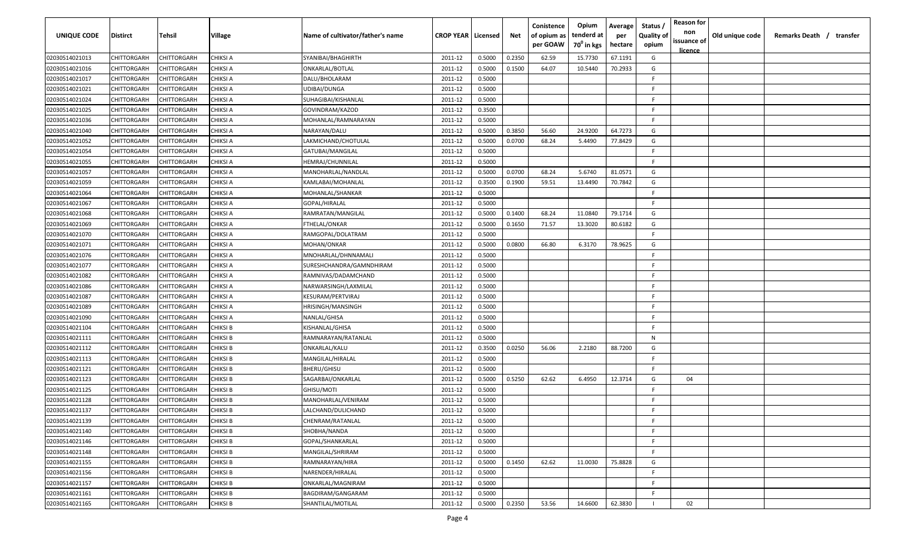| UNIQUE CODE    | <b>Distirct</b>    | Tehsil      | Village         | Name of cultivator/father's name | <b>CROP YEAR   Licensed</b> |        | Net    | Conistence<br>of opium as<br>per GOAW | Opium<br>tenderd at<br>70 <sup>0</sup> in kgs | Average<br>per<br>hectare | Status /<br><b>Quality of</b><br>opium | <b>Reason for</b><br>non<br>issuance of<br>licence | Old unique code | Remarks Death / transfer |
|----------------|--------------------|-------------|-----------------|----------------------------------|-----------------------------|--------|--------|---------------------------------------|-----------------------------------------------|---------------------------|----------------------------------------|----------------------------------------------------|-----------------|--------------------------|
| 02030514021013 | CHITTORGARH        | CHITTORGARH | <b>CHIKSI A</b> | SYANIBAI/BHAGHIRTH               | 2011-12                     | 0.5000 | 0.2350 | 62.59                                 | 15.7730                                       | 67.1191                   | G                                      |                                                    |                 |                          |
| 02030514021016 | CHITTORGARH        | CHITTORGARH | <b>CHIKSI A</b> | ONKARLAL/BOTLAL                  | 2011-12                     | 0.5000 | 0.1500 | 64.07                                 | 10.5440                                       | 70.2933                   | G                                      |                                                    |                 |                          |
| 02030514021017 | CHITTORGARH        | CHITTORGARH | <b>CHIKSI A</b> | DALU/BHOLARAM                    | 2011-12                     | 0.5000 |        |                                       |                                               |                           | F.                                     |                                                    |                 |                          |
| 02030514021021 | CHITTORGARH        | CHITTORGARH | <b>CHIKSI A</b> | UDIBAI/DUNGA                     | 2011-12                     | 0.5000 |        |                                       |                                               |                           | F.                                     |                                                    |                 |                          |
| 02030514021024 | CHITTORGARH        | CHITTORGARH | <b>CHIKSI A</b> | SUHAGIBAI/KISHANLAL              | 2011-12                     | 0.5000 |        |                                       |                                               |                           | E                                      |                                                    |                 |                          |
| 02030514021025 | CHITTORGARH        | CHITTORGARH | <b>CHIKSI A</b> | GOVINDRAM/KAZOD                  | 2011-12                     | 0.3500 |        |                                       |                                               |                           | F.                                     |                                                    |                 |                          |
| 02030514021036 | CHITTORGARH        | CHITTORGARH | <b>CHIKSI A</b> | MOHANLAL/RAMNARAYAN              | 2011-12                     | 0.5000 |        |                                       |                                               |                           | F.                                     |                                                    |                 |                          |
| 02030514021040 | CHITTORGARH        | CHITTORGARH | <b>CHIKSI A</b> | NARAYAN/DALU                     | 2011-12                     | 0.5000 | 0.3850 | 56.60                                 | 24.9200                                       | 64.7273                   | G                                      |                                                    |                 |                          |
| 02030514021052 | CHITTORGARH        | CHITTORGARH | CHIKSI A        | LAKMICHAND/CHOTULAL              | 2011-12                     | 0.5000 | 0.0700 | 68.24                                 | 5.4490                                        | 77.8429                   | G                                      |                                                    |                 |                          |
| 02030514021054 | CHITTORGARH        | CHITTORGARH | CHIKSI A        | GATUBAI/MANGILAL                 | 2011-12                     | 0.5000 |        |                                       |                                               |                           | F.                                     |                                                    |                 |                          |
| 02030514021055 | CHITTORGARH        | CHITTORGARH | CHIKSI A        | HEMRAJ/CHUNNILAL                 | 2011-12                     | 0.5000 |        |                                       |                                               |                           | F.                                     |                                                    |                 |                          |
| 02030514021057 | CHITTORGARH        | CHITTORGARH | CHIKSI A        | MANOHARLAL/NANDLAL               | 2011-12                     | 0.5000 | 0.0700 | 68.24                                 | 5.6740                                        | 81.0571                   | G                                      |                                                    |                 |                          |
| 02030514021059 | CHITTORGARH        | CHITTORGARH | <b>CHIKSI A</b> | KAMLABAI/MOHANLAL                | 2011-12                     | 0.3500 | 0.1900 | 59.51                                 | 13.4490                                       | 70.7842                   | G                                      |                                                    |                 |                          |
| 02030514021064 | CHITTORGARH        | CHITTORGARH | <b>CHIKSI A</b> | MOHANLAL/SHANKAR                 | 2011-12                     | 0.5000 |        |                                       |                                               |                           | E                                      |                                                    |                 |                          |
| 02030514021067 | CHITTORGARH        | CHITTORGARH | <b>CHIKSI A</b> | GOPAL/HIRALAL                    | 2011-12                     | 0.5000 |        |                                       |                                               |                           | F.                                     |                                                    |                 |                          |
| 02030514021068 | CHITTORGARH        | CHITTORGARH | <b>CHIKSI A</b> | RAMRATAN/MANGILAL                | 2011-12                     | 0.5000 | 0.1400 | 68.24                                 | 11.0840                                       | 79.1714                   | G                                      |                                                    |                 |                          |
| 02030514021069 | CHITTORGARH        | CHITTORGARH | <b>CHIKSI A</b> | FTHELAL/ONKAR                    | 2011-12                     | 0.5000 | 0.1650 | 71.57                                 | 13.3020                                       | 80.6182                   | G                                      |                                                    |                 |                          |
| 02030514021070 | CHITTORGARH        | CHITTORGARH | <b>CHIKSI A</b> | RAMGOPAL/DOLATRAM                | 2011-12                     | 0.5000 |        |                                       |                                               |                           | E                                      |                                                    |                 |                          |
| 02030514021071 | CHITTORGARH        | CHITTORGARH | <b>CHIKSI A</b> | MOHAN/ONKAR                      | 2011-12                     | 0.5000 | 0.0800 | 66.80                                 | 6.3170                                        | 78.9625                   | G                                      |                                                    |                 |                          |
| 02030514021076 | <b>CHITTORGARH</b> | CHITTORGARH | <b>CHIKSI A</b> | MNOHARLAL/DHNNAMALI              | 2011-12                     | 0.5000 |        |                                       |                                               |                           | F                                      |                                                    |                 |                          |
| 02030514021077 | CHITTORGARH        | CHITTORGARH | <b>CHIKSI A</b> | SURESHCHANDRA/GAMNDHIRAM         | 2011-12                     | 0.5000 |        |                                       |                                               |                           | F.                                     |                                                    |                 |                          |
| 02030514021082 | CHITTORGARH        | CHITTORGARH | <b>CHIKSI A</b> | RAMNIVAS/DADAMCHAND              | 2011-12                     | 0.5000 |        |                                       |                                               |                           | F.                                     |                                                    |                 |                          |
| 02030514021086 | CHITTORGARH        | CHITTORGARH | <b>CHIKSI A</b> | NARWARSINGH/LAXMILAL             | 2011-12                     | 0.5000 |        |                                       |                                               |                           | F.                                     |                                                    |                 |                          |
| 02030514021087 | CHITTORGARH        | CHITTORGARH | <b>CHIKSI A</b> | KESURAM/PERTVIRAJ                | 2011-12                     | 0.5000 |        |                                       |                                               |                           | F.                                     |                                                    |                 |                          |
| 02030514021089 | CHITTORGARH        | CHITTORGARH | <b>CHIKSI A</b> | HRISINGH/MANSINGH                | 2011-12                     | 0.5000 |        |                                       |                                               |                           | F.                                     |                                                    |                 |                          |
| 02030514021090 | CHITTORGARH        | CHITTORGARH | CHIKSI A        | NANLAL/GHISA                     | 2011-12                     | 0.5000 |        |                                       |                                               |                           | F.                                     |                                                    |                 |                          |
| 02030514021104 | CHITTORGARH        | CHITTORGARH | CHIKSI B        | KISHANLAL/GHISA                  | 2011-12                     | 0.5000 |        |                                       |                                               |                           | F.                                     |                                                    |                 |                          |
| 02030514021111 | CHITTORGARH        | CHITTORGARH | CHIKSI B        | RAMNARAYAN/RATANLAL              | 2011-12                     | 0.5000 |        |                                       |                                               |                           | N                                      |                                                    |                 |                          |
| 02030514021112 | CHITTORGARH        | CHITTORGARH | CHIKSI B        | ONKARLAL/KALU                    | 2011-12                     | 0.3500 | 0.0250 | 56.06                                 | 2.2180                                        | 88.7200                   | G                                      |                                                    |                 |                          |
| 02030514021113 | CHITTORGARH        | CHITTORGARH | <b>CHIKSI B</b> | MANGILAL/HIRALAL                 | 2011-12                     | 0.5000 |        |                                       |                                               |                           | F.                                     |                                                    |                 |                          |
| 02030514021121 | CHITTORGARH        | CHITTORGARH | <b>CHIKSI B</b> | BHERU/GHISU                      | 2011-12                     | 0.5000 |        |                                       |                                               |                           | F.                                     |                                                    |                 |                          |
| 02030514021123 | CHITTORGARH        | CHITTORGARH | <b>CHIKSI B</b> | SAGARBAI/ONKARLAL                | 2011-12                     | 0.5000 | 0.5250 | 62.62                                 | 6.4950                                        | 12.3714                   | G                                      | 04                                                 |                 |                          |
| 02030514021125 | CHITTORGARH        | CHITTORGARH | <b>CHIKSI B</b> | GHISU/MOTI                       | 2011-12                     | 0.5000 |        |                                       |                                               |                           | E                                      |                                                    |                 |                          |
| 02030514021128 | CHITTORGARH        | CHITTORGARH | <b>CHIKSI B</b> | MANOHARLAL/VENIRAM               | 2011-12                     | 0.5000 |        |                                       |                                               |                           | F.                                     |                                                    |                 |                          |
| 02030514021137 | CHITTORGARH        | CHITTORGARH | <b>CHIKSI B</b> | LALCHAND/DULICHAND               | 2011-12                     | 0.5000 |        |                                       |                                               |                           | F.                                     |                                                    |                 |                          |
| 02030514021139 | CHITTORGARH        | CHITTORGARH | <b>CHIKSI B</b> | CHENRAM/RATANLAL                 | 2011-12                     | 0.5000 |        |                                       |                                               |                           | F.                                     |                                                    |                 |                          |
| 02030514021140 | CHITTORGARH        | CHITTORGARH | <b>CHIKSI B</b> | SHOBHA/NANDA                     | 2011-12                     | 0.5000 |        |                                       |                                               |                           | F.                                     |                                                    |                 |                          |
| 02030514021146 | CHITTORGARH        | CHITTORGARH | <b>CHIKSI B</b> | GOPAL/SHANKARLAL                 | 2011-12                     | 0.5000 |        |                                       |                                               |                           | F.                                     |                                                    |                 |                          |
| 02030514021148 | CHITTORGARH        | CHITTORGARH | <b>CHIKSI B</b> | MANGILAL/SHRIRAM                 | 2011-12                     | 0.5000 |        |                                       |                                               |                           | F.                                     |                                                    |                 |                          |
| 02030514021155 | CHITTORGARH        | CHITTORGARH | <b>CHIKSI B</b> | RAMNARAYAN/HIRA                  | 2011-12                     | 0.5000 | 0.1450 | 62.62                                 | 11.0030                                       | 75.8828                   | G                                      |                                                    |                 |                          |
| 02030514021156 | CHITTORGARH        | CHITTORGARH | <b>CHIKSI B</b> | NARENDER/HIRALAL                 | 2011-12                     | 0.5000 |        |                                       |                                               |                           | F.                                     |                                                    |                 |                          |
| 02030514021157 | CHITTORGARH        | CHITTORGARH | <b>CHIKSI B</b> | ONKARLAL/MAGNIRAM                | 2011-12                     | 0.5000 |        |                                       |                                               |                           | F.                                     |                                                    |                 |                          |
| 02030514021161 | CHITTORGARH        | CHITTORGARH | <b>CHIKSI B</b> | BAGDIRAM/GANGARAM                | 2011-12                     | 0.5000 |        |                                       |                                               |                           | F.                                     |                                                    |                 |                          |
| 02030514021165 | CHITTORGARH        | CHITTORGARH | <b>CHIKSI B</b> | SHANTILAL/MOTILAL                | 2011-12                     | 0.5000 | 0.2350 | 53.56                                 | 14.6600                                       | 62.3830                   |                                        | 02                                                 |                 |                          |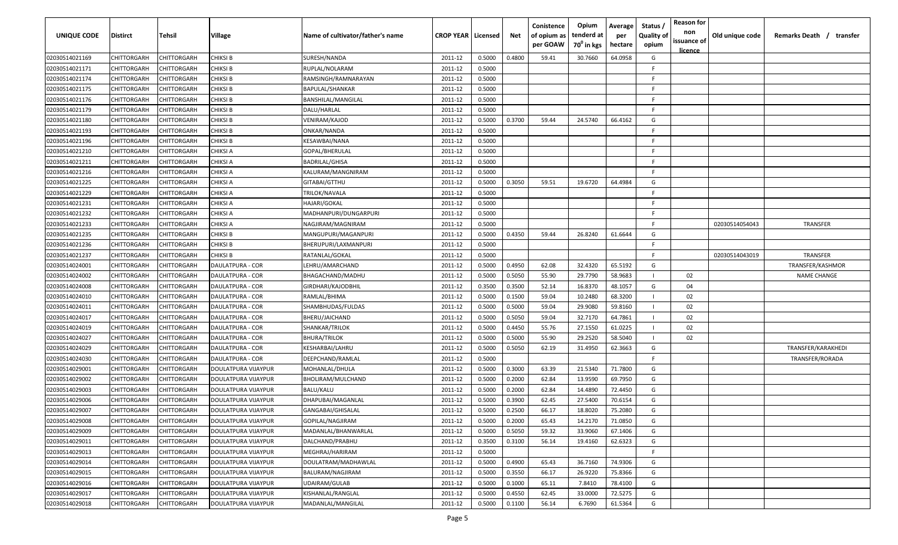| <b>UNIQUE CODE</b> | Distirct           | Tehsil             | Village             | Name of cultivator/father's name | <b>CROP YEAR   Licensed</b> |        | Net    | Conistence<br>of opium as<br>per GOAW | Opium<br>tenderd at<br>70 <sup>0</sup> in kgs | Average<br>per<br>hectare | Status /<br><b>Quality of</b><br>opium | <b>Reason for</b><br>non<br>issuance of | Old unique code | Remarks Death / transfer |
|--------------------|--------------------|--------------------|---------------------|----------------------------------|-----------------------------|--------|--------|---------------------------------------|-----------------------------------------------|---------------------------|----------------------------------------|-----------------------------------------|-----------------|--------------------------|
| 02030514021169     | CHITTORGARH        | CHITTORGARH        | <b>CHIKSI B</b>     | SURESH/NANDA                     | 2011-12                     | 0.5000 | 0.4800 | 59.41                                 | 30.7660                                       | 64.0958                   | G                                      | <u>licence</u>                          |                 |                          |
| 02030514021171     | CHITTORGARH        | CHITTORGARH        | CHIKSI B            | RUPLAL/NOLARAM                   | 2011-12                     | 0.5000 |        |                                       |                                               |                           | -F.                                    |                                         |                 |                          |
| 02030514021174     | CHITTORGARH        | CHITTORGARH        | <b>CHIKSI B</b>     | RAMSINGH/RAMNARAYAN              | 2011-12                     | 0.5000 |        |                                       |                                               |                           | -F.                                    |                                         |                 |                          |
| 02030514021175     | CHITTORGARH        | CHITTORGARH        | <b>CHIKSI B</b>     | <b>BAPULAL/SHANKAR</b>           | 2011-12                     | 0.5000 |        |                                       |                                               |                           | -F.                                    |                                         |                 |                          |
| 02030514021176     | CHITTORGARH        | CHITTORGARH        | <b>CHIKSI B</b>     | BANSHILAL/MANGILAL               | 2011-12                     | 0.5000 |        |                                       |                                               |                           | -F.                                    |                                         |                 |                          |
| 02030514021179     | CHITTORGARH        | CHITTORGARH        | CHIKSI B            | DALU/HARLAL                      | 2011-12                     | 0.5000 |        |                                       |                                               |                           | -F.                                    |                                         |                 |                          |
| 02030514021180     | CHITTORGARH        | CHITTORGARH        | CHIKSI B            | VENIRAM/KAJOD                    | 2011-12                     | 0.5000 | 0.3700 | 59.44                                 | 24.5740                                       | 66.4162                   | G                                      |                                         |                 |                          |
| 02030514021193     | CHITTORGARH        | CHITTORGARH        | CHIKSI B            | ONKAR/NANDA                      | 2011-12                     | 0.5000 |        |                                       |                                               |                           | -F.                                    |                                         |                 |                          |
| 02030514021196     | CHITTORGARH        | CHITTORGARH        | CHIKSI B            | KESAWBAI/NANA                    | 2011-12                     | 0.5000 |        |                                       |                                               |                           | -F.                                    |                                         |                 |                          |
| 02030514021210     | CHITTORGARH        | CHITTORGARH        | CHIKSI A            | GOPAL/BHERULAL                   | 2011-12                     | 0.5000 |        |                                       |                                               |                           | F.                                     |                                         |                 |                          |
| 02030514021211     | CHITTORGARH        | CHITTORGARH        | CHIKSI A            | BADRILAL/GHISA                   | 2011-12                     | 0.5000 |        |                                       |                                               |                           | -F.                                    |                                         |                 |                          |
| 02030514021216     | CHITTORGARH        | CHITTORGARH        | CHIKSI A            | KALURAM/MANGNIRAM                | 2011-12                     | 0.5000 |        |                                       |                                               |                           | F.                                     |                                         |                 |                          |
| 02030514021225     | CHITTORGARH        | CHITTORGARH        | CHIKSI A            | GITABAI/GTTHU                    | 2011-12                     | 0.5000 | 0.3050 | 59.51                                 | 19.6720                                       | 64.4984                   | G                                      |                                         |                 |                          |
| 02030514021229     | CHITTORGARH        | CHITTORGARH        | CHIKSI A            | TRILOK/NAVALA                    | 2011-12                     | 0.5000 |        |                                       |                                               |                           | F                                      |                                         |                 |                          |
| 02030514021231     | CHITTORGARH        | CHITTORGARH        | CHIKSI A            | HAJARI/GOKAL                     | 2011-12                     | 0.5000 |        |                                       |                                               |                           | -F.                                    |                                         |                 |                          |
| 02030514021232     | CHITTORGARH        | CHITTORGARH        | CHIKSI A            | MADHANPURI/DUNGARPURI            | 2011-12                     | 0.5000 |        |                                       |                                               |                           | -F.                                    |                                         |                 |                          |
| 02030514021233     | CHITTORGARH        | CHITTORGARH        | CHIKSI A            | NAGJIRAM/MAGNIRAM                | 2011-12                     | 0.5000 |        |                                       |                                               |                           | -F.                                    |                                         | 02030514054043  | <b>TRANSFER</b>          |
| 02030514021235     | CHITTORGARH        | CHITTORGARH        | <b>CHIKSI B</b>     | MANGUPURI/MAGANPURI              | 2011-12                     | 0.5000 | 0.4350 | 59.44                                 | 26.8240                                       | 61.6644                   | G                                      |                                         |                 |                          |
| 02030514021236     | CHITTORGARH        | CHITTORGARH        | CHIKSI B            | BHERUPURI/LAXMANPURI             | 2011-12                     | 0.5000 |        |                                       |                                               |                           | E                                      |                                         |                 |                          |
| 02030514021237     | CHITTORGARH        | CHITTORGARH        | CHIKSI B            | RATANLAL/GOKAL                   | 2011-12                     | 0.5000 |        |                                       |                                               |                           | F                                      |                                         | 02030514043019  | <b>TRANSFER</b>          |
| 02030514024001     | CHITTORGARH        | CHITTORGARH        | DAULATPURA - COR    | LEHRU/AMARCHAND                  | 2011-12                     | 0.5000 | 0.4950 | 62.08                                 | 32.4320                                       | 65.5192                   | G                                      |                                         |                 | TRANSFER/KASHMOR         |
| 02030514024002     | CHITTORGARH        | CHITTORGARH        | DAULATPURA - COR    | BHAGACHAND/MADHU                 | 2011-12                     | 0.5000 | 0.5050 | 55.90                                 | 29.7790                                       | 58.9683                   |                                        | 02                                      |                 | <b>NAME CHANGE</b>       |
| 02030514024008     | CHITTORGARH        | CHITTORGARH        | DAULATPURA - COR    | GIRDHARI/KAJODBHIL               | 2011-12                     | 0.3500 | 0.3500 | 52.14                                 | 16.8370                                       | 48.1057                   | G                                      | 04                                      |                 |                          |
| 02030514024010     | CHITTORGARH        | CHITTORGARH        | DAULATPURA - COR    | RAMLAL/BHIMA                     | 2011-12                     | 0.5000 | 0.1500 | 59.04                                 | 10.2480                                       | 68.3200                   |                                        | 02                                      |                 |                          |
| 02030514024011     | CHITTORGARH        | CHITTORGARH        | DAULATPURA - COR    | SHAMBHUDAS/FULDAS                | 2011-12                     | 0.5000 | 0.5000 | 59.04                                 | 29.9080                                       | 59.8160                   |                                        | 02                                      |                 |                          |
| 02030514024017     | CHITTORGARH        | CHITTORGARH        | DAULATPURA - COR    | BHERU/JAICHAND                   | 2011-12                     | 0.5000 | 0.5050 | 59.04                                 | 32.7170                                       | 64.7861                   |                                        | 02                                      |                 |                          |
| 02030514024019     | CHITTORGARH        | CHITTORGARH        | DAULATPURA - COR    | SHANKAR/TRILOK                   | 2011-12                     | 0.5000 | 0.4450 | 55.76                                 | 27.1550                                       | 61.0225                   |                                        | 02                                      |                 |                          |
| 02030514024027     | CHITTORGARH        | CHITTORGARH        | DAULATPURA - COR    | BHURA/TRILOK                     | 2011-12                     | 0.5000 | 0.5000 | 55.90                                 | 29.2520                                       | 58.5040                   |                                        | 02                                      |                 |                          |
| 02030514024029     | CHITTORGARH        | CHITTORGARH        | DAULATPURA - COR    | KESHARBAI/LAHRU                  | 2011-12                     | 0.5000 | 0.5050 | 62.19                                 | 31.4950                                       | 62.3663                   | G                                      |                                         |                 | TRANSFER/KARAKHEDI       |
| 02030514024030     | CHITTORGARH        | CHITTORGARH        | DAULATPURA - COR    | DEEPCHAND/RAMLAL                 | 2011-12                     | 0.5000 |        |                                       |                                               |                           | -F.                                    |                                         |                 | TRANSFER/RORADA          |
| 02030514029001     | CHITTORGARH        | CHITTORGARH        | DOULATPURA VIJAYPUR | MOHANLAL/DHULA                   | 2011-12                     | 0.5000 | 0.3000 | 63.39                                 | 21.5340                                       | 71.7800                   | G                                      |                                         |                 |                          |
| 02030514029002     | CHITTORGARH        | CHITTORGARH        | DOULATPURA VIJAYPUR | BHOLIRAM/MULCHAND                | 2011-12                     | 0.5000 | 0.2000 | 62.84                                 | 13.9590                                       | 69.7950                   | G                                      |                                         |                 |                          |
| 02030514029003     | CHITTORGARH        | CHITTORGARH        | DOULATPURA VIJAYPUR | BALU/KALU                        | 2011-12                     | 0.5000 | 0.2000 | 62.84                                 | 14.4890                                       | 72.4450                   | G                                      |                                         |                 |                          |
| 02030514029006     | CHITTORGARH        | CHITTORGARH        | DOULATPURA VIJAYPUR | DHAPUBAI/MAGANLAL                | 2011-12                     | 0.5000 | 0.3900 | 62.45                                 | 27.5400                                       | 70.6154                   | G                                      |                                         |                 |                          |
| 02030514029007     | CHITTORGARH        | CHITTORGARH        | DOULATPURA VIJAYPUR | GANGABAI/GHISALAL                | 2011-12                     | 0.5000 | 0.2500 | 66.17                                 | 18.8020                                       | 75.2080                   | G                                      |                                         |                 |                          |
| 02030514029008     | <b>CHITTORGARH</b> | <b>CHITTORGARH</b> | DOULATPURA VIJAYPUR | GOPILAL/NAGJIRAM                 | 2011-12                     | 0.5000 | 0.2000 | 65.43                                 | 14.2170                                       | 71.0850                   | G                                      |                                         |                 |                          |
| 02030514029009     | CHITTORGARH        | CHITTORGARH        | DOULATPURA VIJAYPUR | MADANLAL/BHANWARLAL              | 2011-12                     | 0.5000 | 0.5050 | 59.32                                 | 33.9060                                       | 67.1406                   | G                                      |                                         |                 |                          |
| 02030514029011     | CHITTORGARH        | <b>CHITTORGARH</b> | DOULATPURA VIJAYPUR | DALCHAND/PRABHU                  | 2011-12                     | 0.3500 | 0.3100 | 56.14                                 | 19.4160                                       | 62.6323                   | G                                      |                                         |                 |                          |
| 02030514029013     | <b>CHITTORGARH</b> | CHITTORGARH        | DOULATPURA VIJAYPUR | MEGHRAJ/HARIRAM                  | 2011-12                     | 0.5000 |        |                                       |                                               |                           | F.                                     |                                         |                 |                          |
| 02030514029014     | CHITTORGARH        | CHITTORGARH        | DOULATPURA VIJAYPUR | DOULATRAM/MADHAWLAL              | 2011-12                     | 0.5000 | 0.4900 | 65.43                                 | 36.7160                                       | 74.9306                   | G                                      |                                         |                 |                          |
| 02030514029015     | CHITTORGARH        | CHITTORGARH        | DOULATPURA VIJAYPUR | BALURAM/NAGJIRAM                 | 2011-12                     | 0.5000 | 0.3550 | 66.17                                 | 26.9220                                       | 75.8366                   | G                                      |                                         |                 |                          |
| 02030514029016     | CHITTORGARH        | CHITTORGARH        | DOULATPURA VIJAYPUR | UDAIRAM/GULAB                    | 2011-12                     | 0.5000 | 0.1000 | 65.11                                 | 7.8410                                        | 78.4100                   | G                                      |                                         |                 |                          |
| 02030514029017     | CHITTORGARH        | CHITTORGARH        | DOULATPURA VIJAYPUR | KISHANLAL/RANGLAL                | 2011-12                     | 0.5000 | 0.4550 | 62.45                                 | 33.0000                                       | 72.5275                   | G                                      |                                         |                 |                          |
| 02030514029018     | <b>CHITTORGARH</b> | CHITTORGARH        | DOULATPURA VIJAYPUR | MADANLAL/MANGILAL                | 2011-12                     | 0.5000 | 0.1100 | 56.14                                 | 6.7690                                        | 61.5364                   | G                                      |                                         |                 |                          |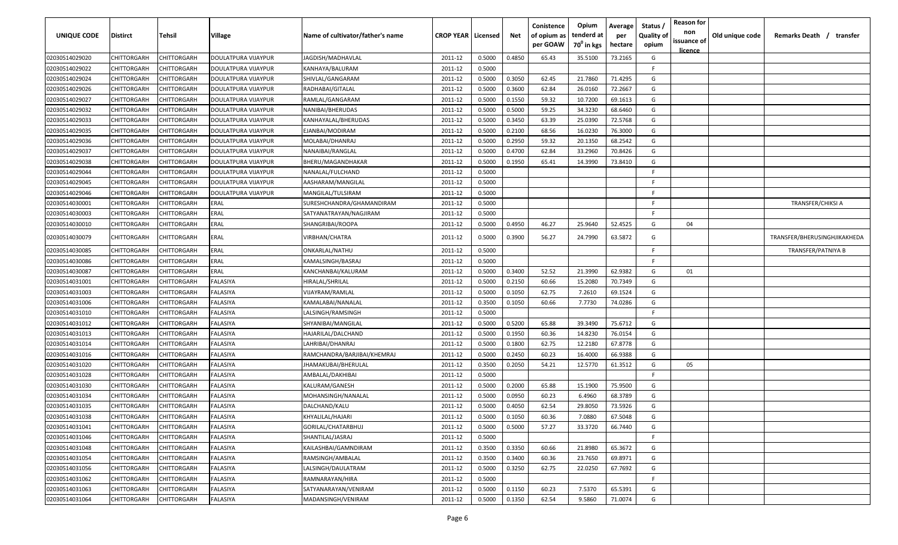| <b>UNIQUE CODE</b> | Distirct           | Tehsil             | Village             | Name of cultivator/father's name | <b>CROP YEAR   Licensed</b> |        | Net    | Conistence<br>of opium as<br>per GOAW | Opium<br>tenderd at<br>70 <sup>0</sup> in kgs | Average<br>per<br>hectare | Status /<br><b>Quality of</b><br>opium | <b>Reason for</b><br>non<br>issuance of | Old unique code | Remarks Death / transfer     |
|--------------------|--------------------|--------------------|---------------------|----------------------------------|-----------------------------|--------|--------|---------------------------------------|-----------------------------------------------|---------------------------|----------------------------------------|-----------------------------------------|-----------------|------------------------------|
| 02030514029020     | CHITTORGARH        | CHITTORGARH        | DOULATPURA VIJAYPUR | JAGDISH/MADHAVLAL                | 2011-12                     | 0.5000 | 0.4850 | 65.43                                 | 35.5100                                       | 73.2165                   | G                                      | <u>licence</u>                          |                 |                              |
| 02030514029022     | CHITTORGARH        | CHITTORGARH        | DOULATPURA VIJAYPUR | KANHAYA/BALURAM                  | 2011-12                     | 0.5000 |        |                                       |                                               |                           | E                                      |                                         |                 |                              |
| 02030514029024     | CHITTORGARH        | CHITTORGARH        | DOULATPURA VIJAYPUR | SHIVLAL/GANGARAM                 | 2011-12                     | 0.5000 | 0.3050 | 62.45                                 | 21.7860                                       | 71.4295                   | G                                      |                                         |                 |                              |
| 02030514029026     | CHITTORGARH        | CHITTORGARH        | DOULATPURA VIJAYPUR | RADHABAI/GITALAL                 | 2011-12                     | 0.5000 | 0.3600 | 62.84                                 | 26.0160                                       | 72.2667                   | G                                      |                                         |                 |                              |
| 02030514029027     | CHITTORGARH        | CHITTORGARH        | DOULATPURA VIJAYPUR | RAMLAL/GANGARAM                  | 2011-12                     | 0.5000 | 0.1550 | 59.32                                 | 10.7200                                       | 69.1613                   | G                                      |                                         |                 |                              |
| 02030514029032     | CHITTORGARH        | CHITTORGARH        | DOULATPURA VIJAYPUR | NANIBAI/BHERUDAS                 | 2011-12                     | 0.5000 | 0.5000 | 59.25                                 | 34.3230                                       | 68.6460                   | G                                      |                                         |                 |                              |
| 02030514029033     | CHITTORGARH        | CHITTORGARH        | DOULATPURA VIJAYPUR | KANHAYALAL/BHERUDAS              | 2011-12                     | 0.5000 | 0.3450 | 63.39                                 | 25.0390                                       | 72.5768                   | G                                      |                                         |                 |                              |
| 02030514029035     | CHITTORGARH        | CHITTORGARH        | DOULATPURA VIJAYPUR | EJANBAI/MODIRAM                  | 2011-12                     | 0.5000 | 0.2100 | 68.56                                 | 16.0230                                       | 76.3000                   | G                                      |                                         |                 |                              |
| 02030514029036     | CHITTORGARH        | CHITTORGARH        | DOULATPURA VIJAYPUR | MOLABAI/DHANRAJ                  | 2011-12                     | 0.5000 | 0.2950 | 59.32                                 | 20.1350                                       | 68.2542                   | G                                      |                                         |                 |                              |
| 02030514029037     | CHITTORGARH        | CHITTORGARH        | DOULATPURA VIJAYPUR | NANAIBAI/RANGLAL                 | 2011-12                     | 0.5000 | 0.4700 | 62.84                                 | 33.2960                                       | 70.8426                   | G                                      |                                         |                 |                              |
| 02030514029038     | CHITTORGARH        | CHITTORGARH        | DOULATPURA VIJAYPUR | BHERU/MAGANDHAKAR                | 2011-12                     | 0.5000 | 0.1950 | 65.41                                 | 14.3990                                       | 73.8410                   | G                                      |                                         |                 |                              |
| 02030514029044     | CHITTORGARH        | CHITTORGARH        | DOULATPURA VIJAYPUR | NANALAL/FULCHAND                 | 2011-12                     | 0.5000 |        |                                       |                                               |                           | F.                                     |                                         |                 |                              |
| 02030514029045     | CHITTORGARH        | CHITTORGARH        | DOULATPURA VIJAYPUR | AASHARAM/MANGILAL                | 2011-12                     | 0.5000 |        |                                       |                                               |                           | F.                                     |                                         |                 |                              |
| 02030514029046     | CHITTORGARH        | CHITTORGARH        | DOULATPURA VIJAYPUR | MANGILAL/TULSIRAM                | 2011-12                     | 0.5000 |        |                                       |                                               |                           | F                                      |                                         |                 |                              |
| 02030514030001     | CHITTORGARH        | CHITTORGARH        | ERAL                | SURESHCHANDRA/GHAMANDIRAM        | 2011-12                     | 0.5000 |        |                                       |                                               |                           | -F.                                    |                                         |                 | <b>TRANSFER/CHIKSI A</b>     |
| 02030514030003     | CHITTORGARH        | CHITTORGARH        | ERAL                | SATYANATRAYAN/NAGJIRAM           | 2011-12                     | 0.5000 |        |                                       |                                               |                           | -F.                                    |                                         |                 |                              |
| 02030514030010     | CHITTORGARH        | CHITTORGARH        | ERAL                | SHANGRIBAI/ROOPA                 | 2011-12                     | 0.5000 | 0.4950 | 46.27                                 | 25.9640                                       | 52.4525                   | G                                      | 04                                      |                 |                              |
| 02030514030079     | CHITTORGARH        | CHITTORGARH        | ERAL                | VIRBHAN/CHATRA                   | 2011-12                     | 0.5000 | 0.3900 | 56.27                                 | 24.7990                                       | 63.5872                   | G                                      |                                         |                 | TRANSFER/BHERUSINGHJIKAKHEDA |
| 02030514030085     | CHITTORGARH        | CHITTORGARH        | ERAL                | ONKARLAL/NATHU                   | 2011-12                     | 0.5000 |        |                                       |                                               |                           | -F                                     |                                         |                 | TRANSFER/PATNIYA B           |
| 02030514030086     | CHITTORGARH        | CHITTORGARH        | ERAL                | KAMALSINGH/BASRAJ                | 2011-12                     | 0.5000 |        |                                       |                                               |                           | -F.                                    |                                         |                 |                              |
| 02030514030087     | CHITTORGARH        | CHITTORGARH        | ERAL                | KANCHANBAI/KALURAM               | 2011-12                     | 0.5000 | 0.3400 | 52.52                                 | 21.3990                                       | 62.9382                   | G                                      | 01                                      |                 |                              |
| 02030514031001     | CHITTORGARH        | CHITTORGARH        | FALASIYA            | HIRALAL/SHRILAL                  | 2011-12                     | 0.5000 | 0.2150 | 60.66                                 | 15.2080                                       | 70.7349                   | G                                      |                                         |                 |                              |
| 02030514031003     | CHITTORGARH        | CHITTORGARH        | FALASIYA            | VIJAYRAM/RAMLAL                  | 2011-12                     | 0.5000 | 0.1050 | 62.75                                 | 7.2610                                        | 69.1524                   | G                                      |                                         |                 |                              |
| 02030514031006     | CHITTORGARH        | CHITTORGARH        | FALASIYA            | KAMALABAI/NANALAL                | 2011-12                     | 0.3500 | 0.1050 | 60.66                                 | 7.7730                                        | 74.0286                   | G                                      |                                         |                 |                              |
| 02030514031010     | CHITTORGARH        | CHITTORGARH        | FALASIYA            | LALSINGH/RAMSINGH                | 2011-12                     | 0.5000 |        |                                       |                                               |                           | -F                                     |                                         |                 |                              |
| 02030514031012     | CHITTORGARH        | CHITTORGARH        | FALASIYA            | SHYANIBAI/MANGILAL               | 2011-12                     | 0.5000 | 0.5200 | 65.88                                 | 39.3490                                       | 75.6712                   | G                                      |                                         |                 |                              |
| 02030514031013     | CHITTORGARH        | CHITTORGARH        | FALASIYA            | HAJARILAL/DALCHAND               | 2011-12                     | 0.5000 | 0.1950 | 60.36                                 | 14.8230                                       | 76.0154                   | G                                      |                                         |                 |                              |
| 02030514031014     | CHITTORGARH        | CHITTORGARH        | FALASIYA            | LAHRIBAI/DHANRAJ                 | 2011-12                     | 0.5000 | 0.1800 | 62.75                                 | 12.2180                                       | 67.8778                   | G                                      |                                         |                 |                              |
| 02030514031016     | CHITTORGARH        | CHITTORGARH        | FALASIYA            | RAMCHANDRA/BARJIBAI/KHEMRAJ      | 2011-12                     | 0.5000 | 0.2450 | 60.23                                 | 16.4000                                       | 66.9388                   | G                                      |                                         |                 |                              |
| 02030514031020     | CHITTORGARH        | CHITTORGARH        | ALASIYA             | IHAMAKUBAI/BHERULAL              | 2011-12                     | 0.3500 | 0.2050 | 54.21                                 | 12.5770                                       | 61.3512                   | G                                      | 05                                      |                 |                              |
| 02030514031028     | CHITTORGARH        | CHITTORGARH        | FALASIYA            | AMBALAL/DAKHIBAI                 | 2011-12                     | 0.5000 |        |                                       |                                               |                           | -F.                                    |                                         |                 |                              |
| 02030514031030     | CHITTORGARH        | CHITTORGARH        | FALASIYA            | KALURAM/GANESH                   | 2011-12                     | 0.5000 | 0.2000 | 65.88                                 | 15.1900                                       | 75.9500                   | G                                      |                                         |                 |                              |
| 02030514031034     | CHITTORGARH        | CHITTORGARH        | FALASIYA            | MOHANSINGH/NANALAL               | 2011-12                     | 0.5000 | 0.0950 | 60.23                                 | 6.4960                                        | 68.3789                   | G                                      |                                         |                 |                              |
| 02030514031035     | CHITTORGARH        | CHITTORGARH        | FALASIYA            | DALCHAND/KALU                    | 2011-12                     | 0.5000 | 0.4050 | 62.54                                 | 29.8050                                       | 73.5926                   | G                                      |                                         |                 |                              |
| 02030514031038     | CHITTORGARH        | <b>CHITTORGARH</b> | FALASIYA            | KHYALILAL/HAJARI                 | 2011-12                     | 0.5000 | 0.1050 | 60.36                                 | 7.0880                                        | 67.5048                   | G                                      |                                         |                 |                              |
| 02030514031041     | <b>CHITTORGARH</b> | <b>CHITTORGARH</b> | <b>FALASIYA</b>     | GORILAL/CHATARBHUJ               | 2011-12                     | 0.5000 | 0.5000 | 57.27                                 | 33.3720                                       | 66.7440                   | G                                      |                                         |                 |                              |
| 02030514031046     | CHITTORGARH        | CHITTORGARH        | FALASIYA            | SHANTILAL/JASRAJ                 | 2011-12                     | 0.5000 |        |                                       |                                               |                           | F.                                     |                                         |                 |                              |
| 02030514031048     | <b>CHITTORGARH</b> | CHITTORGARH        | FALASIYA            | KAILASHBAI/GAMNDIRAM             | 2011-12                     | 0.3500 | 0.3350 | 60.66                                 | 21.8980                                       | 65.3672                   | G                                      |                                         |                 |                              |
| 02030514031054     | <b>CHITTORGARH</b> | CHITTORGARH        | FALASIYA            | RAMSINGH/AMBALAL                 | 2011-12                     | 0.3500 | 0.3400 | 60.36                                 | 23.7650                                       | 69.8971                   | G                                      |                                         |                 |                              |
| 02030514031056     | CHITTORGARH        | CHITTORGARH        | FALASIYA            | LALSINGH/DAULATRAM               | 2011-12                     | 0.5000 | 0.3250 | 62.75                                 | 22.0250                                       | 67.7692                   | G                                      |                                         |                 |                              |
| 02030514031062     | CHITTORGARH        | CHITTORGARH        | FALASIYA            | RAMNARAYAN/HIRA                  | 2011-12                     | 0.5000 |        |                                       |                                               |                           | F                                      |                                         |                 |                              |
| 02030514031063     | CHITTORGARH        | CHITTORGARH        | FALASIYA            | SATYANARAYAN/VENIRAM             | 2011-12                     | 0.5000 | 0.1150 | 60.23                                 | 7.5370                                        | 65.5391                   | G                                      |                                         |                 |                              |
| 02030514031064     | <b>CHITTORGARH</b> | CHITTORGARH        | FALASIYA            | MADANSINGH/VENIRAM               | 2011-12                     | 0.5000 | 0.1350 | 62.54                                 | 9.5860                                        | 71.0074                   | G                                      |                                         |                 |                              |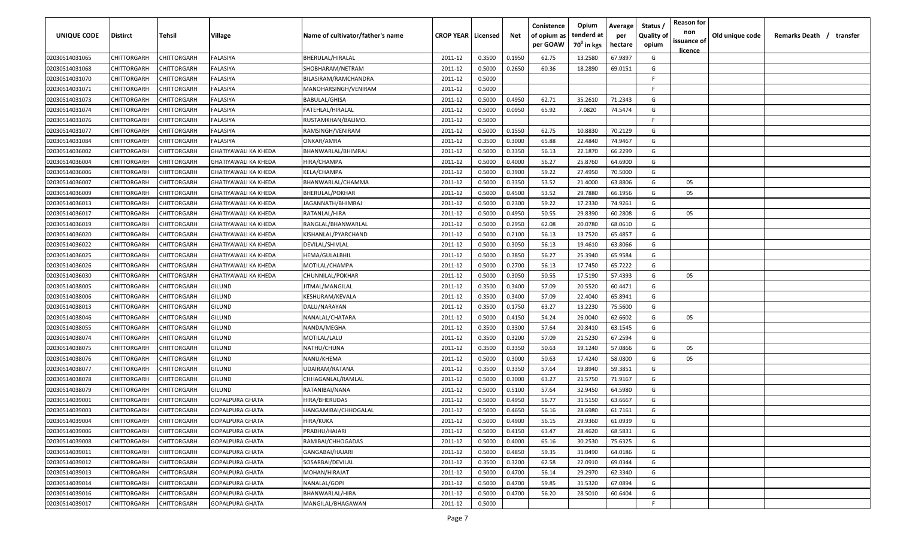| UNIQUE CODE    | Distirct           | Tehsil             | Village                     | Name of cultivator/father's name | <b>CROP YEAR   Licensed</b> |        | Net    | Conistence<br>of opium as | Opium<br>tenderd at    | Average<br>per | Status /<br><b>Quality of</b> | <b>Reason for</b><br>non<br>issuance of | Old unique code | Remarks Death / transfer |
|----------------|--------------------|--------------------|-----------------------------|----------------------------------|-----------------------------|--------|--------|---------------------------|------------------------|----------------|-------------------------------|-----------------------------------------|-----------------|--------------------------|
|                |                    |                    |                             |                                  |                             |        |        | per GOAW                  | 70 <sup>0</sup> in kgs | hectare        | opium                         | <u>licence</u>                          |                 |                          |
| 02030514031065 | CHITTORGARH        | CHITTORGARH        | FALASIYA                    | BHERULAL/HIRALAL                 | 2011-12                     | 0.3500 | 0.1950 | 62.75                     | 13.2580                | 67.9897        | G                             |                                         |                 |                          |
| 02030514031068 | CHITTORGARH        | CHITTORGARH        | FALASIYA                    | SHOBHARAM/NETRAM                 | 2011-12                     | 0.5000 | 0.2650 | 60.36                     | 18.2890                | 69.0151        | G                             |                                         |                 |                          |
| 02030514031070 | CHITTORGARH        | CHITTORGARH        | FALASIYA                    | BILASIRAM/RAMCHANDRA             | 2011-12                     | 0.5000 |        |                           |                        |                | -F.                           |                                         |                 |                          |
| 02030514031071 | CHITTORGARH        | CHITTORGARH        | FALASIYA                    | MANOHARSINGH/VENIRAM             | 2011-12                     | 0.5000 |        |                           |                        |                | -F.                           |                                         |                 |                          |
| 02030514031073 | CHITTORGARH        | CHITTORGARH        | FALASIYA                    | <b>BABULAL/GHISA</b>             | 2011-12                     | 0.5000 | 0.4950 | 62.71                     | 35.2610                | 71.2343        | G                             |                                         |                 |                          |
| 02030514031074 | CHITTORGARH        | CHITTORGARH        | FALASIYA                    | FATEHLAL/HIRALAL                 | 2011-12                     | 0.5000 | 0.0950 | 65.92                     | 7.0820                 | 74.5474        | G                             |                                         |                 |                          |
| 02030514031076 | CHITTORGARH        | CHITTORGARH        | FALASIYA                    | RUSTAMKHAN/BALIMO.               | 2011-12                     | 0.5000 |        |                           |                        |                | -F                            |                                         |                 |                          |
| 02030514031077 | CHITTORGARH        | CHITTORGARH        | FALASIYA                    | RAMSINGH/VENIRAM                 | 2011-12                     | 0.5000 | 0.1550 | 62.75                     | 10.8830                | 70.2129        | G                             |                                         |                 |                          |
| 02030514031084 | CHITTORGARH        | CHITTORGARH        | FALASIYA                    | ONKAR/AMRA                       | 2011-12                     | 0.3500 | 0.3000 | 65.88                     | 22.4840                | 74.9467        | G                             |                                         |                 |                          |
| 02030514036002 | CHITTORGARH        | CHITTORGARH        | GHATIYAWALI KA KHEDA        | BHANWARLAL/BHIMRAJ               | 2011-12                     | 0.5000 | 0.3350 | 56.13                     | 22.1870                | 66.2299        | G                             |                                         |                 |                          |
| 02030514036004 | CHITTORGARH        | CHITTORGARH        | GHATIYAWALI KA KHEDA        | HIRA/CHAMPA                      | 2011-12                     | 0.5000 | 0.4000 | 56.27                     | 25.8760                | 64.6900        | G                             |                                         |                 |                          |
| 02030514036006 | CHITTORGARH        | CHITTORGARH        | <b>GHATIYAWALI KA KHEDA</b> | KELA/CHAMPA                      | 2011-12                     | 0.5000 | 0.3900 | 59.22                     | 27.4950                | 70.5000        | G                             |                                         |                 |                          |
| 02030514036007 | CHITTORGARH        | CHITTORGARH        | GHATIYAWALI KA KHEDA        | BHANWARLAL/CHAMMA                | 2011-12                     | 0.5000 | 0.3350 | 53.52                     | 21.4000                | 63.8806        | G                             | 05                                      |                 |                          |
| 02030514036009 | CHITTORGARH        | CHITTORGARH        | <b>GHATIYAWALI KA KHEDA</b> | BHERULAL/POKHAR                  | 2011-12                     | 0.5000 | 0.4500 | 53.52                     | 29.7880                | 66.1956        | G                             | 05                                      |                 |                          |
| 02030514036013 | CHITTORGARH        | CHITTORGARH        | <b>GHATIYAWALI KA KHEDA</b> | JAGANNATH/BHIMRAJ                | 2011-12                     | 0.5000 | 0.2300 | 59.22                     | 17.2330                | 74.9261        | G                             |                                         |                 |                          |
| 02030514036017 | CHITTORGARH        | CHITTORGARH        | <b>GHATIYAWALI KA KHEDA</b> | RATANLAL/HIRA                    | 2011-12                     | 0.5000 | 0.4950 | 50.55                     | 29.8390                | 60.2808        | G                             | 05                                      |                 |                          |
| 02030514036019 | CHITTORGARH        | CHITTORGARH        | <b>GHATIYAWALI KA KHEDA</b> | RANGLAL/BHANWARLAL               | 2011-12                     | 0.5000 | 0.2950 | 62.08                     | 20.0780                | 68.0610        | G                             |                                         |                 |                          |
| 02030514036020 | CHITTORGARH        | CHITTORGARH        | <b>GHATIYAWALI KA KHEDA</b> | KISHANLAL/PYARCHAND              | 2011-12                     | 0.5000 | 0.2100 | 56.13                     | 13.7520                | 65.4857        | G                             |                                         |                 |                          |
| 02030514036022 | CHITTORGARH        | CHITTORGARH        | <b>GHATIYAWALI KA KHEDA</b> | DEVILAL/SHIVLAL                  | 2011-12                     | 0.5000 | 0.3050 | 56.13                     | 19.4610                | 63.8066        | G                             |                                         |                 |                          |
| 02030514036025 | CHITTORGARH        | CHITTORGARH        | <b>GHATIYAWALI KA KHEDA</b> | HEMA/GULALBHIL                   | 2011-12                     | 0.5000 | 0.3850 | 56.27                     | 25.3940                | 65.9584        | G                             |                                         |                 |                          |
| 02030514036026 | CHITTORGARH        | CHITTORGARH        | <b>GHATIYAWALI KA KHEDA</b> | MOTILAL/CHAMPA                   | 2011-12                     | 0.5000 | 0.2700 | 56.13                     | 17.7450                | 65.7222        | G                             |                                         |                 |                          |
| 02030514036030 | CHITTORGARH        | CHITTORGARH        | GHATIYAWALI KA KHEDA        | CHUNNILAL/POKHAR                 | 2011-12                     | 0.5000 | 0.3050 | 50.55                     | 17.5190                | 57.4393        | G                             | 05                                      |                 |                          |
| 02030514038005 | CHITTORGARH        | CHITTORGARH        | GILUND                      | JITMAL/MANGILAL                  | 2011-12                     | 0.3500 | 0.3400 | 57.09                     | 20.5520                | 60.4471        | G                             |                                         |                 |                          |
| 02030514038006 | CHITTORGARH        | CHITTORGARH        | <b>GILUND</b>               | KESHURAM/KEVALA                  | 2011-12                     | 0.3500 | 0.3400 | 57.09                     | 22.4040                | 65.8941        | G                             |                                         |                 |                          |
| 02030514038013 | CHITTORGARH        | CHITTORGARH        | <b>GILUND</b>               | DALU/NARAYAN                     | 2011-12                     | 0.3500 | 0.1750 | 63.27                     | 13.2230                | 75.5600        | G                             |                                         |                 |                          |
| 02030514038046 | CHITTORGARH        | CHITTORGARH        | GILUND                      | NANALAL/CHATARA                  | 2011-12                     | 0.5000 | 0.4150 | 54.24                     | 26.0040                | 62.6602        | G                             | 05                                      |                 |                          |
| 02030514038055 | CHITTORGARH        | CHITTORGARH        | GILUND                      | NANDA/MEGHA                      | 2011-12                     | 0.3500 | 0.3300 | 57.64                     | 20.8410                | 63.1545        | G                             |                                         |                 |                          |
| 02030514038074 | CHITTORGARH        | CHITTORGARH        | GILUND                      | MOTILAL/LALU                     | 2011-12                     | 0.3500 | 0.3200 | 57.09                     | 21.5230                | 67.2594        | G                             |                                         |                 |                          |
| 02030514038075 | CHITTORGARH        | CHITTORGARH        | GILUND                      | NATHU/CHUNA                      | 2011-12                     | 0.3500 | 0.3350 | 50.63                     | 19.1240                | 57.0866        | G                             | 05                                      |                 |                          |
| 02030514038076 | CHITTORGARH        | CHITTORGARH        | <b>GILUND</b>               | NANU/KHEMA                       | 2011-12                     | 0.5000 | 0.3000 | 50.63                     | 17.4240                | 58.0800        | G                             | 05                                      |                 |                          |
| 02030514038077 | CHITTORGARH        | CHITTORGARH        | <b>GILUND</b>               | UDAIRAM/RATANA                   | 2011-12                     | 0.3500 | 0.3350 | 57.64                     | 19.8940                | 59.3851        | G                             |                                         |                 |                          |
| 02030514038078 | CHITTORGARH        | CHITTORGARH        | <b>GILUND</b>               | CHHAGANLAL/RAMLAL                | 2011-12                     | 0.5000 | 0.3000 | 63.27                     | 21.5750                | 71.9167        | G                             |                                         |                 |                          |
| 02030514038079 | CHITTORGARH        | CHITTORGARH        | GILUND                      | RATANIBAI/NANA                   | 2011-12                     | 0.5000 | 0.5100 | 57.64                     | 32.9450                | 64.5980        | G                             |                                         |                 |                          |
| 02030514039001 | CHITTORGARH        | CHITTORGARH        | <b>GOPALPURA GHATA</b>      | HIRA/BHERUDAS                    | 2011-12                     | 0.5000 | 0.4950 | 56.77                     | 31.5150                | 63.6667        | G                             |                                         |                 |                          |
| 02030514039003 | CHITTORGARH        | CHITTORGARH        | <b>GOPALPURA GHATA</b>      | HANGAMIBAI/CHHOGALAL             | 2011-12                     | 0.5000 | 0.4650 | 56.16                     | 28.6980                | 61.7161        | G                             |                                         |                 |                          |
| 02030514039004 | <b>CHITTORGARH</b> | <b>CHITTORGARH</b> | <b>GOPALPURA GHATA</b>      | HIRA/KUKA                        | 2011-12                     | 0.5000 | 0.4900 | 56.15                     | 29.9360                | 61.0939        | G                             |                                         |                 |                          |
| 02030514039006 | <b>CHITTORGARH</b> | CHITTORGARH        | GOPALPURA GHATA             | PRABHU/HAJARI                    | 2011-12                     | 0.5000 | 0.4150 | 63.47                     | 28.4620                | 68.5831        | G                             |                                         |                 |                          |
| 02030514039008 | <b>CHITTORGARH</b> | CHITTORGARH        | <b>GOPALPURA GHATA</b>      | RAMIBAI/CHHOGADAS                | 2011-12                     | 0.5000 | 0.4000 | 65.16                     | 30.2530                | 75.6325        | G                             |                                         |                 |                          |
| 02030514039011 | <b>CHITTORGARH</b> | CHITTORGARH        | <b>GOPALPURA GHATA</b>      | GANGABAI/HAJARI                  | 2011-12                     | 0.5000 | 0.4850 | 59.35                     | 31.0490                | 64.0186        | G                             |                                         |                 |                          |
| 02030514039012 | CHITTORGARH        | CHITTORGARH        | GOPALPURA GHATA             | SOSARBAI/DEVILAL                 | 2011-12                     | 0.3500 | 0.3200 | 62.58                     | 22.0910                | 69.0344        | G                             |                                         |                 |                          |
| 02030514039013 | CHITTORGARH        | CHITTORGARH        | GOPALPURA GHATA             | MOHAN/HIRAJAT                    | 2011-12                     | 0.5000 | 0.4700 | 56.14                     | 29.2970                | 62.3340        | G                             |                                         |                 |                          |
| 02030514039014 | CHITTORGARH        | CHITTORGARH        | <b>GOPALPURA GHATA</b>      | NANALAL/GOPI                     | 2011-12                     | 0.5000 | 0.4700 | 59.85                     | 31.5320                | 67.0894        | G                             |                                         |                 |                          |
| 02030514039016 | CHITTORGARH        | CHITTORGARH        | <b>GOPALPURA GHATA</b>      | BHANWARLAL/HIRA                  | 2011-12                     | 0.5000 | 0.4700 | 56.20                     | 28.5010                | 60.6404        | G                             |                                         |                 |                          |
| 02030514039017 | <b>CHITTORGARH</b> | CHITTORGARH        | <b>GOPALPURA GHATA</b>      | MANGILAL/BHAGAWAN                | 2011-12                     | 0.5000 |        |                           |                        |                | F.                            |                                         |                 |                          |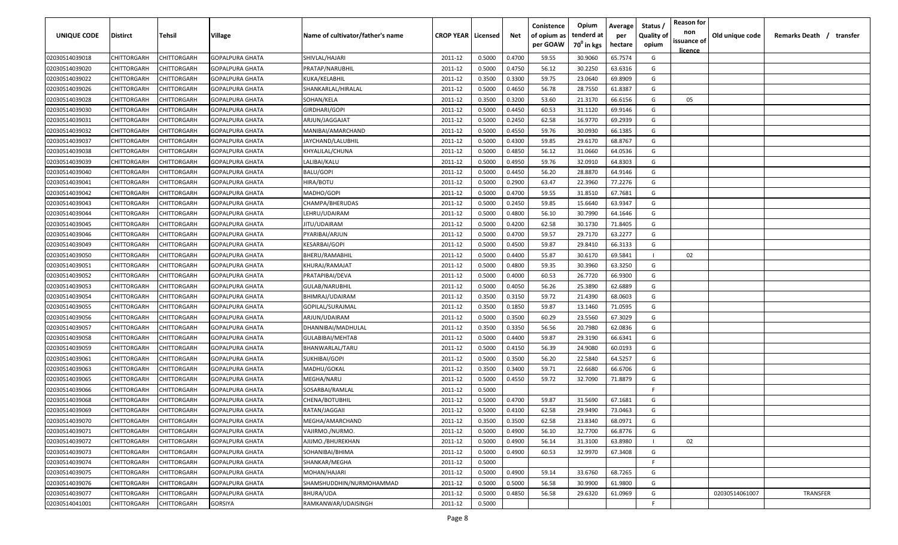| UNIQUE CODE    | <b>Distirct</b>    | <b>Tehsil</b>      | Village                | Name of cultivator/father's name | <b>CROP YEAR   Licensed</b> |        | Net    | Conistence<br>of opium as | Opium<br>tenderd at    | Average<br>per | Status /<br><b>Quality of</b> | <b>Reason for</b><br>non<br>issuance of | Old unique code | Remarks Death /<br>transfer |
|----------------|--------------------|--------------------|------------------------|----------------------------------|-----------------------------|--------|--------|---------------------------|------------------------|----------------|-------------------------------|-----------------------------------------|-----------------|-----------------------------|
|                |                    |                    |                        |                                  |                             |        |        | per GOAW                  | 70 <sup>0</sup> in kgs | hectare        | opium                         | <u>licence</u>                          |                 |                             |
| 02030514039018 | CHITTORGARH        | CHITTORGARH        | <b>GOPALPURA GHATA</b> | SHIVLAL/HAJARI                   | 2011-12                     | 0.5000 | 0.4700 | 59.55                     | 30.9060                | 65.7574        | G                             |                                         |                 |                             |
| 02030514039020 | CHITTORGARH        | CHITTORGARH        | <b>GOPALPURA GHATA</b> | PRATAP/NARUBHIL                  | 2011-12                     | 0.5000 | 0.4750 | 56.12                     | 30.2250                | 63.6316        | G                             |                                         |                 |                             |
| 02030514039022 | CHITTORGARH        | CHITTORGARH        | <b>GOPALPURA GHATA</b> | KUKA/KELABHIL                    | 2011-12                     | 0.3500 | 0.3300 | 59.75                     | 23.0640                | 69.8909        | G                             |                                         |                 |                             |
| 02030514039026 | CHITTORGARH        | CHITTORGARH        | GOPALPURA GHATA        | SHANKARLAL/HIRALAL               | 2011-12                     | 0.5000 | 0.4650 | 56.78                     | 28.7550                | 61.8387        | G                             |                                         |                 |                             |
| 02030514039028 | CHITTORGARH        | CHITTORGARH        | GOPALPURA GHATA        | SOHAN/KELA                       | 2011-12                     | 0.3500 | 0.3200 | 53.60                     | 21.3170                | 66.6156        | G                             | 05                                      |                 |                             |
| 02030514039030 | CHITTORGARH        | CHITTORGARH        | <b>GOPALPURA GHATA</b> | GIRDHARI/GOPI                    | 2011-12                     | 0.5000 | 0.4450 | 60.53                     | 31.1120                | 69.9146        | G                             |                                         |                 |                             |
| 02030514039031 | CHITTORGARH        | CHITTORGARH        | GOPALPURA GHATA        | ARJUN/JAGGAJAT                   | 2011-12                     | 0.5000 | 0.2450 | 62.58                     | 16.9770                | 69.2939        | G                             |                                         |                 |                             |
| 02030514039032 | CHITTORGARH        | CHITTORGARH        | GOPALPURA GHATA        | MANIBAI/AMARCHAND                | 2011-12                     | 0.5000 | 0.4550 | 59.76                     | 30.0930                | 66.1385        | G                             |                                         |                 |                             |
| 02030514039037 | CHITTORGARH        | CHITTORGARH        | GOPALPURA GHATA        | JAYCHAND/LALUBHIL                | 2011-12                     | 0.5000 | 0.4300 | 59.85                     | 29.6170                | 68.8767        | G                             |                                         |                 |                             |
| 02030514039038 | CHITTORGARH        | CHITTORGARH        | <b>GOPALPURA GHATA</b> | KHYALILAL/CHUNA                  | 2011-12                     | 0.5000 | 0.4850 | 56.12                     | 31.0660                | 64.0536        | G                             |                                         |                 |                             |
| 02030514039039 | CHITTORGARH        | CHITTORGARH        | GOPALPURA GHATA        | LALIBAI/KALU                     | 2011-12                     | 0.5000 | 0.4950 | 59.76                     | 32.0910                | 64.8303        | G                             |                                         |                 |                             |
| 02030514039040 | CHITTORGARH        | CHITTORGARH        | GOPALPURA GHATA        | BALU/GOPI                        | 2011-12                     | 0.5000 | 0.4450 | 56.20                     | 28.8870                | 64.9146        | G                             |                                         |                 |                             |
| 02030514039041 | CHITTORGARH        | CHITTORGARH        | GOPALPURA GHATA        | HIRA/BOTU                        | 2011-12                     | 0.5000 | 0.2900 | 63.47                     | 22.3960                | 77.2276        | G                             |                                         |                 |                             |
| 02030514039042 | CHITTORGARH        | CHITTORGARH        | GOPALPURA GHATA        | MADHO/GOPI                       | 2011-12                     | 0.5000 | 0.4700 | 59.55                     | 31.8510                | 67.7681        | G                             |                                         |                 |                             |
| 02030514039043 | CHITTORGARH        | CHITTORGARH        | GOPALPURA GHATA        | CHAMPA/BHERUDAS                  | 2011-12                     | 0.5000 | 0.2450 | 59.85                     | 15.6640                | 63.9347        | G                             |                                         |                 |                             |
| 02030514039044 | CHITTORGARH        | CHITTORGARH        | GOPALPURA GHATA        | LEHRU/UDAIRAM                    | 2011-12                     | 0.5000 | 0.4800 | 56.10                     | 30.7990                | 64.1646        | G                             |                                         |                 |                             |
| 02030514039045 | CHITTORGARH        | CHITTORGARH        | <b>GOPALPURA GHATA</b> | JITU/UDAIRAM                     | 2011-12                     | 0.5000 | 0.4200 | 62.58                     | 30.1730                | 71.8405        | G                             |                                         |                 |                             |
| 02030514039046 | CHITTORGARH        | CHITTORGARH        | <b>GOPALPURA GHATA</b> | PYARIBAI/ARJUN                   | 2011-12                     | 0.5000 | 0.4700 | 59.57                     | 29.7170                | 63.2277        | G                             |                                         |                 |                             |
| 02030514039049 | CHITTORGARH        | CHITTORGARH        | <b>GOPALPURA GHATA</b> | <b>KESARBAI/GOPI</b>             | 2011-12                     | 0.5000 | 0.4500 | 59.87                     | 29.8410                | 66.3133        | G                             |                                         |                 |                             |
| 02030514039050 | CHITTORGARH        | CHITTORGARH        | <b>GOPALPURA GHATA</b> | BHERU/RAMABHIL                   | 2011-12                     | 0.5000 | 0.4400 | 55.87                     | 30.6170                | 69.5841        |                               | 02                                      |                 |                             |
| 02030514039051 | CHITTORGARH        | CHITTORGARH        | GOPALPURA GHATA        | KHURAJ/RAMAJAT                   | 2011-12                     | 0.5000 | 0.4800 | 59.35                     | 30.3960                | 63.3250        | G                             |                                         |                 |                             |
| 02030514039052 | CHITTORGARH        | CHITTORGARH        | GOPALPURA GHATA        | PRATAPIBAI/DEVA                  | 2011-12                     | 0.5000 | 0.4000 | 60.53                     | 26.7720                | 66.9300        | G                             |                                         |                 |                             |
| 02030514039053 | CHITTORGARH        | CHITTORGARH        | GOPALPURA GHATA        | GULAB/NARUBHIL                   | 2011-12                     | 0.5000 | 0.4050 | 56.26                     | 25.3890                | 62.6889        | G                             |                                         |                 |                             |
| 02030514039054 | CHITTORGARH        | CHITTORGARH        | GOPALPURA GHATA        | BHIMRAJ/UDAIRAM                  | 2011-12                     | 0.3500 | 0.3150 | 59.72                     | 21.4390                | 68.0603        | G                             |                                         |                 |                             |
| 02030514039055 | CHITTORGARH        | CHITTORGARH        | GOPALPURA GHATA        | GOPILAL/SURAJMAL                 | 2011-12                     | 0.3500 | 0.1850 | 59.87                     | 13.1460                | 71.0595        | G                             |                                         |                 |                             |
| 02030514039056 | CHITTORGARH        | CHITTORGARH        | GOPALPURA GHATA        | ARJUN/UDAIRAM                    | 2011-12                     | 0.5000 | 0.3500 | 60.29                     | 23.5560                | 67.3029        | G                             |                                         |                 |                             |
| 02030514039057 | CHITTORGARH        | CHITTORGARH        | GOPALPURA GHATA        | DHANNIBAI/MADHULAL               | 2011-12                     | 0.3500 | 0.3350 | 56.56                     | 20.7980                | 62.0836        | G                             |                                         |                 |                             |
| 02030514039058 | CHITTORGARH        | CHITTORGARH        | GOPALPURA GHATA        | GULABIBAI/MEHTAB                 | 2011-12                     | 0.5000 | 0.4400 | 59.87                     | 29.3190                | 66.6341        | G                             |                                         |                 |                             |
| 02030514039059 | CHITTORGARH        | CHITTORGARH        | GOPALPURA GHATA        | BHANWARLAL/TARU                  | 2011-12                     | 0.5000 | 0.4150 | 56.39                     | 24.9080                | 60.0193        | G                             |                                         |                 |                             |
| 02030514039061 | CHITTORGARH        | CHITTORGARH        | GOPALPURA GHATA        | SUKHIBAI/GOPI                    | 2011-12                     | 0.5000 | 0.3500 | 56.20                     | 22.5840                | 64.5257        | G                             |                                         |                 |                             |
| 02030514039063 | CHITTORGARH        | CHITTORGARH        | GOPALPURA GHATA        | MADHU/GOKAL                      | 2011-12                     | 0.3500 | 0.3400 | 59.71                     | 22.6680                | 66.6706        | G                             |                                         |                 |                             |
| 02030514039065 | CHITTORGARH        | CHITTORGARH        | GOPALPURA GHATA        | MEGHA/NARU                       | 2011-12                     | 0.5000 | 0.4550 | 59.72                     | 32.7090                | 71.8879        | G                             |                                         |                 |                             |
|                | CHITTORGARH        | CHITTORGARH        | <b>GOPALPURA GHATA</b> | SOSARBAI/RAMLAL                  | 2011-12                     | 0.5000 |        |                           |                        |                | -F.                           |                                         |                 |                             |
| 02030514039066 | CHITTORGARH        | CHITTORGARH        |                        | CHENA/BOTUBHIL                   | 2011-12                     | 0.5000 | 0.4700 | 59.87                     | 31.5690                | 67.1681        | G                             |                                         |                 |                             |
| 02030514039068 | CHITTORGARH        | CHITTORGARH        | <b>GOPALPURA GHATA</b> |                                  |                             | 0.5000 |        | 62.58                     | 29.9490                |                | G                             |                                         |                 |                             |
| 02030514039069 |                    |                    | <b>GOPALPURA GHATA</b> | RATAN/JAGGAII                    | 2011-12                     |        | 0.4100 |                           |                        | 73.0463        |                               |                                         |                 |                             |
| 02030514039070 | CHITTORGARH        | <b>CHITTORGARH</b> | <b>GOPALPURA GHATA</b> | MEGHA/AMARCHAND                  | 2011-12                     | 0.3500 | 0.3500 | 62.58                     | 23.8340                | 68.0971        | G                             |                                         |                 |                             |
| 02030514039071 | <b>CHITTORGARH</b> | CHITTORGARH        | <b>GOPALPURA GHATA</b> | VAJIRMO./NURMO.                  | 2011-12                     | 0.5000 | 0.4900 | 56.10                     | 32.7700                | 66.8776        | G                             |                                         |                 |                             |
| 02030514039072 | CHITTORGARH        | CHITTORGARH        | <b>GOPALPURA GHATA</b> | AJIJMO./BHUREKHAN                | 2011-12                     | 0.5000 | 0.4900 | 56.14                     | 31.3100                | 63.8980        |                               | 02                                      |                 |                             |
| 02030514039073 | <b>CHITTORGARH</b> | CHITTORGARH        | <b>GOPALPURA GHATA</b> | SOHANIBAI/BHIMA                  | 2011-12                     | 0.5000 | 0.4900 | 60.53                     | 32.9970                | 67.3408        | G                             |                                         |                 |                             |
| 02030514039074 | CHITTORGARH        | CHITTORGARH        | <b>GOPALPURA GHATA</b> | SHANKAR/MEGHA                    | 2011-12                     | 0.5000 |        |                           |                        |                | F                             |                                         |                 |                             |
| 02030514039075 | CHITTORGARH        | CHITTORGARH        | <b>GOPALPURA GHATA</b> | MOHAN/HAJARI                     | 2011-12                     | 0.5000 | 0.4900 | 59.14                     | 33.6760                | 68.7265        | G                             |                                         |                 |                             |
| 02030514039076 | CHITTORGARH        | CHITTORGARH        | <b>GOPALPURA GHATA</b> | SHAMSHUDDHIN/NURMOHAMMAD         | 2011-12                     | 0.5000 | 0.5000 | 56.58                     | 30.9900                | 61.9800        | G                             |                                         |                 |                             |
| 02030514039077 | CHITTORGARH        | CHITTORGARH        | <b>GOPALPURA GHATA</b> | BHURA/UDA                        | 2011-12                     | 0.5000 | 0.4850 | 56.58                     | 29.6320                | 61.0969        | G                             |                                         | 02030514061007  | TRANSFER                    |
| 02030514041001 | CHITTORGARH        | CHITTORGARH        | GORSIYA                | RAMKANWAR/UDAISINGH              | 2011-12                     | 0.5000 |        |                           |                        |                | F                             |                                         |                 |                             |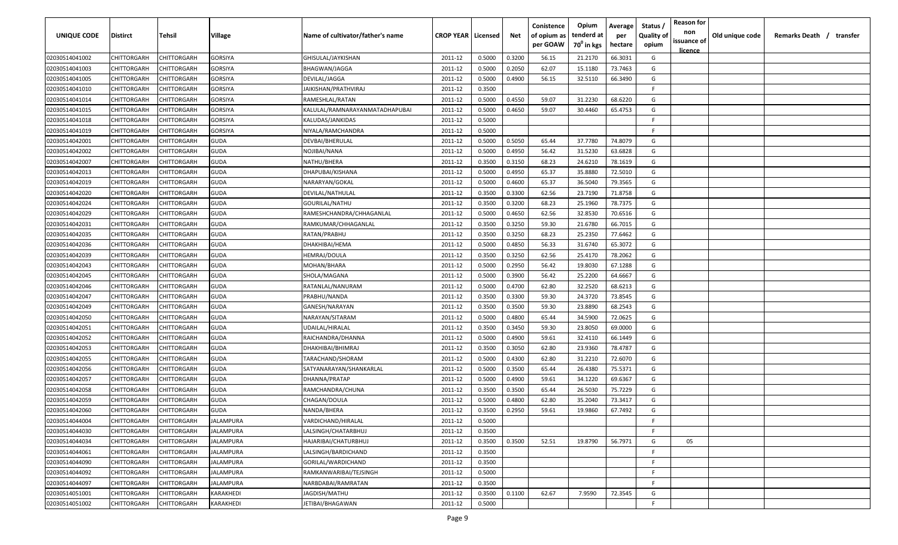| UNIQUE CODE    | Distirct           | Tehsil      | Village          | Name of cultivator/father's name | <b>CROP YEAR   Licensed</b> |        | Net    | Conistence<br>of opium as | Opium<br>tenderd at    | Average<br>per | Status /<br><b>Quality of</b> | <b>Reason for</b><br>non      | Old unique code | Remarks Death /<br>transfer |
|----------------|--------------------|-------------|------------------|----------------------------------|-----------------------------|--------|--------|---------------------------|------------------------|----------------|-------------------------------|-------------------------------|-----------------|-----------------------------|
|                |                    |             |                  |                                  |                             |        |        | per GOAW                  | 70 <sup>0</sup> in kgs | hectare        | opium                         | issuance of<br><u>licence</u> |                 |                             |
| 02030514041002 | CHITTORGARH        | CHITTORGARH | GORSIYA          | GHISULAL/JAYKISHAN               | 2011-12                     | 0.5000 | 0.3200 | 56.15                     | 21.2170                | 66.3031        | G                             |                               |                 |                             |
| 02030514041003 | CHITTORGARH        | CHITTORGARH | GORSIYA          | BHAGWAN/JAGGA                    | 2011-12                     | 0.5000 | 0.2050 | 62.07                     | 15.1180                | 73.7463        | G                             |                               |                 |                             |
| 02030514041005 | CHITTORGARH        | CHITTORGARH | GORSIYA          | DEVILAL/JAGGA                    | 2011-12                     | 0.5000 | 0.4900 | 56.15                     | 32.5110                | 66.3490        | G                             |                               |                 |                             |
| 02030514041010 | CHITTORGARH        | CHITTORGARH | GORSIYA          | JAIKISHAN/PRATHVIRAJ             | 2011-12                     | 0.3500 |        |                           |                        |                | E                             |                               |                 |                             |
| 02030514041014 | CHITTORGARH        | CHITTORGARH | GORSIYA          | RAMESHLAL/RATAN                  | 2011-12                     | 0.5000 | 0.4550 | 59.07                     | 31.2230                | 68.6220        | G                             |                               |                 |                             |
| 02030514041015 | CHITTORGARH        | CHITTORGARH | GORSIYA          | KALULAL/RAMNARAYANMATADHAPUBAI   | 2011-12                     | 0.5000 | 0.4650 | 59.07                     | 30.4460                | 65.4753        | G                             |                               |                 |                             |
| 02030514041018 | CHITTORGARH        | CHITTORGARH | GORSIYA          | KALUDAS/JANKIDAS                 | 2011-12                     | 0.5000 |        |                           |                        |                | -F.                           |                               |                 |                             |
| 02030514041019 | CHITTORGARH        | CHITTORGARH | GORSIYA          | NIYALA/RAMCHANDRA                | 2011-12                     | 0.5000 |        |                           |                        |                | -F.                           |                               |                 |                             |
| 02030514042001 | CHITTORGARH        | CHITTORGARH | <b>GUDA</b>      | DEVBAI/BHERULAL                  | 2011-12                     | 0.5000 | 0.5050 | 65.44                     | 37.7780                | 74.8079        | G                             |                               |                 |                             |
| 02030514042002 | CHITTORGARH        | CHITTORGARH | GUDA             | NOJIBAI/NANA                     | 2011-12                     | 0.5000 | 0.4950 | 56.42                     | 31.5230                | 63.6828        | G                             |                               |                 |                             |
| 02030514042007 | CHITTORGARH        | CHITTORGARH | GUDA             | NATHU/BHERA                      | 2011-12                     | 0.3500 | 0.3150 | 68.23                     | 24.6210                | 78.1619        | G                             |                               |                 |                             |
| 02030514042013 | CHITTORGARH        | CHITTORGARH | GUDA             | DHAPUBAI/KISHANA                 | 2011-12                     | 0.5000 | 0.4950 | 65.37                     | 35.8880                | 72.5010        | G                             |                               |                 |                             |
| 02030514042019 | CHITTORGARH        | CHITTORGARH | <b>GUDA</b>      | NARARYAN/GOKAL                   | 2011-12                     | 0.5000 | 0.4600 | 65.37                     | 36.5040                | 79.3565        | G                             |                               |                 |                             |
| 02030514042020 | CHITTORGARH        | CHITTORGARH | <b>GUDA</b>      | DEVILAL/NATHULAL                 | 2011-12                     | 0.3500 | 0.3300 | 62.56                     | 23.7190                | 71.8758        | G                             |                               |                 |                             |
| 02030514042024 | CHITTORGARH        | CHITTORGARH | <b>GUDA</b>      | GOURILAL/NATHU                   | 2011-12                     | 0.3500 | 0.3200 | 68.23                     | 25.1960                | 78.7375        | G                             |                               |                 |                             |
| 02030514042029 | CHITTORGARH        | CHITTORGARH | <b>GUDA</b>      | RAMESHCHANDRA/CHHAGANLAL         | 2011-12                     | 0.5000 | 0.4650 | 62.56                     | 32.8530                | 70.6516        | G                             |                               |                 |                             |
| 02030514042031 | CHITTORGARH        | CHITTORGARH | <b>GUDA</b>      | RAMKUMAR/CHHAGANLAL              | 2011-12                     | 0.3500 | 0.3250 | 59.30                     | 21.6780                | 66.7015        | G                             |                               |                 |                             |
| 02030514042035 | CHITTORGARH        | CHITTORGARH | <b>GUDA</b>      | RATAN/PRABHU                     | 2011-12                     | 0.3500 | 0.3250 | 68.23                     | 25.2350                | 77.6462        | G                             |                               |                 |                             |
| 02030514042036 | <b>CHITTORGARH</b> | CHITTORGARH | <b>GUDA</b>      | DHAKHIBAI/HEMA                   | 2011-12                     | 0.5000 | 0.4850 | 56.33                     | 31.6740                | 65.3072        | G                             |                               |                 |                             |
| 02030514042039 | CHITTORGARH        | CHITTORGARH | <b>GUDA</b>      | HEMRAJ/DOULA                     | 2011-12                     | 0.3500 | 0.3250 | 62.56                     | 25.4170                | 78.2062        | G                             |                               |                 |                             |
| 02030514042043 | CHITTORGARH        | CHITTORGARH | GUDA             | MOHAN/BHARA                      | 2011-12                     | 0.5000 | 0.2950 | 56.42                     | 19.8030                | 67.1288        | G                             |                               |                 |                             |
| 02030514042045 | CHITTORGARH        | CHITTORGARH | <b>GUDA</b>      | SHOLA/MAGANA                     | 2011-12                     | 0.5000 | 0.3900 | 56.42                     | 25.2200                | 64.6667        | G                             |                               |                 |                             |
| 02030514042046 | CHITTORGARH        | CHITTORGARH | GUDA             | RATANLAL/NANURAM                 | 2011-12                     | 0.5000 | 0.4700 | 62.80                     | 32.2520                | 68.6213        | G                             |                               |                 |                             |
| 02030514042047 | CHITTORGARH        | CHITTORGARH | <b>GUDA</b>      | PRABHU/NANDA                     | 2011-12                     | 0.3500 | 0.3300 | 59.30                     | 24.3720                | 73.8545        | G                             |                               |                 |                             |
| 02030514042049 | CHITTORGARH        | CHITTORGARH | <b>GUDA</b>      | GANESH/NARAYAN                   | 2011-12                     | 0.3500 | 0.3500 | 59.30                     | 23.8890                | 68.2543        | G                             |                               |                 |                             |
| 02030514042050 | CHITTORGARH        | CHITTORGARH | <b>GUDA</b>      | NARAYAN/SITARAM                  | 2011-12                     | 0.5000 | 0.4800 | 65.44                     | 34.5900                | 72.0625        | G                             |                               |                 |                             |
| 02030514042051 | CHITTORGARH        | CHITTORGARH | GUDA             | UDAILAL/HIRALAL                  | 2011-12                     | 0.3500 | 0.3450 | 59.30                     | 23.8050                | 69.0000        | G                             |                               |                 |                             |
| 02030514042052 | CHITTORGARH        | CHITTORGARH | GUDA             | RAICHANDRA/DHANNA                | 2011-12                     | 0.5000 | 0.4900 | 59.61                     | 32.4110                | 66.1449        | G                             |                               |                 |                             |
| 02030514042053 | CHITTORGARH        | CHITTORGARH | GUDA             | DHAKHIBAI/BHIMRAJ                | 2011-12                     | 0.3500 | 0.3050 | 62.80                     | 23.9360                | 78.4787        | G                             |                               |                 |                             |
| 02030514042055 | CHITTORGARH        | CHITTORGARH | <b>GUDA</b>      | TARACHAND/SHORAM                 | 2011-12                     | 0.5000 | 0.4300 | 62.80                     | 31.2210                | 72.6070        | G                             |                               |                 |                             |
| 02030514042056 | CHITTORGARH        | CHITTORGARH | <b>GUDA</b>      | SATYANARAYAN/SHANKARLAL          | 2011-12                     | 0.5000 | 0.3500 | 65.44                     | 26.4380                | 75.5371        | G                             |                               |                 |                             |
| 02030514042057 | CHITTORGARH        | CHITTORGARH | <b>GUDA</b>      | DHANNA/PRATAP                    | 2011-12                     | 0.5000 | 0.4900 | 59.61                     | 34.1220                | 69.6367        | G                             |                               |                 |                             |
| 02030514042058 | CHITTORGARH        | CHITTORGARH | <b>GUDA</b>      | RAMCHANDRA/CHUNA                 | 2011-12                     | 0.3500 | 0.3500 | 65.44                     | 26.5030                | 75.7229        | G                             |                               |                 |                             |
| 02030514042059 | CHITTORGARH        | CHITTORGARH | <b>GUDA</b>      | CHAGAN/DOULA                     | 2011-12                     | 0.5000 | 0.4800 | 62.80                     | 35.2040                | 73.3417        | G                             |                               |                 |                             |
| 02030514042060 | CHITTORGARH        | CHITTORGARH | <b>GUDA</b>      | NANDA/BHERA                      | 2011-12                     | 0.3500 | 0.2950 | 59.61                     | 19.9860                | 67.7492        | G                             |                               |                 |                             |
| 02030514044004 | <b>CHITTORGARH</b> | CHITTORGARH | <b>JALAMPURA</b> | VARDICHAND/HIRALAL               | 2011-12                     | 0.5000 |        |                           |                        |                | F.                            |                               |                 |                             |
| 02030514044030 | <b>CHITTORGARH</b> | CHITTORGARH | <b>JALAMPURA</b> | LALSINGH/CHATARBHUJ              | 2011-12                     | 0.3500 |        |                           |                        |                | F                             |                               |                 |                             |
| 02030514044034 | CHITTORGARH        | CHITTORGARH | <b>JALAMPURA</b> | HAJARIBAI/CHATURBHUJ             | 2011-12                     | 0.3500 | 0.3500 | 52.51                     | 19.8790                | 56.7971        | G                             | 05                            |                 |                             |
| 02030514044061 | CHITTORGARH        | CHITTORGARH | JALAMPURA        | LALSINGH/BARDICHAND              | 2011-12                     | 0.3500 |        |                           |                        |                | F.                            |                               |                 |                             |
| 02030514044090 | CHITTORGARH        | CHITTORGARH | JALAMPURA        | GORILAL/WARDICHAND               | 2011-12                     | 0.3500 |        |                           |                        |                | F.                            |                               |                 |                             |
| 02030514044092 | <b>CHITTORGARH</b> | CHITTORGARH | JALAMPURA        | RAMKANWARIBAI/TEJSINGH           | 2011-12                     | 0.5000 |        |                           |                        |                | F.                            |                               |                 |                             |
| 02030514044097 | CHITTORGARH        | CHITTORGARH | <b>JALAMPURA</b> | NARBDABAI/RAMRATAN               | 2011-12                     | 0.3500 |        |                           |                        |                | F.                            |                               |                 |                             |
| 02030514051001 | CHITTORGARH        | CHITTORGARH | KARAKHEDI        | JAGDISH/MATHU                    | 2011-12                     | 0.3500 | 0.1100 | 62.67                     | 7.9590                 | 72.3545        | G                             |                               |                 |                             |
| 02030514051002 | <b>CHITTORGARH</b> | CHITTORGARH | KARAKHEDI        | JETIBAI/BHAGAWAN                 | 2011-12                     | 0.5000 |        |                           |                        |                | F.                            |                               |                 |                             |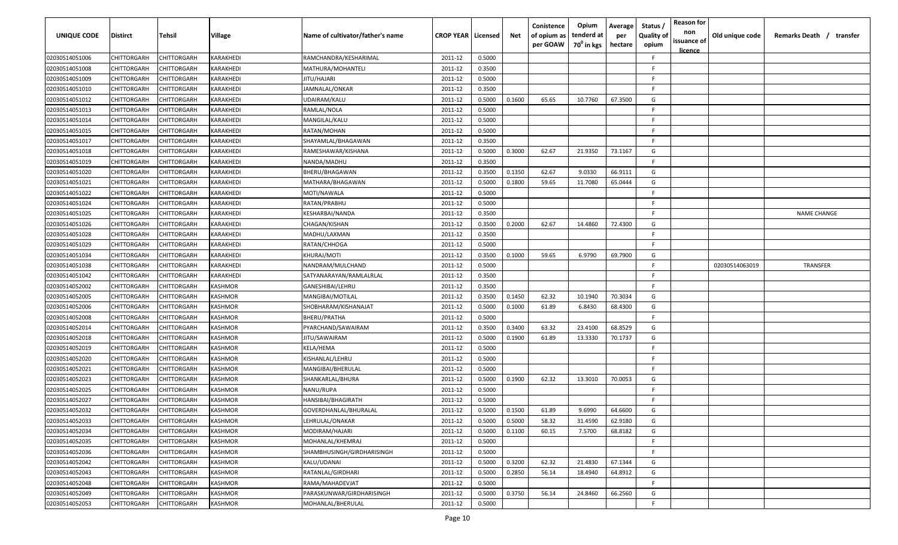| <b>UNIQUE CODE</b> | Distirct           | Tehsil      | Village   | Name of cultivator/father's name | <b>CROP YEAR   Licensed</b> |        | Net    | Conistence<br>of opium as<br>per GOAW | Opium<br>tenderd at<br>70 <sup>0</sup> in kgs | Average<br>per<br>hectare | Status /<br><b>Quality of</b><br>opium | <b>Reason for</b><br>non<br>issuance of<br><u>licence</u> | Old unique code | Remarks Death / transfer |
|--------------------|--------------------|-------------|-----------|----------------------------------|-----------------------------|--------|--------|---------------------------------------|-----------------------------------------------|---------------------------|----------------------------------------|-----------------------------------------------------------|-----------------|--------------------------|
| 02030514051006     | CHITTORGARH        | CHITTORGARH | KARAKHEDI | RAMCHANDRA/KESHARIMAL            | 2011-12                     | 0.5000 |        |                                       |                                               |                           | F.                                     |                                                           |                 |                          |
| 02030514051008     | CHITTORGARH        | CHITTORGARH | KARAKHEDI | MATHURA/MOHANTELI                | 2011-12                     | 0.3500 |        |                                       |                                               |                           | -F.                                    |                                                           |                 |                          |
| 02030514051009     | CHITTORGARH        | CHITTORGARH | KARAKHEDI | JITU/HAJARI                      | 2011-12                     | 0.5000 |        |                                       |                                               |                           | -F.                                    |                                                           |                 |                          |
| 02030514051010     | CHITTORGARH        | CHITTORGARH | KARAKHEDI | JAMNALAL/ONKAR                   | 2011-12                     | 0.3500 |        |                                       |                                               |                           | -F.                                    |                                                           |                 |                          |
| 02030514051012     | CHITTORGARH        | CHITTORGARH | KARAKHEDI | UDAIRAM/KALU                     | 2011-12                     | 0.5000 | 0.1600 | 65.65                                 | 10.7760                                       | 67.3500                   | G                                      |                                                           |                 |                          |
| 02030514051013     | CHITTORGARH        | CHITTORGARH | KARAKHEDI | RAMLAL/NOLA                      | 2011-12                     | 0.5000 |        |                                       |                                               |                           | E                                      |                                                           |                 |                          |
| 02030514051014     | CHITTORGARH        | CHITTORGARH | KARAKHEDI | MANGILAL/KALU                    | 2011-12                     | 0.5000 |        |                                       |                                               |                           | -F.                                    |                                                           |                 |                          |
| 02030514051015     | CHITTORGARH        | CHITTORGARH | KARAKHEDI | RATAN/MOHAN                      | 2011-12                     | 0.5000 |        |                                       |                                               |                           | -F.                                    |                                                           |                 |                          |
| 02030514051017     | CHITTORGARH        | CHITTORGARH | KARAKHEDI | SHAYAMLAL/BHAGAWAN               | 2011-12                     | 0.3500 |        |                                       |                                               |                           | -F.                                    |                                                           |                 |                          |
| 02030514051018     | CHITTORGARH        | CHITTORGARH | KARAKHEDI | RAMESHAWAR/KISHANA               | 2011-12                     | 0.5000 | 0.3000 | 62.67                                 | 21.9350                                       | 73.1167                   | G                                      |                                                           |                 |                          |
| 02030514051019     | CHITTORGARH        | CHITTORGARH | KARAKHEDI | NANDA/MADHU                      | 2011-12                     | 0.3500 |        |                                       |                                               |                           | -F.                                    |                                                           |                 |                          |
| 02030514051020     | CHITTORGARH        | CHITTORGARH | KARAKHEDI | BHERU/BHAGAWAN                   | 2011-12                     | 0.3500 | 0.1350 | 62.67                                 | 9.0330                                        | 66.9111                   | G                                      |                                                           |                 |                          |
| 02030514051021     | CHITTORGARH        | CHITTORGARH | KARAKHEDI | MATHARA/BHAGAWAN                 | 2011-12                     | 0.5000 | 0.1800 | 59.65                                 | 11.7080                                       | 65.0444                   | G                                      |                                                           |                 |                          |
| 02030514051022     | CHITTORGARH        | CHITTORGARH | KARAKHEDI | MOTI/NAWALA                      | 2011-12                     | 0.5000 |        |                                       |                                               |                           | F                                      |                                                           |                 |                          |
| 02030514051024     | CHITTORGARH        | CHITTORGARH | KARAKHEDI | RATAN/PRABHU                     | 2011-12                     | 0.5000 |        |                                       |                                               |                           | -F.                                    |                                                           |                 |                          |
| 02030514051025     | CHITTORGARH        | CHITTORGARH | KARAKHEDI | KESHARBAI/NANDA                  | 2011-12                     | 0.3500 |        |                                       |                                               |                           | -F.                                    |                                                           |                 | <b>NAME CHANGE</b>       |
| 02030514051026     | CHITTORGARH        | CHITTORGARH | KARAKHEDI | CHAGAN/KISHAN                    | 2011-12                     | 0.3500 | 0.2000 | 62.67                                 | 14.4860                                       | 72.4300                   | G                                      |                                                           |                 |                          |
| 02030514051028     | CHITTORGARH        | CHITTORGARH | KARAKHEDI | MADHU/LAXMAN                     | 2011-12                     | 0.3500 |        |                                       |                                               |                           | E                                      |                                                           |                 |                          |
| 02030514051029     | CHITTORGARH        | CHITTORGARH | KARAKHEDI | RATAN/CHHOGA                     | 2011-12                     | 0.5000 |        |                                       |                                               |                           | F.                                     |                                                           |                 |                          |
| 02030514051034     | CHITTORGARH        | CHITTORGARH | KARAKHEDI | KHURAJ/MOTI                      | 2011-12                     | 0.3500 | 0.1000 | 59.65                                 | 6.9790                                        | 69.7900                   | G                                      |                                                           |                 |                          |
| 02030514051038     | CHITTORGARH        | CHITTORGARH | KARAKHEDI | NANDRAM/MULCHAND                 | 2011-12                     | 0.5000 |        |                                       |                                               |                           | -F.                                    |                                                           | 02030514063019  | <b>TRANSFER</b>          |
| 02030514051042     | CHITTORGARH        | CHITTORGARH | KARAKHEDI | SATYANARAYAN/RAMLALRLAL          | 2011-12                     | 0.3500 |        |                                       |                                               |                           | -F.                                    |                                                           |                 |                          |
| 02030514052002     | CHITTORGARH        | CHITTORGARH | KASHMOR   | GANESHIBAI/LEHRU                 | 2011-12                     | 0.3500 |        |                                       |                                               |                           | -F.                                    |                                                           |                 |                          |
| 02030514052005     | CHITTORGARH        | CHITTORGARH | KASHMOR   | MANGIBAI/MOTILAL                 | 2011-12                     | 0.3500 | 0.1450 | 62.32                                 | 10.1940                                       | 70.3034                   | G                                      |                                                           |                 |                          |
| 02030514052006     | CHITTORGARH        | CHITTORGARH | KASHMOR   | SHOBHARAM/KISHANAJAT             | 2011-12                     | 0.5000 | 0.1000 | 61.89                                 | 6.8430                                        | 68.4300                   | G                                      |                                                           |                 |                          |
| 02030514052008     | CHITTORGARH        | CHITTORGARH | KASHMOR   | BHERU/PRATHA                     | 2011-12                     | 0.5000 |        |                                       |                                               |                           | -F.                                    |                                                           |                 |                          |
| 02030514052014     | CHITTORGARH        | CHITTORGARH | KASHMOR   | PYARCHAND/SAWAIRAM               | 2011-12                     | 0.3500 | 0.3400 | 63.32                                 | 23.4100                                       | 68.8529                   | G                                      |                                                           |                 |                          |
| 02030514052018     | CHITTORGARH        | CHITTORGARH | KASHMOR   | IITU/SAWAIRAM                    | 2011-12                     | 0.5000 | 0.1900 | 61.89                                 | 13.3330                                       | 70.1737                   | G                                      |                                                           |                 |                          |
| 02030514052019     | CHITTORGARH        | CHITTORGARH | KASHMOR   | KELA/HEMA                        | 2011-12                     | 0.5000 |        |                                       |                                               |                           | -F.                                    |                                                           |                 |                          |
| 02030514052020     | CHITTORGARH        | CHITTORGARH | KASHMOR   | KISHANLAL/LEHRU                  | 2011-12                     | 0.5000 |        |                                       |                                               |                           | -F.                                    |                                                           |                 |                          |
| 02030514052021     | CHITTORGARH        | CHITTORGARH | KASHMOR   | MANGIBAI/BHERULAL                | 2011-12                     | 0.5000 |        |                                       |                                               |                           | F.                                     |                                                           |                 |                          |
| 02030514052023     | CHITTORGARH        | CHITTORGARH | KASHMOR   | SHANKARLAL/BHURA                 | 2011-12                     | 0.5000 | 0.1900 | 62.32                                 | 13.3010                                       | 70.0053                   | G                                      |                                                           |                 |                          |
| 02030514052025     | CHITTORGARH        | CHITTORGARH | KASHMOR   | NANU/RUPA                        | 2011-12                     | 0.5000 |        |                                       |                                               |                           | -F.                                    |                                                           |                 |                          |
| 02030514052027     | CHITTORGARH        | CHITTORGARH | KASHMOR   | HANSIBAI/BHAGIRATH               | 2011-12                     | 0.5000 |        |                                       |                                               |                           | -F.                                    |                                                           |                 |                          |
| 02030514052032     | CHITTORGARH        | CHITTORGARH | KASHMOR   | GOVERDHANLAL/BHURALAL            | 2011-12                     | 0.5000 | 0.1500 | 61.89                                 | 9.6990                                        | 64.6600                   | G                                      |                                                           |                 |                          |
| 02030514052033     | <b>CHITTORGARH</b> | CHITTORGARH | KASHMOR   | LEHRULAL/ONAKAR                  | 2011-12                     | 0.5000 | 0.5000 | 58.32                                 | 31.4590                                       | 62.9180                   | G                                      |                                                           |                 |                          |
| 02030514052034     | CHITTORGARH        | CHITTORGARH | KASHMOR   | MODIRAM/HAJARI                   | 2011-12                     | 0.5000 | 0.1100 | 60.15                                 | 7.5700                                        | 68.8182                   | G                                      |                                                           |                 |                          |
| 02030514052035     | <b>CHITTORGARH</b> | CHITTORGARH | KASHMOR   | MOHANLAL/KHEMRAJ                 | 2011-12                     | 0.5000 |        |                                       |                                               |                           | F.                                     |                                                           |                 |                          |
| 02030514052036     | <b>CHITTORGARH</b> | CHITTORGARH | KASHMOR   | SHAMBHUSINGH/GIRDHARISINGH       | 2011-12                     | 0.5000 |        |                                       |                                               |                           | F.                                     |                                                           |                 |                          |
| 02030514052042     | CHITTORGARH        | CHITTORGARH | KASHMOR   | KALU/UDANAI                      | 2011-12                     | 0.5000 | 0.3200 | 62.32                                 | 21.4830                                       | 67.1344                   | G                                      |                                                           |                 |                          |
| 02030514052043     | CHITTORGARH        | CHITTORGARH | KASHMOR   | RATANLAL/GIRDHARI                | 2011-12                     | 0.5000 | 0.2850 | 56.14                                 | 18.4940                                       | 64.8912                   | G                                      |                                                           |                 |                          |
| 02030514052048     | CHITTORGARH        | CHITTORGARH | KASHMOR   | RAMA/MAHADEVJAT                  | 2011-12                     | 0.5000 |        |                                       |                                               |                           | F.                                     |                                                           |                 |                          |
| 02030514052049     | CHITTORGARH        | CHITTORGARH | KASHMOR   | PARASKUNWAR/GIRDHARISINGH        | 2011-12                     | 0.5000 | 0.3750 | 56.14                                 | 24.8460                                       | 66.2560                   | G                                      |                                                           |                 |                          |
| 02030514052053     | <b>CHITTORGARH</b> | CHITTORGARH | KASHMOR   | MOHANLAL/BHERULAL                | 2011-12                     | 0.5000 |        |                                       |                                               |                           | F.                                     |                                                           |                 |                          |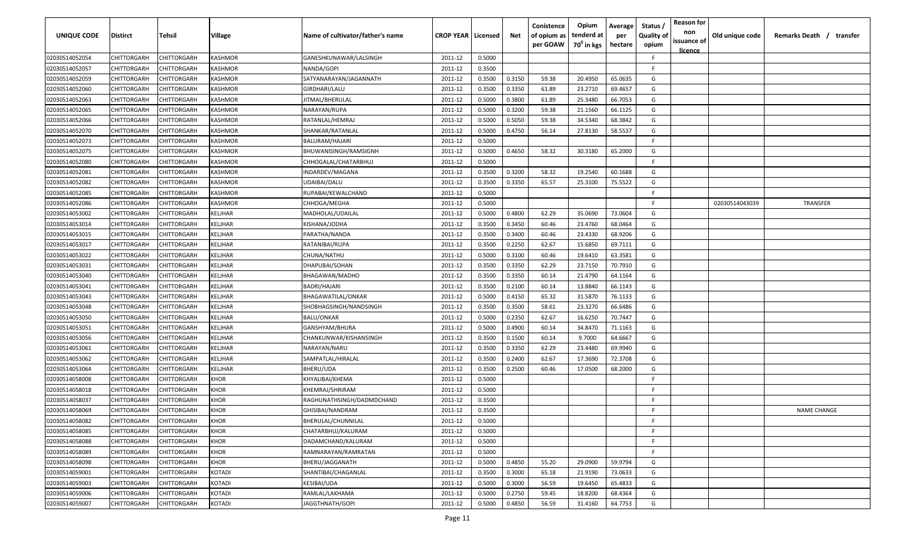| UNIQUE CODE    | Distirct           | Tehsil      | Village     | Name of cultivator/father's name | <b>CROP YEAR   Licensed</b> |        | Net    | Conistence<br>of opium as | Opium<br>tenderd at    | Average<br>per | Status /<br>Quality of | <b>Reason for</b><br>non<br>issuance of | Old unique code | Remarks Death / transfer |
|----------------|--------------------|-------------|-------------|----------------------------------|-----------------------------|--------|--------|---------------------------|------------------------|----------------|------------------------|-----------------------------------------|-----------------|--------------------------|
|                |                    |             |             |                                  |                             |        |        | per GOAW                  | 70 <sup>0</sup> in kgs | hectare        | opium                  | <b>licence</b>                          |                 |                          |
| 02030514052054 | CHITTORGARH        | CHITTORGARH | KASHMOR     | GANESHKUNAWAR/LALSINGH           | 2011-12                     | 0.5000 |        |                           |                        |                | F.                     |                                         |                 |                          |
| 02030514052057 | CHITTORGARH        | CHITTORGARH | KASHMOR     | NANDA/GOPI                       | 2011-12                     | 0.3500 |        |                           |                        |                | -F.                    |                                         |                 |                          |
| 02030514052059 | CHITTORGARH        | CHITTORGARH | KASHMOR     | SATYANARAYAN/JAGANNATH           | 2011-12                     | 0.3500 | 0.3150 | 59.38                     | 20.4950                | 65.0635        | G                      |                                         |                 |                          |
| 02030514052060 | CHITTORGARH        | CHITTORGARH | KASHMOR     | GIRDHARI/LALU                    | 2011-12                     | 0.3500 | 0.3350 | 61.89                     | 23.2710                | 69.4657        | G                      |                                         |                 |                          |
| 02030514052063 | CHITTORGARH        | CHITTORGARH | KASHMOR     | JITMAL/BHERULAL                  | 2011-12                     | 0.5000 | 0.3800 | 61.89                     | 25.3480                | 66.7053        | G                      |                                         |                 |                          |
| 02030514052065 | CHITTORGARH        | CHITTORGARH | KASHMOR     | NARAYAN/RUPA                     | 2011-12                     | 0.5000 | 0.3200 | 59.38                     | 21.1560                | 66.1125        | G                      |                                         |                 |                          |
| 02030514052066 | CHITTORGARH        | CHITTORGARH | KASHMOR     | RATANLAL/HEMRAJ                  | 2011-12                     | 0.5000 | 0.5050 | 59.38                     | 34.5340                | 68.3842        | G                      |                                         |                 |                          |
| 02030514052070 | CHITTORGARH        | CHITTORGARH | KASHMOR     | SHANKAR/RATANLAL                 | 2011-12                     | 0.5000 | 0.4750 | 56.14                     | 27.8130                | 58.5537        | G                      |                                         |                 |                          |
| 02030514052073 | CHITTORGARH        | CHITTORGARH | KASHMOR     | BALURAM/HAJARI                   | 2011-12                     | 0.5000 |        |                           |                        |                | -F.                    |                                         |                 |                          |
| 02030514052075 | CHITTORGARH        | CHITTORGARH | KASHMOR     | BHUWANISINGH/RAMSIGNH            | 2011-12                     | 0.5000 | 0.4650 | 58.32                     | 30.3180                | 65.2000        | G                      |                                         |                 |                          |
| 02030514052080 | CHITTORGARH        | CHITTORGARH | KASHMOR     | CHHOGALAL/CHATARBHUJ             | 2011-12                     | 0.5000 |        |                           |                        |                | F.                     |                                         |                 |                          |
| 02030514052081 | CHITTORGARH        | CHITTORGARH | KASHMOR     | INDARDEV/MAGANA                  | 2011-12                     | 0.3500 | 0.3200 | 58.32                     | 19.2540                | 60.1688        | G                      |                                         |                 |                          |
| 02030514052082 | CHITTORGARH        | CHITTORGARH | KASHMOR     | UDAIBAI/DALU                     | 2011-12                     | 0.3500 | 0.3350 | 65.57                     | 25.3100                | 75.5522        | G                      |                                         |                 |                          |
| 02030514052085 | CHITTORGARH        | CHITTORGARH | KASHMOR     | RUPABAI/KEWALCHAND               | 2011-12                     | 0.5000 |        |                           |                        |                | F                      |                                         |                 |                          |
| 02030514052086 | CHITTORGARH        | CHITTORGARH | KASHMOR     | CHHOGA/MEGHA                     | 2011-12                     | 0.5000 |        |                           |                        |                | -F.                    |                                         | 02030514043039  | <b>TRANSFER</b>          |
| 02030514053002 | CHITTORGARH        | CHITTORGARH | KELJHAR     | MADHOLAL/UDAILAL                 | 2011-12                     | 0.5000 | 0.4800 | 62.29                     | 35.0690                | 73.0604        | G                      |                                         |                 |                          |
| 02030514053014 | CHITTORGARH        | CHITTORGARH | KELJHAR     | KISHANA/JODHA                    | 2011-12                     | 0.3500 | 0.3450 | 60.46                     | 23.4760                | 68.0464        | G                      |                                         |                 |                          |
| 02030514053015 | CHITTORGARH        | CHITTORGARH | KELJHAR     | PARATHA/NANDA                    | 2011-12                     | 0.3500 | 0.3400 | 60.46                     | 23.4330                | 68.9206        | G                      |                                         |                 |                          |
| 02030514053017 | CHITTORGARH        | CHITTORGARH | KELJHAR     | RATANIBAI/RUPA                   | 2011-12                     | 0.3500 | 0.2250 | 62.67                     | 15.6850                | 69.7111        | G                      |                                         |                 |                          |
| 02030514053022 | CHITTORGARH        | CHITTORGARH | KELJHAR     | CHUNA/NATHU                      | 2011-12                     | 0.5000 | 0.3100 | 60.46                     | 19.6410                | 63.3581        | G                      |                                         |                 |                          |
| 02030514053031 | CHITTORGARH        | CHITTORGARH | KELJHAR     | DHAPUBAI/SOHAN                   | 2011-12                     | 0.3500 | 0.3350 | 62.29                     | 23.7150                | 70.7910        | G                      |                                         |                 |                          |
| 02030514053040 | CHITTORGARH        | CHITTORGARH | KELJHAR     | BHAGAWAN/MADHO                   | 2011-12                     | 0.3500 | 0.3350 | 60.14                     | 21.4790                | 64.1164        | G                      |                                         |                 |                          |
| 02030514053041 | CHITTORGARH        | CHITTORGARH | KELJHAR     | BADRI/HAJARI                     | 2011-12                     | 0.3500 | 0.2100 | 60.14                     | 13.8840                | 66.1143        | G                      |                                         |                 |                          |
| 02030514053043 | CHITTORGARH        | CHITTORGARH | KELJHAR     | BHAGAWATILAL/ONKAR               | 2011-12                     | 0.5000 | 0.4150 | 65.32                     | 31.5870                | 76.1133        | G                      |                                         |                 |                          |
| 02030514053048 | CHITTORGARH        | CHITTORGARH | KELJHAR     | SHOBHAGSINGH/NANDSINGH           | 2011-12                     | 0.3500 | 0.3500 | 58.61                     | 23.3270                | 66.6486        | G                      |                                         |                 |                          |
| 02030514053050 | CHITTORGARH        | CHITTORGARH | KELJHAR     | <b>BALU/ONKAR</b>                | 2011-12                     | 0.5000 | 0.2350 | 62.67                     | 16.6250                | 70.7447        | G                      |                                         |                 |                          |
| 02030514053051 | CHITTORGARH        | CHITTORGARH | KELJHAR     | GANSHYAM/BHURA                   | 2011-12                     | 0.5000 | 0.4900 | 60.14                     | 34.8470                | 71.1163        | G                      |                                         |                 |                          |
| 02030514053056 | CHITTORGARH        | CHITTORGARH | KELJHAR     | CHANKUNWAR/KISHANSINGH           | 2011-12                     | 0.3500 | 0.1500 | 60.14                     | 9.7000                 | 64.6667        | G                      |                                         |                 |                          |
| 02030514053061 | CHITTORGARH        | CHITTORGARH | KELJHAR     | NARAYAN/NARU                     | 2011-12                     | 0.3500 | 0.3350 | 62.29                     | 23.4480                | 69.9940        | G                      |                                         |                 |                          |
| 02030514053062 | CHITTORGARH        | CHITTORGARH | KELJHAR     | SAMPATLAL/HIRALAL                | 2011-12                     | 0.3500 | 0.2400 | 62.67                     | 17.3690                | 72.3708        | G                      |                                         |                 |                          |
| 02030514053064 | CHITTORGARH        | CHITTORGARH | KELJHAR     | BHERU/UDA                        | 2011-12                     | 0.3500 | 0.2500 | 60.46                     | 17.0500                | 68.2000        | G                      |                                         |                 |                          |
| 02030514058008 | CHITTORGARH        | CHITTORGARH | KHOR        | KHYALIBAI/KHEMA                  | 2011-12                     | 0.5000 |        |                           |                        |                | -F.                    |                                         |                 |                          |
| 02030514058018 | CHITTORGARH        | CHITTORGARH | <b>KHOR</b> | KHEMRAJ/SHRIRAM                  | 2011-12                     | 0.5000 |        |                           |                        |                | -F.                    |                                         |                 |                          |
| 02030514058037 | CHITTORGARH        | CHITTORGARH | <b>KHOR</b> | RAGHUNATHSINGH/DADMDCHAND        | 2011-12                     | 0.3500 |        |                           |                        |                | -F.                    |                                         |                 |                          |
| 02030514058069 | <b>CHITTORGARH</b> | CHITTORGARH | <b>KHOR</b> | GHISIBAI/NANDRAM                 | 2011-12                     | 0.3500 |        |                           |                        |                | E                      |                                         |                 | <b>NAME CHANGE</b>       |
| 02030514058082 | <b>CHITTORGARH</b> | CHITTORGARH | <b>KHOR</b> | BHERULAL/CHUNNILAL               | 2011-12                     | 0.5000 |        |                           |                        |                | -F.                    |                                         |                 |                          |
| 02030514058085 | <b>CHITTORGARH</b> | CHITTORGARH | <b>KHOR</b> | CHATARBHUJ/KALURAM               | 2011-12                     | 0.5000 |        |                           |                        |                | F                      |                                         |                 |                          |
| 02030514058088 | CHITTORGARH        | CHITTORGARH | <b>KHOR</b> | DADAMCHAND/KALURAM               | 2011-12                     | 0.5000 |        |                           |                        |                | F.                     |                                         |                 |                          |
| 02030514058089 | <b>CHITTORGARH</b> | CHITTORGARH | <b>KHOR</b> | RAMNARAYAN/RAMRATAN              | 2011-12                     | 0.5000 |        |                           |                        |                | F.                     |                                         |                 |                          |
| 02030514058098 | CHITTORGARH        | CHITTORGARH | <b>KHOR</b> | BHERU/JAGGANATH                  | 2011-12                     | 0.5000 | 0.4850 | 55.20                     | 29.0900                | 59.9794        | G                      |                                         |                 |                          |
| 02030514059001 | CHITTORGARH        | CHITTORGARH | KOTADI      | SHANTIBAI/CHAGANLAL              | 2011-12                     | 0.3500 | 0.3000 | 65.18                     | 21.9190                | 73.0633        | G                      |                                         |                 |                          |
| 02030514059003 | CHITTORGARH        | CHITTORGARH | KOTADI      | KESIBAI/UDA                      | 2011-12                     | 0.5000 | 0.3000 | 56.59                     | 19.6450                | 65.4833        | G                      |                                         |                 |                          |
| 02030514059006 | CHITTORGARH        | CHITTORGARH | KOTADI      | RAMLAL/LAKHAMA                   | 2011-12                     | 0.5000 | 0.2750 | 59.45                     | 18.8200                | 68.4364        | G                      |                                         |                 |                          |
| 02030514059007 | <b>CHITTORGARH</b> | CHITTORGARH | KOTADI      | JAGGTHNATH/GOPI                  | 2011-12                     | 0.5000 | 0.4850 | 56.59                     | 31.4160                | 64.7753        | G                      |                                         |                 |                          |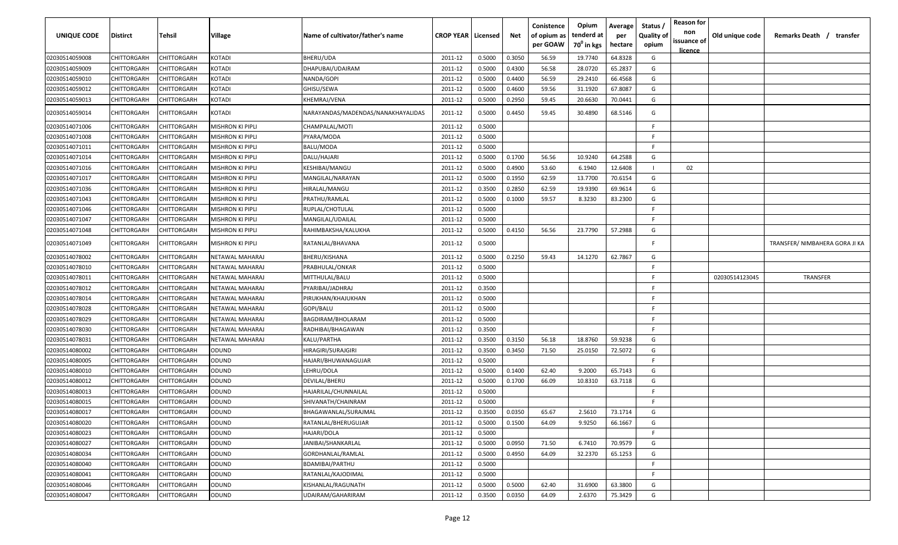| <b>UNIQUE CODE</b> | <b>Distirct</b>    | <b>Tehsil</b> | Village                 | Name of cultivator/father's name   | <b>CROP YEAR</b> | Licensed | Net    | Conistence<br>of opium as<br>per GOAW | Opium<br>tenderd at<br>70 <sup>0</sup> in kgs | Average<br>per<br>hectare | Status /<br><b>Quality of</b><br>opium | <b>Reason for</b><br>non<br>issuance of<br><u>licence</u> | Old unique code | Remarks Death /<br>transfer    |
|--------------------|--------------------|---------------|-------------------------|------------------------------------|------------------|----------|--------|---------------------------------------|-----------------------------------------------|---------------------------|----------------------------------------|-----------------------------------------------------------|-----------------|--------------------------------|
| 02030514059008     | CHITTORGARH        | CHITTORGARH   | KOTADI                  | BHERU/UDA                          | 2011-12          | 0.5000   | 0.3050 | 56.59                                 | 19.7740                                       | 64.8328                   | G                                      |                                                           |                 |                                |
| 02030514059009     | CHITTORGARH        | CHITTORGARH   | KOTADI                  | DHAPUBAI/UDAIRAM                   | 2011-12          | 0.5000   | 0.4300 | 56.58                                 | 28.0720                                       | 65.2837                   | G                                      |                                                           |                 |                                |
| 02030514059010     | CHITTORGARH        | CHITTORGARH   | KOTADI                  | NANDA/GOPI                         | 2011-12          | 0.5000   | 0.4400 | 56.59                                 | 29.2410                                       | 66.4568                   | G                                      |                                                           |                 |                                |
| 02030514059012     | CHITTORGARH        | CHITTORGARH   | KOTADI                  | GHISU/SEWA                         | 2011-12          | 0.5000   | 0.4600 | 59.56                                 | 31.1920                                       | 67.8087                   | G                                      |                                                           |                 |                                |
| 02030514059013     | CHITTORGARH        | CHITTORGARH   | KOTADI                  | KHEMRAJ/VENA                       | 2011-12          | 0.5000   | 0.2950 | 59.45                                 | 20.6630                                       | 70.0441                   | G                                      |                                                           |                 |                                |
| 02030514059014     | CHITTORGARH        | CHITTORGARH   | KOTADI                  | NARAYANDAS/MADENDAS/NANAKHAYALIDAS | 2011-12          | 0.5000   | 0.4450 | 59.45                                 | 30.4890                                       | 68.5146                   | G                                      |                                                           |                 |                                |
| 02030514071006     | CHITTORGARH        | CHITTORGARH   | <b>MISHRON KI PIPLI</b> | CHAMPALAL/MOTI                     | 2011-12          | 0.5000   |        |                                       |                                               |                           | -F                                     |                                                           |                 |                                |
| 02030514071008     | CHITTORGARH        | CHITTORGARH   | MISHRON KI PIPLI        | PYARA/MODA                         | 2011-12          | 0.5000   |        |                                       |                                               |                           | -F                                     |                                                           |                 |                                |
| 02030514071011     | CHITTORGARH        | CHITTORGARH   | MISHRON KI PIPLI        | BALU/MODA                          | 2011-12          | 0.5000   |        |                                       |                                               |                           | -F.                                    |                                                           |                 |                                |
| 02030514071014     | CHITTORGARH        | CHITTORGARH   | MISHRON KI PIPLI        | DALU/HAJARI                        | 2011-12          | 0.5000   | 0.1700 | 56.56                                 | 10.9240                                       | 64.2588                   | G                                      |                                                           |                 |                                |
| 02030514071016     | CHITTORGARH        | CHITTORGARH   | MISHRON KI PIPLI        | KESHIBAI/MANGU                     | 2011-12          | 0.5000   | 0.4900 | 53.60                                 | 6.1940                                        | 12.6408                   | $\mathbf{I}$                           | 02                                                        |                 |                                |
| 02030514071017     | CHITTORGARH        | CHITTORGARH   | MISHRON KI PIPLI        | MANGILAL/NARAYAN                   | 2011-12          | 0.5000   | 0.1950 | 62.59                                 | 13.7700                                       | 70.6154                   | G                                      |                                                           |                 |                                |
| 02030514071036     | CHITTORGARH        | CHITTORGARH   | MISHRON KI PIPLI        | HIRALAL/MANGU                      | 2011-12          | 0.3500   | 0.2850 | 62.59                                 | 19.9390                                       | 69.9614                   | G                                      |                                                           |                 |                                |
| 02030514071043     | CHITTORGARH        | CHITTORGARH   | MISHRON KI PIPLI        | PRATHU/RAMLAL                      | 2011-12          | 0.5000   | 0.1000 | 59.57                                 | 8.3230                                        | 83.2300                   | G                                      |                                                           |                 |                                |
| 02030514071046     | CHITTORGARH        | CHITTORGARH   | MISHRON KI PIPLI        | RUPLAL/CHOTULAL                    | 2011-12          | 0.5000   |        |                                       |                                               |                           | -F.                                    |                                                           |                 |                                |
| 02030514071047     | CHITTORGARH        | CHITTORGARH   | MISHRON KI PIPLI        | MANGILAL/UDAILAL                   | 2011-12          | 0.5000   |        |                                       |                                               |                           | -F.                                    |                                                           |                 |                                |
| 02030514071048     | CHITTORGARH        | CHITTORGARH   | MISHRON KI PIPLI        | RAHIMBAKSHA/KALUKHA                | 2011-12          | 0.5000   | 0.4150 | 56.56                                 | 23.7790                                       | 57.2988                   | G                                      |                                                           |                 |                                |
| 02030514071049     | CHITTORGARH        | CHITTORGARH   | MISHRON KI PIPLI        | RATANLAL/BHAVANA                   | 2011-12          | 0.5000   |        |                                       |                                               |                           | F.                                     |                                                           |                 | TRANSFER/ NIMBAHERA GORA JI KA |
| 02030514078002     | CHITTORGARH        | CHITTORGARH   | NETAWAL MAHARAJ         | <b>BHERU/KISHANA</b>               | 2011-12          | 0.5000   | 0.2250 | 59.43                                 | 14.1270                                       | 62.7867                   | G                                      |                                                           |                 |                                |
| 02030514078010     | CHITTORGARH        | CHITTORGARH   | NETAWAL MAHARAJ         | PRABHULAL/ONKAR                    | 2011-12          | 0.5000   |        |                                       |                                               |                           | F                                      |                                                           |                 |                                |
| 02030514078011     | CHITTORGARH        | CHITTORGARH   | NETAWAL MAHARAJ         | MITTHULAL/BALU                     | 2011-12          | 0.5000   |        |                                       |                                               |                           | -F.                                    |                                                           | 02030514123045  | TRANSFER                       |
| 02030514078012     | CHITTORGARH        | CHITTORGARH   | NETAWAL MAHARAJ         | PYARIBAI/JADHRAJ                   | 2011-12          | 0.3500   |        |                                       |                                               |                           | F.                                     |                                                           |                 |                                |
| 02030514078014     | CHITTORGARH        | CHITTORGARH   | NETAWAL MAHARAJ         | PIRUKHAN/KHAJUKHAN                 | 2011-12          | 0.5000   |        |                                       |                                               |                           | -F.                                    |                                                           |                 |                                |
| 02030514078028     | CHITTORGARH        | CHITTORGARH   | NETAWAL MAHARAJ         | GOPI/BALU                          | 2011-12          | 0.5000   |        |                                       |                                               |                           | F.                                     |                                                           |                 |                                |
| 02030514078029     | CHITTORGARH        | CHITTORGARH   | NETAWAL MAHARAJ         | BAGDIRAM/BHOLARAM                  | 2011-12          | 0.5000   |        |                                       |                                               |                           | -F.                                    |                                                           |                 |                                |
| 02030514078030     | CHITTORGARH        | CHITTORGARH   | NETAWAL MAHARAJ         | RADHIBAI/BHAGAWAN                  | 2011-12          | 0.3500   |        |                                       |                                               |                           | F                                      |                                                           |                 |                                |
| 02030514078031     | CHITTORGARH        | CHITTORGARH   | NETAWAL MAHARAJ         | KALU/PARTHA                        | 2011-12          | 0.3500   | 0.3150 | 56.18                                 | 18.8760                                       | 59.9238                   | G                                      |                                                           |                 |                                |
| 02030514080002     | CHITTORGARH        | CHITTORGARH   | ODUND                   | HIRAGIRI/SURAJGIRI                 | 2011-12          | 0.3500   | 0.3450 | 71.50                                 | 25.0150                                       | 72.5072                   | G                                      |                                                           |                 |                                |
| 02030514080005     | CHITTORGARH        | CHITTORGARH   | ODUND                   | HAJARI/BHUWANAGUJAR                | 2011-12          | 0.5000   |        |                                       |                                               |                           | -F.                                    |                                                           |                 |                                |
| 02030514080010     | CHITTORGARH        | CHITTORGARH   | ODUND                   | LEHRU/DOLA                         | 2011-12          | 0.5000   | 0.1400 | 62.40                                 | 9.2000                                        | 65.7143                   | G                                      |                                                           |                 |                                |
| 02030514080012     | CHITTORGARH        | CHITTORGARH   | ODUND                   | DEVILAL/BHERU                      | 2011-12          | 0.5000   | 0.1700 | 66.09                                 | 10.8310                                       | 63.7118                   | G                                      |                                                           |                 |                                |
| 02030514080013     | CHITTORGARH        | CHITTORGARH   | ODUND                   | HAJARILAL/CHUNNAILAL               | 2011-12          | 0.5000   |        |                                       |                                               |                           | -F.                                    |                                                           |                 |                                |
| 02030514080015     | CHITTORGARH        | CHITTORGARH   | ODUND                   | SHIVANATH/CHAINRAM                 | 2011-12          | 0.5000   |        |                                       |                                               |                           | -F.                                    |                                                           |                 |                                |
| 02030514080017     | <b>CHITTORGARH</b> | CHITTORGARH   | ODUND                   | BHAGAWANLAL/SURAJMAL               | 2011-12          | 0.3500   | 0.0350 | 65.67                                 | 2.5610                                        | 73.1714                   | G                                      |                                                           |                 |                                |
| 02030514080020     | CHITTORGARH        | CHITTORGARH   | ODUND                   | RATANLAL/BHERUGUJAR                | 2011-12          | 0.5000   | 0.1500 | 64.09                                 | 9.9250                                        | 66.1667                   | G                                      |                                                           |                 |                                |
| 02030514080023     | CHITTORGARH        | CHITTORGARH   | ODUND                   | HAJARI/DOLA                        | 2011-12          | 0.5000   |        |                                       |                                               |                           | F.                                     |                                                           |                 |                                |
| 02030514080027     | CHITTORGARH        | CHITTORGARH   | ODUND                   | JANIBAI/SHANKARLAL                 | 2011-12          | 0.5000   | 0.0950 | 71.50                                 | 6.7410                                        | 70.9579                   | G                                      |                                                           |                 |                                |
| 02030514080034     | <b>CHITTORGARH</b> | CHITTORGARH   | <b>ODUND</b>            | GORDHANLAL/RAMLAL                  | 2011-12          | 0.5000   | 0.4950 | 64.09                                 | 32.2370                                       | 65.1253                   | G                                      |                                                           |                 |                                |
| 02030514080040     | <b>CHITTORGARH</b> | CHITTORGARH   | <b>ODUND</b>            | <b>BDAMIBAI/PARTHU</b>             | 2011-12          | 0.5000   |        |                                       |                                               |                           | F                                      |                                                           |                 |                                |
| 02030514080041     | CHITTORGARH        | CHITTORGARH   | ODUND                   | RATANLAL/KAJODIMAL                 | 2011-12          | 0.5000   |        |                                       |                                               |                           | F.                                     |                                                           |                 |                                |
| 02030514080046     | CHITTORGARH        | CHITTORGARH   | ODUND                   | KISHANLAL/RAGUNATH                 | 2011-12          | 0.5000   | 0.5000 | 62.40                                 | 31.6900                                       | 63.3800                   | G                                      |                                                           |                 |                                |
| 02030514080047     | CHITTORGARH        | CHITTORGARH   | <b>ODUND</b>            | UDAIRAM/GAHARIRAM                  | 2011-12          | 0.3500   | 0.0350 | 64.09                                 | 2.6370                                        | 75.3429                   | G                                      |                                                           |                 |                                |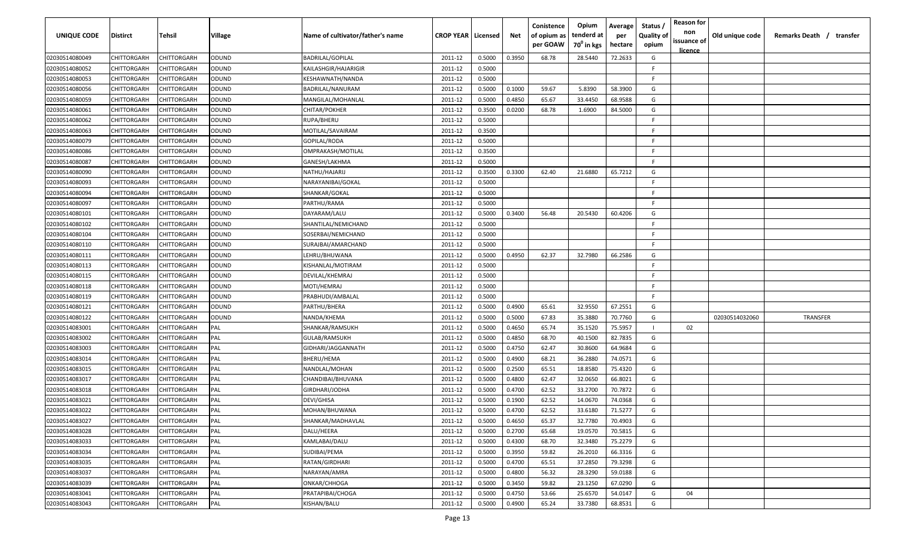| <u>licence</u><br>CHITTORGARH<br>CHITTORGARH<br>ODUND<br><b>BADRILAL/GOPILAL</b><br>0.5000<br>0.3950<br>68.78<br>28.5440<br>72.2633<br>G<br>02030514080049<br>2011-12<br>F.<br>02030514080052<br>CHITTORGARH<br>CHITTORGARH<br>ODUND<br>KAILASHGIR/HAJARIGIR<br>2011-12<br>0.5000<br>02030514080053<br>CHITTORGARH<br>CHITTORGARH<br>ODUND<br>2011-12<br>0.5000<br>-F.<br>KESHAWNATH/NANDA<br>02030514080056<br>CHITTORGARH<br>CHITTORGARH<br>ODUND<br>BADRILAL/NANURAM<br>2011-12<br>0.5000<br>0.1000<br>59.67<br>5.8390<br>58.3900<br>G<br>CHITTORGARH<br>ODUND<br>2011-12<br>0.5000<br>0.4850<br>65.67<br>33.4450<br>G<br>02030514080059<br>CHITTORGARH<br>MANGILAL/MOHANLAL<br>68.9588<br>ODUND<br>02030514080061<br>CHITTORGARH<br>CHITTORGARH<br>CHITAR/POKHER<br>2011-12<br>0.3500<br>0.0200<br>68.78<br>1.6900<br>84.5000<br>G<br>02030514080062<br>CHITTORGARH<br>CHITTORGARH<br>ODUND<br>RUPA/BHERU<br>2011-12<br>0.5000<br>-F<br>CHITTORGARH<br>ODUND<br>2011-12<br>0.3500<br>-F.<br>02030514080063<br>CHITTORGARH<br>MOTILAL/SAVAIRAM<br>F.<br>2011-12<br>0.5000<br>02030514080079<br>CHITTORGARH<br>CHITTORGARH<br>ODUND<br>GOPILAL/RODA<br>CHITTORGARH<br>CHITTORGARH<br>2011-12<br>-F.<br>02030514080086<br>ODUND<br>OMPRAKASH/MOTILAL<br>0.3500<br>CHITTORGARH<br>CHITTORGARH<br>ODUND<br>2011-12<br>0.5000<br>-F.<br>02030514080087<br>GANESH/LAKHMA<br>CHITTORGARH<br>CHITTORGARH<br>ODUND<br>2011-12<br>0.3500<br>0.3300<br>62.40<br>21.6880<br>65.7212<br>G<br>02030514080090<br>NATHU/HAJARIJ<br>2011-12<br>0.5000<br>F.<br>02030514080093<br>CHITTORGARH<br>CHITTORGARH<br>ODUND<br>NARAYANIBAI/GOKAL<br>ODUND<br>0.5000<br>02030514080094<br>CHITTORGARH<br>CHITTORGARH<br>SHANKAR/GOKAL<br>2011-12<br>-F.<br>ODUND<br>0.5000<br>02030514080097<br>CHITTORGARH<br>CHITTORGARH<br>PARTHU/RAMA<br>2011-12<br>-F.<br>CHITTORGARH<br>CHITTORGARH<br>ODUND<br>DAYARAM/LALU<br>2011-12<br>0.5000<br>0.3400<br>56.48<br>20.5430<br>60.4206<br>G<br>02030514080101<br>CHITTORGARH<br>CHITTORGARH<br>ODUND<br>2011-12<br>0.5000<br>-F.<br>02030514080102<br>SHANTILAL/NEMICHAND<br>ODUND<br>-F.<br>02030514080104<br>CHITTORGARH<br>CHITTORGARH<br>SOSERBAI/NEMICHAND<br>2011-12<br>0.5000<br>02030514080110<br>CHITTORGARH<br>CHITTORGARH<br>ODUND<br>2011-12<br>0.5000<br>-F.<br>SURAJBAI/AMARCHAND<br>02030514080111<br>CHITTORGARH<br>CHITTORGARH<br>ODUND<br>LEHRU/BHUWANA<br>2011-12<br>0.5000<br>0.4950<br>62.37<br>32.7980<br>66.2586<br>G<br>02030514080113<br>CHITTORGARH<br>CHITTORGARH<br>ODUND<br>KISHANLAL/MOTIRAM<br>2011-12<br>0.5000<br>-F<br>02030514080115<br>CHITTORGARH<br>CHITTORGARH<br>ODUND<br>DEVILAL/KHEMRAJ<br>2011-12<br>0.5000<br>-F.<br>02030514080118<br>ODUND<br>CHITTORGARH<br>CHITTORGARH<br>MOTI/HEMRAJ<br>2011-12<br>0.5000<br>-F.<br>02030514080119<br>CHITTORGARH<br>CHITTORGARH<br>ODUND<br>PRABHUDI/AMBALAL<br>2011-12<br>0.5000<br>-F<br>G<br>02030514080121<br>CHITTORGARH<br>CHITTORGARH<br>ODUND<br>2011-12<br>0.5000<br>0.4900<br>65.61<br>32.9550<br>67.2551<br>PARTHU/BHERA<br>67.83<br>G<br>02030514080122<br>CHITTORGARH<br>ODUND<br>2011-12<br>0.5000<br>0.5000<br>35.3880<br>70.7760<br>02030514032060<br>TRANSFER<br>CHITTORGARH<br>NANDA/KHEMA<br>65.74<br>75.5957<br>02030514083001<br>CHITTORGARH<br><b>CHITTORGARH</b><br>PAL<br>2011-12<br>0.5000<br>0.4650<br>35.1520<br>SHANKAR/RAMSUKH<br>02<br>-1<br>68.70<br>82.7835<br>02030514083002<br>CHITTORGARH<br>CHITTORGARH<br>PAL<br>2011-12<br>0.5000<br>0.4850<br>40.1500<br>G<br>GULAB/RAMSUKH<br>62.47<br>02030514083003<br>CHITTORGARH<br>CHITTORGARH<br>PAL<br>2011-12<br>0.5000<br>0.4750<br>30.8600<br>64.9684<br>G<br>GIDHARI/JAGGANNATH<br>PAL<br>0.5000<br>0.4900<br>68.21<br>36.2880<br>74.0571<br>G<br>02030514083014<br>CHITTORGARH<br>CHITTORGARH<br>2011-12<br>BHERU/HEMA<br>PAL<br>0.5000<br>0.2500<br>65.51<br>18.8580<br>75.4320<br>02030514083015<br>CHITTORGARH<br>CHITTORGARH<br>2011-12<br>G<br>NANDLAL/MOHAN<br>PAL<br>0.5000<br>0.4800<br>32.0650<br>66.8021<br>02030514083017<br>CHITTORGARH<br>CHITTORGARH<br>CHANDIBAI/BHUVANA<br>2011-12<br>62.47<br>G<br>02030514083018<br>CHITTORGARH<br>CHITTORGARH<br>PAL<br>GIRDHARI/JODHA<br>2011-12<br>0.5000<br>0.4700<br>62.52<br>33.2700<br>70.7872<br>G<br>PAL<br>62.52<br>G<br>02030514083021<br>CHITTORGARH<br>2011-12<br>0.5000<br>0.1900<br>14.0670<br>74.0368<br>CHITTORGARH<br>DEVI/GHISA<br>62.52<br>71.5277<br>02030514083022<br>CHITTORGARH<br>CHITTORGARH<br>PAL<br>2011-12<br>0.5000<br>0.4700<br>33.6180<br>G<br>MOHAN/BHUWANA<br>PAL<br>0.5000<br>0.4650<br>65.37<br>32.7780<br>70.4903<br>02030514083027<br><b>CHITTORGARH</b><br><b>CHITTORGARH</b><br>SHANKAR/MADHAVLAL<br>2011-12<br>G<br>PAL<br>65.68<br>G<br>02030514083028<br><b>CHITTORGARH</b><br><b>CHITTORGARH</b><br>DALU/HEERA<br>2011-12<br>0.5000<br>0.2700<br>19.0570<br>70.5815<br>68.70<br>G<br>CHITTORGARH<br><b>CHITTORGARH</b><br>PAL<br>0.5000<br>0.4300<br>32.3480<br>75.2279<br>02030514083033<br>KAMLABAI/DALU<br>2011-12<br>02030514083034<br>PAL<br>0.5000<br>0.3950<br>59.82<br>26.2010<br>66.3316<br>G<br>CHITTORGARH<br>CHITTORGARH<br>SUDIBAI/PEMA<br>2011-12<br>02030514083035<br>CHITTORGARH<br>CHITTORGARH<br>PAL<br>RATAN/GIRDHARI<br>0.5000<br>0.4700<br>65.51<br>37.2850<br>79.3298<br>G<br>2011-12<br>PAL<br>0.4800<br>59.0188<br>G<br>02030514083037<br><b>CHITTORGARH</b><br>CHITTORGARH<br>NARAYAN/AMRA<br>2011-12<br>0.5000<br>56.32<br>28.3290<br>G<br>PAL<br>02030514083039<br>CHITTORGARH<br>2011-12<br>0.5000<br>0.3450<br>59.82<br>23.1250<br>67.0290<br>CHITTORGARH<br>ONKAR/CHHOGA<br>G<br>PAL<br>0.4750<br>53.66<br>25.6570<br>54.0147<br>04<br>02030514083041<br>CHITTORGARH<br>CHITTORGARH<br>PRATAPIBAI/CHOGA<br>2011-12<br>0.5000<br>PAL<br>0.4900<br>33.7380<br>68.8531<br>G<br>02030514083043<br>CHITTORGARH<br>CHITTORGARH<br>KISHAN/BALU<br>2011-12<br>0.5000<br>65.24 | <b>UNIQUE CODE</b> | <b>Distirct</b> | <b>Tehsil</b> | Village | Name of cultivator/father's name | <b>CROP YEAR</b> | Licensed | Net | Conistence<br>of opium as<br>per GOAW | Opium<br>tenderd at<br>$70^0$ in kgs | Average<br>per | Status /<br><b>Quality of</b> | <b>Reason for</b><br>non<br>issuance of | Old unique code | Remarks Death /<br>transfer |
|----------------------------------------------------------------------------------------------------------------------------------------------------------------------------------------------------------------------------------------------------------------------------------------------------------------------------------------------------------------------------------------------------------------------------------------------------------------------------------------------------------------------------------------------------------------------------------------------------------------------------------------------------------------------------------------------------------------------------------------------------------------------------------------------------------------------------------------------------------------------------------------------------------------------------------------------------------------------------------------------------------------------------------------------------------------------------------------------------------------------------------------------------------------------------------------------------------------------------------------------------------------------------------------------------------------------------------------------------------------------------------------------------------------------------------------------------------------------------------------------------------------------------------------------------------------------------------------------------------------------------------------------------------------------------------------------------------------------------------------------------------------------------------------------------------------------------------------------------------------------------------------------------------------------------------------------------------------------------------------------------------------------------------------------------------------------------------------------------------------------------------------------------------------------------------------------------------------------------------------------------------------------------------------------------------------------------------------------------------------------------------------------------------------------------------------------------------------------------------------------------------------------------------------------------------------------------------------------------------------------------------------------------------------------------------------------------------------------------------------------------------------------------------------------------------------------------------------------------------------------------------------------------------------------------------------------------------------------------------------------------------------------------------------------------------------------------------------------------------------------------------------------------------------------------------------------------------------------------------------------------------------------------------------------------------------------------------------------------------------------------------------------------------------------------------------------------------------------------------------------------------------------------------------------------------------------------------------------------------------------------------------------------------------------------------------------------------------------------------------------------------------------------------------------------------------------------------------------------------------------------------------------------------------------------------------------------------------------------------------------------------------------------------------------------------------------------------------------------------------------------------------------------------------------------------------------------------------------------------------------------------------------------------------------------------------------------------------------------------------------------------------------------------------------------------------------------------------------------------------------------------------------------------------------------------------------------------------------------------------------------------------------------------------------------------------------------------------------------------------------------------------------------------------------------------------------------------------------------------------------------------------------------------------------------------------------------------------------------------------------------------------------------------------------------------------------------------------------------------------------------------------------------------------------------------------------------------------------------------------------------------------------------------------------------------------------------------------------------------------------------------------------------------------------------------------------------------------------------------------------------------------------------------------------------------------------------------------------------------------------------------------------------------------------------------------------------------------------------------------------------------------------------------------------------------------------------------------------------------------------------------------------|--------------------|-----------------|---------------|---------|----------------------------------|------------------|----------|-----|---------------------------------------|--------------------------------------|----------------|-------------------------------|-----------------------------------------|-----------------|-----------------------------|
|                                                                                                                                                                                                                                                                                                                                                                                                                                                                                                                                                                                                                                                                                                                                                                                                                                                                                                                                                                                                                                                                                                                                                                                                                                                                                                                                                                                                                                                                                                                                                                                                                                                                                                                                                                                                                                                                                                                                                                                                                                                                                                                                                                                                                                                                                                                                                                                                                                                                                                                                                                                                                                                                                                                                                                                                                                                                                                                                                                                                                                                                                                                                                                                                                                                                                                                                                                                                                                                                                                                                                                                                                                                                                                                                                                                                                                                                                                                                                                                                                                                                                                                                                                                                                                                                                                                                                                                                                                                                                                                                                                                                                                                                                                                                                                                                                                                                                                                                                                                                                                                                                                                                                                                                                                                                                                                                                                                                                                                                                                                                                                                                                                                                                                                                                                                                                                                                                              |                    |                 |               |         |                                  |                  |          |     |                                       |                                      | hectare        | opium                         |                                         |                 |                             |
|                                                                                                                                                                                                                                                                                                                                                                                                                                                                                                                                                                                                                                                                                                                                                                                                                                                                                                                                                                                                                                                                                                                                                                                                                                                                                                                                                                                                                                                                                                                                                                                                                                                                                                                                                                                                                                                                                                                                                                                                                                                                                                                                                                                                                                                                                                                                                                                                                                                                                                                                                                                                                                                                                                                                                                                                                                                                                                                                                                                                                                                                                                                                                                                                                                                                                                                                                                                                                                                                                                                                                                                                                                                                                                                                                                                                                                                                                                                                                                                                                                                                                                                                                                                                                                                                                                                                                                                                                                                                                                                                                                                                                                                                                                                                                                                                                                                                                                                                                                                                                                                                                                                                                                                                                                                                                                                                                                                                                                                                                                                                                                                                                                                                                                                                                                                                                                                                                              |                    |                 |               |         |                                  |                  |          |     |                                       |                                      |                |                               |                                         |                 |                             |
|                                                                                                                                                                                                                                                                                                                                                                                                                                                                                                                                                                                                                                                                                                                                                                                                                                                                                                                                                                                                                                                                                                                                                                                                                                                                                                                                                                                                                                                                                                                                                                                                                                                                                                                                                                                                                                                                                                                                                                                                                                                                                                                                                                                                                                                                                                                                                                                                                                                                                                                                                                                                                                                                                                                                                                                                                                                                                                                                                                                                                                                                                                                                                                                                                                                                                                                                                                                                                                                                                                                                                                                                                                                                                                                                                                                                                                                                                                                                                                                                                                                                                                                                                                                                                                                                                                                                                                                                                                                                                                                                                                                                                                                                                                                                                                                                                                                                                                                                                                                                                                                                                                                                                                                                                                                                                                                                                                                                                                                                                                                                                                                                                                                                                                                                                                                                                                                                                              |                    |                 |               |         |                                  |                  |          |     |                                       |                                      |                |                               |                                         |                 |                             |
|                                                                                                                                                                                                                                                                                                                                                                                                                                                                                                                                                                                                                                                                                                                                                                                                                                                                                                                                                                                                                                                                                                                                                                                                                                                                                                                                                                                                                                                                                                                                                                                                                                                                                                                                                                                                                                                                                                                                                                                                                                                                                                                                                                                                                                                                                                                                                                                                                                                                                                                                                                                                                                                                                                                                                                                                                                                                                                                                                                                                                                                                                                                                                                                                                                                                                                                                                                                                                                                                                                                                                                                                                                                                                                                                                                                                                                                                                                                                                                                                                                                                                                                                                                                                                                                                                                                                                                                                                                                                                                                                                                                                                                                                                                                                                                                                                                                                                                                                                                                                                                                                                                                                                                                                                                                                                                                                                                                                                                                                                                                                                                                                                                                                                                                                                                                                                                                                                              |                    |                 |               |         |                                  |                  |          |     |                                       |                                      |                |                               |                                         |                 |                             |
|                                                                                                                                                                                                                                                                                                                                                                                                                                                                                                                                                                                                                                                                                                                                                                                                                                                                                                                                                                                                                                                                                                                                                                                                                                                                                                                                                                                                                                                                                                                                                                                                                                                                                                                                                                                                                                                                                                                                                                                                                                                                                                                                                                                                                                                                                                                                                                                                                                                                                                                                                                                                                                                                                                                                                                                                                                                                                                                                                                                                                                                                                                                                                                                                                                                                                                                                                                                                                                                                                                                                                                                                                                                                                                                                                                                                                                                                                                                                                                                                                                                                                                                                                                                                                                                                                                                                                                                                                                                                                                                                                                                                                                                                                                                                                                                                                                                                                                                                                                                                                                                                                                                                                                                                                                                                                                                                                                                                                                                                                                                                                                                                                                                                                                                                                                                                                                                                                              |                    |                 |               |         |                                  |                  |          |     |                                       |                                      |                |                               |                                         |                 |                             |
|                                                                                                                                                                                                                                                                                                                                                                                                                                                                                                                                                                                                                                                                                                                                                                                                                                                                                                                                                                                                                                                                                                                                                                                                                                                                                                                                                                                                                                                                                                                                                                                                                                                                                                                                                                                                                                                                                                                                                                                                                                                                                                                                                                                                                                                                                                                                                                                                                                                                                                                                                                                                                                                                                                                                                                                                                                                                                                                                                                                                                                                                                                                                                                                                                                                                                                                                                                                                                                                                                                                                                                                                                                                                                                                                                                                                                                                                                                                                                                                                                                                                                                                                                                                                                                                                                                                                                                                                                                                                                                                                                                                                                                                                                                                                                                                                                                                                                                                                                                                                                                                                                                                                                                                                                                                                                                                                                                                                                                                                                                                                                                                                                                                                                                                                                                                                                                                                                              |                    |                 |               |         |                                  |                  |          |     |                                       |                                      |                |                               |                                         |                 |                             |
|                                                                                                                                                                                                                                                                                                                                                                                                                                                                                                                                                                                                                                                                                                                                                                                                                                                                                                                                                                                                                                                                                                                                                                                                                                                                                                                                                                                                                                                                                                                                                                                                                                                                                                                                                                                                                                                                                                                                                                                                                                                                                                                                                                                                                                                                                                                                                                                                                                                                                                                                                                                                                                                                                                                                                                                                                                                                                                                                                                                                                                                                                                                                                                                                                                                                                                                                                                                                                                                                                                                                                                                                                                                                                                                                                                                                                                                                                                                                                                                                                                                                                                                                                                                                                                                                                                                                                                                                                                                                                                                                                                                                                                                                                                                                                                                                                                                                                                                                                                                                                                                                                                                                                                                                                                                                                                                                                                                                                                                                                                                                                                                                                                                                                                                                                                                                                                                                                              |                    |                 |               |         |                                  |                  |          |     |                                       |                                      |                |                               |                                         |                 |                             |
|                                                                                                                                                                                                                                                                                                                                                                                                                                                                                                                                                                                                                                                                                                                                                                                                                                                                                                                                                                                                                                                                                                                                                                                                                                                                                                                                                                                                                                                                                                                                                                                                                                                                                                                                                                                                                                                                                                                                                                                                                                                                                                                                                                                                                                                                                                                                                                                                                                                                                                                                                                                                                                                                                                                                                                                                                                                                                                                                                                                                                                                                                                                                                                                                                                                                                                                                                                                                                                                                                                                                                                                                                                                                                                                                                                                                                                                                                                                                                                                                                                                                                                                                                                                                                                                                                                                                                                                                                                                                                                                                                                                                                                                                                                                                                                                                                                                                                                                                                                                                                                                                                                                                                                                                                                                                                                                                                                                                                                                                                                                                                                                                                                                                                                                                                                                                                                                                                              |                    |                 |               |         |                                  |                  |          |     |                                       |                                      |                |                               |                                         |                 |                             |
|                                                                                                                                                                                                                                                                                                                                                                                                                                                                                                                                                                                                                                                                                                                                                                                                                                                                                                                                                                                                                                                                                                                                                                                                                                                                                                                                                                                                                                                                                                                                                                                                                                                                                                                                                                                                                                                                                                                                                                                                                                                                                                                                                                                                                                                                                                                                                                                                                                                                                                                                                                                                                                                                                                                                                                                                                                                                                                                                                                                                                                                                                                                                                                                                                                                                                                                                                                                                                                                                                                                                                                                                                                                                                                                                                                                                                                                                                                                                                                                                                                                                                                                                                                                                                                                                                                                                                                                                                                                                                                                                                                                                                                                                                                                                                                                                                                                                                                                                                                                                                                                                                                                                                                                                                                                                                                                                                                                                                                                                                                                                                                                                                                                                                                                                                                                                                                                                                              |                    |                 |               |         |                                  |                  |          |     |                                       |                                      |                |                               |                                         |                 |                             |
|                                                                                                                                                                                                                                                                                                                                                                                                                                                                                                                                                                                                                                                                                                                                                                                                                                                                                                                                                                                                                                                                                                                                                                                                                                                                                                                                                                                                                                                                                                                                                                                                                                                                                                                                                                                                                                                                                                                                                                                                                                                                                                                                                                                                                                                                                                                                                                                                                                                                                                                                                                                                                                                                                                                                                                                                                                                                                                                                                                                                                                                                                                                                                                                                                                                                                                                                                                                                                                                                                                                                                                                                                                                                                                                                                                                                                                                                                                                                                                                                                                                                                                                                                                                                                                                                                                                                                                                                                                                                                                                                                                                                                                                                                                                                                                                                                                                                                                                                                                                                                                                                                                                                                                                                                                                                                                                                                                                                                                                                                                                                                                                                                                                                                                                                                                                                                                                                                              |                    |                 |               |         |                                  |                  |          |     |                                       |                                      |                |                               |                                         |                 |                             |
|                                                                                                                                                                                                                                                                                                                                                                                                                                                                                                                                                                                                                                                                                                                                                                                                                                                                                                                                                                                                                                                                                                                                                                                                                                                                                                                                                                                                                                                                                                                                                                                                                                                                                                                                                                                                                                                                                                                                                                                                                                                                                                                                                                                                                                                                                                                                                                                                                                                                                                                                                                                                                                                                                                                                                                                                                                                                                                                                                                                                                                                                                                                                                                                                                                                                                                                                                                                                                                                                                                                                                                                                                                                                                                                                                                                                                                                                                                                                                                                                                                                                                                                                                                                                                                                                                                                                                                                                                                                                                                                                                                                                                                                                                                                                                                                                                                                                                                                                                                                                                                                                                                                                                                                                                                                                                                                                                                                                                                                                                                                                                                                                                                                                                                                                                                                                                                                                                              |                    |                 |               |         |                                  |                  |          |     |                                       |                                      |                |                               |                                         |                 |                             |
|                                                                                                                                                                                                                                                                                                                                                                                                                                                                                                                                                                                                                                                                                                                                                                                                                                                                                                                                                                                                                                                                                                                                                                                                                                                                                                                                                                                                                                                                                                                                                                                                                                                                                                                                                                                                                                                                                                                                                                                                                                                                                                                                                                                                                                                                                                                                                                                                                                                                                                                                                                                                                                                                                                                                                                                                                                                                                                                                                                                                                                                                                                                                                                                                                                                                                                                                                                                                                                                                                                                                                                                                                                                                                                                                                                                                                                                                                                                                                                                                                                                                                                                                                                                                                                                                                                                                                                                                                                                                                                                                                                                                                                                                                                                                                                                                                                                                                                                                                                                                                                                                                                                                                                                                                                                                                                                                                                                                                                                                                                                                                                                                                                                                                                                                                                                                                                                                                              |                    |                 |               |         |                                  |                  |          |     |                                       |                                      |                |                               |                                         |                 |                             |
|                                                                                                                                                                                                                                                                                                                                                                                                                                                                                                                                                                                                                                                                                                                                                                                                                                                                                                                                                                                                                                                                                                                                                                                                                                                                                                                                                                                                                                                                                                                                                                                                                                                                                                                                                                                                                                                                                                                                                                                                                                                                                                                                                                                                                                                                                                                                                                                                                                                                                                                                                                                                                                                                                                                                                                                                                                                                                                                                                                                                                                                                                                                                                                                                                                                                                                                                                                                                                                                                                                                                                                                                                                                                                                                                                                                                                                                                                                                                                                                                                                                                                                                                                                                                                                                                                                                                                                                                                                                                                                                                                                                                                                                                                                                                                                                                                                                                                                                                                                                                                                                                                                                                                                                                                                                                                                                                                                                                                                                                                                                                                                                                                                                                                                                                                                                                                                                                                              |                    |                 |               |         |                                  |                  |          |     |                                       |                                      |                |                               |                                         |                 |                             |
|                                                                                                                                                                                                                                                                                                                                                                                                                                                                                                                                                                                                                                                                                                                                                                                                                                                                                                                                                                                                                                                                                                                                                                                                                                                                                                                                                                                                                                                                                                                                                                                                                                                                                                                                                                                                                                                                                                                                                                                                                                                                                                                                                                                                                                                                                                                                                                                                                                                                                                                                                                                                                                                                                                                                                                                                                                                                                                                                                                                                                                                                                                                                                                                                                                                                                                                                                                                                                                                                                                                                                                                                                                                                                                                                                                                                                                                                                                                                                                                                                                                                                                                                                                                                                                                                                                                                                                                                                                                                                                                                                                                                                                                                                                                                                                                                                                                                                                                                                                                                                                                                                                                                                                                                                                                                                                                                                                                                                                                                                                                                                                                                                                                                                                                                                                                                                                                                                              |                    |                 |               |         |                                  |                  |          |     |                                       |                                      |                |                               |                                         |                 |                             |
|                                                                                                                                                                                                                                                                                                                                                                                                                                                                                                                                                                                                                                                                                                                                                                                                                                                                                                                                                                                                                                                                                                                                                                                                                                                                                                                                                                                                                                                                                                                                                                                                                                                                                                                                                                                                                                                                                                                                                                                                                                                                                                                                                                                                                                                                                                                                                                                                                                                                                                                                                                                                                                                                                                                                                                                                                                                                                                                                                                                                                                                                                                                                                                                                                                                                                                                                                                                                                                                                                                                                                                                                                                                                                                                                                                                                                                                                                                                                                                                                                                                                                                                                                                                                                                                                                                                                                                                                                                                                                                                                                                                                                                                                                                                                                                                                                                                                                                                                                                                                                                                                                                                                                                                                                                                                                                                                                                                                                                                                                                                                                                                                                                                                                                                                                                                                                                                                                              |                    |                 |               |         |                                  |                  |          |     |                                       |                                      |                |                               |                                         |                 |                             |
|                                                                                                                                                                                                                                                                                                                                                                                                                                                                                                                                                                                                                                                                                                                                                                                                                                                                                                                                                                                                                                                                                                                                                                                                                                                                                                                                                                                                                                                                                                                                                                                                                                                                                                                                                                                                                                                                                                                                                                                                                                                                                                                                                                                                                                                                                                                                                                                                                                                                                                                                                                                                                                                                                                                                                                                                                                                                                                                                                                                                                                                                                                                                                                                                                                                                                                                                                                                                                                                                                                                                                                                                                                                                                                                                                                                                                                                                                                                                                                                                                                                                                                                                                                                                                                                                                                                                                                                                                                                                                                                                                                                                                                                                                                                                                                                                                                                                                                                                                                                                                                                                                                                                                                                                                                                                                                                                                                                                                                                                                                                                                                                                                                                                                                                                                                                                                                                                                              |                    |                 |               |         |                                  |                  |          |     |                                       |                                      |                |                               |                                         |                 |                             |
|                                                                                                                                                                                                                                                                                                                                                                                                                                                                                                                                                                                                                                                                                                                                                                                                                                                                                                                                                                                                                                                                                                                                                                                                                                                                                                                                                                                                                                                                                                                                                                                                                                                                                                                                                                                                                                                                                                                                                                                                                                                                                                                                                                                                                                                                                                                                                                                                                                                                                                                                                                                                                                                                                                                                                                                                                                                                                                                                                                                                                                                                                                                                                                                                                                                                                                                                                                                                                                                                                                                                                                                                                                                                                                                                                                                                                                                                                                                                                                                                                                                                                                                                                                                                                                                                                                                                                                                                                                                                                                                                                                                                                                                                                                                                                                                                                                                                                                                                                                                                                                                                                                                                                                                                                                                                                                                                                                                                                                                                                                                                                                                                                                                                                                                                                                                                                                                                                              |                    |                 |               |         |                                  |                  |          |     |                                       |                                      |                |                               |                                         |                 |                             |
|                                                                                                                                                                                                                                                                                                                                                                                                                                                                                                                                                                                                                                                                                                                                                                                                                                                                                                                                                                                                                                                                                                                                                                                                                                                                                                                                                                                                                                                                                                                                                                                                                                                                                                                                                                                                                                                                                                                                                                                                                                                                                                                                                                                                                                                                                                                                                                                                                                                                                                                                                                                                                                                                                                                                                                                                                                                                                                                                                                                                                                                                                                                                                                                                                                                                                                                                                                                                                                                                                                                                                                                                                                                                                                                                                                                                                                                                                                                                                                                                                                                                                                                                                                                                                                                                                                                                                                                                                                                                                                                                                                                                                                                                                                                                                                                                                                                                                                                                                                                                                                                                                                                                                                                                                                                                                                                                                                                                                                                                                                                                                                                                                                                                                                                                                                                                                                                                                              |                    |                 |               |         |                                  |                  |          |     |                                       |                                      |                |                               |                                         |                 |                             |
|                                                                                                                                                                                                                                                                                                                                                                                                                                                                                                                                                                                                                                                                                                                                                                                                                                                                                                                                                                                                                                                                                                                                                                                                                                                                                                                                                                                                                                                                                                                                                                                                                                                                                                                                                                                                                                                                                                                                                                                                                                                                                                                                                                                                                                                                                                                                                                                                                                                                                                                                                                                                                                                                                                                                                                                                                                                                                                                                                                                                                                                                                                                                                                                                                                                                                                                                                                                                                                                                                                                                                                                                                                                                                                                                                                                                                                                                                                                                                                                                                                                                                                                                                                                                                                                                                                                                                                                                                                                                                                                                                                                                                                                                                                                                                                                                                                                                                                                                                                                                                                                                                                                                                                                                                                                                                                                                                                                                                                                                                                                                                                                                                                                                                                                                                                                                                                                                                              |                    |                 |               |         |                                  |                  |          |     |                                       |                                      |                |                               |                                         |                 |                             |
|                                                                                                                                                                                                                                                                                                                                                                                                                                                                                                                                                                                                                                                                                                                                                                                                                                                                                                                                                                                                                                                                                                                                                                                                                                                                                                                                                                                                                                                                                                                                                                                                                                                                                                                                                                                                                                                                                                                                                                                                                                                                                                                                                                                                                                                                                                                                                                                                                                                                                                                                                                                                                                                                                                                                                                                                                                                                                                                                                                                                                                                                                                                                                                                                                                                                                                                                                                                                                                                                                                                                                                                                                                                                                                                                                                                                                                                                                                                                                                                                                                                                                                                                                                                                                                                                                                                                                                                                                                                                                                                                                                                                                                                                                                                                                                                                                                                                                                                                                                                                                                                                                                                                                                                                                                                                                                                                                                                                                                                                                                                                                                                                                                                                                                                                                                                                                                                                                              |                    |                 |               |         |                                  |                  |          |     |                                       |                                      |                |                               |                                         |                 |                             |
|                                                                                                                                                                                                                                                                                                                                                                                                                                                                                                                                                                                                                                                                                                                                                                                                                                                                                                                                                                                                                                                                                                                                                                                                                                                                                                                                                                                                                                                                                                                                                                                                                                                                                                                                                                                                                                                                                                                                                                                                                                                                                                                                                                                                                                                                                                                                                                                                                                                                                                                                                                                                                                                                                                                                                                                                                                                                                                                                                                                                                                                                                                                                                                                                                                                                                                                                                                                                                                                                                                                                                                                                                                                                                                                                                                                                                                                                                                                                                                                                                                                                                                                                                                                                                                                                                                                                                                                                                                                                                                                                                                                                                                                                                                                                                                                                                                                                                                                                                                                                                                                                                                                                                                                                                                                                                                                                                                                                                                                                                                                                                                                                                                                                                                                                                                                                                                                                                              |                    |                 |               |         |                                  |                  |          |     |                                       |                                      |                |                               |                                         |                 |                             |
|                                                                                                                                                                                                                                                                                                                                                                                                                                                                                                                                                                                                                                                                                                                                                                                                                                                                                                                                                                                                                                                                                                                                                                                                                                                                                                                                                                                                                                                                                                                                                                                                                                                                                                                                                                                                                                                                                                                                                                                                                                                                                                                                                                                                                                                                                                                                                                                                                                                                                                                                                                                                                                                                                                                                                                                                                                                                                                                                                                                                                                                                                                                                                                                                                                                                                                                                                                                                                                                                                                                                                                                                                                                                                                                                                                                                                                                                                                                                                                                                                                                                                                                                                                                                                                                                                                                                                                                                                                                                                                                                                                                                                                                                                                                                                                                                                                                                                                                                                                                                                                                                                                                                                                                                                                                                                                                                                                                                                                                                                                                                                                                                                                                                                                                                                                                                                                                                                              |                    |                 |               |         |                                  |                  |          |     |                                       |                                      |                |                               |                                         |                 |                             |
|                                                                                                                                                                                                                                                                                                                                                                                                                                                                                                                                                                                                                                                                                                                                                                                                                                                                                                                                                                                                                                                                                                                                                                                                                                                                                                                                                                                                                                                                                                                                                                                                                                                                                                                                                                                                                                                                                                                                                                                                                                                                                                                                                                                                                                                                                                                                                                                                                                                                                                                                                                                                                                                                                                                                                                                                                                                                                                                                                                                                                                                                                                                                                                                                                                                                                                                                                                                                                                                                                                                                                                                                                                                                                                                                                                                                                                                                                                                                                                                                                                                                                                                                                                                                                                                                                                                                                                                                                                                                                                                                                                                                                                                                                                                                                                                                                                                                                                                                                                                                                                                                                                                                                                                                                                                                                                                                                                                                                                                                                                                                                                                                                                                                                                                                                                                                                                                                                              |                    |                 |               |         |                                  |                  |          |     |                                       |                                      |                |                               |                                         |                 |                             |
|                                                                                                                                                                                                                                                                                                                                                                                                                                                                                                                                                                                                                                                                                                                                                                                                                                                                                                                                                                                                                                                                                                                                                                                                                                                                                                                                                                                                                                                                                                                                                                                                                                                                                                                                                                                                                                                                                                                                                                                                                                                                                                                                                                                                                                                                                                                                                                                                                                                                                                                                                                                                                                                                                                                                                                                                                                                                                                                                                                                                                                                                                                                                                                                                                                                                                                                                                                                                                                                                                                                                                                                                                                                                                                                                                                                                                                                                                                                                                                                                                                                                                                                                                                                                                                                                                                                                                                                                                                                                                                                                                                                                                                                                                                                                                                                                                                                                                                                                                                                                                                                                                                                                                                                                                                                                                                                                                                                                                                                                                                                                                                                                                                                                                                                                                                                                                                                                                              |                    |                 |               |         |                                  |                  |          |     |                                       |                                      |                |                               |                                         |                 |                             |
|                                                                                                                                                                                                                                                                                                                                                                                                                                                                                                                                                                                                                                                                                                                                                                                                                                                                                                                                                                                                                                                                                                                                                                                                                                                                                                                                                                                                                                                                                                                                                                                                                                                                                                                                                                                                                                                                                                                                                                                                                                                                                                                                                                                                                                                                                                                                                                                                                                                                                                                                                                                                                                                                                                                                                                                                                                                                                                                                                                                                                                                                                                                                                                                                                                                                                                                                                                                                                                                                                                                                                                                                                                                                                                                                                                                                                                                                                                                                                                                                                                                                                                                                                                                                                                                                                                                                                                                                                                                                                                                                                                                                                                                                                                                                                                                                                                                                                                                                                                                                                                                                                                                                                                                                                                                                                                                                                                                                                                                                                                                                                                                                                                                                                                                                                                                                                                                                                              |                    |                 |               |         |                                  |                  |          |     |                                       |                                      |                |                               |                                         |                 |                             |
|                                                                                                                                                                                                                                                                                                                                                                                                                                                                                                                                                                                                                                                                                                                                                                                                                                                                                                                                                                                                                                                                                                                                                                                                                                                                                                                                                                                                                                                                                                                                                                                                                                                                                                                                                                                                                                                                                                                                                                                                                                                                                                                                                                                                                                                                                                                                                                                                                                                                                                                                                                                                                                                                                                                                                                                                                                                                                                                                                                                                                                                                                                                                                                                                                                                                                                                                                                                                                                                                                                                                                                                                                                                                                                                                                                                                                                                                                                                                                                                                                                                                                                                                                                                                                                                                                                                                                                                                                                                                                                                                                                                                                                                                                                                                                                                                                                                                                                                                                                                                                                                                                                                                                                                                                                                                                                                                                                                                                                                                                                                                                                                                                                                                                                                                                                                                                                                                                              |                    |                 |               |         |                                  |                  |          |     |                                       |                                      |                |                               |                                         |                 |                             |
|                                                                                                                                                                                                                                                                                                                                                                                                                                                                                                                                                                                                                                                                                                                                                                                                                                                                                                                                                                                                                                                                                                                                                                                                                                                                                                                                                                                                                                                                                                                                                                                                                                                                                                                                                                                                                                                                                                                                                                                                                                                                                                                                                                                                                                                                                                                                                                                                                                                                                                                                                                                                                                                                                                                                                                                                                                                                                                                                                                                                                                                                                                                                                                                                                                                                                                                                                                                                                                                                                                                                                                                                                                                                                                                                                                                                                                                                                                                                                                                                                                                                                                                                                                                                                                                                                                                                                                                                                                                                                                                                                                                                                                                                                                                                                                                                                                                                                                                                                                                                                                                                                                                                                                                                                                                                                                                                                                                                                                                                                                                                                                                                                                                                                                                                                                                                                                                                                              |                    |                 |               |         |                                  |                  |          |     |                                       |                                      |                |                               |                                         |                 |                             |
|                                                                                                                                                                                                                                                                                                                                                                                                                                                                                                                                                                                                                                                                                                                                                                                                                                                                                                                                                                                                                                                                                                                                                                                                                                                                                                                                                                                                                                                                                                                                                                                                                                                                                                                                                                                                                                                                                                                                                                                                                                                                                                                                                                                                                                                                                                                                                                                                                                                                                                                                                                                                                                                                                                                                                                                                                                                                                                                                                                                                                                                                                                                                                                                                                                                                                                                                                                                                                                                                                                                                                                                                                                                                                                                                                                                                                                                                                                                                                                                                                                                                                                                                                                                                                                                                                                                                                                                                                                                                                                                                                                                                                                                                                                                                                                                                                                                                                                                                                                                                                                                                                                                                                                                                                                                                                                                                                                                                                                                                                                                                                                                                                                                                                                                                                                                                                                                                                              |                    |                 |               |         |                                  |                  |          |     |                                       |                                      |                |                               |                                         |                 |                             |
|                                                                                                                                                                                                                                                                                                                                                                                                                                                                                                                                                                                                                                                                                                                                                                                                                                                                                                                                                                                                                                                                                                                                                                                                                                                                                                                                                                                                                                                                                                                                                                                                                                                                                                                                                                                                                                                                                                                                                                                                                                                                                                                                                                                                                                                                                                                                                                                                                                                                                                                                                                                                                                                                                                                                                                                                                                                                                                                                                                                                                                                                                                                                                                                                                                                                                                                                                                                                                                                                                                                                                                                                                                                                                                                                                                                                                                                                                                                                                                                                                                                                                                                                                                                                                                                                                                                                                                                                                                                                                                                                                                                                                                                                                                                                                                                                                                                                                                                                                                                                                                                                                                                                                                                                                                                                                                                                                                                                                                                                                                                                                                                                                                                                                                                                                                                                                                                                                              |                    |                 |               |         |                                  |                  |          |     |                                       |                                      |                |                               |                                         |                 |                             |
|                                                                                                                                                                                                                                                                                                                                                                                                                                                                                                                                                                                                                                                                                                                                                                                                                                                                                                                                                                                                                                                                                                                                                                                                                                                                                                                                                                                                                                                                                                                                                                                                                                                                                                                                                                                                                                                                                                                                                                                                                                                                                                                                                                                                                                                                                                                                                                                                                                                                                                                                                                                                                                                                                                                                                                                                                                                                                                                                                                                                                                                                                                                                                                                                                                                                                                                                                                                                                                                                                                                                                                                                                                                                                                                                                                                                                                                                                                                                                                                                                                                                                                                                                                                                                                                                                                                                                                                                                                                                                                                                                                                                                                                                                                                                                                                                                                                                                                                                                                                                                                                                                                                                                                                                                                                                                                                                                                                                                                                                                                                                                                                                                                                                                                                                                                                                                                                                                              |                    |                 |               |         |                                  |                  |          |     |                                       |                                      |                |                               |                                         |                 |                             |
|                                                                                                                                                                                                                                                                                                                                                                                                                                                                                                                                                                                                                                                                                                                                                                                                                                                                                                                                                                                                                                                                                                                                                                                                                                                                                                                                                                                                                                                                                                                                                                                                                                                                                                                                                                                                                                                                                                                                                                                                                                                                                                                                                                                                                                                                                                                                                                                                                                                                                                                                                                                                                                                                                                                                                                                                                                                                                                                                                                                                                                                                                                                                                                                                                                                                                                                                                                                                                                                                                                                                                                                                                                                                                                                                                                                                                                                                                                                                                                                                                                                                                                                                                                                                                                                                                                                                                                                                                                                                                                                                                                                                                                                                                                                                                                                                                                                                                                                                                                                                                                                                                                                                                                                                                                                                                                                                                                                                                                                                                                                                                                                                                                                                                                                                                                                                                                                                                              |                    |                 |               |         |                                  |                  |          |     |                                       |                                      |                |                               |                                         |                 |                             |
|                                                                                                                                                                                                                                                                                                                                                                                                                                                                                                                                                                                                                                                                                                                                                                                                                                                                                                                                                                                                                                                                                                                                                                                                                                                                                                                                                                                                                                                                                                                                                                                                                                                                                                                                                                                                                                                                                                                                                                                                                                                                                                                                                                                                                                                                                                                                                                                                                                                                                                                                                                                                                                                                                                                                                                                                                                                                                                                                                                                                                                                                                                                                                                                                                                                                                                                                                                                                                                                                                                                                                                                                                                                                                                                                                                                                                                                                                                                                                                                                                                                                                                                                                                                                                                                                                                                                                                                                                                                                                                                                                                                                                                                                                                                                                                                                                                                                                                                                                                                                                                                                                                                                                                                                                                                                                                                                                                                                                                                                                                                                                                                                                                                                                                                                                                                                                                                                                              |                    |                 |               |         |                                  |                  |          |     |                                       |                                      |                |                               |                                         |                 |                             |
|                                                                                                                                                                                                                                                                                                                                                                                                                                                                                                                                                                                                                                                                                                                                                                                                                                                                                                                                                                                                                                                                                                                                                                                                                                                                                                                                                                                                                                                                                                                                                                                                                                                                                                                                                                                                                                                                                                                                                                                                                                                                                                                                                                                                                                                                                                                                                                                                                                                                                                                                                                                                                                                                                                                                                                                                                                                                                                                                                                                                                                                                                                                                                                                                                                                                                                                                                                                                                                                                                                                                                                                                                                                                                                                                                                                                                                                                                                                                                                                                                                                                                                                                                                                                                                                                                                                                                                                                                                                                                                                                                                                                                                                                                                                                                                                                                                                                                                                                                                                                                                                                                                                                                                                                                                                                                                                                                                                                                                                                                                                                                                                                                                                                                                                                                                                                                                                                                              |                    |                 |               |         |                                  |                  |          |     |                                       |                                      |                |                               |                                         |                 |                             |
|                                                                                                                                                                                                                                                                                                                                                                                                                                                                                                                                                                                                                                                                                                                                                                                                                                                                                                                                                                                                                                                                                                                                                                                                                                                                                                                                                                                                                                                                                                                                                                                                                                                                                                                                                                                                                                                                                                                                                                                                                                                                                                                                                                                                                                                                                                                                                                                                                                                                                                                                                                                                                                                                                                                                                                                                                                                                                                                                                                                                                                                                                                                                                                                                                                                                                                                                                                                                                                                                                                                                                                                                                                                                                                                                                                                                                                                                                                                                                                                                                                                                                                                                                                                                                                                                                                                                                                                                                                                                                                                                                                                                                                                                                                                                                                                                                                                                                                                                                                                                                                                                                                                                                                                                                                                                                                                                                                                                                                                                                                                                                                                                                                                                                                                                                                                                                                                                                              |                    |                 |               |         |                                  |                  |          |     |                                       |                                      |                |                               |                                         |                 |                             |
|                                                                                                                                                                                                                                                                                                                                                                                                                                                                                                                                                                                                                                                                                                                                                                                                                                                                                                                                                                                                                                                                                                                                                                                                                                                                                                                                                                                                                                                                                                                                                                                                                                                                                                                                                                                                                                                                                                                                                                                                                                                                                                                                                                                                                                                                                                                                                                                                                                                                                                                                                                                                                                                                                                                                                                                                                                                                                                                                                                                                                                                                                                                                                                                                                                                                                                                                                                                                                                                                                                                                                                                                                                                                                                                                                                                                                                                                                                                                                                                                                                                                                                                                                                                                                                                                                                                                                                                                                                                                                                                                                                                                                                                                                                                                                                                                                                                                                                                                                                                                                                                                                                                                                                                                                                                                                                                                                                                                                                                                                                                                                                                                                                                                                                                                                                                                                                                                                              |                    |                 |               |         |                                  |                  |          |     |                                       |                                      |                |                               |                                         |                 |                             |
|                                                                                                                                                                                                                                                                                                                                                                                                                                                                                                                                                                                                                                                                                                                                                                                                                                                                                                                                                                                                                                                                                                                                                                                                                                                                                                                                                                                                                                                                                                                                                                                                                                                                                                                                                                                                                                                                                                                                                                                                                                                                                                                                                                                                                                                                                                                                                                                                                                                                                                                                                                                                                                                                                                                                                                                                                                                                                                                                                                                                                                                                                                                                                                                                                                                                                                                                                                                                                                                                                                                                                                                                                                                                                                                                                                                                                                                                                                                                                                                                                                                                                                                                                                                                                                                                                                                                                                                                                                                                                                                                                                                                                                                                                                                                                                                                                                                                                                                                                                                                                                                                                                                                                                                                                                                                                                                                                                                                                                                                                                                                                                                                                                                                                                                                                                                                                                                                                              |                    |                 |               |         |                                  |                  |          |     |                                       |                                      |                |                               |                                         |                 |                             |
|                                                                                                                                                                                                                                                                                                                                                                                                                                                                                                                                                                                                                                                                                                                                                                                                                                                                                                                                                                                                                                                                                                                                                                                                                                                                                                                                                                                                                                                                                                                                                                                                                                                                                                                                                                                                                                                                                                                                                                                                                                                                                                                                                                                                                                                                                                                                                                                                                                                                                                                                                                                                                                                                                                                                                                                                                                                                                                                                                                                                                                                                                                                                                                                                                                                                                                                                                                                                                                                                                                                                                                                                                                                                                                                                                                                                                                                                                                                                                                                                                                                                                                                                                                                                                                                                                                                                                                                                                                                                                                                                                                                                                                                                                                                                                                                                                                                                                                                                                                                                                                                                                                                                                                                                                                                                                                                                                                                                                                                                                                                                                                                                                                                                                                                                                                                                                                                                                              |                    |                 |               |         |                                  |                  |          |     |                                       |                                      |                |                               |                                         |                 |                             |
|                                                                                                                                                                                                                                                                                                                                                                                                                                                                                                                                                                                                                                                                                                                                                                                                                                                                                                                                                                                                                                                                                                                                                                                                                                                                                                                                                                                                                                                                                                                                                                                                                                                                                                                                                                                                                                                                                                                                                                                                                                                                                                                                                                                                                                                                                                                                                                                                                                                                                                                                                                                                                                                                                                                                                                                                                                                                                                                                                                                                                                                                                                                                                                                                                                                                                                                                                                                                                                                                                                                                                                                                                                                                                                                                                                                                                                                                                                                                                                                                                                                                                                                                                                                                                                                                                                                                                                                                                                                                                                                                                                                                                                                                                                                                                                                                                                                                                                                                                                                                                                                                                                                                                                                                                                                                                                                                                                                                                                                                                                                                                                                                                                                                                                                                                                                                                                                                                              |                    |                 |               |         |                                  |                  |          |     |                                       |                                      |                |                               |                                         |                 |                             |
|                                                                                                                                                                                                                                                                                                                                                                                                                                                                                                                                                                                                                                                                                                                                                                                                                                                                                                                                                                                                                                                                                                                                                                                                                                                                                                                                                                                                                                                                                                                                                                                                                                                                                                                                                                                                                                                                                                                                                                                                                                                                                                                                                                                                                                                                                                                                                                                                                                                                                                                                                                                                                                                                                                                                                                                                                                                                                                                                                                                                                                                                                                                                                                                                                                                                                                                                                                                                                                                                                                                                                                                                                                                                                                                                                                                                                                                                                                                                                                                                                                                                                                                                                                                                                                                                                                                                                                                                                                                                                                                                                                                                                                                                                                                                                                                                                                                                                                                                                                                                                                                                                                                                                                                                                                                                                                                                                                                                                                                                                                                                                                                                                                                                                                                                                                                                                                                                                              |                    |                 |               |         |                                  |                  |          |     |                                       |                                      |                |                               |                                         |                 |                             |
|                                                                                                                                                                                                                                                                                                                                                                                                                                                                                                                                                                                                                                                                                                                                                                                                                                                                                                                                                                                                                                                                                                                                                                                                                                                                                                                                                                                                                                                                                                                                                                                                                                                                                                                                                                                                                                                                                                                                                                                                                                                                                                                                                                                                                                                                                                                                                                                                                                                                                                                                                                                                                                                                                                                                                                                                                                                                                                                                                                                                                                                                                                                                                                                                                                                                                                                                                                                                                                                                                                                                                                                                                                                                                                                                                                                                                                                                                                                                                                                                                                                                                                                                                                                                                                                                                                                                                                                                                                                                                                                                                                                                                                                                                                                                                                                                                                                                                                                                                                                                                                                                                                                                                                                                                                                                                                                                                                                                                                                                                                                                                                                                                                                                                                                                                                                                                                                                                              |                    |                 |               |         |                                  |                  |          |     |                                       |                                      |                |                               |                                         |                 |                             |
|                                                                                                                                                                                                                                                                                                                                                                                                                                                                                                                                                                                                                                                                                                                                                                                                                                                                                                                                                                                                                                                                                                                                                                                                                                                                                                                                                                                                                                                                                                                                                                                                                                                                                                                                                                                                                                                                                                                                                                                                                                                                                                                                                                                                                                                                                                                                                                                                                                                                                                                                                                                                                                                                                                                                                                                                                                                                                                                                                                                                                                                                                                                                                                                                                                                                                                                                                                                                                                                                                                                                                                                                                                                                                                                                                                                                                                                                                                                                                                                                                                                                                                                                                                                                                                                                                                                                                                                                                                                                                                                                                                                                                                                                                                                                                                                                                                                                                                                                                                                                                                                                                                                                                                                                                                                                                                                                                                                                                                                                                                                                                                                                                                                                                                                                                                                                                                                                                              |                    |                 |               |         |                                  |                  |          |     |                                       |                                      |                |                               |                                         |                 |                             |
|                                                                                                                                                                                                                                                                                                                                                                                                                                                                                                                                                                                                                                                                                                                                                                                                                                                                                                                                                                                                                                                                                                                                                                                                                                                                                                                                                                                                                                                                                                                                                                                                                                                                                                                                                                                                                                                                                                                                                                                                                                                                                                                                                                                                                                                                                                                                                                                                                                                                                                                                                                                                                                                                                                                                                                                                                                                                                                                                                                                                                                                                                                                                                                                                                                                                                                                                                                                                                                                                                                                                                                                                                                                                                                                                                                                                                                                                                                                                                                                                                                                                                                                                                                                                                                                                                                                                                                                                                                                                                                                                                                                                                                                                                                                                                                                                                                                                                                                                                                                                                                                                                                                                                                                                                                                                                                                                                                                                                                                                                                                                                                                                                                                                                                                                                                                                                                                                                              |                    |                 |               |         |                                  |                  |          |     |                                       |                                      |                |                               |                                         |                 |                             |
|                                                                                                                                                                                                                                                                                                                                                                                                                                                                                                                                                                                                                                                                                                                                                                                                                                                                                                                                                                                                                                                                                                                                                                                                                                                                                                                                                                                                                                                                                                                                                                                                                                                                                                                                                                                                                                                                                                                                                                                                                                                                                                                                                                                                                                                                                                                                                                                                                                                                                                                                                                                                                                                                                                                                                                                                                                                                                                                                                                                                                                                                                                                                                                                                                                                                                                                                                                                                                                                                                                                                                                                                                                                                                                                                                                                                                                                                                                                                                                                                                                                                                                                                                                                                                                                                                                                                                                                                                                                                                                                                                                                                                                                                                                                                                                                                                                                                                                                                                                                                                                                                                                                                                                                                                                                                                                                                                                                                                                                                                                                                                                                                                                                                                                                                                                                                                                                                                              |                    |                 |               |         |                                  |                  |          |     |                                       |                                      |                |                               |                                         |                 |                             |
|                                                                                                                                                                                                                                                                                                                                                                                                                                                                                                                                                                                                                                                                                                                                                                                                                                                                                                                                                                                                                                                                                                                                                                                                                                                                                                                                                                                                                                                                                                                                                                                                                                                                                                                                                                                                                                                                                                                                                                                                                                                                                                                                                                                                                                                                                                                                                                                                                                                                                                                                                                                                                                                                                                                                                                                                                                                                                                                                                                                                                                                                                                                                                                                                                                                                                                                                                                                                                                                                                                                                                                                                                                                                                                                                                                                                                                                                                                                                                                                                                                                                                                                                                                                                                                                                                                                                                                                                                                                                                                                                                                                                                                                                                                                                                                                                                                                                                                                                                                                                                                                                                                                                                                                                                                                                                                                                                                                                                                                                                                                                                                                                                                                                                                                                                                                                                                                                                              |                    |                 |               |         |                                  |                  |          |     |                                       |                                      |                |                               |                                         |                 |                             |
|                                                                                                                                                                                                                                                                                                                                                                                                                                                                                                                                                                                                                                                                                                                                                                                                                                                                                                                                                                                                                                                                                                                                                                                                                                                                                                                                                                                                                                                                                                                                                                                                                                                                                                                                                                                                                                                                                                                                                                                                                                                                                                                                                                                                                                                                                                                                                                                                                                                                                                                                                                                                                                                                                                                                                                                                                                                                                                                                                                                                                                                                                                                                                                                                                                                                                                                                                                                                                                                                                                                                                                                                                                                                                                                                                                                                                                                                                                                                                                                                                                                                                                                                                                                                                                                                                                                                                                                                                                                                                                                                                                                                                                                                                                                                                                                                                                                                                                                                                                                                                                                                                                                                                                                                                                                                                                                                                                                                                                                                                                                                                                                                                                                                                                                                                                                                                                                                                              |                    |                 |               |         |                                  |                  |          |     |                                       |                                      |                |                               |                                         |                 |                             |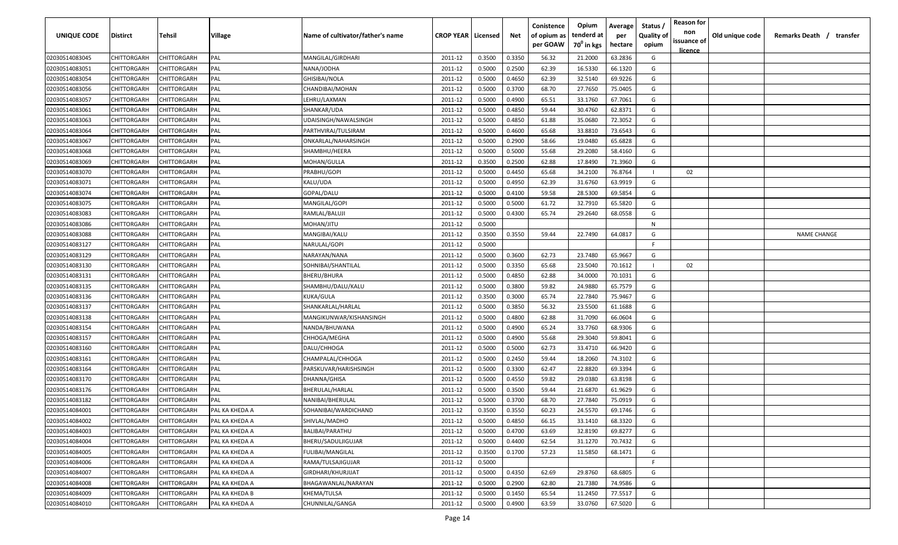| UNIQUE CODE    | Distirct    | Tehsil             | Village        | Name of cultivator/father's name | <b>CROP YEAR   Licensed</b> |        | Net    | Conistence<br>of opium as | Opium<br>tenderd at    | Average<br>per | Status /<br><b>Quality of</b> | <b>Reason for</b><br>non      | Old unique code | Remarks Death /<br>transfer |
|----------------|-------------|--------------------|----------------|----------------------------------|-----------------------------|--------|--------|---------------------------|------------------------|----------------|-------------------------------|-------------------------------|-----------------|-----------------------------|
|                |             |                    |                |                                  |                             |        |        | per GOAW                  | 70 <sup>0</sup> in kgs | hectare        | opium                         | issuance of<br><u>licence</u> |                 |                             |
| 02030514083045 | CHITTORGARH | CHITTORGARH        | PAL            | MANGILAL/GIRDHARI                | 2011-12                     | 0.3500 | 0.3350 | 56.32                     | 21.2000                | 63.2836        | G                             |                               |                 |                             |
| 02030514083051 | CHITTORGARH | CHITTORGARH        | PAL            | NANA/JODHA                       | 2011-12                     | 0.5000 | 0.2500 | 62.39                     | 16.5330                | 66.1320        | G                             |                               |                 |                             |
| 02030514083054 | CHITTORGARH | CHITTORGARH        | PAL            | <b>GHISIBAI/NOLA</b>             | 2011-12                     | 0.5000 | 0.4650 | 62.39                     | 32.5140                | 69.9226        | G                             |                               |                 |                             |
| 02030514083056 | CHITTORGARH | CHITTORGARH        | PAL            | CHANDIBAI/MOHAN                  | 2011-12                     | 0.5000 | 0.3700 | 68.70                     | 27.7650                | 75.0405        | G                             |                               |                 |                             |
| 02030514083057 | CHITTORGARH | CHITTORGARH        | PAL            | LEHRU/LAXMAN                     | 2011-12                     | 0.5000 | 0.4900 | 65.51                     | 33.1760                | 67.7061        | G                             |                               |                 |                             |
| 02030514083061 | CHITTORGARH | CHITTORGARH        | PAL            | SHANKAR/UDA                      | 2011-12                     | 0.5000 | 0.4850 | 59.44                     | 30.4760                | 62.8371        | G                             |                               |                 |                             |
| 02030514083063 | CHITTORGARH | <b>CHITTORGARH</b> | PAL            | UDAISINGH/NAWALSINGH             | 2011-12                     | 0.5000 | 0.4850 | 61.88                     | 35.0680                | 72.3052        | G                             |                               |                 |                             |
| 02030514083064 | CHITTORGARH | <b>CHITTORGARH</b> | PAL            | PARTHVIRAJ/TULSIRAM              | 2011-12                     | 0.5000 | 0.4600 | 65.68                     | 33.8810                | 73.6543        | G                             |                               |                 |                             |
| 02030514083067 | CHITTORGARH | CHITTORGARH        | PAL            | ONKARLAL/NAHARSINGH              | 2011-12                     | 0.5000 | 0.2900 | 58.66                     | 19.0480                | 65.6828        | G                             |                               |                 |                             |
| 02030514083068 | CHITTORGARH | CHITTORGARH        | PAL            | SHAMBHU/HEERA                    | 2011-12                     | 0.5000 | 0.5000 | 55.68                     | 29.2080                | 58.4160        | G                             |                               |                 |                             |
| 02030514083069 | CHITTORGARH | CHITTORGARH        | PAL            | MOHAN/GULLA                      | 2011-12                     | 0.3500 | 0.2500 | 62.88                     | 17.8490                | 71.3960        | G                             |                               |                 |                             |
| 02030514083070 | CHITTORGARH | CHITTORGARH        | PAL            | PRABHU/GOPI                      | 2011-12                     | 0.5000 | 0.4450 | 65.68                     | 34.2100                | 76.8764        |                               | 02                            |                 |                             |
| 02030514083071 | CHITTORGARH | CHITTORGARH        | PAL            | KALU/UDA                         | 2011-12                     | 0.5000 | 0.4950 | 62.39                     | 31.6760                | 63.9919        | G                             |                               |                 |                             |
| 02030514083074 | CHITTORGARH | CHITTORGARH        | PAL            | GOPAL/DALU                       | 2011-12                     | 0.5000 | 0.4100 | 59.58                     | 28.5300                | 69.5854        | G                             |                               |                 |                             |
| 02030514083075 | CHITTORGARH | CHITTORGARH        | PAL            | MANGILAL/GOPI                    | 2011-12                     | 0.5000 | 0.5000 | 61.72                     | 32.7910                | 65.5820        | G                             |                               |                 |                             |
| 02030514083083 | CHITTORGARH | CHITTORGARH        | PAL            | RAMLAL/BALUJI                    | 2011-12                     | 0.5000 | 0.4300 | 65.74                     | 29.2640                | 68.0558        | G                             |                               |                 |                             |
| 02030514083086 | CHITTORGARH | CHITTORGARH        | PAL            | MOHAN/JITU                       | 2011-12                     | 0.5000 |        |                           |                        |                | N                             |                               |                 |                             |
| 02030514083088 | CHITTORGARH | CHITTORGARH        | PAL            | MANGIBAI/KALU                    | 2011-12                     | 0.3500 | 0.3550 | 59.44                     | 22.7490                | 64.0817        | G                             |                               |                 | <b>NAME CHANGE</b>          |
| 02030514083127 | CHITTORGARH | CHITTORGARH        | PAL            | NARULAL/GOPI                     | 2011-12                     | 0.5000 |        |                           |                        |                | F.                            |                               |                 |                             |
| 02030514083129 | CHITTORGARH | CHITTORGARH        | PAL            | NARAYAN/NANA                     | 2011-12                     | 0.5000 | 0.3600 | 62.73                     | 23.7480                | 65.9667        | G                             |                               |                 |                             |
| 02030514083130 | CHITTORGARH | CHITTORGARH        | PAL            | SOHNIBAI/SHANTILAL               | 2011-12                     | 0.5000 | 0.3350 | 65.68                     | 23.5040                | 70.1612        |                               | 02                            |                 |                             |
| 02030514083131 | CHITTORGARH | CHITTORGARH        | PAL            | <b>BHERU/BHURA</b>               | 2011-12                     | 0.5000 | 0.4850 | 62.88                     | 34.0000                | 70.1031        | G                             |                               |                 |                             |
| 02030514083135 | CHITTORGARH | CHITTORGARH        | PAL            | SHAMBHU/DALU/KALU                | 2011-12                     | 0.5000 | 0.3800 | 59.82                     | 24.9880                | 65.7579        | G                             |                               |                 |                             |
| 02030514083136 | CHITTORGARH | CHITTORGARH        | PAL            | KUKA/GULA                        | 2011-12                     | 0.3500 | 0.3000 | 65.74                     | 22.7840                | 75.9467        | G                             |                               |                 |                             |
| 02030514083137 | CHITTORGARH | CHITTORGARH        | PAL            | SHANKARLAL/HARLAL                | 2011-12                     | 0.5000 | 0.3850 | 56.32                     | 23.5500                | 61.1688        | G                             |                               |                 |                             |
| 02030514083138 | CHITTORGARH | CHITTORGARH        | PAL            | MANGIKUNWAR/KISHANSINGH          | 2011-12                     | 0.5000 | 0.4800 | 62.88                     | 31.7090                | 66.0604        | G                             |                               |                 |                             |
| 02030514083154 | CHITTORGARH | CHITTORGARH        | PAL            | NANDA/BHUWANA                    | 2011-12                     | 0.5000 | 0.4900 | 65.24                     | 33.7760                | 68.9306        | G                             |                               |                 |                             |
| 02030514083157 | CHITTORGARH | CHITTORGARH        | PAL            | CHHOGA/MEGHA                     | 2011-12                     | 0.5000 | 0.4900 | 55.68                     | 29.3040                | 59.8041        | G                             |                               |                 |                             |
| 02030514083160 | CHITTORGARH | CHITTORGARH        | PAL            | DALU/CHHOGA                      | 2011-12                     | 0.5000 | 0.5000 | 62.73                     | 33.4710                | 66.9420        | G                             |                               |                 |                             |
| 02030514083161 | CHITTORGARH | CHITTORGARH        | PAL            | CHAMPALAL/CHHOGA                 | 2011-12                     | 0.5000 | 0.2450 | 59.44                     | 18.2060                | 74.3102        | G                             |                               |                 |                             |
| 02030514083164 | CHITTORGARH | CHITTORGARH        | PAL            | PARSKUVAR/HARISHSINGH            | 2011-12                     | 0.5000 | 0.3300 | 62.47                     | 22.8820                | 69.3394        | G                             |                               |                 |                             |
| 02030514083170 | CHITTORGARH | <b>CHITTORGARH</b> | PAL            | DHANNA/GHISA                     | 2011-12                     | 0.5000 | 0.4550 | 59.82                     | 29.0380                | 63.8198        | G                             |                               |                 |                             |
| 02030514083176 | CHITTORGARH | CHITTORGARH        | PAL            | BHERULAL/HARLAL                  | 2011-12                     | 0.5000 | 0.3500 | 59.44                     | 21.6870                | 61.9629        | G                             |                               |                 |                             |
| 02030514083182 | CHITTORGARH | CHITTORGARH        | PAL            | NANIBAI/BHERULAL                 | 2011-12                     | 0.5000 | 0.3700 | 68.70                     | 27.7840                | 75.0919        | G                             |                               |                 |                             |
| 02030514084001 | CHITTORGARH | CHITTORGARH        | PAL KA KHEDA A | SOHANIBAI/WARDICHAND             | 2011-12                     | 0.3500 | 0.3550 | 60.23                     | 24.5570                | 69.1746        | G                             |                               |                 |                             |
| 02030514084002 | CHITTORGARH | <b>CHITTORGARH</b> | PAL KA KHEDA A | SHIVLAL/MADHO                    | 2011-12                     | 0.5000 | 0.4850 | 66.15                     | 33.1410                | 68.3320        | G                             |                               |                 |                             |
| 02030514084003 | CHITTORGARH | CHITTORGARH        | PAL KA KHEDA A | <b>BALIBAI/PARATHU</b>           | 2011-12                     | 0.5000 | 0.4700 | 63.69                     | 32.8190                | 69.8277        | G                             |                               |                 |                             |
| 02030514084004 | CHITTORGARH | <b>CHITTORGARH</b> | PAL KA KHEDA A | <b>BHERU/SADULJIGUJAR</b>        | 2011-12                     | 0.5000 | 0.4400 | 62.54                     | 31.1270                | 70.7432        | G                             |                               |                 |                             |
| 02030514084005 | CHITTORGARH | <b>CHITTORGARH</b> | PAL KA KHEDA A | <b>FULIBAI/MANGILAL</b>          | 2011-12                     | 0.3500 | 0.1700 | 57.23                     | 11.5850                | 68.1471        | G                             |                               |                 |                             |
| 02030514084006 | CHITTORGARH | CHITTORGARH        | PAL KA KHEDA A | RAMA/TULSAJIGUJAR                | 2011-12                     | 0.5000 |        |                           |                        |                | F.                            |                               |                 |                             |
| 02030514084007 | CHITTORGARH | CHITTORGARH        | PAL KA KHEDA A | GIRDHARI/KHURJIJAT               | 2011-12                     | 0.5000 | 0.4350 | 62.69                     | 29.8760                | 68.6805        | G                             |                               |                 |                             |
| 02030514084008 | CHITTORGARH | CHITTORGARH        | PAL KA KHEDA A | BHAGAWANLAL/NARAYAN              | 2011-12                     | 0.5000 | 0.2900 | 62.80                     | 21.7380                | 74.9586        | G                             |                               |                 |                             |
| 02030514084009 | CHITTORGARH | CHITTORGARH        | PAL KA KHEDA B | KHEMA/TULSA                      | 2011-12                     | 0.5000 | 0.1450 | 65.54                     | 11.2450                | 77.5517        | G                             |                               |                 |                             |
| 02030514084010 | CHITTORGARH | CHITTORGARH        | PAL KA KHEDA A | CHUNNILAL/GANGA                  | 2011-12                     | 0.5000 | 0.4900 | 63.59                     | 33.0760                | 67.5020        | G                             |                               |                 |                             |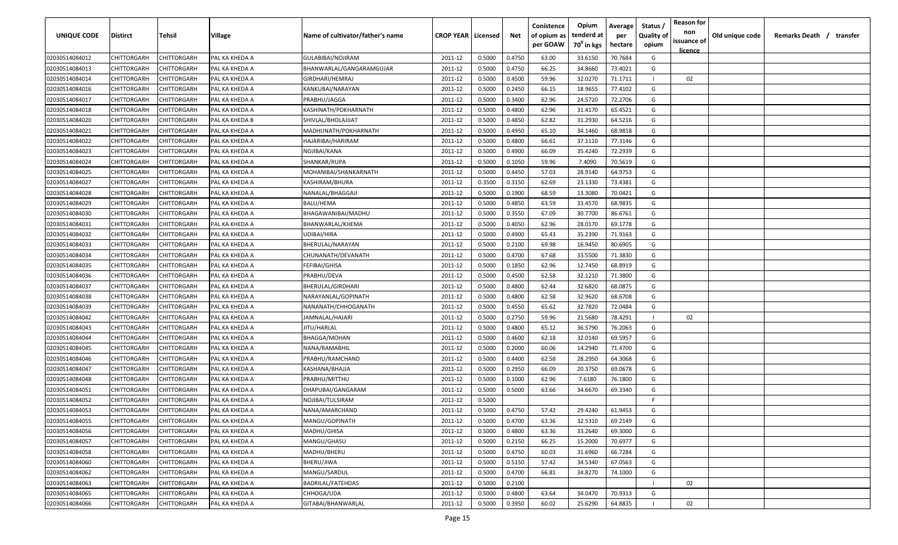| <b>UNIQUE CODE</b> | <b>Distirct</b>    | <b>Tehsil</b>      | Village        | Name of cultivator/father's name | <b>CROP YEAR   Licensed</b> |        | Net    | Conistence<br>of opium as<br>per GOAW | Opium<br>tenderd at<br>70 <sup>0</sup> in kgs | Average<br>per<br>hectare | Status /<br>Quality of<br>opium | <b>Reason for</b><br>non<br>issuance of | Old unique code | Remarks Death / | transfer |
|--------------------|--------------------|--------------------|----------------|----------------------------------|-----------------------------|--------|--------|---------------------------------------|-----------------------------------------------|---------------------------|---------------------------------|-----------------------------------------|-----------------|-----------------|----------|
| 02030514084012     | CHITTORGARH        | CHITTORGARH        | PAL KA KHEDA A | GULABIBAI/NOJIRAM                | 2011-12                     | 0.5000 | 0.4750 | 63.00                                 | 33.6150                                       | 70.7684                   | G                               | licence                                 |                 |                 |          |
| 02030514084013     | CHITTORGARH        | CHITTORGARH        | PAL KA KHEDA A | BHANWARLAL/GANGARAMGUJAR         | 2011-12                     | 0.5000 | 0.4750 | 66.25                                 | 34.8660                                       | 73.4021                   | G                               |                                         |                 |                 |          |
| 02030514084014     | CHITTORGARH        | CHITTORGARH        | PAL KA KHEDA A | GIRDHARI/HEMRAJ                  | 2011-12                     | 0.5000 | 0.4500 | 59.96                                 | 32.0270                                       | 71.1711                   |                                 | 02                                      |                 |                 |          |
| 02030514084016     | CHITTORGARH        | CHITTORGARH        | PAL KA KHEDA A | KANKUBAI/NARAYAN                 | 2011-12                     | 0.5000 | 0.2450 | 66.15                                 | 18.9655                                       | 77.4102                   | G                               |                                         |                 |                 |          |
| 02030514084017     | CHITTORGARH        | CHITTORGARH        | PAL KA KHEDA A | PRABHU/JAGGA                     | 2011-12                     | 0.5000 | 0.3400 | 62.96                                 | 24.5720                                       | 72.2706                   | G                               |                                         |                 |                 |          |
| 02030514084018     | CHITTORGARH        | CHITTORGARH        | PAL KA KHEDA A | KASHINATH/POKHARNATH             | 2011-12                     | 0.5000 | 0.4800 | 62.96                                 | 31.4170                                       | 65.4521                   | G                               |                                         |                 |                 |          |
| 02030514084020     | CHITTORGARH        | CHITTORGARH        | PAL KA KHEDA B | SHIVLAL/BHOLAJIJAT               | 2011-12                     | 0.5000 | 0.4850 | 62.82                                 | 31.2930                                       | 64.5216                   | G                               |                                         |                 |                 |          |
| 02030514084021     | CHITTORGARH        | CHITTORGARH        | PAL KA KHEDA A | MADHUNATH/POKHARNATH             | 2011-12                     | 0.5000 | 0.4950 | 65.10                                 | 34.1460                                       | 68.9818                   | G                               |                                         |                 |                 |          |
| 02030514084022     | CHITTORGARH        | CHITTORGARH        | PAL KA KHEDA A | HAJARIBAI/HARIRAM                | 2011-12                     | 0.5000 | 0.4800 | 66.61                                 | 37.1110                                       | 77.3146                   | G                               |                                         |                 |                 |          |
| 02030514084023     | CHITTORGARH        | CHITTORGARH        | PAL KA KHEDA A | NOJIBAI/KANA                     | 2011-12                     | 0.5000 | 0.4900 | 66.09                                 | 35.4240                                       | 72.2939                   | G                               |                                         |                 |                 |          |
| 02030514084024     | CHITTORGARH        | CHITTORGARH        | PAL KA KHEDA A | SHANKAR/RUPA                     | 2011-12                     | 0.5000 | 0.1050 | 59.96                                 | 7.4090                                        | 70.5619                   | G                               |                                         |                 |                 |          |
| 02030514084025     | CHITTORGARH        | CHITTORGARH        | PAL KA KHEDA A | MOHANIBAI/SHANKARNATH            | 2011-12                     | 0.5000 | 0.4450 | 57.03                                 | 28.9140                                       | 64.9753                   | G                               |                                         |                 |                 |          |
| 02030514084027     | CHITTORGARH        | CHITTORGARH        | PAL KA KHEDA A | KASHIRAM/BHURA                   | 2011-12                     | 0.3500 | 0.3150 | 62.69                                 | 23.1330                                       | 73.4381                   | G                               |                                         |                 |                 |          |
| 02030514084028     | CHITTORGARH        | CHITTORGARH        | PAL KA KHEDA A | NANALAL/BHAGGAJI                 | 2011-12                     | 0.5000 | 0.1900 | 68.59                                 | 13.3080                                       | 70.0421                   | G                               |                                         |                 |                 |          |
| 02030514084029     | CHITTORGARH        | CHITTORGARH        | PAL KA KHEDA A | BALU/HEMA                        | 2011-12                     | 0.5000 | 0.4850 | 63.59                                 | 33.4570                                       | 68.9835                   | G                               |                                         |                 |                 |          |
| 02030514084030     | CHITTORGARH        | CHITTORGARH        | PAL KA KHEDA A | BHAGAWANIBAI/MADHU               | 2011-12                     | 0.5000 | 0.3550 | 67.09                                 | 30.7700                                       | 86.6761                   | G                               |                                         |                 |                 |          |
| 02030514084031     | CHITTORGARH        | CHITTORGARF        | PAL KA KHEDA A | BHANWARLAL/KHEMA                 | 2011-12                     | 0.5000 | 0.4050 | 62.96                                 | 28.0170                                       | 69.1778                   | G                               |                                         |                 |                 |          |
| 02030514084032     | CHITTORGARH        | CHITTORGARH        | PAL KA KHEDA A | <b>UDIBAI/HIRA</b>               | 2011-12                     | 0.5000 | 0.4900 | 65.43                                 | 35.2390                                       | 71.9163                   | G                               |                                         |                 |                 |          |
| 02030514084033     | CHITTORGARH        | CHITTORGARH        | PAL KA KHEDA A | BHERULAL/NARAYAN                 | 2011-12                     | 0.5000 | 0.2100 | 69.98                                 | 16.9450                                       | 80.6905                   | G                               |                                         |                 |                 |          |
| 02030514084034     | CHITTORGARH        | CHITTORGARH        | PAL KA KHEDA A | CHUNANATH/DEVANATH               | 2011-12                     | 0.5000 | 0.4700 | 67.68                                 | 33.5500                                       | 71.3830                   | G                               |                                         |                 |                 |          |
| 02030514084035     | CHITTORGARH        | CHITTORGARH        | PAL KA KHEDA A | FEFIBAI/GHISA                    | 2011-12                     | 0.5000 | 0.1850 | 62.96                                 | 12.7450                                       | 68.8919                   | G                               |                                         |                 |                 |          |
| 02030514084036     | CHITTORGARH        | CHITTORGARH        | PAL KA KHEDA A | PRABHU/DEVA                      | 2011-12                     | 0.5000 | 0.4500 | 62.58                                 | 32.1210                                       | 71.3800                   | G                               |                                         |                 |                 |          |
| 02030514084037     | CHITTORGARH        | CHITTORGARH        | PAL KA KHEDA A | BHERULAL/GIRDHARI                | 2011-12                     | 0.5000 | 0.4800 | 62.44                                 | 32.6820                                       | 68.0875                   | G                               |                                         |                 |                 |          |
| 02030514084038     | CHITTORGARH        | CHITTORGARH        | PAL KA KHEDA A | NARAYANLAL/GOPINATH              | 2011-12                     | 0.5000 | 0.4800 | 62.58                                 | 32.9620                                       | 68.6708                   | G                               |                                         |                 |                 |          |
| 02030514084039     | CHITTORGARH        | CHITTORGARH        | PAL KA KHEDA A | NANANATH/CHHOGANATH              | 2011-12                     | 0.5000 | 0.4550 | 65.62                                 | 32.7820                                       | 72.0484                   | G                               |                                         |                 |                 |          |
|                    |                    |                    | PAL KA KHEDA A |                                  |                             |        | 0.2750 | 59.96                                 | 21.5680                                       |                           |                                 |                                         |                 |                 |          |
| 02030514084042     | CHITTORGARH        | CHITTORGARH        |                | JAMNALAL/HAJARI                  | 2011-12                     | 0.5000 |        |                                       |                                               | 78.4291                   | G                               | 02                                      |                 |                 |          |
| 02030514084043     | CHITTORGARH        | CHITTORGARH        | PAL KA KHEDA A | JITU/HARLAL                      | 2011-12                     | 0.5000 | 0.4800 | 65.12                                 | 36.5790                                       | 76.2063                   | G                               |                                         |                 |                 |          |
| 02030514084044     | CHITTORGARH        | CHITTORGARH        | PAL KA KHEDA A | BHAGGA/MOHAN                     | 2011-12                     | 0.5000 | 0.4600 | 62.18                                 | 32.0140                                       | 69.5957                   |                                 |                                         |                 |                 |          |
| 02030514084045     | CHITTORGARH        | CHITTORGARH        | PAL KA KHEDA A | NANA/RAMABHIL                    | 2011-12                     | 0.5000 | 0.2000 | 60.06                                 | 14.2940                                       | 71.4700                   | G                               |                                         |                 |                 |          |
| 02030514084046     | CHITTORGARH        | CHITTORGARH        | PAL KA KHEDA A | PRABHU/RAMCHAND                  | 2011-12                     | 0.5000 | 0.4400 | 62.58                                 | 28.2950                                       | 64.3068                   | G                               |                                         |                 |                 |          |
| 02030514084047     | CHITTORGARH        | CHITTORGARH        | PAL KA KHEDA A | KASHANA/BHAJJA                   | 2011-12                     | 0.5000 | 0.2950 | 66.09                                 | 20.3750                                       | 69.0678                   | G                               |                                         |                 |                 |          |
| 02030514084048     | CHITTORGARH        | CHITTORGARH        | PAL KA KHEDA A | PRABHU/MITTHU                    | 2011-12                     | 0.5000 | 0.1000 | 62.96                                 | 7.6180                                        | 76.1800                   | G                               |                                         |                 |                 |          |
| 02030514084051     | CHITTORGARH        | CHITTORGARH        | PAL KA KHEDA A | DHAPUBAI/GANGARAM                | 2011-12                     | 0.5000 | 0.5000 | 63.66                                 | 34.6670                                       | 69.3340                   | G                               |                                         |                 |                 |          |
| 02030514084052     | CHITTORGARH        | CHITTORGARH        | PAL KA KHEDA A | NOJIBAI/TULSIRAM                 | 2011-12                     | 0.5000 |        |                                       |                                               |                           | F                               |                                         |                 |                 |          |
| 02030514084053     | <b>CHITTORGARH</b> | CHITTORGARH        | PAL KA KHEDA A | NANA/AMARCHAND                   | 2011-12                     | 0.5000 | 0.4750 | 57.42                                 | 29.4240                                       | 61.9453                   | G                               |                                         |                 |                 |          |
| 02030514084055     | CHITTORGARH        | <b>CHITTORGARH</b> | PAL KA KHEDA A | MANGU/GOPINATH                   | 2011-12                     | 0.5000 | 0.4700 | 63.36                                 | 32.5310                                       | 69.2149                   | G                               |                                         |                 |                 |          |
| 02030514084056     | <b>CHITTORGARH</b> | CHITTORGARH        | PAL KA KHEDA A | MADHU/GHISA                      | 2011-12                     | 0.5000 | 0.4800 | 63.36                                 | 33.2640                                       | 69.3000                   | G                               |                                         |                 |                 |          |
| 02030514084057     | CHITTORGARH        | CHITTORGARH        | PAL KA KHEDA A | MANGU/GHASU                      | 2011-12                     | 0.5000 | 0.2150 | 66.25                                 | 15.2000                                       | 70.6977                   | G                               |                                         |                 |                 |          |
| 02030514084058     | CHITTORGARH        | <b>CHITTORGARH</b> | PAL KA KHEDA A | MADHU/BHERU                      | 2011-12                     | 0.5000 | 0.4750 | 60.03                                 | 31.6960                                       | 66.7284                   | G                               |                                         |                 |                 |          |
| 02030514084060     | CHITTORGARH        | CHITTORGARH        | PAL KA KHEDA A | BHERU/JIWA                       | 2011-12                     | 0.5000 | 0.5150 | 57.42                                 | 34.5340                                       | 67.0563                   | G                               |                                         |                 |                 |          |
| 02030514084062     | CHITTORGARH        | CHITTORGARH        | PAL KA KHEDA A | MANGU/SARDUL                     | 2011-12                     | 0.5000 | 0.4700 | 66.81                                 | 34.8270                                       | 74.1000                   | G                               |                                         |                 |                 |          |
| 02030514084063     | CHITTORGARH        | CHITTORGARH        | PAL KA KHEDA A | BADRILAL/FATEHDAS                | 2011-12                     | 0.5000 | 0.2100 |                                       |                                               |                           |                                 | 02                                      |                 |                 |          |
| 02030514084065     | CHITTORGARH        | CHITTORGARH        | PAL KA KHEDA A | CHHOGA/UDA                       | 2011-12                     | 0.5000 | 0.4800 | 63.64                                 | 34.0470                                       | 70.9313                   | G                               |                                         |                 |                 |          |
| 02030514084066     | <b>CHITTORGARH</b> | CHITTORGARH        | PAL KA KHEDA A | GITABAI/BHANWARLAL               | 2011-12                     | 0.5000 | 0.3950 | 60.02                                 | 25.6290                                       | 64.8835                   |                                 | 02                                      |                 |                 |          |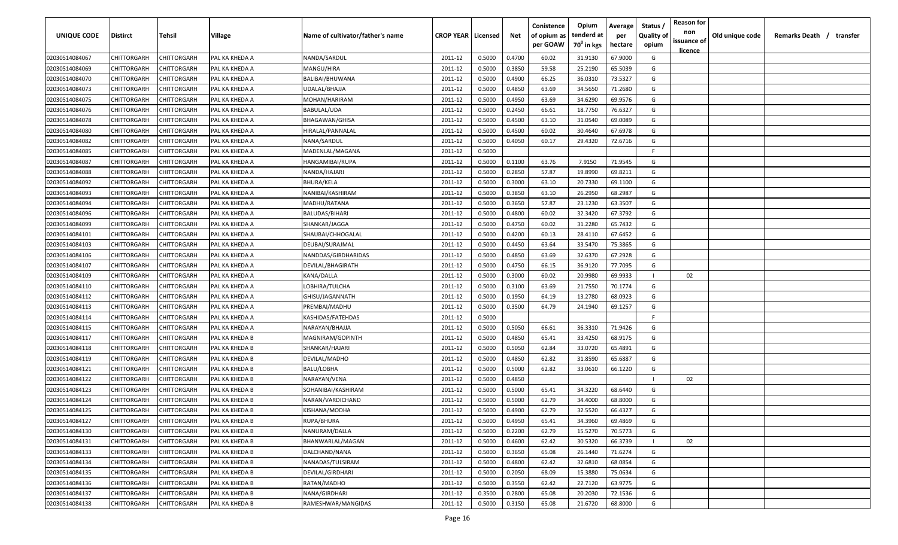| <b>UNIQUE CODE</b> | <b>Distirct</b>    | <b>Tehsil</b>      | Village        | Name of cultivator/father's name | <b>CROP YEAR   Licensed</b> |        | Net    | Conistence<br>of opium as | Opium<br>tenderd at    | Average<br>per | Status /<br>Quality of | <b>Reason for</b><br>non<br>issuance of | Old unique code | Remarks Death / | transfer |
|--------------------|--------------------|--------------------|----------------|----------------------------------|-----------------------------|--------|--------|---------------------------|------------------------|----------------|------------------------|-----------------------------------------|-----------------|-----------------|----------|
|                    |                    |                    |                |                                  |                             |        |        | per GOAW                  | 70 <sup>0</sup> in kgs | hectare        | opium                  | licence                                 |                 |                 |          |
| 02030514084067     | CHITTORGARH        | CHITTORGARH        | PAL KA KHEDA A | NANDA/SARDUL                     | 2011-12                     | 0.5000 | 0.4700 | 60.02                     | 31.9130                | 67.9000        | G                      |                                         |                 |                 |          |
| 02030514084069     | CHITTORGARH        | CHITTORGARH        | PAL KA KHEDA A | MANGU/HIRA                       | 2011-12                     | 0.5000 | 0.3850 | 59.58                     | 25.2190                | 65.5039        | G                      |                                         |                 |                 |          |
| 02030514084070     | CHITTORGARH        | CHITTORGARH        | PAL KA KHEDA A | BALIBAI/BHUWANA                  | 2011-12                     | 0.5000 | 0.4900 | 66.25                     | 36.0310                | 73.5327        | G                      |                                         |                 |                 |          |
| 02030514084073     | CHITTORGARH        | CHITTORGARH        | PAL KA KHEDA A | UDALAL/BHAJJA                    | 2011-12                     | 0.5000 | 0.4850 | 63.69                     | 34.5650                | 71.2680        | G                      |                                         |                 |                 |          |
| 02030514084075     | CHITTORGARH        | CHITTORGARH        | PAL KA KHEDA A | MOHAN/HARIRAM                    | 2011-12                     | 0.5000 | 0.4950 | 63.69                     | 34.6290                | 69.9576        | G                      |                                         |                 |                 |          |
| 02030514084076     | CHITTORGARH        | CHITTORGARH        | PAL KA KHEDA A | BABULAL/UDA                      | 2011-12                     | 0.5000 | 0.2450 | 66.61                     | 18.7750                | 76.6327        | G                      |                                         |                 |                 |          |
| 02030514084078     | CHITTORGARH        | CHITTORGARH        | PAL KA KHEDA A | <b>BHAGAWAN/GHISA</b>            | 2011-12                     | 0.5000 | 0.4500 | 63.10                     | 31.0540                | 69.0089        | G                      |                                         |                 |                 |          |
| 02030514084080     | CHITTORGARH        | CHITTORGARH        | PAL KA KHEDA A | HIRALAL/PANNALAL                 | 2011-12                     | 0.5000 | 0.4500 | 60.02                     | 30.4640                | 67.6978        | G                      |                                         |                 |                 |          |
| 02030514084082     | CHITTORGARH        | CHITTORGARH        | PAL KA KHEDA A | NANA/SARDUL                      | 2011-12                     | 0.5000 | 0.4050 | 60.17                     | 29.4320                | 72.6716        | G                      |                                         |                 |                 |          |
| 02030514084085     | CHITTORGARH        | CHITTORGARH        | PAL KA KHEDA A | MADENLAL/MAGANA                  | 2011-12                     | 0.5000 |        |                           |                        |                | -F.                    |                                         |                 |                 |          |
| 02030514084087     | CHITTORGARH        | CHITTORGARH        | PAL KA KHEDA A | HANGAMIBAI/RUPA                  | 2011-12                     | 0.5000 | 0.1100 | 63.76                     | 7.9150                 | 71.9545        | G                      |                                         |                 |                 |          |
| 02030514084088     | CHITTORGARH        | CHITTORGARH        | PAL KA KHEDA A | NANDA/HAJARI                     | 2011-12                     | 0.5000 | 0.2850 | 57.87                     | 19.8990                | 69.8211        | G                      |                                         |                 |                 |          |
| 02030514084092     | CHITTORGARH        | CHITTORGARH        | PAL KA KHEDA A | BHURA/KELA                       | 2011-12                     | 0.5000 | 0.3000 | 63.10                     | 20.7330                | 69.1100        | G                      |                                         |                 |                 |          |
| 02030514084093     | CHITTORGARH        | CHITTORGARH        | PAL KA KHEDA A | NANIBAI/KASHIRAM                 | 2011-12                     | 0.5000 | 0.3850 | 63.10                     | 26.2950                | 68.2987        | G                      |                                         |                 |                 |          |
| 02030514084094     | CHITTORGARH        | CHITTORGARH        | PAL KA KHEDA A | MADHU/RATANA                     | 2011-12                     | 0.5000 | 0.3650 | 57.87                     | 23.1230                | 63.3507        | G                      |                                         |                 |                 |          |
| 02030514084096     | CHITTORGARH        | CHITTORGARH        | PAL KA KHEDA A | BALUDAS/BIHARI                   | 2011-12                     | 0.5000 | 0.4800 | 60.02                     | 32.3420                | 67.3792        | G                      |                                         |                 |                 |          |
| 02030514084099     | CHITTORGARH        | CHITTORGARF        | PAL KA KHEDA A | SHANKAR/JAGGA                    | 2011-12                     | 0.5000 | 0.4750 | 60.02                     | 31.2280                | 65.7432        | G                      |                                         |                 |                 |          |
| 02030514084101     | CHITTORGARH        | CHITTORGARH        | PAL KA KHEDA A | SHAUBAI/CHHOGALAL                | 2011-12                     | 0.5000 | 0.4200 | 60.13                     | 28.4110                | 67.6452        | G                      |                                         |                 |                 |          |
| 02030514084103     | CHITTORGARH        | CHITTORGARH        | PAL KA KHEDA A | DEUBAI/SURAJMAL                  | 2011-12                     | 0.5000 | 0.4450 | 63.64                     | 33.5470                | 75.3865        | G                      |                                         |                 |                 |          |
| 02030514084106     | CHITTORGARH        | CHITTORGARH        | PAL KA KHEDA A | NANDDAS/GIRDHARIDAS              | 2011-12                     | 0.5000 | 0.4850 | 63.69                     | 32.6370                | 67.2928        | G                      |                                         |                 |                 |          |
| 02030514084107     | CHITTORGARH        | CHITTORGARH        | PAL KA KHEDA A | DEVILAL/BHAGIRATH                | 2011-12                     | 0.5000 | 0.4750 | 66.15                     | 36.9120                | 77.7095        | G                      |                                         |                 |                 |          |
| 02030514084109     | CHITTORGARH        | CHITTORGARH        | PAL KA KHEDA A | KANA/DALLA                       | 2011-12                     | 0.5000 | 0.3000 | 60.02                     | 20.9980                | 69.9933        |                        | 02                                      |                 |                 |          |
| 02030514084110     | CHITTORGARH        | CHITTORGARH        | PAL KA KHEDA A | LOBHIRA/TULCHA                   | 2011-12                     | 0.5000 | 0.3100 | 63.69                     | 21.7550                | 70.1774        | G                      |                                         |                 |                 |          |
| 02030514084112     | CHITTORGARH        | CHITTORGARH        | PAL KA KHEDA A | GHISU/JAGANNATH                  | 2011-12                     | 0.5000 | 0.1950 | 64.19                     | 13.2780                | 68.0923        | G                      |                                         |                 |                 |          |
| 02030514084113     | CHITTORGARH        | CHITTORGARH        | PAL KA KHEDA A | PREMBAI/MADHU                    | 2011-12                     | 0.5000 | 0.3500 | 64.79                     | 24.1940                | 69.1257        | G                      |                                         |                 |                 |          |
| 02030514084114     | CHITTORGARH        | CHITTORGARH        | PAL KA KHEDA A | KASHIDAS/FATEHDAS                | 2011-12                     | 0.5000 |        |                           |                        |                | -F.                    |                                         |                 |                 |          |
| 02030514084115     | CHITTORGARH        | CHITTORGARH        | PAL KA KHEDA A | NARAYAN/BHAJJA                   | 2011-12                     | 0.5000 | 0.5050 | 66.61                     | 36.3310                | 71.9426        | G                      |                                         |                 |                 |          |
| 02030514084117     | CHITTORGARH        | CHITTORGARH        | PAL KA KHEDA B | MAGNIRAM/GOPINTH                 | 2011-12                     | 0.5000 | 0.4850 | 65.41                     | 33.4250                | 68.9175        | G                      |                                         |                 |                 |          |
| 02030514084118     | CHITTORGARH        | CHITTORGARH        | PAL KA KHEDA B | SHANKAR/HAJARI                   | 2011-12                     | 0.5000 | 0.5050 | 62.84                     | 33.0720                | 65.4891        | G                      |                                         |                 |                 |          |
| 02030514084119     | CHITTORGARH        | CHITTORGARH        | PAL KA KHEDA B | DEVILAL/MADHO                    | 2011-12                     | 0.5000 | 0.4850 | 62.82                     | 31.8590                | 65.6887        | G                      |                                         |                 |                 |          |
| 02030514084121     | CHITTORGARH        | CHITTORGARH        | PAL KA KHEDA B | BALU/LOBHA                       | 2011-12                     | 0.5000 | 0.5000 | 62.82                     | 33.0610                | 66.1220        | G                      |                                         |                 |                 |          |
| 02030514084122     | CHITTORGARH        | CHITTORGARH        | PAL KA KHEDA B | NARAYAN/VENA                     | 2011-12                     | 0.5000 | 0.4850 |                           |                        |                |                        | 02                                      |                 |                 |          |
| 02030514084123     | CHITTORGARH        | CHITTORGARH        | PAL KA KHEDA B | SOHANIBAI/KASHIRAM               | 2011-12                     | 0.5000 | 0.5000 | 65.41                     | 34.3220                | 68.6440        | G                      |                                         |                 |                 |          |
| 02030514084124     | CHITTORGARH        | CHITTORGARH        | PAL KA KHEDA B | NARAN/VARDICHAND                 | 2011-12                     | 0.5000 | 0.5000 | 62.79                     | 34.4000                | 68.8000        | G                      |                                         |                 |                 |          |
| 02030514084125     | CHITTORGARH        | CHITTORGARH        | PAL KA KHEDA B | KISHANA/MODHA                    | 2011-12                     | 0.5000 | 0.4900 | 62.79                     | 32.5520                | 66.4327        | G                      |                                         |                 |                 |          |
| 02030514084127     | CHITTORGARH        | <b>CHITTORGARH</b> | PAL KA KHEDA B | RUPA/BHURA                       | 2011-12                     | 0.5000 | 0.4950 | 65.41                     | 34.3960                | 69.4869        | G                      |                                         |                 |                 |          |
| 02030514084130     | <b>CHITTORGARH</b> | CHITTORGARH        | PAL KA KHEDA B | NANURAM/DALLA                    | 2011-12                     | 0.5000 | 0.2200 | 62.79                     | 15.5270                | 70.5773        | G                      |                                         |                 |                 |          |
| 02030514084131     | CHITTORGARH        | CHITTORGARH        | PAL KA KHEDA B | BHANWARLAL/MAGAN                 | 2011-12                     | 0.5000 | 0.4600 | 62.42                     | 30.5320                | 66.3739        |                        | 02                                      |                 |                 |          |
| 02030514084133     | CHITTORGARH        | CHITTORGARH        | PAL KA KHEDA B | DALCHAND/NANA                    | 2011-12                     | 0.5000 | 0.3650 | 65.08                     | 26.1440                | 71.6274        | G                      |                                         |                 |                 |          |
| 02030514084134     | <b>CHITTORGARH</b> | CHITTORGARH        | PAL KA KHEDA B | NANADAS/TULSIRAM                 | 2011-12                     | 0.5000 | 0.4800 | 62.42                     | 32.6810                | 68.0854        | G                      |                                         |                 |                 |          |
| 02030514084135     | CHITTORGARH        | CHITTORGARH        | PAL KA KHEDA B | DEVILAL/GIRDHARI                 | 2011-12                     | 0.5000 | 0.2050 | 68.09                     | 15.3880                | 75.0634        | G                      |                                         |                 |                 |          |
| 02030514084136     | CHITTORGARH        | CHITTORGARH        | PAL KA KHEDA B | RATAN/MADHO                      | 2011-12                     | 0.5000 | 0.3550 | 62.42                     | 22.7120                | 63.9775        | G                      |                                         |                 |                 |          |
| 02030514084137     | CHITTORGARH        | CHITTORGARH        | PAL KA KHEDA B | NANA/GIRDHARI                    | 2011-12                     | 0.3500 | 0.2800 | 65.08                     | 20.2030                | 72.1536        | G                      |                                         |                 |                 |          |
| 02030514084138     | CHITTORGARH        | CHITTORGARH        | PAL KA KHEDA B | RAMESHWAR/MANGIDAS               | 2011-12                     | 0.5000 | 0.3150 | 65.08                     | 21.6720                | 68.8000        | G                      |                                         |                 |                 |          |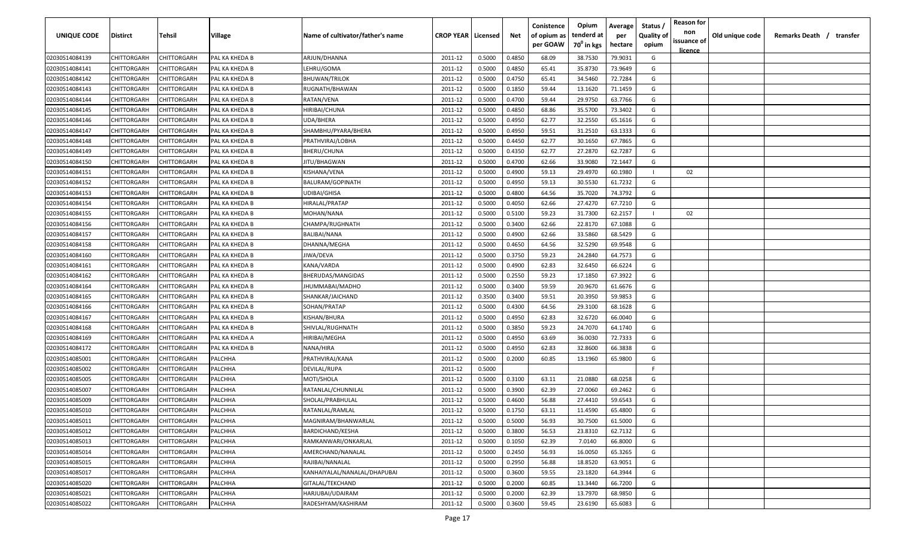| UNIQUE CODE    | <b>Distirct</b>    | <b>Tehsil</b>      | Village        | Name of cultivator/father's name | <b>CROP YEAR   Licensed</b> |        | Net    | Conistence<br>of opium as<br>per GOAW | Opium<br>tenderd at<br>70 <sup>0</sup> in kgs | Average<br>per<br>hectare | Status /<br>Quality of<br>opium | <b>Reason for</b><br>non<br>issuance of<br>licence | Old unique code | Remarks Death /<br>transfer |  |
|----------------|--------------------|--------------------|----------------|----------------------------------|-----------------------------|--------|--------|---------------------------------------|-----------------------------------------------|---------------------------|---------------------------------|----------------------------------------------------|-----------------|-----------------------------|--|
| 02030514084139 | CHITTORGARH        | CHITTORGARH        | PAL KA KHEDA B | ARJUN/DHANNA                     | 2011-12                     | 0.5000 | 0.4850 | 68.09                                 | 38.7530                                       | 79.9031                   | G                               |                                                    |                 |                             |  |
| 02030514084141 | CHITTORGARH        | CHITTORGARH        | PAL KA KHEDA B | LEHRU/GOMA                       | 2011-12                     | 0.5000 | 0.4850 | 65.41                                 | 35.8730                                       | 73.9649                   | G                               |                                                    |                 |                             |  |
| 02030514084142 | CHITTORGARH        | CHITTORGARH        | PAL KA KHEDA B | <b>BHUWAN/TRILOK</b>             | 2011-12                     | 0.5000 | 0.4750 | 65.41                                 | 34.5460                                       | 72.7284                   | G                               |                                                    |                 |                             |  |
| 02030514084143 | CHITTORGARH        | CHITTORGARH        | PAL KA KHEDA B | RUGNATH/BHAWAN                   | 2011-12                     | 0.5000 | 0.1850 | 59.44                                 | 13.1620                                       | 71.1459                   | G                               |                                                    |                 |                             |  |
| 02030514084144 | CHITTORGARH        | CHITTORGARH        | PAL KA KHEDA B | RATAN/VENA                       | 2011-12                     | 0.5000 | 0.4700 | 59.44                                 | 29.9750                                       | 63.7766                   | G                               |                                                    |                 |                             |  |
| 02030514084145 | CHITTORGARH        | CHITTORGARH        | PAL KA KHEDA B | HIRIBAI/CHUNA                    | 2011-12                     | 0.5000 | 0.4850 | 68.86                                 | 35.5700                                       | 73.3402                   | G                               |                                                    |                 |                             |  |
| 02030514084146 | CHITTORGARH        | CHITTORGARH        | PAL KA KHEDA B | UDA/BHERA                        | 2011-12                     | 0.5000 | 0.4950 | 62.77                                 | 32.2550                                       | 65.1616                   | G                               |                                                    |                 |                             |  |
| 02030514084147 | CHITTORGARH        | CHITTORGARH        | PAL KA KHEDA B | SHAMBHU/PYARA/BHERA              | 2011-12                     | 0.5000 | 0.4950 | 59.51                                 | 31.2510                                       | 63.1333                   | G                               |                                                    |                 |                             |  |
| 02030514084148 | CHITTORGARH        | CHITTORGARH        | PAL KA KHEDA B | PRATHVIRAJ/LOBHA                 | 2011-12                     | 0.5000 | 0.4450 | 62.77                                 | 30.1650                                       | 67.7865                   | G                               |                                                    |                 |                             |  |
| 02030514084149 | CHITTORGARH        | CHITTORGARH        | PAL KA KHEDA B | BHERU/CHUNA                      | 2011-12                     | 0.5000 | 0.4350 | 62.77                                 | 27.2870                                       | 62.7287                   | G                               |                                                    |                 |                             |  |
| 02030514084150 | CHITTORGARH        | CHITTORGARH        | PAL KA KHEDA B | JITU/BHAGWAN                     | 2011-12                     | 0.5000 | 0.4700 | 62.66                                 | 33.9080                                       | 72.1447                   | G                               |                                                    |                 |                             |  |
| 02030514084151 | CHITTORGARH        | CHITTORGARH        | PAL KA KHEDA B | KISHANA/VENA                     | 2011-12                     | 0.5000 | 0.4900 | 59.13                                 | 29.4970                                       | 60.1980                   |                                 | 02                                                 |                 |                             |  |
| 02030514084152 | CHITTORGARH        | CHITTORGARH        | PAL KA KHEDA B | BALURAM/GOPINATH                 | 2011-12                     | 0.5000 | 0.4950 | 59.13                                 | 30.5530                                       | 61.7232                   | G                               |                                                    |                 |                             |  |
| 02030514084153 | CHITTORGARH        | CHITTORGARH        | PAL KA KHEDA B | UDIBAI/GHISA                     | 2011-12                     | 0.5000 | 0.4800 | 64.56                                 | 35.7020                                       | 74.3792                   | G                               |                                                    |                 |                             |  |
| 02030514084154 | CHITTORGARH        | CHITTORGARH        | PAL KA KHEDA B | HIRALAL/PRATAP                   | 2011-12                     | 0.5000 | 0.4050 | 62.66                                 | 27.4270                                       | 67.7210                   | G                               |                                                    |                 |                             |  |
| 02030514084155 | CHITTORGARH        | CHITTORGARH        | PAL KA KHEDA B | MOHAN/NANA                       | 2011-12                     | 0.5000 | 0.5100 | 59.23                                 | 31.7300                                       | 62.2157                   |                                 | 02                                                 |                 |                             |  |
| 02030514084156 | CHITTORGARH        | CHITTORGARF        | PAL KA KHEDA B | CHAMPA/RUGHNATH                  | 2011-12                     | 0.5000 | 0.3400 | 62.66                                 | 22.8170                                       | 67.1088                   | G                               |                                                    |                 |                             |  |
| 02030514084157 | CHITTORGARH        | CHITTORGARH        | PAL KA KHEDA B | <b>BALIBAI/NANA</b>              | 2011-12                     | 0.5000 | 0.4900 | 62.66                                 | 33.5860                                       | 68.5429                   | G                               |                                                    |                 |                             |  |
| 02030514084158 | CHITTORGARH        | CHITTORGARH        | PAL KA KHEDA B | DHANNA/MEGHA                     | 2011-12                     | 0.5000 | 0.4650 | 64.56                                 | 32.5290                                       | 69.9548                   | G                               |                                                    |                 |                             |  |
| 02030514084160 | CHITTORGARH        | CHITTORGARH        | PAL KA KHEDA B | JIWA/DEVA                        | 2011-12                     | 0.5000 | 0.3750 | 59.23                                 | 24.2840                                       | 64.7573                   | G                               |                                                    |                 |                             |  |
| 02030514084161 | CHITTORGARH        | CHITTORGARH        | PAL KA KHEDA B | KANA/VARDA                       | 2011-12                     | 0.5000 | 0.4900 | 62.83                                 | 32.6450                                       | 66.6224                   | G                               |                                                    |                 |                             |  |
| 02030514084162 | CHITTORGARH        | CHITTORGARH        | PAL KA KHEDA B | BHERUDAS/MANGIDAS                | 2011-12                     | 0.5000 | 0.2550 | 59.23                                 | 17.1850                                       | 67.3922                   | G                               |                                                    |                 |                             |  |
| 02030514084164 | CHITTORGARH        | CHITTORGARH        | PAL KA KHEDA B | JHUMMABAI/MADHO                  | 2011-12                     | 0.5000 | 0.3400 | 59.59                                 | 20.9670                                       | 61.6676                   | G                               |                                                    |                 |                             |  |
| 02030514084165 | CHITTORGARH        | CHITTORGARH        | PAL KA KHEDA B | SHANKAR/JAICHAND                 | 2011-12                     | 0.3500 | 0.3400 | 59.51                                 | 20.3950                                       | 59.9853                   | G                               |                                                    |                 |                             |  |
| 02030514084166 | CHITTORGARH        | CHITTORGARH        | PAL KA KHEDA B | SOHAN/PRATAP                     | 2011-12                     | 0.5000 | 0.4300 | 64.56                                 | 29.3100                                       | 68.1628                   | G                               |                                                    |                 |                             |  |
| 02030514084167 | CHITTORGARH        | CHITTORGARH        | PAL KA KHEDA B | KISHAN/BHURA                     | 2011-12                     | 0.5000 | 0.4950 | 62.83                                 | 32.6720                                       | 66.0040                   | G                               |                                                    |                 |                             |  |
| 02030514084168 | CHITTORGARH        | CHITTORGARH        | PAL KA KHEDA B | SHIVLAL/RUGHNATH                 | 2011-12                     | 0.5000 | 0.3850 | 59.23                                 | 24.7070                                       | 64.1740                   | G                               |                                                    |                 |                             |  |
| 02030514084169 | CHITTORGARH        | CHITTORGARH        | PAL KA KHEDA A | HIRIBAI/MEGHA                    | 2011-12                     | 0.5000 | 0.4950 | 63.69                                 | 36.0030                                       | 72.7333                   | G                               |                                                    |                 |                             |  |
| 02030514084172 | CHITTORGARH        | CHITTORGARH        | PAL KA KHEDA B | NANA/HIRA                        | 2011-12                     | 0.5000 | 0.4950 | 62.83                                 | 32.8600                                       | 66.3838                   | G                               |                                                    |                 |                             |  |
| 02030514085001 | CHITTORGARH        | CHITTORGARH        | PALCHHA        | PRATHVIRAJ/KANA                  | 2011-12                     | 0.5000 | 0.2000 | 60.85                                 | 13.1960                                       | 65.9800                   | G                               |                                                    |                 |                             |  |
| 02030514085002 | CHITTORGARH        | CHITTORGARH        | PALCHHA        | DEVILAL/RUPA                     | 2011-12                     | 0.5000 |        |                                       |                                               |                           | -F.                             |                                                    |                 |                             |  |
| 02030514085005 | CHITTORGARH        | CHITTORGARH        | PALCHHA        | MOTI/SHOLA                       | 2011-12                     | 0.5000 | 0.3100 | 63.11                                 | 21.0880                                       | 68.0258                   | G                               |                                                    |                 |                             |  |
| 02030514085007 | CHITTORGARH        | CHITTORGARH        | PALCHHA        | RATANLAL/CHUNNILAL               | 2011-12                     | 0.5000 | 0.3900 | 62.39                                 | 27.0060                                       | 69.2462                   | G                               |                                                    |                 |                             |  |
| 02030514085009 | CHITTORGARH        | CHITTORGARH        | PALCHHA        | SHOLAL/PRABHULAL                 | 2011-12                     | 0.5000 | 0.4600 | 56.88                                 | 27.4410                                       | 59.6543                   | G                               |                                                    |                 |                             |  |
| 02030514085010 | <b>CHITTORGARH</b> | CHITTORGARH        | PALCHHA        | RATANLAL/RAMLAL                  | 2011-12                     | 0.5000 | 0.1750 | 63.11                                 | 11.4590                                       | 65.4800                   | G                               |                                                    |                 |                             |  |
| 02030514085011 | <b>CHITTORGARH</b> | <b>CHITTORGARH</b> | PALCHHA        | MAGNIRAM/BHANWARLAL              | 2011-12                     | 0.5000 | 0.5000 | 56.93                                 | 30.7500                                       | 61.5000                   | G                               |                                                    |                 |                             |  |
| 02030514085012 | <b>CHITTORGARH</b> | CHITTORGARH        | PALCHHA        | BARDICHAND/KESHA                 | 2011-12                     | 0.5000 | 0.3800 | 56.53                                 | 23.8310                                       | 62.7132                   | G                               |                                                    |                 |                             |  |
| 02030514085013 | CHITTORGARH        | CHITTORGARH        | PALCHHA        | RAMKANWARI/ONKARLAL              | 2011-12                     | 0.5000 | 0.1050 | 62.39                                 | 7.0140                                        | 66.8000                   | G                               |                                                    |                 |                             |  |
| 02030514085014 | CHITTORGARH        | CHITTORGARH        | PALCHHA        | AMERCHAND/NANALAL                | 2011-12                     | 0.5000 | 0.2450 | 56.93                                 | 16.0050                                       | 65.3265                   | G                               |                                                    |                 |                             |  |
| 02030514085015 | CHITTORGARH        | CHITTORGARH        | PALCHHA        | RAJIBAI/NANALAL                  | 2011-12                     | 0.5000 | 0.2950 | 56.88                                 | 18.8520                                       | 63.9051                   | G                               |                                                    |                 |                             |  |
| 02030514085017 | CHITTORGARH        | CHITTORGARH        | PALCHHA        | KANHAIYALAL/NANALAL/DHAPUBAI     | 2011-12                     | 0.5000 | 0.3600 | 59.55                                 | 23.1820                                       | 64.3944                   | G                               |                                                    |                 |                             |  |
| 02030514085020 | CHITTORGARH        | CHITTORGARH        | PALCHHA        | GITALAL/TEKCHAND                 | 2011-12                     | 0.5000 | 0.2000 | 60.85                                 | 13.3440                                       | 66.7200                   | G                               |                                                    |                 |                             |  |
| 02030514085021 | CHITTORGARH        | CHITTORGARH        | PALCHHA        | HARJUBAI/UDAIRAM                 | 2011-12                     | 0.5000 | 0.2000 | 62.39                                 | 13.7970                                       | 68.9850                   | G                               |                                                    |                 |                             |  |
| 02030514085022 | <b>CHITTORGARH</b> | CHITTORGARH        | PALCHHA        | RADESHYAM/KASHIRAM               | 2011-12                     | 0.5000 | 0.3600 | 59.45                                 | 23.6190                                       | 65.6083                   | G                               |                                                    |                 |                             |  |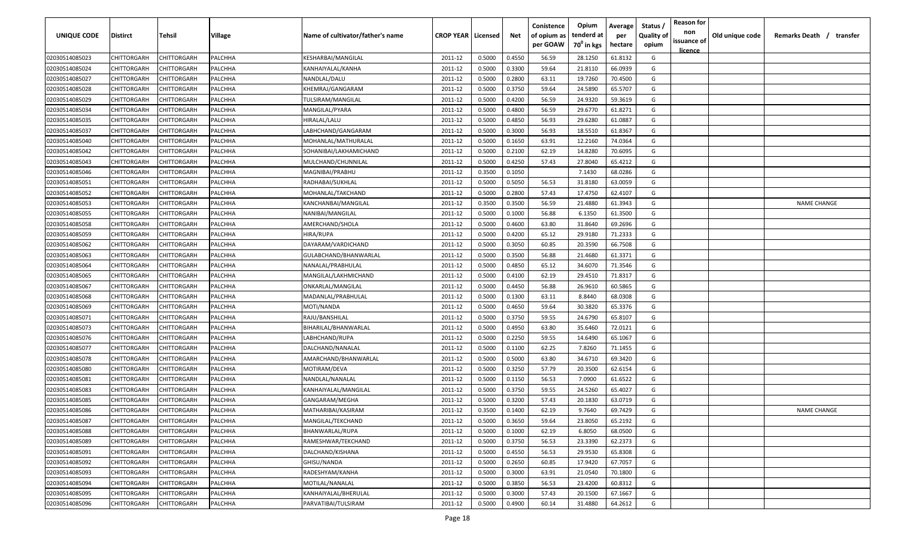| <b>UNIQUE CODE</b> | Distirct           | Tehsil      | Village | Name of cultivator/father's name | <b>CROP YEAR   Licensed</b> |        | Net    | Conistence<br>of opium as | Opium<br>tenderd at    | Average<br>per | Status /<br><b>Quality of</b> | <b>Reason for</b><br>non      | Old unique code | Remarks Death /<br>transfer |
|--------------------|--------------------|-------------|---------|----------------------------------|-----------------------------|--------|--------|---------------------------|------------------------|----------------|-------------------------------|-------------------------------|-----------------|-----------------------------|
|                    |                    |             |         |                                  |                             |        |        | per GOAW                  | 70 <sup>0</sup> in kgs | hectare        | opium                         | issuance of<br><u>licence</u> |                 |                             |
| 02030514085023     | CHITTORGARH        | CHITTORGARH | PALCHHA | KESHARBAI/MANGILAL               | 2011-12                     | 0.5000 | 0.4550 | 56.59                     | 28.1250                | 61.8132        | G                             |                               |                 |                             |
| 02030514085024     | CHITTORGARH        | CHITTORGARH | PALCHHA | KANHAIYALAL/KANHA                | 2011-12                     | 0.5000 | 0.3300 | 59.64                     | 21.8110                | 66.0939        | G                             |                               |                 |                             |
| 02030514085027     | CHITTORGARH        | CHITTORGARH | PALCHHA | NANDLAL/DALU                     | 2011-12                     | 0.5000 | 0.2800 | 63.11                     | 19.7260                | 70.4500        | G                             |                               |                 |                             |
| 02030514085028     | CHITTORGARH        | CHITTORGARH | PALCHHA | KHEMRAJ/GANGARAM                 | 2011-12                     | 0.5000 | 0.3750 | 59.64                     | 24.5890                | 65.5707        | G                             |                               |                 |                             |
| 02030514085029     | CHITTORGARH        | CHITTORGARH | PALCHHA | TULSIRAM/MANGILAL                | 2011-12                     | 0.5000 | 0.4200 | 56.59                     | 24.9320                | 59.3619        | G                             |                               |                 |                             |
| 02030514085034     | CHITTORGARH        | CHITTORGARH | PALCHHA | MANGILAL/PYARA                   | 2011-12                     | 0.5000 | 0.4800 | 56.59                     | 29.6770                | 61.8271        | G                             |                               |                 |                             |
| 02030514085035     | CHITTORGARH        | CHITTORGARH | PALCHHA | HIRALAL/LALU                     | 2011-12                     | 0.5000 | 0.4850 | 56.93                     | 29.6280                | 61.0887        | G                             |                               |                 |                             |
| 02030514085037     | CHITTORGARH        | CHITTORGARH | PALCHHA | LABHCHAND/GANGARAM               | 2011-12                     | 0.5000 | 0.3000 | 56.93                     | 18.5510                | 61.8367        | G                             |                               |                 |                             |
| 02030514085040     | CHITTORGARH        | CHITTORGARH | PALCHHA | MOHANLAL/MATHURALAL              | 2011-12                     | 0.5000 | 0.1650 | 63.91                     | 12.2160                | 74.0364        | G                             |                               |                 |                             |
| 02030514085042     | CHITTORGARH        | CHITTORGARH | PALCHHA | SOHANIBAI/LAKHAMICHAND           | 2011-12                     | 0.5000 | 0.2100 | 62.19                     | 14.8280                | 70.6095        | G                             |                               |                 |                             |
| 02030514085043     | CHITTORGARH        | CHITTORGARH | PALCHHA | MULCHAND/CHUNNILAL               | 2011-12                     | 0.5000 | 0.4250 | 57.43                     | 27.8040                | 65.4212        | G                             |                               |                 |                             |
| 02030514085046     | CHITTORGARH        | CHITTORGARH | PALCHHA | MAGNIBAI/PRABHU                  | 2011-12                     | 0.3500 | 0.1050 |                           | 7.1430                 | 68.0286        | G                             |                               |                 |                             |
| 02030514085051     | CHITTORGARH        | CHITTORGARH | PALCHHA | RADHABAI/SUKHLAL                 | 2011-12                     | 0.5000 | 0.5050 | 56.53                     | 31.8180                | 63.0059        | G                             |                               |                 |                             |
| 02030514085052     | CHITTORGARH        | CHITTORGARH | PALCHHA | MOHANLAL/TAKCHAND                | 2011-12                     | 0.5000 | 0.2800 | 57.43                     | 17.4750                | 62.4107        | G                             |                               |                 |                             |
| 02030514085053     | CHITTORGARH        | CHITTORGARH | PALCHHA | KANCHANBAI/MANGILAL              | 2011-12                     | 0.3500 | 0.3500 | 56.59                     | 21.4880                | 61.3943        | G                             |                               |                 | <b>NAME CHANGE</b>          |
| 02030514085055     | CHITTORGARH        | CHITTORGARH | PALCHHA | NANIBAI/MANGILAL                 | 2011-12                     | 0.5000 | 0.1000 | 56.88                     | 6.1350                 | 61.3500        | G                             |                               |                 |                             |
| 02030514085058     | CHITTORGARH        | CHITTORGARH | PALCHHA | AMERCHAND/SHOLA                  | 2011-12                     | 0.5000 | 0.4600 | 63.80                     | 31.8640                | 69.2696        | G                             |                               |                 |                             |
| 02030514085059     | CHITTORGARH        | CHITTORGARH | PALCHHA | HIRA/RUPA                        | 2011-12                     | 0.5000 | 0.4200 | 65.12                     | 29.9180                | 71.2333        | G                             |                               |                 |                             |
| 02030514085062     | CHITTORGARH        | CHITTORGARH | PALCHHA | DAYARAM/VARDICHAND               | 2011-12                     | 0.5000 | 0.3050 | 60.85                     | 20.3590                | 66.7508        | G                             |                               |                 |                             |
| 02030514085063     | CHITTORGARH        | CHITTORGARH | PALCHHA | GULABCHAND/BHANWARLAL            | 2011-12                     | 0.5000 | 0.3500 | 56.88                     | 21.4680                | 61.3371        | G                             |                               |                 |                             |
| 02030514085064     | CHITTORGARH        | CHITTORGARH | PALCHHA | NANALAL/PRABHULAL                | 2011-12                     | 0.5000 | 0.4850 | 65.12                     | 34.6070                | 71.3546        | G                             |                               |                 |                             |
| 02030514085065     | CHITTORGARH        | CHITTORGARH | PALCHHA | MANGILAL/LAKHMICHAND             | 2011-12                     | 0.5000 | 0.4100 | 62.19                     | 29.4510                | 71.8317        | G                             |                               |                 |                             |
| 02030514085067     | CHITTORGARH        | CHITTORGARH | PALCHHA | ONKARLAL/MANGILAL                | 2011-12                     | 0.5000 | 0.4450 | 56.88                     | 26.9610                | 60.5865        | G                             |                               |                 |                             |
| 02030514085068     | CHITTORGARH        | CHITTORGARH | PALCHHA | MADANLAL/PRABHULAL               | 2011-12                     | 0.5000 | 0.1300 | 63.11                     | 8.8440                 | 68.0308        | G                             |                               |                 |                             |
| 02030514085069     | CHITTORGARH        | CHITTORGARH | PALCHHA | MOTI/NANDA                       | 2011-12                     | 0.5000 | 0.4650 | 59.64                     | 30.3820                | 65.3376        | G                             |                               |                 |                             |
| 02030514085071     | CHITTORGARH        | CHITTORGARH | PALCHHA | RAJU/BANSHILAL                   | 2011-12                     | 0.5000 | 0.3750 | 59.55                     | 24.6790                | 65.8107        | G                             |                               |                 |                             |
| 02030514085073     | CHITTORGARH        | CHITTORGARH | PALCHHA | BIHARILAL/BHANWARLAL             | 2011-12                     | 0.5000 | 0.4950 | 63.80                     | 35.6460                | 72.0121        | G                             |                               |                 |                             |
| 02030514085076     | CHITTORGARH        | CHITTORGARH | PALCHHA | LABHCHAND/RUPA                   | 2011-12                     | 0.5000 | 0.2250 | 59.55                     | 14.6490                | 65.1067        | G                             |                               |                 |                             |
| 02030514085077     | CHITTORGARH        | CHITTORGARH | PALCHHA | DALCHAND/NANALAL                 | 2011-12                     | 0.5000 | 0.1100 | 62.25                     | 7.8260                 | 71.1455        | G                             |                               |                 |                             |
| 02030514085078     | CHITTORGARH        | CHITTORGARH | PALCHHA | AMARCHAND/BHANWARLAL             | 2011-12                     | 0.5000 | 0.5000 | 63.80                     | 34.6710                | 69.3420        | G                             |                               |                 |                             |
| 02030514085080     | CHITTORGARH        | CHITTORGARH | PALCHHA | MOTIRAM/DEVA                     | 2011-12                     | 0.5000 | 0.3250 | 57.79                     | 20.3500                | 62.6154        | G                             |                               |                 |                             |
| 02030514085081     | CHITTORGARH        | CHITTORGARH | PALCHHA | NANDLAL/NANALAL                  | 2011-12                     | 0.5000 | 0.1150 | 56.53                     | 7.0900                 | 61.6522        | G                             |                               |                 |                             |
| 02030514085083     | CHITTORGARH        | CHITTORGARH | PALCHHA | KANHAIYALAL/MANGILAL             | 2011-12                     | 0.5000 | 0.3750 | 59.55                     | 24.5260                | 65.4027        | G                             |                               |                 |                             |
| 02030514085085     | CHITTORGARH        | CHITTORGARH | PALCHHA | GANGARAM/MEGHA                   | 2011-12                     | 0.5000 | 0.3200 | 57.43                     | 20.1830                | 63.0719        | G                             |                               |                 |                             |
| 02030514085086     | CHITTORGARH        | CHITTORGARH | PALCHHA | MATHARIBAI/KASIRAM               | 2011-12                     | 0.3500 | 0.1400 | 62.19                     | 9.7640                 | 69.7429        | G                             |                               |                 | <b>NAME CHANGE</b>          |
| 02030514085087     | <b>CHITTORGARH</b> | CHITTORGARH | PALCHHA | MANGILAL/TEKCHAND                | 2011-12                     | 0.5000 | 0.3650 | 59.64                     | 23.8050                | 65.2192        | G                             |                               |                 |                             |
| 02030514085088     | <b>CHITTORGARH</b> | CHITTORGARH | PALCHHA | BHANWARLAL/RUPA                  | 2011-12                     | 0.5000 | 0.1000 | 62.19                     | 6.8050                 | 68.0500        | G                             |                               |                 |                             |
| 02030514085089     | CHITTORGARH        | CHITTORGARH | PALCHHA | RAMESHWAR/TEKCHAND               | 2011-12                     | 0.5000 | 0.3750 | 56.53                     | 23.3390                | 62.2373        | G                             |                               |                 |                             |
| 02030514085091     | <b>CHITTORGARH</b> | CHITTORGARH | PALCHHA | DALCHAND/KISHANA                 | 2011-12                     | 0.5000 | 0.4550 | 56.53                     | 29.9530                | 65.8308        | G                             |                               |                 |                             |
| 02030514085092     | CHITTORGARH        | CHITTORGARH | PALCHHA | GHISU/NANDA                      | 2011-12                     | 0.5000 | 0.2650 | 60.85                     | 17.9420                | 67.7057        | G                             |                               |                 |                             |
| 02030514085093     | CHITTORGARH        | CHITTORGARH | PALCHHA | RADESHYAM/KANHA                  | 2011-12                     | 0.5000 | 0.3000 | 63.91                     | 21.0540                | 70.1800        | G                             |                               |                 |                             |
| 02030514085094     | CHITTORGARH        | CHITTORGARH | PALCHHA | MOTILAL/NANALAL                  | 2011-12                     | 0.5000 | 0.3850 | 56.53                     | 23.4200                | 60.8312        | G                             |                               |                 |                             |
| 02030514085095     | CHITTORGARH        | CHITTORGARH | PALCHHA | KANHAIYALAL/BHERULAL             | 2011-12                     | 0.5000 | 0.3000 | 57.43                     | 20.1500                | 67.1667        | G                             |                               |                 |                             |
| 02030514085096     | <b>CHITTORGARH</b> | CHITTORGARH | PALCHHA | PARVATIBAI/TULSIRAM              | 2011-12                     | 0.5000 | 0.4900 | 60.14                     | 31.4880                | 64.2612        | G                             |                               |                 |                             |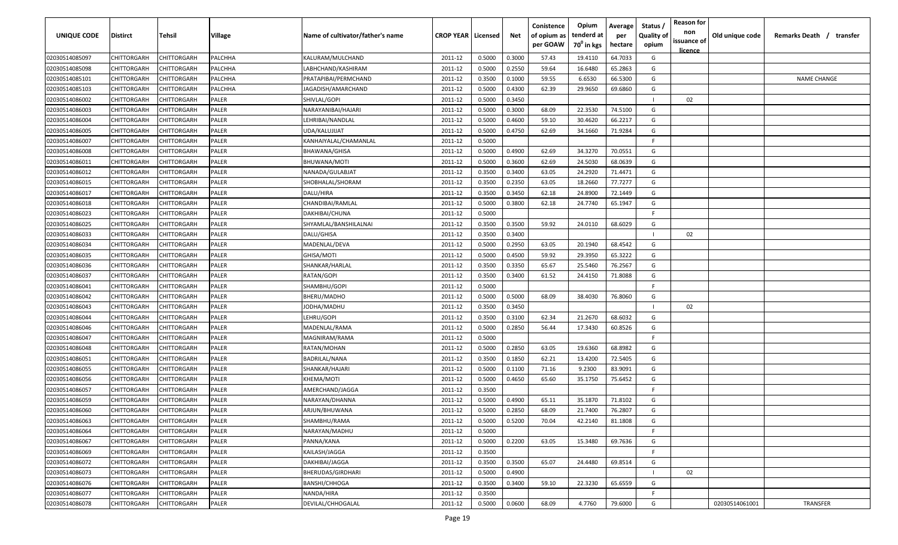| <u>licence</u><br>02030514085097<br>CHITTORGARH<br>CHITTORGARH<br>PALCHHA<br>0.5000<br>0.3000<br>57.43<br>19.4110<br>64.7033<br>G<br>KALURAM/MULCHAND<br>2011-12<br>0.5000<br>0.2550<br>59.64<br>16.6480<br>65.2863<br>G<br>02030514085098<br>CHITTORGARH<br>CHITTORGARH<br>PALCHHA<br>LABHCHAND/KASHIRAM<br>2011-12<br>02030514085101<br>CHITTORGARH<br>CHITTORGARH<br>PALCHHA<br>PRATAPIBAI/PERMCHAND<br>0.3500<br>0.1000<br>59.55<br>6.6530<br>66.5300<br>G<br><b>NAME CHANGE</b><br>2011-12<br>02030514085103<br>CHITTORGARH<br>CHITTORGARH<br>PALCHHA<br>JAGADISH/AMARCHAND<br>2011-12<br>0.5000<br>0.4300<br>62.39<br>29.9650<br>69.6860<br>G<br>02030514086002<br>CHITTORGARH<br>CHITTORGARH<br>PALER<br>SHIVLAL/GOPI<br>2011-12<br>0.5000<br>0.3450<br>02<br>02030514086003<br>CHITTORGARH<br>2011-12<br>0.5000<br>0.3000<br>68.09<br>22.3530<br>74.5100<br>CHITTORGARH<br>PALER<br>NARAYANIBAI/HAJARI<br>G<br>02030514086004<br>CHITTORGARH<br>CHITTORGARH<br>0.5000<br>0.4600<br>59.10<br>30.4620<br>66.2217<br>PALER<br>LEHRIBAI/NANDLAL<br>2011-12<br>G<br>71.9284<br>02030514086005<br>CHITTORGARH<br>CHITTORGARH<br>PALER<br>UDA/KALUJIJAT<br>2011-12<br>0.5000<br>0.4750<br>62.69<br>34.1660<br>G<br>02030514086007<br>CHITTORGARH<br>CHITTORGARH<br>PALER<br>KANHAIYALAL/CHAMANLAL<br>2011-12<br>0.5000<br>-F.<br>0.4900<br>62.69<br>34.3270<br>G<br>CHITTORGARH<br>PALER<br>2011-12<br>0.5000<br>70.0551<br>02030514086008<br>CHITTORGARH<br>BHAWANA/GHISA<br>62.69<br>CHITTORGARH<br>CHITTORGARH<br>PALER<br>2011-12<br>0.5000<br>0.3600<br>24.5030<br>68.0639<br>G<br>02030514086011<br>BHUWANA/MOTI<br>63.05<br>24.2920<br>71.4471<br>G<br>02030514086012<br>CHITTORGARH<br>CHITTORGARH<br>PALER<br>2011-12<br>0.3500<br>0.3400<br>NANADA/GULABJAT<br>63.05<br>77.7277<br>CHITTORGARH<br>CHITTORGARH<br>PALER<br>2011-12<br>0.3500<br>0.2350<br>18.2660<br>G<br>02030514086015<br>SHOBHALAL/SHORAM | transfer |
|------------------------------------------------------------------------------------------------------------------------------------------------------------------------------------------------------------------------------------------------------------------------------------------------------------------------------------------------------------------------------------------------------------------------------------------------------------------------------------------------------------------------------------------------------------------------------------------------------------------------------------------------------------------------------------------------------------------------------------------------------------------------------------------------------------------------------------------------------------------------------------------------------------------------------------------------------------------------------------------------------------------------------------------------------------------------------------------------------------------------------------------------------------------------------------------------------------------------------------------------------------------------------------------------------------------------------------------------------------------------------------------------------------------------------------------------------------------------------------------------------------------------------------------------------------------------------------------------------------------------------------------------------------------------------------------------------------------------------------------------------------------------------------------------------------------------------------------------------------------------------------------------------------------------|----------|
|                                                                                                                                                                                                                                                                                                                                                                                                                                                                                                                                                                                                                                                                                                                                                                                                                                                                                                                                                                                                                                                                                                                                                                                                                                                                                                                                                                                                                                                                                                                                                                                                                                                                                                                                                                                                                                                                                                                        |          |
|                                                                                                                                                                                                                                                                                                                                                                                                                                                                                                                                                                                                                                                                                                                                                                                                                                                                                                                                                                                                                                                                                                                                                                                                                                                                                                                                                                                                                                                                                                                                                                                                                                                                                                                                                                                                                                                                                                                        |          |
|                                                                                                                                                                                                                                                                                                                                                                                                                                                                                                                                                                                                                                                                                                                                                                                                                                                                                                                                                                                                                                                                                                                                                                                                                                                                                                                                                                                                                                                                                                                                                                                                                                                                                                                                                                                                                                                                                                                        |          |
|                                                                                                                                                                                                                                                                                                                                                                                                                                                                                                                                                                                                                                                                                                                                                                                                                                                                                                                                                                                                                                                                                                                                                                                                                                                                                                                                                                                                                                                                                                                                                                                                                                                                                                                                                                                                                                                                                                                        |          |
|                                                                                                                                                                                                                                                                                                                                                                                                                                                                                                                                                                                                                                                                                                                                                                                                                                                                                                                                                                                                                                                                                                                                                                                                                                                                                                                                                                                                                                                                                                                                                                                                                                                                                                                                                                                                                                                                                                                        |          |
|                                                                                                                                                                                                                                                                                                                                                                                                                                                                                                                                                                                                                                                                                                                                                                                                                                                                                                                                                                                                                                                                                                                                                                                                                                                                                                                                                                                                                                                                                                                                                                                                                                                                                                                                                                                                                                                                                                                        |          |
|                                                                                                                                                                                                                                                                                                                                                                                                                                                                                                                                                                                                                                                                                                                                                                                                                                                                                                                                                                                                                                                                                                                                                                                                                                                                                                                                                                                                                                                                                                                                                                                                                                                                                                                                                                                                                                                                                                                        |          |
|                                                                                                                                                                                                                                                                                                                                                                                                                                                                                                                                                                                                                                                                                                                                                                                                                                                                                                                                                                                                                                                                                                                                                                                                                                                                                                                                                                                                                                                                                                                                                                                                                                                                                                                                                                                                                                                                                                                        |          |
|                                                                                                                                                                                                                                                                                                                                                                                                                                                                                                                                                                                                                                                                                                                                                                                                                                                                                                                                                                                                                                                                                                                                                                                                                                                                                                                                                                                                                                                                                                                                                                                                                                                                                                                                                                                                                                                                                                                        |          |
|                                                                                                                                                                                                                                                                                                                                                                                                                                                                                                                                                                                                                                                                                                                                                                                                                                                                                                                                                                                                                                                                                                                                                                                                                                                                                                                                                                                                                                                                                                                                                                                                                                                                                                                                                                                                                                                                                                                        |          |
|                                                                                                                                                                                                                                                                                                                                                                                                                                                                                                                                                                                                                                                                                                                                                                                                                                                                                                                                                                                                                                                                                                                                                                                                                                                                                                                                                                                                                                                                                                                                                                                                                                                                                                                                                                                                                                                                                                                        |          |
|                                                                                                                                                                                                                                                                                                                                                                                                                                                                                                                                                                                                                                                                                                                                                                                                                                                                                                                                                                                                                                                                                                                                                                                                                                                                                                                                                                                                                                                                                                                                                                                                                                                                                                                                                                                                                                                                                                                        |          |
|                                                                                                                                                                                                                                                                                                                                                                                                                                                                                                                                                                                                                                                                                                                                                                                                                                                                                                                                                                                                                                                                                                                                                                                                                                                                                                                                                                                                                                                                                                                                                                                                                                                                                                                                                                                                                                                                                                                        |          |
| PALER<br>2011-12<br>0.3450<br>62.18<br>24.8900<br>72.1449<br>G<br>CHITTORGARH<br>CHITTORGARH<br>DALU/HIRA<br>0.3500<br>02030514086017                                                                                                                                                                                                                                                                                                                                                                                                                                                                                                                                                                                                                                                                                                                                                                                                                                                                                                                                                                                                                                                                                                                                                                                                                                                                                                                                                                                                                                                                                                                                                                                                                                                                                                                                                                                  |          |
| PALER<br>65.1947<br>CHITTORGARH<br>CHITTORGARH<br>2011-12<br>0.5000<br>0.3800<br>62.18<br>24.7740<br>G<br>02030514086018<br>CHANDIBAI/RAMLAL                                                                                                                                                                                                                                                                                                                                                                                                                                                                                                                                                                                                                                                                                                                                                                                                                                                                                                                                                                                                                                                                                                                                                                                                                                                                                                                                                                                                                                                                                                                                                                                                                                                                                                                                                                           |          |
| CHITTORGARH<br>CHITTORGARH<br>PALER<br>0.5000<br>F.<br>02030514086023<br>2011-12<br>DAKHIBAI/CHUNA                                                                                                                                                                                                                                                                                                                                                                                                                                                                                                                                                                                                                                                                                                                                                                                                                                                                                                                                                                                                                                                                                                                                                                                                                                                                                                                                                                                                                                                                                                                                                                                                                                                                                                                                                                                                                     |          |
| 0.3500<br>0.3500<br>68.6029<br>02030514086025<br>CHITTORGARH<br>CHITTORGARH<br>PALER<br>SHYAMLAL/BANSHILALNAI<br>2011-12<br>59.92<br>24.0110<br>G                                                                                                                                                                                                                                                                                                                                                                                                                                                                                                                                                                                                                                                                                                                                                                                                                                                                                                                                                                                                                                                                                                                                                                                                                                                                                                                                                                                                                                                                                                                                                                                                                                                                                                                                                                      |          |
| CHITTORGARH<br>CHITTORGARH<br>PALER<br>DALU/GHISA<br>2011-12<br>0.3500<br>0.3400<br>02<br>02030514086033                                                                                                                                                                                                                                                                                                                                                                                                                                                                                                                                                                                                                                                                                                                                                                                                                                                                                                                                                                                                                                                                                                                                                                                                                                                                                                                                                                                                                                                                                                                                                                                                                                                                                                                                                                                                               |          |
| 68.4542<br>CHITTORGARH<br>PALER<br>0.5000<br>0.2950<br>63.05<br>20.1940<br>G<br>02030514086034<br>CHITTORGARH<br>MADENLAL/DEVA<br>2011-12                                                                                                                                                                                                                                                                                                                                                                                                                                                                                                                                                                                                                                                                                                                                                                                                                                                                                                                                                                                                                                                                                                                                                                                                                                                                                                                                                                                                                                                                                                                                                                                                                                                                                                                                                                              |          |
| PALER<br>0.4500<br>29.3950<br>65.3222<br>02030514086035<br>CHITTORGARH<br>CHITTORGARH<br>GHISA/MOTI<br>2011-12<br>0.5000<br>59.92<br>G                                                                                                                                                                                                                                                                                                                                                                                                                                                                                                                                                                                                                                                                                                                                                                                                                                                                                                                                                                                                                                                                                                                                                                                                                                                                                                                                                                                                                                                                                                                                                                                                                                                                                                                                                                                 |          |
| CHITTORGARH<br>65.67<br>25.5460<br>76.2567<br>02030514086036<br>CHITTORGARH<br>PALER<br>SHANKAR/HARLAL<br>2011-12<br>0.3500<br>0.3350<br>G                                                                                                                                                                                                                                                                                                                                                                                                                                                                                                                                                                                                                                                                                                                                                                                                                                                                                                                                                                                                                                                                                                                                                                                                                                                                                                                                                                                                                                                                                                                                                                                                                                                                                                                                                                             |          |
| CHITTORGARH<br>PALER<br>2011-12<br>0.3500<br>24.4150<br>71.8088<br>02030514086037<br>CHITTORGARH<br>RATAN/GOPI<br>0.3400<br>61.52<br>G                                                                                                                                                                                                                                                                                                                                                                                                                                                                                                                                                                                                                                                                                                                                                                                                                                                                                                                                                                                                                                                                                                                                                                                                                                                                                                                                                                                                                                                                                                                                                                                                                                                                                                                                                                                 |          |
| 02030514086041<br>CHITTORGARH<br>CHITTORGARH<br>PALER<br>2011-12<br>0.5000<br>SHAMBHU/GOPI<br>-F.                                                                                                                                                                                                                                                                                                                                                                                                                                                                                                                                                                                                                                                                                                                                                                                                                                                                                                                                                                                                                                                                                                                                                                                                                                                                                                                                                                                                                                                                                                                                                                                                                                                                                                                                                                                                                      |          |
| 02030514086042<br>CHITTORGARH<br>CHITTORGARH<br>PALER<br>2011-12<br>0.5000<br>0.5000<br>38.4030<br>G<br>BHERU/MADHO<br>68.09<br>76.8060                                                                                                                                                                                                                                                                                                                                                                                                                                                                                                                                                                                                                                                                                                                                                                                                                                                                                                                                                                                                                                                                                                                                                                                                                                                                                                                                                                                                                                                                                                                                                                                                                                                                                                                                                                                |          |
| 02030514086043<br>CHITTORGARH<br>CHITTORGARH<br>PALER<br>2011-12<br>0.3500<br>0.3450<br>02<br>JODHA/MADHU                                                                                                                                                                                                                                                                                                                                                                                                                                                                                                                                                                                                                                                                                                                                                                                                                                                                                                                                                                                                                                                                                                                                                                                                                                                                                                                                                                                                                                                                                                                                                                                                                                                                                                                                                                                                              |          |
| 02030514086044<br>CHITTORGARH<br>CHITTORGARH<br>PALER<br>2011-12<br>0.3500<br>0.3100<br>62.34<br>21.2670<br>68.6032<br>G<br>LEHRU/GOPI                                                                                                                                                                                                                                                                                                                                                                                                                                                                                                                                                                                                                                                                                                                                                                                                                                                                                                                                                                                                                                                                                                                                                                                                                                                                                                                                                                                                                                                                                                                                                                                                                                                                                                                                                                                 |          |
| G<br>PALER<br>2011-12<br>0.5000<br>0.2850<br>56.44<br>60.8526<br>02030514086046<br>CHITTORGARH<br>CHITTORGARH<br>MADENLAL/RAMA<br>17.3430                                                                                                                                                                                                                                                                                                                                                                                                                                                                                                                                                                                                                                                                                                                                                                                                                                                                                                                                                                                                                                                                                                                                                                                                                                                                                                                                                                                                                                                                                                                                                                                                                                                                                                                                                                              |          |
| CHITTORGARH<br>PALER<br>0.5000<br>-F.<br>02030514086047<br>CHITTORGARH<br>MAGNIRAM/RAMA<br>2011-12                                                                                                                                                                                                                                                                                                                                                                                                                                                                                                                                                                                                                                                                                                                                                                                                                                                                                                                                                                                                                                                                                                                                                                                                                                                                                                                                                                                                                                                                                                                                                                                                                                                                                                                                                                                                                     |          |
| G<br>CHITTORGARH<br>CHITTORGARH<br>PALER<br>2011-12<br>0.5000<br>0.2850<br>63.05<br>19.6360<br>68.8982<br>02030514086048<br>RATAN/MOHAN                                                                                                                                                                                                                                                                                                                                                                                                                                                                                                                                                                                                                                                                                                                                                                                                                                                                                                                                                                                                                                                                                                                                                                                                                                                                                                                                                                                                                                                                                                                                                                                                                                                                                                                                                                                |          |
| 62.21<br>CHITTORGARH<br>CHITTORGARH<br>PALER<br>2011-12<br>0.3500<br>0.1850<br>13.4200<br>72.5405<br>G<br>02030514086051<br>BADRILAL/NANA                                                                                                                                                                                                                                                                                                                                                                                                                                                                                                                                                                                                                                                                                                                                                                                                                                                                                                                                                                                                                                                                                                                                                                                                                                                                                                                                                                                                                                                                                                                                                                                                                                                                                                                                                                              |          |
| 0.1100<br>71.16<br>83.9091<br>G<br>CHITTORGARH<br>CHITTORGARH<br>PALER<br>2011-12<br>0.5000<br>9.2300<br>02030514086055<br>SHANKAR/HAJARI                                                                                                                                                                                                                                                                                                                                                                                                                                                                                                                                                                                                                                                                                                                                                                                                                                                                                                                                                                                                                                                                                                                                                                                                                                                                                                                                                                                                                                                                                                                                                                                                                                                                                                                                                                              |          |
| 02030514086056<br>CHITTORGARH<br>CHITTORGARH<br>PALER<br>KHEMA/MOTI<br>2011-12<br>0.5000<br>0.4650<br>65.60<br>75.6452<br>G<br>35.1750                                                                                                                                                                                                                                                                                                                                                                                                                                                                                                                                                                                                                                                                                                                                                                                                                                                                                                                                                                                                                                                                                                                                                                                                                                                                                                                                                                                                                                                                                                                                                                                                                                                                                                                                                                                 |          |
| 02030514086057<br>CHITTORGARH<br>CHITTORGARH<br>PALER<br>2011-12<br>0.3500<br>-F<br>AMERCHAND/JAGGA                                                                                                                                                                                                                                                                                                                                                                                                                                                                                                                                                                                                                                                                                                                                                                                                                                                                                                                                                                                                                                                                                                                                                                                                                                                                                                                                                                                                                                                                                                                                                                                                                                                                                                                                                                                                                    |          |
| PALER<br>2011-12<br>0.5000<br>0.4900<br>71.8102<br>G<br>02030514086059<br>CHITTORGARH<br>CHITTORGARH<br>NARAYAN/DHANNA<br>65.11<br>35.1870                                                                                                                                                                                                                                                                                                                                                                                                                                                                                                                                                                                                                                                                                                                                                                                                                                                                                                                                                                                                                                                                                                                                                                                                                                                                                                                                                                                                                                                                                                                                                                                                                                                                                                                                                                             |          |
| 2011-12<br>0.5000<br>0.2850<br>68.09<br>21.7400<br>76.2807<br>G<br>02030514086060<br>CHITTORGARH<br>CHITTORGARH<br>PALER<br>ARJUN/BHUWANA                                                                                                                                                                                                                                                                                                                                                                                                                                                                                                                                                                                                                                                                                                                                                                                                                                                                                                                                                                                                                                                                                                                                                                                                                                                                                                                                                                                                                                                                                                                                                                                                                                                                                                                                                                              |          |
| 02030514086063<br>PALER<br>0.5200<br>81.1808<br><b>CHITTORGARH</b><br>CHITTORGARH<br>SHAMBHU/RAMA<br>2011-12<br>0.5000<br>70.04<br>42.2140<br>G                                                                                                                                                                                                                                                                                                                                                                                                                                                                                                                                                                                                                                                                                                                                                                                                                                                                                                                                                                                                                                                                                                                                                                                                                                                                                                                                                                                                                                                                                                                                                                                                                                                                                                                                                                        |          |
| CHITTORGARH<br>PALER<br>2011-12<br>0.5000<br>F.<br>02030514086064<br>CHITTORGARH<br>NARAYAN/MADHU                                                                                                                                                                                                                                                                                                                                                                                                                                                                                                                                                                                                                                                                                                                                                                                                                                                                                                                                                                                                                                                                                                                                                                                                                                                                                                                                                                                                                                                                                                                                                                                                                                                                                                                                                                                                                      |          |
| <b>CHITTORGARH</b><br>PALER<br>PANNA/KANA<br>0.5000<br>0.2200<br>15.3480<br>G<br>02030514086067<br>CHITTORGARH<br>2011-12<br>63.05<br>69.7636                                                                                                                                                                                                                                                                                                                                                                                                                                                                                                                                                                                                                                                                                                                                                                                                                                                                                                                                                                                                                                                                                                                                                                                                                                                                                                                                                                                                                                                                                                                                                                                                                                                                                                                                                                          |          |
| 0.3500<br>02030514086069<br><b>CHITTORGARH</b><br>CHITTORGARH<br>PALER<br>KAILASH/JAGGA<br>2011-12<br>F.                                                                                                                                                                                                                                                                                                                                                                                                                                                                                                                                                                                                                                                                                                                                                                                                                                                                                                                                                                                                                                                                                                                                                                                                                                                                                                                                                                                                                                                                                                                                                                                                                                                                                                                                                                                                               |          |
| CHITTORGARH<br>0.3500<br>0.3500<br>69.8514<br>G<br>02030514086072<br>CHITTORGARH<br>PALER<br>DAKHIBAI/JAGGA<br>2011-12<br>65.07<br>24.4480                                                                                                                                                                                                                                                                                                                                                                                                                                                                                                                                                                                                                                                                                                                                                                                                                                                                                                                                                                                                                                                                                                                                                                                                                                                                                                                                                                                                                                                                                                                                                                                                                                                                                                                                                                             |          |
| 0.5000<br>0.4900<br>02<br>02030514086073<br>CHITTORGARH<br>CHITTORGARH<br>PALER<br>BHERUDAS/GIRDHARI<br>2011-12                                                                                                                                                                                                                                                                                                                                                                                                                                                                                                                                                                                                                                                                                                                                                                                                                                                                                                                                                                                                                                                                                                                                                                                                                                                                                                                                                                                                                                                                                                                                                                                                                                                                                                                                                                                                        |          |
| 02030514086076<br><b>CHITTORGARH</b><br>CHITTORGARH<br>PALER<br>BANSHI/CHHOGA<br>2011-12<br>0.3500<br>0.3400<br>59.10<br>22.3230<br>65.6559<br>G                                                                                                                                                                                                                                                                                                                                                                                                                                                                                                                                                                                                                                                                                                                                                                                                                                                                                                                                                                                                                                                                                                                                                                                                                                                                                                                                                                                                                                                                                                                                                                                                                                                                                                                                                                       |          |
| F.<br>02030514086077<br>CHITTORGARH<br>PALER<br>NANDA/HIRA<br>2011-12<br>0.3500<br>CHITTORGARH                                                                                                                                                                                                                                                                                                                                                                                                                                                                                                                                                                                                                                                                                                                                                                                                                                                                                                                                                                                                                                                                                                                                                                                                                                                                                                                                                                                                                                                                                                                                                                                                                                                                                                                                                                                                                         |          |
| G<br>PALER<br>0.5000<br>0.0600<br>4.7760<br>79.6000<br>TRANSFER<br>02030514086078<br>CHITTORGARH<br><b>CHITTORGARH</b><br>DEVILAL/CHHOGALAL<br>2011-12<br>68.09<br>02030514061001                                                                                                                                                                                                                                                                                                                                                                                                                                                                                                                                                                                                                                                                                                                                                                                                                                                                                                                                                                                                                                                                                                                                                                                                                                                                                                                                                                                                                                                                                                                                                                                                                                                                                                                                      |          |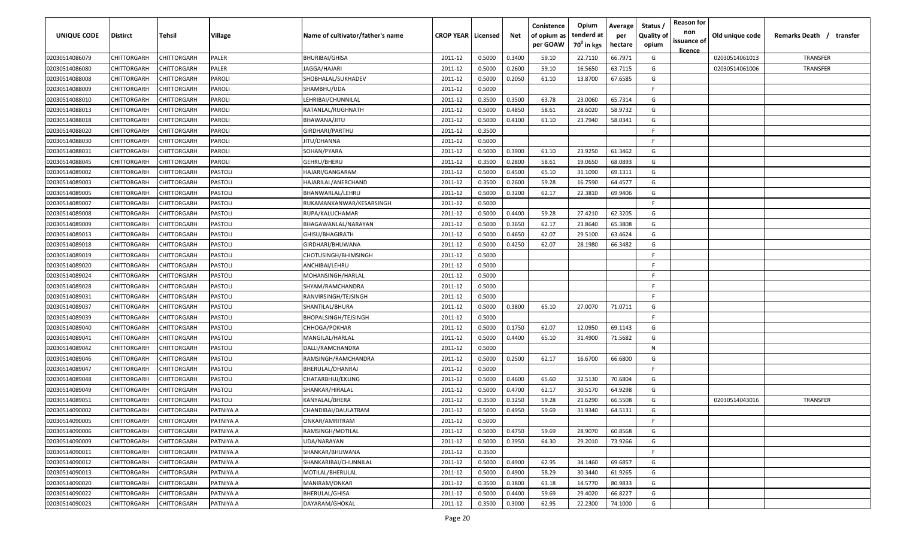| UNIQUE CODE    | Distirct           | Tehsil      | Village   | Name of cultivator/father's name | <b>CROP YEAR   Licensed</b> |        | Net    | Conistence<br>of opium as<br>per GOAW | Opium<br>tenderd at<br>70 <sup>°</sup> in kgs | Average<br>per<br>hectare | Status /<br><b>Quality of</b><br>opium | <b>Reason for</b><br>non<br>issuance of<br><u>licence</u> | Old unique code | Remarks Death / transfer |
|----------------|--------------------|-------------|-----------|----------------------------------|-----------------------------|--------|--------|---------------------------------------|-----------------------------------------------|---------------------------|----------------------------------------|-----------------------------------------------------------|-----------------|--------------------------|
| 02030514086079 | CHITTORGARH        | CHITTORGARH | PALER     | <b>BHURIBAI/GHISA</b>            | 2011-12                     | 0.5000 | 0.3400 | 59.10                                 | 22.7110                                       | 66.7971                   | G                                      |                                                           | 02030514061013  | TRANSFER                 |
| 02030514086080 | CHITTORGARH        | CHITTORGARH | PALER     | JAGGA/HAJARI                     | 2011-12                     | 0.5000 | 0.2600 | 59.10                                 | 16.5650                                       | 63.7115                   | G                                      |                                                           | 02030514061006  | TRANSFER                 |
| 02030514088008 | CHITTORGARH        | CHITTORGARH | PAROLI    | SHOBHALAL/SUKHADEV               | 2011-12                     | 0.5000 | 0.2050 | 61.10                                 | 13.8700                                       | 67.6585                   | G                                      |                                                           |                 |                          |
| 02030514088009 | CHITTORGARH        | CHITTORGARH | PAROLI    | SHAMBHU/UDA                      | 2011-12                     | 0.5000 |        |                                       |                                               |                           | -F.                                    |                                                           |                 |                          |
| 02030514088010 | CHITTORGARH        | CHITTORGARH | PAROLI    | LEHRIBAI/CHUNNILAL               | 2011-12                     | 0.3500 | 0.3500 | 63.78                                 | 23.0060                                       | 65.7314                   | G                                      |                                                           |                 |                          |
| 02030514088013 | CHITTORGARH        | CHITTORGARH | PAROLI    | RATANLAL/RUGHNATH                | 2011-12                     | 0.5000 | 0.4850 | 58.61                                 | 28.6020                                       | 58.9732                   | G                                      |                                                           |                 |                          |
| 02030514088018 | <b>CHITTORGARH</b> | CHITTORGARH | PAROLI    | BHAWANA/JITU                     | 2011-12                     | 0.5000 | 0.4100 | 61.10                                 | 23.7940                                       | 58.0341                   | G                                      |                                                           |                 |                          |
| 02030514088020 | CHITTORGARH        | CHITTORGARH | PAROLI    | GIRDHARI/PARTHU                  | 2011-12                     | 0.3500 |        |                                       |                                               |                           | -F.                                    |                                                           |                 |                          |
| 02030514088030 | CHITTORGARH        | CHITTORGARH | PAROLI    | JITU/DHANNA                      | 2011-12                     | 0.5000 |        |                                       |                                               |                           | F.                                     |                                                           |                 |                          |
| 02030514088031 | CHITTORGARH        | CHITTORGARH | PAROLI    | SOHAN/PYARA                      | 2011-12                     | 0.5000 | 0.3900 | 61.10                                 | 23.9250                                       | 61.3462                   | G                                      |                                                           |                 |                          |
| 02030514088045 | CHITTORGARH        | CHITTORGARH | PAROLI    | GEHRU/BHERU                      | 2011-12                     | 0.3500 | 0.2800 | 58.61                                 | 19.0650                                       | 68.0893                   | G                                      |                                                           |                 |                          |
| 02030514089002 | CHITTORGARH        | CHITTORGARH | PASTOLI   | HAJARI/GANGARAM                  | 2011-12                     | 0.5000 | 0.4500 | 65.10                                 | 31.1090                                       | 69.1311                   | G                                      |                                                           |                 |                          |
| 02030514089003 | CHITTORGARH        | CHITTORGARH | PASTOLI   | HAJARILAL/ANERCHAND              | 2011-12                     | 0.3500 | 0.2600 | 59.28                                 | 16.7590                                       | 64.4577                   | G                                      |                                                           |                 |                          |
| 02030514089005 | CHITTORGARH        | CHITTORGARH | PASTOLI   | BHANWARLAL/LEHRU                 | 2011-12                     | 0.5000 | 0.3200 | 62.17                                 | 22.3810                                       | 69.9406                   | G                                      |                                                           |                 |                          |
| 02030514089007 | CHITTORGARH        | CHITTORGARH | PASTOLI   | RUKAMANKANWAR/KESARSINGH         | 2011-12                     | 0.5000 |        |                                       |                                               |                           | -F.                                    |                                                           |                 |                          |
| 02030514089008 | CHITTORGARH        | CHITTORGARH | PASTOLI   | RUPA/KALUCHAMAR                  | 2011-12                     | 0.5000 | 0.4400 | 59.28                                 | 27.4210                                       | 62.3205                   | G                                      |                                                           |                 |                          |
| 02030514089009 | CHITTORGARH        | CHITTORGARH | PASTOLI   | BHAGAWANLAL/NARAYAN              | 2011-12                     | 0.5000 | 0.3650 | 62.17                                 | 23.8640                                       | 65.3808                   | G                                      |                                                           |                 |                          |
| 02030514089013 | CHITTORGARH        | CHITTORGARH | PASTOLI   | GHISU/BHAGIRATH                  | 2011-12                     | 0.5000 | 0.4650 | 62.07                                 | 29.5100                                       | 63.4624                   | G                                      |                                                           |                 |                          |
| 02030514089018 | CHITTORGARH        | CHITTORGARH | PASTOLI   | GIRDHARI/BHUWANA                 | 2011-12                     | 0.5000 | 0.4250 | 62.07                                 | 28.1980                                       | 66.3482                   | G                                      |                                                           |                 |                          |
| 02030514089019 | CHITTORGARH        | CHITTORGARH | PASTOLI   | CHOTUSINGH/BHIMSINGH             | 2011-12                     | 0.5000 |        |                                       |                                               |                           | F.                                     |                                                           |                 |                          |
| 02030514089020 | CHITTORGARH        | CHITTORGARH | PASTOLI   | ANCHIBAI/LEHRU                   | 2011-12                     | 0.5000 |        |                                       |                                               |                           | -F.                                    |                                                           |                 |                          |
| 02030514089024 | CHITTORGARH        | CHITTORGARH | PASTOLI   | MOHANSINGH/HARLAL                | 2011-12                     | 0.5000 |        |                                       |                                               |                           | -F.                                    |                                                           |                 |                          |
| 02030514089028 | CHITTORGARH        | CHITTORGARH | PASTOLI   | SHYAM/RAMCHANDRA                 | 2011-12                     | 0.5000 |        |                                       |                                               |                           | -F.                                    |                                                           |                 |                          |
| 02030514089031 | CHITTORGARH        | CHITTORGARH | PASTOLI   | RANVIRSINGH/TEJSINGH             | 2011-12                     | 0.5000 |        |                                       |                                               |                           | -F.                                    |                                                           |                 |                          |
| 02030514089037 | CHITTORGARH        | CHITTORGARH | PASTOLI   | SHANTILAL/BHURA                  | 2011-12                     | 0.5000 | 0.3800 | 65.10                                 | 27.0070                                       | 71.0711                   | G                                      |                                                           |                 |                          |
| 02030514089039 | CHITTORGARH        | CHITTORGARH | PASTOLI   | BHOPALSINGH/TEJSINGH             | 2011-12                     | 0.5000 |        |                                       |                                               |                           | -F.                                    |                                                           |                 |                          |
| 02030514089040 | CHITTORGARH        | CHITTORGARH | PASTOLI   | CHHOGA/POKHAR                    | 2011-12                     | 0.5000 | 0.1750 | 62.07                                 | 12.0950                                       | 69.1143                   | G                                      |                                                           |                 |                          |
| 02030514089041 | CHITTORGARH        | CHITTORGARH | PASTOLI   | MANGILAL/HARLAL                  | 2011-12                     | 0.5000 | 0.4400 | 65.10                                 | 31.4900                                       | 71.5682                   | G                                      |                                                           |                 |                          |
| 02030514089042 | CHITTORGARH        | CHITTORGARH | PASTOLI   | DALLI/RAMCHANDRA                 | 2011-12                     | 0.5000 |        |                                       |                                               |                           | N                                      |                                                           |                 |                          |
| 02030514089046 | CHITTORGARH        | CHITTORGARH | PASTOLI   | RAMSINGH/RAMCHANDRA              | 2011-12                     | 0.5000 | 0.2500 | 62.17                                 | 16.6700                                       | 66.6800                   | G                                      |                                                           |                 |                          |
| 02030514089047 | CHITTORGARH        | CHITTORGARH | PASTOLI   | BHERULAL/DHANRAJ                 | 2011-12                     | 0.5000 |        |                                       |                                               |                           | -F.                                    |                                                           |                 |                          |
| 02030514089048 | CHITTORGARH        | CHITTORGARH | PASTOLI   | CHATARBHUJ/EKLING                | 2011-12                     | 0.5000 | 0.4600 | 65.60                                 | 32.5130                                       | 70.6804                   | G                                      |                                                           |                 |                          |
| 02030514089049 | CHITTORGARH        | CHITTORGARH | PASTOLI   | SHANKAR/HIRALAL                  | 2011-12                     | 0.5000 | 0.4700 | 62.17                                 | 30.5170                                       | 64.9298                   | G                                      |                                                           |                 |                          |
| 02030514089051 | CHITTORGARH        | CHITTORGARH | PASTOLI   | KANYALAL/BHERA                   | 2011-12                     | 0.3500 | 0.3250 | 59.28                                 | 21.6290                                       | 66.5508                   | G                                      |                                                           | 02030514043016  | TRANSFER                 |
| 02030514090002 | CHITTORGARH        | CHITTORGARH | PATNIYA A | CHANDIBAI/DAULATRAM              | 2011-12                     | 0.5000 | 0.4950 | 59.69                                 | 31.9340                                       | 64.5131                   | G                                      |                                                           |                 |                          |
| 02030514090005 | <b>CHITTORGARH</b> | CHITTORGARH | PATNIYA A | ONKAR/AMRITRAM                   | 2011-12                     | 0.5000 |        |                                       |                                               |                           | F.                                     |                                                           |                 |                          |
| 02030514090006 | <b>CHITTORGARH</b> | CHITTORGARH | PATNIYA A | RAMSINGH/MOTILAL                 | 2011-12                     | 0.5000 | 0.4750 | 59.69                                 | 28.9070                                       | 60.8568                   | G                                      |                                                           |                 |                          |
| 02030514090009 | CHITTORGARH        | CHITTORGARH | PATNIYA A | UDA/NARAYAN                      | 2011-12                     | 0.5000 | 0.3950 | 64.30                                 | 29.2010                                       | 73.9266                   | G                                      |                                                           |                 |                          |
| 02030514090011 | <b>CHITTORGARH</b> | CHITTORGARH | PATNIYA A | SHANKAR/BHUWANA                  | 2011-12                     | 0.3500 |        |                                       |                                               |                           | F.                                     |                                                           |                 |                          |
| 02030514090012 | CHITTORGARH        | CHITTORGARH | PATNIYA A | SHANKARIBAI/CHUNNILAL            | 2011-12                     | 0.5000 | 0.4900 | 62.95                                 | 34.1460                                       | 69.6857                   | G                                      |                                                           |                 |                          |
| 02030514090013 | CHITTORGARH        | CHITTORGARH | PATNIYA A | MOTILAL/BHERULAL                 | 2011-12                     | 0.5000 | 0.4900 | 58.29                                 | 30.3440                                       | 61.9265                   | G                                      |                                                           |                 |                          |
| 02030514090020 | CHITTORGARH        | CHITTORGARH | PATNIYA A | MANIRAM/ONKAR                    | 2011-12                     | 0.3500 | 0.1800 | 63.18                                 | 14.5770                                       | 80.9833                   | G                                      |                                                           |                 |                          |
| 02030514090022 | CHITTORGARH        | CHITTORGARH | PATNIYA A | BHERULAL/GHISA                   | 2011-12                     | 0.5000 | 0.4400 | 59.69                                 | 29.4020                                       | 66.8227                   | G                                      |                                                           |                 |                          |
| 02030514090023 | <b>CHITTORGARH</b> | CHITTORGARH | PATNIYA A | DAYARAM/GHOKAL                   | 2011-12                     | 0.3500 | 0.3000 | 62.95                                 | 22.2300                                       | 74.1000                   | G                                      |                                                           |                 |                          |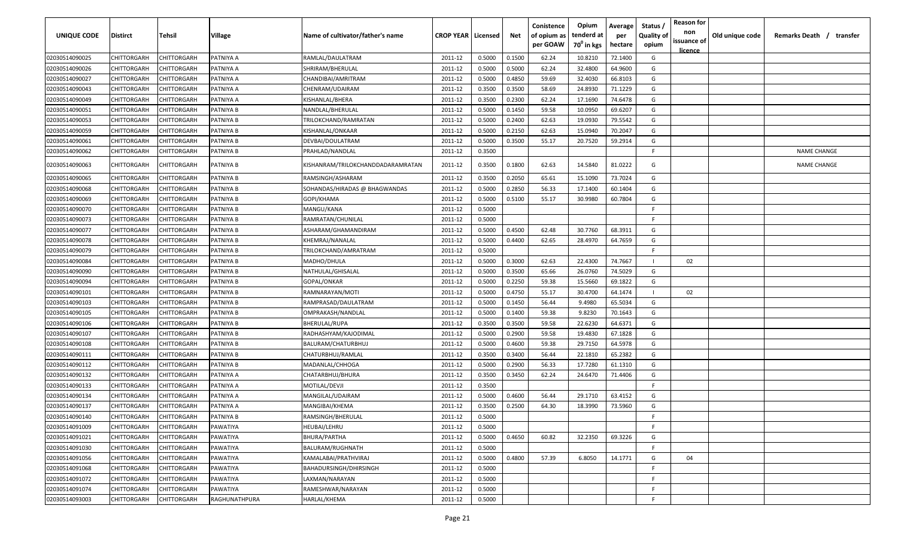| UNIQUE CODE    | <b>Distirct</b>    | Tehsil             | <b>Village</b>   | Name of cultivator/father's name  | <b>CROP YEAR   Licensed</b> |        | Net    | Conistence<br>of opium as<br>per GOAW | Opium<br>tenderd at<br>$70^0$ in kgs | Average<br>per<br>hectare | Status /<br><b>Quality of</b><br>opium | <b>Reason for</b><br>non<br>issuance of<br>licence | Old unique code | Remarks Death / transfer |
|----------------|--------------------|--------------------|------------------|-----------------------------------|-----------------------------|--------|--------|---------------------------------------|--------------------------------------|---------------------------|----------------------------------------|----------------------------------------------------|-----------------|--------------------------|
| 02030514090025 | CHITTORGARH        | CHITTORGARH        | PATNIYA A        | RAMLAL/DAULATRAM                  | 2011-12                     | 0.5000 | 0.1500 | 62.24                                 | 10.8210                              | 72.1400                   | G                                      |                                                    |                 |                          |
| 02030514090026 | CHITTORGARH        | CHITTORGARH        | PATNIYA A        | SHRIRAM/BHERULAL                  | 2011-12                     | 0.5000 | 0.5000 | 62.24                                 | 32.4800                              | 64.9600                   | G                                      |                                                    |                 |                          |
| 02030514090027 | CHITTORGARH        | CHITTORGARH        | PATNIYA A        | CHANDIBAI/AMRITRAM                | 2011-12                     | 0.5000 | 0.4850 | 59.69                                 | 32.4030                              | 66.8103                   | G                                      |                                                    |                 |                          |
| 02030514090043 | CHITTORGARH        | CHITTORGARH        | PATNIYA A        | CHENRAM/UDAIRAM                   | 2011-12                     | 0.3500 | 0.3500 | 58.69                                 | 24.8930                              | 71.1229                   | G                                      |                                                    |                 |                          |
| 02030514090049 | CHITTORGARH        | CHITTORGARH        | PATNIYA A        | KISHANLAL/BHERA                   | 2011-12                     | 0.3500 | 0.2300 | 62.24                                 | 17.1690                              | 74.6478                   | G                                      |                                                    |                 |                          |
| 02030514090051 | CHITTORGARH        | CHITTORGARH        | PATNIYA B        | NANDLAL/BHERULAL                  | 2011-12                     | 0.5000 | 0.1450 | 59.58                                 | 10.0950                              | 69.6207                   | G                                      |                                                    |                 |                          |
| 02030514090053 | CHITTORGARH        | CHITTORGARH        | PATNIYA B        | TRILOKCHAND/RAMRATAN              | 2011-12                     | 0.5000 | 0.2400 | 62.63                                 | 19.0930                              | 79.5542                   | G                                      |                                                    |                 |                          |
| 02030514090059 | CHITTORGARH        | CHITTORGARH        | PATNIYA B        | KISHANLAL/ONKAAR                  | 2011-12                     | 0.5000 | 0.2150 | 62.63                                 | 15.0940                              | 70.2047                   | G                                      |                                                    |                 |                          |
| 02030514090061 | CHITTORGARH        | CHITTORGARH        | PATNIYA B        | DEVBAI/DOULATRAM                  | 2011-12                     | 0.5000 | 0.3500 | 55.17                                 | 20.7520                              | 59.2914                   | G                                      |                                                    |                 |                          |
| 02030514090062 | CHITTORGARH        | CHITTORGARH        | PATNIYA B        | PRAHLAD/NANDLAL                   | 2011-12                     | 0.3500 |        |                                       |                                      |                           | E.                                     |                                                    |                 | <b>NAME CHANGE</b>       |
| 02030514090063 | CHITTORGARH        | CHITTORGARH        | PATNIYA B        | KISHANRAM/TRILOKCHANDDADARAMRATAN | 2011-12                     | 0.3500 | 0.1800 | 62.63                                 | 14.5840                              | 81.0222                   | G                                      |                                                    |                 | <b>NAME CHANGE</b>       |
| 02030514090065 | CHITTORGARH        | CHITTORGARH        | PATNIYA B        | RAMSINGH/ASHARAM                  | 2011-12                     | 0.3500 | 0.2050 | 65.61                                 | 15.1090                              | 73.7024                   | G                                      |                                                    |                 |                          |
| 02030514090068 | CHITTORGARH        | CHITTORGARH        | PATNIYA B        | SOHANDAS/HIRADAS @ BHAGWANDAS     | 2011-12                     | 0.5000 | 0.2850 | 56.33                                 | 17.1400                              | 60.1404                   | G                                      |                                                    |                 |                          |
| 02030514090069 | CHITTORGARH        | CHITTORGARH        | PATNIYA B        | GOPI/KHAMA                        | 2011-12                     | 0.5000 | 0.5100 | 55.17                                 | 30.9980                              | 60.7804                   | G                                      |                                                    |                 |                          |
| 02030514090070 | CHITTORGARH        | CHITTORGARH        | PATNIYA B        | MANGU/KANA                        | 2011-12                     | 0.5000 |        |                                       |                                      |                           | F.                                     |                                                    |                 |                          |
| 02030514090073 | CHITTORGARH        | CHITTORGARH        | PATNIYA B        | RAMRATAN/CHUNILAL                 | 2011-12                     | 0.5000 |        |                                       |                                      |                           |                                        |                                                    |                 |                          |
| 02030514090077 | CHITTORGARH        | CHITTORGARH        | PATNIYA B        | ASHARAM/GHAMANDIRAM               | 2011-12                     | 0.5000 | 0.4500 | 62.48                                 | 30.7760                              | 68.3911                   | G                                      |                                                    |                 |                          |
| 02030514090078 | CHITTORGARH        | CHITTORGARH        | PATNIYA B        | KHEMRAJ/NANALAL                   | 2011-12                     | 0.5000 | 0.4400 | 62.65                                 | 28.4970                              | 64.7659                   | G                                      |                                                    |                 |                          |
| 02030514090079 | CHITTORGARH        | CHITTORGARH        | PATNIYA B        | TRILOKCHAND/AMRATRAM              | 2011-12                     | 0.5000 |        |                                       |                                      |                           | F.                                     |                                                    |                 |                          |
| 02030514090084 | CHITTORGARH        | CHITTORGARH        | <b>PATNIYA B</b> | MADHO/DHULA                       | 2011-12                     | 0.5000 | 0.3000 | 62.63                                 | 22.4300                              | 74.7667                   |                                        | 02                                                 |                 |                          |
| 02030514090090 | CHITTORGARH        | CHITTORGARH        | PATNIYA B        | NATHULAL/GHISALAL                 | 2011-12                     | 0.5000 | 0.3500 | 65.66                                 | 26.0760                              | 74.5029                   | G                                      |                                                    |                 |                          |
| 02030514090094 | CHITTORGARH        | CHITTORGARH        | PATNIYA B        | GOPAL/ONKAR                       | 2011-12                     | 0.5000 | 0.2250 | 59.38                                 | 15.5660                              | 69.1822                   | G                                      |                                                    |                 |                          |
| 02030514090101 | CHITTORGARH        | CHITTORGARH        | PATNIYA B        | RAMNARAYAN/MOTI                   | 2011-12                     | 0.5000 | 0.4750 | 55.17                                 | 30.4700                              | 64.1474                   |                                        | 02                                                 |                 |                          |
| 02030514090103 | CHITTORGARH        | CHITTORGARH        | PATNIYA B        | RAMPRASAD/DAULATRAM               | 2011-12                     | 0.5000 | 0.1450 | 56.44                                 | 9.4980                               | 65.5034                   | G                                      |                                                    |                 |                          |
| 02030514090105 | CHITTORGARH        | CHITTORGARH        | PATNIYA B        | OMPRAKASH/NANDLAL                 | 2011-12                     | 0.5000 | 0.1400 | 59.38                                 | 9.8230                               | 70.1643                   | G                                      |                                                    |                 |                          |
| 02030514090106 | <b>CHITTORGARH</b> | CHITTORGARH        | PATNIYA B        | <b>BHERULAL/RUPA</b>              | 2011-12                     | 0.3500 | 0.3500 | 59.58                                 | 22.6230                              | 64.6371                   | G                                      |                                                    |                 |                          |
| 02030514090107 | CHITTORGARH        | CHITTORGARH        | PATNIYA B        | RADHASHYAM/KAJODIMAL              | 2011-12                     | 0.5000 | 0.2900 | 59.58                                 | 19.4830                              | 67.1828                   | G                                      |                                                    |                 |                          |
| 02030514090108 | CHITTORGARH        | CHITTORGARH        | PATNIYA B        | BALURAM/CHATURBHUJ                | 2011-12                     | 0.5000 | 0.4600 | 59.38                                 | 29.7150                              | 64.5978                   | G                                      |                                                    |                 |                          |
| 02030514090111 | CHITTORGARH        | CHITTORGARH        | PATNIYA B        | CHATURBHUJ/RAMLAL                 | 2011-12                     | 0.3500 | 0.3400 | 56.44                                 | 22.1810                              | 65.2382                   | G                                      |                                                    |                 |                          |
| 02030514090112 | CHITTORGARH        | CHITTORGARH        | PATNIYA B        | MADANLAL/CHHOGA                   | 2011-12                     | 0.5000 | 0.2900 | 56.33                                 | 17.7280                              | 61.1310                   | G                                      |                                                    |                 |                          |
| 02030514090132 | CHITTORGARH        | CHITTORGARH        | PATNIYA A        | CHATARBHUJ/BHURA                  | 2011-12                     | 0.3500 | 0.3450 | 62.24                                 | 24.6470                              | 71.4406                   | G                                      |                                                    |                 |                          |
| 02030514090133 | CHITTORGARH        | CHITTORGARH        | PATNIYA A        | MOTILAL/DEVJI                     | 2011-12                     | 0.3500 |        |                                       |                                      |                           | F.                                     |                                                    |                 |                          |
| 02030514090134 | CHITTORGARH        | CHITTORGARH        | PATNIYA A        | MANGILAL/UDAIRAM                  | 2011-12                     | 0.5000 | 0.4600 | 56.44                                 | 29.1710                              | 63.4152                   | G                                      |                                                    |                 |                          |
| 02030514090137 | CHITTORGARH        | <b>CHITTORGARH</b> | PATNIYA A        | <b>MANGIBAI/KHEMA</b>             | 2011-12                     | 0.3500 | 0.2500 | 64.30                                 | 18.3990                              | 73.5960                   | G                                      |                                                    |                 |                          |
| 02030514090140 | CHITTORGARH        | <b>CHITTORGARH</b> | <b>PATNIYA B</b> | RAMSINGH/BHERULAL                 | 2011-12                     | 0.5000 |        |                                       |                                      |                           |                                        |                                                    |                 |                          |
| 02030514091009 | CHITTORGARH        | <b>CHITTORGARH</b> | PAWATIYA         | <b>HEUBAI/LEHRU</b>               | 2011-12                     | 0.5000 |        |                                       |                                      |                           |                                        |                                                    |                 |                          |
| 02030514091021 | CHITTORGARH        | CHITTORGARH        | PAWATIYA         | BHURA/PARTHA                      | 2011-12                     | 0.5000 | 0.4650 | 60.82                                 | 32.2350                              | 69.3226                   | G                                      |                                                    |                 |                          |
| 02030514091030 | CHITTORGARH        | CHITTORGARH        | PAWATIYA         | BALURAM/RUGHNATH                  | 2011-12                     | 0.5000 |        |                                       |                                      |                           | F.                                     |                                                    |                 |                          |
| 02030514091056 | CHITTORGARH        | CHITTORGARH        | PAWATIYA         | KAMALABAI/PRATHVIRAJ              | 2011-12                     | 0.5000 | 0.4800 | 57.39                                 | 6.8050                               | 14.1771                   | G                                      | 04                                                 |                 |                          |
| 02030514091068 | CHITTORGARH        | CHITTORGARH        | PAWATIYA         | BAHADURSINGH/DHIRSINGH            | 2011-12                     | 0.5000 |        |                                       |                                      |                           |                                        |                                                    |                 |                          |
| 02030514091072 | CHITTORGARH        | CHITTORGARH        | PAWATIYA         | LAXMAN/NARAYAN                    | 2011-12                     | 0.5000 |        |                                       |                                      |                           | F.                                     |                                                    |                 |                          |
| 02030514091074 | CHITTORGARH        | CHITTORGARH        | PAWATIYA         | RAMESHWAR/NARAYAN                 | 2011-12                     | 0.5000 |        |                                       |                                      |                           |                                        |                                                    |                 |                          |
| 02030514093003 | CHITTORGARH        | CHITTORGARH        | RAGHUNATHPURA    | HARLAL/KHEMA                      | 2011-12                     | 0.5000 |        |                                       |                                      |                           |                                        |                                                    |                 |                          |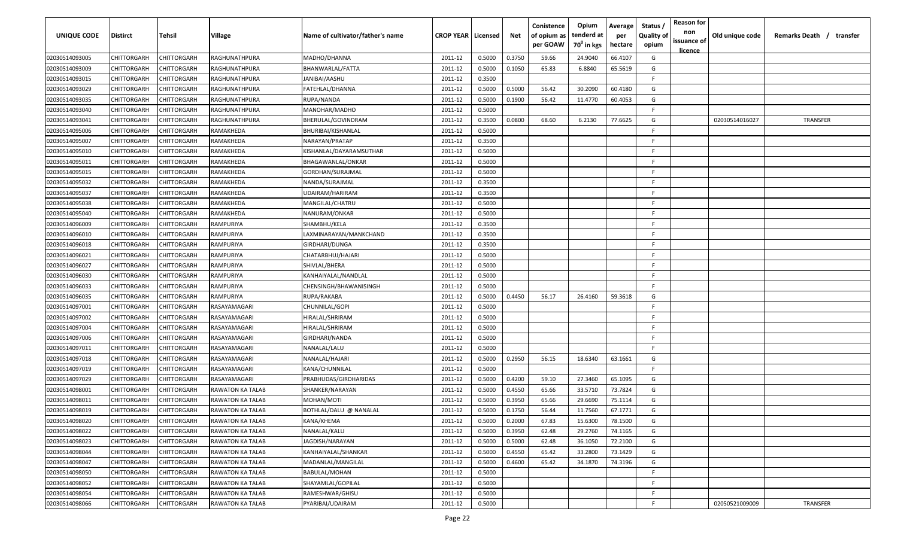| <b>UNIQUE CODE</b> | <b>Distirct</b>    | <b>Tehsil</b>      | Village                 | Name of cultivator/father's name | <b>CROP YEAR   Licensed</b> |        | Net    | Conistence<br>of opium as<br>per GOAW | Opium<br>tenderd at<br>70 <sup>0</sup> in kgs | Average<br>per<br>hectare | Status /<br>Quality of<br>opium | <b>Reason for</b><br>non<br>issuance of<br>licence | Old unique code | Remarks Death /<br>transfer |
|--------------------|--------------------|--------------------|-------------------------|----------------------------------|-----------------------------|--------|--------|---------------------------------------|-----------------------------------------------|---------------------------|---------------------------------|----------------------------------------------------|-----------------|-----------------------------|
| 02030514093005     | CHITTORGARH        | CHITTORGARH        | RAGHUNATHPURA           | MADHO/DHANNA                     | 2011-12                     | 0.5000 | 0.3750 | 59.66                                 | 24.9040                                       | 66.4107                   | G                               |                                                    |                 |                             |
| 02030514093009     | CHITTORGARH        | CHITTORGARH        | RAGHUNATHPURA           | BHANWARLAL/FATTA                 | 2011-12                     | 0.5000 | 0.1050 | 65.83                                 | 6.8840                                        | 65.5619                   | G                               |                                                    |                 |                             |
| 02030514093015     | CHITTORGARH        | CHITTORGARH        | RAGHUNATHPURA           | JANIBAI/AASHU                    | 2011-12                     | 0.3500 |        |                                       |                                               |                           | F.                              |                                                    |                 |                             |
| 02030514093029     | CHITTORGARH        | CHITTORGARH        | RAGHUNATHPURA           | FATEHLAL/DHANNA                  | 2011-12                     | 0.5000 | 0.5000 | 56.42                                 | 30.2090                                       | 60.4180                   | G                               |                                                    |                 |                             |
| 02030514093035     | CHITTORGARH        | CHITTORGARH        | RAGHUNATHPURA           | RUPA/NANDA                       | 2011-12                     | 0.5000 | 0.1900 | 56.42                                 | 11.4770                                       | 60.4053                   | G                               |                                                    |                 |                             |
| 02030514093040     | CHITTORGARH        | CHITTORGARH        | RAGHUNATHPURA           | MANOHAR/MADHO                    | 2011-12                     | 0.5000 |        |                                       |                                               |                           | -F.                             |                                                    |                 |                             |
| 02030514093041     | CHITTORGARH        | CHITTORGARH        | RAGHUNATHPURA           | BHERULAL/GOVINDRAM               | 2011-12                     | 0.3500 | 0.0800 | 68.60                                 | 6.2130                                        | 77.6625                   | G                               |                                                    | 02030514016027  | TRANSFER                    |
| 02030514095006     | CHITTORGARH        | CHITTORGARF        | RAMAKHEDA               | BHURIBAI/KISHANLAL               | 2011-12                     | 0.5000 |        |                                       |                                               |                           | -F.                             |                                                    |                 |                             |
| 02030514095007     | CHITTORGARH        | CHITTORGARH        | RAMAKHEDA               | NARAYAN/PRATAP                   | 2011-12                     | 0.3500 |        |                                       |                                               |                           | -F                              |                                                    |                 |                             |
| 02030514095010     | CHITTORGARH        | CHITTORGARH        | RAMAKHEDA               | KISHANLAL/DAYARAMSUTHAR          | 2011-12                     | 0.5000 |        |                                       |                                               |                           | -F.                             |                                                    |                 |                             |
| 02030514095011     | CHITTORGARH        | CHITTORGARH        | RAMAKHEDA               | BHAGAWANLAL/ONKAR                | 2011-12                     | 0.5000 |        |                                       |                                               |                           | -F.                             |                                                    |                 |                             |
| 02030514095015     | CHITTORGARH        | CHITTORGARH        | RAMAKHEDA               | GORDHAN/SURAJMAL                 | 2011-12                     | 0.5000 |        |                                       |                                               |                           | -F.                             |                                                    |                 |                             |
| 02030514095032     | CHITTORGARH        | CHITTORGARH        | RAMAKHEDA               | NANDA/SURAJMAL                   | 2011-12                     | 0.3500 |        |                                       |                                               |                           | -F.                             |                                                    |                 |                             |
| 02030514095037     | CHITTORGARH        | CHITTORGARH        | RAMAKHEDA               | UDAIRAM/HARIRAM                  | 2011-12                     | 0.3500 |        |                                       |                                               |                           | -F.                             |                                                    |                 |                             |
| 02030514095038     | CHITTORGARH        | CHITTORGARH        | RAMAKHEDA               | MANGILAL/CHATRU                  | 2011-12                     | 0.5000 |        |                                       |                                               |                           | -F.                             |                                                    |                 |                             |
| 02030514095040     | CHITTORGARH        | CHITTORGARH        | RAMAKHEDA               | NANURAM/ONKAR                    | 2011-12                     | 0.5000 |        |                                       |                                               |                           | -F.                             |                                                    |                 |                             |
| 02030514096009     | CHITTORGARH        | CHITTORGARF        | RAMPURIYA               | SHAMBHU/KELA                     | 2011-12                     | 0.3500 |        |                                       |                                               |                           | -F.                             |                                                    |                 |                             |
| 02030514096010     | CHITTORGARH        | CHITTORGARH        | RAMPURIYA               | LAXMINARAYAN/MANKCHAND           | 2011-12                     | 0.3500 |        |                                       |                                               |                           | -F.                             |                                                    |                 |                             |
| 02030514096018     | CHITTORGARH        | CHITTORGARH        | RAMPURIYA               | GIRDHARI/DUNGA                   | 2011-12                     | 0.3500 |        |                                       |                                               |                           | -F.                             |                                                    |                 |                             |
| 02030514096021     | CHITTORGARH        | CHITTORGARH        | RAMPURIYA               | CHATARBHUJ/HAJARI                | 2011-12                     | 0.5000 |        |                                       |                                               |                           | -F.                             |                                                    |                 |                             |
| 02030514096027     | CHITTORGARH        | CHITTORGARH        | RAMPURIYA               | SHIVLAL/BHERA                    | 2011-12                     | 0.5000 |        |                                       |                                               |                           | -F.                             |                                                    |                 |                             |
| 02030514096030     | CHITTORGARH        | CHITTORGARH        | RAMPURIYA               | KANHAIYALAL/NANDLAL              | 2011-12                     | 0.5000 |        |                                       |                                               |                           | -F.                             |                                                    |                 |                             |
| 02030514096033     | CHITTORGARH        | CHITTORGARH        | RAMPURIYA               | CHENSINGH/BHAWANISINGH           | 2011-12                     | 0.5000 |        |                                       |                                               |                           | -F.                             |                                                    |                 |                             |
| 02030514096035     | CHITTORGARH        | CHITTORGARH        | RAMPURIYA               | RUPA/RAKABA                      | 2011-12                     | 0.5000 | 0.4450 | 56.17                                 | 26.4160                                       | 59.3618                   | G                               |                                                    |                 |                             |
| 02030514097001     | CHITTORGARH        | CHITTORGARH        | RASAYAMAGARI            | CHUNNILAL/GOPI                   | 2011-12                     | 0.5000 |        |                                       |                                               |                           | -F                              |                                                    |                 |                             |
| 02030514097002     | CHITTORGARH        | CHITTORGARH        | RASAYAMAGARI            | HIRALAL/SHRIRAM                  | 2011-12                     | 0.5000 |        |                                       |                                               |                           | -F.                             |                                                    |                 |                             |
| 02030514097004     | CHITTORGARH        | CHITTORGARH        | RASAYAMAGARI            | HIRALAL/SHRIRAM                  | 2011-12                     | 0.5000 |        |                                       |                                               |                           | -F.                             |                                                    |                 |                             |
| 02030514097006     | CHITTORGARH        | CHITTORGARH        | RASAYAMAGARI            | GIRDHARI/NANDA                   | 2011-12                     | 0.5000 |        |                                       |                                               |                           | F.                              |                                                    |                 |                             |
| 02030514097011     | CHITTORGARH        | CHITTORGARH        | RASAYAMAGARI            | NANALAL/LALU                     | 2011-12                     | 0.5000 |        |                                       |                                               |                           | F.                              |                                                    |                 |                             |
| 02030514097018     | CHITTORGARH        | CHITTORGARH        | RASAYAMAGARI            | NANALAL/HAJARI                   | 2011-12                     | 0.5000 | 0.2950 | 56.15                                 | 18.6340                                       | 63.1661                   | G                               |                                                    |                 |                             |
| 02030514097019     | CHITTORGARH        | CHITTORGARH        | RASAYAMAGARI            | KANA/CHUNNILAL                   | 2011-12                     | 0.5000 |        |                                       |                                               |                           | -F.                             |                                                    |                 |                             |
| 02030514097029     | CHITTORGARH        | CHITTORGARH        | RASAYAMAGARI            | PRABHUDAS/GIRDHARIDAS            | 2011-12                     | 0.5000 | 0.4200 | 59.10                                 | 27.3460                                       | 65.1095                   | G                               |                                                    |                 |                             |
| 02030514098001     | CHITTORGARH        | CHITTORGARH        | RAWATON KA TALAB        | SHANKER/NARAYAN                  | 2011-12                     | 0.5000 | 0.4550 | 65.66                                 | 33.5710                                       | 73.7824                   | G                               |                                                    |                 |                             |
| 02030514098011     | CHITTORGARH        | CHITTORGARH        | RAWATON KA TALAB        | MOHAN/MOTI                       | 2011-12                     | 0.5000 | 0.3950 | 65.66                                 | 29.6690                                       | 75.1114                   | G                               |                                                    |                 |                             |
| 02030514098019     | CHITTORGARH        | CHITTORGARH        | RAWATON KA TALAB        | BOTHLAL/DALU @ NANALAL           | 2011-12                     | 0.5000 | 0.1750 | 56.44                                 | 11.7560                                       | 67.1771                   | G                               |                                                    |                 |                             |
| 02030514098020     | CHITTORGARH        | <b>CHITTORGARH</b> | <b>RAWATON KA TALAB</b> | KANA/KHEMA                       | 2011-12                     | 0.5000 | 0.2000 | 67.83                                 | 15.6300                                       | 78.1500                   | G                               |                                                    |                 |                             |
| 02030514098022     | <b>CHITTORGARH</b> | CHITTORGARH        | RAWATON KA TALAB        | NANALAL/KALU                     | 2011-12                     | 0.5000 | 0.3950 | 62.48                                 | 29.2760                                       | 74.1165                   | G                               |                                                    |                 |                             |
| 02030514098023     | CHITTORGARH        | CHITTORGARH        | RAWATON KA TALAB        | JAGDISH/NARAYAN                  | 2011-12                     | 0.5000 | 0.5000 | 62.48                                 | 36.1050                                       | 72.2100                   | G                               |                                                    |                 |                             |
| 02030514098044     | CHITTORGARH        | CHITTORGARH        | RAWATON KA TALAB        | KANHAIYALAL/SHANKAR              | 2011-12                     | 0.5000 | 0.4550 | 65.42                                 | 33.2800                                       | 73.1429                   | G                               |                                                    |                 |                             |
| 02030514098047     | <b>CHITTORGARH</b> | CHITTORGARH        | RAWATON KA TALAB        | MADANLAL/MANGILAL                | 2011-12                     | 0.5000 | 0.4600 | 65.42                                 | 34.1870                                       | 74.3196                   | G                               |                                                    |                 |                             |
| 02030514098050     | CHITTORGARH        | CHITTORGARH        | RAWATON KA TALAB        | BABULAL/MOHAN                    | 2011-12                     | 0.5000 |        |                                       |                                               |                           | -F                              |                                                    |                 |                             |
| 02030514098052     | CHITTORGARH        | CHITTORGARH        | RAWATON KA TALAB        | SHAYAMLAL/GOPILAL                | 2011-12                     | 0.5000 |        |                                       |                                               |                           | F                               |                                                    |                 |                             |
| 02030514098054     | CHITTORGARH        | CHITTORGARH        | RAWATON KA TALAB        | RAMESHWAR/GHISU                  | 2011-12                     | 0.5000 |        |                                       |                                               |                           | -F                              |                                                    |                 |                             |
| 02030514098066     | <b>CHITTORGARH</b> | CHITTORGARH        | RAWATON KA TALAB        | PYARIBAI/UDAIRAM                 | 2011-12                     | 0.5000 |        |                                       |                                               |                           | F                               |                                                    | 02050521009009  | TRANSFER                    |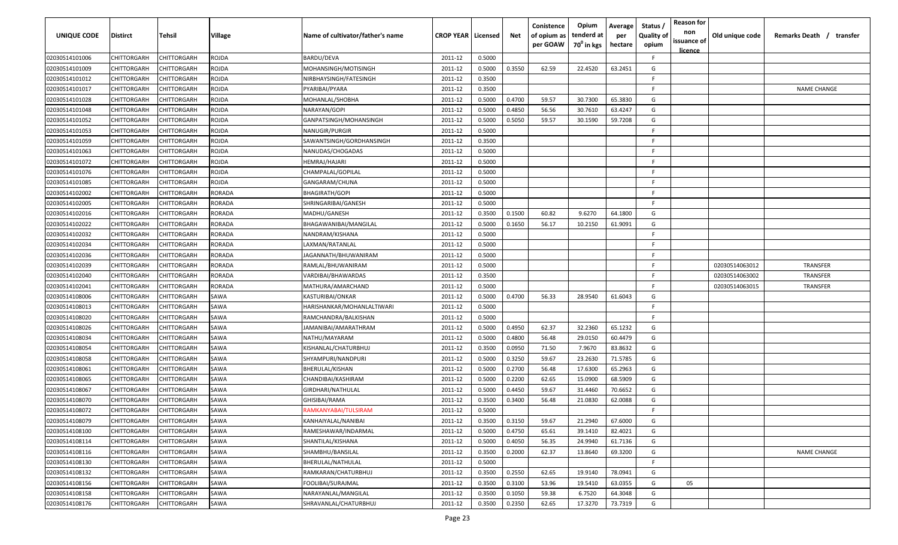| UNIQUE CODE    | <b>Distirct</b>    | Tehsil             | Village       | Name of cultivator/father's name | <b>CROP YEAR   Licensed</b> |        | Net    | Conistence<br>of opium as<br>per GOAW | Opium<br>tenderd at<br>70 <sup>0</sup> in kgs | Average<br>per<br>hectare | Status<br><b>Quality of</b><br>opium | <b>Reason for</b><br>non<br>issuance of<br><u>licence</u> | Old unique code | Remarks Death / transfer |
|----------------|--------------------|--------------------|---------------|----------------------------------|-----------------------------|--------|--------|---------------------------------------|-----------------------------------------------|---------------------------|--------------------------------------|-----------------------------------------------------------|-----------------|--------------------------|
| 02030514101006 | CHITTORGARH        | CHITTORGARH        | ROJDA         | BARDU/DEVA                       | 2011-12                     | 0.5000 |        |                                       |                                               |                           | -F.                                  |                                                           |                 |                          |
| 02030514101009 | CHITTORGARH        | CHITTORGARH        | ROJDA         | MOHANSINGH/MOTISINGH             | 2011-12                     | 0.5000 | 0.3550 | 62.59                                 | 22.4520                                       | 63.2451                   | G                                    |                                                           |                 |                          |
| 02030514101012 | CHITTORGARH        | CHITTORGARH        | ROJDA         | NIRBHAYSINGH/FATESINGH           | 2011-12                     | 0.3500 |        |                                       |                                               |                           | E                                    |                                                           |                 |                          |
| 02030514101017 | CHITTORGARH        | CHITTORGARH        | ROJDA         | PYARIBAI/PYARA                   | 2011-12                     | 0.3500 |        |                                       |                                               |                           | -F                                   |                                                           |                 | <b>NAME CHANGE</b>       |
| 02030514101028 | CHITTORGARH        | CHITTORGARH        | ROJDA         | MOHANLAL/SHOBHA                  | 2011-12                     | 0.5000 | 0.4700 | 59.57                                 | 30.7300                                       | 65.3830                   | G                                    |                                                           |                 |                          |
| 02030514101048 | CHITTORGARH        | <b>CHITTORGARH</b> | ROJDA         | VARAYAN/GOPI                     | 2011-12                     | 0.5000 | 0.4850 | 56.56                                 | 30.7610                                       | 63.4247                   | G                                    |                                                           |                 |                          |
| 02030514101052 | CHITTORGARH        | CHITTORGARH        | ROJDA         | GANPATSINGH/MOHANSINGH           | 2011-12                     | 0.5000 | 0.5050 | 59.57                                 | 30.1590                                       | 59.7208                   | G                                    |                                                           |                 |                          |
| 02030514101053 | CHITTORGARH        | CHITTORGARH        | ROJDA         | NANUGIR/PURGIR                   | 2011-12                     | 0.5000 |        |                                       |                                               |                           | -F                                   |                                                           |                 |                          |
| 02030514101059 | CHITTORGARH        | CHITTORGARH        | ROJDA         | SAWANTSINGH/GORDHANSINGH         | 2011-12                     | 0.3500 |        |                                       |                                               |                           | -F                                   |                                                           |                 |                          |
| 02030514101063 | CHITTORGARH        | <b>CHITTORGARH</b> | ROJDA         | VANUDAS/CHOGADAS                 | 2011-12                     | 0.5000 |        |                                       |                                               |                           | -F                                   |                                                           |                 |                          |
| 02030514101072 | <b>CHITTORGARH</b> | <b>CHITTORGARH</b> | ROJDA         | IEMRAJ/HAJARI                    | 2011-12                     | 0.5000 |        |                                       |                                               |                           | -F                                   |                                                           |                 |                          |
| 02030514101076 | CHITTORGARH        | CHITTORGARH        | ROJDA         | CHAMPALAL/GOPILAL                | 2011-12                     | 0.5000 |        |                                       |                                               |                           | -F                                   |                                                           |                 |                          |
| 02030514101085 | CHITTORGARH        | CHITTORGARH        | ROJDA         | GANGARAM/CHUNA                   | 2011-12                     | 0.5000 |        |                                       |                                               |                           | F.                                   |                                                           |                 |                          |
| 02030514102002 | CHITTORGARH        | <b>CHITTORGARH</b> | RORADA        | BHAGIRATH/GOPI                   | 2011-12                     | 0.5000 |        |                                       |                                               |                           | -F                                   |                                                           |                 |                          |
| 02030514102005 | CHITTORGARH        | CHITTORGARH        | RORADA        | SHRINGARIBAI/GANESH              | 2011-12                     | 0.5000 |        |                                       |                                               |                           | E.                                   |                                                           |                 |                          |
| 02030514102016 | CHITTORGARH        | CHITTORGARH        | RORADA        | MADHU/GANESH                     | 2011-12                     | 0.3500 | 0.1500 | 60.82                                 | 9.6270                                        | 64.1800                   | G                                    |                                                           |                 |                          |
| 02030514102022 | CHITTORGARH        | CHITTORGARH        | <b>RORADA</b> | BHAGAWANIBAI/MANGILAL            | 2011-12                     | 0.5000 | 0.1650 | 56.17                                 | 10.2150                                       | 61.9091                   | G                                    |                                                           |                 |                          |
| 02030514102032 | CHITTORGARH        | CHITTORGARH        | RORADA        | NANDRAM/KISHANA                  | 2011-12                     | 0.5000 |        |                                       |                                               |                           | -F                                   |                                                           |                 |                          |
| 02030514102034 | CHITTORGARH        | CHITTORGARH        | RORADA        | LAXMAN/RATANLAL                  | 2011-12                     | 0.5000 |        |                                       |                                               |                           | F.                                   |                                                           |                 |                          |
| 02030514102036 | CHITTORGARH        | CHITTORGARH        | RORADA        | JAGANNATH/BHUWANIRAM             | 2011-12                     | 0.5000 |        |                                       |                                               |                           | F.                                   |                                                           |                 |                          |
| 02030514102039 | CHITTORGARH        | CHITTORGARH        | RORADA        | RAMLAL/BHUWANIRAM                | 2011-12                     | 0.5000 |        |                                       |                                               |                           | -F                                   |                                                           | 02030514063012  | <b>TRANSFER</b>          |
| 02030514102040 | CHITTORGARH        | CHITTORGARH        | RORADA        | VARDIBAI/BHAWARDAS               | 2011-12                     | 0.3500 |        |                                       |                                               |                           | E                                    |                                                           | 02030514063002  | TRANSFER                 |
| 02030514102041 | CHITTORGARH        | <b>CHITTORGARH</b> | RORADA        | MATHURA/AMARCHAND                | 2011-12                     | 0.5000 |        |                                       |                                               |                           | F.                                   |                                                           | 02030514063015  | TRANSFER                 |
| 02030514108006 | CHITTORGARH        | <b>CHITTORGARH</b> | SAWA          | KASTURIBAI/ONKAR                 | 2011-12                     | 0.5000 | 0.4700 | 56.33                                 | 28.9540                                       | 61.6043                   | G                                    |                                                           |                 |                          |
| 02030514108013 | CHITTORGARH        | CHITTORGARH        | SAWA          | HARISHANKAR/MOHANLALTIWARI       | 2011-12                     | 0.5000 |        |                                       |                                               |                           | F.                                   |                                                           |                 |                          |
| 02030514108020 | CHITTORGARH        | CHITTORGARH        | SAWA          | RAMCHANDRA/BALKISHAN             | 2011-12                     | 0.5000 |        |                                       |                                               |                           | F.                                   |                                                           |                 |                          |
| 02030514108026 | <b>CHITTORGARH</b> | <b>CHITTORGARH</b> | SAWA          | AMANIBAI/AMARATHRAM              | 2011-12                     | 0.5000 | 0.4950 | 62.37                                 | 32.2360                                       | 65.1232                   | G                                    |                                                           |                 |                          |
| 02030514108034 | <b>CHITTORGARH</b> | <b>CHITTORGARH</b> | SAWA          | NATHU/MAYARAM                    | 2011-12                     | 0.5000 | 0.4800 | 56.48                                 | 29.0150                                       | 60.4479                   | G                                    |                                                           |                 |                          |
| 02030514108054 | CHITTORGARH        | CHITTORGARH        | SAWA          | KISHANLAL/CHATURBHUJ             | 2011-12                     | 0.3500 | 0.0950 | 71.50                                 | 7.9670                                        | 83.8632                   | G                                    |                                                           |                 |                          |
| 02030514108058 | CHITTORGARH        | CHITTORGARH        | SAWA          | SHYAMPURI/NANDPURI               | 2011-12                     | 0.5000 | 0.3250 | 59.67                                 | 23.2630                                       | 71.5785                   | G                                    |                                                           |                 |                          |
| 02030514108061 | CHITTORGARH        | <b>CHITTORGARH</b> | SAWA          | BHERULAL/KISHAN                  | 2011-12                     | 0.5000 | 0.2700 | 56.48                                 | 17.6300                                       | 65.2963                   | G                                    |                                                           |                 |                          |
| 02030514108065 | CHITTORGARH        | CHITTORGARH        | SAWA          | CHANDIBAI/KASHIRAM               | 2011-12                     | 0.5000 | 0.2200 | 62.65                                 | 15.0900                                       | 68.5909                   | G                                    |                                                           |                 |                          |
| 02030514108067 | CHITTORGARH        | CHITTORGARH        | SAWA          | GIRDHARI/NATHULAL                | 2011-12                     | 0.5000 | 0.4450 | 59.67                                 | 31.4460                                       | 70.6652                   | G                                    |                                                           |                 |                          |
| 02030514108070 | CHITTORGARH        | CHITTORGARH        | SAWA          | GHISIBAI/RAMA                    | 2011-12                     | 0.3500 | 0.3400 | 56.48                                 | 21.0830                                       | 62.0088                   | G                                    |                                                           |                 |                          |
| 02030514108072 | CHITTORGARH        | CHITTORGARH        | SAWA          | RAMKANYABAI/TULSIRAM             | 2011-12                     | 0.5000 |        |                                       |                                               |                           | F                                    |                                                           |                 |                          |
| 02030514108079 | CHITTORGARH        | <b>CHITTORGARH</b> | SAWA          | KANHAIYALAL/NANIBAI              | 2011-12                     | 0.3500 | 0.3150 | 59.67                                 | 21.2940                                       | 67.6000                   | G                                    |                                                           |                 |                          |
| 02030514108100 | CHITTORGARH        | CHITTORGARH        | SAWA          | RAMESHAWAR/INDARMAL              | 2011-12                     | 0.5000 | 0.4750 | 65.61                                 | 39.1410                                       | 82.4021                   | G                                    |                                                           |                 |                          |
| 02030514108114 | CHITTORGARH        | CHITTORGARH        | SAWA          | SHANTILAL/KISHANA                | 2011-12                     | 0.5000 | 0.4050 | 56.35                                 | 24.9940                                       | 61.7136                   | G                                    |                                                           |                 |                          |
| 02030514108116 | CHITTORGARH        | CHITTORGARH        | SAWA          | SHAMBHU/BANSILAL                 | 2011-12                     | 0.3500 | 0.2000 | 62.37                                 | 13.8640                                       | 69.3200                   | G                                    |                                                           |                 | <b>NAME CHANGE</b>       |
| 02030514108130 | CHITTORGARH        | CHITTORGARH        | SAWA          | BHERULAL/NATHULAL                | 2011-12                     | 0.5000 |        |                                       |                                               |                           | F.                                   |                                                           |                 |                          |
| 02030514108132 | CHITTORGARH        | CHITTORGARH        | SAWA          | RAMKARAN/CHATURBHUJ              | 2011-12                     | 0.3500 | 0.2550 | 62.65                                 | 19.9140                                       | 78.0941                   | G                                    |                                                           |                 |                          |
| 02030514108156 | CHITTORGARH        | CHITTORGARH        | SAWA          | FOOLIBAI/SURAJMAL                | 2011-12                     | 0.3500 | 0.3100 | 53.96                                 | 19.5410                                       | 63.0355                   | G                                    | 05                                                        |                 |                          |
| 02030514108158 | CHITTORGARH        | CHITTORGARH        | SAWA          | NARAYANLAL/MANGILAL              | 2011-12                     | 0.3500 | 0.1050 | 59.38                                 | 6.7520                                        | 64.3048                   | G                                    |                                                           |                 |                          |
| 02030514108176 | CHITTORGARH        | CHITTORGARH        | SAWA          | SHRAVANLAL/CHATURBHUJ            | 2011-12                     | 0.3500 | 0.2350 | 62.65                                 | 17.3270                                       | 73.7319                   | G                                    |                                                           |                 |                          |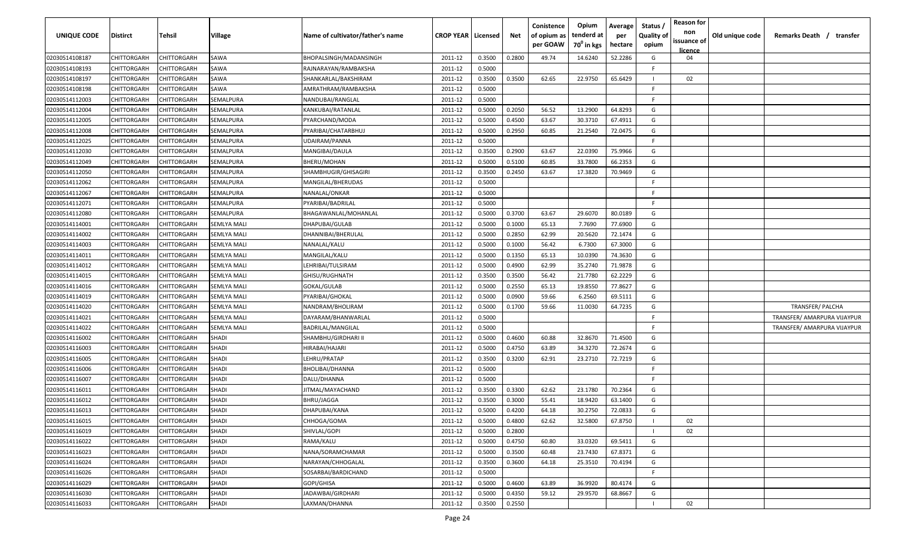| <b>UNIQUE CODE</b> | Distirct           | Tehsil      | Village            | Name of cultivator/father's name | <b>CROP YEAR   Licensed</b> |        | Net    | Conistence<br>of opium as<br>per GOAW | Opium<br>tenderd at<br>70 <sup>0</sup> in kgs | Average<br>per<br>hectare | Status /<br><b>Quality of</b><br>opium | <b>Reason for</b><br>non<br>issuance of | Old unique code | Remarks Death / transfer    |
|--------------------|--------------------|-------------|--------------------|----------------------------------|-----------------------------|--------|--------|---------------------------------------|-----------------------------------------------|---------------------------|----------------------------------------|-----------------------------------------|-----------------|-----------------------------|
| 02030514108187     | CHITTORGARH        | CHITTORGARH | SAWA               | BHOPALSINGH/MADANSINGH           | 2011-12                     | 0.3500 | 0.2800 | 49.74                                 | 14.6240                                       | 52.2286                   | G                                      | licence<br>04                           |                 |                             |
| 02030514108193     | CHITTORGARH        | CHITTORGARH | SAWA               | RAJNARAYAN/RAMBAKSHA             | 2011-12                     | 0.5000 |        |                                       |                                               |                           | E                                      |                                         |                 |                             |
| 02030514108197     | CHITTORGARH        | CHITTORGARH | SAWA               | SHANKARLAL/BAKSHIRAM             | 2011-12                     | 0.3500 | 0.3500 | 62.65                                 | 22.9750                                       | 65.6429                   |                                        | 02                                      |                 |                             |
| 02030514108198     | CHITTORGARH        | CHITTORGARH | SAWA               | AMRATHRAM/RAMBAKSHA              | 2011-12                     | 0.5000 |        |                                       |                                               |                           | -F.                                    |                                         |                 |                             |
| 02030514112003     | CHITTORGARH        | CHITTORGARH | SEMALPURA          | NANDUBAI/RANGLAL                 | 2011-12                     | 0.5000 |        |                                       |                                               |                           | -F.                                    |                                         |                 |                             |
| 02030514112004     | CHITTORGARH        | CHITTORGARH | SEMALPURA          | KANKUBAI/RATANLAL                | 2011-12                     | 0.5000 | 0.2050 | 56.52                                 | 13.2900                                       | 64.8293                   | G                                      |                                         |                 |                             |
| 02030514112005     | CHITTORGARH        | CHITTORGARH | SEMALPURA          | PYARCHAND/MODA                   | 2011-12                     | 0.5000 | 0.4500 | 63.67                                 | 30.3710                                       | 67.4911                   | G                                      |                                         |                 |                             |
| 02030514112008     | CHITTORGARH        | CHITTORGARH | SEMALPURA          | PYARIBAI/CHATARBHUJ              | 2011-12                     | 0.5000 | 0.2950 | 60.85                                 | 21.2540                                       | 72.0475                   | G                                      |                                         |                 |                             |
| 02030514112025     | CHITTORGARH        | CHITTORGARH | SEMALPURA          | UDAIRAM/PANNA                    | 2011-12                     | 0.5000 |        |                                       |                                               |                           | -F.                                    |                                         |                 |                             |
| 02030514112030     | CHITTORGARH        | CHITTORGARH | SEMALPURA          | MANGIBAI/DAULA                   | 2011-12                     | 0.3500 | 0.2900 | 63.67                                 | 22.0390                                       | 75.9966                   | G                                      |                                         |                 |                             |
| 02030514112049     | CHITTORGARH        | CHITTORGARH | SEMALPURA          | BHERU/MOHAN                      | 2011-12                     | 0.5000 | 0.5100 | 60.85                                 | 33.7800                                       | 66.2353                   | G                                      |                                         |                 |                             |
| 02030514112050     | CHITTORGARH        | CHITTORGARH | SEMALPURA          | SHAMBHUGIR/GHISAGIRI             | 2011-12                     | 0.3500 | 0.2450 | 63.67                                 | 17.3820                                       | 70.9469                   | G                                      |                                         |                 |                             |
| 02030514112062     | CHITTORGARH        | CHITTORGARH | SEMALPURA          | MANGILAL/BHERUDAS                | 2011-12                     | 0.5000 |        |                                       |                                               |                           | -F.                                    |                                         |                 |                             |
| 02030514112067     | CHITTORGARH        | CHITTORGARH | SEMALPURA          | NANALAL/ONKAR                    | 2011-12                     | 0.5000 |        |                                       |                                               |                           | F.                                     |                                         |                 |                             |
| 02030514112071     | CHITTORGARH        | CHITTORGARH | SEMALPURA          | PYARIBAI/BADRILAL                | 2011-12                     | 0.5000 |        |                                       |                                               |                           | -F.                                    |                                         |                 |                             |
| 02030514112080     | CHITTORGARH        | CHITTORGARH | SEMALPURA          | BHAGAWANLAL/MOHANLAL             | 2011-12                     | 0.5000 | 0.3700 | 63.67                                 | 29.6070                                       | 80.0189                   | G                                      |                                         |                 |                             |
| 02030514114001     | CHITTORGARH        | CHITTORGARH | <b>SEMLYA MALI</b> | DHAPUBAI/GULAB                   | 2011-12                     | 0.5000 | 0.1000 | 65.13                                 | 7.7690                                        | 77.6900                   | G                                      |                                         |                 |                             |
| 02030514114002     | CHITTORGARH        | CHITTORGARH | SEMLYA MALI        | DHANNIBAI/BHERULAL               | 2011-12                     | 0.5000 | 0.2850 | 62.99                                 | 20.5620                                       | 72.1474                   | G                                      |                                         |                 |                             |
| 02030514114003     | CHITTORGARH        | CHITTORGARH | SEMLYA MALI        | NANALAL/KALU                     | 2011-12                     | 0.5000 | 0.1000 | 56.42                                 | 6.7300                                        | 67.3000                   | G                                      |                                         |                 |                             |
| 02030514114011     | CHITTORGARH        | CHITTORGARH | SEMLYA MALI        | MANGILAL/KALU                    | 2011-12                     | 0.5000 | 0.1350 | 65.13                                 | 10.0390                                       | 74.3630                   | G                                      |                                         |                 |                             |
| 02030514114012     | CHITTORGARH        | CHITTORGARH | <b>SEMLYA MALI</b> | LEHRIBAI/TULSIRAM                | 2011-12                     | 0.5000 | 0.4900 | 62.99                                 | 35.2740                                       | 71.9878                   | G                                      |                                         |                 |                             |
| 02030514114015     | CHITTORGARH        | CHITTORGARH | <b>SEMLYA MALI</b> | GHISU/RUGHNATH                   | 2011-12                     | 0.3500 | 0.3500 | 56.42                                 | 21.7780                                       | 62.2229                   | G                                      |                                         |                 |                             |
| 02030514114016     | CHITTORGARH        | CHITTORGARH | <b>SEMLYA MALI</b> | GOKAL/GULAB                      | 2011-12                     | 0.5000 | 0.2550 | 65.13                                 | 19.8550                                       | 77.8627                   | G                                      |                                         |                 |                             |
| 02030514114019     | CHITTORGARH        | CHITTORGARH | SEMLYA MALI        | PYARIBAI/GHOKAL                  | 2011-12                     | 0.5000 | 0.0900 | 59.66                                 | 6.2560                                        | 69.5111                   | G                                      |                                         |                 |                             |
| 02030514114020     | CHITTORGARH        | CHITTORGARH | <b>SEMLYA MALI</b> | NANDRAM/BHOLIRAM                 | 2011-12                     | 0.5000 | 0.1700 | 59.66                                 | 11.0030                                       | 64.7235                   | G                                      |                                         |                 | TRANSFER/ PALCHA            |
| 02030514114021     | CHITTORGARH        | CHITTORGARH | <b>SEMLYA MALI</b> | DAYARAM/BHANWARLAL               | 2011-12                     | 0.5000 |        |                                       |                                               |                           | -F.                                    |                                         |                 | TRANSFER/ AMARPURA VIJAYPUR |
| 02030514114022     | CHITTORGARH        | CHITTORGARH | SEMLYA MALI        | BADRILAL/MANGILAL                | 2011-12                     | 0.5000 |        |                                       |                                               |                           | F.                                     |                                         |                 | TRANSFER/ AMARPURA VIJAYPUR |
| 02030514116002     | CHITTORGARH        | CHITTORGARH | SHADI              | SHAMBHU/GIRDHARI II              | 2011-12                     | 0.5000 | 0.4600 | 60.88                                 | 32.8670                                       | 71.4500                   | G                                      |                                         |                 |                             |
| 02030514116003     | CHITTORGARH        | CHITTORGARH | SHADI              | HIRABAI/HAJARI                   | 2011-12                     | 0.5000 | 0.4750 | 63.89                                 | 34.3270                                       | 72.2674                   | G                                      |                                         |                 |                             |
| 02030514116005     | CHITTORGARH        | CHITTORGARH | SHADI              | LEHRU/PRATAP                     | 2011-12                     | 0.3500 | 0.3200 | 62.91                                 | 23.2710                                       | 72.7219                   | G                                      |                                         |                 |                             |
| 02030514116006     | CHITTORGARH        | CHITTORGARH | SHADI              | BHOLIBAI/DHANNA                  | 2011-12                     | 0.5000 |        |                                       |                                               |                           | -F.                                    |                                         |                 |                             |
| 02030514116007     | CHITTORGARH        | CHITTORGARH | SHADI              | DALU/DHANNA                      | 2011-12                     | 0.5000 |        |                                       |                                               |                           | -F.                                    |                                         |                 |                             |
| 02030514116011     | CHITTORGARH        | CHITTORGARH | SHADI              | JITMAL/MAYACHAND                 | 2011-12                     | 0.3500 | 0.3300 | 62.62                                 | 23.1780                                       | 70.2364                   | G                                      |                                         |                 |                             |
| 02030514116012     | CHITTORGARH        | CHITTORGARH | SHADI              | <b>BHRU/JAGGA</b>                | 2011-12                     | 0.3500 | 0.3000 | 55.41                                 | 18.9420                                       | 63.1400                   | G                                      |                                         |                 |                             |
| 02030514116013     | CHITTORGARH        | CHITTORGARH | SHADI              | DHAPUBAI/KANA                    | 2011-12                     | 0.5000 | 0.4200 | 64.18                                 | 30.2750                                       | 72.0833                   | G                                      |                                         |                 |                             |
| 02030514116015     | CHITTORGARH        | CHITTORGARH | <b>SHADI</b>       | CHHOGA/GOMA                      | 2011-12                     | 0.5000 | 0.4800 | 62.62                                 | 32.5800                                       | 67.8750                   |                                        | 02                                      |                 |                             |
| 02030514116019     | CHITTORGARH        | CHITTORGARH | <b>SHADI</b>       | SHIVLAL/GOPI                     | 2011-12                     | 0.5000 | 0.2800 |                                       |                                               |                           |                                        | 02                                      |                 |                             |
| 02030514116022     | <b>CHITTORGARH</b> | CHITTORGARH | <b>SHADI</b>       | RAMA/KALU                        | 2011-12                     | 0.5000 | 0.4750 | 60.80                                 | 33.0320                                       | 69.5411                   | G                                      |                                         |                 |                             |
| 02030514116023     | <b>CHITTORGARH</b> | CHITTORGARH | <b>SHADI</b>       | NANA/SORAMCHAMAR                 | 2011-12                     | 0.5000 | 0.3500 | 60.48                                 | 23.7430                                       | 67.8371                   | G                                      |                                         |                 |                             |
| 02030514116024     | CHITTORGARH        | CHITTORGARH | <b>SHADI</b>       | NARAYAN/CHHOGALAL                | 2011-12                     | 0.3500 | 0.3600 | 64.18                                 | 25.3510                                       | 70.4194                   | G                                      |                                         |                 |                             |
| 02030514116026     | CHITTORGARH        | CHITTORGARH | <b>SHADI</b>       | SOSARBAI/BARDICHAND              | 2011-12                     | 0.5000 |        |                                       |                                               |                           | F.                                     |                                         |                 |                             |
| 02030514116029     | CHITTORGARH        | CHITTORGARH | SHADI              | GOPI/GHISA                       | 2011-12                     | 0.5000 | 0.4600 | 63.89                                 | 36.9920                                       | 80.4174                   | G                                      |                                         |                 |                             |
| 02030514116030     | CHITTORGARH        | CHITTORGARH | SHADI              | JADAWBAI/GIRDHARI                | 2011-12                     | 0.5000 | 0.4350 | 59.12                                 | 29.9570                                       | 68.8667                   | G                                      |                                         |                 |                             |
| 02030514116033     | CHITTORGARH        | CHITTORGARH | SHADI              | LAXMAN/DHANNA                    | 2011-12                     | 0.3500 | 0.2550 |                                       |                                               |                           |                                        | 02                                      |                 |                             |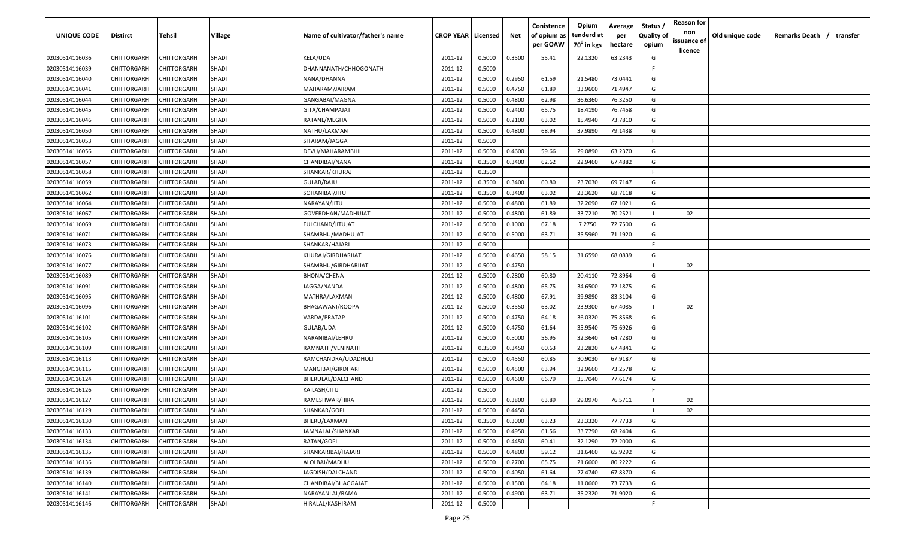| UNIQUE CODE                      | Distirct                   | Tehsil                     | Village               | Name of cultivator/father's name | <b>CROP YEAR   Licensed</b> |                  | Net              | Conistence<br>of opium as<br>per GOAW | Opium<br>tenderd at<br>70 <sup>0</sup> in kgs | Average<br>per<br>hectare | Status /<br><b>Quality of</b><br>opium | <b>Reason for</b><br>non<br>issuance of | Old unique code | Remarks Death /<br>transfer |
|----------------------------------|----------------------------|----------------------------|-----------------------|----------------------------------|-----------------------------|------------------|------------------|---------------------------------------|-----------------------------------------------|---------------------------|----------------------------------------|-----------------------------------------|-----------------|-----------------------------|
|                                  |                            |                            |                       |                                  |                             |                  |                  |                                       |                                               |                           |                                        | <u>licence</u>                          |                 |                             |
| 02030514116036                   | CHITTORGARH                | CHITTORGARH                | <b>SHADI</b>          | <b>KELA/UDA</b>                  | 2011-12                     | 0.5000           | 0.3500           | 55.41                                 | 22.1320                                       | 63.2343                   | G<br>-F                                |                                         |                 |                             |
| 02030514116039<br>02030514116040 | CHITTORGARH                | CHITTORGARH                | <b>SHADI</b>          | DHANNANATH/CHHOGONATH            | 2011-12                     | 0.5000           | 0.2950           |                                       |                                               | 73.0441                   | G                                      |                                         |                 |                             |
|                                  | CHITTORGARH                | CHITTORGARH                | SHADI<br><b>SHADI</b> | NANA/DHANNA                      | 2011-12                     | 0.5000<br>0.5000 |                  | 61.59                                 | 21.5480<br>33.9600                            | 71.4947                   | G                                      |                                         |                 |                             |
| 02030514116041<br>02030514116044 | CHITTORGARH<br>CHITTORGARH | CHITTORGARH<br>CHITTORGARH | <b>SHADI</b>          | MAHARAM/JAIRAM<br>GANGABAI/MAGNA | 2011-12<br>2011-12          | 0.5000           | 0.4750<br>0.4800 | 61.89<br>62.98                        | 36.6360                                       | 76.3250                   | G                                      |                                         |                 |                             |
| 02030514116045                   | CHITTORGARH                | CHITTORGARH                | <b>SHADI</b>          | GITA/CHAMPAJAT                   | 2011-12                     | 0.5000           | 0.2400           | 65.75                                 | 18.4190                                       | 76.7458                   | G                                      |                                         |                 |                             |
| 02030514116046                   | CHITTORGARH                | <b>CHITTORGARH</b>         | SHADI                 | RATANL/MEGHA                     | 2011-12                     | 0.5000           | 0.2100           | 63.02                                 | 15.4940                                       | 73.7810                   | G                                      |                                         |                 |                             |
| 02030514116050                   | CHITTORGARH                | <b>CHITTORGARH</b>         | <b>SHADI</b>          | NATHU/LAXMAN                     | 2011-12                     | 0.5000           | 0.4800           | 68.94                                 | 37.9890                                       | 79.1438                   | G                                      |                                         |                 |                             |
| 02030514116053                   | CHITTORGARH                | CHITTORGARH                | <b>SHADI</b>          | SITARAM/JAGGA                    | 2011-12                     | 0.5000           |                  |                                       |                                               |                           | F.                                     |                                         |                 |                             |
| 02030514116056                   | CHITTORGARH                | CHITTORGARH                | SHADI                 | DEVU/MAHARAMBHIL                 | 2011-12                     | 0.5000           | 0.4600           | 59.66                                 | 29.0890                                       | 63.2370                   | G                                      |                                         |                 |                             |
| 02030514116057                   | CHITTORGARH                | CHITTORGARH                | SHADI                 | CHANDIBAI/NANA                   | 2011-12                     | 0.3500           | 0.3400           | 62.62                                 | 22.9460                                       | 67.4882                   | G                                      |                                         |                 |                             |
| 02030514116058                   | CHITTORGARH                | CHITTORGARH                | <b>SHADI</b>          | SHANKAR/KHURAJ                   | 2011-12                     | 0.3500           |                  |                                       |                                               |                           | E                                      |                                         |                 |                             |
| 02030514116059                   | CHITTORGARH                | CHITTORGARH                | <b>SHADI</b>          | GULAB/RAJU                       | 2011-12                     | 0.3500           | 0.3400           | 60.80                                 | 23.7030                                       | 69.7147                   | G                                      |                                         |                 |                             |
| 02030514116062                   | CHITTORGARH                | CHITTORGARH                | <b>SHADI</b>          | SOHANIBAI/JITU                   | 2011-12                     | 0.3500           | 0.3400           | 63.02                                 | 23.3620                                       | 68.7118                   | G                                      |                                         |                 |                             |
| 02030514116064                   | CHITTORGARH                | CHITTORGARH                | <b>SHADI</b>          | NARAYAN/JITU                     | 2011-12                     | 0.5000           | 0.4800           | 61.89                                 | 32.2090                                       | 67.1021                   | G                                      |                                         |                 |                             |
| 02030514116067                   | CHITTORGARH                | CHITTORGARH                | <b>SHADI</b>          | GOVERDHAN/MADHUJAT               | 2011-12                     | 0.5000           | 0.4800           | 61.89                                 | 33.7210                                       | 70.2521                   |                                        | 02                                      |                 |                             |
| 02030514116069                   | CHITTORGARH                | CHITTORGARH                | <b>SHADI</b>          | FULCHAND/JITUJAT                 | 2011-12                     | 0.5000           | 0.1000           | 67.18                                 | 7.2750                                        | 72.7500                   | G                                      |                                         |                 |                             |
| 02030514116071                   | CHITTORGARH                | CHITTORGARH                | <b>SHADI</b>          | SHAMBHU/MADHUJAT                 | 2011-12                     | 0.5000           | 0.5000           | 63.71                                 | 35.5960                                       | 71.1920                   | G                                      |                                         |                 |                             |
| 02030514116073                   | CHITTORGARH                | CHITTORGARH                | <b>SHADI</b>          | SHANKAR/HAJARI                   | 2011-12                     | 0.5000           |                  |                                       |                                               |                           | F.                                     |                                         |                 |                             |
| 02030514116076                   | CHITTORGARH                | CHITTORGARH                | <b>SHADI</b>          | KHURAJ/GIRDHARIJAT               | 2011-12                     | 0.5000           | 0.4650           | 58.15                                 | 31.6590                                       | 68.0839                   | G                                      |                                         |                 |                             |
| 02030514116077                   | CHITTORGARH                | CHITTORGARH                | <b>SHADI</b>          | SHAMBHU/GIRDHARIJAT              | 2011-12                     | 0.5000           | 0.4750           |                                       |                                               |                           |                                        | 02                                      |                 |                             |
| 02030514116089                   | CHITTORGARH                | CHITTORGARH                | <b>SHADI</b>          | <b>BHONA/CHENA</b>               | 2011-12                     | 0.5000           | 0.2800           | 60.80                                 | 20.4110                                       | 72.8964                   | G                                      |                                         |                 |                             |
| 02030514116091                   | CHITTORGARH                | CHITTORGARH                | SHADI                 | JAGGA/NANDA                      | 2011-12                     | 0.5000           | 0.4800           | 65.75                                 | 34.6500                                       | 72.1875                   | G                                      |                                         |                 |                             |
| 02030514116095                   | CHITTORGARH                | CHITTORGARH                | <b>SHADI</b>          | MATHRA/LAXMAN                    | 2011-12                     | 0.5000           | 0.4800           | 67.91                                 | 39.9890                                       | 83.3104                   | G                                      |                                         |                 |                             |
| 02030514116096                   | CHITTORGARH                | CHITTORGARH                | <b>SHADI</b>          | BHAGAWANI/ROOPA                  | 2011-12                     | 0.5000           | 0.3550           | 63.02                                 | 23.9300                                       | 67.4085                   | $\mathbf{I}$                           | 02                                      |                 |                             |
| 02030514116101                   | CHITTORGARH                | CHITTORGARH                | <b>SHADI</b>          | VARDA/PRATAP                     | 2011-12                     | 0.5000           | 0.4750           | 64.18                                 | 36.0320                                       | 75.8568                   | G                                      |                                         |                 |                             |
| 02030514116102                   | CHITTORGARH                | CHITTORGARH                | SHADI                 | GULAB/UDA                        | 2011-12                     | 0.5000           | 0.4750           | 61.64                                 | 35.9540                                       | 75.6926                   | G                                      |                                         |                 |                             |
| 02030514116105                   | CHITTORGARH                | CHITTORGARH                | SHADI                 | NARANIBAI/LEHRU                  | 2011-12                     | 0.5000           | 0.5000           | 56.95                                 | 32.3640                                       | 64.7280                   | G                                      |                                         |                 |                             |
| 02030514116109                   | CHITTORGARH                | CHITTORGARH                | <b>SHADI</b>          | RAMNATH/VENINATH                 | 2011-12                     | 0.3500           | 0.3450           | 60.63                                 | 23.2820                                       | 67.4841                   | G                                      |                                         |                 |                             |
| 02030514116113                   | CHITTORGARH                | CHITTORGARH                | <b>SHADI</b>          | RAMCHANDRA/UDADHOLI              | 2011-12                     | 0.5000           | 0.4550           | 60.85                                 | 30.9030                                       | 67.9187                   | G                                      |                                         |                 |                             |
| 02030514116115                   | CHITTORGARH                | CHITTORGARH                | <b>SHADI</b>          | MANGIBAI/GIRDHARI                | 2011-12                     | 0.5000           | 0.4500           | 63.94                                 | 32.9660                                       | 73.2578                   | G                                      |                                         |                 |                             |
| 02030514116124                   | CHITTORGARH                | <b>CHITTORGARH</b>         | <b>SHADI</b>          | BHERULAL/DALCHAND                | 2011-12                     | 0.5000           | 0.4600           | 66.79                                 | 35.7040                                       | 77.6174                   | G                                      |                                         |                 |                             |
| 02030514116126                   | CHITTORGARH                | CHITTORGARH                | <b>SHADI</b>          | KAILASH/JITU                     | 2011-12                     | 0.5000           |                  |                                       |                                               |                           | -F                                     |                                         |                 |                             |
| 02030514116127                   | CHITTORGARH                | CHITTORGARH                | <b>SHADI</b>          | RAMESHWAR/HIRA                   | 2011-12                     | 0.5000           | 0.3800           | 63.89                                 | 29.0970                                       | 76.5711                   |                                        | 02                                      |                 |                             |
| 02030514116129                   | CHITTORGARH                | CHITTORGARH                | SHADI                 | SHANKAR/GOPI                     | 2011-12                     | 0.5000           | 0.4450           |                                       |                                               |                           |                                        | 02                                      |                 |                             |
| 02030514116130                   | CHITTORGARH                | <b>CHITTORGARH</b>         | <b>SHADI</b>          | BHERU/LAXMAN                     | 2011-12                     | 0.3500           | 0.3000           | 63.23                                 | 23.3320                                       | 77.7733                   | G                                      |                                         |                 |                             |
| 02030514116133                   | CHITTORGARH                | CHITTORGARH                | <b>SHADI</b>          | JAMNALAL/SHANKAR                 | 2011-12                     | 0.5000           | 0.4950           | 61.56                                 | 33.7790                                       | 68.2404                   | G                                      |                                         |                 |                             |
| 02030514116134                   | CHITTORGARH                | CHITTORGARH                | <b>SHADI</b>          | RATAN/GOPI                       | 2011-12                     | 0.5000           | 0.4450           | 60.41                                 | 32.1290                                       | 72.2000                   | G                                      |                                         |                 |                             |
| 02030514116135                   | CHITTORGARH                | CHITTORGARH                | <b>SHADI</b>          | SHANKARIBAI/HAJARI               | 2011-12                     | 0.5000           | 0.4800           | 59.12                                 | 31.6460                                       | 65.9292                   | G                                      |                                         |                 |                             |
| 02030514116136                   | CHITTORGARH                | CHITTORGARH                | <b>SHADI</b>          | ALOLBAI/MADHU                    | 2011-12                     | 0.5000           | 0.2700           | 65.75                                 | 21.6600                                       | 80.2222                   | G                                      |                                         |                 |                             |
| 02030514116139                   | CHITTORGARH                | CHITTORGARH                | <b>SHADI</b>          | JAGDISH/DALCHAND                 | 2011-12                     | 0.5000           | 0.4050           | 61.64                                 | 27.4740                                       | 67.8370                   | G                                      |                                         |                 |                             |
| 02030514116140                   | CHITTORGARH                | CHITTORGARH                | <b>SHADI</b>          | CHANDIBAI/BHAGGAJAT              | 2011-12                     | 0.5000           | 0.1500           | 64.18                                 | 11.0660                                       | 73.7733                   | G                                      |                                         |                 |                             |
| 02030514116141                   | CHITTORGARH                | CHITTORGARH                | <b>SHADI</b>          | NARAYANLAL/RAMA                  | 2011-12                     | 0.5000           | 0.4900           | 63.71                                 | 35.2320                                       | 71.9020                   | G                                      |                                         |                 |                             |
| 02030514116146                   | CHITTORGARH                | CHITTORGARH                | SHADI                 | HIRALAL/KASHIRAM                 | 2011-12                     | 0.5000           |                  |                                       |                                               |                           | F.                                     |                                         |                 |                             |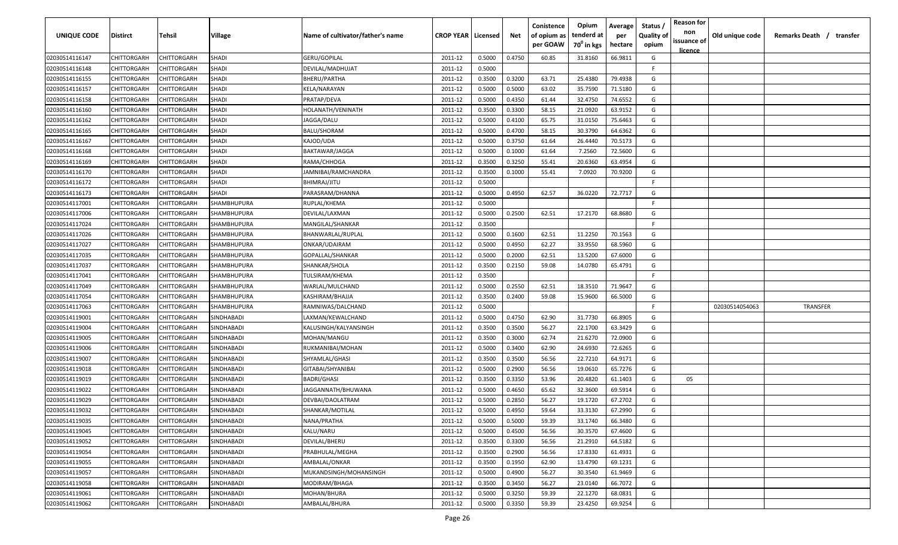| <b>UNIQUE CODE</b> | Distirct           | Tehsil             | Village            | Name of cultivator/father's name | <b>CROP YEAR   Licensed</b> |        | Net    | Conistence<br>of opium as | Opium<br>tenderd at    | Average<br>per | Status /<br><b>Quality of</b> | <b>Reason for</b><br>non      | Old unique code | Remarks Death / transfer |
|--------------------|--------------------|--------------------|--------------------|----------------------------------|-----------------------------|--------|--------|---------------------------|------------------------|----------------|-------------------------------|-------------------------------|-----------------|--------------------------|
|                    |                    |                    |                    |                                  |                             |        |        | per GOAW                  | 70 <sup>0</sup> in kgs | hectare        | opium                         | issuance of<br><u>licence</u> |                 |                          |
| 02030514116147     | CHITTORGARH        | CHITTORGARH        | SHADI              | GERU/GOPILAL                     | 2011-12                     | 0.5000 | 0.4750 | 60.85                     | 31.8160                | 66.9811        | G                             |                               |                 |                          |
| 02030514116148     | CHITTORGARH        | CHITTORGARH        | <b>SHADI</b>       | DEVILAL/MADHUJAT                 | 2011-12                     | 0.5000 |        |                           |                        |                | -F.                           |                               |                 |                          |
| 02030514116155     | CHITTORGARH        | CHITTORGARH        | <b>SHADI</b>       | BHERU/PARTHA                     | 2011-12                     | 0.3500 | 0.3200 | 63.71                     | 25.4380                | 79.4938        | G                             |                               |                 |                          |
| 02030514116157     | CHITTORGARH        | CHITTORGARH        | SHADI              | KELA/NARAYAN                     | 2011-12                     | 0.5000 | 0.5000 | 63.02                     | 35.7590                | 71.5180        | G                             |                               |                 |                          |
| 02030514116158     | CHITTORGARH        | CHITTORGARH        | SHADI              | PRATAP/DEVA                      | 2011-12                     | 0.5000 | 0.4350 | 61.44                     | 32.4750                | 74.6552        | G                             |                               |                 |                          |
| 02030514116160     | CHITTORGARH        | CHITTORGARH        | SHADI              | HOLANATH/VENINATH                | 2011-12                     | 0.3500 | 0.3300 | 58.15                     | 21.0920                | 63.9152        | G                             |                               |                 |                          |
| 02030514116162     | CHITTORGARH        | <b>CHITTORGARH</b> | <b>SHADI</b>       | JAGGA/DALU                       | 2011-12                     | 0.5000 | 0.4100 | 65.75                     | 31.0150                | 75.6463        | G                             |                               |                 |                          |
| 02030514116165     | CHITTORGARH        | CHITTORGARH        | SHADI              | BALU/SHORAM                      | 2011-12                     | 0.5000 | 0.4700 | 58.15                     | 30.3790                | 64.6362        | G                             |                               |                 |                          |
| 02030514116167     | CHITTORGARH        | CHITTORGARH        | SHADI              | KAJOD/UDA                        | 2011-12                     | 0.5000 | 0.3750 | 61.64                     | 26.4440                | 70.5173        | G                             |                               |                 |                          |
| 02030514116168     | CHITTORGARH        | CHITTORGARH        | <b>SHADI</b>       | BAKTAWAR/JAGGA                   | 2011-12                     | 0.5000 | 0.1000 | 61.64                     | 7.2560                 | 72.5600        | G                             |                               |                 |                          |
| 02030514116169     | CHITTORGARH        | CHITTORGARH        | SHADI              | RAMA/CHHOGA                      | 2011-12                     | 0.3500 | 0.3250 | 55.41                     | 20.6360                | 63.4954        | G                             |                               |                 |                          |
| 02030514116170     | CHITTORGARH        | CHITTORGARH        | SHADI              | IAMNIBAI/RAMCHANDRA              | 2011-12                     | 0.3500 | 0.1000 | 55.41                     | 7.0920                 | 70.9200        | G                             |                               |                 |                          |
| 02030514116172     | CHITTORGARH        | CHITTORGARH        | SHADI              | BHIMRAJ/JITU                     | 2011-12                     | 0.5000 |        |                           |                        |                | -F.                           |                               |                 |                          |
| 02030514116173     | CHITTORGARH        | CHITTORGARH        | SHADI              | PARASRAM/DHANNA                  | 2011-12                     | 0.5000 | 0.4950 | 62.57                     | 36.0220                | 72.7717        | G                             |                               |                 |                          |
| 02030514117001     | CHITTORGARH        | CHITTORGARH        | <b>SHAMBHUPURA</b> | RUPLAL/KHEMA                     | 2011-12                     | 0.5000 |        |                           |                        |                | -F.                           |                               |                 |                          |
| 02030514117006     | CHITTORGARH        | CHITTORGARH        | SHAMBHUPURA        | DEVILAL/LAXMAN                   | 2011-12                     | 0.5000 | 0.2500 | 62.51                     | 17.2170                | 68.8680        | G                             |                               |                 |                          |
| 02030514117024     | CHITTORGARH        | CHITTORGARH        | SHAMBHUPURA        | MANGILAL/SHANKAR                 | 2011-12                     | 0.3500 |        |                           |                        |                | F.                            |                               |                 |                          |
| 02030514117026     | CHITTORGARH        | CHITTORGARH        | SHAMBHUPURA        | BHANWARLAL/RUPLAL                | 2011-12                     | 0.5000 | 0.1600 | 62.51                     | 11.2250                | 70.1563        | G                             |                               |                 |                          |
| 02030514117027     | <b>CHITTORGARH</b> | CHITTORGARH        | SHAMBHUPURA        | ONKAR/UDAIRAM                    | 2011-12                     | 0.5000 | 0.4950 | 62.27                     | 33.9550                | 68.5960        | G                             |                               |                 |                          |
| 02030514117035     | CHITTORGARH        | CHITTORGARH        | SHAMBHUPURA        | GOPALLAL/SHANKAR                 | 2011-12                     | 0.5000 | 0.2000 | 62.51                     | 13.5200                | 67.6000        | G                             |                               |                 |                          |
| 02030514117037     | CHITTORGARH        | CHITTORGARH        | SHAMBHUPURA        | SHANKAR/SHOLA                    | 2011-12                     | 0.3500 | 0.2150 | 59.08                     | 14.0780                | 65.4791        | G                             |                               |                 |                          |
| 02030514117041     | CHITTORGARH        | CHITTORGARH        | SHAMBHUPURA        | TULSIRAM/KHEMA                   | 2011-12                     | 0.3500 |        |                           |                        |                | -F.                           |                               |                 |                          |
| 02030514117049     | CHITTORGARH        | CHITTORGARH        | SHAMBHUPURA        | WARLAL/MULCHAND                  | 2011-12                     | 0.5000 | 0.2550 | 62.51                     | 18.3510                | 71.9647        | G                             |                               |                 |                          |
| 02030514117054     | CHITTORGARH        | CHITTORGARH        | SHAMBHUPURA        | KASHIRAM/BHAJJA                  | 2011-12                     | 0.3500 | 0.2400 | 59.08                     | 15.9600                | 66.5000        | G                             |                               |                 |                          |
| 02030514117063     | CHITTORGARH        | CHITTORGARH        | SHAMBHUPURA        | RAMNIWAS/DALCHAND                | 2011-12                     | 0.5000 |        |                           |                        |                | -F                            |                               | 02030514054063  | TRANSFER                 |
| 02030514119001     | CHITTORGARH        | CHITTORGARH        | SINDHABADI         | LAXMAN/KEWALCHAND                | 2011-12                     | 0.5000 | 0.4750 | 62.90                     | 31.7730                | 66.8905        | G                             |                               |                 |                          |
| 02030514119004     | CHITTORGARH        | CHITTORGARH        | SINDHABADI         | KALUSINGH/KALYANSINGH            | 2011-12                     | 0.3500 | 0.3500 | 56.27                     | 22.1700                | 63.3429        | G                             |                               |                 |                          |
| 02030514119005     | CHITTORGARH        | CHITTORGARH        | SINDHABADI         | MOHAN/MANGU                      | 2011-12                     | 0.3500 | 0.3000 | 62.74                     | 21.6270                | 72.0900        | G                             |                               |                 |                          |
| 02030514119006     | CHITTORGARH        | CHITTORGARH        | SINDHABADI         | RUKMANIBAI/MOHAN                 | 2011-12                     | 0.5000 | 0.3400 | 62.90                     | 24.6930                | 72.6265        | G                             |                               |                 |                          |
| 02030514119007     | CHITTORGARH        | CHITTORGARH        | SINDHABADI         | SHYAMLAL/GHASI                   | 2011-12                     | 0.3500 | 0.3500 | 56.56                     | 22.7210                | 64.9171        | G                             |                               |                 |                          |
| 02030514119018     | CHITTORGARH        | CHITTORGARH        | SINDHABADI         | GITABAI/SHYANIBAI                | 2011-12                     | 0.5000 | 0.2900 | 56.56                     | 19.0610                | 65.7276        | G                             |                               |                 |                          |
| 02030514119019     | CHITTORGARH        | CHITTORGARH        | SINDHABADI         | <b>BADRI/GHASI</b>               | 2011-12                     | 0.3500 | 0.3350 | 53.96                     | 20.4820                | 61.1403        | G                             | 05                            |                 |                          |
| 02030514119022     | CHITTORGARH        | CHITTORGARH        | SINDHABADI         | JAGGANNATH/BHUWANA               | 2011-12                     | 0.5000 | 0.4650 | 65.62                     | 32.3600                | 69.5914        | G                             |                               |                 |                          |
| 02030514119029     | CHITTORGARH        | CHITTORGARH        | SINDHABADI         | DEVBAI/DAOLATRAM                 | 2011-12                     | 0.5000 | 0.2850 | 56.27                     | 19.1720                | 67.2702        | G                             |                               |                 |                          |
| 02030514119032     | CHITTORGARH        | CHITTORGARH        | SINDHABADI         | SHANKAR/MOTILAL                  | 2011-12                     | 0.5000 | 0.4950 | 59.64                     | 33.3130                | 67.2990        | G                             |                               |                 |                          |
| 02030514119035     | <b>CHITTORGARH</b> | CHITTORGARH        | SINDHABADI         | NANA/PRATHA                      | 2011-12                     | 0.5000 | 0.5000 | 59.39                     | 33.1740                | 66.3480        | G                             |                               |                 |                          |
| 02030514119045     | CHITTORGARH        | CHITTORGARH        | SINDHABADI         | KALU/NARU                        | 2011-12                     | 0.5000 | 0.4500 | 56.56                     | 30.3570                | 67.4600        | G                             |                               |                 |                          |
| 02030514119052     | <b>CHITTORGARH</b> | CHITTORGARH        | SINDHABADI         | DEVILAL/BHERU                    | 2011-12                     | 0.3500 | 0.3300 | 56.56                     | 21.2910                | 64.5182        | G                             |                               |                 |                          |
| 02030514119054     | CHITTORGARH        | CHITTORGARH        | SINDHABADI         | PRABHULAL/MEGHA                  | 2011-12                     | 0.3500 | 0.2900 | 56.56                     | 17.8330                | 61.4931        | G                             |                               |                 |                          |
| 02030514119055     | CHITTORGARH        | CHITTORGARH        | SINDHABADI         | AMBALAL/ONKAR                    | 2011-12                     | 0.3500 | 0.1950 | 62.90                     | 13.4790                | 69.1231        | G                             |                               |                 |                          |
| 02030514119057     | CHITTORGARH        | CHITTORGARH        | SINDHABADI         | MUKANDSINGH/MOHANSINGH           | 2011-12                     | 0.5000 | 0.4900 | 56.27                     | 30.3540                | 61.9469        | G                             |                               |                 |                          |
| 02030514119058     | CHITTORGARH        | CHITTORGARH        | SINDHABADI         | MODIRAM/BHAGA                    | 2011-12                     | 0.3500 | 0.3450 | 56.27                     | 23.0140                | 66.7072        | G                             |                               |                 |                          |
| 02030514119061     | CHITTORGARH        | CHITTORGARH        | SINDHABADI         | MOHAN/BHURA                      | 2011-12                     | 0.5000 | 0.3250 | 59.39                     | 22.1270                | 68.0831        | G                             |                               |                 |                          |
| 02030514119062     | <b>CHITTORGARH</b> | CHITTORGARH        | SINDHABADI         | AMBALAL/BHURA                    | 2011-12                     | 0.5000 | 0.3350 | 59.39                     | 23.4250                | 69.9254        | G                             |                               |                 |                          |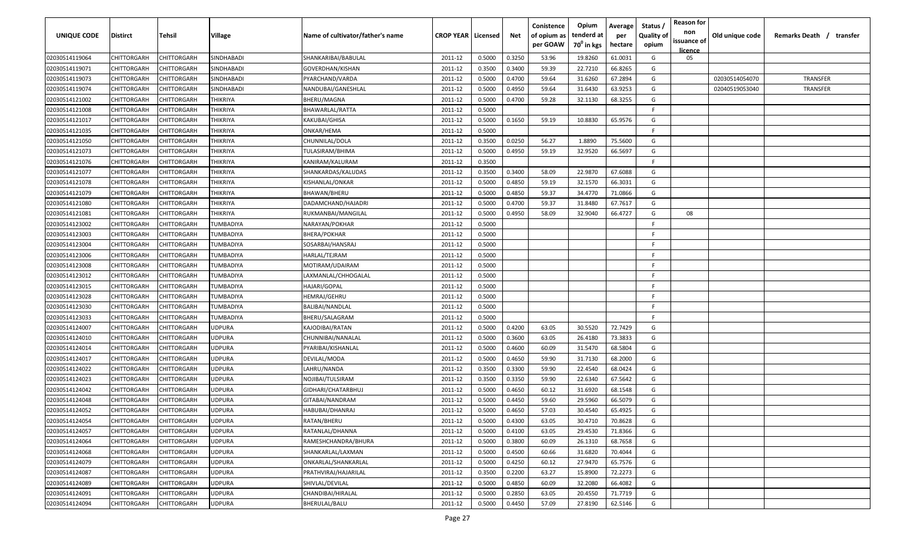| 02030514119064<br>CHITTORGARH<br>CHITTORGARH<br>SINDHABADI<br>SHANKARIBAI/BABULAL<br>0.5000<br>0.3250<br>53.96<br>19.8260<br>61.0031<br>G<br>2011-12<br>05<br>66.8265<br>0.3400<br>59.39<br>22.7210<br>G<br>02030514119071<br>CHITTORGARH<br>CHITTORGARH<br>SINDHABADI<br>GOVERDHAN/KISHAN<br>2011-12<br>0.3500<br>02030514119073<br>CHITTORGARH<br>CHITTORGARH<br>SINDHABADI<br>0.5000<br>0.4700<br>59.64<br>31.6260<br>67.2894<br>G<br>02030514054070<br><b>TRANSFER</b><br>PYARCHAND/VARDA<br>2011-12<br>31.6430<br>02030514119074<br>CHITTORGARH<br>CHITTORGARH<br>SINDHABADI<br>NANDUBAI/GANESHLAL<br>2011-12<br>0.5000<br>0.4950<br>59.64<br>63.9253<br>G<br>02040519053040<br><b>TRANSFER</b><br>02030514121002<br>CHITTORGARH<br>CHITTORGARH<br>THIKRIYA<br>BHERU/MAGNA<br>2011-12<br>0.5000<br>0.4700<br>59.28<br>32.1130<br>68.3255<br>G<br>02030514121008<br>CHITTORGARH<br>CHITTORGARH<br>2011-12<br>0.5000<br>THIKRIYA<br>BHAWARLAL/RATTA<br>E<br>02030514121017<br>CHITTORGARH<br><b>CHITTORGARH</b><br>0.5000<br>59.19<br>10.8830<br>65.9576<br>THIKRIYA<br>KAKUBAI/GHISA<br>2011-12<br>0.1650<br>G<br>02030514121035<br>0.5000<br>CHITTORGARH<br>CHITTORGARH<br>THIKRIYA<br>ONKAR/HEMA<br>2011-12<br>-F.<br>0.0250<br>02030514121050<br>CHITTORGARH<br>CHITTORGARH<br>THIKRIYA<br>CHUNNILAL/DOLA<br>2011-12<br>0.3500<br>56.27<br>1.8890<br>75.5600<br>G<br>59.19<br>G<br>CHITTORGARH<br>2011-12<br>0.5000<br>0.4950<br>32.9520<br>66.5697<br>02030514121073<br>CHITTORGARH<br>THIKRIYA<br>TULASIRAM/BHIMA<br>CHITTORGARH<br>CHITTORGARH<br>2011-12<br>0.3500<br>-F.<br>02030514121076<br>THIKRIYA<br>KANIRAM/KALURAM<br>67.6088<br>G<br>02030514121077<br>CHITTORGARH<br>CHITTORGARH<br>THIKRIYA<br>2011-12<br>0.3500<br>0.3400<br>58.09<br>22.9870<br>SHANKARDAS/KALUDAS<br>59.19<br>02030514121078<br>CHITTORGARH<br>CHITTORGARH<br>THIKRIYA<br>2011-12<br>0.5000<br>0.4850<br>32.1570<br>66.3031<br>G<br>KISHANLAL/ONKAR<br>59.37<br>2011-12<br>0.5000<br>0.4850<br>34.4770<br>71.0866<br>G<br>02030514121079<br>CHITTORGARH<br>CHITTORGARH<br>THIKRIYA<br>BHAWAN/BHERU<br>0.4700<br>59.37<br>31.8480<br>67.7617<br>CHITTORGARH<br>CHITTORGARH<br>THIKRIYA<br>2011-12<br>0.5000<br>G<br>02030514121080<br>DADAMCHAND/HAJADRI<br>CHITTORGARH<br>CHITTORGARH<br>0.5000<br>0.4950<br>58.09<br>32.9040<br>66.4727<br>G<br>02030514121081<br>THIKRIYA<br>2011-12<br>08<br>RUKMANBAI/MANGILAL<br>0.5000<br>02030514123002<br>CHITTORGARH<br>CHITTORGARH<br>TUMBADIYA<br>NARAYAN/POKHAR<br>2011-12<br>-F.<br>02030514123003<br>CHITTORGARH<br>CHITTORGARH<br>TUMBADIYA<br>BHERA/POKHAR<br>2011-12<br>0.5000<br>F.<br>02030514123004<br>CHITTORGARH<br>CHITTORGARH<br>0.5000<br>F.<br>TUMBADIYA<br>SOSARBAI/HANSRAJ<br>2011-12<br>02030514123006<br>CHITTORGARH<br>CHITTORGARH<br>TUMBADIYA<br>HARLAL/TEJRAM<br>2011-12<br>0.5000<br>F.<br>02030514123008<br>CHITTORGARH<br>CHITTORGARH<br>TUMBADIYA<br>MOTIRAM/UDAIRAM<br>2011-12<br>0.5000<br>-F.<br>02030514123012<br>CHITTORGARH<br>2011-12<br>0.5000<br>CHITTORGARH<br>TUMBADIYA<br>LAXMANLAL/CHHOGALAL<br>-F.<br>02030514123015<br>CHITTORGARH<br>CHITTORGARH<br>HAJARI/GOPAL<br>0.5000<br>TUMBADIYA<br>2011-12<br>-F.<br>02030514123028<br>CHITTORGARH<br>CHITTORGARH<br>2011-12<br>0.5000<br>TUMBADIYA<br>HEMRAJ/GEHRU<br>-F.<br>02030514123030<br>CHITTORGARH<br>CHITTORGARH<br>TUMBADIYA<br>BALIBAI/NANDLAL<br>2011-12<br>0.5000<br>-F<br>02030514123033<br>CHITTORGARH<br>CHITTORGARH<br>TUMBADIYA<br>BHERU/SALAGRAM<br>2011-12<br>0.5000<br>-F.<br>G<br>2011-12<br>0.5000<br>0.4200<br>63.05<br>30.5520<br>72.7429<br>02030514124007<br>CHITTORGARH<br>CHITTORGARH<br>JDPURA<br>KAJODIBAI/RATAN<br>CHITTORGARH<br>2011-12<br>0.5000<br>0.3600<br>63.05<br>26.4180<br>73.3833<br>G<br>02030514124010<br>CHITTORGARH<br>JDPURA<br>CHUNNIBAI/NANALAL<br>G<br>02030514124014<br>CHITTORGARH<br>CHITTORGARH<br>JDPURA<br>2011-12<br>0.5000<br>0.4600<br>60.09<br>31.5470<br>68.5804<br>PYARIBAI/KISHANLAL<br>02030514124017<br>CHITTORGARH<br>CHITTORGARH<br><b>JDPURA</b><br>2011-12<br>0.5000<br>0.4650<br>59.90<br>31.7130<br>68.2000<br>G<br>DEVILAL/MODA<br>0.3300<br>59.90<br>22.4540<br>68.0424<br>G<br>02030514124022<br>CHITTORGARH<br>CHITTORGARH<br><b>JDPURA</b><br>2011-12<br>0.3500<br>LAHRU/NANDA<br>22.6340<br>67.5642<br>02030514124023<br>CHITTORGARH<br>CHITTORGARH<br><b>JDPURA</b><br>2011-12<br>0.3500<br>0.3350<br>59.90<br>G<br>NOJIBAI/TULSIRAM<br>02030514124042<br>CHITTORGARH<br>CHITTORGARH<br><b>JDPURA</b><br>2011-12<br>0.5000<br>0.4650<br>60.12<br>31.6920<br>68.1548<br>G<br>GIDHARI/CHATARBHUJ<br>02030514124048<br><b>JDPURA</b><br>2011-12<br>0.5000<br>0.4450<br>59.60<br>29.5960<br>66.5079<br>G<br>CHITTORGARH<br>CHITTORGARH<br>GITABAI/NANDRAM<br>2011-12<br>0.5000<br>0.4650<br>57.03<br>30.4540<br>65.4925<br>G<br>02030514124052<br>CHITTORGARH<br>CHITTORGARH<br>JDPURA<br>HABUBAI/DHANRAJ<br>RATAN/BHERU<br>0.5000<br>0.4300<br>30.4710<br>70.8628<br>02030514124054<br><b>CHITTORGARH</b><br>CHITTORGARH<br>JDPURA<br>2011-12<br>63.05<br>G<br>CHITTORGARH<br>RATANLAL/DHANNA<br>2011-12<br>0.5000<br>0.4100<br>63.05<br>29.4530<br>71.8366<br>G<br>02030514124057<br>CHITTORGARH<br>JDPURA<br>02030514124064<br><b>CHITTORGARH</b><br>2011-12<br>0.5000<br>0.3800<br>60.09<br>68.7658<br>G<br>CHITTORGARH<br>JDPURA<br>RAMESHCHANDRA/BHURA<br>26.1310<br>0.5000<br>0.4500<br>31.6820<br>70.4044<br>G<br>02030514124068<br><b>CHITTORGARH</b><br>CHITTORGARH<br>JDPURA<br>SHANKARLAL/LAXMAN<br>2011-12<br>60.66<br>0.5000<br>0.4250<br>27.9470<br>G<br>02030514124079<br>CHITTORGARH<br>CHITTORGARH<br>JDPURA<br>ONKARLAL/SHANKARLAL<br>2011-12<br>60.12<br>65.7576<br>02030514124087<br>0.3500<br>0.2200<br>63.27<br>15.8900<br>72.2273<br>G<br>CHITTORGARH<br>CHITTORGARH<br>JDPURA<br>PRATHVIRAJ/HAJARILAL<br>2011-12<br>02030514124089<br>CHITTORGARH<br>CHITTORGARH<br>JDPURA<br>SHIVLAL/DEVILAL<br>2011-12<br>0.5000<br>0.4850<br>60.09<br>32.2080<br>66.4082<br>G<br>G<br>02030514124091<br>JDPURA<br>CHANDIBAI/HIRALAL<br>2011-12<br>0.5000<br>0.2850<br>63.05<br>20.4550<br>71.7719<br>CHITTORGARH<br>CHITTORGARH<br>G<br>0.4450<br>57.09<br>62.5146<br>02030514124094<br>CHITTORGARH<br>CHITTORGARH<br>JDPURA<br>BHERULAL/BALU<br>2011-12<br>0.5000<br>27.8190 | <b>UNIQUE CODE</b> | Distirct | Tehsil | Village | Name of cultivator/father's name | <b>CROP YEAR   Licensed</b> | Net | Conistence<br>of opium as<br>per GOAW | Opium<br>tenderd at<br>70 <sup>0</sup> in kgs | Average<br>per<br>hectare | Status /<br><b>Quality of</b><br>opium | <b>Reason for</b><br>non<br>issuance of<br>licence | Old unique code | Remarks Death / transfer |
|----------------------------------------------------------------------------------------------------------------------------------------------------------------------------------------------------------------------------------------------------------------------------------------------------------------------------------------------------------------------------------------------------------------------------------------------------------------------------------------------------------------------------------------------------------------------------------------------------------------------------------------------------------------------------------------------------------------------------------------------------------------------------------------------------------------------------------------------------------------------------------------------------------------------------------------------------------------------------------------------------------------------------------------------------------------------------------------------------------------------------------------------------------------------------------------------------------------------------------------------------------------------------------------------------------------------------------------------------------------------------------------------------------------------------------------------------------------------------------------------------------------------------------------------------------------------------------------------------------------------------------------------------------------------------------------------------------------------------------------------------------------------------------------------------------------------------------------------------------------------------------------------------------------------------------------------------------------------------------------------------------------------------------------------------------------------------------------------------------------------------------------------------------------------------------------------------------------------------------------------------------------------------------------------------------------------------------------------------------------------------------------------------------------------------------------------------------------------------------------------------------------------------------------------------------------------------------------------------------------------------------------------------------------------------------------------------------------------------------------------------------------------------------------------------------------------------------------------------------------------------------------------------------------------------------------------------------------------------------------------------------------------------------------------------------------------------------------------------------------------------------------------------------------------------------------------------------------------------------------------------------------------------------------------------------------------------------------------------------------------------------------------------------------------------------------------------------------------------------------------------------------------------------------------------------------------------------------------------------------------------------------------------------------------------------------------------------------------------------------------------------------------------------------------------------------------------------------------------------------------------------------------------------------------------------------------------------------------------------------------------------------------------------------------------------------------------------------------------------------------------------------------------------------------------------------------------------------------------------------------------------------------------------------------------------------------------------------------------------------------------------------------------------------------------------------------------------------------------------------------------------------------------------------------------------------------------------------------------------------------------------------------------------------------------------------------------------------------------------------------------------------------------------------------------------------------------------------------------------------------------------------------------------------------------------------------------------------------------------------------------------------------------------------------------------------------------------------------------------------------------------------------------------------------------------------------------------------------------------------------------------------------------------------------------------------------------------------------------------------------------------------------------------------------------------------------------------------------------------------------------------------------------------------------------------------------------------------------------------------------------------------------------------------------------------------------------------------------------------------------------------------------------------------------------------------------------------------------------------------------------------------------------------------------------------------------------------------------------------------------------------------------------------------------------------------------------------------------------------------------------------------------------------------------------------------------------------------------------------------------------------------------------------------------|--------------------|----------|--------|---------|----------------------------------|-----------------------------|-----|---------------------------------------|-----------------------------------------------|---------------------------|----------------------------------------|----------------------------------------------------|-----------------|--------------------------|
|                                                                                                                                                                                                                                                                                                                                                                                                                                                                                                                                                                                                                                                                                                                                                                                                                                                                                                                                                                                                                                                                                                                                                                                                                                                                                                                                                                                                                                                                                                                                                                                                                                                                                                                                                                                                                                                                                                                                                                                                                                                                                                                                                                                                                                                                                                                                                                                                                                                                                                                                                                                                                                                                                                                                                                                                                                                                                                                                                                                                                                                                                                                                                                                                                                                                                                                                                                                                                                                                                                                                                                                                                                                                                                                                                                                                                                                                                                                                                                                                                                                                                                                                                                                                                                                                                                                                                                                                                                                                                                                                                                                                                                                                                                                                                                                                                                                                                                                                                                                                                                                                                                                                                                                                                                                                                                                                                                                                                                                                                                                                                                                                                                                                                                                                                                                                                                                                                                                                                                                                                                                                                                                                                                                                                                                                                              |                    |          |        |         |                                  |                             |     |                                       |                                               |                           |                                        |                                                    |                 |                          |
|                                                                                                                                                                                                                                                                                                                                                                                                                                                                                                                                                                                                                                                                                                                                                                                                                                                                                                                                                                                                                                                                                                                                                                                                                                                                                                                                                                                                                                                                                                                                                                                                                                                                                                                                                                                                                                                                                                                                                                                                                                                                                                                                                                                                                                                                                                                                                                                                                                                                                                                                                                                                                                                                                                                                                                                                                                                                                                                                                                                                                                                                                                                                                                                                                                                                                                                                                                                                                                                                                                                                                                                                                                                                                                                                                                                                                                                                                                                                                                                                                                                                                                                                                                                                                                                                                                                                                                                                                                                                                                                                                                                                                                                                                                                                                                                                                                                                                                                                                                                                                                                                                                                                                                                                                                                                                                                                                                                                                                                                                                                                                                                                                                                                                                                                                                                                                                                                                                                                                                                                                                                                                                                                                                                                                                                                                              |                    |          |        |         |                                  |                             |     |                                       |                                               |                           |                                        |                                                    |                 |                          |
|                                                                                                                                                                                                                                                                                                                                                                                                                                                                                                                                                                                                                                                                                                                                                                                                                                                                                                                                                                                                                                                                                                                                                                                                                                                                                                                                                                                                                                                                                                                                                                                                                                                                                                                                                                                                                                                                                                                                                                                                                                                                                                                                                                                                                                                                                                                                                                                                                                                                                                                                                                                                                                                                                                                                                                                                                                                                                                                                                                                                                                                                                                                                                                                                                                                                                                                                                                                                                                                                                                                                                                                                                                                                                                                                                                                                                                                                                                                                                                                                                                                                                                                                                                                                                                                                                                                                                                                                                                                                                                                                                                                                                                                                                                                                                                                                                                                                                                                                                                                                                                                                                                                                                                                                                                                                                                                                                                                                                                                                                                                                                                                                                                                                                                                                                                                                                                                                                                                                                                                                                                                                                                                                                                                                                                                                                              |                    |          |        |         |                                  |                             |     |                                       |                                               |                           |                                        |                                                    |                 |                          |
|                                                                                                                                                                                                                                                                                                                                                                                                                                                                                                                                                                                                                                                                                                                                                                                                                                                                                                                                                                                                                                                                                                                                                                                                                                                                                                                                                                                                                                                                                                                                                                                                                                                                                                                                                                                                                                                                                                                                                                                                                                                                                                                                                                                                                                                                                                                                                                                                                                                                                                                                                                                                                                                                                                                                                                                                                                                                                                                                                                                                                                                                                                                                                                                                                                                                                                                                                                                                                                                                                                                                                                                                                                                                                                                                                                                                                                                                                                                                                                                                                                                                                                                                                                                                                                                                                                                                                                                                                                                                                                                                                                                                                                                                                                                                                                                                                                                                                                                                                                                                                                                                                                                                                                                                                                                                                                                                                                                                                                                                                                                                                                                                                                                                                                                                                                                                                                                                                                                                                                                                                                                                                                                                                                                                                                                                                              |                    |          |        |         |                                  |                             |     |                                       |                                               |                           |                                        |                                                    |                 |                          |
|                                                                                                                                                                                                                                                                                                                                                                                                                                                                                                                                                                                                                                                                                                                                                                                                                                                                                                                                                                                                                                                                                                                                                                                                                                                                                                                                                                                                                                                                                                                                                                                                                                                                                                                                                                                                                                                                                                                                                                                                                                                                                                                                                                                                                                                                                                                                                                                                                                                                                                                                                                                                                                                                                                                                                                                                                                                                                                                                                                                                                                                                                                                                                                                                                                                                                                                                                                                                                                                                                                                                                                                                                                                                                                                                                                                                                                                                                                                                                                                                                                                                                                                                                                                                                                                                                                                                                                                                                                                                                                                                                                                                                                                                                                                                                                                                                                                                                                                                                                                                                                                                                                                                                                                                                                                                                                                                                                                                                                                                                                                                                                                                                                                                                                                                                                                                                                                                                                                                                                                                                                                                                                                                                                                                                                                                                              |                    |          |        |         |                                  |                             |     |                                       |                                               |                           |                                        |                                                    |                 |                          |
|                                                                                                                                                                                                                                                                                                                                                                                                                                                                                                                                                                                                                                                                                                                                                                                                                                                                                                                                                                                                                                                                                                                                                                                                                                                                                                                                                                                                                                                                                                                                                                                                                                                                                                                                                                                                                                                                                                                                                                                                                                                                                                                                                                                                                                                                                                                                                                                                                                                                                                                                                                                                                                                                                                                                                                                                                                                                                                                                                                                                                                                                                                                                                                                                                                                                                                                                                                                                                                                                                                                                                                                                                                                                                                                                                                                                                                                                                                                                                                                                                                                                                                                                                                                                                                                                                                                                                                                                                                                                                                                                                                                                                                                                                                                                                                                                                                                                                                                                                                                                                                                                                                                                                                                                                                                                                                                                                                                                                                                                                                                                                                                                                                                                                                                                                                                                                                                                                                                                                                                                                                                                                                                                                                                                                                                                                              |                    |          |        |         |                                  |                             |     |                                       |                                               |                           |                                        |                                                    |                 |                          |
|                                                                                                                                                                                                                                                                                                                                                                                                                                                                                                                                                                                                                                                                                                                                                                                                                                                                                                                                                                                                                                                                                                                                                                                                                                                                                                                                                                                                                                                                                                                                                                                                                                                                                                                                                                                                                                                                                                                                                                                                                                                                                                                                                                                                                                                                                                                                                                                                                                                                                                                                                                                                                                                                                                                                                                                                                                                                                                                                                                                                                                                                                                                                                                                                                                                                                                                                                                                                                                                                                                                                                                                                                                                                                                                                                                                                                                                                                                                                                                                                                                                                                                                                                                                                                                                                                                                                                                                                                                                                                                                                                                                                                                                                                                                                                                                                                                                                                                                                                                                                                                                                                                                                                                                                                                                                                                                                                                                                                                                                                                                                                                                                                                                                                                                                                                                                                                                                                                                                                                                                                                                                                                                                                                                                                                                                                              |                    |          |        |         |                                  |                             |     |                                       |                                               |                           |                                        |                                                    |                 |                          |
|                                                                                                                                                                                                                                                                                                                                                                                                                                                                                                                                                                                                                                                                                                                                                                                                                                                                                                                                                                                                                                                                                                                                                                                                                                                                                                                                                                                                                                                                                                                                                                                                                                                                                                                                                                                                                                                                                                                                                                                                                                                                                                                                                                                                                                                                                                                                                                                                                                                                                                                                                                                                                                                                                                                                                                                                                                                                                                                                                                                                                                                                                                                                                                                                                                                                                                                                                                                                                                                                                                                                                                                                                                                                                                                                                                                                                                                                                                                                                                                                                                                                                                                                                                                                                                                                                                                                                                                                                                                                                                                                                                                                                                                                                                                                                                                                                                                                                                                                                                                                                                                                                                                                                                                                                                                                                                                                                                                                                                                                                                                                                                                                                                                                                                                                                                                                                                                                                                                                                                                                                                                                                                                                                                                                                                                                                              |                    |          |        |         |                                  |                             |     |                                       |                                               |                           |                                        |                                                    |                 |                          |
|                                                                                                                                                                                                                                                                                                                                                                                                                                                                                                                                                                                                                                                                                                                                                                                                                                                                                                                                                                                                                                                                                                                                                                                                                                                                                                                                                                                                                                                                                                                                                                                                                                                                                                                                                                                                                                                                                                                                                                                                                                                                                                                                                                                                                                                                                                                                                                                                                                                                                                                                                                                                                                                                                                                                                                                                                                                                                                                                                                                                                                                                                                                                                                                                                                                                                                                                                                                                                                                                                                                                                                                                                                                                                                                                                                                                                                                                                                                                                                                                                                                                                                                                                                                                                                                                                                                                                                                                                                                                                                                                                                                                                                                                                                                                                                                                                                                                                                                                                                                                                                                                                                                                                                                                                                                                                                                                                                                                                                                                                                                                                                                                                                                                                                                                                                                                                                                                                                                                                                                                                                                                                                                                                                                                                                                                                              |                    |          |        |         |                                  |                             |     |                                       |                                               |                           |                                        |                                                    |                 |                          |
|                                                                                                                                                                                                                                                                                                                                                                                                                                                                                                                                                                                                                                                                                                                                                                                                                                                                                                                                                                                                                                                                                                                                                                                                                                                                                                                                                                                                                                                                                                                                                                                                                                                                                                                                                                                                                                                                                                                                                                                                                                                                                                                                                                                                                                                                                                                                                                                                                                                                                                                                                                                                                                                                                                                                                                                                                                                                                                                                                                                                                                                                                                                                                                                                                                                                                                                                                                                                                                                                                                                                                                                                                                                                                                                                                                                                                                                                                                                                                                                                                                                                                                                                                                                                                                                                                                                                                                                                                                                                                                                                                                                                                                                                                                                                                                                                                                                                                                                                                                                                                                                                                                                                                                                                                                                                                                                                                                                                                                                                                                                                                                                                                                                                                                                                                                                                                                                                                                                                                                                                                                                                                                                                                                                                                                                                                              |                    |          |        |         |                                  |                             |     |                                       |                                               |                           |                                        |                                                    |                 |                          |
|                                                                                                                                                                                                                                                                                                                                                                                                                                                                                                                                                                                                                                                                                                                                                                                                                                                                                                                                                                                                                                                                                                                                                                                                                                                                                                                                                                                                                                                                                                                                                                                                                                                                                                                                                                                                                                                                                                                                                                                                                                                                                                                                                                                                                                                                                                                                                                                                                                                                                                                                                                                                                                                                                                                                                                                                                                                                                                                                                                                                                                                                                                                                                                                                                                                                                                                                                                                                                                                                                                                                                                                                                                                                                                                                                                                                                                                                                                                                                                                                                                                                                                                                                                                                                                                                                                                                                                                                                                                                                                                                                                                                                                                                                                                                                                                                                                                                                                                                                                                                                                                                                                                                                                                                                                                                                                                                                                                                                                                                                                                                                                                                                                                                                                                                                                                                                                                                                                                                                                                                                                                                                                                                                                                                                                                                                              |                    |          |        |         |                                  |                             |     |                                       |                                               |                           |                                        |                                                    |                 |                          |
|                                                                                                                                                                                                                                                                                                                                                                                                                                                                                                                                                                                                                                                                                                                                                                                                                                                                                                                                                                                                                                                                                                                                                                                                                                                                                                                                                                                                                                                                                                                                                                                                                                                                                                                                                                                                                                                                                                                                                                                                                                                                                                                                                                                                                                                                                                                                                                                                                                                                                                                                                                                                                                                                                                                                                                                                                                                                                                                                                                                                                                                                                                                                                                                                                                                                                                                                                                                                                                                                                                                                                                                                                                                                                                                                                                                                                                                                                                                                                                                                                                                                                                                                                                                                                                                                                                                                                                                                                                                                                                                                                                                                                                                                                                                                                                                                                                                                                                                                                                                                                                                                                                                                                                                                                                                                                                                                                                                                                                                                                                                                                                                                                                                                                                                                                                                                                                                                                                                                                                                                                                                                                                                                                                                                                                                                                              |                    |          |        |         |                                  |                             |     |                                       |                                               |                           |                                        |                                                    |                 |                          |
|                                                                                                                                                                                                                                                                                                                                                                                                                                                                                                                                                                                                                                                                                                                                                                                                                                                                                                                                                                                                                                                                                                                                                                                                                                                                                                                                                                                                                                                                                                                                                                                                                                                                                                                                                                                                                                                                                                                                                                                                                                                                                                                                                                                                                                                                                                                                                                                                                                                                                                                                                                                                                                                                                                                                                                                                                                                                                                                                                                                                                                                                                                                                                                                                                                                                                                                                                                                                                                                                                                                                                                                                                                                                                                                                                                                                                                                                                                                                                                                                                                                                                                                                                                                                                                                                                                                                                                                                                                                                                                                                                                                                                                                                                                                                                                                                                                                                                                                                                                                                                                                                                                                                                                                                                                                                                                                                                                                                                                                                                                                                                                                                                                                                                                                                                                                                                                                                                                                                                                                                                                                                                                                                                                                                                                                                                              |                    |          |        |         |                                  |                             |     |                                       |                                               |                           |                                        |                                                    |                 |                          |
|                                                                                                                                                                                                                                                                                                                                                                                                                                                                                                                                                                                                                                                                                                                                                                                                                                                                                                                                                                                                                                                                                                                                                                                                                                                                                                                                                                                                                                                                                                                                                                                                                                                                                                                                                                                                                                                                                                                                                                                                                                                                                                                                                                                                                                                                                                                                                                                                                                                                                                                                                                                                                                                                                                                                                                                                                                                                                                                                                                                                                                                                                                                                                                                                                                                                                                                                                                                                                                                                                                                                                                                                                                                                                                                                                                                                                                                                                                                                                                                                                                                                                                                                                                                                                                                                                                                                                                                                                                                                                                                                                                                                                                                                                                                                                                                                                                                                                                                                                                                                                                                                                                                                                                                                                                                                                                                                                                                                                                                                                                                                                                                                                                                                                                                                                                                                                                                                                                                                                                                                                                                                                                                                                                                                                                                                                              |                    |          |        |         |                                  |                             |     |                                       |                                               |                           |                                        |                                                    |                 |                          |
|                                                                                                                                                                                                                                                                                                                                                                                                                                                                                                                                                                                                                                                                                                                                                                                                                                                                                                                                                                                                                                                                                                                                                                                                                                                                                                                                                                                                                                                                                                                                                                                                                                                                                                                                                                                                                                                                                                                                                                                                                                                                                                                                                                                                                                                                                                                                                                                                                                                                                                                                                                                                                                                                                                                                                                                                                                                                                                                                                                                                                                                                                                                                                                                                                                                                                                                                                                                                                                                                                                                                                                                                                                                                                                                                                                                                                                                                                                                                                                                                                                                                                                                                                                                                                                                                                                                                                                                                                                                                                                                                                                                                                                                                                                                                                                                                                                                                                                                                                                                                                                                                                                                                                                                                                                                                                                                                                                                                                                                                                                                                                                                                                                                                                                                                                                                                                                                                                                                                                                                                                                                                                                                                                                                                                                                                                              |                    |          |        |         |                                  |                             |     |                                       |                                               |                           |                                        |                                                    |                 |                          |
|                                                                                                                                                                                                                                                                                                                                                                                                                                                                                                                                                                                                                                                                                                                                                                                                                                                                                                                                                                                                                                                                                                                                                                                                                                                                                                                                                                                                                                                                                                                                                                                                                                                                                                                                                                                                                                                                                                                                                                                                                                                                                                                                                                                                                                                                                                                                                                                                                                                                                                                                                                                                                                                                                                                                                                                                                                                                                                                                                                                                                                                                                                                                                                                                                                                                                                                                                                                                                                                                                                                                                                                                                                                                                                                                                                                                                                                                                                                                                                                                                                                                                                                                                                                                                                                                                                                                                                                                                                                                                                                                                                                                                                                                                                                                                                                                                                                                                                                                                                                                                                                                                                                                                                                                                                                                                                                                                                                                                                                                                                                                                                                                                                                                                                                                                                                                                                                                                                                                                                                                                                                                                                                                                                                                                                                                                              |                    |          |        |         |                                  |                             |     |                                       |                                               |                           |                                        |                                                    |                 |                          |
|                                                                                                                                                                                                                                                                                                                                                                                                                                                                                                                                                                                                                                                                                                                                                                                                                                                                                                                                                                                                                                                                                                                                                                                                                                                                                                                                                                                                                                                                                                                                                                                                                                                                                                                                                                                                                                                                                                                                                                                                                                                                                                                                                                                                                                                                                                                                                                                                                                                                                                                                                                                                                                                                                                                                                                                                                                                                                                                                                                                                                                                                                                                                                                                                                                                                                                                                                                                                                                                                                                                                                                                                                                                                                                                                                                                                                                                                                                                                                                                                                                                                                                                                                                                                                                                                                                                                                                                                                                                                                                                                                                                                                                                                                                                                                                                                                                                                                                                                                                                                                                                                                                                                                                                                                                                                                                                                                                                                                                                                                                                                                                                                                                                                                                                                                                                                                                                                                                                                                                                                                                                                                                                                                                                                                                                                                              |                    |          |        |         |                                  |                             |     |                                       |                                               |                           |                                        |                                                    |                 |                          |
|                                                                                                                                                                                                                                                                                                                                                                                                                                                                                                                                                                                                                                                                                                                                                                                                                                                                                                                                                                                                                                                                                                                                                                                                                                                                                                                                                                                                                                                                                                                                                                                                                                                                                                                                                                                                                                                                                                                                                                                                                                                                                                                                                                                                                                                                                                                                                                                                                                                                                                                                                                                                                                                                                                                                                                                                                                                                                                                                                                                                                                                                                                                                                                                                                                                                                                                                                                                                                                                                                                                                                                                                                                                                                                                                                                                                                                                                                                                                                                                                                                                                                                                                                                                                                                                                                                                                                                                                                                                                                                                                                                                                                                                                                                                                                                                                                                                                                                                                                                                                                                                                                                                                                                                                                                                                                                                                                                                                                                                                                                                                                                                                                                                                                                                                                                                                                                                                                                                                                                                                                                                                                                                                                                                                                                                                                              |                    |          |        |         |                                  |                             |     |                                       |                                               |                           |                                        |                                                    |                 |                          |
|                                                                                                                                                                                                                                                                                                                                                                                                                                                                                                                                                                                                                                                                                                                                                                                                                                                                                                                                                                                                                                                                                                                                                                                                                                                                                                                                                                                                                                                                                                                                                                                                                                                                                                                                                                                                                                                                                                                                                                                                                                                                                                                                                                                                                                                                                                                                                                                                                                                                                                                                                                                                                                                                                                                                                                                                                                                                                                                                                                                                                                                                                                                                                                                                                                                                                                                                                                                                                                                                                                                                                                                                                                                                                                                                                                                                                                                                                                                                                                                                                                                                                                                                                                                                                                                                                                                                                                                                                                                                                                                                                                                                                                                                                                                                                                                                                                                                                                                                                                                                                                                                                                                                                                                                                                                                                                                                                                                                                                                                                                                                                                                                                                                                                                                                                                                                                                                                                                                                                                                                                                                                                                                                                                                                                                                                                              |                    |          |        |         |                                  |                             |     |                                       |                                               |                           |                                        |                                                    |                 |                          |
|                                                                                                                                                                                                                                                                                                                                                                                                                                                                                                                                                                                                                                                                                                                                                                                                                                                                                                                                                                                                                                                                                                                                                                                                                                                                                                                                                                                                                                                                                                                                                                                                                                                                                                                                                                                                                                                                                                                                                                                                                                                                                                                                                                                                                                                                                                                                                                                                                                                                                                                                                                                                                                                                                                                                                                                                                                                                                                                                                                                                                                                                                                                                                                                                                                                                                                                                                                                                                                                                                                                                                                                                                                                                                                                                                                                                                                                                                                                                                                                                                                                                                                                                                                                                                                                                                                                                                                                                                                                                                                                                                                                                                                                                                                                                                                                                                                                                                                                                                                                                                                                                                                                                                                                                                                                                                                                                                                                                                                                                                                                                                                                                                                                                                                                                                                                                                                                                                                                                                                                                                                                                                                                                                                                                                                                                                              |                    |          |        |         |                                  |                             |     |                                       |                                               |                           |                                        |                                                    |                 |                          |
|                                                                                                                                                                                                                                                                                                                                                                                                                                                                                                                                                                                                                                                                                                                                                                                                                                                                                                                                                                                                                                                                                                                                                                                                                                                                                                                                                                                                                                                                                                                                                                                                                                                                                                                                                                                                                                                                                                                                                                                                                                                                                                                                                                                                                                                                                                                                                                                                                                                                                                                                                                                                                                                                                                                                                                                                                                                                                                                                                                                                                                                                                                                                                                                                                                                                                                                                                                                                                                                                                                                                                                                                                                                                                                                                                                                                                                                                                                                                                                                                                                                                                                                                                                                                                                                                                                                                                                                                                                                                                                                                                                                                                                                                                                                                                                                                                                                                                                                                                                                                                                                                                                                                                                                                                                                                                                                                                                                                                                                                                                                                                                                                                                                                                                                                                                                                                                                                                                                                                                                                                                                                                                                                                                                                                                                                                              |                    |          |        |         |                                  |                             |     |                                       |                                               |                           |                                        |                                                    |                 |                          |
|                                                                                                                                                                                                                                                                                                                                                                                                                                                                                                                                                                                                                                                                                                                                                                                                                                                                                                                                                                                                                                                                                                                                                                                                                                                                                                                                                                                                                                                                                                                                                                                                                                                                                                                                                                                                                                                                                                                                                                                                                                                                                                                                                                                                                                                                                                                                                                                                                                                                                                                                                                                                                                                                                                                                                                                                                                                                                                                                                                                                                                                                                                                                                                                                                                                                                                                                                                                                                                                                                                                                                                                                                                                                                                                                                                                                                                                                                                                                                                                                                                                                                                                                                                                                                                                                                                                                                                                                                                                                                                                                                                                                                                                                                                                                                                                                                                                                                                                                                                                                                                                                                                                                                                                                                                                                                                                                                                                                                                                                                                                                                                                                                                                                                                                                                                                                                                                                                                                                                                                                                                                                                                                                                                                                                                                                                              |                    |          |        |         |                                  |                             |     |                                       |                                               |                           |                                        |                                                    |                 |                          |
|                                                                                                                                                                                                                                                                                                                                                                                                                                                                                                                                                                                                                                                                                                                                                                                                                                                                                                                                                                                                                                                                                                                                                                                                                                                                                                                                                                                                                                                                                                                                                                                                                                                                                                                                                                                                                                                                                                                                                                                                                                                                                                                                                                                                                                                                                                                                                                                                                                                                                                                                                                                                                                                                                                                                                                                                                                                                                                                                                                                                                                                                                                                                                                                                                                                                                                                                                                                                                                                                                                                                                                                                                                                                                                                                                                                                                                                                                                                                                                                                                                                                                                                                                                                                                                                                                                                                                                                                                                                                                                                                                                                                                                                                                                                                                                                                                                                                                                                                                                                                                                                                                                                                                                                                                                                                                                                                                                                                                                                                                                                                                                                                                                                                                                                                                                                                                                                                                                                                                                                                                                                                                                                                                                                                                                                                                              |                    |          |        |         |                                  |                             |     |                                       |                                               |                           |                                        |                                                    |                 |                          |
|                                                                                                                                                                                                                                                                                                                                                                                                                                                                                                                                                                                                                                                                                                                                                                                                                                                                                                                                                                                                                                                                                                                                                                                                                                                                                                                                                                                                                                                                                                                                                                                                                                                                                                                                                                                                                                                                                                                                                                                                                                                                                                                                                                                                                                                                                                                                                                                                                                                                                                                                                                                                                                                                                                                                                                                                                                                                                                                                                                                                                                                                                                                                                                                                                                                                                                                                                                                                                                                                                                                                                                                                                                                                                                                                                                                                                                                                                                                                                                                                                                                                                                                                                                                                                                                                                                                                                                                                                                                                                                                                                                                                                                                                                                                                                                                                                                                                                                                                                                                                                                                                                                                                                                                                                                                                                                                                                                                                                                                                                                                                                                                                                                                                                                                                                                                                                                                                                                                                                                                                                                                                                                                                                                                                                                                                                              |                    |          |        |         |                                  |                             |     |                                       |                                               |                           |                                        |                                                    |                 |                          |
|                                                                                                                                                                                                                                                                                                                                                                                                                                                                                                                                                                                                                                                                                                                                                                                                                                                                                                                                                                                                                                                                                                                                                                                                                                                                                                                                                                                                                                                                                                                                                                                                                                                                                                                                                                                                                                                                                                                                                                                                                                                                                                                                                                                                                                                                                                                                                                                                                                                                                                                                                                                                                                                                                                                                                                                                                                                                                                                                                                                                                                                                                                                                                                                                                                                                                                                                                                                                                                                                                                                                                                                                                                                                                                                                                                                                                                                                                                                                                                                                                                                                                                                                                                                                                                                                                                                                                                                                                                                                                                                                                                                                                                                                                                                                                                                                                                                                                                                                                                                                                                                                                                                                                                                                                                                                                                                                                                                                                                                                                                                                                                                                                                                                                                                                                                                                                                                                                                                                                                                                                                                                                                                                                                                                                                                                                              |                    |          |        |         |                                  |                             |     |                                       |                                               |                           |                                        |                                                    |                 |                          |
|                                                                                                                                                                                                                                                                                                                                                                                                                                                                                                                                                                                                                                                                                                                                                                                                                                                                                                                                                                                                                                                                                                                                                                                                                                                                                                                                                                                                                                                                                                                                                                                                                                                                                                                                                                                                                                                                                                                                                                                                                                                                                                                                                                                                                                                                                                                                                                                                                                                                                                                                                                                                                                                                                                                                                                                                                                                                                                                                                                                                                                                                                                                                                                                                                                                                                                                                                                                                                                                                                                                                                                                                                                                                                                                                                                                                                                                                                                                                                                                                                                                                                                                                                                                                                                                                                                                                                                                                                                                                                                                                                                                                                                                                                                                                                                                                                                                                                                                                                                                                                                                                                                                                                                                                                                                                                                                                                                                                                                                                                                                                                                                                                                                                                                                                                                                                                                                                                                                                                                                                                                                                                                                                                                                                                                                                                              |                    |          |        |         |                                  |                             |     |                                       |                                               |                           |                                        |                                                    |                 |                          |
|                                                                                                                                                                                                                                                                                                                                                                                                                                                                                                                                                                                                                                                                                                                                                                                                                                                                                                                                                                                                                                                                                                                                                                                                                                                                                                                                                                                                                                                                                                                                                                                                                                                                                                                                                                                                                                                                                                                                                                                                                                                                                                                                                                                                                                                                                                                                                                                                                                                                                                                                                                                                                                                                                                                                                                                                                                                                                                                                                                                                                                                                                                                                                                                                                                                                                                                                                                                                                                                                                                                                                                                                                                                                                                                                                                                                                                                                                                                                                                                                                                                                                                                                                                                                                                                                                                                                                                                                                                                                                                                                                                                                                                                                                                                                                                                                                                                                                                                                                                                                                                                                                                                                                                                                                                                                                                                                                                                                                                                                                                                                                                                                                                                                                                                                                                                                                                                                                                                                                                                                                                                                                                                                                                                                                                                                                              |                    |          |        |         |                                  |                             |     |                                       |                                               |                           |                                        |                                                    |                 |                          |
|                                                                                                                                                                                                                                                                                                                                                                                                                                                                                                                                                                                                                                                                                                                                                                                                                                                                                                                                                                                                                                                                                                                                                                                                                                                                                                                                                                                                                                                                                                                                                                                                                                                                                                                                                                                                                                                                                                                                                                                                                                                                                                                                                                                                                                                                                                                                                                                                                                                                                                                                                                                                                                                                                                                                                                                                                                                                                                                                                                                                                                                                                                                                                                                                                                                                                                                                                                                                                                                                                                                                                                                                                                                                                                                                                                                                                                                                                                                                                                                                                                                                                                                                                                                                                                                                                                                                                                                                                                                                                                                                                                                                                                                                                                                                                                                                                                                                                                                                                                                                                                                                                                                                                                                                                                                                                                                                                                                                                                                                                                                                                                                                                                                                                                                                                                                                                                                                                                                                                                                                                                                                                                                                                                                                                                                                                              |                    |          |        |         |                                  |                             |     |                                       |                                               |                           |                                        |                                                    |                 |                          |
|                                                                                                                                                                                                                                                                                                                                                                                                                                                                                                                                                                                                                                                                                                                                                                                                                                                                                                                                                                                                                                                                                                                                                                                                                                                                                                                                                                                                                                                                                                                                                                                                                                                                                                                                                                                                                                                                                                                                                                                                                                                                                                                                                                                                                                                                                                                                                                                                                                                                                                                                                                                                                                                                                                                                                                                                                                                                                                                                                                                                                                                                                                                                                                                                                                                                                                                                                                                                                                                                                                                                                                                                                                                                                                                                                                                                                                                                                                                                                                                                                                                                                                                                                                                                                                                                                                                                                                                                                                                                                                                                                                                                                                                                                                                                                                                                                                                                                                                                                                                                                                                                                                                                                                                                                                                                                                                                                                                                                                                                                                                                                                                                                                                                                                                                                                                                                                                                                                                                                                                                                                                                                                                                                                                                                                                                                              |                    |          |        |         |                                  |                             |     |                                       |                                               |                           |                                        |                                                    |                 |                          |
|                                                                                                                                                                                                                                                                                                                                                                                                                                                                                                                                                                                                                                                                                                                                                                                                                                                                                                                                                                                                                                                                                                                                                                                                                                                                                                                                                                                                                                                                                                                                                                                                                                                                                                                                                                                                                                                                                                                                                                                                                                                                                                                                                                                                                                                                                                                                                                                                                                                                                                                                                                                                                                                                                                                                                                                                                                                                                                                                                                                                                                                                                                                                                                                                                                                                                                                                                                                                                                                                                                                                                                                                                                                                                                                                                                                                                                                                                                                                                                                                                                                                                                                                                                                                                                                                                                                                                                                                                                                                                                                                                                                                                                                                                                                                                                                                                                                                                                                                                                                                                                                                                                                                                                                                                                                                                                                                                                                                                                                                                                                                                                                                                                                                                                                                                                                                                                                                                                                                                                                                                                                                                                                                                                                                                                                                                              |                    |          |        |         |                                  |                             |     |                                       |                                               |                           |                                        |                                                    |                 |                          |
|                                                                                                                                                                                                                                                                                                                                                                                                                                                                                                                                                                                                                                                                                                                                                                                                                                                                                                                                                                                                                                                                                                                                                                                                                                                                                                                                                                                                                                                                                                                                                                                                                                                                                                                                                                                                                                                                                                                                                                                                                                                                                                                                                                                                                                                                                                                                                                                                                                                                                                                                                                                                                                                                                                                                                                                                                                                                                                                                                                                                                                                                                                                                                                                                                                                                                                                                                                                                                                                                                                                                                                                                                                                                                                                                                                                                                                                                                                                                                                                                                                                                                                                                                                                                                                                                                                                                                                                                                                                                                                                                                                                                                                                                                                                                                                                                                                                                                                                                                                                                                                                                                                                                                                                                                                                                                                                                                                                                                                                                                                                                                                                                                                                                                                                                                                                                                                                                                                                                                                                                                                                                                                                                                                                                                                                                                              |                    |          |        |         |                                  |                             |     |                                       |                                               |                           |                                        |                                                    |                 |                          |
|                                                                                                                                                                                                                                                                                                                                                                                                                                                                                                                                                                                                                                                                                                                                                                                                                                                                                                                                                                                                                                                                                                                                                                                                                                                                                                                                                                                                                                                                                                                                                                                                                                                                                                                                                                                                                                                                                                                                                                                                                                                                                                                                                                                                                                                                                                                                                                                                                                                                                                                                                                                                                                                                                                                                                                                                                                                                                                                                                                                                                                                                                                                                                                                                                                                                                                                                                                                                                                                                                                                                                                                                                                                                                                                                                                                                                                                                                                                                                                                                                                                                                                                                                                                                                                                                                                                                                                                                                                                                                                                                                                                                                                                                                                                                                                                                                                                                                                                                                                                                                                                                                                                                                                                                                                                                                                                                                                                                                                                                                                                                                                                                                                                                                                                                                                                                                                                                                                                                                                                                                                                                                                                                                                                                                                                                                              |                    |          |        |         |                                  |                             |     |                                       |                                               |                           |                                        |                                                    |                 |                          |
|                                                                                                                                                                                                                                                                                                                                                                                                                                                                                                                                                                                                                                                                                                                                                                                                                                                                                                                                                                                                                                                                                                                                                                                                                                                                                                                                                                                                                                                                                                                                                                                                                                                                                                                                                                                                                                                                                                                                                                                                                                                                                                                                                                                                                                                                                                                                                                                                                                                                                                                                                                                                                                                                                                                                                                                                                                                                                                                                                                                                                                                                                                                                                                                                                                                                                                                                                                                                                                                                                                                                                                                                                                                                                                                                                                                                                                                                                                                                                                                                                                                                                                                                                                                                                                                                                                                                                                                                                                                                                                                                                                                                                                                                                                                                                                                                                                                                                                                                                                                                                                                                                                                                                                                                                                                                                                                                                                                                                                                                                                                                                                                                                                                                                                                                                                                                                                                                                                                                                                                                                                                                                                                                                                                                                                                                                              |                    |          |        |         |                                  |                             |     |                                       |                                               |                           |                                        |                                                    |                 |                          |
|                                                                                                                                                                                                                                                                                                                                                                                                                                                                                                                                                                                                                                                                                                                                                                                                                                                                                                                                                                                                                                                                                                                                                                                                                                                                                                                                                                                                                                                                                                                                                                                                                                                                                                                                                                                                                                                                                                                                                                                                                                                                                                                                                                                                                                                                                                                                                                                                                                                                                                                                                                                                                                                                                                                                                                                                                                                                                                                                                                                                                                                                                                                                                                                                                                                                                                                                                                                                                                                                                                                                                                                                                                                                                                                                                                                                                                                                                                                                                                                                                                                                                                                                                                                                                                                                                                                                                                                                                                                                                                                                                                                                                                                                                                                                                                                                                                                                                                                                                                                                                                                                                                                                                                                                                                                                                                                                                                                                                                                                                                                                                                                                                                                                                                                                                                                                                                                                                                                                                                                                                                                                                                                                                                                                                                                                                              |                    |          |        |         |                                  |                             |     |                                       |                                               |                           |                                        |                                                    |                 |                          |
|                                                                                                                                                                                                                                                                                                                                                                                                                                                                                                                                                                                                                                                                                                                                                                                                                                                                                                                                                                                                                                                                                                                                                                                                                                                                                                                                                                                                                                                                                                                                                                                                                                                                                                                                                                                                                                                                                                                                                                                                                                                                                                                                                                                                                                                                                                                                                                                                                                                                                                                                                                                                                                                                                                                                                                                                                                                                                                                                                                                                                                                                                                                                                                                                                                                                                                                                                                                                                                                                                                                                                                                                                                                                                                                                                                                                                                                                                                                                                                                                                                                                                                                                                                                                                                                                                                                                                                                                                                                                                                                                                                                                                                                                                                                                                                                                                                                                                                                                                                                                                                                                                                                                                                                                                                                                                                                                                                                                                                                                                                                                                                                                                                                                                                                                                                                                                                                                                                                                                                                                                                                                                                                                                                                                                                                                                              |                    |          |        |         |                                  |                             |     |                                       |                                               |                           |                                        |                                                    |                 |                          |
|                                                                                                                                                                                                                                                                                                                                                                                                                                                                                                                                                                                                                                                                                                                                                                                                                                                                                                                                                                                                                                                                                                                                                                                                                                                                                                                                                                                                                                                                                                                                                                                                                                                                                                                                                                                                                                                                                                                                                                                                                                                                                                                                                                                                                                                                                                                                                                                                                                                                                                                                                                                                                                                                                                                                                                                                                                                                                                                                                                                                                                                                                                                                                                                                                                                                                                                                                                                                                                                                                                                                                                                                                                                                                                                                                                                                                                                                                                                                                                                                                                                                                                                                                                                                                                                                                                                                                                                                                                                                                                                                                                                                                                                                                                                                                                                                                                                                                                                                                                                                                                                                                                                                                                                                                                                                                                                                                                                                                                                                                                                                                                                                                                                                                                                                                                                                                                                                                                                                                                                                                                                                                                                                                                                                                                                                                              |                    |          |        |         |                                  |                             |     |                                       |                                               |                           |                                        |                                                    |                 |                          |
|                                                                                                                                                                                                                                                                                                                                                                                                                                                                                                                                                                                                                                                                                                                                                                                                                                                                                                                                                                                                                                                                                                                                                                                                                                                                                                                                                                                                                                                                                                                                                                                                                                                                                                                                                                                                                                                                                                                                                                                                                                                                                                                                                                                                                                                                                                                                                                                                                                                                                                                                                                                                                                                                                                                                                                                                                                                                                                                                                                                                                                                                                                                                                                                                                                                                                                                                                                                                                                                                                                                                                                                                                                                                                                                                                                                                                                                                                                                                                                                                                                                                                                                                                                                                                                                                                                                                                                                                                                                                                                                                                                                                                                                                                                                                                                                                                                                                                                                                                                                                                                                                                                                                                                                                                                                                                                                                                                                                                                                                                                                                                                                                                                                                                                                                                                                                                                                                                                                                                                                                                                                                                                                                                                                                                                                                                              |                    |          |        |         |                                  |                             |     |                                       |                                               |                           |                                        |                                                    |                 |                          |
|                                                                                                                                                                                                                                                                                                                                                                                                                                                                                                                                                                                                                                                                                                                                                                                                                                                                                                                                                                                                                                                                                                                                                                                                                                                                                                                                                                                                                                                                                                                                                                                                                                                                                                                                                                                                                                                                                                                                                                                                                                                                                                                                                                                                                                                                                                                                                                                                                                                                                                                                                                                                                                                                                                                                                                                                                                                                                                                                                                                                                                                                                                                                                                                                                                                                                                                                                                                                                                                                                                                                                                                                                                                                                                                                                                                                                                                                                                                                                                                                                                                                                                                                                                                                                                                                                                                                                                                                                                                                                                                                                                                                                                                                                                                                                                                                                                                                                                                                                                                                                                                                                                                                                                                                                                                                                                                                                                                                                                                                                                                                                                                                                                                                                                                                                                                                                                                                                                                                                                                                                                                                                                                                                                                                                                                                                              |                    |          |        |         |                                  |                             |     |                                       |                                               |                           |                                        |                                                    |                 |                          |
|                                                                                                                                                                                                                                                                                                                                                                                                                                                                                                                                                                                                                                                                                                                                                                                                                                                                                                                                                                                                                                                                                                                                                                                                                                                                                                                                                                                                                                                                                                                                                                                                                                                                                                                                                                                                                                                                                                                                                                                                                                                                                                                                                                                                                                                                                                                                                                                                                                                                                                                                                                                                                                                                                                                                                                                                                                                                                                                                                                                                                                                                                                                                                                                                                                                                                                                                                                                                                                                                                                                                                                                                                                                                                                                                                                                                                                                                                                                                                                                                                                                                                                                                                                                                                                                                                                                                                                                                                                                                                                                                                                                                                                                                                                                                                                                                                                                                                                                                                                                                                                                                                                                                                                                                                                                                                                                                                                                                                                                                                                                                                                                                                                                                                                                                                                                                                                                                                                                                                                                                                                                                                                                                                                                                                                                                                              |                    |          |        |         |                                  |                             |     |                                       |                                               |                           |                                        |                                                    |                 |                          |
|                                                                                                                                                                                                                                                                                                                                                                                                                                                                                                                                                                                                                                                                                                                                                                                                                                                                                                                                                                                                                                                                                                                                                                                                                                                                                                                                                                                                                                                                                                                                                                                                                                                                                                                                                                                                                                                                                                                                                                                                                                                                                                                                                                                                                                                                                                                                                                                                                                                                                                                                                                                                                                                                                                                                                                                                                                                                                                                                                                                                                                                                                                                                                                                                                                                                                                                                                                                                                                                                                                                                                                                                                                                                                                                                                                                                                                                                                                                                                                                                                                                                                                                                                                                                                                                                                                                                                                                                                                                                                                                                                                                                                                                                                                                                                                                                                                                                                                                                                                                                                                                                                                                                                                                                                                                                                                                                                                                                                                                                                                                                                                                                                                                                                                                                                                                                                                                                                                                                                                                                                                                                                                                                                                                                                                                                                              |                    |          |        |         |                                  |                             |     |                                       |                                               |                           |                                        |                                                    |                 |                          |
|                                                                                                                                                                                                                                                                                                                                                                                                                                                                                                                                                                                                                                                                                                                                                                                                                                                                                                                                                                                                                                                                                                                                                                                                                                                                                                                                                                                                                                                                                                                                                                                                                                                                                                                                                                                                                                                                                                                                                                                                                                                                                                                                                                                                                                                                                                                                                                                                                                                                                                                                                                                                                                                                                                                                                                                                                                                                                                                                                                                                                                                                                                                                                                                                                                                                                                                                                                                                                                                                                                                                                                                                                                                                                                                                                                                                                                                                                                                                                                                                                                                                                                                                                                                                                                                                                                                                                                                                                                                                                                                                                                                                                                                                                                                                                                                                                                                                                                                                                                                                                                                                                                                                                                                                                                                                                                                                                                                                                                                                                                                                                                                                                                                                                                                                                                                                                                                                                                                                                                                                                                                                                                                                                                                                                                                                                              |                    |          |        |         |                                  |                             |     |                                       |                                               |                           |                                        |                                                    |                 |                          |
|                                                                                                                                                                                                                                                                                                                                                                                                                                                                                                                                                                                                                                                                                                                                                                                                                                                                                                                                                                                                                                                                                                                                                                                                                                                                                                                                                                                                                                                                                                                                                                                                                                                                                                                                                                                                                                                                                                                                                                                                                                                                                                                                                                                                                                                                                                                                                                                                                                                                                                                                                                                                                                                                                                                                                                                                                                                                                                                                                                                                                                                                                                                                                                                                                                                                                                                                                                                                                                                                                                                                                                                                                                                                                                                                                                                                                                                                                                                                                                                                                                                                                                                                                                                                                                                                                                                                                                                                                                                                                                                                                                                                                                                                                                                                                                                                                                                                                                                                                                                                                                                                                                                                                                                                                                                                                                                                                                                                                                                                                                                                                                                                                                                                                                                                                                                                                                                                                                                                                                                                                                                                                                                                                                                                                                                                                              |                    |          |        |         |                                  |                             |     |                                       |                                               |                           |                                        |                                                    |                 |                          |
|                                                                                                                                                                                                                                                                                                                                                                                                                                                                                                                                                                                                                                                                                                                                                                                                                                                                                                                                                                                                                                                                                                                                                                                                                                                                                                                                                                                                                                                                                                                                                                                                                                                                                                                                                                                                                                                                                                                                                                                                                                                                                                                                                                                                                                                                                                                                                                                                                                                                                                                                                                                                                                                                                                                                                                                                                                                                                                                                                                                                                                                                                                                                                                                                                                                                                                                                                                                                                                                                                                                                                                                                                                                                                                                                                                                                                                                                                                                                                                                                                                                                                                                                                                                                                                                                                                                                                                                                                                                                                                                                                                                                                                                                                                                                                                                                                                                                                                                                                                                                                                                                                                                                                                                                                                                                                                                                                                                                                                                                                                                                                                                                                                                                                                                                                                                                                                                                                                                                                                                                                                                                                                                                                                                                                                                                                              |                    |          |        |         |                                  |                             |     |                                       |                                               |                           |                                        |                                                    |                 |                          |
|                                                                                                                                                                                                                                                                                                                                                                                                                                                                                                                                                                                                                                                                                                                                                                                                                                                                                                                                                                                                                                                                                                                                                                                                                                                                                                                                                                                                                                                                                                                                                                                                                                                                                                                                                                                                                                                                                                                                                                                                                                                                                                                                                                                                                                                                                                                                                                                                                                                                                                                                                                                                                                                                                                                                                                                                                                                                                                                                                                                                                                                                                                                                                                                                                                                                                                                                                                                                                                                                                                                                                                                                                                                                                                                                                                                                                                                                                                                                                                                                                                                                                                                                                                                                                                                                                                                                                                                                                                                                                                                                                                                                                                                                                                                                                                                                                                                                                                                                                                                                                                                                                                                                                                                                                                                                                                                                                                                                                                                                                                                                                                                                                                                                                                                                                                                                                                                                                                                                                                                                                                                                                                                                                                                                                                                                                              |                    |          |        |         |                                  |                             |     |                                       |                                               |                           |                                        |                                                    |                 |                          |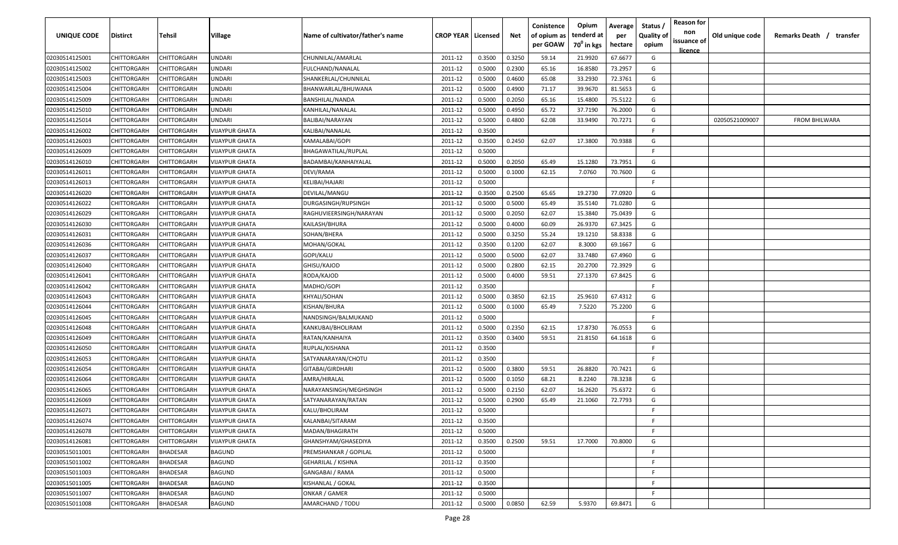| UNIQUE CODE    | Distirct           | Tehsil          | Village               | Name of cultivator/father's name | <b>CROP YEAR   Licensed</b> |        | Net    | Conistence<br>of opium as<br>per GOAW | Opium<br>tenderd at<br>70 <sup>0</sup> in kgs | Average<br>per<br>hectare | Status /<br><b>Quality of</b><br>opium | <b>Reason for</b><br>non<br>issuance of<br><u>licence</u> | Old unique code | Remarks Death / transfer |
|----------------|--------------------|-----------------|-----------------------|----------------------------------|-----------------------------|--------|--------|---------------------------------------|-----------------------------------------------|---------------------------|----------------------------------------|-----------------------------------------------------------|-----------------|--------------------------|
| 02030514125001 | CHITTORGARH        | CHITTORGARH     | <b>JNDARI</b>         | CHUNNILAL/AMARLAL                | 2011-12                     | 0.3500 | 0.3250 | 59.14                                 | 21.9920                                       | 67.6677                   | G                                      |                                                           |                 |                          |
| 02030514125002 | CHITTORGARH        | CHITTORGARH     | UNDARI                | FULCHAND/NANALAL                 | 2011-12                     | 0.5000 | 0.2300 | 65.16                                 | 16.8580                                       | 73.2957                   | G                                      |                                                           |                 |                          |
| 02030514125003 | CHITTORGARH        | CHITTORGARH     | UNDARI                | SHANKERLAL/CHUNNILAL             | 2011-12                     | 0.5000 | 0.4600 | 65.08                                 | 33.2930                                       | 72.3761                   | G                                      |                                                           |                 |                          |
| 02030514125004 | CHITTORGARH        | CHITTORGARH     | <b>JNDARI</b>         | BHANWARLAL/BHUWANA               | 2011-12                     | 0.5000 | 0.4900 | 71.17                                 | 39.9670                                       | 81.5653                   | G                                      |                                                           |                 |                          |
| 02030514125009 | CHITTORGARH        | CHITTORGARH     | JNDARI                | BANSHILAL/NANDA                  | 2011-12                     | 0.5000 | 0.2050 | 65.16                                 | 15.4800                                       | 75.5122                   | G                                      |                                                           |                 |                          |
| 02030514125010 | CHITTORGARH        | CHITTORGARH     | <b>JNDARI</b>         | KANHILAL/NANALAL                 | 2011-12                     | 0.5000 | 0.4950 | 65.72                                 | 37.7190                                       | 76.2000                   | G                                      |                                                           |                 |                          |
| 02030514125014 | CHITTORGARH        | CHITTORGARH     | <b>JNDARI</b>         | <b>BALIBAI/NARAYAN</b>           | 2011-12                     | 0.5000 | 0.4800 | 62.08                                 | 33.9490                                       | 70.7271                   | G                                      |                                                           | 02050521009007  | <b>FROM BHILWARA</b>     |
| 02030514126002 | CHITTORGARH        | CHITTORGARH     | <b>VIJAYPUR GHATA</b> | KALIBAI/NANALAL                  | 2011-12                     | 0.3500 |        |                                       |                                               |                           | -F.                                    |                                                           |                 |                          |
| 02030514126003 | CHITTORGARH        | CHITTORGARH     | VIJAYPUR GHATA        | KAMALABAI/GOPI                   | 2011-12                     | 0.3500 | 0.2450 | 62.07                                 | 17.3800                                       | 70.9388                   | G                                      |                                                           |                 |                          |
| 02030514126009 | CHITTORGARH        | CHITTORGARH     | VIJAYPUR GHATA        | BHAGAWATILAL/RUPLAL              | 2011-12                     | 0.5000 |        |                                       |                                               |                           | F                                      |                                                           |                 |                          |
| 02030514126010 | CHITTORGARH        | CHITTORGARH     | VIJAYPUR GHATA        | BADAMBAI/KANHAIYALAL             | 2011-12                     | 0.5000 | 0.2050 | 65.49                                 | 15.1280                                       | 73.7951                   | G                                      |                                                           |                 |                          |
| 02030514126011 | CHITTORGARH        | CHITTORGARH     | VIJAYPUR GHATA        | DEVI/RAMA                        | 2011-12                     | 0.5000 | 0.1000 | 62.15                                 | 7.0760                                        | 70.7600                   | G                                      |                                                           |                 |                          |
| 02030514126013 | CHITTORGARH        | CHITTORGARH     | VIJAYPUR GHATA        | KELIBAI/HAJARI                   | 2011-12                     | 0.5000 |        |                                       |                                               |                           | -F.                                    |                                                           |                 |                          |
| 02030514126020 | CHITTORGARH        | CHITTORGARH     | VIJAYPUR GHATA        | DEVILAL/MANGU                    | 2011-12                     | 0.3500 | 0.2500 | 65.65                                 | 19.2730                                       | 77.0920                   | G                                      |                                                           |                 |                          |
| 02030514126022 | CHITTORGARH        | CHITTORGARH     | VIJAYPUR GHATA        | DURGASINGH/RUPSINGH              | 2011-12                     | 0.5000 | 0.5000 | 65.49                                 | 35.5140                                       | 71.0280                   | G                                      |                                                           |                 |                          |
| 02030514126029 | CHITTORGARH        | CHITTORGARH     | VIJAYPUR GHATA        | RAGHUVIEERSINGH/NARAYAN          | 2011-12                     | 0.5000 | 0.2050 | 62.07                                 | 15.3840                                       | 75.0439                   | G                                      |                                                           |                 |                          |
| 02030514126030 | CHITTORGARH        | CHITTORGARH     | <b>VIJAYPUR GHATA</b> | KAILASH/BHURA                    | 2011-12                     | 0.5000 | 0.4000 | 60.09                                 | 26.9370                                       | 67.3425                   | G                                      |                                                           |                 |                          |
| 02030514126031 | CHITTORGARH        | CHITTORGARH     | <b>VIJAYPUR GHATA</b> | SOHAN/BHERA                      | 2011-12                     | 0.5000 | 0.3250 | 55.24                                 | 19.1210                                       | 58.8338                   | G                                      |                                                           |                 |                          |
| 02030514126036 | CHITTORGARH        | CHITTORGARH     | VIJAYPUR GHATA        | MOHAN/GOKAL                      | 2011-12                     | 0.3500 | 0.1200 | 62.07                                 | 8.3000                                        | 69.1667                   | G                                      |                                                           |                 |                          |
| 02030514126037 | CHITTORGARH        | CHITTORGARH     | <b>VIJAYPUR GHATA</b> | GOPI/KALU                        | 2011-12                     | 0.5000 | 0.5000 | 62.07                                 | 33.7480                                       | 67.4960                   | G                                      |                                                           |                 |                          |
| 02030514126040 | CHITTORGARH        | CHITTORGARH     | <b>VIJAYPUR GHATA</b> | GHISU/KAJOD                      | 2011-12                     | 0.5000 | 0.2800 | 62.15                                 | 20.2700                                       | 72.3929                   | G                                      |                                                           |                 |                          |
| 02030514126041 | CHITTORGARH        | CHITTORGARH     | <b>VIJAYPUR GHATA</b> | RODA/KAJOD                       | 2011-12                     | 0.5000 | 0.4000 | 59.51                                 | 27.1370                                       | 67.8425                   | G                                      |                                                           |                 |                          |
| 02030514126042 | CHITTORGARH        | CHITTORGARH     | VIJAYPUR GHATA        | MADHO/GOPI                       | 2011-12                     | 0.3500 |        |                                       |                                               |                           | -F.                                    |                                                           |                 |                          |
| 02030514126043 | CHITTORGARH        | CHITTORGARH     | <b>VIJAYPUR GHATA</b> | KHYALI/SOHAN                     | 2011-12                     | 0.5000 | 0.3850 | 62.15                                 | 25.9610                                       | 67.4312                   | G                                      |                                                           |                 |                          |
| 02030514126044 | CHITTORGARH        | CHITTORGARH     | <b>VIJAYPUR GHATA</b> | KISHAN/BHURA                     | 2011-12                     | 0.5000 | 0.1000 | 65.49                                 | 7.5220                                        | 75.2200                   | G                                      |                                                           |                 |                          |
| 02030514126045 | CHITTORGARH        | CHITTORGARH     | VIJAYPUR GHATA        | NANDSINGH/BALMUKAND              | 2011-12                     | 0.5000 |        |                                       |                                               |                           | -F.                                    |                                                           |                 |                          |
| 02030514126048 | CHITTORGARH        | CHITTORGARH     | VIJAYPUR GHATA        | KANKUBAI/BHOLIRAM                | 2011-12                     | 0.5000 | 0.2350 | 62.15                                 | 17.8730                                       | 76.0553                   | G                                      |                                                           |                 |                          |
| 02030514126049 | CHITTORGARH        | CHITTORGARH     | VIJAYPUR GHATA        | RATAN/KANHAIYA                   | 2011-12                     | 0.3500 | 0.3400 | 59.51                                 | 21.8150                                       | 64.1618                   | G                                      |                                                           |                 |                          |
| 02030514126050 | CHITTORGARH        | CHITTORGARH     | VIJAYPUR GHATA        | RUPLAL/KISHANA                   | 2011-12                     | 0.3500 |        |                                       |                                               |                           | -F.                                    |                                                           |                 |                          |
| 02030514126053 | CHITTORGARH        | CHITTORGARH     | VIJAYPUR GHATA        | SATYANARAYAN/CHOTU               | 2011-12                     | 0.3500 |        |                                       |                                               |                           | -F.                                    |                                                           |                 |                          |
| 02030514126054 | CHITTORGARH        | CHITTORGARH     | VIJAYPUR GHATA        | GITABAI/GIRDHARI                 | 2011-12                     | 0.5000 | 0.3800 | 59.51                                 | 26.8820                                       | 70.7421                   | G                                      |                                                           |                 |                          |
| 02030514126064 | CHITTORGARH        | CHITTORGARH     | VIJAYPUR GHATA        | AMRA/HIRALAL                     | 2011-12                     | 0.5000 | 0.1050 | 68.21                                 | 8.2240                                        | 78.3238                   | G                                      |                                                           |                 |                          |
| 02030514126065 | CHITTORGARH        | CHITTORGARH     | VIJAYPUR GHATA        | NARAYANSINGH/MEGHSINGH           | 2011-12                     | 0.5000 | 0.2150 | 62.07                                 | 16.2620                                       | 75.6372                   | G                                      |                                                           |                 |                          |
| 02030514126069 | CHITTORGARH        | CHITTORGARH     | VIJAYPUR GHATA        | SATYANARAYAN/RATAN               | 2011-12                     | 0.5000 | 0.2900 | 65.49                                 | 21.1060                                       | 72.7793                   | G                                      |                                                           |                 |                          |
| 02030514126071 | CHITTORGARH        | CHITTORGARH     | VIJAYPUR GHATA        | KALU/BHOLIRAM                    | 2011-12                     | 0.5000 |        |                                       |                                               |                           | F                                      |                                                           |                 |                          |
| 02030514126074 | CHITTORGARH        | CHITTORGARH     | <b>VIJAYPUR GHATA</b> | KALANBAI/SITARAM                 | 2011-12                     | 0.3500 |        |                                       |                                               |                           | F.                                     |                                                           |                 |                          |
| 02030514126078 | CHITTORGARH        | CHITTORGARH     | VIJAYPUR GHATA        | MADAN/BHAGIRATH                  | 2011-12                     | 0.5000 |        |                                       |                                               |                           | F                                      |                                                           |                 |                          |
| 02030514126081 | <b>CHITTORGARH</b> | CHITTORGARH     | <b>VIJAYPUR GHATA</b> | GHANSHYAM/GHASEDIYA              | 2011-12                     | 0.3500 | 0.2500 | 59.51                                 | 17.7000                                       | 70.8000                   | G                                      |                                                           |                 |                          |
| 02030515011001 | CHITTORGARH        | <b>BHADESAR</b> | BAGUND                | PREMSHANKAR / GOPILAL            | 2011-12                     | 0.5000 |        |                                       |                                               |                           | F.                                     |                                                           |                 |                          |
| 02030515011002 | CHITTORGARH        | <b>BHADESAR</b> | BAGUND                | GEHARILAL / KISHNA               | 2011-12                     | 0.3500 |        |                                       |                                               |                           | F.                                     |                                                           |                 |                          |
| 02030515011003 | CHITTORGARH        | <b>BHADESAR</b> | BAGUND                | GANGABAI / RAMA                  | 2011-12                     | 0.5000 |        |                                       |                                               |                           | F.                                     |                                                           |                 |                          |
| 02030515011005 | CHITTORGARH        | <b>BHADESAR</b> | BAGUND                | KISHANLAL / GOKAL                | 2011-12                     | 0.3500 |        |                                       |                                               |                           | F.                                     |                                                           |                 |                          |
| 02030515011007 | CHITTORGARH        | BHADESAR        | BAGUND                | ONKAR / GAMER                    | 2011-12                     | 0.5000 |        |                                       |                                               |                           | F.                                     |                                                           |                 |                          |
| 02030515011008 | CHITTORGARH        | <b>BHADESAR</b> | BAGUND                | AMARCHAND / TODU                 | 2011-12                     | 0.5000 | 0.0850 | 62.59                                 | 5.9370                                        | 69.8471                   | G                                      |                                                           |                 |                          |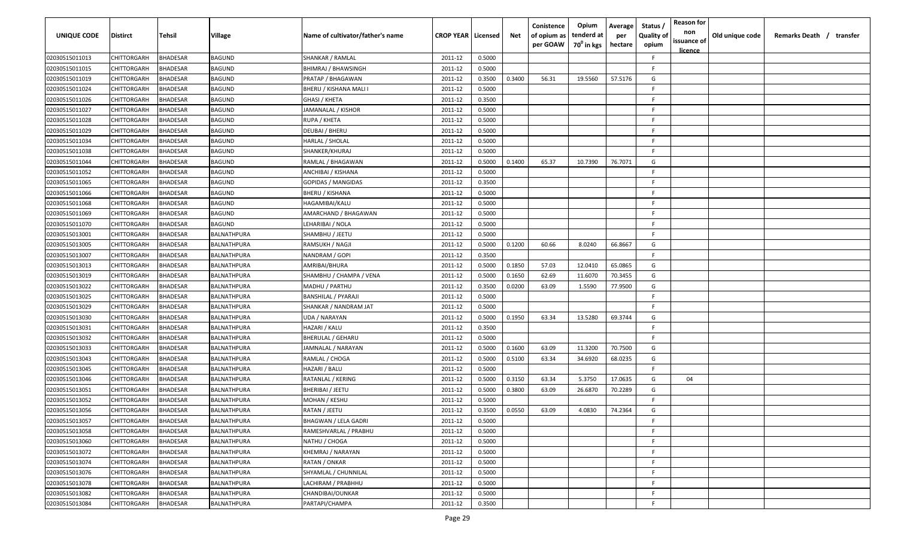| <b>UNIQUE CODE</b> | Distirct           | Tehsil          | Village     | Name of cultivator/father's name | <b>CROP YEAR Licensed</b> |        | Net    | Conistence<br>of opium as<br>per GOAW | Opium<br>tenderd at<br>70 <sup>0</sup> in kgs | Average<br>per<br>hectare | Status /<br><b>Quality of</b><br>opium | <b>Reason for</b><br>non<br>issuance of<br><u>licence</u> | Old unique code | Remarks Death / transfer |
|--------------------|--------------------|-----------------|-------------|----------------------------------|---------------------------|--------|--------|---------------------------------------|-----------------------------------------------|---------------------------|----------------------------------------|-----------------------------------------------------------|-----------------|--------------------------|
| 02030515011013     | CHITTORGARH        | <b>BHADESAR</b> | BAGUND      | SHANKAR / RAMLAL                 | 2011-12                   | 0.5000 |        |                                       |                                               |                           | F.                                     |                                                           |                 |                          |
| 02030515011015     | CHITTORGARH        | BHADESAR        | BAGUND      | <b>BHIMRAJ / BHAWSINGH</b>       | 2011-12                   | 0.5000 |        |                                       |                                               |                           | -F.                                    |                                                           |                 |                          |
| 02030515011019     | CHITTORGARH        | BHADESAR        | BAGUND      | PRATAP / BHAGAWAN                | 2011-12                   | 0.3500 | 0.3400 | 56.31                                 | 19.5560                                       | 57.5176                   | G                                      |                                                           |                 |                          |
| 02030515011024     | CHITTORGARH        | <b>BHADESAR</b> | BAGUND      | BHERU / KISHANA MALI I           | 2011-12                   | 0.5000 |        |                                       |                                               |                           | -F.                                    |                                                           |                 |                          |
| 02030515011026     | CHITTORGARH        | BHADESAR        | BAGUND      | GHASI / KHETA                    | 2011-12                   | 0.3500 |        |                                       |                                               |                           | -F                                     |                                                           |                 |                          |
| 02030515011027     | CHITTORGARH        | <b>BHADESAR</b> | BAGUND      | JAMANALAL / KISHOR               | 2011-12                   | 0.5000 |        |                                       |                                               |                           | -F.                                    |                                                           |                 |                          |
| 02030515011028     | CHITTORGARH        | <b>BHADESAR</b> | BAGUND      | RUPA / KHETA                     | 2011-12                   | 0.5000 |        |                                       |                                               |                           | -F                                     |                                                           |                 |                          |
| 02030515011029     | CHITTORGARH        | BHADESAR        | BAGUND      | DEUBAI / BHERU                   | 2011-12                   | 0.5000 |        |                                       |                                               |                           | -F                                     |                                                           |                 |                          |
| 02030515011034     | CHITTORGARH        | BHADESAR        | BAGUND      | HARLAL / SHOLAL                  | 2011-12                   | 0.5000 |        |                                       |                                               |                           | -F.                                    |                                                           |                 |                          |
| 02030515011038     | CHITTORGARH        | BHADESAR        | BAGUND      | SHANKER/KHURAJ                   | 2011-12                   | 0.5000 |        |                                       |                                               |                           | F.                                     |                                                           |                 |                          |
| 02030515011044     | CHITTORGARH        | BHADESAR        | BAGUND      | RAMLAL / BHAGAWAN                | 2011-12                   | 0.5000 | 0.1400 | 65.37                                 | 10.7390                                       | 76.7071                   | G                                      |                                                           |                 |                          |
| 02030515011052     | CHITTORGARH        | BHADESAR        | BAGUND      | ANCHIBAI / KISHANA               | 2011-12                   | 0.5000 |        |                                       |                                               |                           | F.                                     |                                                           |                 |                          |
| 02030515011065     | CHITTORGARH        | BHADESAR        | BAGUND      | GOPIDAS / MANGIDAS               | 2011-12                   | 0.3500 |        |                                       |                                               |                           | -F.                                    |                                                           |                 |                          |
| 02030515011066     | CHITTORGARH        | <b>BHADESAR</b> | BAGUND      | BHERU / KISHANA                  | 2011-12                   | 0.5000 |        |                                       |                                               |                           | F                                      |                                                           |                 |                          |
| 02030515011068     | CHITTORGARH        | BHADESAR        | BAGUND      | HAGAMIBAI/KALU                   | 2011-12                   | 0.5000 |        |                                       |                                               |                           | -F.                                    |                                                           |                 |                          |
| 02030515011069     | CHITTORGARH        | <b>BHADESAR</b> | BAGUND      | AMARCHAND / BHAGAWAN             | 2011-12                   | 0.5000 |        |                                       |                                               |                           | -F.                                    |                                                           |                 |                          |
| 02030515011070     | CHITTORGARH        | <b>BHADESAR</b> | BAGUND      | LEHARIBAI / NOLA                 | 2011-12                   | 0.5000 |        |                                       |                                               |                           | -F.                                    |                                                           |                 |                          |
| 02030515013001     | CHITTORGARH        | BHADESAR        | BALNATHPURA | SHAMBHU / JEETU                  | 2011-12                   | 0.5000 |        |                                       |                                               |                           | F.                                     |                                                           |                 |                          |
| 02030515013005     | CHITTORGARH        | BHADESAR        | BALNATHPURA | RAMSUKH / NAGJI                  | 2011-12                   | 0.5000 | 0.1200 | 60.66                                 | 8.0240                                        | 66.8667                   | G                                      |                                                           |                 |                          |
| 02030515013007     | CHITTORGARH        | <b>BHADESAR</b> | BALNATHPURA | NANDRAM / GOPI                   | 2011-12                   | 0.3500 |        |                                       |                                               |                           | F.                                     |                                                           |                 |                          |
| 02030515013013     | CHITTORGARH        | <b>BHADESAR</b> | BALNATHPURA | AMRIBAI/BHURA                    | 2011-12                   | 0.5000 | 0.1850 | 57.03                                 | 12.0410                                       | 65.0865                   | G                                      |                                                           |                 |                          |
| 02030515013019     | CHITTORGARH        | <b>BHADESAR</b> | BALNATHPURA | SHAMBHU / CHAMPA / VENA          | 2011-12                   | 0.5000 | 0.1650 | 62.69                                 | 11.6070                                       | 70.3455                   | G                                      |                                                           |                 |                          |
| 02030515013022     | CHITTORGARH        | <b>BHADESAR</b> | BALNATHPURA | MADHU / PARTHU                   | 2011-12                   | 0.3500 | 0.0200 | 63.09                                 | 1.5590                                        | 77.9500                   | G                                      |                                                           |                 |                          |
| 02030515013025     | CHITTORGARH        | <b>BHADESAR</b> | BALNATHPURA | BANSHILAL / PYARAJI              | 2011-12                   | 0.5000 |        |                                       |                                               |                           | -F.                                    |                                                           |                 |                          |
| 02030515013029     | CHITTORGARH        | BHADESAR        | BALNATHPURA | SHANKAR / NANDRAM JAT            | 2011-12                   | 0.5000 |        |                                       |                                               |                           | -F                                     |                                                           |                 |                          |
| 02030515013030     | CHITTORGARH        | BHADESAR        | BALNATHPURA | UDA / NARAYAN                    | 2011-12                   | 0.5000 | 0.1950 | 63.34                                 | 13.5280                                       | 69.3744                   | G                                      |                                                           |                 |                          |
| 02030515013031     | CHITTORGARH        | BHADESAR        | BALNATHPURA | HAZARI / KALU                    | 2011-12                   | 0.3500 |        |                                       |                                               |                           | -F.                                    |                                                           |                 |                          |
| 02030515013032     | CHITTORGARH        | BHADESAR        | BALNATHPURA | BHERULAL / GEHARU                | 2011-12                   | 0.5000 |        |                                       |                                               |                           | -F.                                    |                                                           |                 |                          |
| 02030515013033     | CHITTORGARH        | BHADESAR        | BALNATHPURA | JAMNALAL / NARAYAN               | 2011-12                   | 0.5000 | 0.1600 | 63.09                                 | 11.3200                                       | 70.7500                   | G                                      |                                                           |                 |                          |
| 02030515013043     | CHITTORGARH        | BHADESAR        | BALNATHPURA | RAMLAL / CHOGA                   | 2011-12                   | 0.5000 | 0.5100 | 63.34                                 | 34.6920                                       | 68.0235                   | G                                      |                                                           |                 |                          |
| 02030515013045     | CHITTORGARH        | BHADESAR        | BALNATHPURA | HAZARI / BALU                    | 2011-12                   | 0.5000 |        |                                       |                                               |                           | -F.                                    |                                                           |                 |                          |
| 02030515013046     | CHITTORGARH        | BHADESAR        | BALNATHPURA | RATANLAL / KERING                | 2011-12                   | 0.5000 | 0.3150 | 63.34                                 | 5.3750                                        | 17.0635                   | G                                      | 04                                                        |                 |                          |
| 02030515013051     | CHITTORGARH        | BHADESAR        | BALNATHPURA | BHERIBAI / JEETU                 | 2011-12                   | 0.5000 | 0.3800 | 63.09                                 | 26.6870                                       | 70.2289                   | G                                      |                                                           |                 |                          |
| 02030515013052     | CHITTORGARH        | BHADESAR        | BALNATHPURA | MOHAN / KESHU                    | 2011-12                   | 0.5000 |        |                                       |                                               |                           | -F.                                    |                                                           |                 |                          |
| 02030515013056     | <b>CHITTORGARH</b> | BHADESAR        | BALNATHPURA | RATAN / JEETU                    | 2011-12                   | 0.3500 | 0.0550 | 63.09                                 | 4.0830                                        | 74.2364                   | G                                      |                                                           |                 |                          |
| 02030515013057     | <b>CHITTORGARH</b> | <b>BHADESAR</b> | BALNATHPURA | BHAGWAN / LELA GADRI             | 2011-12                   | 0.5000 |        |                                       |                                               |                           | F.                                     |                                                           |                 |                          |
| 02030515013058     | CHITTORGARH        | <b>BHADESAR</b> | BALNATHPURA | RAMESHVARLAL / PRABHU            | 2011-12                   | 0.5000 |        |                                       |                                               |                           | F                                      |                                                           |                 |                          |
| 02030515013060     | CHITTORGARH        | <b>BHADESAR</b> | BALNATHPURA | NATHU / CHOGA                    | 2011-12                   | 0.5000 |        |                                       |                                               |                           | F.                                     |                                                           |                 |                          |
| 02030515013072     | CHITTORGARH        | <b>BHADESAR</b> | BALNATHPURA | KHEMRAJ / NARAYAN                | 2011-12                   | 0.5000 |        |                                       |                                               |                           | F.                                     |                                                           |                 |                          |
| 02030515013074     | CHITTORGARH        | <b>BHADESAR</b> | BALNATHPURA | RATAN / ONKAR                    | 2011-12                   | 0.5000 |        |                                       |                                               |                           | F.                                     |                                                           |                 |                          |
| 02030515013076     | CHITTORGARH        | <b>BHADESAR</b> | BALNATHPURA | SHYAMLAL / CHUNNILAL             | 2011-12                   | 0.5000 |        |                                       |                                               |                           | F.                                     |                                                           |                 |                          |
| 02030515013078     | CHITTORGARH        | <b>BHADESAR</b> | BALNATHPURA | LACHIRAM / PRABHHU               | 2011-12                   | 0.5000 |        |                                       |                                               |                           | F.                                     |                                                           |                 |                          |
| 02030515013082     | CHITTORGARH        | BHADESAR        | BALNATHPURA | CHANDIBAI/OUNKAR                 | 2011-12                   | 0.5000 |        |                                       |                                               |                           | F.                                     |                                                           |                 |                          |
| 02030515013084     | CHITTORGARH        | <b>BHADESAR</b> | BALNATHPURA | PARTAPI/CHAMPA                   | 2011-12                   | 0.3500 |        |                                       |                                               |                           | F                                      |                                                           |                 |                          |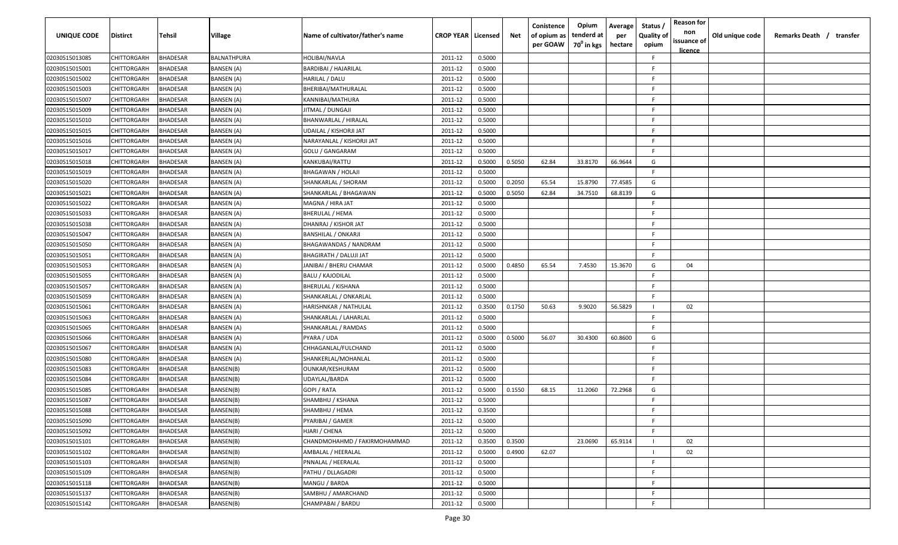| <b>UNIQUE CODE</b> | Distirct           | Tehsil          | Village           | Name of cultivator/father's name | <b>CROP YEAR   Licensed</b> |        | Net    | Conistence<br>of opium as<br>per GOAW | Opium<br>tenderd at<br>70 <sup>0</sup> in kgs | Average<br>per<br>hectare | Status,<br><b>Quality of</b><br>opium | <b>Reason for</b><br>non<br>issuance of<br>licence | Old unique code | Remarks Death / transfer |
|--------------------|--------------------|-----------------|-------------------|----------------------------------|-----------------------------|--------|--------|---------------------------------------|-----------------------------------------------|---------------------------|---------------------------------------|----------------------------------------------------|-----------------|--------------------------|
| 02030515013085     | CHITTORGARH        | <b>BHADESAR</b> | BALNATHPURA       | HOLIBAI/NAVLA                    | 2011-12                     | 0.5000 |        |                                       |                                               |                           | F                                     |                                                    |                 |                          |
| 02030515015001     | CHITTORGARH        | <b>BHADESAR</b> | BANSEN (A)        | <b>BARDIBAI / HAJARILAL</b>      | 2011-12                     | 0.5000 |        |                                       |                                               |                           | E                                     |                                                    |                 |                          |
| 02030515015002     | CHITTORGARH        | <b>BHADESAR</b> | BANSEN (A)        | HARILAL / DALU                   | 2011-12                     | 0.5000 |        |                                       |                                               |                           | E                                     |                                                    |                 |                          |
| 02030515015003     | CHITTORGARH        | <b>BHADESAR</b> | BANSEN (A)        | BHERIBAI/MATHURALAL              | 2011-12                     | 0.5000 |        |                                       |                                               |                           | E                                     |                                                    |                 |                          |
| 02030515015007     | CHITTORGARH        | <b>BHADESAR</b> | BANSEN (A)        | KANNIBAI/MATHURA                 | 2011-12                     | 0.5000 |        |                                       |                                               |                           | E                                     |                                                    |                 |                          |
| 02030515015009     | CHITTORGARH        | <b>BHADESAR</b> | BANSEN (A)        | JITMAL / DUNGAJI                 | 2011-12                     | 0.5000 |        |                                       |                                               |                           | F                                     |                                                    |                 |                          |
| 02030515015010     | CHITTORGARH        | BHADESAR        | BANSEN (A)        | BHANWARLAL / HIRALAL             | 2011-12                     | 0.5000 |        |                                       |                                               |                           | F                                     |                                                    |                 |                          |
| 02030515015015     | CHITTORGARH        | <b>BHADESAR</b> | BANSEN (A)        | UDAILAL / KISHORJI JAT           | 2011-12                     | 0.5000 |        |                                       |                                               |                           | E                                     |                                                    |                 |                          |
| 02030515015016     | CHITTORGARH        | <b>BHADESAR</b> | BANSEN (A)        | NARAYANLAL / KISHORJI JAT        | 2011-12                     | 0.5000 |        |                                       |                                               |                           | E                                     |                                                    |                 |                          |
| 02030515015017     | CHITTORGARH        | BHADESAR        | BANSEN (A)        | GOLU / GANGARAM                  | 2011-12                     | 0.5000 |        |                                       |                                               |                           | F                                     |                                                    |                 |                          |
| 02030515015018     | CHITTORGARH        | BHADESAR        | BANSEN (A)        | KANKUBAI/RATTU                   | 2011-12                     | 0.5000 | 0.5050 | 62.84                                 | 33.8170                                       | 66.9644                   | G                                     |                                                    |                 |                          |
| 02030515015019     | CHITTORGARH        | <b>BHADESAR</b> | BANSEN (A)        | BHAGAWAN / HOLAJI                | 2011-12                     | 0.5000 |        |                                       |                                               |                           | F                                     |                                                    |                 |                          |
| 02030515015020     | CHITTORGARH        | <b>BHADESAR</b> | BANSEN (A)        | SHANKARLAL / SHORAM              | 2011-12                     | 0.5000 | 0.2050 | 65.54                                 | 15.8790                                       | 77.4585                   | G                                     |                                                    |                 |                          |
| 02030515015021     | CHITTORGARH        | <b>BHADESAR</b> | BANSEN (A)        | SHANKARLAL / BHAGAWAN            | 2011-12                     | 0.5000 | 0.5050 | 62.84                                 | 34.7510                                       | 68.8139                   | G                                     |                                                    |                 |                          |
| 02030515015022     | CHITTORGARH        | <b>BHADESAR</b> | BANSEN (A)        | MAGNA / HIRA JAT                 | 2011-12                     | 0.5000 |        |                                       |                                               |                           | E                                     |                                                    |                 |                          |
| 02030515015033     | CHITTORGARH        | <b>BHADESAR</b> | BANSEN (A)        | BHERULAL / HEMA                  | 2011-12                     | 0.5000 |        |                                       |                                               |                           |                                       |                                                    |                 |                          |
| 02030515015038     | CHITTORGARH        | <b>BHADESAR</b> | BANSEN (A)        | DHANRAJ / KISHOR JAT             | 2011-12                     | 0.5000 |        |                                       |                                               |                           | E                                     |                                                    |                 |                          |
| 02030515015047     | CHITTORGARH        | <b>BHADESAR</b> | <b>BANSEN (A)</b> | <b>BANSHILAL / ONKARJI</b>       | 2011-12                     | 0.5000 |        |                                       |                                               |                           | E                                     |                                                    |                 |                          |
| 02030515015050     | CHITTORGARH        | <b>BHADESAR</b> | BANSEN (A)        | BHAGAWANDAS / NANDRAM            | 2011-12                     | 0.5000 |        |                                       |                                               |                           | E                                     |                                                    |                 |                          |
| 02030515015051     | CHITTORGARH        | <b>BHADESAR</b> | BANSEN (A)        | BHAGIRATH / DALUJI JAT           | 2011-12                     | 0.5000 |        |                                       |                                               |                           | F.                                    |                                                    |                 |                          |
| 02030515015053     | CHITTORGARH        | <b>BHADESAR</b> | BANSEN (A)        | JANIBAI / BHERU CHAMAR           | 2011-12                     | 0.5000 | 0.4850 | 65.54                                 | 7.4530                                        | 15.3670                   | G                                     | 04                                                 |                 |                          |
| 02030515015055     | CHITTORGARH        | <b>BHADESAR</b> | BANSEN (A)        | <b>BALU / KAJODILAL</b>          | 2011-12                     | 0.5000 |        |                                       |                                               |                           | E                                     |                                                    |                 |                          |
| 02030515015057     | CHITTORGARH        | BHADESAR        | BANSEN (A)        | <b>BHERULAL / KISHANA</b>        | 2011-12                     | 0.5000 |        |                                       |                                               |                           | F                                     |                                                    |                 |                          |
| 02030515015059     | CHITTORGARH        | BHADESAR        | BANSEN (A)        | SHANKARLAL / ONKARLAL            | 2011-12                     | 0.5000 |        |                                       |                                               |                           | F                                     |                                                    |                 |                          |
| 02030515015061     | CHITTORGARH        | <b>BHADESAR</b> | BANSEN (A)        | HARISHNKAR / NATHULAL            | 2011-12                     | 0.3500 | 0.1750 | 50.63                                 | 9.9020                                        | 56.5829                   |                                       | 02                                                 |                 |                          |
| 02030515015063     | CHITTORGARH        | <b>BHADESAR</b> | BANSEN (A)        | SHANKARLAL / LAHARLAL            | 2011-12                     | 0.5000 |        |                                       |                                               |                           | F.                                    |                                                    |                 |                          |
| 02030515015065     | CHITTORGARH        | BHADESAR        | BANSEN (A)        | SHANKARLAL / RAMDAS              | 2011-12                     | 0.5000 |        |                                       |                                               |                           | F.                                    |                                                    |                 |                          |
| 02030515015066     | CHITTORGARH        | <b>BHADESAR</b> | BANSEN (A)        | PYARA / UDA                      | 2011-12                     | 0.5000 | 0.5000 | 56.07                                 | 30.4300                                       | 60.8600                   | G                                     |                                                    |                 |                          |
| 02030515015067     | CHITTORGARH        | <b>BHADESAR</b> | BANSEN (A)        | CHHAGANLAL/FULCHAND              | 2011-12                     | 0.5000 |        |                                       |                                               |                           | E                                     |                                                    |                 |                          |
| 02030515015080     | CHITTORGARH        | <b>BHADESAR</b> | BANSEN (A)        | SHANKERLAL/MOHANLAL              | 2011-12                     | 0.5000 |        |                                       |                                               |                           | E                                     |                                                    |                 |                          |
| 02030515015083     | CHITTORGARH        | <b>BHADESAR</b> | BANSEN(B)         | OUNKAR/KESHURAM                  | 2011-12                     | 0.5000 |        |                                       |                                               |                           | E                                     |                                                    |                 |                          |
| 02030515015084     | CHITTORGARH        | <b>BHADESAR</b> | BANSEN(B)         | JDAYLAL/BARDA                    | 2011-12                     | 0.5000 |        |                                       |                                               |                           | F.                                    |                                                    |                 |                          |
| 02030515015085     | CHITTORGARH        | <b>BHADESAR</b> | BANSEN(B)         | GOPI / RATA                      | 2011-12                     | 0.5000 | 0.1550 | 68.15                                 | 11.2060                                       | 72.2968                   | G                                     |                                                    |                 |                          |
| 02030515015087     | CHITTORGARH        | <b>BHADESAR</b> | BANSEN(B)         | SHAMBHU / KSHANA                 | 2011-12                     | 0.5000 |        |                                       |                                               |                           | E                                     |                                                    |                 |                          |
| 02030515015088     | <b>CHITTORGARH</b> | <b>BHADESAR</b> | BANSEN(B)         | SHAMBHU / HEMA                   | 2011-12                     | 0.3500 |        |                                       |                                               |                           | E                                     |                                                    |                 |                          |
| 02030515015090     | CHITTORGARH        | <b>BHADESAR</b> | BANSEN(B)         | PYARIBAI / GAMER                 | 2011-12                     | 0.5000 |        |                                       |                                               |                           | F.                                    |                                                    |                 |                          |
| 02030515015092     | <b>CHITTORGARH</b> | <b>BHADESAR</b> | BANSEN(B)         | HJARI / CHENA                    | 2011-12                     | 0.5000 |        |                                       |                                               |                           | F                                     |                                                    |                 |                          |
| 02030515015101     | CHITTORGARH        | <b>BHADESAR</b> | BANSEN(B)         | CHANDMOHAHMD / FAKIRMOHAMMAD     | 2011-12                     | 0.3500 | 0.3500 |                                       | 23.0690                                       | 65.9114                   |                                       | 02                                                 |                 |                          |
| 02030515015102     | CHITTORGARH        | <b>BHADESAR</b> | BANSEN(B)         | AMBALAL / HEERALAL               | 2011-12                     | 0.5000 | 0.4900 | 62.07                                 |                                               |                           |                                       | 02                                                 |                 |                          |
| 02030515015103     | CHITTORGARH        | <b>BHADESAR</b> | BANSEN(B)         | PNNALAL / HEERALAL               | 2011-12                     | 0.5000 |        |                                       |                                               |                           | F.                                    |                                                    |                 |                          |
| 02030515015109     | CHITTORGARH        | <b>BHADESAR</b> | BANSEN(B)         | PATHU / DLLAGADRI                | 2011-12                     | 0.5000 |        |                                       |                                               |                           | F                                     |                                                    |                 |                          |
| 02030515015118     | CHITTORGARH        | <b>BHADESAR</b> | BANSEN(B)         | MANGU / BARDA                    | 2011-12                     | 0.5000 |        |                                       |                                               |                           | F.                                    |                                                    |                 |                          |
| 02030515015137     | CHITTORGARH        | <b>BHADESAR</b> | BANSEN(B)         | SAMBHU / AMARCHAND               | 2011-12                     | 0.5000 |        |                                       |                                               |                           | F.                                    |                                                    |                 |                          |
| 02030515015142     | <b>CHITTORGARH</b> | <b>BHADESAR</b> | BANSEN(B)         | CHAMPABAI / BARDU                | 2011-12                     | 0.5000 |        |                                       |                                               |                           | -F                                    |                                                    |                 |                          |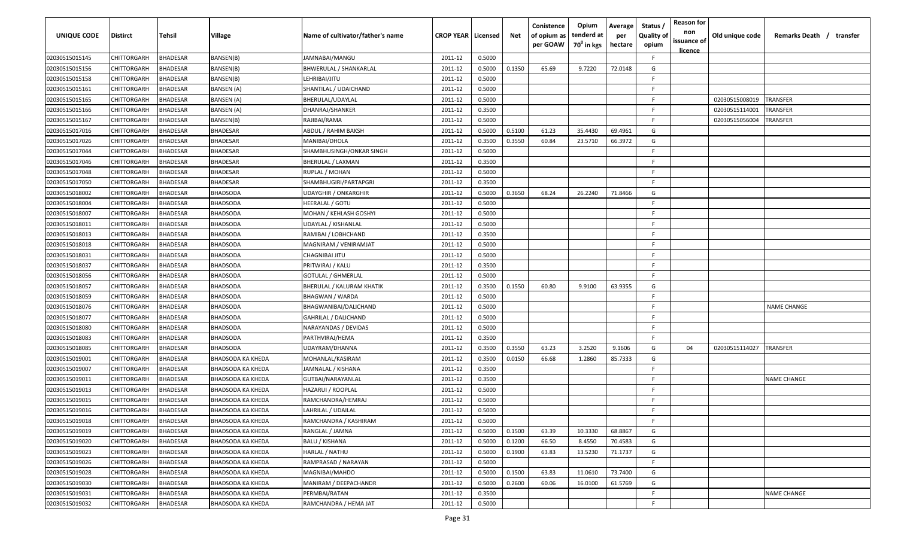| <b>UNIQUE CODE</b> | Distirct           | Tehsil          | Village                  | Name of cultivator/father's name | <b>CROP YEAR   Licensed</b> |        | Net    | Conistence<br>of opium as<br>per GOAW | Opium<br>tenderd at<br>70 <sup>0</sup> in kgs | Average<br>per<br>hectare | Status,<br><b>Quality of</b><br>opium | <b>Reason for</b><br>non<br>issuance of<br>licence | Old unique code | Remarks Death / transfer |
|--------------------|--------------------|-----------------|--------------------------|----------------------------------|-----------------------------|--------|--------|---------------------------------------|-----------------------------------------------|---------------------------|---------------------------------------|----------------------------------------------------|-----------------|--------------------------|
| 02030515015145     | CHITTORGARH        | <b>BHADESAR</b> | BANSEN(B)                | JAMNABAI/MANGU                   | 2011-12                     | 0.5000 |        |                                       |                                               |                           | F.                                    |                                                    |                 |                          |
| 02030515015156     | CHITTORGARH        | <b>BHADESAR</b> | BANSEN(B)                | BHWERULAL / SHANKARLAL           | 2011-12                     | 0.5000 | 0.1350 | 65.69                                 | 9.7220                                        | 72.0148                   | G                                     |                                                    |                 |                          |
| 02030515015158     | CHITTORGARH        | <b>BHADESAR</b> | BANSEN(B)                | LEHRIBAI/JITU                    | 2011-12                     | 0.5000 |        |                                       |                                               |                           | F                                     |                                                    |                 |                          |
| 02030515015161     | CHITTORGARH        | <b>BHADESAR</b> | BANSEN (A)               | SHANTILAL / UDAICHAND            | 2011-12                     | 0.5000 |        |                                       |                                               |                           | E                                     |                                                    |                 |                          |
| 02030515015165     | CHITTORGARH        | <b>BHADESAR</b> | BANSEN (A)               | BHERULAL/UDAYLAL                 | 2011-12                     | 0.5000 |        |                                       |                                               |                           | F                                     |                                                    | 02030515008019  | TRANSFER                 |
| 02030515015166     | CHITTORGARH        | <b>BHADESAR</b> | BANSEN (A)               | DHANRAJ/SHANKER                  | 2011-12                     | 0.3500 |        |                                       |                                               |                           | F                                     |                                                    | 02030515114001  | TRANSFER                 |
| 02030515015167     | CHITTORGARH        | BHADESAR        | BANSEN(B)                | RAJIBAI/RAMA                     | 2011-12                     | 0.5000 |        |                                       |                                               |                           | E                                     |                                                    | 02030515056004  | TRANSFER                 |
| 02030515017016     | CHITTORGARH        | <b>BHADESAR</b> | BHADESAR                 | ABDUL / RAHIM BAKSH              | 2011-12                     | 0.5000 | 0.5100 | 61.23                                 | 35.4430                                       | 69.4961                   | G                                     |                                                    |                 |                          |
| 02030515017026     | CHITTORGARH        | <b>BHADESAR</b> | BHADESAR                 | MANIBAI/DHOLA                    | 2011-12                     | 0.3500 | 0.3550 | 60.84                                 | 23.5710                                       | 66.3972                   | G                                     |                                                    |                 |                          |
| 02030515017044     | CHITTORGARH        | BHADESAR        | BHADESAR                 | SHAMBHUSINGH/ONKAR SINGH         | 2011-12                     | 0.5000 |        |                                       |                                               |                           | F                                     |                                                    |                 |                          |
| 02030515017046     | CHITTORGARH        | BHADESAR        | <b>BHADESAR</b>          | BHERULAL / LAXMAN                | 2011-12                     | 0.3500 |        |                                       |                                               |                           | E                                     |                                                    |                 |                          |
| 02030515017048     | CHITTORGARH        | <b>BHADESAR</b> | BHADESAR                 | RUPLAL / MOHAN                   | 2011-12                     | 0.5000 |        |                                       |                                               |                           | F                                     |                                                    |                 |                          |
| 02030515017050     | CHITTORGARH        | <b>BHADESAR</b> | BHADESAR                 | SHAMBHUGIRI/PARTAPGRI            | 2011-12                     | 0.3500 |        |                                       |                                               |                           | E                                     |                                                    |                 |                          |
| 02030515018002     | CHITTORGARH        | <b>BHADESAR</b> | BHADSODA                 | UDAYGHIR / ONKARGHIR             | 2011-12                     | 0.5000 | 0.3650 | 68.24                                 | 26.2240                                       | 71.8466                   | G                                     |                                                    |                 |                          |
| 02030515018004     | CHITTORGARH        | <b>BHADESAR</b> | <b>BHADSODA</b>          | HEERALAL / GOTU                  | 2011-12                     | 0.5000 |        |                                       |                                               |                           | F                                     |                                                    |                 |                          |
| 02030515018007     | CHITTORGARH        | <b>BHADESAR</b> | BHADSODA                 | MOHAN / KEHLASH GOSHYI           | 2011-12                     | 0.5000 |        |                                       |                                               |                           |                                       |                                                    |                 |                          |
| 02030515018011     | CHITTORGARH        | <b>BHADESAR</b> | BHADSODA                 | UDAYLAL / KISHANLAL              | 2011-12                     | 0.5000 |        |                                       |                                               |                           | E                                     |                                                    |                 |                          |
| 02030515018013     | CHITTORGARH        | <b>BHADESAR</b> | BHADSODA                 | RAMIBAI / LOBHCHAND              | 2011-12                     | 0.3500 |        |                                       |                                               |                           | E                                     |                                                    |                 |                          |
| 02030515018018     | CHITTORGARH        | <b>BHADESAR</b> | BHADSODA                 | MAGNIRAM / VENIRAMJAT            | 2011-12                     | 0.5000 |        |                                       |                                               |                           | E                                     |                                                    |                 |                          |
| 02030515018031     | CHITTORGARH        | <b>BHADESAR</b> | BHADSODA                 | CHAGNIBAI JITU                   | 2011-12                     | 0.5000 |        |                                       |                                               |                           | E                                     |                                                    |                 |                          |
| 02030515018037     | CHITTORGARH        | <b>BHADESAR</b> | BHADSODA                 | PRITWIRAJ / KALU                 | 2011-12                     | 0.3500 |        |                                       |                                               |                           | F                                     |                                                    |                 |                          |
| 02030515018056     | CHITTORGARH        | <b>BHADESAR</b> | BHADSODA                 | <b>GOTULAL / GHMERLAL</b>        | 2011-12                     | 0.5000 |        |                                       |                                               |                           | E                                     |                                                    |                 |                          |
| 02030515018057     | CHITTORGARH        | BHADESAR        | BHADSODA                 | BHERULAL / KALURAM KHATIK        | 2011-12                     | 0.3500 | 0.1550 | 60.80                                 | 9.9100                                        | 63.9355                   | G                                     |                                                    |                 |                          |
| 02030515018059     | CHITTORGARH        | BHADESAR        | <b>BHADSODA</b>          | <b>BHAGWAN / WARDA</b>           | 2011-12                     | 0.5000 |        |                                       |                                               |                           | F                                     |                                                    |                 |                          |
| 02030515018076     | CHITTORGARH        | <b>BHADESAR</b> | BHADSODA                 | BHAGWANIBAI/DALICHAND            | 2011-12                     | 0.5000 |        |                                       |                                               |                           | E                                     |                                                    |                 | <b>NAME CHANGE</b>       |
| 02030515018077     | CHITTORGARH        | <b>BHADESAR</b> | BHADSODA                 | GAHRILAL / DALICHAND             | 2011-12                     | 0.5000 |        |                                       |                                               |                           | F.                                    |                                                    |                 |                          |
| 02030515018080     | CHITTORGARH        | <b>BHADESAR</b> | BHADSODA                 | NARAYANDAS / DEVIDAS             | 2011-12                     | 0.5000 |        |                                       |                                               |                           | E                                     |                                                    |                 |                          |
| 02030515018083     | CHITTORGARH        | BHADESAR        | 3HADSODA                 | PARTHVIRAJ/HEMA                  | 2011-12                     | 0.3500 |        |                                       |                                               |                           | F.                                    |                                                    |                 |                          |
| 02030515018085     | CHITTORGARH        | <b>BHADESAR</b> | BHADSODA                 | JDAYRAM/DHANNA                   | 2011-12                     | 0.3500 | 0.3550 | 63.23                                 | 3.2520                                        | 9.1606                    | G                                     | 04                                                 | 02030515114027  | TRANSFER                 |
| 02030515019001     | CHITTORGARH        | <b>BHADESAR</b> | BHADSODA KA KHEDA        | MOHANLAL/KASIRAM                 | 2011-12                     | 0.3500 | 0.0150 | 66.68                                 | 1.2860                                        | 85.7333                   | G                                     |                                                    |                 |                          |
| 02030515019007     | CHITTORGARH        | <b>BHADESAR</b> | BHADSODA KA KHEDA        | JAMNALAL / KISHANA               | 2011-12                     | 0.3500 |        |                                       |                                               |                           | F                                     |                                                    |                 |                          |
| 02030515019011     | CHITTORGARH        | <b>BHADESAR</b> | BHADSODA KA KHEDA        | GUTBAI/NARAYANLAL                | 2011-12                     | 0.3500 |        |                                       |                                               |                           | E                                     |                                                    |                 | <b>NAME CHANGE</b>       |
| 02030515019013     | CHITTORGARH        | <b>BHADESAR</b> | BHADSODA KA KHEDA        | HAZARUI / ROOPLAL                | 2011-12                     | 0.5000 |        |                                       |                                               |                           | F                                     |                                                    |                 |                          |
| 02030515019015     | CHITTORGARH        | <b>BHADESAR</b> | BHADSODA KA KHEDA        | RAMCHANDRA/HEMRAJ                | 2011-12                     | 0.5000 |        |                                       |                                               |                           | E                                     |                                                    |                 |                          |
| 02030515019016     | <b>CHITTORGARH</b> | <b>BHADESAR</b> | <b>BHADSODA KA KHEDA</b> | LAHRILAL / UDAILAL               | 2011-12                     | 0.5000 |        |                                       |                                               |                           | E                                     |                                                    |                 |                          |
| 02030515019018     | <b>CHITTORGARH</b> | <b>BHADESAR</b> | BHADSODA KA KHEDA        | RAMCHANDRA / KASHIRAM            | 2011-12                     | 0.5000 |        |                                       |                                               |                           | F.                                    |                                                    |                 |                          |
| 02030515019019     | CHITTORGARH        | <b>BHADESAR</b> | BHADSODA KA KHEDA        | RANGLAL / JAMNA                  | 2011-12                     | 0.5000 | 0.1500 | 63.39                                 | 10.3330                                       | 68.8867                   | G                                     |                                                    |                 |                          |
| 02030515019020     | <b>CHITTORGARH</b> | <b>BHADESAR</b> | BHADSODA KA KHEDA        | <b>BALU / KISHANA</b>            | 2011-12                     | 0.5000 | 0.1200 | 66.50                                 | 8.4550                                        | 70.4583                   | G                                     |                                                    |                 |                          |
| 02030515019023     | CHITTORGARH        | <b>BHADESAR</b> | BHADSODA KA KHEDA        | HARLAL / NATHU                   | 2011-12                     | 0.5000 | 0.1900 | 63.83                                 | 13.5230                                       | 71.1737                   | G                                     |                                                    |                 |                          |
| 02030515019026     | CHITTORGARH        | <b>BHADESAR</b> | BHADSODA KA KHEDA        | RAMPRASAD / NARAYAN              | 2011-12                     | 0.5000 |        |                                       |                                               |                           | F                                     |                                                    |                 |                          |
| 02030515019028     | CHITTORGARH        | <b>BHADESAR</b> | BHADSODA KA KHEDA        | MAGNIBAI/MAHDO                   | 2011-12                     | 0.5000 | 0.1500 | 63.83                                 | 11.0610                                       | 73.7400                   | G                                     |                                                    |                 |                          |
| 02030515019030     | CHITTORGARH        | <b>BHADESAR</b> | BHADSODA KA KHEDA        | MANIRAM / DEEPACHANDR            | 2011-12                     | 0.5000 | 0.2600 | 60.06                                 | 16.0100                                       | 61.5769                   | G                                     |                                                    |                 |                          |
| 02030515019031     | CHITTORGARH        | <b>BHADESAR</b> | BHADSODA KA KHEDA        | PERMBAI/RATAN                    | 2011-12                     | 0.3500 |        |                                       |                                               |                           | F.                                    |                                                    |                 | <b>NAME CHANGE</b>       |
| 02030515019032     | <b>CHITTORGARH</b> | <b>BHADESAR</b> | BHADSODA KA KHEDA        | RAMCHANDRA / HEMA JAT            | 2011-12                     | 0.5000 |        |                                       |                                               |                           | F                                     |                                                    |                 |                          |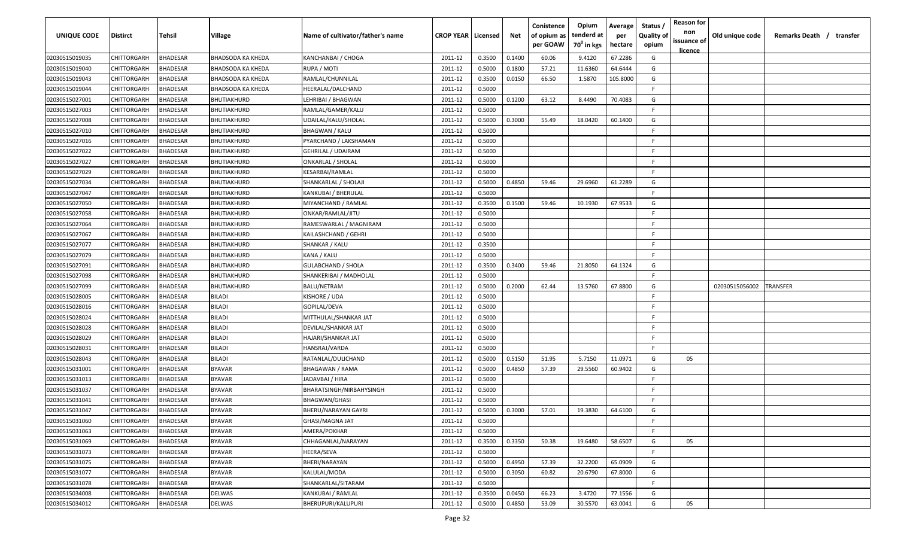| UNIQUE CODE    | <b>Distirct</b> | Tehsil          | Village                  | Name of cultivator/father's name | <b>CROP YEAR   Licensed</b> |        | Net    | Conistence<br>of opium as<br>per GOAW | Opium<br>tenderd at<br>70 <sup>0</sup> in kgs | Average<br>per<br>hectare | Status<br><b>Quality of</b><br>opium | <b>Reason for</b><br>non<br>issuance of<br><u>licence</u> | Old unique code | Remarks Death / transfer |
|----------------|-----------------|-----------------|--------------------------|----------------------------------|-----------------------------|--------|--------|---------------------------------------|-----------------------------------------------|---------------------------|--------------------------------------|-----------------------------------------------------------|-----------------|--------------------------|
| 02030515019035 | CHITTORGARH     | <b>BHADESAR</b> | <b>BHADSODA KA KHEDA</b> | KANCHANBAI / CHOGA               | 2011-12                     | 0.3500 | 0.1400 | 60.06                                 | 9.4120                                        | 67.2286                   | G                                    |                                                           |                 |                          |
| 02030515019040 | CHITTORGARH     | BHADESAR        | BHADSODA KA KHEDA        | RUPA / MOTI                      | 2011-12                     | 0.5000 | 0.1800 | 57.21                                 | 11.6360                                       | 64.6444                   | G                                    |                                                           |                 |                          |
| 02030515019043 | CHITTORGARH     | BHADESAR        | <b>BHADSODA KA KHEDA</b> | RAMLAL/CHUNNILAL                 | 2011-12                     | 0.3500 | 0.0150 | 66.50                                 | 1.5870                                        | 105.8000                  | G                                    |                                                           |                 |                          |
| 02030515019044 | CHITTORGARH     | BHADESAR        | <b>BHADSODA KA KHEDA</b> | HEERALAL/DALCHAND                | 2011-12                     | 0.5000 |        |                                       |                                               |                           | F.                                   |                                                           |                 |                          |
| 02030515027001 | CHITTORGARH     | BHADESAR        | <b>BHUTIAKHURD</b>       | LEHRIBAI / BHAGWAN               | 2011-12                     | 0.5000 | 0.1200 | 63.12                                 | 8.4490                                        | 70.4083                   | G                                    |                                                           |                 |                          |
| 02030515027003 | CHITTORGARH     | <b>BHADESAR</b> | BHUTIAKHURD              | RAMLAL/GAMER/KALU                | 2011-12                     | 0.5000 |        |                                       |                                               |                           | F                                    |                                                           |                 |                          |
| 02030515027008 | CHITTORGARH     | <b>BHADESAR</b> | <b>BHUTIAKHURD</b>       | UDAILAL/KALU/SHOLAL              | 2011-12                     | 0.5000 | 0.3000 | 55.49                                 | 18.0420                                       | 60.1400                   | G                                    |                                                           |                 |                          |
| 02030515027010 | CHITTORGARH     | <b>BHADESAR</b> | BHUTIAKHURD              | BHAGWAN / KALU                   | 2011-12                     | 0.5000 |        |                                       |                                               |                           | E.                                   |                                                           |                 |                          |
| 02030515027016 | CHITTORGARH     | BHADESAR        | <b>BHUTIAKHURD</b>       | PYARCHAND / LAKSHAMAN            | 2011-12                     | 0.5000 |        |                                       |                                               |                           | F.                                   |                                                           |                 |                          |
| 02030515027022 | CHITTORGARH     | <b>BHADESAR</b> | BHUTIAKHURD              | GEHRILAL / UDAIRAM               | 2011-12                     | 0.5000 |        |                                       |                                               |                           | E                                    |                                                           |                 |                          |
| 02030515027027 | CHITTORGARH     | <b>BHADESAR</b> | BHUTIAKHURD              | ONKARLAL / SHOLAL                | 2011-12                     | 0.5000 |        |                                       |                                               |                           | -F                                   |                                                           |                 |                          |
| 02030515027029 | CHITTORGARH     | BHADESAR        | BHUTIAKHURD              | KESARBAI/RAMLAL                  | 2011-12                     | 0.5000 |        |                                       |                                               |                           | -F                                   |                                                           |                 |                          |
| 02030515027034 | CHITTORGARH     | BHADESAR        | BHUTIAKHURD              | SHANKARLAL / SHOLAJI             | 2011-12                     | 0.5000 | 0.4850 | 59.46                                 | 29.6960                                       | 61.2289                   | G                                    |                                                           |                 |                          |
| 02030515027047 | CHITTORGARH     | <b>BHADESAR</b> | BHUTIAKHURD              | KANKUBAI / BHERULAL              | 2011-12                     | 0.5000 |        |                                       |                                               |                           | E                                    |                                                           |                 |                          |
| 02030515027050 | CHITTORGARH     | <b>BHADESAR</b> | BHUTIAKHURD              | MIYANCHAND / RAMLAL              | 2011-12                     | 0.3500 | 0.1500 | 59.46                                 | 10.1930                                       | 67.9533                   | G                                    |                                                           |                 |                          |
| 02030515027058 | CHITTORGARH     | <b>BHADESAR</b> | BHUTIAKHURD              | ONKAR/RAMLAL/JITU                | 2011-12                     | 0.5000 |        |                                       |                                               |                           | F                                    |                                                           |                 |                          |
| 02030515027064 | CHITTORGARH     | BHADESAR        | BHUTIAKHURD              | RAMESWARLAL / MAGNIRAM           | 2011-12                     | 0.5000 |        |                                       |                                               |                           | E.                                   |                                                           |                 |                          |
| 02030515027067 | CHITTORGARH     | BHADESAR        | BHUTIAKHURD              | KAILASHCHAND / GEHRI             | 2011-12                     | 0.5000 |        |                                       |                                               |                           | F                                    |                                                           |                 |                          |
| 02030515027077 | CHITTORGARH     | BHADESAR        | <b>BHUTIAKHURD</b>       | SHANKAR / KALU                   | 2011-12                     | 0.3500 |        |                                       |                                               |                           | F.                                   |                                                           |                 |                          |
| 02030515027079 | CHITTORGARH     | <b>BHADESAR</b> | BHUTIAKHURD              | KANA / KALU                      | 2011-12                     | 0.5000 |        |                                       |                                               |                           | F.                                   |                                                           |                 |                          |
| 02030515027091 | CHITTORGARH     | <b>BHADESAR</b> | BHUTIAKHURD              | GULABCHAND / SHOLA               | 2011-12                     | 0.3500 | 0.3400 | 59.46                                 | 21.8050                                       | 64.1324                   | G                                    |                                                           |                 |                          |
| 02030515027098 | CHITTORGARH     | BHADESAR        | <b>BHUTIAKHURD</b>       | SHANKERIBAI / MADHOLAL           | 2011-12                     | 0.5000 |        |                                       |                                               |                           | F                                    |                                                           |                 |                          |
| 02030515027099 | CHITTORGARH     | <b>BHADESAR</b> | <b>BHUTIAKHURD</b>       | BALU/NETRAM                      | 2011-12                     | 0.5000 | 0.2000 | 62.44                                 | 13.5760                                       | 67.8800                   | G                                    |                                                           | 02030515056002  | <b>RANSFER</b>           |
| 02030515028005 | CHITTORGARH     | <b>BHADESAR</b> | <b>BILADI</b>            | KISHORE / UDA                    | 2011-12                     | 0.5000 |        |                                       |                                               |                           | -F                                   |                                                           |                 |                          |
| 02030515028016 | CHITTORGARH     | BHADESAR        | <b>BILADI</b>            | GOPILAL/DEVA                     | 2011-12                     | 0.5000 |        |                                       |                                               |                           | F.                                   |                                                           |                 |                          |
| 02030515028024 | CHITTORGARH     | BHADESAR        | <b>BILADI</b>            | MITTHULAL/SHANKAR JAT            | 2011-12                     | 0.5000 |        |                                       |                                               |                           | F.                                   |                                                           |                 |                          |
| 02030515028028 | CHITTORGARH     | 3HADESAR        | BILADI                   | DEVILAL/SHANKAR JAT              | 2011-12                     | 0.5000 |        |                                       |                                               |                           | E                                    |                                                           |                 |                          |
| 02030515028029 | CHITTORGARH     | <b>BHADESAR</b> | <b>BILADI</b>            | HAJARI/SHANKAR JAT               | 2011-12                     | 0.5000 |        |                                       |                                               |                           | -F.                                  |                                                           |                 |                          |
| 02030515028031 | CHITTORGARH     | BHADESAR        | <b>BILADI</b>            | HANSRAJ/VARDA                    | 2011-12                     | 0.5000 |        |                                       |                                               |                           | -F                                   |                                                           |                 |                          |
| 02030515028043 | CHITTORGARH     | BHADESAR        | <b>BILADI</b>            | RATANLAL/DULICHAND               | 2011-12                     | 0.5000 | 0.5150 | 51.95                                 | 5.7150                                        | 11.0971                   | G                                    | 05                                                        |                 |                          |
| 02030515031001 | CHITTORGARH     | BHADESAR        | <b>BYAVAR</b>            | BHAGAWAN / RAMA                  | 2011-12                     | 0.5000 | 0.4850 | 57.39                                 | 29.5560                                       | 60.9402                   | G                                    |                                                           |                 |                          |
| 02030515031013 | CHITTORGARH     | <b>BHADESAR</b> | <b>BYAVAR</b>            | IADAVBAI / HIRA                  | 2011-12                     | 0.5000 |        |                                       |                                               |                           | -F                                   |                                                           |                 |                          |
| 02030515031037 | CHITTORGARH     | BHADESAR        | <b>BYAVAR</b>            | BHARATSINGH/NIRBAHYSINGH         | 2011-12                     | 0.5000 |        |                                       |                                               |                           | -F                                   |                                                           |                 |                          |
| 02030515031041 | CHITTORGARH     | BHADESAR        | <b>BYAVAR</b>            | BHAGWAN/GHASI                    | 2011-12                     | 0.5000 |        |                                       |                                               |                           | F.                                   |                                                           |                 |                          |
| 02030515031047 | CHITTORGARH     | BHADESAR        | <b>BYAVAR</b>            | <b>BHERU/NARAYAN GAYRI</b>       | 2011-12                     | 0.5000 | 0.3000 | 57.01                                 | 19.3830                                       | 64.6100                   | G                                    |                                                           |                 |                          |
| 02030515031060 | CHITTORGARH     | <b>BHADESAR</b> | <b>BYAVAR</b>            | GHASI/MAGNA JAT                  | 2011-12                     | 0.5000 |        |                                       |                                               |                           | F.                                   |                                                           |                 |                          |
| 02030515031063 | CHITTORGARH     | <b>BHADESAR</b> | <b>BYAVAR</b>            | AMERA/POKHAR                     | 2011-12                     | 0.5000 |        |                                       |                                               |                           | F.                                   |                                                           |                 |                          |
| 02030515031069 | CHITTORGARH     | <b>BHADESAR</b> | <b>BYAVAR</b>            | CHHAGANLAL/NARAYAN               | 2011-12                     | 0.3500 | 0.3350 | 50.38                                 | 19.6480                                       | 58.6507                   | G                                    | 05                                                        |                 |                          |
| 02030515031073 | CHITTORGARH     | <b>BHADESAR</b> | <b>BYAVAR</b>            | HEERA/SEVA                       | 2011-12                     | 0.5000 |        |                                       |                                               |                           | F.                                   |                                                           |                 |                          |
| 02030515031075 | CHITTORGARH     | <b>BHADESAR</b> | <b>BYAVAR</b>            | BHERI/NARAYAN                    | 2011-12                     | 0.5000 | 0.4950 | 57.39                                 | 32.2200                                       | 65.0909                   | G                                    |                                                           |                 |                          |
| 02030515031077 | CHITTORGARH     | <b>BHADESAR</b> | <b>BYAVAR</b>            | KALULAL/MODA                     | 2011-12                     | 0.5000 | 0.3050 | 60.82                                 | 20.6790                                       | 67.8000                   | G                                    |                                                           |                 |                          |
| 02030515031078 | CHITTORGARH     | <b>BHADESAR</b> | <b>BYAVAR</b>            | SHANKARLAL/SITARAM               | 2011-12                     | 0.5000 |        |                                       |                                               |                           | -F.                                  |                                                           |                 |                          |
| 02030515034008 | CHITTORGARH     | <b>BHADESAR</b> | DELWAS                   | KANKUBAI / RAMLAL                | 2011-12                     | 0.3500 | 0.0450 | 66.23                                 | 3.4720                                        | 77.1556                   | G                                    |                                                           |                 |                          |
| 02030515034012 | CHITTORGARH     | BHADESAR        | DELWAS                   | BHERUPURI/KALUPURI               | 2011-12                     | 0.5000 | 0.4850 | 53.09                                 | 30.5570                                       | 63.0041                   | G                                    | 05                                                        |                 |                          |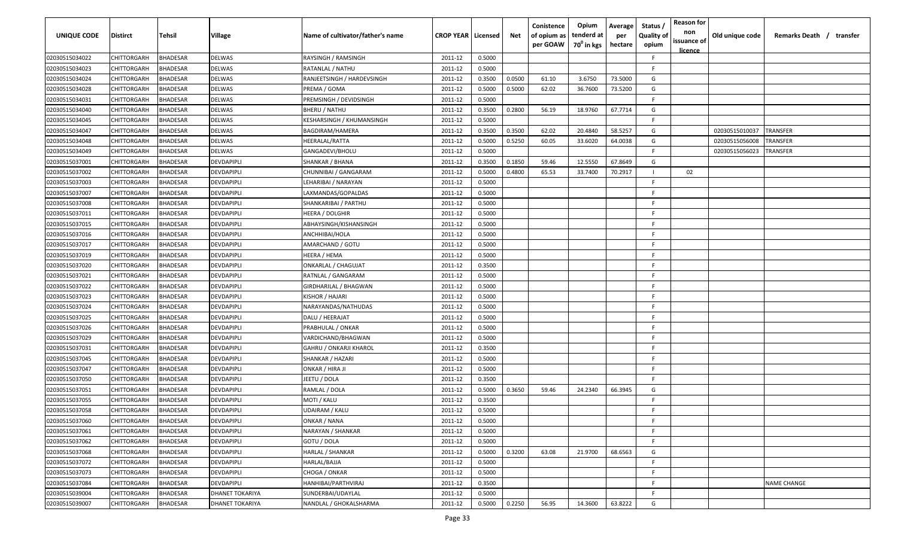| <b>UNIQUE CODE</b> | Distirct           | Tehsil          | Village         | Name of cultivator/father's name | <b>CROP YEAR Licensed</b> |        | Net    | Conistence<br>of opium as | Opium<br>tenderd at    | Average<br>per | Status /<br><b>Quality of</b> | <b>Reason for</b><br>non<br>issuance of | Old unique code | Remarks Death / transfer |
|--------------------|--------------------|-----------------|-----------------|----------------------------------|---------------------------|--------|--------|---------------------------|------------------------|----------------|-------------------------------|-----------------------------------------|-----------------|--------------------------|
|                    |                    |                 |                 |                                  |                           |        |        | per GOAW                  | 70 <sup>0</sup> in kgs | hectare        | opium                         | <u>licence</u>                          |                 |                          |
| 02030515034022     | CHITTORGARH        | <b>BHADESAR</b> | DELWAS          | RAYSINGH / RAMSINGH              | 2011-12                   | 0.5000 |        |                           |                        |                | F.                            |                                         |                 |                          |
| 02030515034023     | CHITTORGARH        | BHADESAR        | DELWAS          | RATANLAL / NATHU                 | 2011-12                   | 0.5000 |        |                           |                        |                | -F.                           |                                         |                 |                          |
| 02030515034024     | CHITTORGARH        | BHADESAR        | DELWAS          | RANJEETSINGH / HARDEVSINGH       | 2011-12                   | 0.3500 | 0.0500 | 61.10                     | 3.6750                 | 73.5000        | G                             |                                         |                 |                          |
| 02030515034028     | CHITTORGARH        | <b>BHADESAR</b> | DELWAS          | PREMA / GOMA                     | 2011-12                   | 0.5000 | 0.5000 | 62.02                     | 36.7600                | 73.5200        | G                             |                                         |                 |                          |
| 02030515034031     | CHITTORGARH        | <b>BHADESAR</b> | DELWAS          | PREMSINGH / DEVIDSINGH           | 2011-12                   | 0.5000 |        |                           |                        |                | -F.                           |                                         |                 |                          |
| 02030515034040     | CHITTORGARH        | <b>BHADESAR</b> | DELWAS          | <b>BHERU / NATHU</b>             | 2011-12                   | 0.3500 | 0.2800 | 56.19                     | 18.9760                | 67.7714        | G                             |                                         |                 |                          |
| 02030515034045     | CHITTORGARH        | <b>BHADESAR</b> | DELWAS          | KESHARSINGH / KHUMANSINGH        | 2011-12                   | 0.5000 |        |                           |                        |                | -F.                           |                                         |                 |                          |
| 02030515034047     | CHITTORGARH        | BHADESAR        | DELWAS          | BAGDIRAM/HAMERA                  | 2011-12                   | 0.3500 | 0.3500 | 62.02                     | 20.4840                | 58.5257        | G                             |                                         | 02030515010037  | TRANSFER                 |
| 02030515034048     | CHITTORGARH        | BHADESAR        | DELWAS          | HEERALAL/RATTA                   | 2011-12                   | 0.5000 | 0.5250 | 60.05                     | 33.6020                | 64.0038        | G                             |                                         | 02030515056008  | TRANSFER                 |
| 02030515034049     | CHITTORGARH        | BHADESAR        | DELWAS          | GANGADEVI/BHOLU                  | 2011-12                   | 0.5000 |        |                           |                        |                | F                             |                                         | 02030515056023  | TRANSFER                 |
| 02030515037001     | CHITTORGARH        | BHADESAR        | DEVDAPIPLI      | SHANKAR / BHANA                  | 2011-12                   | 0.3500 | 0.1850 | 59.46                     | 12.5550                | 67.8649        | G                             |                                         |                 |                          |
| 02030515037002     | CHITTORGARH        | BHADESAR        | DEVDAPIPLI      | CHUNNIBAI / GANGARAM             | 2011-12                   | 0.5000 | 0.4800 | 65.53                     | 33.7400                | 70.2917        |                               | 02                                      |                 |                          |
| 02030515037003     | CHITTORGARH        | BHADESAR        | DEVDAPIPLI      | LEHARIBAI / NARAYAN              | 2011-12                   | 0.5000 |        |                           |                        |                | -F.                           |                                         |                 |                          |
| 02030515037007     | CHITTORGARH        | <b>BHADESAR</b> | DEVDAPIPLI      | LAXMANDAS/GOPALDAS               | 2011-12                   | 0.5000 |        |                           |                        |                | F.                            |                                         |                 |                          |
| 02030515037008     | CHITTORGARH        | BHADESAR        | DEVDAPIPLI      | SHANKARIBAI / PARTHU             | 2011-12                   | 0.5000 |        |                           |                        |                | -F.                           |                                         |                 |                          |
| 02030515037011     | CHITTORGARH        | <b>BHADESAR</b> | DEVDAPIPLI      | HEERA / DOLGHIR                  | 2011-12                   | 0.5000 |        |                           |                        |                | E                             |                                         |                 |                          |
| 02030515037015     | CHITTORGARH        | <b>BHADESAR</b> | DEVDAPIPLI      | ABHAYSINGH/KISHANSINGH           | 2011-12                   | 0.5000 |        |                           |                        |                | -F.                           |                                         |                 |                          |
| 02030515037016     | CHITTORGARH        | <b>BHADESAR</b> | DEVDAPIPLI      | ANCHHIBAI/HOLA                   | 2011-12                   | 0.5000 |        |                           |                        |                | F                             |                                         |                 |                          |
| 02030515037017     | CHITTORGARH        | BHADESAR        | DEVDAPIPLI      | AMARCHAND / GOTU                 | 2011-12                   | 0.5000 |        |                           |                        |                | F.                            |                                         |                 |                          |
| 02030515037019     | CHITTORGARH        | <b>BHADESAR</b> | DEVDAPIPLI      | HEERA / HEMA                     | 2011-12                   | 0.5000 |        |                           |                        |                | F.                            |                                         |                 |                          |
| 02030515037020     | CHITTORGARH        | <b>BHADESAR</b> | DEVDAPIPLI      | <b>ONKARLAL / CHAGUJAT</b>       | 2011-12                   | 0.3500 |        |                           |                        |                | -F.                           |                                         |                 |                          |
| 02030515037021     | CHITTORGARH        | <b>BHADESAR</b> | DEVDAPIPLI      | RATNLAL / GANGARAM               | 2011-12                   | 0.5000 |        |                           |                        |                | -F.                           |                                         |                 |                          |
| 02030515037022     | CHITTORGARH        | <b>BHADESAR</b> | DEVDAPIPLI      | GIRDHARILAL / BHAGWAN            | 2011-12                   | 0.5000 |        |                           |                        |                | -F.                           |                                         |                 |                          |
| 02030515037023     | CHITTORGARH        | <b>BHADESAR</b> | DEVDAPIPLI      | KISHOR / HAJARI                  | 2011-12                   | 0.5000 |        |                           |                        |                | -F.                           |                                         |                 |                          |
| 02030515037024     | CHITTORGARH        | BHADESAR        | DEVDAPIPLI      | NARAYANDAS/NATHUDAS              | 2011-12                   | 0.5000 |        |                           |                        |                | -F                            |                                         |                 |                          |
| 02030515037025     | CHITTORGARH        | BHADESAR        | DEVDAPIPLI      | DALU / HEERAJAT                  | 2011-12                   | 0.5000 |        |                           |                        |                | -F.                           |                                         |                 |                          |
| 02030515037026     | CHITTORGARH        | BHADESAR        | DEVDAPIPLI      | PRABHULAL / ONKAR                | 2011-12                   | 0.5000 |        |                           |                        |                | -F.                           |                                         |                 |                          |
| 02030515037029     | CHITTORGARH        | BHADESAR        | DEVDAPIPLI      | VARDICHAND/BHAGWAN               | 2011-12                   | 0.5000 |        |                           |                        |                | -F.                           |                                         |                 |                          |
| 02030515037031     | CHITTORGARH        | BHADESAR        | DEVDAPIPLI      | GAHRU / ONKARJI KHAROL           | 2011-12                   | 0.3500 |        |                           |                        |                | F.                            |                                         |                 |                          |
| 02030515037045     | CHITTORGARH        | BHADESAR        | DEVDAPIPLI      | SHANKAR / HAZARI                 | 2011-12                   | 0.5000 |        |                           |                        |                | -F.                           |                                         |                 |                          |
| 02030515037047     | CHITTORGARH        | BHADESAR        | DEVDAPIPLI      | ONKAR / HIRA JI                  | 2011-12                   | 0.5000 |        |                           |                        |                | -F.                           |                                         |                 |                          |
| 02030515037050     | CHITTORGARH        | BHADESAR        | DEVDAPIPLI      | JEETU / DOLA                     | 2011-12                   | 0.3500 |        |                           |                        |                | -F.                           |                                         |                 |                          |
| 02030515037051     | CHITTORGARH        | BHADESAR        | DEVDAPIPLI      | RAMLAL / DOLA                    | 2011-12                   | 0.5000 | 0.3650 | 59.46                     | 24.2340                | 66.3945        | G                             |                                         |                 |                          |
| 02030515037055     | CHITTORGARH        | BHADESAR        | DEVDAPIPLI      | MOTI / KALU                      | 2011-12                   | 0.3500 |        |                           |                        |                | -F.                           |                                         |                 |                          |
| 02030515037058     | <b>CHITTORGARH</b> | BHADESAR        | DEVDAPIPLI      | <b>UDAIRAM / KALU</b>            | 2011-12                   | 0.5000 |        |                           |                        |                | F                             |                                         |                 |                          |
| 02030515037060     | CHITTORGARH        | <b>BHADESAR</b> | DEVDAPIPLI      | ONKAR / NANA                     | 2011-12                   | 0.5000 |        |                           |                        |                | F.                            |                                         |                 |                          |
| 02030515037061     | CHITTORGARH        | <b>BHADESAR</b> | DEVDAPIPLI      | NARAYAN / SHANKAR                | 2011-12                   | 0.5000 |        |                           |                        |                | F                             |                                         |                 |                          |
| 02030515037062     | CHITTORGARH        | <b>BHADESAR</b> | DEVDAPIPLI      | GOTU / DOLA                      | 2011-12                   | 0.5000 |        |                           |                        |                | F.                            |                                         |                 |                          |
| 02030515037068     | <b>CHITTORGARH</b> | <b>BHADESAR</b> | DEVDAPIPLI      | <b>HARLAL / SHANKAR</b>          | 2011-12                   | 0.5000 | 0.3200 | 63.08                     | 21.9700                | 68.6563        | G                             |                                         |                 |                          |
| 02030515037072     | CHITTORGARH        | <b>BHADESAR</b> | DEVDAPIPLI      | HARLAL/BAJJA                     | 2011-12                   | 0.5000 |        |                           |                        |                | F.                            |                                         |                 |                          |
| 02030515037073     | CHITTORGARH        | <b>BHADESAR</b> | DEVDAPIPLI      | CHOGA / ONKAR                    | 2011-12                   | 0.5000 |        |                           |                        |                | F.                            |                                         |                 |                          |
| 02030515037084     | CHITTORGARH        | BHADESAR        | DEVDAPIPLI      | HANHIBAI/PARTHVIRAJ              | 2011-12                   | 0.3500 |        |                           |                        |                | F.                            |                                         |                 | <b>NAME CHANGE</b>       |
| 02030515039004     | CHITTORGARH        | BHADESAR        | DHANET TOKARIYA | SUNDERBAI/UDAYLAL                | 2011-12                   | 0.5000 |        |                           |                        |                | F.                            |                                         |                 |                          |
| 02030515039007     | <b>CHITTORGARH</b> | <b>BHADESAR</b> | DHANET TOKARIYA | NANDLAL / GHOKALSHARMA           | 2011-12                   | 0.5000 | 0.2250 | 56.95                     | 14.3600                | 63.8222        | G                             |                                         |                 |                          |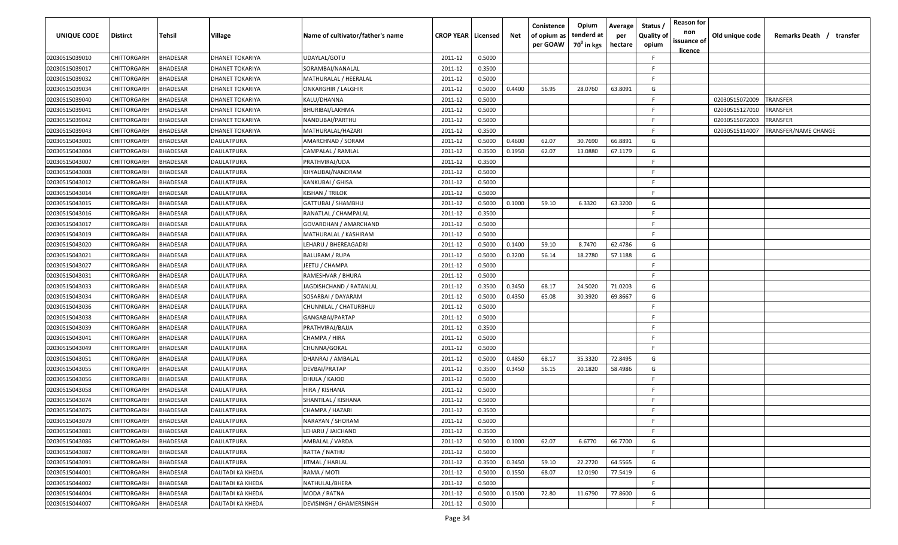| <b>UNIQUE CODE</b> | <b>Distirct</b>    | Tehsil          | Village                | Name of cultivator/father's name | <b>CROP YEAR   Licensed</b> |        | Net    | Conistence<br>of opium as<br>per GOAW | Opium<br>tenderd at<br>70 <sup>0</sup> in kgs | Average<br>per<br>hectare | Status,<br><b>Quality of</b><br>opium | <b>Reason for</b><br>non<br>issuance of<br>licence | Old unique code | Remarks Death / transfer |
|--------------------|--------------------|-----------------|------------------------|----------------------------------|-----------------------------|--------|--------|---------------------------------------|-----------------------------------------------|---------------------------|---------------------------------------|----------------------------------------------------|-----------------|--------------------------|
| 02030515039010     | <b>CHITTORGARH</b> | <b>BHADESAR</b> | DHANET TOKARIYA        | UDAYLAL/GOTU                     | 2011-12                     | 0.5000 |        |                                       |                                               |                           | F                                     |                                                    |                 |                          |
| 02030515039017     | CHITTORGARH        | <b>BHADESAR</b> | DHANET TOKARIYA        | SORAMBAI/NANALAL                 | 2011-12                     | 0.3500 |        |                                       |                                               |                           | F                                     |                                                    |                 |                          |
| 02030515039032     | CHITTORGARH        | <b>BHADESAR</b> | DHANET TOKARIYA        | MATHURALAL / HEERALAL            | 2011-12                     | 0.5000 |        |                                       |                                               |                           | E                                     |                                                    |                 |                          |
| 02030515039034     | CHITTORGARH        | <b>BHADESAR</b> | <b>DHANET TOKARIYA</b> | <b>ONKARGHIR / LALGHIR</b>       | 2011-12                     | 0.5000 | 0.4400 | 56.95                                 | 28.0760                                       | 63.8091                   | G                                     |                                                    |                 |                          |
| 02030515039040     | CHITTORGARH        | <b>BHADESAR</b> | DHANET TOKARIYA        | KALU/DHANNA                      | 2011-12                     | 0.5000 |        |                                       |                                               |                           | E                                     |                                                    | 02030515072009  | <b>TRANSFER</b>          |
| 02030515039041     | CHITTORGARH        | <b>BHADESAR</b> | DHANET TOKARIYA        | BHURIBAI/LAKHMA                  | 2011-12                     | 0.5000 |        |                                       |                                               |                           | E                                     |                                                    | 02030515127010  | TRANSFER                 |
| 02030515039042     | CHITTORGARH        | <b>BHADESAR</b> | DHANET TOKARIYA        | NANDUBAI/PARTHU                  | 2011-12                     | 0.5000 |        |                                       |                                               |                           | E                                     |                                                    | 02030515072003  | TRANSFER                 |
| 02030515039043     | CHITTORGARH        | <b>BHADESAR</b> | DHANET TOKARIYA        | MATHURALAL/HAZARI                | 2011-12                     | 0.3500 |        |                                       |                                               |                           | F                                     |                                                    | 02030515114007  | TRANSFER/NAME CHANGE     |
| 02030515043001     | CHITTORGARH        | <b>BHADESAR</b> | DAULATPURA             | AMARCHNAD / SORAM                | 2011-12                     | 0.5000 | 0.4600 | 62.07                                 | 30.7690                                       | 66.8891                   | G                                     |                                                    |                 |                          |
| 02030515043004     | CHITTORGARH        | <b>BHADESAR</b> | DAULATPURA             | CAMPALAL / RAMLAL                | 2011-12                     | 0.3500 | 0.1950 | 62.07                                 | 13.0880                                       | 67.1179                   | G                                     |                                                    |                 |                          |
| 02030515043007     | CHITTORGARH        | <b>BHADESAR</b> | DAULATPURA             | PRATHVIRAJ/UDA                   | 2011-12                     | 0.3500 |        |                                       |                                               |                           | E                                     |                                                    |                 |                          |
| 02030515043008     | CHITTORGARH        | <b>BHADESAR</b> | DAULATPURA             | KHYALIBAI/NANDRAM                | 2011-12                     | 0.5000 |        |                                       |                                               |                           | F.                                    |                                                    |                 |                          |
| 02030515043012     | CHITTORGARH        | <b>BHADESAR</b> | DAULATPURA             | KANKUBAI / GHISA                 | 2011-12                     | 0.5000 |        |                                       |                                               |                           | E                                     |                                                    |                 |                          |
| 02030515043014     | CHITTORGARH        | <b>BHADESAR</b> | DAULATPURA             | KISHAN / TRILOK                  | 2011-12                     | 0.5000 |        |                                       |                                               |                           | E                                     |                                                    |                 |                          |
| 02030515043015     | CHITTORGARH        | <b>BHADESAR</b> | DAULATPURA             | GATTUBAI / SHAMBHU               | 2011-12                     | 0.5000 | 0.1000 | 59.10                                 | 6.3320                                        | 63.3200                   | G                                     |                                                    |                 |                          |
| 02030515043016     | CHITTORGARH        | <b>BHADESAR</b> | DAULATPURA             | RANATLAL / CHAMPALAL             | 2011-12                     | 0.3500 |        |                                       |                                               |                           | E                                     |                                                    |                 |                          |
| 02030515043017     | CHITTORGARH        | <b>BHADESAR</b> | DAULATPURA             | GOVARDHAN / AMARCHAND            | 2011-12                     | 0.5000 |        |                                       |                                               |                           | E                                     |                                                    |                 |                          |
| 02030515043019     | CHITTORGARH        | <b>BHADESAR</b> | DAULATPURA             | MATHURALAL / KASHIRAM            | 2011-12                     | 0.5000 |        |                                       |                                               |                           | E.                                    |                                                    |                 |                          |
| 02030515043020     | CHITTORGARH        | <b>BHADESAR</b> | DAULATPURA             | LEHARU / BHEREAGADRI             | 2011-12                     | 0.5000 | 0.1400 | 59.10                                 | 8.7470                                        | 62.4786                   | G                                     |                                                    |                 |                          |
| 02030515043021     | CHITTORGARH        | <b>BHADESAR</b> | DAULATPURA             | <b>BALURAM / RUPA</b>            | 2011-12                     | 0.5000 | 0.3200 | 56.14                                 | 18.2780                                       | 57.1188                   | G                                     |                                                    |                 |                          |
| 02030515043027     | CHITTORGARH        | BHADESAR        | DAULATPURA             | IEETU / CHAMPA                   | 2011-12                     | 0.5000 |        |                                       |                                               |                           | E                                     |                                                    |                 |                          |
| 02030515043031     | CHITTORGARH        | <b>BHADESAR</b> | DAULATPURA             | RAMESHVAR / BHURA                | 2011-12                     | 0.5000 |        |                                       |                                               |                           | F                                     |                                                    |                 |                          |
| 02030515043033     | CHITTORGARH        | <b>BHADESAR</b> | DAULATPURA             | JAGDISHCHAND / RATANLAL          | 2011-12                     | 0.3500 | 0.3450 | 68.17                                 | 24.5020                                       | 71.0203                   | G                                     |                                                    |                 |                          |
| 02030515043034     | CHITTORGARH        | <b>BHADESAR</b> | DAULATPURA             | SOSARBAI / DAYARAM               | 2011-12                     | 0.5000 | 0.4350 | 65.08                                 | 30.3920                                       | 69.8667                   | G                                     |                                                    |                 |                          |
| 02030515043036     | CHITTORGARH        | <b>BHADESAR</b> | DAULATPURA             | CHUNNILAL / CHATURBHUJ           | 2011-12                     | 0.5000 |        |                                       |                                               |                           | E                                     |                                                    |                 |                          |
| 02030515043038     | CHITTORGARH        | <b>BHADESAR</b> | DAULATPURA             | GANGABAI/PARTAP                  | 2011-12                     | 0.5000 |        |                                       |                                               |                           | F                                     |                                                    |                 |                          |
| 02030515043039     | CHITTORGARH        | <b>BHADESAR</b> | DAULATPURA             | PRATHVIRAJ/BAJJA                 | 2011-12                     | 0.3500 |        |                                       |                                               |                           | E                                     |                                                    |                 |                          |
| 02030515043041     | CHITTORGARH        | <b>BHADESAR</b> | DAULATPURA             | CHAMPA / HIRA                    | 2011-12                     | 0.5000 |        |                                       |                                               |                           | F                                     |                                                    |                 |                          |
| 02030515043049     | CHITTORGARH        | <b>BHADESAR</b> | DAULATPURA             | CHUNNA/GOKAL                     | 2011-12                     | 0.5000 |        |                                       |                                               |                           | F.                                    |                                                    |                 |                          |
| 02030515043051     | CHITTORGARH        | <b>BHADESAR</b> | DAULATPURA             | DHANRAJ / AMBALAL                | 2011-12                     | 0.5000 | 0.4850 | 68.17                                 | 35.3320                                       | 72.8495                   | G                                     |                                                    |                 |                          |
| 02030515043055     | CHITTORGARH        | <b>BHADESAR</b> | DAULATPURA             | DEVBAI/PRATAP                    | 2011-12                     | 0.3500 | 0.3450 | 56.15                                 | 20.1820                                       | 58.4986                   | G                                     |                                                    |                 |                          |
| 02030515043056     | CHITTORGARH        | <b>BHADESAR</b> | DAULATPURA             | DHULA / KAJOD                    | 2011-12                     | 0.5000 |        |                                       |                                               |                           | F.                                    |                                                    |                 |                          |
| 02030515043058     | CHITTORGARH        | <b>BHADESAR</b> | DAULATPURA             | HIRA / KISHANA                   | 2011-12                     | 0.5000 |        |                                       |                                               |                           | Е                                     |                                                    |                 |                          |
| 02030515043074     | CHITTORGARH        | <b>BHADESAR</b> | DAULATPURA             | SHANTILAL / KISHANA              | 2011-12                     | 0.5000 |        |                                       |                                               |                           | F                                     |                                                    |                 |                          |
| 02030515043075     | CHITTORGARH        | <b>BHADESAR</b> | DAULATPURA             | CHAMPA / HAZARI                  | 2011-12                     | 0.3500 |        |                                       |                                               |                           | E                                     |                                                    |                 |                          |
| 02030515043079     | CHITTORGARH        | <b>BHADESAR</b> | DAULATPURA             | NARAYAN / SHORAM                 | 2011-12                     | 0.5000 |        |                                       |                                               |                           | F                                     |                                                    |                 |                          |
| 02030515043081     | <b>CHITTORGARH</b> | <b>BHADESAR</b> | DAULATPURA             | LEHARU / JAICHAND                | 2011-12                     | 0.3500 |        |                                       |                                               |                           | F.                                    |                                                    |                 |                          |
| 02030515043086     | CHITTORGARH        | <b>BHADESAR</b> | DAULATPURA             | AMBALAL / VARDA                  | 2011-12                     | 0.5000 | 0.1000 | 62.07                                 | 6.6770                                        | 66.7700                   | G                                     |                                                    |                 |                          |
| 02030515043087     | CHITTORGARH        | <b>BHADESAR</b> | DAULATPURA             | RATTA / NATHU                    | 2011-12                     | 0.5000 |        |                                       |                                               |                           | F.                                    |                                                    |                 |                          |
| 02030515043091     | CHITTORGARH        | <b>BHADESAR</b> | DAULATPURA             | JITMAL / HARLAL                  | 2011-12                     | 0.3500 | 0.3450 | 59.10                                 | 22.2720                                       | 64.5565                   | G                                     |                                                    |                 |                          |
| 02030515044001     | CHITTORGARH        | <b>BHADESAR</b> | DAUTADI KA KHEDA       | RAMA / MOTI                      | 2011-12                     | 0.5000 | 0.1550 | 68.07                                 | 12.0190                                       | 77.5419                   | G                                     |                                                    |                 |                          |
| 02030515044002     | CHITTORGARH        | <b>BHADESAR</b> | DAUTADI KA KHEDA       | NATHULAL/BHERA                   | 2011-12                     | 0.5000 |        |                                       |                                               |                           | F                                     |                                                    |                 |                          |
| 02030515044004     | CHITTORGARH        | <b>BHADESAR</b> | DAUTADI KA KHEDA       | MODA / RATNA                     | 2011-12                     | 0.5000 | 0.1500 | 72.80                                 | 11.6790                                       | 77.8600                   | G                                     |                                                    |                 |                          |
| 02030515044007     | <b>CHITTORGARH</b> | <b>BHADESAR</b> | DAUTADI KA KHEDA       | DEVISINGH / GHAMERSINGH          | 2011-12                     | 0.5000 |        |                                       |                                               |                           | F.                                    |                                                    |                 |                          |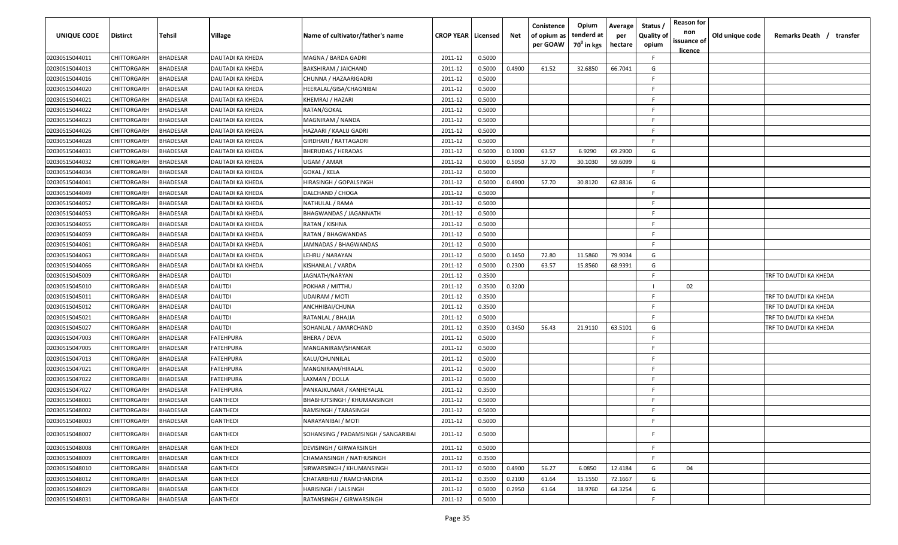| <b>UNIQUE CODE</b> | Distirct           | Tehsil          | Village          | Name of cultivator/father's name    | <b>CROP YEAR   Licensed</b> |        | Net    | Conistence<br>of opium as<br>per GOAW | Opium<br>tenderd at<br>70 <sup>0</sup> in kgs | Average<br>per<br>hectare | Status,<br><b>Quality of</b><br>opium | <b>Reason for</b><br>non<br>issuance of<br>licence | Old unique code | Remarks Death / transfer |
|--------------------|--------------------|-----------------|------------------|-------------------------------------|-----------------------------|--------|--------|---------------------------------------|-----------------------------------------------|---------------------------|---------------------------------------|----------------------------------------------------|-----------------|--------------------------|
| 02030515044011     | CHITTORGARH        | <b>BHADESAR</b> | DAUTADI KA KHEDA | MAGNA / BARDA GADRI                 | 2011-12                     | 0.5000 |        |                                       |                                               |                           | F.                                    |                                                    |                 |                          |
| 02030515044013     | CHITTORGARH        | <b>BHADESAR</b> | DAUTADI KA KHEDA | BAKSHIRAM / JAICHAND                | 2011-12                     | 0.5000 | 0.4900 | 61.52                                 | 32.6850                                       | 66.7041                   | G                                     |                                                    |                 |                          |
| 02030515044016     | CHITTORGARH        | <b>BHADESAR</b> | DAUTADI KA KHEDA | CHUNNA / HAZAARIGADRI               | 2011-12                     | 0.5000 |        |                                       |                                               |                           | F                                     |                                                    |                 |                          |
| 02030515044020     | CHITTORGARH        | <b>BHADESAR</b> | DAUTADI KA KHEDA | HEERALAL/GISA/CHAGNIBAI             | 2011-12                     | 0.5000 |        |                                       |                                               |                           | E                                     |                                                    |                 |                          |
| 02030515044021     | CHITTORGARH        | <b>BHADESAR</b> | DAUTADI KA KHEDA | KHEMRAJ / HAZARI                    | 2011-12                     | 0.5000 |        |                                       |                                               |                           | F                                     |                                                    |                 |                          |
| 02030515044022     | CHITTORGARH        | <b>BHADESAR</b> | DAUTADI KA KHEDA | RATAN/GOKAL                         | 2011-12                     | 0.5000 |        |                                       |                                               |                           | F                                     |                                                    |                 |                          |
| 02030515044023     | CHITTORGARH        | BHADESAR        | DAUTADI KA KHEDA | MAGNIRAM / NANDA                    | 2011-12                     | 0.5000 |        |                                       |                                               |                           | F                                     |                                                    |                 |                          |
| 02030515044026     | CHITTORGARH        | <b>BHADESAR</b> | DAUTADI KA KHEDA | HAZAARI / KAALU GADRI               | 2011-12                     | 0.5000 |        |                                       |                                               |                           | E                                     |                                                    |                 |                          |
| 02030515044028     | CHITTORGARH        | <b>BHADESAR</b> | DAUTADI KA KHEDA | GIRDHARI / RATTAGADRI               | 2011-12                     | 0.5000 |        |                                       |                                               |                           | E                                     |                                                    |                 |                          |
| 02030515044031     | CHITTORGARH        | BHADESAR        | DAUTADI KA KHEDA | <b>BHERUDAS / HERADAS</b>           | 2011-12                     | 0.5000 | 0.1000 | 63.57                                 | 6.9290                                        | 69.2900                   | G                                     |                                                    |                 |                          |
| 02030515044032     | CHITTORGARH        | BHADESAR        | DAUTADI KA KHEDA | JGAM / AMAR                         | 2011-12                     | 0.5000 | 0.5050 | 57.70                                 | 30.1030                                       | 59.6099                   | G                                     |                                                    |                 |                          |
| 02030515044034     | CHITTORGARH        | <b>BHADESAR</b> | DAUTADI KA KHEDA | GOKAL / KELA                        | 2011-12                     | 0.5000 |        |                                       |                                               |                           | F                                     |                                                    |                 |                          |
| 02030515044041     | CHITTORGARH        | <b>BHADESAR</b> | DAUTADI KA KHEDA | HIRASINGH / GOPALSINGH              | 2011-12                     | 0.5000 | 0.4900 | 57.70                                 | 30.8120                                       | 62.8816                   | G                                     |                                                    |                 |                          |
| 02030515044049     | CHITTORGARH        | <b>BHADESAR</b> | DAUTADI KA KHEDA | DALCHAND / CHOGA                    | 2011-12                     | 0.5000 |        |                                       |                                               |                           | F                                     |                                                    |                 |                          |
| 02030515044052     | CHITTORGARH        | <b>BHADESAR</b> | DAUTADI KA KHEDA | NATHULAL / RAMA                     | 2011-12                     | 0.5000 |        |                                       |                                               |                           | E                                     |                                                    |                 |                          |
| 02030515044053     | CHITTORGARH        | <b>BHADESAR</b> | DAUTADI KA KHEDA | <b>BHAGWANDAS / JAGANNATH</b>       | 2011-12                     | 0.5000 |        |                                       |                                               |                           |                                       |                                                    |                 |                          |
| 02030515044055     | CHITTORGARH        | <b>BHADESAR</b> | DAUTADI KA KHEDA | RATAN / KISHNA                      | 2011-12                     | 0.5000 |        |                                       |                                               |                           | E                                     |                                                    |                 |                          |
| 02030515044059     | CHITTORGARH        | <b>BHADESAR</b> | DAUTADI KA KHEDA | RATAN / BHAGWANDAS                  | 2011-12                     | 0.5000 |        |                                       |                                               |                           | F.                                    |                                                    |                 |                          |
| 02030515044061     | CHITTORGARH        | <b>BHADESAR</b> | DAUTADI KA KHEDA | JAMNADAS / BHAGWANDAS               | 2011-12                     | 0.5000 |        |                                       |                                               |                           | E                                     |                                                    |                 |                          |
| 02030515044063     | CHITTORGARH        | <b>BHADESAR</b> | DAUTADI KA KHEDA | LEHRU / NARAYAN                     | 2011-12                     | 0.5000 | 0.1450 | 72.80                                 | 11.5860                                       | 79.9034                   | G                                     |                                                    |                 |                          |
| 02030515044066     | CHITTORGARH        | <b>BHADESAR</b> | DAUTADI KA KHEDA | KISHANLAL / VARDA                   | 2011-12                     | 0.5000 | 0.2300 | 63.57                                 | 15.8560                                       | 68.9391                   | G                                     |                                                    |                 |                          |
| 02030515045009     | CHITTORGARH        | <b>BHADESAR</b> | DAUTDI           | JAGNATH/NARYAN                      | 2011-12                     | 0.3500 |        |                                       |                                               |                           | F                                     |                                                    |                 | TRF TO DAUTDI KA KHEDA   |
| 02030515045010     | CHITTORGARH        | BHADESAR        | DAUTDI           | POKHAR / MITTHU                     | 2011-12                     | 0.3500 | 0.3200 |                                       |                                               |                           |                                       | 02                                                 |                 |                          |
| 02030515045011     | CHITTORGARH        | BHADESAR        | DAUTDI           | UDAIRAM / MOTI                      | 2011-12                     | 0.3500 |        |                                       |                                               |                           | F                                     |                                                    |                 | TRF TO DAUTDI KA KHEDA   |
| 02030515045012     | CHITTORGARH        | <b>BHADESAR</b> | DAUTDI           | ANCHHIBAI/CHUNA                     | 2011-12                     | 0.3500 |        |                                       |                                               |                           | E                                     |                                                    |                 | TRF TO DAUTDI KA KHEDA   |
| 02030515045021     | CHITTORGARH        | <b>BHADESAR</b> | DAUTDI           | RATANLAL / BHAJJA                   | 2011-12                     | 0.5000 |        |                                       |                                               |                           | F.                                    |                                                    |                 | TRF TO DAUTDI KA KHEDA   |
| 02030515045027     | CHITTORGARH        | <b>BHADESAR</b> | DAUTDI           | SOHANLAL / AMARCHAND                | 2011-12                     | 0.3500 | 0.3450 | 56.43                                 | 21.9110                                       | 63.5101                   | G                                     |                                                    |                 | TRF TO DAUTDI KA KHEDA   |
| 02030515047003     | CHITTORGARH        | BHADESAR        | ATEHPURA         | BHERA / DEVA                        | 2011-12                     | 0.5000 |        |                                       |                                               |                           | F.                                    |                                                    |                 |                          |
| 02030515047005     | CHITTORGARH        | <b>BHADESAR</b> | FATEHPURA        | MANGANIRAM/SHANKAR                  | 2011-12                     | 0.5000 |        |                                       |                                               |                           | E                                     |                                                    |                 |                          |
| 02030515047013     | CHITTORGARH        | <b>BHADESAR</b> | FATEHPURA        | KALU/CHUNNILAL                      | 2011-12                     | 0.5000 |        |                                       |                                               |                           | E                                     |                                                    |                 |                          |
| 02030515047021     | CHITTORGARH        | <b>BHADESAR</b> | FATEHPURA        | MANGNIRAM/HIRALAL                   | 2011-12                     | 0.5000 |        |                                       |                                               |                           | E                                     |                                                    |                 |                          |
| 02030515047022     | CHITTORGARH        | <b>BHADESAR</b> | FATEHPURA        | LAXMAN / DOLLA                      | 2011-12                     | 0.5000 |        |                                       |                                               |                           | E                                     |                                                    |                 |                          |
| 02030515047027     | CHITTORGARH        | <b>BHADESAR</b> | FATEHPURA        | PANKAJKUMAR / KANHEYALAL            | 2011-12                     | 0.3500 |        |                                       |                                               |                           | F                                     |                                                    |                 |                          |
| 02030515048001     | CHITTORGARH        | <b>BHADESAR</b> | GANTHEDI         | <b>BHABHUTSINGH / KHUMANSINGH</b>   | 2011-12                     | 0.5000 |        |                                       |                                               |                           | E                                     |                                                    |                 |                          |
| 02030515048002     | <b>CHITTORGARH</b> | <b>BHADESAR</b> | <b>GANTHEDI</b>  | RAMSINGH / TARASINGH                | 2011-12                     | 0.5000 |        |                                       |                                               |                           | E                                     |                                                    |                 |                          |
| 02030515048003     | <b>CHITTORGARH</b> | <b>BHADESAR</b> | GANTHEDI         | NARAYANIBAI / MOTI                  | 2011-12                     | 0.5000 |        |                                       |                                               |                           | F.                                    |                                                    |                 |                          |
| 02030515048007     | CHITTORGARH        | <b>BHADESAR</b> | GANTHEDI         | SOHANSING / PADAMSINGH / SANGARIBAI | 2011-12                     | 0.5000 |        |                                       |                                               |                           | E                                     |                                                    |                 |                          |
| 02030515048008     | <b>CHITTORGARH</b> | <b>BHADESAR</b> | GANTHEDI         | DEVISINGH / GIRWARSINGH             | 2011-12                     | 0.5000 |        |                                       |                                               |                           | E                                     |                                                    |                 |                          |
| 02030515048009     | CHITTORGARH        | <b>BHADESAR</b> | <b>GANTHEDI</b>  | CHAMANSINGH / NATHUSINGH            | 2011-12                     | 0.3500 |        |                                       |                                               |                           | F.                                    |                                                    |                 |                          |
| 02030515048010     | <b>CHITTORGARH</b> | <b>BHADESAR</b> | GANTHEDI         | SIRWARSINGH / KHUMANSINGH           | 2011-12                     | 0.5000 | 0.4900 | 56.27                                 | 6.0850                                        | 12.4184                   | G                                     | 04                                                 |                 |                          |
| 02030515048012     | CHITTORGARH        | <b>BHADESAR</b> | GANTHEDI         | CHATARBHUJ / RAMCHANDRA             | 2011-12                     | 0.3500 | 0.2100 | 61.64                                 | 15.1550                                       | 72.1667                   | G                                     |                                                    |                 |                          |
| 02030515048029     | CHITTORGARH        | <b>BHADESAR</b> | GANTHEDI         | HARISINGH / LALSINGH                | 2011-12                     | 0.5000 | 0.2950 | 61.64                                 | 18.9760                                       | 64.3254                   | G                                     |                                                    |                 |                          |
| 02030515048031     | <b>CHITTORGARH</b> | <b>BHADESAR</b> | GANTHEDI         | RATANSINGH / GIRWARSINGH            | 2011-12                     | 0.5000 |        |                                       |                                               |                           | F.                                    |                                                    |                 |                          |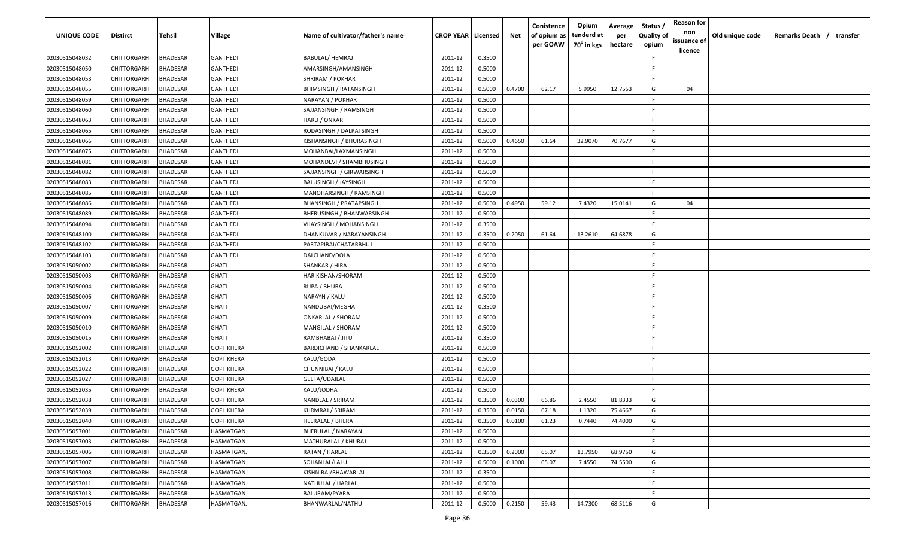| <b>UNIQUE CODE</b> | <b>Distirct</b>    | Tehsil          | <b>Village</b>    | Name of cultivator/father's name | <b>CROP YEAR   Licensed</b> |        | Net    | Conistence<br>of opium as<br>per GOAW | Opium<br>tenderd at<br>70 <sup>0</sup> in kgs | Average<br>per<br>hectare | Status /<br><b>Quality of</b><br>opium | <b>Reason for</b><br>non<br>issuance of<br><u>licence</u> | Old unique code | Remarks Death / transfer |
|--------------------|--------------------|-----------------|-------------------|----------------------------------|-----------------------------|--------|--------|---------------------------------------|-----------------------------------------------|---------------------------|----------------------------------------|-----------------------------------------------------------|-----------------|--------------------------|
| 02030515048032     | CHITTORGARH        | <b>BHADESAR</b> | GANTHEDI          | <b>BABULAL/ HEMRAJ</b>           | 2011-12                     | 0.3500 |        |                                       |                                               |                           | F                                      |                                                           |                 |                          |
| 02030515048050     | CHITTORGARH        | <b>BHADESAR</b> | GANTHEDI          | AMARSINGH/AMANSINGH              | 2011-12                     | 0.5000 |        |                                       |                                               |                           | F                                      |                                                           |                 |                          |
| 02030515048053     | CHITTORGARH        | <b>BHADESAR</b> | GANTHEDI          | SHRIRAM / POKHAR                 | 2011-12                     | 0.5000 |        |                                       |                                               |                           | F                                      |                                                           |                 |                          |
| 02030515048055     | CHITTORGARH        | <b>BHADESAR</b> | GANTHEDI          | <b>BHIMSINGH / RATANSINGH</b>    | 2011-12                     | 0.5000 | 0.4700 | 62.17                                 | 5.9950                                        | 12.7553                   | G                                      | 04                                                        |                 |                          |
| 02030515048059     | CHITTORGARH        | <b>BHADESAR</b> | GANTHEDI          | NARAYAN / POKHAR                 | 2011-12                     | 0.5000 |        |                                       |                                               |                           | E                                      |                                                           |                 |                          |
| 02030515048060     | CHITTORGARH        | <b>BHADESAR</b> | GANTHEDI          | SAJJANSINGH / RAMSINGH           | 2011-12                     | 0.5000 |        |                                       |                                               |                           | E                                      |                                                           |                 |                          |
| 02030515048063     | CHITTORGARH        | <b>BHADESAR</b> | GANTHEDI          | HARU / ONKAR                     | 2011-12                     | 0.5000 |        |                                       |                                               |                           | F                                      |                                                           |                 |                          |
| 02030515048065     | CHITTORGARH        | <b>BHADESAR</b> | GANTHEDI          | RODASINGH / DALPATSINGH          | 2011-12                     | 0.5000 |        |                                       |                                               |                           | E                                      |                                                           |                 |                          |
| 02030515048066     | CHITTORGARH        | <b>BHADESAR</b> | GANTHEDI          | KISHANSINGH / BHURASINGH         | 2011-12                     | 0.5000 | 0.4650 | 61.64                                 | 32.9070                                       | 70.7677                   | G                                      |                                                           |                 |                          |
| 02030515048075     | CHITTORGARH        | <b>BHADESAR</b> | GANTHEDI          | MOHANBAI/LAXMANSINGH             | 2011-12                     | 0.5000 |        |                                       |                                               |                           | F.                                     |                                                           |                 |                          |
| 02030515048081     | CHITTORGARH        | <b>BHADESAR</b> | GANTHEDI          | MOHANDEVI / SHAMBHUSINGH         | 2011-12                     | 0.5000 |        |                                       |                                               |                           | E                                      |                                                           |                 |                          |
| 02030515048082     | CHITTORGARH        | <b>BHADESAR</b> | GANTHEDI          | SAJJANSINGH / GIRWARSINGH        | 2011-12                     | 0.5000 |        |                                       |                                               |                           | F                                      |                                                           |                 |                          |
| 02030515048083     | CHITTORGARH        | <b>BHADESAR</b> | GANTHEDI          | <b>BALUSINGH / JAYSINGH</b>      | 2011-12                     | 0.5000 |        |                                       |                                               |                           | F                                      |                                                           |                 |                          |
| 02030515048085     | CHITTORGARH        | <b>BHADESAR</b> | GANTHEDI          | MANOHARSINGH / RAMSINGH          | 2011-12                     | 0.5000 |        |                                       |                                               |                           | E                                      |                                                           |                 |                          |
| 02030515048086     | CHITTORGARH        | <b>BHADESAR</b> | <b>GANTHEDI</b>   | BHANSINGH / PRATAPSINGH          | 2011-12                     | 0.5000 | 0.4950 | 59.12                                 | 7.4320                                        | 15.0141                   | G                                      | 04                                                        |                 |                          |
| 02030515048089     | CHITTORGARH        | <b>BHADESAR</b> | <b>GANTHEDI</b>   | BHERUSINGH / BHANWARSINGH        | 2011-12                     | 0.5000 |        |                                       |                                               |                           | F                                      |                                                           |                 |                          |
| 02030515048094     | CHITTORGARH        | <b>BHADESAR</b> | <b>GANTHEDI</b>   | VIJAYSINGH / MOHANSINGH          | 2011-12                     | 0.3500 |        |                                       |                                               |                           | F                                      |                                                           |                 |                          |
| 02030515048100     | CHITTORGARH        | <b>BHADESAR</b> | GANTHEDI          | DHANKUVAR / NARAYANSINGH         | 2011-12                     | 0.3500 | 0.2050 | 61.64                                 | 13.2610                                       | 64.6878                   | G                                      |                                                           |                 |                          |
| 02030515048102     | CHITTORGARH        | <b>BHADESAR</b> | GANTHEDI          | PARTAPIBAI/CHATARBHUJ            | 2011-12                     | 0.5000 |        |                                       |                                               |                           | F                                      |                                                           |                 |                          |
| 02030515048103     | CHITTORGARH        | <b>BHADESAR</b> | GANTHEDI          | DALCHAND/DOLA                    | 2011-12                     | 0.5000 |        |                                       |                                               |                           | F                                      |                                                           |                 |                          |
| 02030515050002     | CHITTORGARH        | <b>BHADESAR</b> | GHATI             | SHANKAR / HIRA                   | 2011-12                     | 0.5000 |        |                                       |                                               |                           | E                                      |                                                           |                 |                          |
| 02030515050003     | CHITTORGARH        | <b>BHADESAR</b> | GHATI             | HARIKISHAN/SHORAM                | 2011-12                     | 0.5000 |        |                                       |                                               |                           |                                        |                                                           |                 |                          |
| 02030515050004     | CHITTORGARH        | <b>BHADESAR</b> | GHATI             | RUPA / BHURA                     | 2011-12                     | 0.5000 |        |                                       |                                               |                           |                                        |                                                           |                 |                          |
| 02030515050006     | CHITTORGARH        | <b>BHADESAR</b> | <b>GHATI</b>      | NARAYN / KALU                    | 2011-12                     | 0.5000 |        |                                       |                                               |                           | F                                      |                                                           |                 |                          |
| 02030515050007     | CHITTORGARH        | <b>BHADESAR</b> | GHATI             | NANDUBAI/MEGHA                   | 2011-12                     | 0.3500 |        |                                       |                                               |                           | F                                      |                                                           |                 |                          |
| 02030515050009     | CHITTORGARH        | <b>BHADESAR</b> | GHATI             | ONKARLAL / SHORAM                | 2011-12                     | 0.5000 |        |                                       |                                               |                           | F                                      |                                                           |                 |                          |
| 02030515050010     | CHITTORGARH        | <b>BHADESAR</b> | GHATI             | MANGILAL / SHORAM                | 2011-12                     | 0.5000 |        |                                       |                                               |                           | F                                      |                                                           |                 |                          |
| 02030515050015     | CHITTORGARH        | <b>BHADESAR</b> | <b>GHATI</b>      | RAMBHABAI / JITU                 | 2011-12                     | 0.3500 |        |                                       |                                               |                           | F                                      |                                                           |                 |                          |
| 02030515052002     | CHITTORGARH        | <b>BHADESAR</b> | GOPI KHERA        | <b>BARDICHAND / SHANKARLAL</b>   | 2011-12                     | 0.5000 |        |                                       |                                               |                           | F                                      |                                                           |                 |                          |
| 02030515052013     | CHITTORGARH        | <b>BHADESAR</b> | GOPI KHERA        | KALU/GODA                        | 2011-12                     | 0.5000 |        |                                       |                                               |                           | F                                      |                                                           |                 |                          |
| 02030515052022     | CHITTORGARH        | <b>BHADESAR</b> | GOPI KHERA        | CHUNNIBAI / KALU                 | 2011-12                     | 0.5000 |        |                                       |                                               |                           | E                                      |                                                           |                 |                          |
| 02030515052027     | CHITTORGARH        | <b>BHADESAR</b> | GOPI KHERA        | GEETA/UDAILAL                    | 2011-12                     | 0.5000 |        |                                       |                                               |                           | F                                      |                                                           |                 |                          |
| 02030515052035     | CHITTORGARH        | <b>BHADESAR</b> | GOPI KHERA        | KALU/JODHA                       | 2011-12                     | 0.5000 |        |                                       |                                               |                           | F.                                     |                                                           |                 |                          |
| 02030515052038     | CHITTORGARH        | <b>BHADESAR</b> | GOPI KHERA        | NANDLAL / SRIRAM                 | 2011-12                     | 0.3500 | 0.0300 | 66.86                                 | 2.4550                                        | 81.8333                   | G                                      |                                                           |                 |                          |
| 02030515052039     | CHITTORGARH        | <b>BHADESAR</b> | GOPI KHERA        | KHRMRAJ / SRIRAM                 | 2011-12                     | 0.3500 | 0.0150 | 67.18                                 | 1.1320                                        | 75.4667                   | G                                      |                                                           |                 |                          |
| 02030515052040     | CHITTORGARH        | <b>BHADESAR</b> | <b>GOPI KHERA</b> | <b>HEERALAL / BHERA</b>          | 2011-12                     | 0.3500 | 0.0100 | 61.23                                 | 0.7440                                        | 74.4000                   | G                                      |                                                           |                 |                          |
| 02030515057001     | <b>CHITTORGARH</b> | <b>BHADESAR</b> | HASMATGANJ        | BHERULAL / NARAYAN               | 2011-12                     | 0.5000 |        |                                       |                                               |                           | F                                      |                                                           |                 |                          |
| 02030515057003     | CHITTORGARH        | <b>BHADESAR</b> | HASMATGANJ        | MATHURALAL / KHURAJ              | 2011-12                     | 0.5000 |        |                                       |                                               |                           | F                                      |                                                           |                 |                          |
| 02030515057006     | CHITTORGARH        | <b>BHADESAR</b> | HASMATGANJ        | RATAN / HARLAL                   | 2011-12                     | 0.3500 | 0.2000 | 65.07                                 | 13.7950                                       | 68.9750                   | G                                      |                                                           |                 |                          |
| 02030515057007     | CHITTORGARH        | <b>BHADESAR</b> | HASMATGANJ        | SOHANLAL/LALU                    | 2011-12                     | 0.5000 | 0.1000 | 65.07                                 | 7.4550                                        | 74.5500                   | G                                      |                                                           |                 |                          |
| 02030515057008     | CHITTORGARH        | BHADESAR        | HASMATGANJ        | KISHNIBAI/BHAWARLAL              | 2011-12                     | 0.3500 |        |                                       |                                               |                           | F                                      |                                                           |                 |                          |
| 02030515057011     | CHITTORGARH        | <b>BHADESAR</b> | HASMATGANJ        | NATHULAL / HARLAL                | 2011-12                     | 0.5000 |        |                                       |                                               |                           | F                                      |                                                           |                 |                          |
| 02030515057013     | CHITTORGARH        | <b>BHADESAR</b> | HASMATGANJ        | BALURAM/PYARA                    | 2011-12                     | 0.5000 |        |                                       |                                               |                           | E                                      |                                                           |                 |                          |
| 02030515057016     | CHITTORGARH        | <b>BHADESAR</b> | HASMATGANJ        | BHANWARLAL/NATHU                 | 2011-12                     | 0.5000 | 0.2150 | 59.43                                 | 14.7300                                       | 68.5116                   | G                                      |                                                           |                 |                          |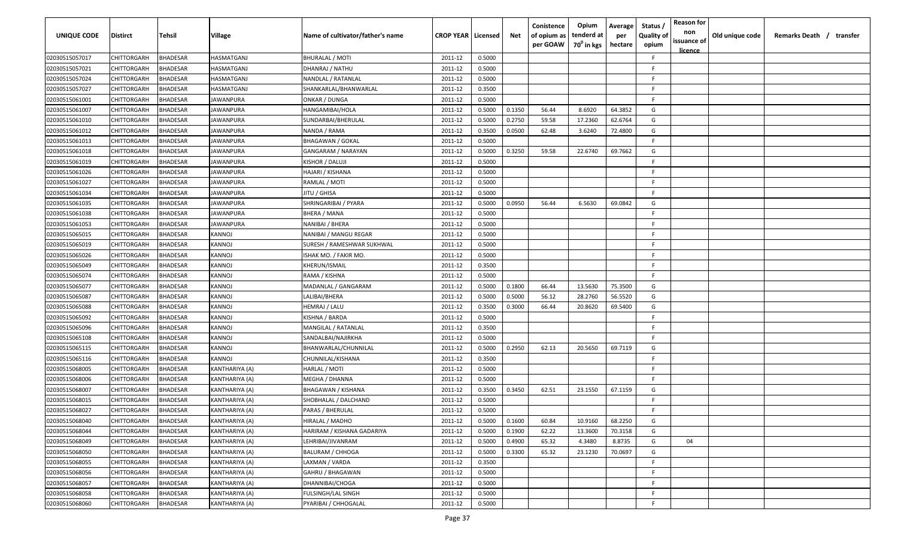| <b>UNIQUE CODE</b> | Distirct           | Tehsil          | Village          | Name of cultivator/father's name | <b>CROP YEAR Licensed</b> |        | Net    | Conistence<br>of opium as<br>per GOAW | Opium<br>tenderd at<br>70 <sup>0</sup> in kgs | Average<br>per<br>hectare | Status /<br><b>Quality of</b><br>opium | <b>Reason for</b><br>non<br>issuance of<br><u>licence</u> | Old unique code | Remarks Death / transfer |
|--------------------|--------------------|-----------------|------------------|----------------------------------|---------------------------|--------|--------|---------------------------------------|-----------------------------------------------|---------------------------|----------------------------------------|-----------------------------------------------------------|-----------------|--------------------------|
| 02030515057017     | CHITTORGARH        | <b>BHADESAR</b> | HASMATGANJ       | <b>BHURALAL / MOTI</b>           | 2011-12                   | 0.5000 |        |                                       |                                               |                           | F.                                     |                                                           |                 |                          |
| 02030515057021     | CHITTORGARH        | BHADESAR        | HASMATGANJ       | DHANRAJ / NATHU                  | 2011-12                   | 0.5000 |        |                                       |                                               |                           | -F.                                    |                                                           |                 |                          |
| 02030515057024     | CHITTORGARH        | BHADESAR        | IASMATGANJ       | NANDLAL / RATANLAL               | 2011-12                   | 0.5000 |        |                                       |                                               |                           | -F.                                    |                                                           |                 |                          |
| 02030515057027     | CHITTORGARH        | <b>BHADESAR</b> | HASMATGANJ       | SHANKARLAL/BHANWARLAL            | 2011-12                   | 0.3500 |        |                                       |                                               |                           | -F.                                    |                                                           |                 |                          |
| 02030515061001     | CHITTORGARH        | <b>BHADESAR</b> | JAWANPURA        | ONKAR / DUNGA                    | 2011-12                   | 0.5000 |        |                                       |                                               |                           | -F.                                    |                                                           |                 |                          |
| 02030515061007     | CHITTORGARH        | <b>BHADESAR</b> | JAWANPURA        | HANGAMIBAI/HOLA                  | 2011-12                   | 0.5000 | 0.1350 | 56.44                                 | 8.6920                                        | 64.3852                   | G                                      |                                                           |                 |                          |
| 02030515061010     | CHITTORGARH        | <b>BHADESAR</b> | <b>IAWANPURA</b> | SUNDARBAI/BHERULAL               | 2011-12                   | 0.5000 | 0.2750 | 59.58                                 | 17.2360                                       | 62.6764                   | G                                      |                                                           |                 |                          |
| 02030515061012     | CHITTORGARH        | <b>BHADESAR</b> | <b>IAWANPURA</b> | NANDA / RAMA                     | 2011-12                   | 0.3500 | 0.0500 | 62.48                                 | 3.6240                                        | 72.4800                   | G                                      |                                                           |                 |                          |
| 02030515061013     | CHITTORGARH        | BHADESAR        | <b>IAWANPURA</b> | <b>BHAGAWAN / GOKAL</b>          | 2011-12                   | 0.5000 |        |                                       |                                               |                           | -F.                                    |                                                           |                 |                          |
| 02030515061018     | CHITTORGARH        | BHADESAR        | IAWANPURA        | GANGARAM / NARAYAN               | 2011-12                   | 0.5000 | 0.3250 | 59.58                                 | 22.6740                                       | 69.7662                   | G                                      |                                                           |                 |                          |
| 02030515061019     | CHITTORGARH        | BHADESAR        | IAWANPURA        | KISHOR / DALUJI                  | 2011-12                   | 0.5000 |        |                                       |                                               |                           | -F.                                    |                                                           |                 |                          |
| 02030515061026     | CHITTORGARH        | BHADESAR        | <b>IAWANPURA</b> | HAJARI / KISHANA                 | 2011-12                   | 0.5000 |        |                                       |                                               |                           | F.                                     |                                                           |                 |                          |
| 02030515061027     | CHITTORGARH        | BHADESAR        | JAWANPURA        | RAMLAL / MOTI                    | 2011-12                   | 0.5000 |        |                                       |                                               |                           | F.                                     |                                                           |                 |                          |
| 02030515061034     | CHITTORGARH        | <b>BHADESAR</b> | JAWANPURA        | JITU / GHISA                     | 2011-12                   | 0.5000 |        |                                       |                                               |                           | F.                                     |                                                           |                 |                          |
| 02030515061035     | CHITTORGARH        | BHADESAR        | JAWANPURA        | SHRINGARIBAI / PYARA             | 2011-12                   | 0.5000 | 0.0950 | 56.44                                 | 6.5630                                        | 69.0842                   | G                                      |                                                           |                 |                          |
| 02030515061038     | CHITTORGARH        | <b>BHADESAR</b> | <b>JAWANPURA</b> | <b>BHERA / MANA</b>              | 2011-12                   | 0.5000 |        |                                       |                                               |                           | F.                                     |                                                           |                 |                          |
| 02030515061053     | CHITTORGARH        | <b>BHADESAR</b> | JAWANPURA        | NANIBAI / BHERA                  | 2011-12                   | 0.5000 |        |                                       |                                               |                           | -F.                                    |                                                           |                 |                          |
| 02030515065015     | CHITTORGARH        | <b>BHADESAR</b> | <b>KANNOJ</b>    | NANIBAI / MANGU REGAR            | 2011-12                   | 0.5000 |        |                                       |                                               |                           | E                                      |                                                           |                 |                          |
| 02030515065019     | CHITTORGARH        | BHADESAR        | KANNOJ           | SURESH / RAMESHWAR SUKHWAL       | 2011-12                   | 0.5000 |        |                                       |                                               |                           | F.                                     |                                                           |                 |                          |
| 02030515065026     | CHITTORGARH        | <b>BHADESAR</b> | KANNOJ           | ISHAK MO. / FAKIR MO.            | 2011-12                   | 0.5000 |        |                                       |                                               |                           | F.                                     |                                                           |                 |                          |
| 02030515065049     | CHITTORGARH        | <b>BHADESAR</b> | KANNOJ           | KHERUN/ISMAIL                    | 2011-12                   | 0.3500 |        |                                       |                                               |                           | -F.                                    |                                                           |                 |                          |
| 02030515065074     | CHITTORGARH        | <b>BHADESAR</b> | KANNOJ           | RAMA / KISHNA                    | 2011-12                   | 0.5000 |        |                                       |                                               |                           | -F.                                    |                                                           |                 |                          |
| 02030515065077     | CHITTORGARH        | <b>BHADESAR</b> | KANNOJ           | MADANLAL / GANGARAM              | 2011-12                   | 0.5000 | 0.1800 | 66.44                                 | 13.5630                                       | 75.3500                   | G                                      |                                                           |                 |                          |
| 02030515065087     | CHITTORGARH        | <b>BHADESAR</b> | KANNOJ           | LALIBAI/BHERA                    | 2011-12                   | 0.5000 | 0.5000 | 56.12                                 | 28.2760                                       | 56.5520                   | G                                      |                                                           |                 |                          |
| 02030515065088     | CHITTORGARH        | BHADESAR        | KANNOJ           | HEMRAJ / LALU                    | 2011-12                   | 0.3500 | 0.3000 | 66.44                                 | 20.8620                                       | 69.5400                   | G                                      |                                                           |                 |                          |
| 02030515065092     | CHITTORGARH        | BHADESAR        | KANNOJ           | KISHNA / BARDA                   | 2011-12                   | 0.5000 |        |                                       |                                               |                           | -F.                                    |                                                           |                 |                          |
| 02030515065096     | CHITTORGARH        | BHADESAR        | KANNOJ           | MANGILAL / RATANLAL              | 2011-12                   | 0.3500 |        |                                       |                                               |                           | -F.                                    |                                                           |                 |                          |
| 02030515065108     | CHITTORGARH        | BHADESAR        | KANNOJ           | SANDALBAI/NAJIRKHA               | 2011-12                   | 0.5000 |        |                                       |                                               |                           | -F.                                    |                                                           |                 |                          |
| 02030515065115     | CHITTORGARH        | BHADESAR        | KANNOJ           | BHANWARLAL/CHUNNILAL             | 2011-12                   | 0.5000 | 0.2950 | 62.13                                 | 20.5650                                       | 69.7119                   | G                                      |                                                           |                 |                          |
| 02030515065116     | CHITTORGARH        | BHADESAR        | KANNOJ           | CHUNNILAL/KISHANA                | 2011-12                   | 0.3500 |        |                                       |                                               |                           | -F.                                    |                                                           |                 |                          |
| 02030515068005     | CHITTORGARH        | BHADESAR        | KANTHARIYA (A)   | HARLAL / MOTI                    | 2011-12                   | 0.5000 |        |                                       |                                               |                           | -F.                                    |                                                           |                 |                          |
| 02030515068006     | CHITTORGARH        | BHADESAR        | KANTHARIYA (A)   | MEGHA / DHANNA                   | 2011-12                   | 0.5000 |        |                                       |                                               |                           | -F.                                    |                                                           |                 |                          |
| 02030515068007     | CHITTORGARH        | BHADESAR        | KANTHARIYA (A)   | <b>BHAGAWAN / KISHANA</b>        | 2011-12                   | 0.3500 | 0.3450 | 62.51                                 | 23.1550                                       | 67.1159                   | G                                      |                                                           |                 |                          |
| 02030515068015     | CHITTORGARH        | BHADESAR        | KANTHARIYA (A)   | SHOBHALAL / DALCHAND             | 2011-12                   | 0.5000 |        |                                       |                                               |                           | -F.                                    |                                                           |                 |                          |
| 02030515068027     | <b>CHITTORGARH</b> | BHADESAR        | KANTHARIYA (A)   | PARAS / BHERULAL                 | 2011-12                   | 0.5000 |        |                                       |                                               |                           | F                                      |                                                           |                 |                          |
| 02030515068040     | CHITTORGARH        | <b>BHADESAR</b> | KANTHARIYA (A)   | HIRALAL / MADHO                  | 2011-12                   | 0.5000 | 0.1600 | 60.84                                 | 10.9160                                       | 68.2250                   | G                                      |                                                           |                 |                          |
| 02030515068044     | CHITTORGARH        | <b>BHADESAR</b> | KANTHARIYA (A)   | HARIRAM / KISHANA GADARIYA       | 2011-12                   | 0.5000 | 0.1900 | 62.22                                 | 13.3600                                       | 70.3158                   | G                                      |                                                           |                 |                          |
| 02030515068049     | <b>CHITTORGARH</b> | <b>BHADESAR</b> | KANTHARIYA (A)   | LEHRIBAI/JIVANRAM                | 2011-12                   | 0.5000 | 0.4900 | 65.32                                 | 4.3480                                        | 8.8735                    | G                                      | 04                                                        |                 |                          |
| 02030515068050     | <b>CHITTORGARH</b> | <b>BHADESAR</b> | KANTHARIYA (A)   | <b>BALURAM / CHHOGA</b>          | 2011-12                   | 0.5000 | 0.3300 | 65.32                                 | 23.1230                                       | 70.0697                   | G                                      |                                                           |                 |                          |
| 02030515068055     | CHITTORGARH        | <b>BHADESAR</b> | KANTHARIYA (A)   | LAXMAN / VARDA                   | 2011-12                   | 0.3500 |        |                                       |                                               |                           | F.                                     |                                                           |                 |                          |
| 02030515068056     | CHITTORGARH        | BHADESAR        | KANTHARIYA (A)   | GAHRU / BHAGAWAN                 | 2011-12                   | 0.5000 |        |                                       |                                               |                           | F.                                     |                                                           |                 |                          |
| 02030515068057     | CHITTORGARH        | <b>BHADESAR</b> | KANTHARIYA (A)   | DHANNIBAI/CHOGA                  | 2011-12                   | 0.5000 |        |                                       |                                               |                           | F.                                     |                                                           |                 |                          |
| 02030515068058     | CHITTORGARH        | BHADESAR        | KANTHARIYA (A)   | FULSINGH/LAL SINGH               | 2011-12                   | 0.5000 |        |                                       |                                               |                           | F.                                     |                                                           |                 |                          |
| 02030515068060     | <b>CHITTORGARH</b> | <b>BHADESAR</b> | KANTHARIYA (A)   | PYARIBAI / CHHOGALAL             | 2011-12                   | 0.5000 |        |                                       |                                               |                           | F                                      |                                                           |                 |                          |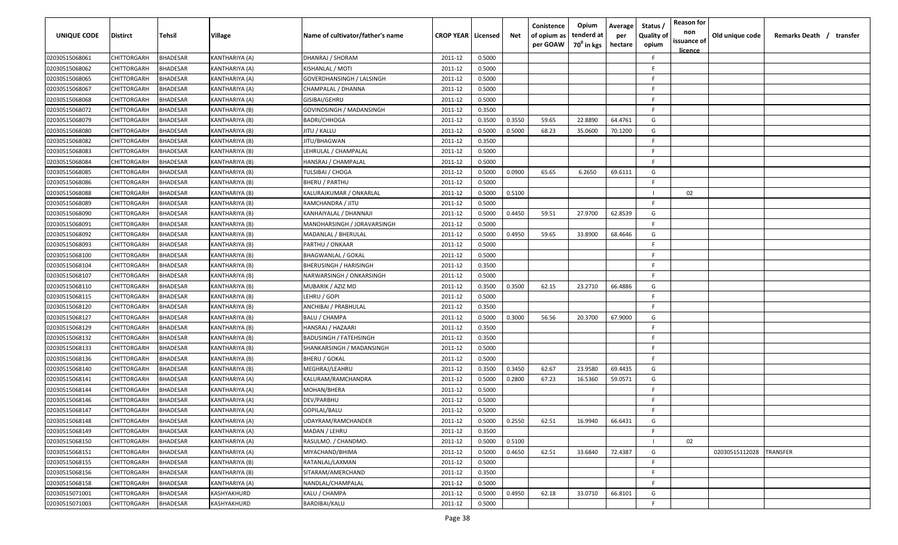| UNIQUE CODE    | Distirct           | Tehsil          | Village        | Name of cultivator/father's name | <b>CROP YEAR   Licensed</b> |        | Net    | Conistence<br>of opium as<br>per GOAW | Opium<br>tenderd at<br>70 <sup>0</sup> in kgs | Average<br>per<br>hectare | Status,<br><b>Quality of</b><br>opium | <b>Reason for</b><br>non<br>issuance of<br><u>licence</u> | Old unique code | Remarks Death / transfer |
|----------------|--------------------|-----------------|----------------|----------------------------------|-----------------------------|--------|--------|---------------------------------------|-----------------------------------------------|---------------------------|---------------------------------------|-----------------------------------------------------------|-----------------|--------------------------|
| 02030515068061 | CHITTORGARH        | <b>BHADESAR</b> | KANTHARIYA (A) | DHANRAJ / SHORAM                 | 2011-12                     | 0.5000 |        |                                       |                                               |                           | F                                     |                                                           |                 |                          |
| 02030515068062 | CHITTORGARH        | <b>BHADESAR</b> | KANTHARIYA (A) | KISHANLAL / MOTI                 | 2011-12                     | 0.5000 |        |                                       |                                               |                           | E                                     |                                                           |                 |                          |
| 02030515068065 | CHITTORGARH        | <b>BHADESAR</b> | KANTHARIYA (A) | GOVERDHANSINGH / LALSINGH        | 2011-12                     | 0.5000 |        |                                       |                                               |                           | F                                     |                                                           |                 |                          |
| 02030515068067 | CHITTORGARH        | <b>BHADESAR</b> | KANTHARIYA (A) | CHAMPALAL / DHANNA               | 2011-12                     | 0.5000 |        |                                       |                                               |                           | E                                     |                                                           |                 |                          |
| 02030515068068 | CHITTORGARH        | <b>BHADESAR</b> | KANTHARIYA (A) | GISIBAI/GEHRU                    | 2011-12                     | 0.5000 |        |                                       |                                               |                           | E                                     |                                                           |                 |                          |
| 02030515068072 | CHITTORGARH        | <b>BHADESAR</b> | KANTHARIYA (B) | GOVINDSINGH / MADANSINGH         | 2011-12                     | 0.3500 |        |                                       |                                               |                           | F                                     |                                                           |                 |                          |
| 02030515068079 | CHITTORGARH        | BHADESAR        | KANTHARIYA (B) | <b>BADRI/CHHOGA</b>              | 2011-12                     | 0.3500 | 0.3550 | 59.65                                 | 22.8890                                       | 64.4761                   | G                                     |                                                           |                 |                          |
| 02030515068080 | CHITTORGARH        | <b>BHADESAR</b> | KANTHARIYA (B) | IITU / KALLU                     | 2011-12                     | 0.5000 | 0.5000 | 68.23                                 | 35.0600                                       | 70.1200                   | G                                     |                                                           |                 |                          |
| 02030515068082 | CHITTORGARH        | <b>BHADESAR</b> | KANTHARIYA (B) | IITU/BHAGWAN                     | 2011-12                     | 0.3500 |        |                                       |                                               |                           | E                                     |                                                           |                 |                          |
| 02030515068083 | CHITTORGARH        | BHADESAR        | KANTHARIYA (B) | LEHRULAL / CHAMPALAL             | 2011-12                     | 0.5000 |        |                                       |                                               |                           | E                                     |                                                           |                 |                          |
| 02030515068084 | CHITTORGARH        | BHADESAR        | KANTHARIYA (B) | HANSRAJ / CHAMPALAL              | 2011-12                     | 0.5000 |        |                                       |                                               |                           | E                                     |                                                           |                 |                          |
| 02030515068085 | CHITTORGARH        | <b>BHADESAR</b> | KANTHARIYA (B) | TULSIBAI / CHOGA                 | 2011-12                     | 0.5000 | 0.0900 | 65.65                                 | 6.2650                                        | 69.6111                   | G                                     |                                                           |                 |                          |
| 02030515068086 | CHITTORGARH        | <b>BHADESAR</b> | KANTHARIYA (B) | BHERU / PARTHU                   | 2011-12                     | 0.5000 |        |                                       |                                               |                           | F                                     |                                                           |                 |                          |
| 02030515068088 | CHITTORGARH        | <b>BHADESAR</b> | KANTHARIYA (B) | KALURAJKUMAR / ONKARLAL          | 2011-12                     | 0.5000 | 0.5100 |                                       |                                               |                           |                                       | 02                                                        |                 |                          |
| 02030515068089 | CHITTORGARH        | <b>BHADESAR</b> | KANTHARIYA (B) | RAMCHANDRA / JITU                | 2011-12                     | 0.5000 |        |                                       |                                               |                           | F.                                    |                                                           |                 |                          |
| 02030515068090 | CHITTORGARH        | <b>BHADESAR</b> | KANTHARIYA (B) | KANHAIYALAL / DHANNAJI           | 2011-12                     | 0.5000 | 0.4450 | 59.51                                 | 27.9700                                       | 62.8539                   | G                                     |                                                           |                 |                          |
| 02030515068091 | CHITTORGARH        | <b>BHADESAR</b> | KANTHARIYA (B) | MANOHARSINGH / JORAVARSINGH      | 2011-12                     | 0.5000 |        |                                       |                                               |                           | F                                     |                                                           |                 |                          |
| 02030515068092 | CHITTORGARH        | <b>BHADESAR</b> | KANTHARIYA (B) | MADANLAL / BHERULAL              | 2011-12                     | 0.5000 | 0.4950 | 59.65                                 | 33.8900                                       | 68.4646                   | G                                     |                                                           |                 |                          |
| 02030515068093 | CHITTORGARH        | <b>BHADESAR</b> | KANTHARIYA (B) | PARTHU / ONKAAR                  | 2011-12                     | 0.5000 |        |                                       |                                               |                           | F                                     |                                                           |                 |                          |
| 02030515068100 | CHITTORGARH        | <b>BHADESAR</b> | KANTHARIYA (B) | <b>BHAGWANLAL / GOKAL</b>        | 2011-12                     | 0.5000 |        |                                       |                                               |                           | F                                     |                                                           |                 |                          |
| 02030515068104 | CHITTORGARH        | <b>BHADESAR</b> | KANTHARIYA (B) | <b>BHERUSINGH / HARISINGH</b>    | 2011-12                     | 0.3500 |        |                                       |                                               |                           | F                                     |                                                           |                 |                          |
| 02030515068107 | CHITTORGARH        | <b>BHADESAR</b> | KANTHARIYA (B) | NARWARSINGH / ONKARSINGH         | 2011-12                     | 0.5000 |        |                                       |                                               |                           | E                                     |                                                           |                 |                          |
| 02030515068110 | CHITTORGARH        | <b>BHADESAR</b> | KANTHARIYA (B) | MUBARIK / AZIZ MD                | 2011-12                     | 0.3500 | 0.3500 | 62.15                                 | 23.2710                                       | 66.4886                   | G                                     |                                                           |                 |                          |
| 02030515068115 | CHITTORGARH        | BHADESAR        | KANTHARIYA (B) | LEHRU / GOPI                     | 2011-12                     | 0.5000 |        |                                       |                                               |                           | F                                     |                                                           |                 |                          |
| 02030515068120 | CHITTORGARH        | <b>BHADESAR</b> | KANTHARIYA (B) | ANCHIBAI / PRABHULAL             | 2011-12                     | 0.3500 |        |                                       |                                               |                           | E                                     |                                                           |                 |                          |
| 02030515068127 | CHITTORGARH        | <b>BHADESAR</b> | KANTHARIYA (B) | <b>BALU / CHAMPA</b>             | 2011-12                     | 0.5000 | 0.3000 | 56.56                                 | 20.3700                                       | 67.9000                   | G                                     |                                                           |                 |                          |
| 02030515068129 | CHITTORGARH        | <b>BHADESAR</b> | KANTHARIYA (B) | HANSRAJ / HAZAARI                | 2011-12                     | 0.3500 |        |                                       |                                               |                           | E                                     |                                                           |                 |                          |
| 02030515068132 | CHITTORGARH        | BHADESAR        | KANTHARIYA (B) | BADUSINGH / FATEHSINGH           | 2011-12                     | 0.3500 |        |                                       |                                               |                           | F.                                    |                                                           |                 |                          |
| 02030515068133 | CHITTORGARH        | <b>BHADESAR</b> | KANTHARIYA (B) | SHANKARSINGH / MADANSINGH        | 2011-12                     | 0.5000 |        |                                       |                                               |                           | F.                                    |                                                           |                 |                          |
| 02030515068136 | CHITTORGARH        | <b>BHADESAR</b> | KANTHARIYA (B) | BHERU / GOKAL                    | 2011-12                     | 0.5000 |        |                                       |                                               |                           | E                                     |                                                           |                 |                          |
| 02030515068140 | CHITTORGARH        | <b>BHADESAR</b> | KANTHARIYA (B) | MEGHRAJ/LEAHRU                   | 2011-12                     | 0.3500 | 0.3450 | 62.67                                 | 23.9580                                       | 69.4435                   | G                                     |                                                           |                 |                          |
| 02030515068141 | CHITTORGARH        | <b>BHADESAR</b> | KANTHARIYA (A) | KALURAM/RAMCHANDRA               | 2011-12                     | 0.5000 | 0.2800 | 67.23                                 | 16.5360                                       | 59.0571                   | G                                     |                                                           |                 |                          |
| 02030515068144 | CHITTORGARH        | <b>BHADESAR</b> | KANTHARIYA (A) | MOHAN/BHERA                      | 2011-12                     | 0.5000 |        |                                       |                                               |                           | F.                                    |                                                           |                 |                          |
| 02030515068146 | CHITTORGARH        | <b>BHADESAR</b> | KANTHARIYA (A) | DEV/PARBHU                       | 2011-12                     | 0.5000 |        |                                       |                                               |                           | E                                     |                                                           |                 |                          |
| 02030515068147 | <b>CHITTORGARH</b> | <b>BHADESAR</b> | KANTHARIYA (A) | GOPILAL/BALU                     | 2011-12                     | 0.5000 |        |                                       |                                               |                           | E                                     |                                                           |                 |                          |
| 02030515068148 | CHITTORGARH        | <b>BHADESAR</b> | KANTHARIYA (A) | UDAYRAM/RAMCHANDER               | 2011-12                     | 0.5000 | 0.2550 | 62.51                                 | 16.9940                                       | 66.6431                   | G                                     |                                                           |                 |                          |
| 02030515068149 | <b>CHITTORGARH</b> | <b>BHADESAR</b> | KANTHARIYA (A) | MADAN / LEHRU                    | 2011-12                     | 0.3500 |        |                                       |                                               |                           | F                                     |                                                           |                 |                          |
| 02030515068150 | CHITTORGARH        | <b>BHADESAR</b> | KANTHARIYA (A) | RASULMO. / CHANDMO.              | 2011-12                     | 0.5000 | 0.5100 |                                       |                                               |                           |                                       | 02                                                        |                 |                          |
| 02030515068151 | <b>CHITTORGARH</b> | <b>BHADESAR</b> | KANTHARIYA (A) | MIYACHAND/BHIMA                  | 2011-12                     | 0.5000 | 0.4650 | 62.51                                 | 33.6840                                       | 72.4387                   | G                                     |                                                           | 02030515112028  | <b>TRANSFER</b>          |
| 02030515068155 | CHITTORGARH        | <b>BHADESAR</b> | KANTHARIYA (B) | RATANLAL/LAXMAN                  | 2011-12                     | 0.5000 |        |                                       |                                               |                           | F.                                    |                                                           |                 |                          |
| 02030515068156 | CHITTORGARH        | <b>BHADESAR</b> | KANTHARIYA (B) | SITARAM/AMERCHAND                | 2011-12                     | 0.3500 |        |                                       |                                               |                           | F                                     |                                                           |                 |                          |
| 02030515068158 | CHITTORGARH        | <b>BHADESAR</b> | KANTHARIYA (A) | NANDLAL/CHAMPALAL                | 2011-12                     | 0.5000 |        |                                       |                                               |                           | F.                                    |                                                           |                 |                          |
| 02030515071001 | CHITTORGARH        | <b>BHADESAR</b> | KASHYAKHURD    | KALU / CHAMPA                    | 2011-12                     | 0.5000 | 0.4950 | 62.18                                 | 33.0710                                       | 66.8101                   | G                                     |                                                           |                 |                          |
| 02030515071003 | <b>CHITTORGARH</b> | <b>BHADESAR</b> | KASHYAKHURD    | BARDIBAI/KALU                    | 2011-12                     | 0.5000 |        |                                       |                                               |                           | F.                                    |                                                           |                 |                          |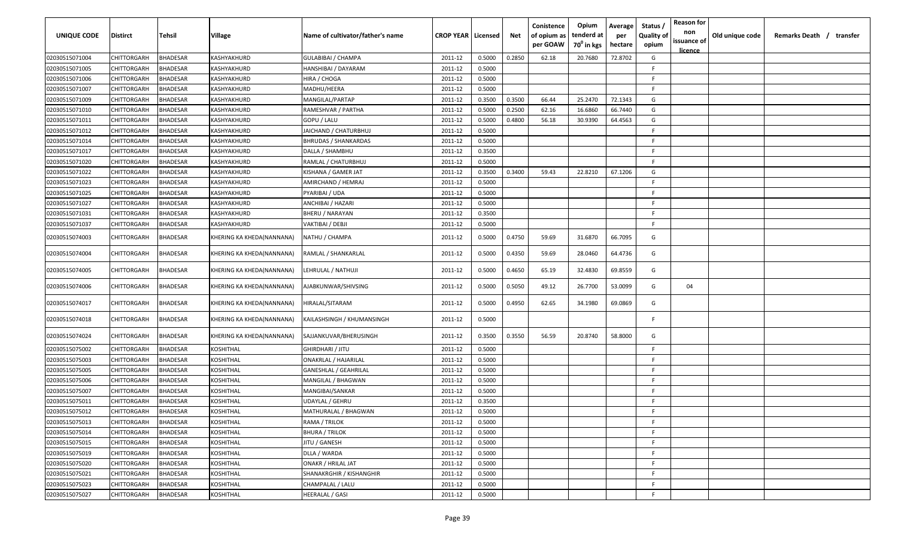| <b>UNIQUE CODE</b> | <b>Distirct</b>    | Tehsil          | Village                   | Name of cultivator/father's name | <b>CROP YEAR Licensed</b> |        | Net    | Conistence<br>of opium as<br>per GOAW | Opium<br>tenderd at<br>70 <sup>0</sup> in kgs | Average<br>per<br>hectare | Status /<br><b>Quality of</b><br>opium | <b>Reason for</b><br>non<br>issuance of<br><u>licence</u> | Old unique code | Remarks Death / transfer |
|--------------------|--------------------|-----------------|---------------------------|----------------------------------|---------------------------|--------|--------|---------------------------------------|-----------------------------------------------|---------------------------|----------------------------------------|-----------------------------------------------------------|-----------------|--------------------------|
| 02030515071004     | CHITTORGARH        | <b>BHADESAR</b> | KASHYAKHURD               | <b>GULABIBAI / CHAMPA</b>        | 2011-12                   | 0.5000 | 0.2850 | 62.18                                 | 20.7680                                       | 72.8702                   | G                                      |                                                           |                 |                          |
| 02030515071005     | CHITTORGARH        | BHADESAR        | KASHYAKHURD               | HANSHIBAI / DAYARAM              | 2011-12                   | 0.5000 |        |                                       |                                               |                           | -F.                                    |                                                           |                 |                          |
| 02030515071006     | CHITTORGARH        | <b>BHADESAR</b> | KASHYAKHURD               | HIRA / CHOGA                     | 2011-12                   | 0.5000 |        |                                       |                                               |                           | -F.                                    |                                                           |                 |                          |
| 02030515071007     | CHITTORGARH        | <b>BHADESAR</b> | KASHYAKHURD               | MADHU/HEERA                      | 2011-12                   | 0.5000 |        |                                       |                                               |                           | -F                                     |                                                           |                 |                          |
| 02030515071009     | CHITTORGARH        | <b>BHADESAR</b> | KASHYAKHURD               | MANGILAL/PARTAP                  | 2011-12                   | 0.3500 | 0.3500 | 66.44                                 | 25.2470                                       | 72.1343                   | G                                      |                                                           |                 |                          |
| 02030515071010     | CHITTORGARH        | <b>BHADESAR</b> | KASHYAKHURD               | RAMESHVAR / PARTHA               | 2011-12                   | 0.5000 | 0.2500 | 62.16                                 | 16.6860                                       | 66.7440                   | G                                      |                                                           |                 |                          |
| 02030515071011     | CHITTORGARH        | <b>BHADESAR</b> | KASHYAKHURD               | GOPU / LALU                      | 2011-12                   | 0.5000 | 0.4800 | 56.18                                 | 30.9390                                       | 64.4563                   | G                                      |                                                           |                 |                          |
| 02030515071012     | CHITTORGARH        | <b>BHADESAR</b> | KASHYAKHURD               | JAICHAND / CHATURBHUJ            | 2011-12                   | 0.5000 |        |                                       |                                               |                           | F                                      |                                                           |                 |                          |
| 02030515071014     | CHITTORGARH        | BHADESAR        | KASHYAKHURD               | <b>BHRUDAS / SHANKARDAS</b>      | 2011-12                   | 0.5000 |        |                                       |                                               |                           | -F.                                    |                                                           |                 |                          |
| 02030515071017     | CHITTORGARH        | BHADESAR        | KASHYAKHURD               | DALLA / SHAMBHU                  | 2011-12                   | 0.3500 |        |                                       |                                               |                           | F.                                     |                                                           |                 |                          |
| 02030515071020     | CHITTORGARH        | BHADESAR        | KASHYAKHURD               | RAMLAL / CHATURBHUJ              | 2011-12                   | 0.5000 |        |                                       |                                               |                           | F.                                     |                                                           |                 |                          |
| 02030515071022     | CHITTORGARH        | <b>BHADESAR</b> | KASHYAKHURD               | KISHANA / GAMER JAT              | 2011-12                   | 0.3500 | 0.3400 | 59.43                                 | 22.8210                                       | 67.1206                   | G                                      |                                                           |                 |                          |
| 02030515071023     | CHITTORGARH        | BHADESAR        | KASHYAKHURD               | AMIRCHAND / HEMRAJ               | 2011-12                   | 0.5000 |        |                                       |                                               |                           | F.                                     |                                                           |                 |                          |
| 02030515071025     | CHITTORGARH        | <b>BHADESAR</b> | KASHYAKHURD               | PYARIBAI / UDA                   | 2011-12                   | 0.5000 |        |                                       |                                               |                           | F.                                     |                                                           |                 |                          |
| 02030515071027     | CHITTORGARH        | <b>BHADESAR</b> | KASHYAKHURD               | ANCHIBAI / HAZARI                | 2011-12                   | 0.5000 |        |                                       |                                               |                           | -F.                                    |                                                           |                 |                          |
| 02030515071031     | CHITTORGARH        | <b>BHADESAR</b> | KASHYAKHURD               | <b>BHERU / NARAYAN</b>           | 2011-12                   | 0.3500 |        |                                       |                                               |                           | F.                                     |                                                           |                 |                          |
| 02030515071037     | CHITTORGARH        | BHADESAR        | KASHYAKHURD               | VAKTIBAI / DEBJI                 | 2011-12                   | 0.5000 |        |                                       |                                               |                           | F.                                     |                                                           |                 |                          |
| 02030515074003     | CHITTORGARH        | BHADESAR        | KHERING KA KHEDA(NANNANA) | NATHU / CHAMPA                   | 2011-12                   | 0.5000 | 0.4750 | 59.69                                 | 31.6870                                       | 66.7095                   | G                                      |                                                           |                 |                          |
| 02030515074004     | CHITTORGARH        | BHADESAR        | KHERING KA KHEDA(NANNANA) | RAMLAL / SHANKARLAL              | 2011-12                   | 0.5000 | 0.4350 | 59.69                                 | 28.0460                                       | 64.4736                   | G                                      |                                                           |                 |                          |
| 02030515074005     | CHITTORGARH        | <b>BHADESAR</b> | KHERING KA KHEDA(NANNANA) | LEHRULAL / NATHUJI               | 2011-12                   | 0.5000 | 0.4650 | 65.19                                 | 32.4830                                       | 69.8559                   | G                                      |                                                           |                 |                          |
| 02030515074006     | CHITTORGARH        | BHADESAR        | KHERING KA KHEDA(NANNANA) | AJABKUNWAR/SHIVSING              | 2011-12                   | 0.5000 | 0.5050 | 49.12                                 | 26.7700                                       | 53.0099                   | G                                      | 04                                                        |                 |                          |
| 02030515074017     | CHITTORGARH        | BHADESAR        | KHERING KA KHEDA(NANNANA) | HIRALAL/SITARAM                  | 2011-12                   | 0.5000 | 0.4950 | 62.65                                 | 34.1980                                       | 69.0869                   | G                                      |                                                           |                 |                          |
| 02030515074018     | CHITTORGARH        | <b>BHADESAR</b> | KHERING KA KHEDA(NANNANA) | KAILASHSINGH / KHUMANSINGH       | 2011-12                   | 0.5000 |        |                                       |                                               |                           | E                                      |                                                           |                 |                          |
| 02030515074024     | CHITTORGARH        | BHADESAR        | KHERING KA KHEDA(NANNANA) | SAJJANKUVAR/BHERUSINGH           | 2011-12                   | 0.3500 | 0.3550 | 56.59                                 | 20.8740                                       | 58.8000                   | G                                      |                                                           |                 |                          |
| 02030515075002     | CHITTORGARH        | <b>BHADESAR</b> | KOSHITHAL                 | GHIRDHARI / JITU                 | 2011-12                   | 0.5000 |        |                                       |                                               |                           | F.                                     |                                                           |                 |                          |
| 02030515075003     | CHITTORGARH        | BHADESAR        | KOSHITHAL                 | <b>ONAKRLAL / HAJARILAL</b>      | 2011-12                   | 0.5000 |        |                                       |                                               |                           | -F                                     |                                                           |                 |                          |
| 02030515075005     | CHITTORGARH        | BHADESAR        | KOSHITHAL                 | <b>GANESHLAL / GEAHRILAL</b>     | 2011-12                   | 0.5000 |        |                                       |                                               |                           | -F.                                    |                                                           |                 |                          |
| 02030515075006     | CHITTORGARH        | BHADESAR        | KOSHITHAL                 | MANGILAL / BHAGWAN               | 2011-12                   | 0.5000 |        |                                       |                                               |                           | -F.                                    |                                                           |                 |                          |
| 02030515075007     | CHITTORGARH        | BHADESAR        | KOSHITHAL                 | MANGIBAI/SANKAR                  | 2011-12                   | 0.5000 |        |                                       |                                               |                           | -F.                                    |                                                           |                 |                          |
| 02030515075011     | CHITTORGARH        | BHADESAR        | KOSHITHAL                 | UDAYLAL / GEHRU                  | 2011-12                   | 0.3500 |        |                                       |                                               |                           | F.                                     |                                                           |                 |                          |
| 02030515075012     | CHITTORGARH        | BHADESAR        | KOSHITHAL                 | MATHURALAL / BHAGWAN             | 2011-12                   | 0.5000 |        |                                       |                                               |                           | -F.                                    |                                                           |                 |                          |
| 02030515075013     | CHITTORGARH        | <b>BHADESAR</b> | KOSHITHAL                 | RAMA / TRILOK                    | 2011-12                   | 0.5000 |        |                                       |                                               |                           | F                                      |                                                           |                 |                          |
| 02030515075014     | CHITTORGARH        | <b>BHADESAR</b> | KOSHITHAL                 | <b>BHURA / TRILOK</b>            | 2011-12                   | 0.5000 |        |                                       |                                               |                           | F                                      |                                                           |                 |                          |
| 02030515075015     | <b>CHITTORGARH</b> | <b>BHADESAR</b> | KOSHITHAL                 | JITU / GANESH                    | 2011-12                   | 0.5000 |        |                                       |                                               |                           | F.                                     |                                                           |                 |                          |
| 02030515075019     | <b>CHITTORGARH</b> | <b>BHADESAR</b> | KOSHITHAL                 | DLLA / WARDA                     | 2011-12                   | 0.5000 |        |                                       |                                               |                           | $\mathsf{F}$                           |                                                           |                 |                          |
| 02030515075020     | <b>CHITTORGARH</b> | <b>BHADESAR</b> | KOSHITHAL                 | <b>ONAKR / HRILAL JAT</b>        | 2011-12                   | 0.5000 |        |                                       |                                               |                           | F                                      |                                                           |                 |                          |
| 02030515075021     | CHITTORGARH        | <b>BHADESAR</b> | KOSHITHAL                 | SHANAKRGHIR / KISHANGHIR         | 2011-12                   | 0.5000 |        |                                       |                                               |                           | F                                      |                                                           |                 |                          |
| 02030515075023     | CHITTORGARH        | <b>BHADESAR</b> | KOSHITHAL                 | CHAMPALAL / LALU                 | 2011-12                   | 0.5000 |        |                                       |                                               |                           | -F                                     |                                                           |                 |                          |
| 02030515075027     | CHITTORGARH        | <b>BHADESAR</b> | KOSHITHAL                 | HEERALAL / GASI                  | 2011-12                   | 0.5000 |        |                                       |                                               |                           | E                                      |                                                           |                 |                          |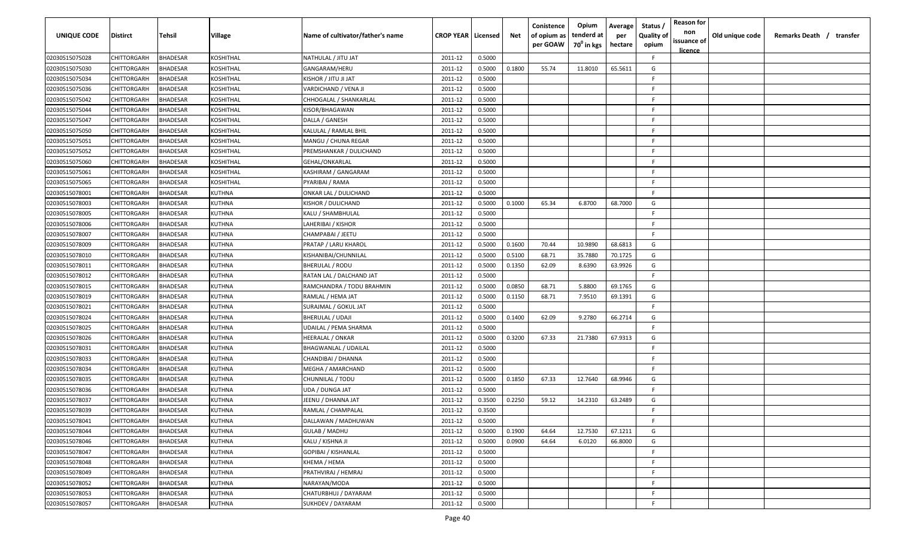| <b>UNIQUE CODE</b> | Distirct           | Tehsil          | Village       | Name of cultivator/father's name | <b>CROP YEAR Licensed</b> |        | Net    | Conistence<br>of opium as<br>per GOAW | Opium<br>tenderd at<br>70 <sup>0</sup> in kgs | Average<br>per<br>hectare | Status /<br><b>Quality of</b><br>opium | <b>Reason for</b><br>non<br>issuance of | Old unique code | Remarks Death / transfer |
|--------------------|--------------------|-----------------|---------------|----------------------------------|---------------------------|--------|--------|---------------------------------------|-----------------------------------------------|---------------------------|----------------------------------------|-----------------------------------------|-----------------|--------------------------|
|                    |                    |                 |               |                                  |                           |        |        |                                       |                                               |                           |                                        | <u>licence</u>                          |                 |                          |
| 02030515075028     | CHITTORGARH        | <b>BHADESAR</b> | KOSHITHAL     | NATHULAL / JITU JAT              | 2011-12                   | 0.5000 |        |                                       |                                               |                           | F.                                     |                                         |                 |                          |
| 02030515075030     | CHITTORGARH        | BHADESAR        | KOSHITHAL     | GANGARAM/HERU                    | 2011-12                   | 0.5000 | 0.1800 | 55.74                                 | 11.8010                                       | 65.5611                   | G                                      |                                         |                 |                          |
| 02030515075034     | CHITTORGARH        | BHADESAR        | KOSHITHAL     | KISHOR / JITU JI JAT             | 2011-12                   | 0.5000 |        |                                       |                                               |                           | -F.                                    |                                         |                 |                          |
| 02030515075036     | CHITTORGARH        | <b>BHADESAR</b> | KOSHITHAL     | VARDICHAND / VENA JI             | 2011-12                   | 0.5000 |        |                                       |                                               |                           | -F                                     |                                         |                 |                          |
| 02030515075042     | CHITTORGARH        | <b>BHADESAR</b> | KOSHITHAL     | CHHOGALAL / SHANKARLAL           | 2011-12                   | 0.5000 |        |                                       |                                               |                           | -F                                     |                                         |                 |                          |
| 02030515075044     | CHITTORGARH        | <b>BHADESAR</b> | KOSHITHAL     | KISOR/BHAGAWAN                   | 2011-12                   | 0.5000 |        |                                       |                                               |                           | -F.                                    |                                         |                 |                          |
| 02030515075047     | CHITTORGARH        | <b>BHADESAR</b> | KOSHITHAL     | DALLA / GANESH                   | 2011-12                   | 0.5000 |        |                                       |                                               |                           | -F                                     |                                         |                 |                          |
| 02030515075050     | CHITTORGARH        | BHADESAR        | KOSHITHAL     | KALULAL / RAMLAL BHIL            | 2011-12                   | 0.5000 |        |                                       |                                               |                           | -F                                     |                                         |                 |                          |
| 02030515075051     | CHITTORGARH        | BHADESAR        | KOSHITHAL     | MANGU / CHUNA REGAR              | 2011-12                   | 0.5000 |        |                                       |                                               |                           | -F.                                    |                                         |                 |                          |
| 02030515075052     | CHITTORGARH        | BHADESAR        | KOSHITHAL     | PREMSHANKAR / DULICHAND          | 2011-12                   | 0.5000 |        |                                       |                                               |                           | F.                                     |                                         |                 |                          |
| 02030515075060     | CHITTORGARH        | BHADESAR        | KOSHITHAL     | GEHAL/ONKARLAL                   | 2011-12                   | 0.5000 |        |                                       |                                               |                           | F.                                     |                                         |                 |                          |
| 02030515075061     | CHITTORGARH        | BHADESAR        | KOSHITHAL     | KASHIRAM / GANGARAM              | 2011-12                   | 0.5000 |        |                                       |                                               |                           | F.                                     |                                         |                 |                          |
| 02030515075065     | CHITTORGARH        | BHADESAR        | KOSHITHAL     | PYARIBAI / RAMA                  | 2011-12                   | 0.5000 |        |                                       |                                               |                           | -F.                                    |                                         |                 |                          |
| 02030515078001     | CHITTORGARH        | <b>BHADESAR</b> | KUTHNA        | ONKAR LAL / DULICHAND            | 2011-12                   | 0.5000 |        |                                       |                                               |                           | F.                                     |                                         |                 |                          |
| 02030515078003     | CHITTORGARH        | BHADESAR        | KUTHNA        | KISHOR / DULICHAND               | 2011-12                   | 0.5000 | 0.1000 | 65.34                                 | 6.8700                                        | 68.7000                   | G                                      |                                         |                 |                          |
| 02030515078005     | CHITTORGARH        | <b>BHADESAR</b> | KUTHNA        | KALU / SHAMBHULAL                | 2011-12                   | 0.5000 |        |                                       |                                               |                           | F.                                     |                                         |                 |                          |
| 02030515078006     | CHITTORGARH        | <b>BHADESAR</b> | KUTHNA        | LAHERIBAI / KISHOR               | 2011-12                   | 0.5000 |        |                                       |                                               |                           | -F.                                    |                                         |                 |                          |
| 02030515078007     | CHITTORGARH        | <b>BHADESAR</b> | KUTHNA        | CHAMPABAI / JEETU                | 2011-12                   | 0.5000 |        |                                       |                                               |                           | F.                                     |                                         |                 |                          |
| 02030515078009     | CHITTORGARH        | BHADESAR        | KUTHNA        | PRATAP / LARU KHAROL             | 2011-12                   | 0.5000 | 0.1600 | 70.44                                 | 10.9890                                       | 68.6813                   | G                                      |                                         |                 |                          |
| 02030515078010     | CHITTORGARH        | <b>BHADESAR</b> | KUTHNA        | KISHANIBAI/CHUNNILAL             | 2011-12                   | 0.5000 | 0.5100 | 68.71                                 | 35.7880                                       | 70.1725                   | G                                      |                                         |                 |                          |
| 02030515078011     | CHITTORGARH        | <b>BHADESAR</b> | KUTHNA        | <b>BHERULAL / RODU</b>           | 2011-12                   | 0.5000 | 0.1350 | 62.09                                 | 8.6390                                        | 63.9926                   | G                                      |                                         |                 |                          |
| 02030515078012     | CHITTORGARH        | <b>BHADESAR</b> | KUTHNA        | RATAN LAL / DALCHAND JAT         | 2011-12                   | 0.5000 |        |                                       |                                               |                           | -F                                     |                                         |                 |                          |
| 02030515078015     | CHITTORGARH        | <b>BHADESAR</b> | KUTHNA        | RAMCHANDRA / TODU BRAHMIN        | 2011-12                   | 0.5000 | 0.0850 | 68.71                                 | 5.8800                                        | 69.1765                   | G                                      |                                         |                 |                          |
| 02030515078019     | CHITTORGARH        | <b>BHADESAR</b> | KUTHNA        | RAMLAL / HEMA JAT                | 2011-12                   | 0.5000 | 0.1150 | 68.71                                 | 7.9510                                        | 69.1391                   | G                                      |                                         |                 |                          |
| 02030515078021     | CHITTORGARH        | BHADESAR        | KUTHNA        | SURAJMAL / GOKUL JAT             | 2011-12                   | 0.5000 |        |                                       |                                               |                           | -F                                     |                                         |                 |                          |
| 02030515078024     | CHITTORGARH        | BHADESAR        | KUTHNA        | BHERULAL / UDAJI                 | 2011-12                   | 0.5000 | 0.1400 | 62.09                                 | 9.2780                                        | 66.2714                   | G                                      |                                         |                 |                          |
| 02030515078025     | CHITTORGARH        | BHADESAR        | KUTHNA        | UDAILAL / PEMA SHARMA            | 2011-12                   | 0.5000 |        |                                       |                                               |                           | F.                                     |                                         |                 |                          |
| 02030515078026     | CHITTORGARH        | BHADESAR        | KUTHNA        | HEERALAL / ONKAR                 | 2011-12                   | 0.5000 | 0.3200 | 67.33                                 | 21.7380                                       | 67.9313                   | G                                      |                                         |                 |                          |
| 02030515078031     | CHITTORGARH        | BHADESAR        | KUTHNA        | <b>BHAGWANLAL / UDAILAL</b>      | 2011-12                   | 0.5000 |        |                                       |                                               |                           | -F.                                    |                                         |                 |                          |
| 02030515078033     | CHITTORGARH        | BHADESAR        | KUTHNA        | CHANDIBAI / DHANNA               | 2011-12                   | 0.5000 |        |                                       |                                               |                           | -F.                                    |                                         |                 |                          |
| 02030515078034     | CHITTORGARH        | BHADESAR        | KUTHNA        | MEGHA / AMARCHAND                | 2011-12                   | 0.5000 |        |                                       |                                               |                           | F                                      |                                         |                 |                          |
| 02030515078035     | CHITTORGARH        | BHADESAR        | KUTHNA        | CHUNNILAL / TODU                 | 2011-12                   | 0.5000 | 0.1850 | 67.33                                 | 12.7640                                       | 68.9946                   | G                                      |                                         |                 |                          |
| 02030515078036     | CHITTORGARH        | BHADESAR        | KUTHNA        | UDA / DUNGA JAT                  | 2011-12                   | 0.5000 |        |                                       |                                               |                           | -F                                     |                                         |                 |                          |
| 02030515078037     | CHITTORGARH        | BHADESAR        | KUTHNA        | JEENU / DHANNA JAT               | 2011-12                   | 0.3500 | 0.2250 | 59.12                                 | 14.2310                                       | 63.2489                   | G                                      |                                         |                 |                          |
| 02030515078039     | <b>CHITTORGARH</b> | BHADESAR        | KUTHNA        | RAMLAL / CHAMPALAL               | 2011-12                   | 0.3500 |        |                                       |                                               |                           | F                                      |                                         |                 |                          |
| 02030515078041     | CHITTORGARH        | <b>BHADESAR</b> | KUTHNA        | DALLAWAN / MADHUWAN              | 2011-12                   | 0.5000 |        |                                       |                                               |                           | F.                                     |                                         |                 |                          |
| 02030515078044     | CHITTORGARH        | <b>BHADESAR</b> | <b>KUTHNA</b> | <b>GULAB / MADHU</b>             | 2011-12                   | 0.5000 | 0.1900 | 64.64                                 | 12.7530                                       | 67.1211                   | G                                      |                                         |                 |                          |
| 02030515078046     | CHITTORGARH        | <b>BHADESAR</b> | KUTHNA        | KALU / KISHNA JI                 | 2011-12                   | 0.5000 | 0.0900 | 64.64                                 | 6.0120                                        | 66.8000                   | G                                      |                                         |                 |                          |
| 02030515078047     | <b>CHITTORGARH</b> | <b>BHADESAR</b> | KUTHNA        | GOPIBAI / KISHANLAL              | 2011-12                   | 0.5000 |        |                                       |                                               |                           | F.                                     |                                         |                 |                          |
| 02030515078048     | CHITTORGARH        | <b>BHADESAR</b> | KUTHNA        | KHEMA / HEMA                     | 2011-12                   | 0.5000 |        |                                       |                                               |                           | F.                                     |                                         |                 |                          |
| 02030515078049     | CHITTORGARH        | <b>BHADESAR</b> | KUTHNA        | PRATHVIRAJ / HEMRAJ              | 2011-12                   | 0.5000 |        |                                       |                                               |                           | F.                                     |                                         |                 |                          |
| 02030515078052     | CHITTORGARH        | <b>BHADESAR</b> | KUTHNA        | NARAYAN/MODA                     | 2011-12                   | 0.5000 |        |                                       |                                               |                           | F.                                     |                                         |                 |                          |
| 02030515078053     | CHITTORGARH        | BHADESAR        | KUTHNA        | CHATURBHUJ / DAYARAM             | 2011-12                   | 0.5000 |        |                                       |                                               |                           | F.                                     |                                         |                 |                          |
|                    |                    |                 |               |                                  |                           |        |        |                                       |                                               |                           | F                                      |                                         |                 |                          |
| 02030515078057     | CHITTORGARH        | <b>BHADESAR</b> | KUTHNA        | SUKHDEV / DAYARAM                | 2011-12                   | 0.5000 |        |                                       |                                               |                           |                                        |                                         |                 |                          |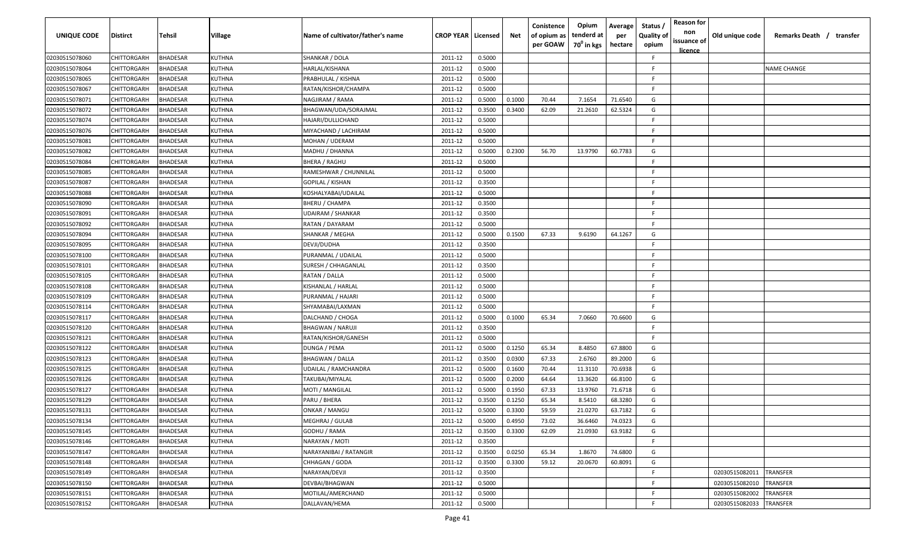| <b>UNIQUE CODE</b> | <b>Distirct</b>    | Tehsil          | <b>Village</b> | Name of cultivator/father's name | <b>CROP YEAR   Licensed</b> |        | Net    | Conistence<br>of opium as<br>per GOAW | Opium<br>tenderd at<br>70 <sup>0</sup> in kgs | Average<br>per<br>hectare | Status /<br><b>Quality of</b><br>opium | <b>Reason for</b><br>non<br>issuance of<br><u>licence</u> | Old unique code | Remarks Death / transfer |
|--------------------|--------------------|-----------------|----------------|----------------------------------|-----------------------------|--------|--------|---------------------------------------|-----------------------------------------------|---------------------------|----------------------------------------|-----------------------------------------------------------|-----------------|--------------------------|
| 02030515078060     | CHITTORGARH        | <b>BHADESAR</b> | KUTHNA         | SHANKAR / DOLA                   | 2011-12                     | 0.5000 |        |                                       |                                               |                           | F                                      |                                                           |                 |                          |
| 02030515078064     | CHITTORGARH        | <b>BHADESAR</b> | KUTHNA         | HARLAL/KISHANA                   | 2011-12                     | 0.5000 |        |                                       |                                               |                           | F                                      |                                                           |                 | <b>NAME CHANGE</b>       |
| 02030515078065     | CHITTORGARH        | <b>BHADESAR</b> | KUTHNA         | PRABHULAL / KISHNA               | 2011-12                     | 0.5000 |        |                                       |                                               |                           | F                                      |                                                           |                 |                          |
| 02030515078067     | CHITTORGARH        | <b>BHADESAR</b> | KUTHNA         | RATAN/KISHOR/CHAMPA              | 2011-12                     | 0.5000 |        |                                       |                                               |                           | E                                      |                                                           |                 |                          |
| 02030515078071     | CHITTORGARH        | <b>BHADESAR</b> | KUTHNA         | NAGJIRAM / RAMA                  | 2011-12                     | 0.5000 | 0.1000 | 70.44                                 | 7.1654                                        | 71.6540                   | G                                      |                                                           |                 |                          |
| 02030515078072     | CHITTORGARH        | <b>BHADESAR</b> | KUTHNA         | BHAGWAN/UDA/SORAJMAL             | 2011-12                     | 0.3500 | 0.3400 | 62.09                                 | 21.2610                                       | 62.5324                   | G                                      |                                                           |                 |                          |
| 02030515078074     | CHITTORGARH        | <b>BHADESAR</b> | KUTHNA         | HAJARI/DULLICHAND                | 2011-12                     | 0.5000 |        |                                       |                                               |                           | F                                      |                                                           |                 |                          |
| 02030515078076     | CHITTORGARH        | <b>BHADESAR</b> | KUTHNA         | MIYACHAND / LACHIRAM             | 2011-12                     | 0.5000 |        |                                       |                                               |                           | F                                      |                                                           |                 |                          |
| 02030515078081     | CHITTORGARH        | <b>BHADESAR</b> | KUTHNA         | MOHAN / UDERAM                   | 2011-12                     | 0.5000 |        |                                       |                                               |                           | F                                      |                                                           |                 |                          |
| 02030515078082     | CHITTORGARH        | <b>BHADESAR</b> | <b>(UTHNA</b>  | MADHU / DHANNA                   | 2011-12                     | 0.5000 | 0.2300 | 56.70                                 | 13.9790                                       | 60.7783                   | G                                      |                                                           |                 |                          |
| 02030515078084     | CHITTORGARH        | <b>BHADESAR</b> | KUTHNA         | BHERA / RAGHU                    | 2011-12                     | 0.5000 |        |                                       |                                               |                           | E                                      |                                                           |                 |                          |
| 02030515078085     | CHITTORGARH        | <b>BHADESAR</b> | KUTHNA         | RAMESHWAR / CHUNNILAL            | 2011-12                     | 0.5000 |        |                                       |                                               |                           | F                                      |                                                           |                 |                          |
| 02030515078087     | CHITTORGARH        | <b>BHADESAR</b> | KUTHNA         | GOPILAL / KISHAN                 | 2011-12                     | 0.3500 |        |                                       |                                               |                           | F                                      |                                                           |                 |                          |
| 02030515078088     | CHITTORGARH        | <b>BHADESAR</b> | KUTHNA         | KOSHALYABAI/UDAILAL              | 2011-12                     | 0.5000 |        |                                       |                                               |                           | E                                      |                                                           |                 |                          |
| 02030515078090     | CHITTORGARH        | <b>BHADESAR</b> | KUTHNA         | BHERU / CHAMPA                   | 2011-12                     | 0.3500 |        |                                       |                                               |                           | F                                      |                                                           |                 |                          |
| 02030515078091     | CHITTORGARH        | <b>BHADESAR</b> | KUTHNA         | UDAIRAM / SHANKAR                | 2011-12                     | 0.3500 |        |                                       |                                               |                           | F                                      |                                                           |                 |                          |
| 02030515078092     | CHITTORGARH        | <b>BHADESAR</b> | KUTHNA         | RATAN / DAYARAM                  | 2011-12                     | 0.5000 |        |                                       |                                               |                           | F                                      |                                                           |                 |                          |
| 02030515078094     | CHITTORGARH        | <b>BHADESAR</b> | KUTHNA         | SHANKAR / MEGHA                  | 2011-12                     | 0.5000 | 0.1500 | 67.33                                 | 9.6190                                        | 64.1267                   | G                                      |                                                           |                 |                          |
| 02030515078095     | CHITTORGARH        | <b>BHADESAR</b> | KUTHNA         | DEVJI/DUDHA                      | 2011-12                     | 0.3500 |        |                                       |                                               |                           | F                                      |                                                           |                 |                          |
| 02030515078100     | CHITTORGARH        | <b>BHADESAR</b> | KUTHNA         | PURANMAL / UDAILAL               | 2011-12                     | 0.5000 |        |                                       |                                               |                           | F                                      |                                                           |                 |                          |
| 02030515078101     | CHITTORGARH        | <b>BHADESAR</b> | KUTHNA         | SURESH / CHHAGANLAL              | 2011-12                     | 0.3500 |        |                                       |                                               |                           | E                                      |                                                           |                 |                          |
| 02030515078105     | CHITTORGARH        | <b>BHADESAR</b> | KUTHNA         | RATAN / DALLA                    | 2011-12                     | 0.5000 |        |                                       |                                               |                           |                                        |                                                           |                 |                          |
| 02030515078108     | CHITTORGARH        | <b>BHADESAR</b> | KUTHNA         | KISHANLAL / HARLAL               | 2011-12                     | 0.5000 |        |                                       |                                               |                           |                                        |                                                           |                 |                          |
| 02030515078109     | CHITTORGARH        | <b>BHADESAR</b> | KUTHNA         | PURANMAL / HAJARI                | 2011-12                     | 0.5000 |        |                                       |                                               |                           | F                                      |                                                           |                 |                          |
| 02030515078114     | CHITTORGARH        | <b>BHADESAR</b> | KUTHNA         | SHYAMABAI/LAXMAN                 | 2011-12                     | 0.5000 |        |                                       |                                               |                           | F.                                     |                                                           |                 |                          |
| 02030515078117     | CHITTORGARH        | <b>BHADESAR</b> | KUTHNA         | DALCHAND / CHOGA                 | 2011-12                     | 0.5000 | 0.1000 | 65.34                                 | 7.0660                                        | 70.6600                   | G                                      |                                                           |                 |                          |
| 02030515078120     | CHITTORGARH        | <b>BHADESAR</b> | KUTHNA         | BHAGWAN / NARUJI                 | 2011-12                     | 0.3500 |        |                                       |                                               |                           | F                                      |                                                           |                 |                          |
| 02030515078121     | CHITTORGARH        | <b>BHADESAR</b> | KUTHNA         | RATAN/KISHOR/GANESH              | 2011-12                     | 0.5000 |        |                                       |                                               |                           | F                                      |                                                           |                 |                          |
| 02030515078122     | CHITTORGARH        | <b>BHADESAR</b> | KUTHNA         | DUNGA / PEMA                     | 2011-12                     | 0.5000 | 0.1250 | 65.34                                 | 8.4850                                        | 67.8800                   | G                                      |                                                           |                 |                          |
| 02030515078123     | CHITTORGARH        | <b>BHADESAR</b> | KUTHNA         | BHAGWAN / DALLA                  | 2011-12                     | 0.3500 | 0.0300 | 67.33                                 | 2.6760                                        | 89.2000                   | G                                      |                                                           |                 |                          |
| 02030515078125     | CHITTORGARH        | <b>BHADESAR</b> | KUTHNA         | JDAILAL / RAMCHANDRA             | 2011-12                     | 0.5000 | 0.1600 | 70.44                                 | 11.3110                                       | 70.6938                   | G                                      |                                                           |                 |                          |
| 02030515078126     | CHITTORGARH        | <b>BHADESAR</b> | KUTHNA         | TAKUBAI/MIYALAL                  | 2011-12                     | 0.5000 | 0.2000 | 64.64                                 | 13.3620                                       | 66.8100                   | G                                      |                                                           |                 |                          |
| 02030515078127     | CHITTORGARH        | <b>BHADESAR</b> | KUTHNA         | MOTI / MANGILAL                  | 2011-12                     | 0.5000 | 0.1950 | 67.33                                 | 13.9760                                       | 71.6718                   | G                                      |                                                           |                 |                          |
| 02030515078129     | CHITTORGARH        | <b>BHADESAR</b> | KUTHNA         | PARU / BHERA                     | 2011-12                     | 0.3500 | 0.1250 | 65.34                                 | 8.5410                                        | 68.3280                   | G                                      |                                                           |                 |                          |
| 02030515078131     | CHITTORGARH        | <b>BHADESAR</b> | KUTHNA         | ONKAR / MANGU                    | 2011-12                     | 0.5000 | 0.3300 | 59.59                                 | 21.0270                                       | 63.7182                   | G                                      |                                                           |                 |                          |
| 02030515078134     | CHITTORGARH        | <b>BHADESAR</b> | <b>KUTHNA</b>  | MEGHRAJ / GULAB                  | 2011-12                     | 0.5000 | 0.4950 | 73.02                                 | 36.6460                                       | 74.0323                   | G                                      |                                                           |                 |                          |
| 02030515078145     | <b>CHITTORGARH</b> | <b>BHADESAR</b> | KUTHNA         | GODHU / RAMA                     | 2011-12                     | 0.3500 | 0.3300 | 62.09                                 | 21.0930                                       | 63.9182                   | G                                      |                                                           |                 |                          |
| 02030515078146     | CHITTORGARH        | <b>BHADESAR</b> | KUTHNA         | NARAYAN / MOTI                   | 2011-12                     | 0.3500 |        |                                       |                                               |                           | F                                      |                                                           |                 |                          |
| 02030515078147     | CHITTORGARH        | <b>BHADESAR</b> | KUTHNA         | NARAYANIBAI / RATANGIR           | 2011-12                     | 0.3500 | 0.0250 | 65.34                                 | 1.8670                                        | 74.6800                   | G                                      |                                                           |                 |                          |
| 02030515078148     | CHITTORGARH        | <b>BHADESAR</b> | KUTHNA         | CHHAGAN / GODA                   | 2011-12                     | 0.3500 | 0.3300 | 59.12                                 | 20.0670                                       | 60.8091                   | G                                      |                                                           |                 |                          |
| 02030515078149     | CHITTORGARH        | <b>BHADESAR</b> | KUTHNA         | NARAYAN/DEVJI                    | 2011-12                     | 0.3500 |        |                                       |                                               |                           | F                                      |                                                           | 02030515082011  | TRANSFER                 |
| 02030515078150     | CHITTORGARH        | <b>BHADESAR</b> | KUTHNA         | DEVBAI/BHAGWAN                   | 2011-12                     | 0.5000 |        |                                       |                                               |                           | F                                      |                                                           | 02030515082010  | TRANSFER                 |
| 02030515078151     | CHITTORGARH        | <b>BHADESAR</b> | KUTHNA         | MOTILAL/AMERCHAND                | 2011-12                     | 0.5000 |        |                                       |                                               |                           | E                                      |                                                           | 02030515082002  | TRANSFER                 |
| 02030515078152     | CHITTORGARH        | <b>BHADESAR</b> | KUTHNA         | DALLAVAN/HEMA                    | 2011-12                     | 0.5000 |        |                                       |                                               |                           | F                                      |                                                           | 02030515082033  | TRANSFER                 |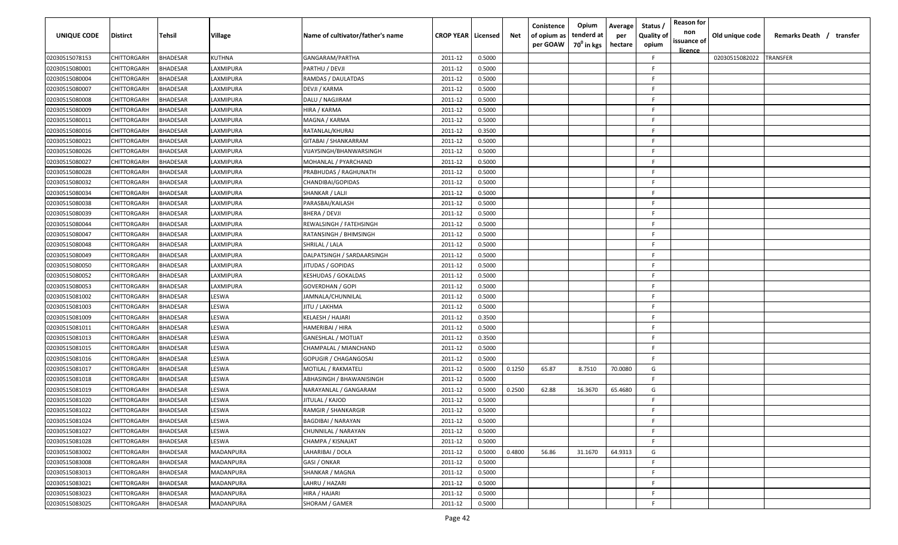| UNIQUE CODE    | Distirct           | Tehsil          | Village         | Name of cultivator/father's name | <b>CROP YEAR   Licensed</b> |        | Net    | Conistence<br>of opium as<br>per GOAW | Opium<br>tenderd at<br>70 <sup>0</sup> in kgs | Average<br>per<br>hectare | Status,<br><b>Quality of</b><br>opium | <b>Reason for</b><br>non<br>issuance of<br>licence | Old unique code | Remarks Death / transfer |
|----------------|--------------------|-----------------|-----------------|----------------------------------|-----------------------------|--------|--------|---------------------------------------|-----------------------------------------------|---------------------------|---------------------------------------|----------------------------------------------------|-----------------|--------------------------|
| 02030515078153 | CHITTORGARH        | <b>BHADESAR</b> | KUTHNA          | GANGARAM/PARTHA                  | 2011-12                     | 0.5000 |        |                                       |                                               |                           | F                                     |                                                    | 02030515082022  | <b>TRANSFER</b>          |
| 02030515080001 | CHITTORGARH        | <b>BHADESAR</b> | LAXMIPURA       | PARTHU / DEVJI                   | 2011-12                     | 0.5000 |        |                                       |                                               |                           | E                                     |                                                    |                 |                          |
| 02030515080004 | CHITTORGARH        | <b>BHADESAR</b> | LAXMIPURA       | RAMDAS / DAULATDAS               | 2011-12                     | 0.5000 |        |                                       |                                               |                           | E                                     |                                                    |                 |                          |
| 02030515080007 | CHITTORGARH        | <b>BHADESAR</b> | LAXMIPURA       | DEVJI / KARMA                    | 2011-12                     | 0.5000 |        |                                       |                                               |                           | F                                     |                                                    |                 |                          |
| 02030515080008 | CHITTORGARH        | <b>BHADESAR</b> | LAXMIPURA       | DALU / NAGJIRAM                  | 2011-12                     | 0.5000 |        |                                       |                                               |                           | F                                     |                                                    |                 |                          |
| 02030515080009 | CHITTORGARH        | <b>BHADESAR</b> | LAXMIPURA       | HIRA / KARMA                     | 2011-12                     | 0.5000 |        |                                       |                                               |                           | F                                     |                                                    |                 |                          |
| 02030515080011 | CHITTORGARH        | <b>BHADESAR</b> | LAXMIPURA       | MAGNA / KARMA                    | 2011-12                     | 0.5000 |        |                                       |                                               |                           | F                                     |                                                    |                 |                          |
| 02030515080016 | CHITTORGARH        | <b>BHADESAR</b> | <b>AXMIPURA</b> | RATANLAL/KHURAJ                  | 2011-12                     | 0.3500 |        |                                       |                                               |                           | F                                     |                                                    |                 |                          |
| 02030515080021 | CHITTORGARH        | <b>BHADESAR</b> | AXMIPURA        | GITABAI / SHANKARRAM             | 2011-12                     | 0.5000 |        |                                       |                                               |                           | E                                     |                                                    |                 |                          |
| 02030515080026 | CHITTORGARH        | <b>BHADESAR</b> | LAXMIPURA       | VIJAYSINGH/BHANWARSINGH          | 2011-12                     | 0.5000 |        |                                       |                                               |                           | E                                     |                                                    |                 |                          |
| 02030515080027 | CHITTORGARH        | BHADESAR        | AXMIPURA        | MOHANLAL / PYARCHAND             | 2011-12                     | 0.5000 |        |                                       |                                               |                           | E                                     |                                                    |                 |                          |
| 02030515080028 | CHITTORGARH        | <b>BHADESAR</b> | <b>AXMIPURA</b> | PRABHUDAS / RAGHUNATH            | 2011-12                     | 0.5000 |        |                                       |                                               |                           | F                                     |                                                    |                 |                          |
| 02030515080032 | CHITTORGARH        | <b>BHADESAR</b> | AXMIPURA        | CHANDIBAI/GOPIDAS                | 2011-12                     | 0.5000 |        |                                       |                                               |                           | F                                     |                                                    |                 |                          |
| 02030515080034 | CHITTORGARH        | <b>BHADESAR</b> | LAXMIPURA       | SHANKAR / LALJI                  | 2011-12                     | 0.5000 |        |                                       |                                               |                           | E                                     |                                                    |                 |                          |
| 02030515080038 | CHITTORGARH        | <b>BHADESAR</b> | <b>AXMIPURA</b> | PARASBAI/KAILASH                 | 2011-12                     | 0.5000 |        |                                       |                                               |                           | E                                     |                                                    |                 |                          |
| 02030515080039 | CHITTORGARH        | <b>BHADESAR</b> | <b>AXMIPURA</b> | BHERA / DEVJI                    | 2011-12                     | 0.5000 |        |                                       |                                               |                           |                                       |                                                    |                 |                          |
| 02030515080044 | CHITTORGARH        | <b>BHADESAR</b> | LAXMIPURA       | REWALSINGH / FATEHSINGH          | 2011-12                     | 0.5000 |        |                                       |                                               |                           | F                                     |                                                    |                 |                          |
| 02030515080047 | CHITTORGARH        | <b>BHADESAR</b> | LAXMIPURA       | RATANSINGH / BHIMSINGH           | 2011-12                     | 0.5000 |        |                                       |                                               |                           | E                                     |                                                    |                 |                          |
| 02030515080048 | CHITTORGARH        | <b>BHADESAR</b> | LAXMIPURA       | SHRILAL / LALA                   | 2011-12                     | 0.5000 |        |                                       |                                               |                           | E                                     |                                                    |                 |                          |
| 02030515080049 | CHITTORGARH        | <b>BHADESAR</b> | LAXMIPURA       | DALPATSINGH / SARDAARSINGH       | 2011-12                     | 0.5000 |        |                                       |                                               |                           | E                                     |                                                    |                 |                          |
| 02030515080050 | CHITTORGARH        | <b>BHADESAR</b> | LAXMIPURA       | IITUDAS / GOPIDAS                | 2011-12                     | 0.5000 |        |                                       |                                               |                           | F                                     |                                                    |                 |                          |
| 02030515080052 | CHITTORGARH        | <b>BHADESAR</b> | LAXMIPURA       | <b>KESHUDAS / GOKALDAS</b>       | 2011-12                     | 0.5000 |        |                                       |                                               |                           | F                                     |                                                    |                 |                          |
| 02030515080053 | CHITTORGARH        | BHADESAR        | LAXMIPURA       | GOVERDHAN / GOPI                 | 2011-12                     | 0.5000 |        |                                       |                                               |                           | F                                     |                                                    |                 |                          |
| 02030515081002 | CHITTORGARH        | <b>BHADESAR</b> | LESWA           | <b>IAMNALA/CHUNNILAL</b>         | 2011-12                     | 0.5000 |        |                                       |                                               |                           | F                                     |                                                    |                 |                          |
| 02030515081003 | CHITTORGARH        | <b>BHADESAR</b> | LESWA           | JITU / LAKHMA                    | 2011-12                     | 0.5000 |        |                                       |                                               |                           | E                                     |                                                    |                 |                          |
| 02030515081009 | CHITTORGARH        | <b>BHADESAR</b> | LESWA           | KELAESH / HAJARI                 | 2011-12                     | 0.3500 |        |                                       |                                               |                           | F.                                    |                                                    |                 |                          |
| 02030515081011 | CHITTORGARH        | <b>BHADESAR</b> | LESWA           | HAMERIBAI / HIRA                 | 2011-12                     | 0.5000 |        |                                       |                                               |                           | E                                     |                                                    |                 |                          |
| 02030515081013 | CHITTORGARH        | BHADESAR        | ESWA.           | <b>GANESHLAL / MOTIJAT</b>       | 2011-12                     | 0.3500 |        |                                       |                                               |                           | F.                                    |                                                    |                 |                          |
| 02030515081015 | CHITTORGARH        | <b>BHADESAR</b> | LESWA           | CHAMPALAL / MIANCHAND            | 2011-12                     | 0.5000 |        |                                       |                                               |                           | E                                     |                                                    |                 |                          |
| 02030515081016 | CHITTORGARH        | <b>BHADESAR</b> | LESWA           | GOPUGIR / CHAGANGOSAI            | 2011-12                     | 0.5000 |        |                                       |                                               |                           | E                                     |                                                    |                 |                          |
| 02030515081017 | CHITTORGARH        | <b>BHADESAR</b> | LESWA           | MOTILAL / RAKMATELI              | 2011-12                     | 0.5000 | 0.1250 | 65.87                                 | 8.7510                                        | 70.0080                   | G                                     |                                                    |                 |                          |
| 02030515081018 | CHITTORGARH        | <b>BHADESAR</b> | LESWA           | ABHASINGH / BHAWANISINGH         | 2011-12                     | 0.5000 |        |                                       |                                               |                           | E                                     |                                                    |                 |                          |
| 02030515081019 | CHITTORGARH        | <b>BHADESAR</b> | LESWA           | NARAYANLAL / GANGARAM            | 2011-12                     | 0.5000 | 0.2500 | 62.88                                 | 16.3670                                       | 65.4680                   | G                                     |                                                    |                 |                          |
| 02030515081020 | CHITTORGARH        | <b>BHADESAR</b> | LESWA           | IITULAL / KAJOD                  | 2011-12                     | 0.5000 |        |                                       |                                               |                           | F                                     |                                                    |                 |                          |
| 02030515081022 | <b>CHITTORGARH</b> | <b>BHADESAR</b> | LESWA           | RAMGIR / SHANKARGIR              | 2011-12                     | 0.5000 |        |                                       |                                               |                           | F                                     |                                                    |                 |                          |
| 02030515081024 | CHITTORGARH        | <b>BHADESAR</b> | LESWA           | BAGDIBAI / NARAYAN               | 2011-12                     | 0.5000 |        |                                       |                                               |                           | F                                     |                                                    |                 |                          |
| 02030515081027 | <b>CHITTORGARH</b> | <b>BHADESAR</b> | LESWA           | CHUNNILAL / NARAYAN              | 2011-12                     | 0.5000 |        |                                       |                                               |                           | F                                     |                                                    |                 |                          |
| 02030515081028 | CHITTORGARH        | <b>BHADESAR</b> | LESWA           | CHAMPA / KISNAJAT                | 2011-12                     | 0.5000 |        |                                       |                                               |                           | F                                     |                                                    |                 |                          |
| 02030515083002 | CHITTORGARH        | <b>BHADESAR</b> | MADANPURA       | LAHARIBAI / DOLA                 | 2011-12                     | 0.5000 | 0.4800 | 56.86                                 | 31.1670                                       | 64.9313                   | G                                     |                                                    |                 |                          |
| 02030515083008 | CHITTORGARH        | <b>BHADESAR</b> | MADANPURA       | GASI / ONKAR                     | 2011-12                     | 0.5000 |        |                                       |                                               |                           | F                                     |                                                    |                 |                          |
| 02030515083013 | CHITTORGARH        | <b>BHADESAR</b> | MADANPURA       | SHANKAR / MAGNA                  | 2011-12                     | 0.5000 |        |                                       |                                               |                           | F                                     |                                                    |                 |                          |
| 02030515083021 | CHITTORGARH        | <b>BHADESAR</b> | MADANPURA       | LAHRU / HAZARI                   | 2011-12                     | 0.5000 |        |                                       |                                               |                           | F.                                    |                                                    |                 |                          |
| 02030515083023 | CHITTORGARH        | <b>BHADESAR</b> | MADANPURA       | HIRA / HAJARI                    | 2011-12                     | 0.5000 |        |                                       |                                               |                           | F.                                    |                                                    |                 |                          |
| 02030515083025 | <b>CHITTORGARH</b> | <b>BHADESAR</b> | MADANPURA       | SHORAM / GAMER                   | 2011-12                     | 0.5000 |        |                                       |                                               |                           | E                                     |                                                    |                 |                          |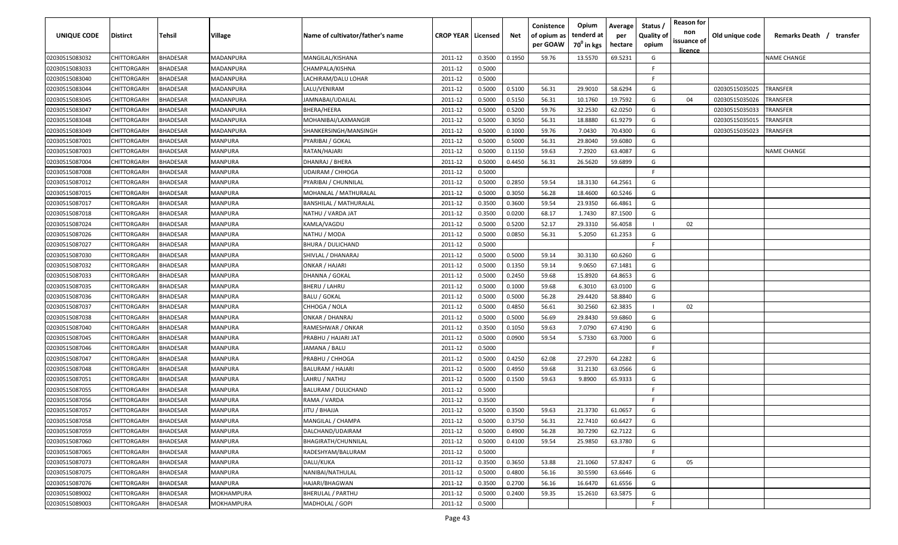| UNIQUE CODE                      | <b>Distirct</b>            | <b>Tehsil</b>                      | Village                          | Name of cultivator/father's name | <b>CROP YEAR   Licensed</b> |                  | Net              | Conistence<br>of opium as<br>per GOAW | Opium<br>tenderd at<br>70 <sup>0</sup> in kgs | Average<br>per<br>hectare | Status /<br><b>Quality of</b><br>opium | <b>Reason for</b><br>non<br>issuance of<br>licence | Old unique code | Remarks Death /<br>transfer |
|----------------------------------|----------------------------|------------------------------------|----------------------------------|----------------------------------|-----------------------------|------------------|------------------|---------------------------------------|-----------------------------------------------|---------------------------|----------------------------------------|----------------------------------------------------|-----------------|-----------------------------|
| 02030515083032                   | CHITTORGARH                | BHADESAR                           | MADANPURA                        | MANGILAL/KISHANA                 | 2011-12                     | 0.3500           | 0.1950           | 59.76                                 | 13.5570                                       | 69.5231                   | G                                      |                                                    |                 | <b>NAME CHANGE</b>          |
| 02030515083033                   | CHITTORGARH                | <b>BHADESAR</b>                    | MADANPURA                        | CHAMPALA/KISHNA                  | 2011-12                     | 0.5000           |                  |                                       |                                               |                           | F.                                     |                                                    |                 |                             |
| 02030515083040                   | CHITTORGARH                | <b>BHADESAR</b>                    | MADANPURA                        | LACHIRAM/DALU LOHAR              | 2011-12                     | 0.5000           |                  |                                       |                                               |                           | F.                                     |                                                    |                 |                             |
| 02030515083044                   | CHITTORGARH                | <b>BHADESAR</b>                    | MADANPURA                        | LALU/VENIRAM                     | 2011-12                     | 0.5000           | 0.5100           | 56.31                                 | 29.9010                                       | 58.6294                   | G                                      |                                                    | 02030515035025  | TRANSFER                    |
| 02030515083045                   | CHITTORGARH                | <b>BHADESAR</b>                    | MADANPURA                        | JAMNABAI/UDAILAL                 | 2011-12                     | 0.5000           | 0.5150           | 56.31                                 | 10.1760                                       | 19.7592                   | G                                      | 04                                                 | 02030515035026  | TRANSFER                    |
| 02030515083047                   | CHITTORGARH                | <b>BHADESAR</b>                    | MADANPURA                        | BHERA/HEERA                      | 2011-12                     | 0.5000           | 0.5200           | 59.76                                 | 32.2530                                       | 62.0250                   | G                                      |                                                    | 02030515035033  | TRANSFER                    |
| 02030515083048                   | CHITTORGARH                | <b>BHADESAR</b>                    | MADANPURA                        | MOHANIBAI/LAXMANGIR              | 2011-12                     | 0.5000           | 0.3050           | 56.31                                 | 18.8880                                       | 61.9279                   | G                                      |                                                    | 02030515035015  | TRANSFER                    |
| 02030515083049                   | CHITTORGARH                | <b>HADESAR</b>                     | <b>MADANPURA</b>                 | SHANKERSINGH/MANSINGH            | 2011-12                     | 0.5000           | 0.1000           | 59.76                                 | 7.0430                                        | 70.4300                   | G                                      |                                                    | 02030515035023  | TRANSFER                    |
| 02030515087001                   | CHITTORGARH                | <b>HADESAR</b>                     | MANPURA                          | PYARIBAI / GOKAL                 | 2011-12                     | 0.5000           | 0.5000           | 56.31                                 | 29.8040                                       | 59.6080                   | G                                      |                                                    |                 |                             |
| 02030515087003                   | CHITTORGARH                | <b>BHADESAR</b>                    | <b>MANPURA</b>                   | RATAN/HAJARI                     | 2011-12                     | 0.5000           | 0.1150           | 59.63                                 | 7.2920                                        | 63.4087                   | G                                      |                                                    |                 | NAME CHANGE                 |
| 02030515087004                   | CHITTORGARH                | 3HADESAR                           | <b>MANPURA</b>                   | DHANRAJ / BHERA                  | 2011-12                     | 0.5000           | 0.4450           | 56.31                                 | 26.5620                                       | 59.6899                   | G                                      |                                                    |                 |                             |
| 02030515087008                   | CHITTORGARH                | 3HADESAR                           | MANPURA                          | UDAIRAM / CHHOGA                 | 2011-12                     | 0.5000           |                  |                                       |                                               |                           | F.                                     |                                                    |                 |                             |
| 02030515087012                   | CHITTORGARH                | <b>BHADESAR</b>                    | MANPURA                          | PYARIBAI / CHUNNILAL             | 2011-12                     | 0.5000           | 0.2850           | 59.54                                 | 18.3130                                       | 64.2561                   | G                                      |                                                    |                 |                             |
| 02030515087015                   | CHITTORGARH                | <b>BHADESAR</b>                    | <b>MANPURA</b>                   | MOHANLAL / MATHURALAL            | 2011-12                     | 0.5000           | 0.3050           | 56.28                                 | 18.4600                                       | 60.5246                   | G                                      |                                                    |                 |                             |
| 02030515087017                   | CHITTORGARH                | <b>BHADESAR</b>                    | <b>MANPURA</b>                   | BANSHILAL / MATHURALAL           | 2011-12                     | 0.3500           | 0.3600           | 59.54                                 | 23.9350                                       | 66.4861                   | G                                      |                                                    |                 |                             |
| 02030515087018                   | CHITTORGARH                | <b>HADESAR</b>                     | <b>MANPURA</b>                   | NATHU / VARDA JAT                | 2011-12                     | 0.3500           | 0.0200           | 68.17                                 | 1.7430                                        | 87.1500                   | G                                      |                                                    |                 |                             |
| 02030515087024                   | CHITTORGARH                | <b>HADESAR</b>                     | <b>MANPURA</b>                   | KAMLA/VAGDU                      | 2011-12                     | 0.5000           | 0.5200           | 52.17                                 | 29.3310                                       | 56.4058                   |                                        | 02                                                 |                 |                             |
| 02030515087026                   | CHITTORGARH                | <b>BHADESAR</b>                    | <b>MANPURA</b>                   | NATHU / MODA                     | 2011-12                     | 0.5000           | 0.0850           | 56.31                                 | 5.2050                                        | 61.2353                   | G                                      |                                                    |                 |                             |
| 02030515087027                   | CHITTORGARH                | <b>BHADESAR</b>                    | <b>MANPURA</b>                   | <b>BHURA / DULICHAND</b>         | 2011-12                     | 0.5000           |                  |                                       |                                               |                           | F.                                     |                                                    |                 |                             |
| 02030515087030                   | CHITTORGARH                | 3HADESAR                           | <b>MANPURA</b>                   | SHIVLAL / DHANARAJ               | 2011-12                     | 0.5000           | 0.5000           | 59.14                                 | 30.3130                                       | 60.6260                   | G                                      |                                                    |                 |                             |
| 02030515087032                   | CHITTORGARH                | <b>BHADESAR</b><br><b>BHADESAR</b> | <b>MANPURA</b>                   | ONKAR / HAJARI                   | 2011-12<br>2011-12          | 0.5000           | 0.1350           | 59.14<br>59.68                        | 9.0650<br>15.8920                             | 67.1481                   | G<br>G                                 |                                                    |                 |                             |
| 02030515087033<br>02030515087035 | CHITTORGARH<br>CHITTORGARH | <b>BHADESAR</b>                    | <b>MANPURA</b><br><b>MANPURA</b> | DHANNA / GOKAL<br>BHERU / LAHRU  | 2011-12                     | 0.5000<br>0.5000 | 0.2450<br>0.1000 | 59.68                                 | 6.3010                                        | 64.8653<br>63.0100        | G                                      |                                                    |                 |                             |
| 02030515087036                   | CHITTORGARH                | <b>BHADESAR</b>                    | <b>MANPURA</b>                   | BALU / GOKAL                     | 2011-12                     | 0.5000           | 0.5000           | 56.28                                 | 29.4420                                       | 58.8840                   | G                                      |                                                    |                 |                             |
| 02030515087037                   | CHITTORGARH                | <b>HADESAR</b>                     | <b>MANPURA</b>                   | CHHOGA / NOLA                    | 2011-12                     | 0.5000           | 0.4850           | 56.61                                 | 30.2560                                       | 62.3835                   |                                        | 02                                                 |                 |                             |
| 02030515087038                   | CHITTORGARH                | <b>BHADESAR</b>                    | <b>MANPURA</b>                   | ONKAR / DHANRAJ                  | 2011-12                     | 0.5000           | 0.5000           | 56.69                                 | 29.8430                                       | 59.6860                   | G                                      |                                                    |                 |                             |
| 02030515087040                   | CHITTORGARH                | <b>BHADESAR</b>                    | <b>MANPURA</b>                   | RAMESHWAR / ONKAR                | 2011-12                     | 0.3500           | 0.1050           | 59.63                                 | 7.0790                                        | 67.4190                   | G                                      |                                                    |                 |                             |
| 02030515087045                   | CHITTORGARH                | 3HADESAR                           | <b>MANPURA</b>                   | PRABHU / HAJARI JAT              | 2011-12                     | 0.5000           | 0.0900           | 59.54                                 | 5.7330                                        | 63.7000                   | G                                      |                                                    |                 |                             |
| 02030515087046                   | CHITTORGARH                | <b>HADESAR</b>                     | MANPURA                          | IAMANA / BALU                    | 2011-12                     | 0.5000           |                  |                                       |                                               |                           | F.                                     |                                                    |                 |                             |
| 02030515087047                   | CHITTORGARH                | <b>BHADESAR</b>                    | <b>MANPURA</b>                   | PRABHU / CHHOGA                  | 2011-12                     | 0.5000           | 0.4250           | 62.08                                 | 27.2970                                       | 64.2282                   | G                                      |                                                    |                 |                             |
| 02030515087048                   | CHITTORGARH                | <b>BHADESAR</b>                    | <b>MANPURA</b>                   | BALURAM / HAJARI                 | 2011-12                     | 0.5000           | 0.4950           | 59.68                                 | 31.2130                                       | 63.0566                   | G                                      |                                                    |                 |                             |
| 02030515087051                   | CHITTORGARH                | <b>BHADESAR</b>                    | <b>MANPURA</b>                   | LAHRU / NATHU                    | 2011-12                     | 0.5000           | 0.1500           | 59.63                                 | 9.8900                                        | 65.9333                   | G                                      |                                                    |                 |                             |
| 02030515087055                   | CHITTORGARH                | <b>BHADESAR</b>                    | <b>MANPURA</b>                   | BALURAM / DULICHAND              | 2011-12                     | 0.5000           |                  |                                       |                                               |                           | F.                                     |                                                    |                 |                             |
| 02030515087056                   | <b>CHITTORGARH</b>         | <b>BHADESAR</b>                    | <b>MANPURA</b>                   | RAMA / VARDA                     | 2011-12                     | 0.3500           |                  |                                       |                                               |                           | F.                                     |                                                    |                 |                             |
| 02030515087057                   | CHITTORGARH                | <b>BHADESAR</b>                    | <b>MANPURA</b>                   | ALLAHA / UTIL                    | 2011-12                     | 0.5000           | 0.3500           | 59.63                                 | 21.3730                                       | 61.0657                   | G                                      |                                                    |                 |                             |
| 02030515087058                   | CHITTORGARH                | BHADESAR                           | <b>MANPURA</b>                   | MANGILAL / CHAMPA                | 2011-12                     | 0.5000           | 0.3750           | 56.31                                 | 22.7410                                       | 60.6427                   | G                                      |                                                    |                 |                             |
| 02030515087059                   | CHITTORGARH                | BHADESAR                           | <b>MANPURA</b>                   | DALCHAND/UDAIRAM                 | 2011-12                     | 0.5000           | 0.4900           | 56.28                                 | 30.7290                                       | 62.7122                   | G                                      |                                                    |                 |                             |
| 02030515087060                   | CHITTORGARH                | BHADESAR                           | MANPURA                          | BHAGIRATH/CHUNNILAL              | 2011-12                     | 0.5000           | 0.4100           | 59.54                                 | 25.9850                                       | 63.3780                   | G                                      |                                                    |                 |                             |
| 02030515087065                   | CHITTORGARH                | BHADESAR                           | <b>MANPURA</b>                   | RADESHYAM/BALURAM                | 2011-12                     | 0.5000           |                  |                                       |                                               |                           | F.                                     |                                                    |                 |                             |
| 02030515087073                   | CHITTORGARH                | BHADESAR                           | <b>MANPURA</b>                   | DALU/KUKA                        | 2011-12                     | 0.3500           | 0.3650           | 53.88                                 | 21.1060                                       | 57.8247                   | G                                      | 05                                                 |                 |                             |
| 02030515087075                   | CHITTORGARH                | <b>BHADESAR</b>                    | MANPURA                          | NANIBAI/NATHULAL                 | 2011-12                     | 0.5000           | 0.4800           | 56.16                                 | 30.5590                                       | 63.6646                   | G                                      |                                                    |                 |                             |
| 02030515087076                   | CHITTORGARH                | <b>BHADESAR</b>                    | MANPURA                          | HAJARI/BHAGWAN                   | 2011-12                     | 0.3500           | 0.2700           | 56.16                                 | 16.6470                                       | 61.6556                   | G                                      |                                                    |                 |                             |
| 02030515089002                   | CHITTORGARH                | <b>BHADESAR</b>                    | <b>MOKHAMPURA</b>                | BHERULAL / PARTHU                | 2011-12                     | 0.5000           | 0.2400           | 59.35                                 | 15.2610                                       | 63.5875                   | G                                      |                                                    |                 |                             |
| 02030515089003                   | CHITTORGARH                | BHADESAR                           | MOKHAMPURA                       | MADHOLAL / GOPI                  | 2011-12                     | 0.5000           |                  |                                       |                                               |                           | F                                      |                                                    |                 |                             |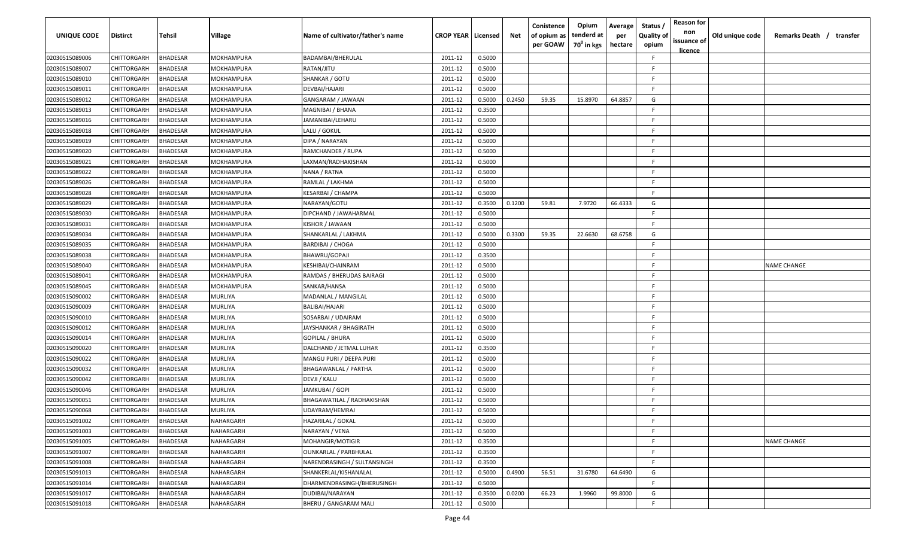| UNIQUE CODE    | Distirct           | Tehsil          | Village           | Name of cultivator/father's name | <b>CROP YEAR   Licensed</b> |        | Net    | Conistence<br>of opium as<br>per GOAW | Opium<br>tenderd at<br>70 <sup>0</sup> in kgs | Average<br>per<br>hectare | Status,<br><b>Quality of</b><br>opium | <b>Reason for</b><br>non<br>issuance of<br>licence | Old unique code | Remarks Death / transfer |
|----------------|--------------------|-----------------|-------------------|----------------------------------|-----------------------------|--------|--------|---------------------------------------|-----------------------------------------------|---------------------------|---------------------------------------|----------------------------------------------------|-----------------|--------------------------|
| 02030515089006 | CHITTORGARH        | <b>BHADESAR</b> | MOKHAMPURA        | BADAMBAI/BHERULAL                | 2011-12                     | 0.5000 |        |                                       |                                               |                           | F                                     |                                                    |                 |                          |
| 02030515089007 | CHITTORGARH        | <b>BHADESAR</b> | MOKHAMPURA        | RATAN/JITU                       | 2011-12                     | 0.5000 |        |                                       |                                               |                           | E                                     |                                                    |                 |                          |
| 02030515089010 | CHITTORGARH        | <b>BHADESAR</b> | MOKHAMPURA        | SHANKAR / GOTU                   | 2011-12                     | 0.5000 |        |                                       |                                               |                           | F                                     |                                                    |                 |                          |
| 02030515089011 | CHITTORGARH        | <b>BHADESAR</b> | MOKHAMPURA        | DEVBAI/HAJARI                    | 2011-12                     | 0.5000 |        |                                       |                                               |                           | F                                     |                                                    |                 |                          |
| 02030515089012 | CHITTORGARH        | <b>BHADESAR</b> | MOKHAMPURA        | GANGARAM / JAWAAN                | 2011-12                     | 0.5000 | 0.2450 | 59.35                                 | 15.8970                                       | 64.8857                   | G                                     |                                                    |                 |                          |
| 02030515089013 | CHITTORGARH        | <b>BHADESAR</b> | MOKHAMPURA        | MAGNIBAI / BHANA                 | 2011-12                     | 0.3500 |        |                                       |                                               |                           |                                       |                                                    |                 |                          |
| 02030515089016 | CHITTORGARH        | <b>BHADESAR</b> | MOKHAMPURA        | IAMANIBAI/LEHARU                 | 2011-12                     | 0.5000 |        |                                       |                                               |                           | F                                     |                                                    |                 |                          |
| 02030515089018 | CHITTORGARH        | <b>BHADESAR</b> | <b>MOKHAMPURA</b> | LALU / GOKUL                     | 2011-12                     | 0.5000 |        |                                       |                                               |                           | F                                     |                                                    |                 |                          |
| 02030515089019 | CHITTORGARH        | <b>BHADESAR</b> | MOKHAMPURA        | DIPA / NARAYAN                   | 2011-12                     | 0.5000 |        |                                       |                                               |                           | E                                     |                                                    |                 |                          |
| 02030515089020 | CHITTORGARH        | <b>BHADESAR</b> | MOKHAMPURA        | RAMCHANDER / RUPA                | 2011-12                     | 0.5000 |        |                                       |                                               |                           | E                                     |                                                    |                 |                          |
| 02030515089021 | CHITTORGARH        | BHADESAR        | MOKHAMPURA        | LAXMAN/RADHAKISHAN               | 2011-12                     | 0.5000 |        |                                       |                                               |                           | E                                     |                                                    |                 |                          |
| 02030515089022 | CHITTORGARH        | <b>BHADESAR</b> | MOKHAMPURA        | NANA / RATNA                     | 2011-12                     | 0.5000 |        |                                       |                                               |                           | F                                     |                                                    |                 |                          |
| 02030515089026 | CHITTORGARH        | <b>BHADESAR</b> | MOKHAMPURA        | RAMLAL / LAKHMA                  | 2011-12                     | 0.5000 |        |                                       |                                               |                           | F                                     |                                                    |                 |                          |
| 02030515089028 | CHITTORGARH        | <b>BHADESAR</b> | MOKHAMPURA        | KESARBAI / CHAMPA                | 2011-12                     | 0.5000 |        |                                       |                                               |                           | F                                     |                                                    |                 |                          |
| 02030515089029 | CHITTORGARH        | <b>BHADESAR</b> | MOKHAMPURA        | NARAYAN/GOTU                     | 2011-12                     | 0.3500 | 0.1200 | 59.81                                 | 7.9720                                        | 66.4333                   | G                                     |                                                    |                 |                          |
| 02030515089030 | CHITTORGARH        | <b>BHADESAR</b> | MOKHAMPURA        | DIPCHAND / JAWAHARMAL            | 2011-12                     | 0.5000 |        |                                       |                                               |                           | Е                                     |                                                    |                 |                          |
| 02030515089031 | CHITTORGARH        | <b>BHADESAR</b> | MOKHAMPURA        | KISHOR / JAWAAN                  | 2011-12                     | 0.5000 |        |                                       |                                               |                           | F                                     |                                                    |                 |                          |
| 02030515089034 | CHITTORGARH        | <b>BHADESAR</b> | MOKHAMPURA        | SHANKARLAL / LAKHMA              | 2011-12                     | 0.5000 | 0.3300 | 59.35                                 | 22.6630                                       | 68.6758                   | G                                     |                                                    |                 |                          |
| 02030515089035 | CHITTORGARH        | BHADESAR        | MOKHAMPURA        | <b>BARDIBAI / CHOGA</b>          | 2011-12                     | 0.5000 |        |                                       |                                               |                           | E                                     |                                                    |                 |                          |
| 02030515089038 | CHITTORGARH        | <b>BHADESAR</b> | MOKHAMPURA        | BHAWRU/GOPAJI                    | 2011-12                     | 0.3500 |        |                                       |                                               |                           | E                                     |                                                    |                 |                          |
| 02030515089040 | CHITTORGARH        | <b>BHADESAR</b> | MOKHAMPURA        | KESHIBAI/CHAINRAM                | 2011-12                     | 0.5000 |        |                                       |                                               |                           | F                                     |                                                    |                 | <b>NAME CHANGE</b>       |
| 02030515089041 | CHITTORGARH        | <b>BHADESAR</b> | MOKHAMPURA        | RAMDAS / BHERUDAS BAIRAGI        | 2011-12                     | 0.5000 |        |                                       |                                               |                           | F                                     |                                                    |                 |                          |
| 02030515089045 | CHITTORGARH        | BHADESAR        | MOKHAMPURA        | SANKAR/HANSA                     | 2011-12                     | 0.5000 |        |                                       |                                               |                           | F                                     |                                                    |                 |                          |
| 02030515090002 | CHITTORGARH        | BHADESAR        | MURLIYA           | MADANLAL / MANGILAL              | 2011-12                     | 0.5000 |        |                                       |                                               |                           | F                                     |                                                    |                 |                          |
| 02030515090009 | CHITTORGARH        | <b>BHADESAR</b> | MURLIYA           | BALIBAI/HAJARI                   | 2011-12                     | 0.5000 |        |                                       |                                               |                           | E                                     |                                                    |                 |                          |
| 02030515090010 | CHITTORGARH        | <b>BHADESAR</b> | MURLIYA           | SOSARBAI / UDAIRAM               | 2011-12                     | 0.5000 |        |                                       |                                               |                           | F.                                    |                                                    |                 |                          |
| 02030515090012 | CHITTORGARH        | <b>BHADESAR</b> | MURLIYA           | JAYSHANKAR / BHAGIRATH           | 2011-12                     | 0.5000 |        |                                       |                                               |                           | E                                     |                                                    |                 |                          |
| 02030515090014 | CHITTORGARH        | BHADESAR        | MURLIYA           | GOPILAL / BHURA                  | 2011-12                     | 0.5000 |        |                                       |                                               |                           | F.                                    |                                                    |                 |                          |
| 02030515090020 | CHITTORGARH        | <b>BHADESAR</b> | MURLIYA           | DALCHAND / JETMAL LUHAR          | 2011-12                     | 0.3500 |        |                                       |                                               |                           | E                                     |                                                    |                 |                          |
| 02030515090022 | CHITTORGARH        | <b>BHADESAR</b> | MURLIYA           | MANGU PURI / DEEPA PURI          | 2011-12                     | 0.5000 |        |                                       |                                               |                           | F                                     |                                                    |                 |                          |
| 02030515090032 | CHITTORGARH        | <b>BHADESAR</b> | MURLIYA           | BHAGAWANLAL / PARTHA             | 2011-12                     | 0.5000 |        |                                       |                                               |                           | E                                     |                                                    |                 |                          |
| 02030515090042 | CHITTORGARH        | <b>BHADESAR</b> | MURLIYA           | DEVJI / KALU                     | 2011-12                     | 0.5000 |        |                                       |                                               |                           | E                                     |                                                    |                 |                          |
| 02030515090046 | CHITTORGARH        | <b>BHADESAR</b> | MURLIYA           | JAMKUBAI / GOPI                  | 2011-12                     | 0.5000 |        |                                       |                                               |                           | F                                     |                                                    |                 |                          |
| 02030515090051 | CHITTORGARH        | <b>BHADESAR</b> | MURLIYA           | BHAGAWATILAL / RADHAKISHAN       | 2011-12                     | 0.5000 |        |                                       |                                               |                           | F                                     |                                                    |                 |                          |
| 02030515090068 | <b>CHITTORGARH</b> | <b>BHADESAR</b> | MURLIYA           | UDAYRAM/HEMRAJ                   | 2011-12                     | 0.5000 |        |                                       |                                               |                           | E                                     |                                                    |                 |                          |
| 02030515091002 | CHITTORGARH        | <b>BHADESAR</b> | NAHARGARH         | HAZARILAL / GOKAL                | 2011-12                     | 0.5000 |        |                                       |                                               |                           | F.                                    |                                                    |                 |                          |
| 02030515091003 | <b>CHITTORGARH</b> | <b>BHADESAR</b> | NAHARGARH         | NARAYAN / VENA                   | 2011-12                     | 0.5000 |        |                                       |                                               |                           | F                                     |                                                    |                 |                          |
| 02030515091005 | CHITTORGARH        | <b>BHADESAR</b> | NAHARGARH         | MOHANGIR/MOTIGIR                 | 2011-12                     | 0.3500 |        |                                       |                                               |                           | F                                     |                                                    |                 | <b>NAME CHANGE</b>       |
| 02030515091007 | CHITTORGARH        | <b>BHADESAR</b> | NAHARGARH         | <b>OUNKARLAL / PARBHULAL</b>     | 2011-12                     | 0.3500 |        |                                       |                                               |                           | F                                     |                                                    |                 |                          |
| 02030515091008 | CHITTORGARH        | <b>BHADESAR</b> | NAHARGARH         | NARENDRASINGH / SULTANSINGH      | 2011-12                     | 0.3500 |        |                                       |                                               |                           | E                                     |                                                    |                 |                          |
| 02030515091013 | CHITTORGARH        | <b>BHADESAR</b> | NAHARGARH         | SHANKERLAL/KISHANALAL            | 2011-12                     | 0.5000 | 0.4900 | 56.51                                 | 31.6780                                       | 64.6490                   | G                                     |                                                    |                 |                          |
| 02030515091014 | CHITTORGARH        | <b>BHADESAR</b> | NAHARGARH         | DHARMENDRASINGH/BHERUSINGH       | 2011-12                     | 0.5000 |        |                                       |                                               |                           | F.                                    |                                                    |                 |                          |
| 02030515091017 | CHITTORGARH        | <b>BHADESAR</b> | NAHARGARH         | DUDIBAI/NARAYAN                  | 2011-12                     | 0.3500 | 0.0200 | 66.23                                 | 1.9960                                        | 99.8000                   | G                                     |                                                    |                 |                          |
| 02030515091018 | <b>CHITTORGARH</b> | <b>BHADESAR</b> | NAHARGARH         | BHERU / GANGARAM MALI            | 2011-12                     | 0.5000 |        |                                       |                                               |                           | F.                                    |                                                    |                 |                          |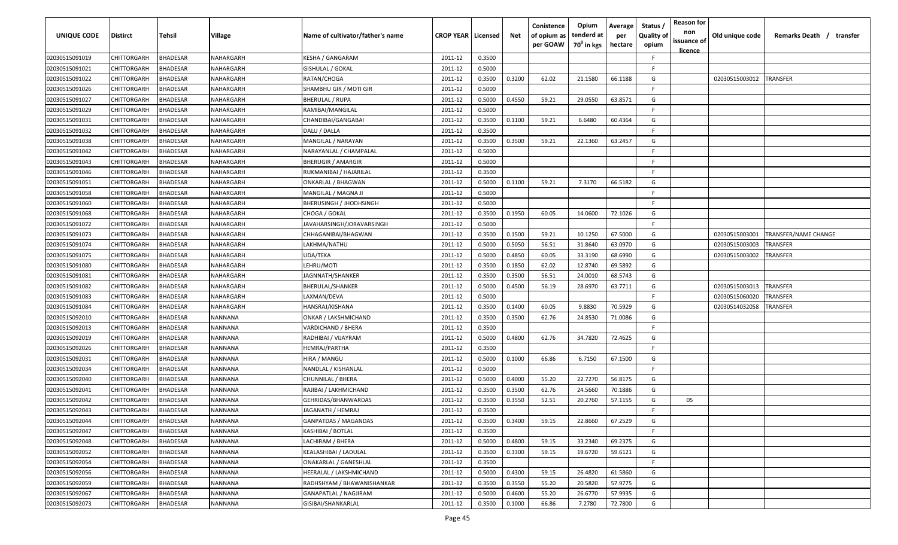| UNIQUE CODE    | <b>Distirct</b>    | Tehsil          | <b>Village</b> | Name of cultivator/father's name | <b>CROP YEAR   Licensed</b> |        | Net    | Conistence<br>of opium as<br>per GOAW | Opium<br>tenderd at<br>70 <sup>0</sup> in kgs | Average<br>per<br>hectare | Status /<br><b>Quality of</b><br>opium | <b>Reason for</b><br>non<br>issuance of<br><u>licence</u> | Old unique code | Remarks Death / transfer |
|----------------|--------------------|-----------------|----------------|----------------------------------|-----------------------------|--------|--------|---------------------------------------|-----------------------------------------------|---------------------------|----------------------------------------|-----------------------------------------------------------|-----------------|--------------------------|
| 02030515091019 | CHITTORGARH        | <b>BHADESAR</b> | NAHARGARH      | KESHA / GANGARAM                 | 2011-12                     | 0.3500 |        |                                       |                                               |                           | F                                      |                                                           |                 |                          |
| 02030515091021 | CHITTORGARH        | <b>BHADESAR</b> | NAHARGARH      | GISHULAL / GOKAL                 | 2011-12                     | 0.5000 |        |                                       |                                               |                           | F                                      |                                                           |                 |                          |
| 02030515091022 | CHITTORGARH        | <b>BHADESAR</b> | NAHARGARH      | RATAN/CHOGA                      | 2011-12                     | 0.3500 | 0.3200 | 62.02                                 | 21.1580                                       | 66.1188                   | G                                      |                                                           | 02030515003012  | <b>TRANSFER</b>          |
| 02030515091026 | CHITTORGARH        | <b>BHADESAR</b> | NAHARGARH      | SHAMBHU GIR / MOTI GIR           | 2011-12                     | 0.5000 |        |                                       |                                               |                           | E                                      |                                                           |                 |                          |
| 02030515091027 | CHITTORGARH        | <b>BHADESAR</b> | NAHARGARH      | BHERULAL / RUPA                  | 2011-12                     | 0.5000 | 0.4550 | 59.21                                 | 29.0550                                       | 63.8571                   | G                                      |                                                           |                 |                          |
| 02030515091029 | CHITTORGARH        | <b>BHADESAR</b> | NAHARGARH      | RAMIBAI/MANGILAL                 | 2011-12                     | 0.5000 |        |                                       |                                               |                           | F                                      |                                                           |                 |                          |
| 02030515091031 | CHITTORGARH        | <b>BHADESAR</b> | NAHARGARH      | CHANDIBAI/GANGABAI               | 2011-12                     | 0.3500 | 0.1100 | 59.21                                 | 6.6480                                        | 60.4364                   | G                                      |                                                           |                 |                          |
| 02030515091032 | CHITTORGARH        | <b>BHADESAR</b> | NAHARGARH      | DALU / DALLA                     | 2011-12                     | 0.3500 |        |                                       |                                               |                           | F                                      |                                                           |                 |                          |
| 02030515091038 | CHITTORGARH        | <b>BHADESAR</b> | NAHARGARH      | MANGILAL / NARAYAN               | 2011-12                     | 0.3500 | 0.3500 | 59.21                                 | 22.1360                                       | 63.2457                   | G                                      |                                                           |                 |                          |
| 02030515091042 | CHITTORGARH        | <b>BHADESAR</b> | VAHARGARH      | NARAYANLAL / CHAMPALAL           | 2011-12                     | 0.5000 |        |                                       |                                               |                           | F.                                     |                                                           |                 |                          |
| 02030515091043 | CHITTORGARH        | <b>BHADESAR</b> | NAHARGARH      | <b>BHERUGIR / AMARGIR</b>        | 2011-12                     | 0.5000 |        |                                       |                                               |                           | E                                      |                                                           |                 |                          |
| 02030515091046 | CHITTORGARH        | <b>BHADESAR</b> | NAHARGARH      | RUKMANIBAI / HAJARILAL           | 2011-12                     | 0.3500 |        |                                       |                                               |                           | F                                      |                                                           |                 |                          |
| 02030515091051 | CHITTORGARH        | <b>BHADESAR</b> | NAHARGARH      | ONKARLAL / BHAGWAN               | 2011-12                     | 0.5000 | 0.1100 | 59.21                                 | 7.3170                                        | 66.5182                   | G                                      |                                                           |                 |                          |
| 02030515091058 | CHITTORGARH        | <b>BHADESAR</b> | NAHARGARH      | MANGILAL / MAGNA JI              | 2011-12                     | 0.5000 |        |                                       |                                               |                           | E                                      |                                                           |                 |                          |
| 02030515091060 | CHITTORGARH        | <b>BHADESAR</b> | NAHARGARH      | BHERUSINGH / JHODHSINGH          | 2011-12                     | 0.5000 |        |                                       |                                               |                           | F                                      |                                                           |                 |                          |
| 02030515091068 | CHITTORGARH        | <b>BHADESAR</b> | NAHARGARH      | CHOGA / GOKAL                    | 2011-12                     | 0.3500 | 0.1950 | 60.05                                 | 14.0600                                       | 72.1026                   | G                                      |                                                           |                 |                          |
| 02030515091072 | CHITTORGARH        | <b>BHADESAR</b> | NAHARGARH      | JAVAHARSINGH/JORAVARSINGH        | 2011-12                     | 0.5000 |        |                                       |                                               |                           | F                                      |                                                           |                 |                          |
| 02030515091073 | CHITTORGARH        | <b>BHADESAR</b> | NAHARGARH      | CHHAGANIBAI/BHAGWAN              | 2011-12                     | 0.3500 | 0.1500 | 59.21                                 | 10.1250                                       | 67.5000                   | G                                      |                                                           | 02030515003001  | TRANSFER/NAME CHANGE     |
| 02030515091074 | CHITTORGARH        | BHADESAR        | NAHARGARH      | LAKHMA/NATHU                     | 2011-12                     | 0.5000 | 0.5050 | 56.51                                 | 31.8640                                       | 63.0970                   | G                                      |                                                           | 02030515003003  | TRANSFER                 |
| 02030515091075 | CHITTORGARH        | <b>BHADESAR</b> | NAHARGARH      | UDA/TEKA                         | 2011-12                     | 0.5000 | 0.4850 | 60.05                                 | 33.3190                                       | 68.6990                   | G                                      |                                                           | 02030515003002  | TRANSFER                 |
| 02030515091080 | CHITTORGARH        | <b>BHADESAR</b> | NAHARGARH      | LEHRU/MOTI                       | 2011-12                     | 0.3500 | 0.1850 | 62.02                                 | 12.8740                                       | 69.5892                   | G                                      |                                                           |                 |                          |
| 02030515091081 | CHITTORGARH        | <b>BHADESAR</b> | NAHARGARH      | JAGNNATH/SHANKER                 | 2011-12                     | 0.3500 | 0.3500 | 56.51                                 | 24.0010                                       | 68.5743                   | G                                      |                                                           |                 |                          |
| 02030515091082 | CHITTORGARH        | <b>BHADESAR</b> | NAHARGARH      | BHERULAL/SHANKER                 | 2011-12                     | 0.5000 | 0.4500 | 56.19                                 | 28.6970                                       | 63.7711                   | G                                      |                                                           | 02030515003013  | TRANSFER                 |
| 02030515091083 | CHITTORGARH        | <b>BHADESAR</b> | NAHARGARH      | LAXMAN/DEVA                      | 2011-12                     | 0.5000 |        |                                       |                                               |                           | F.                                     |                                                           | 02030515060020  | <b><i>FRANSFER</i></b>   |
| 02030515091084 | CHITTORGARH        | <b>BHADESAR</b> | NAHARGARH      | HANSRAJ/KISHANA                  | 2011-12                     | 0.3500 | 0.1400 | 60.05                                 | 9.8830                                        | 70.5929                   | G                                      |                                                           | 02030514032058  | TRANSFER                 |
| 02030515092010 | CHITTORGARH        | <b>BHADESAR</b> | NANNANA        | ONKAR / LAKSHMICHAND             | 2011-12                     | 0.3500 | 0.3500 | 62.76                                 | 24.8530                                       | 71.0086                   | G                                      |                                                           |                 |                          |
| 02030515092013 | CHITTORGARH        | <b>BHADESAR</b> | NANNANA        | VARDICHAND / BHERA               | 2011-12                     | 0.3500 |        |                                       |                                               |                           | F                                      |                                                           |                 |                          |
| 02030515092019 | CHITTORGARH        | <b>BHADESAR</b> | NANNANA        | RADHIBAI / VIJAYRAM              | 2011-12                     | 0.5000 | 0.4800 | 62.76                                 | 34.7820                                       | 72.4625                   | G                                      |                                                           |                 |                          |
| 02030515092026 | CHITTORGARH        | <b>BHADESAR</b> | NANNANA        | HEMRAJ/PARTHA                    | 2011-12                     | 0.3500 |        |                                       |                                               |                           | F                                      |                                                           |                 |                          |
| 02030515092031 | CHITTORGARH        | <b>BHADESAR</b> | NANNANA        | HIRA / MANGU                     | 2011-12                     | 0.5000 | 0.1000 | 66.86                                 | 6.7150                                        | 67.1500                   | G                                      |                                                           |                 |                          |
| 02030515092034 | CHITTORGARH        | <b>BHADESAR</b> | NANNANA        | NANDLAL / KISHANLAL              | 2011-12                     | 0.5000 |        |                                       |                                               |                           | F                                      |                                                           |                 |                          |
| 02030515092040 | CHITTORGARH        | <b>BHADESAR</b> | NANNANA        | CHUNNILAL / BHERA                | 2011-12                     | 0.5000 | 0.4000 | 55.20                                 | 22.7270                                       | 56.8175                   | G                                      |                                                           |                 |                          |
| 02030515092041 | CHITTORGARH        | <b>BHADESAR</b> | NANNANA        | RAJIBAI / LAKHMICHAND            | 2011-12                     | 0.3500 | 0.3500 | 62.76                                 | 24.5660                                       | 70.1886                   | G                                      |                                                           |                 |                          |
| 02030515092042 | CHITTORGARH        | BHADESAR        | NANNANA        | GEHRIDAS/BHANWARDAS              | 2011-12                     | 0.3500 | 0.3550 | 52.51                                 | 20.2760                                       | 57.1155                   | G                                      | 05                                                        |                 |                          |
| 02030515092043 | CHITTORGARH        | <b>BHADESAR</b> | NANNANA        | JAGANATH / HEMRAJ                | 2011-12                     | 0.3500 |        |                                       |                                               |                           | E                                      |                                                           |                 |                          |
| 02030515092044 | <b>CHITTORGARH</b> | <b>BHADESAR</b> | NANNANA        | <b>GANPATDAS / MAGANDAS</b>      | 2011-12                     | 0.3500 | 0.3400 | 59.15                                 | 22.8660                                       | 67.2529                   | G                                      |                                                           |                 |                          |
| 02030515092047 | CHITTORGARH        | <b>BHADESAR</b> | NANNANA        | KASHIBAI / BOTLAL                | 2011-12                     | 0.3500 |        |                                       |                                               |                           | F.                                     |                                                           |                 |                          |
| 02030515092048 | CHITTORGARH        | <b>BHADESAR</b> | NANNANA        | LACHIRAM / BHERA                 | 2011-12                     | 0.5000 | 0.4800 | 59.15                                 | 33.2340                                       | 69.2375                   | G                                      |                                                           |                 |                          |
| 02030515092052 | CHITTORGARH        | <b>BHADESAR</b> | NANNANA        | KEALASHIBAI / LADULAL            | 2011-12                     | 0.3500 | 0.3300 | 59.15                                 | 19.6720                                       | 59.6121                   | G                                      |                                                           |                 |                          |
| 02030515092054 | CHITTORGARH        | <b>BHADESAR</b> | NANNANA        | ONAKARLAL / GANESHLAL            | 2011-12                     | 0.3500 |        |                                       |                                               |                           | F.                                     |                                                           |                 |                          |
| 02030515092056 | CHITTORGARH        | <b>BHADESAR</b> | NANNANA        | HEERALAL / LAKSHMICHAND          | 2011-12                     | 0.5000 | 0.4300 | 59.15                                 | 26.4820                                       | 61.5860                   | G                                      |                                                           |                 |                          |
| 02030515092059 | CHITTORGARH        | <b>BHADESAR</b> | NANNANA        | RADHSHYAM / BHAWANISHANKAR       | 2011-12                     | 0.3500 | 0.3550 | 55.20                                 | 20.5820                                       | 57.9775                   | G                                      |                                                           |                 |                          |
| 02030515092067 | CHITTORGARH        | <b>BHADESAR</b> | NANNANA        | GANAPATLAL / NAGJIRAM            | 2011-12                     | 0.5000 | 0.4600 | 55.20                                 | 26.6770                                       | 57.9935                   | G                                      |                                                           |                 |                          |
| 02030515092073 | CHITTORGARH        | <b>BHADESAR</b> | NANNANA        | GISIBAI/SHANKARLAL               | 2011-12                     | 0.3500 | 0.1000 | 66.86                                 | 7.2780                                        | 72.7800                   | G                                      |                                                           |                 |                          |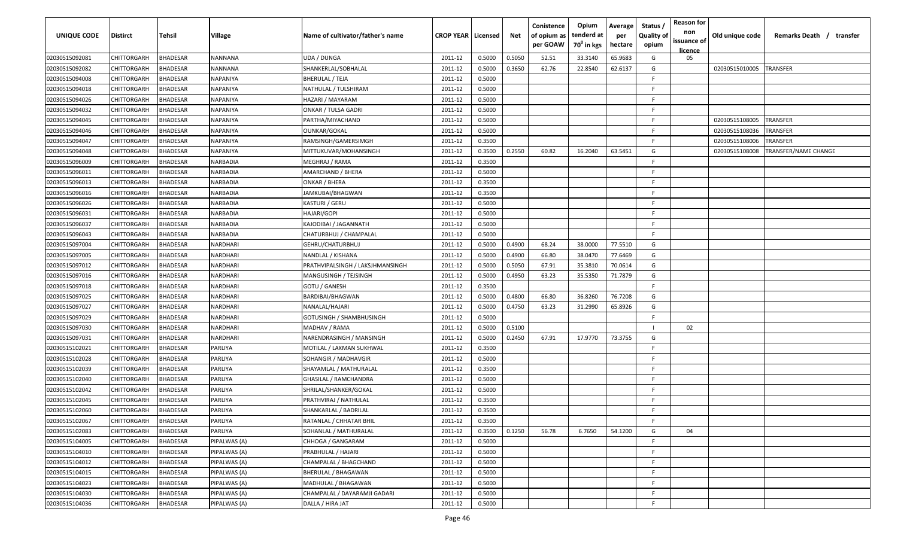| UNIQUE CODE    | <b>Distirct</b>    | <b>Tehsil</b>   | Village        | Name of cultivator/father's name | <b>CROP YEAR   Licensed</b> |        | Net    | Conistence<br>of opium as<br>per GOAW | Opium<br>tenderd at<br>70 <sup>0</sup> in kgs | Average<br>per<br>hectare | Status /<br><b>Quality of</b><br>opium | <b>Reason for</b><br>non<br>issuance of<br><b>licence</b> | Old unique code | Remarks Death /<br>transfer |
|----------------|--------------------|-----------------|----------------|----------------------------------|-----------------------------|--------|--------|---------------------------------------|-----------------------------------------------|---------------------------|----------------------------------------|-----------------------------------------------------------|-----------------|-----------------------------|
| 02030515092081 | CHITTORGARH        | BHADESAR        | NANNANA        | UDA / DUNGA                      | 2011-12                     | 0.5000 | 0.5050 | 52.51                                 | 33.3140                                       | 65.9683                   | G                                      | 05                                                        |                 |                             |
| 02030515092082 | CHITTORGARH        | <b>BHADESAR</b> | NANNANA        | SHANKERLAL/SOBHALAL              | 2011-12                     | 0.5000 | 0.3650 | 62.76                                 | 22.8540                                       | 62.6137                   | G                                      |                                                           | 02030515010005  | TRANSFER                    |
| 02030515094008 | CHITTORGARH        | <b>BHADESAR</b> | NAPANIYA       | BHERULAL / TEJA                  | 2011-12                     | 0.5000 |        |                                       |                                               |                           | F.                                     |                                                           |                 |                             |
| 02030515094018 | CHITTORGARH        | <b>HADESAR</b>  | NAPANIYA       | NATHULAL / TULSHIRAM             | 2011-12                     | 0.5000 |        |                                       |                                               |                           | F.                                     |                                                           |                 |                             |
| 02030515094026 | CHITTORGARH        | <b>BHADESAR</b> | NAPANIYA       | HAZARI / MAYARAM                 | 2011-12                     | 0.5000 |        |                                       |                                               |                           | F.                                     |                                                           |                 |                             |
| 02030515094032 | CHITTORGARH        | <b>BHADESAR</b> | NAPANIYA       | <b>ONKAR / TULSA GADRI</b>       | 2011-12                     | 0.5000 |        |                                       |                                               |                           | -F.                                    |                                                           |                 |                             |
| 02030515094045 | CHITTORGARH        | <b>BHADESAR</b> | NAPANIYA       | PARTHA/MIYACHAND                 | 2011-12                     | 0.5000 |        |                                       |                                               |                           | F.                                     |                                                           | 02030515108005  | TRANSFER                    |
| 02030515094046 | CHITTORGARH        | <b>HADESAR</b>  | NAPANIYA       | OUNKAR/GOKAL                     | 2011-12                     | 0.5000 |        |                                       |                                               |                           | F.                                     |                                                           | 02030515108036  | TRANSFER                    |
| 02030515094047 | CHITTORGARH        | <b>HADESAR</b>  | NAPANIYA       | RAMSINGH/GAMERSIMGH              | 2011-12                     | 0.3500 |        |                                       |                                               |                           | F.                                     |                                                           | 02030515108006  | TRANSFER                    |
| 02030515094048 | CHITTORGARH        | <b>BHADESAR</b> | NAPANIYA       | MITTUKUVAR/MOHANSINGH            | 2011-12                     | 0.3500 | 0.2550 | 60.82                                 | 16.2040                                       | 63.5451                   | G                                      |                                                           | 02030515108008  | TRANSFER/NAME CHANGE        |
| 02030515096009 | CHITTORGARH        | 3HADESAR        | NARBADIA       | MEGHRAJ / RAMA                   | 2011-12                     | 0.3500 |        |                                       |                                               |                           | F.                                     |                                                           |                 |                             |
| 02030515096011 | CHITTORGARH        | 3HADESAR        | NARBADIA       | AMARCHAND / BHERA                | 2011-12                     | 0.5000 |        |                                       |                                               |                           | F.                                     |                                                           |                 |                             |
| 02030515096013 | CHITTORGARH        | <b>BHADESAR</b> | NARBADIA       | ONKAR / BHERA                    | 2011-12                     | 0.3500 |        |                                       |                                               |                           | -F                                     |                                                           |                 |                             |
| 02030515096016 | CHITTORGARH        | <b>BHADESAR</b> | NARBADIA       | JAMKUBAI/BHAGWAN                 | 2011-12                     | 0.3500 |        |                                       |                                               |                           | -F                                     |                                                           |                 |                             |
| 02030515096026 | CHITTORGARH        | <b>BHADESAR</b> | NARBADIA       | KASTURI / GERU                   | 2011-12                     | 0.5000 |        |                                       |                                               |                           | F.                                     |                                                           |                 |                             |
| 02030515096031 | CHITTORGARH        | <b>HADESAR</b>  | NARBADIA       | HAJARI/GOPI                      | 2011-12                     | 0.5000 |        |                                       |                                               |                           | -F.                                    |                                                           |                 |                             |
| 02030515096037 | CHITTORGARH        | <b>HADESAR</b>  | NARBADIA       | KAJODIBAI / JAGANNATH            | 2011-12                     | 0.5000 |        |                                       |                                               |                           | -F                                     |                                                           |                 |                             |
| 02030515096043 | CHITTORGARH        | <b>BHADESAR</b> | NARBADIA       | CHATURBHUJ / CHAMPALAL           | 2011-12                     | 0.5000 |        |                                       |                                               |                           | F.                                     |                                                           |                 |                             |
| 02030515097004 | CHITTORGARH        | <b>BHADESAR</b> | NARDHARI       | GEHRU/CHATURBHUJ                 | 2011-12                     | 0.5000 | 0.4900 | 68.24                                 | 38.0000                                       | 77.5510                   | G                                      |                                                           |                 |                             |
| 02030515097005 | CHITTORGARH        | 3HADESAR        | NARDHARI       | NANDLAL / KISHANA                | 2011-12                     | 0.5000 | 0.4900 | 66.80                                 | 38.0470                                       | 77.6469                   | G                                      |                                                           |                 |                             |
| 02030515097012 | CHITTORGARH        | <b>HADESAR</b>  | NARDHARI       | PRATHVIPALSINGH / LAKSJHMANSINGH | 2011-12                     | 0.5000 | 0.5050 | 67.91                                 | 35.3810                                       | 70.0614                   | G                                      |                                                           |                 |                             |
| 02030515097016 | CHITTORGARH        | <b>BHADESAR</b> | NARDHARI       | MANGUSINGH / TEJSINGH            | 2011-12                     | 0.5000 | 0.4950 | 63.23                                 | 35.5350                                       | 71.7879                   | G                                      |                                                           |                 |                             |
| 02030515097018 | CHITTORGARH        | <b>BHADESAR</b> | NARDHARI       | GOTU / GANESH                    | 2011-12                     | 0.3500 |        |                                       |                                               |                           | F.                                     |                                                           |                 |                             |
| 02030515097025 | CHITTORGARH        | <b>BHADESAR</b> | NARDHARI       | BARDIBAI/BHAGWAN                 | 2011-12                     | 0.5000 | 0.4800 | 66.80                                 | 36.8260                                       | 76.7208                   | G                                      |                                                           |                 |                             |
| 02030515097027 | CHITTORGARH        | <b>HADESAR</b>  | NARDHARI       | NANALAL/HAJARI                   | 2011-12                     | 0.5000 | 0.4750 | 63.23                                 | 31.2990                                       | 65.8926                   | G                                      |                                                           |                 |                             |
| 02030515097029 | CHITTORGARH        | <b>BHADESAR</b> | NARDHARI       | GOTUSINGH / SHAMBHUSINGH         | 2011-12                     | 0.5000 |        |                                       |                                               |                           | F                                      |                                                           |                 |                             |
| 02030515097030 | CHITTORGARH        | <b>HADESAR</b>  | NARDHARI       | MADHAV / RAMA                    | 2011-12                     | 0.5000 | 0.5100 |                                       |                                               |                           |                                        | 02                                                        |                 |                             |
| 02030515097031 | CHITTORGARH        | 3HADESAR        | NARDHARI       | NARENDRASINGH / MANSINGH         | 2011-12                     | 0.5000 | 0.2450 | 67.91                                 | 17.9770                                       | 73.3755                   | G                                      |                                                           |                 |                             |
| 02030515102021 | CHITTORGARH        | <b>HADESAR</b>  | PARLIYA        | MOTILAL / LAXMAN SUKHWAL         | 2011-12                     | 0.3500 |        |                                       |                                               |                           | F.                                     |                                                           |                 |                             |
| 02030515102028 | CHITTORGARH        | <b>BHADESAR</b> | PARLIYA        | SOHANGIR / MADHAVGIR             | 2011-12                     | 0.5000 |        |                                       |                                               |                           | F                                      |                                                           |                 |                             |
| 02030515102039 | CHITTORGARH        | <b>BHADESAR</b> | PARLIYA        | SHAYAMLAL / MATHURALAL           | 2011-12                     | 0.3500 |        |                                       |                                               |                           | F                                      |                                                           |                 |                             |
| 02030515102040 | CHITTORGARH        | <b>BHADESAR</b> | PARLIYA        | GHASILAL / RAMCHANDRA            | 2011-12                     | 0.5000 |        |                                       |                                               |                           | F.                                     |                                                           |                 |                             |
| 02030515102042 | CHITTORGARH        | <b>BHADESAR</b> | PARLIYA        | SHRILAL/SHANKER/GOKAL            | 2011-12                     | 0.5000 |        |                                       |                                               |                           | F.                                     |                                                           |                 |                             |
| 02030515102045 | CHITTORGARH        | <b>BHADESAR</b> | <b>PARLIYA</b> | PRATHVIRAJ / NATHULAL            | 2011-12                     | 0.3500 |        |                                       |                                               |                           | F.                                     |                                                           |                 |                             |
| 02030515102060 | CHITTORGARH        | <b>BHADESAR</b> | PARLIYA        | SHANKARLAL / BADRILAL            | 2011-12                     | 0.3500 |        |                                       |                                               |                           | F.                                     |                                                           |                 |                             |
| 02030515102067 | CHITTORGARH        | BHADESAR        | PARLIYA        | RATANLAL / CHHATAR BHIL          | 2011-12                     | 0.3500 |        |                                       |                                               |                           | E                                      |                                                           |                 |                             |
| 02030515102083 | CHITTORGARH        | BHADESAR        | PARLIYA        | SOHANLAL / MATHURALAL            | 2011-12                     | 0.3500 | 0.1250 | 56.78                                 | 6.7650                                        | 54.1200                   | G                                      | 04                                                        |                 |                             |
| 02030515104005 | CHITTORGARH        | BHADESAR        | PIPALWAS (A)   | CHHOGA / GANGARAM                | 2011-12                     | 0.5000 |        |                                       |                                               |                           | F                                      |                                                           |                 |                             |
| 02030515104010 | CHITTORGARH        | BHADESAR        | PIPALWAS (A)   | PRABHULAL / HAJARI               | 2011-12                     | 0.5000 |        |                                       |                                               |                           | F.                                     |                                                           |                 |                             |
| 02030515104012 | CHITTORGARH        | <b>BHADESAR</b> | PIPALWAS (A)   | CHAMPALAL / BHAGCHAND            | 2011-12                     | 0.5000 |        |                                       |                                               |                           | F.                                     |                                                           |                 |                             |
| 02030515104015 | <b>CHITTORGARH</b> | <b>BHADESAR</b> | PIPALWAS (A)   | BHERULAL / BHAGAWAN              | 2011-12                     | 0.5000 |        |                                       |                                               |                           | F.                                     |                                                           |                 |                             |
| 02030515104023 | CHITTORGARH        | <b>BHADESAR</b> | PIPALWAS (A)   | MADHULAL / BHAGAWAN              | 2011-12                     | 0.5000 |        |                                       |                                               |                           | F.                                     |                                                           |                 |                             |
| 02030515104030 | CHITTORGARH        | <b>BHADESAR</b> | PIPALWAS (A)   | CHAMPALAL / DAYARAMJI GADARI     | 2011-12                     | 0.5000 |        |                                       |                                               |                           | F.                                     |                                                           |                 |                             |
| 02030515104036 | CHITTORGARH        | BHADESAR        | PIPALWAS (A)   | DALLA / HIRA JAT                 | 2011-12                     | 0.5000 |        |                                       |                                               |                           | F.                                     |                                                           |                 |                             |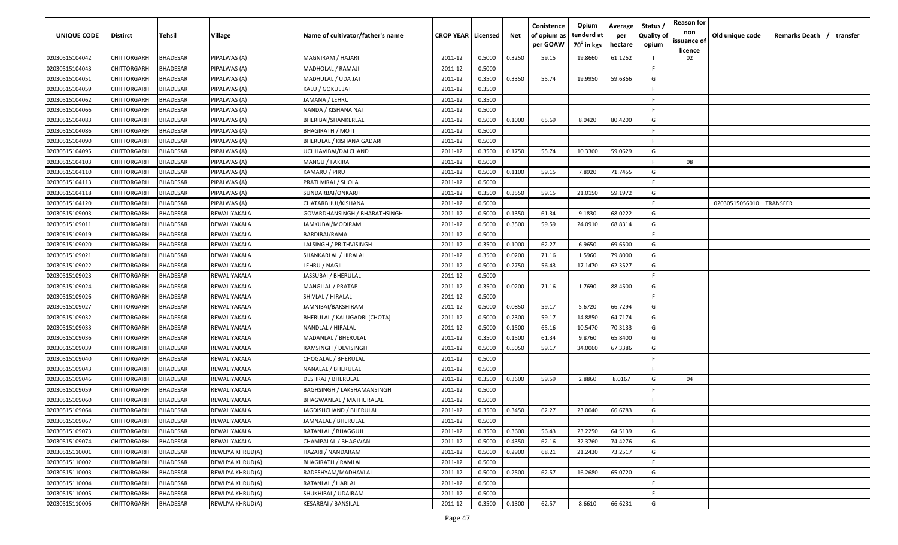| UNIQUE CODE    | <b>Distirct</b>    | Tehsil          | Village          | Name of cultivator/father's name | <b>CROP YEAR   Licensed</b> |        | Net    | Conistence<br>of opium as<br>per GOAW | Opium<br>tenderd at<br>70 <sup>°</sup> in kgs | Average<br>per<br>hectare | Status<br><b>Quality of</b><br>opium | <b>Reason for</b><br>non<br>issuance of<br><u>licence</u> | Old unique code | Remarks Death / transfer |
|----------------|--------------------|-----------------|------------------|----------------------------------|-----------------------------|--------|--------|---------------------------------------|-----------------------------------------------|---------------------------|--------------------------------------|-----------------------------------------------------------|-----------------|--------------------------|
| 02030515104042 | CHITTORGARH        | <b>BHADESAR</b> | PIPALWAS (A)     | MAGNIRAM / HAJARI                | 2011-12                     | 0.5000 | 0.3250 | 59.15                                 | 19.8660                                       | 61.1262                   |                                      | 02                                                        |                 |                          |
| 02030515104043 | CHITTORGARH        | BHADESAR        | PIPALWAS (A)     | MADHOLAL / RAMAJI                | 2011-12                     | 0.5000 |        |                                       |                                               |                           | -F                                   |                                                           |                 |                          |
| 02030515104051 | CHITTORGARH        | BHADESAR        | PIPALWAS (A)     | MADHULAL / UDA JAT               | 2011-12                     | 0.3500 | 0.3350 | 55.74                                 | 19.9950                                       | 59.6866                   | G                                    |                                                           |                 |                          |
| 02030515104059 | CHITTORGARH        | BHADESAR        | PIPALWAS (A)     | KALU / GOKUL JAT                 | 2011-12                     | 0.3500 |        |                                       |                                               |                           | F.                                   |                                                           |                 |                          |
| 02030515104062 | CHITTORGARH        | BHADESAR        | PIPALWAS (A)     | JAMANA / LEHRU                   | 2011-12                     | 0.3500 |        |                                       |                                               |                           | -F                                   |                                                           |                 |                          |
| 02030515104066 | CHITTORGARH        | <b>BHADESAR</b> | PIPALWAS (A)     | NANDA / KISHANA NAI              | 2011-12                     | 0.5000 |        |                                       |                                               |                           | -F                                   |                                                           |                 |                          |
| 02030515104083 | CHITTORGARH        | <b>BHADESAR</b> | PIPALWAS (A)     | BHERIBAI/SHANKERLAL              | 2011-12                     | 0.5000 | 0.1000 | 65.69                                 | 8.0420                                        | 80.4200                   | G                                    |                                                           |                 |                          |
| 02030515104086 | CHITTORGARH        | BHADESAR        | PIPALWAS (A)     | BHAGIRATH / MOTI                 | 2011-12                     | 0.5000 |        |                                       |                                               |                           | F.                                   |                                                           |                 |                          |
| 02030515104090 | CHITTORGARH        | BHADESAR        | PIPALWAS (A)     | BHERULAL / KISHANA GADARI        | 2011-12                     | 0.5000 |        |                                       |                                               |                           | F.                                   |                                                           |                 |                          |
| 02030515104095 | CHITTORGARH        | BHADESAR        | PIPALWAS (A)     | JCHHAVIBAI/DALCHAND              | 2011-12                     | 0.3500 | 0.1750 | 55.74                                 | 10.3360                                       | 59.0629                   | G                                    |                                                           |                 |                          |
| 02030515104103 | CHITTORGARH        | <b>BHADESAR</b> | PIPALWAS (A)     | MANGU / FAKIRA                   | 2011-12                     | 0.5000 |        |                                       |                                               |                           | F.                                   | 08                                                        |                 |                          |
| 02030515104110 | CHITTORGARH        | BHADESAR        | PIPALWAS (A)     | KAMARU / PIRU                    | 2011-12                     | 0.5000 | 0.1100 | 59.15                                 | 7.8920                                        | 71.7455                   | G                                    |                                                           |                 |                          |
| 02030515104113 | CHITTORGARH        | BHADESAR        | PIPALWAS (A)     | PRATHVIRAJ / SHOLA               | 2011-12                     | 0.5000 |        |                                       |                                               |                           | F.                                   |                                                           |                 |                          |
| 02030515104118 | CHITTORGARH        | <b>BHADESAR</b> | PIPALWAS (A)     | SUNDARBAI/ONKARJI                | 2011-12                     | 0.3500 | 0.3550 | 59.15                                 | 21.0150                                       | 59.1972                   | G                                    |                                                           |                 |                          |
| 02030515104120 | CHITTORGARH        | <b>BHADESAR</b> | PIPALWAS (A)     | CHATARBHUJ/KISHANA               | 2011-12                     | 0.5000 |        |                                       |                                               |                           | F.                                   |                                                           | 02030515056010  | <b>RANSFER</b>           |
| 02030515109003 | CHITTORGARH        | <b>BHADESAR</b> | REWALIYAKALA     | GOVARDHANSINGH / BHARATHSINGH    | 2011-12                     | 0.5000 | 0.1350 | 61.34                                 | 9.1830                                        | 68.0222                   | G                                    |                                                           |                 |                          |
| 02030515109011 | CHITTORGARH        | BHADESAR        | REWALIYAKALA     | JAMKUBAI/MODIRAM                 | 2011-12                     | 0.5000 | 0.3500 | 59.59                                 | 24.0910                                       | 68.8314                   | G                                    |                                                           |                 |                          |
| 02030515109019 | CHITTORGARH        | BHADESAR        | REWALIYAKALA     | BARDIBAI/RAMA                    | 2011-12                     | 0.5000 |        |                                       |                                               |                           | F.                                   |                                                           |                 |                          |
| 02030515109020 | CHITTORGARH        | BHADESAR        | REWALIYAKALA     | LALSINGH / PRITHVISINGH          | 2011-12                     | 0.3500 | 0.1000 | 62.27                                 | 6.9650                                        | 69.6500                   | G                                    |                                                           |                 |                          |
| 02030515109021 | CHITTORGARH        | BHADESAR        | REWALIYAKALA     | SHANKARLAL / HIRALAL             | 2011-12                     | 0.3500 | 0.0200 | 71.16                                 | 1.5960                                        | 79.8000                   | G                                    |                                                           |                 |                          |
| 02030515109022 | CHITTORGARH        | <b>BHADESAR</b> | REWALIYAKALA     | LEHRU / NAGJI                    | 2011-12                     | 0.5000 | 0.2750 | 56.43                                 | 17.1470                                       | 62.3527                   | G                                    |                                                           |                 |                          |
| 02030515109023 | CHITTORGARH        | BHADESAR        | REWALIYAKALA     | JASSUBAI / BHERULAL              | 2011-12                     | 0.5000 |        |                                       |                                               |                           | F                                    |                                                           |                 |                          |
| 02030515109024 | CHITTORGARH        | <b>BHADESAR</b> | REWALIYAKALA     | MANGILAL / PRATAP                | 2011-12                     | 0.3500 | 0.0200 | 71.16                                 | 1.7690                                        | 88.4500                   | G                                    |                                                           |                 |                          |
| 02030515109026 | CHITTORGARH        | <b>BHADESAR</b> | REWALIYAKALA     | SHIVLAL / HIRALAL                | 2011-12                     | 0.5000 |        |                                       |                                               |                           | F                                    |                                                           |                 |                          |
| 02030515109027 | CHITTORGARH        | BHADESAR        | REWALIYAKALA     | IAMNIBAI/BAKSHIRAM               | 2011-12                     | 0.5000 | 0.0850 | 59.17                                 | 5.6720                                        | 66.7294                   | G                                    |                                                           |                 |                          |
| 02030515109032 | CHITTORGARH        | BHADESAR        | REWALIYAKALA     | BHERULAL / KALUGADRI [CHOTA]     | 2011-12                     | 0.5000 | 0.2300 | 59.17                                 | 14.8850                                       | 64.7174                   | G                                    |                                                           |                 |                          |
| 02030515109033 | CHITTORGARH        | 3HADESAR        | REWALIYAKALA     | NANDLAL / HIRALAL                | 2011-12                     | 0.5000 | 0.1500 | 65.16                                 | 10.5470                                       | 70.3133                   | G                                    |                                                           |                 |                          |
| 02030515109036 | CHITTORGARH        | <b>BHADESAR</b> | REWALIYAKALA     | MADANLAL / BHERULAL              | 2011-12                     | 0.3500 | 0.1500 | 61.34                                 | 9.8760                                        | 65.8400                   | G                                    |                                                           |                 |                          |
| 02030515109039 | <b>CHITTORGARH</b> | BHADESAR        | REWALIYAKALA     | RAMSINGH / DEVISINGH             | 2011-12                     | 0.5000 | 0.5050 | 59.17                                 | 34.0060                                       | 67.3386                   | G                                    |                                                           |                 |                          |
| 02030515109040 | CHITTORGARH        | BHADESAR        | REWALIYAKALA     | CHOGALAL / BHERULAL              | 2011-12                     | 0.5000 |        |                                       |                                               |                           | -F                                   |                                                           |                 |                          |
| 02030515109043 | CHITTORGARH        | BHADESAR        | REWALIYAKALA     | NANALAL / BHERULAL               | 2011-12                     | 0.5000 |        |                                       |                                               |                           | E                                    |                                                           |                 |                          |
| 02030515109046 | CHITTORGARH        | <b>BHADESAR</b> | REWALIYAKALA     | DESHRAJ / BHERULAL               | 2011-12                     | 0.3500 | 0.3600 | 59.59                                 | 2.8860                                        | 8.0167                    | G                                    | 04                                                        |                 |                          |
| 02030515109059 | CHITTORGARH        | BHADESAR        | REWALIYAKALA     | BAGHSINGH / LAKSHAMANSINGH       | 2011-12                     | 0.5000 |        |                                       |                                               |                           | -F                                   |                                                           |                 |                          |
| 02030515109060 | CHITTORGARH        | BHADESAR        | REWALIYAKALA     | BHAGWANLAL / MATHURALAL          | 2011-12                     | 0.5000 |        |                                       |                                               |                           | -F                                   |                                                           |                 |                          |
| 02030515109064 | CHITTORGARH        | BHADESAR        | REWALIYAKALA     | JAGDISHCHAND / BHERULAL          | 2011-12                     | 0.3500 | 0.3450 | 62.27                                 | 23.0040                                       | 66.6783                   | G                                    |                                                           |                 |                          |
| 02030515109067 | CHITTORGARH        | <b>BHADESAR</b> | REWALIYAKALA     | JAMNALAL / BHERULAL              | 2011-12                     | 0.5000 |        |                                       |                                               |                           | -F                                   |                                                           |                 |                          |
| 02030515109073 | CHITTORGARH        | <b>BHADESAR</b> | REWALIYAKALA     | RATANLAL / BHAGGUJI              | 2011-12                     | 0.3500 | 0.3600 | 56.43                                 | 23.2250                                       | 64.5139                   | G                                    |                                                           |                 |                          |
| 02030515109074 | CHITTORGARH        | <b>BHADESAR</b> | REWALIYAKALA     | CHAMPALAL / BHAGWAN              | 2011-12                     | 0.5000 | 0.4350 | 62.16                                 | 32.3760                                       | 74.4276                   | G                                    |                                                           |                 |                          |
| 02030515110001 | CHITTORGARH        | <b>BHADESAR</b> | REWLIYA KHRUD(A) | HAZARI / NANDARAM                | 2011-12                     | 0.5000 | 0.2900 | 68.21                                 | 21.2430                                       | 73.2517                   | G                                    |                                                           |                 |                          |
| 02030515110002 | CHITTORGARH        | <b>BHADESAR</b> | REWLIYA KHRUD(A) | <b>BHAGIRATH / RAMLAL</b>        | 2011-12                     | 0.5000 |        |                                       |                                               |                           | F.                                   |                                                           |                 |                          |
| 02030515110003 | CHITTORGARH        | <b>BHADESAR</b> | REWLIYA KHRUD(A) | RADESHYAM/MADHAVLAL              | 2011-12                     | 0.5000 | 0.2500 | 62.57                                 | 16.2680                                       | 65.0720                   | G                                    |                                                           |                 |                          |
| 02030515110004 | CHITTORGARH        | <b>BHADESAR</b> | REWLIYA KHRUD(A) | RATANLAL / HARLAL                | 2011-12                     | 0.5000 |        |                                       |                                               |                           | -F.                                  |                                                           |                 |                          |
| 02030515110005 | CHITTORGARH        | BHADESAR        | REWLIYA KHRUD(A) | SHUKHIBAI / UDAIRAM              | 2011-12                     | 0.5000 |        |                                       |                                               |                           | -F.                                  |                                                           |                 |                          |
| 02030515110006 | CHITTORGARH        | BHADESAR        | REWLIYA KHRUD(A) | KESARBAI / BANSILAL              | 2011-12                     | 0.3500 | 0.1300 | 62.57                                 | 8.6610                                        | 66.6231                   | G                                    |                                                           |                 |                          |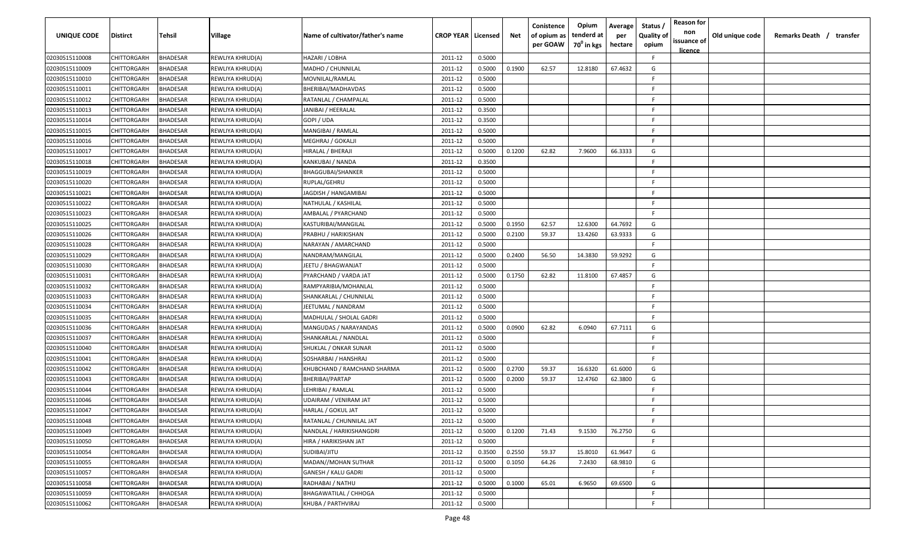| <b>UNIQUE CODE</b> | Distirct           | <b>Tehsil</b>   | Village          | Name of cultivator/father's name | <b>CROP YEAR   Licensed</b> |        | Net    | Conistence<br>of opium as<br>per GOAW | Opium<br>tenderd at<br>70 <sup>0</sup> in kgs | Average<br>per<br>hectare | Status /<br><b>Quality of</b><br>opium | <b>Reason for</b><br>non<br>issuance of<br><u>licence</u> | Old unique code | Remarks Death / transfer |  |
|--------------------|--------------------|-----------------|------------------|----------------------------------|-----------------------------|--------|--------|---------------------------------------|-----------------------------------------------|---------------------------|----------------------------------------|-----------------------------------------------------------|-----------------|--------------------------|--|
| 02030515110008     | CHITTORGARH        | <b>BHADESAR</b> | REWLIYA KHRUD(A) | HAZARI / LOBHA                   | 2011-12                     | 0.5000 |        |                                       |                                               |                           | F.                                     |                                                           |                 |                          |  |
| 02030515110009     | CHITTORGARH        | BHADESAR        | REWLIYA KHRUD(A) | MADHO / CHUNNILAL                | 2011-12                     | 0.5000 | 0.1900 | 62.57                                 | 12.8180                                       | 67.4632                   | G                                      |                                                           |                 |                          |  |
| 02030515110010     | CHITTORGARH        | BHADESAR        | REWLIYA KHRUD(A) | MOVNILAL/RAMLAL                  | 2011-12                     | 0.5000 |        |                                       |                                               |                           | E                                      |                                                           |                 |                          |  |
| 02030515110011     | CHITTORGARH        | BHADESAR        | REWLIYA KHRUD(A) | BHERIBAI/MADHAVDAS               | 2011-12                     | 0.5000 |        |                                       |                                               |                           | -F.                                    |                                                           |                 |                          |  |
| 02030515110012     | CHITTORGARH        | BHADESAR        | REWLIYA KHRUD(A) | RATANLAL / CHAMPALAL             | 2011-12                     | 0.5000 |        |                                       |                                               |                           | -F.                                    |                                                           |                 |                          |  |
| 02030515110013     | CHITTORGARH        | BHADESAR        | REWLIYA KHRUD(A) | JANIBAI / HEERALAL               | 2011-12                     | 0.3500 |        |                                       |                                               |                           | -F                                     |                                                           |                 |                          |  |
| 02030515110014     | CHITTORGARH        | BHADESAR        | REWLIYA KHRUD(A) | GOPI / UDA                       | 2011-12                     | 0.3500 |        |                                       |                                               |                           | -F                                     |                                                           |                 |                          |  |
| 02030515110015     | CHITTORGARH        | BHADESAR        | REWLIYA KHRUD(A) | MANGIBAI / RAMLAL                | 2011-12                     | 0.5000 |        |                                       |                                               |                           | -F.                                    |                                                           |                 |                          |  |
| 02030515110016     | CHITTORGARH        | BHADESAR        | REWLIYA KHRUD(A) | MEGHRAJ / GOKALJI                | 2011-12                     | 0.5000 |        |                                       |                                               |                           | -F                                     |                                                           |                 |                          |  |
| 02030515110017     | CHITTORGARH        | BHADESAR        | REWLIYA KHRUD(A) | HIRALAL / BHERAJI                | 2011-12                     | 0.5000 | 0.1200 | 62.82                                 | 7.9600                                        | 66.3333                   | G                                      |                                                           |                 |                          |  |
| 02030515110018     | CHITTORGARH        | BHADESAR        | REWLIYA KHRUD(A) | KANKUBAI / NANDA                 | 2011-12                     | 0.3500 |        |                                       |                                               |                           | -F                                     |                                                           |                 |                          |  |
| 02030515110019     | CHITTORGARH        | BHADESAR        | REWLIYA KHRUD(A) | BHAGGUBAI/SHANKER                | 2011-12                     | 0.5000 |        |                                       |                                               |                           | -F.                                    |                                                           |                 |                          |  |
| 02030515110020     | CHITTORGARH        | BHADESAR        | REWLIYA KHRUD(A) | RUPLAL/GEHRU                     | 2011-12                     | 0.5000 |        |                                       |                                               |                           | -F.                                    |                                                           |                 |                          |  |
| 02030515110021     | CHITTORGARH        | BHADESAR        | REWLIYA KHRUD(A) | JAGDISH / HANGAMIBAI             | 2011-12                     | 0.5000 |        |                                       |                                               |                           | -F.                                    |                                                           |                 |                          |  |
| 02030515110022     | CHITTORGARH        | BHADESAR        | REWLIYA KHRUD(A) | NATHULAL / KASHILAL              | 2011-12                     | 0.5000 |        |                                       |                                               |                           | -F.                                    |                                                           |                 |                          |  |
| 02030515110023     | CHITTORGARH        | BHADESAR        | REWLIYA KHRUD(A) | AMBALAL / PYARCHAND              | 2011-12                     | 0.5000 |        |                                       |                                               |                           | -F.                                    |                                                           |                 |                          |  |
| 02030515110025     | CHITTORGARH        | <b>BHADESAR</b> | REWLIYA KHRUD(A) | KASTURIBAI/MANGILAL              | 2011-12                     | 0.5000 | 0.1950 | 62.57                                 | 12.6300                                       | 64.7692                   | G                                      |                                                           |                 |                          |  |
| 02030515110026     | CHITTORGARH        | BHADESAR        | REWLIYA KHRUD(A) | PRABHU / HARIKISHAN              | 2011-12                     | 0.5000 | 0.2100 | 59.37                                 | 13.4260                                       | 63.9333                   | G                                      |                                                           |                 |                          |  |
| 02030515110028     | CHITTORGARH        | BHADESAR        | REWLIYA KHRUD(A) | NARAYAN / AMARCHAND              | 2011-12                     | 0.5000 |        |                                       |                                               |                           | -F.                                    |                                                           |                 |                          |  |
| 02030515110029     | CHITTORGARH        | BHADESAR        | REWLIYA KHRUD(A) | NANDRAM/MANGILAL                 | 2011-12                     | 0.5000 | 0.2400 | 56.50                                 | 14.3830                                       | 59.9292                   | G                                      |                                                           |                 |                          |  |
| 02030515110030     | CHITTORGARH        | BHADESAR        | REWLIYA KHRUD(A) | JEETU / BHAGWANJAT               | 2011-12                     | 0.5000 |        |                                       |                                               |                           | -F.                                    |                                                           |                 |                          |  |
| 02030515110031     | CHITTORGARH        | BHADESAR        | REWLIYA KHRUD(A) | PYARCHAND / VARDA JAT            | 2011-12                     | 0.5000 | 0.1750 | 62.82                                 | 11.8100                                       | 67.4857                   | G                                      |                                                           |                 |                          |  |
| 02030515110032     | CHITTORGARH        | BHADESAR        | REWLIYA KHRUD(A) | RAMPYARIBIA/MOHANLAL             | 2011-12                     | 0.5000 |        |                                       |                                               |                           | -F.                                    |                                                           |                 |                          |  |
| 02030515110033     | CHITTORGARH        | BHADESAR        | REWLIYA KHRUD(A) | SHANKARLAL / CHUNNILAL           | 2011-12                     | 0.5000 |        |                                       |                                               |                           | -F.                                    |                                                           |                 |                          |  |
| 02030515110034     | CHITTORGARH        | BHADESAR        | REWLIYA KHRUD(A) | JEETUMAL / NANDRAM               | 2011-12                     | 0.5000 |        |                                       |                                               |                           | -F                                     |                                                           |                 |                          |  |
| 02030515110035     | CHITTORGARH        | BHADESAR        | REWLIYA KHRUD(A) | MADHULAL / SHOLAL GADRI          | 2011-12                     | 0.5000 |        |                                       |                                               |                           | -F.                                    |                                                           |                 |                          |  |
| 02030515110036     | CHITTORGARH        | BHADESAR        | REWLIYA KHRUD(A) | MANGUDAS / NARAYANDAS            | 2011-12                     | 0.5000 | 0.0900 | 62.82                                 | 6.0940                                        | 67.7111                   | G                                      |                                                           |                 |                          |  |
| 02030515110037     | CHITTORGARH        | BHADESAR        | REWLIYA KHRUD(A) | SHANKARLAL / NANDLAL             | 2011-12                     | 0.5000 |        |                                       |                                               |                           | F.                                     |                                                           |                 |                          |  |
| 02030515110040     | CHITTORGARH        | BHADESAR        | REWLIYA KHRUD(A) | SHUKLAL / ONKAR SUNAR            | 2011-12                     | 0.5000 |        |                                       |                                               |                           | -F.                                    |                                                           |                 |                          |  |
| 02030515110041     | CHITTORGARH        | BHADESAR        | REWLIYA KHRUD(A) | SOSHARBAI / HANSHRAJ             | 2011-12                     | 0.5000 |        |                                       |                                               |                           | -F.                                    |                                                           |                 |                          |  |
| 02030515110042     | CHITTORGARH        | BHADESAR        | REWLIYA KHRUD(A) | KHUBCHAND / RAMCHAND SHARMA      | 2011-12                     | 0.5000 | 0.2700 | 59.37                                 | 16.6320                                       | 61.6000                   | G                                      |                                                           |                 |                          |  |
| 02030515110043     | CHITTORGARH        | <b>BHADESAR</b> | REWLIYA KHRUD(A) | BHERIBAI/PARTAP                  | 2011-12                     | 0.5000 | 0.2000 | 59.37                                 | 12.4760                                       | 62.3800                   | G                                      |                                                           |                 |                          |  |
| 02030515110044     | CHITTORGARH        | BHADESAR        | REWLIYA KHRUD(A) | LEHRIBAI / RAMLAL                | 2011-12                     | 0.5000 |        |                                       |                                               |                           | E                                      |                                                           |                 |                          |  |
| 02030515110046     | CHITTORGARH        | BHADESAR        | REWLIYA KHRUD(A) | UDAIRAM / VENIRAM JAT            | 2011-12                     | 0.5000 |        |                                       |                                               |                           | F                                      |                                                           |                 |                          |  |
| 02030515110047     | <b>CHITTORGARH</b> | BHADESAR        | REWLIYA KHRUD(A) | HARLAL / GOKUL JAT               | 2011-12                     | 0.5000 |        |                                       |                                               |                           | E                                      |                                                           |                 |                          |  |
| 02030515110048     | CHITTORGARH        | <b>BHADESAR</b> | REWLIYA KHRUD(A) | RATANLAL / CHUNNILAL JAT         | 2011-12                     | 0.5000 |        |                                       |                                               |                           | F.                                     |                                                           |                 |                          |  |
| 02030515110049     | <b>CHITTORGARH</b> | <b>BHADESAR</b> | REWLIYA KHRUD(A) | NANDLAL / HARIKISHANGDRI         | 2011-12                     | 0.5000 | 0.1200 | 71.43                                 | 9.1530                                        | 76.2750                   | G                                      |                                                           |                 |                          |  |
| 02030515110050     | CHITTORGARH        | <b>BHADESAR</b> | REWLIYA KHRUD(A) | HIRA / HARIKISHAN JAT            | 2011-12                     | 0.5000 |        |                                       |                                               |                           | F.                                     |                                                           |                 |                          |  |
| 02030515110054     | <b>CHITTORGARH</b> | <b>BHADESAR</b> | REWLIYA KHRUD(A) | SUDIBAI/JITU                     | 2011-12                     | 0.3500 | 0.2550 | 59.37                                 | 15.8010                                       | 61.9647                   | G                                      |                                                           |                 |                          |  |
| 02030515110055     | CHITTORGARH        | <b>BHADESAR</b> | REWLIYA KHRUD(A) | MADAN//MOHAN SUTHAR              | 2011-12                     | 0.5000 | 0.1050 | 64.26                                 | 7.2430                                        | 68.9810                   | G                                      |                                                           |                 |                          |  |
| 02030515110057     | <b>CHITTORGARH</b> | <b>BHADESAR</b> | REWLIYA KHRUD(A) | <b>GANESH / KALU GADRI</b>       | 2011-12                     | 0.5000 |        |                                       |                                               |                           | F.                                     |                                                           |                 |                          |  |
| 02030515110058     | CHITTORGARH        | <b>BHADESAR</b> | REWLIYA KHRUD(A) | RADHABAI / NATHU                 | 2011-12                     | 0.5000 | 0.1000 | 65.01                                 | 6.9650                                        | 69.6500                   | G                                      |                                                           |                 |                          |  |
| 02030515110059     | <b>CHITTORGARH</b> | <b>BHADESAR</b> | REWLIYA KHRUD(A) | BHAGAWATILAL / CHHOGA            | 2011-12                     | 0.5000 |        |                                       |                                               |                           | F.                                     |                                                           |                 |                          |  |
| 02030515110062     | CHITTORGARH        | BHADESAR        | REWLIYA KHRUD(A) | KHUBA / PARTHVIRAJ               | 2011-12                     | 0.5000 |        |                                       |                                               |                           | F                                      |                                                           |                 |                          |  |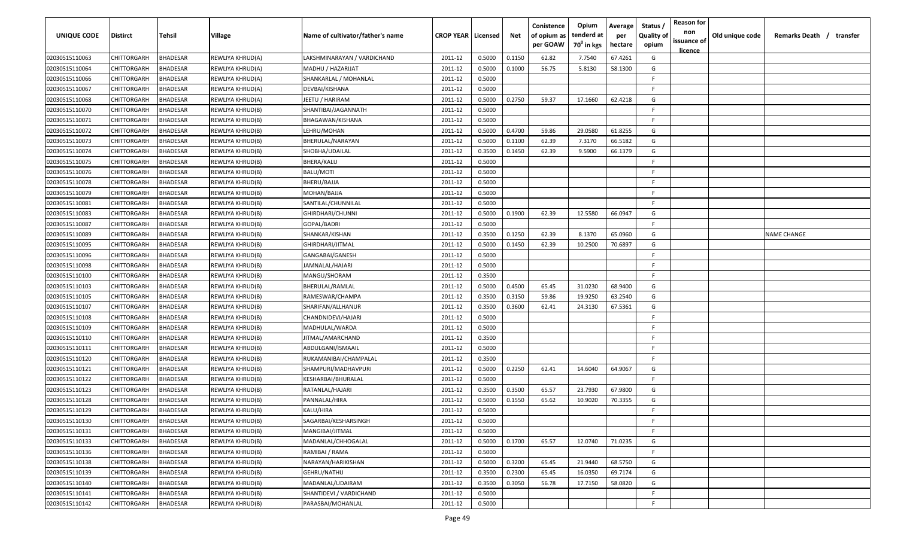| <b>UNIQUE CODE</b> | <b>Distirct</b>    | <b>Tehsil</b>   | Village          | Name of cultivator/father's name | <b>CROP YEAR   Licensed</b> |        | Net    | Conistence<br>of opium as<br>per GOAW | Opium<br>tenderd at<br>70 <sup>0</sup> in kgs | Average<br>per<br>hectare | Status /<br>Quality of<br>opium | <b>Reason for</b><br>non<br>issuance of | Old unique code | Remarks Death /<br>transfer |
|--------------------|--------------------|-----------------|------------------|----------------------------------|-----------------------------|--------|--------|---------------------------------------|-----------------------------------------------|---------------------------|---------------------------------|-----------------------------------------|-----------------|-----------------------------|
| 02030515110063     | CHITTORGARH        | <b>BHADESAR</b> | REWLIYA KHRUD(A) | LAKSHMINARAYAN / VARDICHAND      | 2011-12                     | 0.5000 | 0.1150 | 62.82                                 | 7.7540                                        | 67.4261                   | G                               | <u>licence</u>                          |                 |                             |
| 02030515110064     | CHITTORGARH        | BHADESAR        | REWLIYA KHRUD(A) | MADHU / HAZARIJAT                | 2011-12                     | 0.5000 | 0.1000 | 56.75                                 | 5.8130                                        | 58.1300                   | G                               |                                         |                 |                             |
| 02030515110066     | CHITTORGARH        | BHADESAR        | REWLIYA KHRUD(A) | SHANKARLAL / MOHANLAL            | 2011-12                     | 0.5000 |        |                                       |                                               |                           | -F.                             |                                         |                 |                             |
| 02030515110067     | CHITTORGARH        | BHADESAR        | REWLIYA KHRUD(A) | DEVBAI/KISHANA                   | 2011-12                     | 0.5000 |        |                                       |                                               |                           | -F.                             |                                         |                 |                             |
| 02030515110068     | CHITTORGARH        | BHADESAR        | REWLIYA KHRUD(A) | JEETU / HARIRAM                  | 2011-12                     | 0.5000 | 0.2750 | 59.37                                 | 17.1660                                       | 62.4218                   | G                               |                                         |                 |                             |
| 02030515110070     | CHITTORGARH        | BHADESAR        | REWLIYA KHRUD(B) | SHANTIBAI/JAGANNATH              | 2011-12                     | 0.5000 |        |                                       |                                               |                           | -F.                             |                                         |                 |                             |
| 02030515110071     | CHITTORGARH        | BHADESAR        | REWLIYA KHRUD(B) | BHAGAWAN/KISHANA                 | 2011-12                     | 0.5000 |        |                                       |                                               |                           | -F                              |                                         |                 |                             |
| 02030515110072     | CHITTORGARH        | BHADESAR        | REWLIYA KHRUD(B) | LEHRU/MOHAN                      | 2011-12                     | 0.5000 | 0.4700 | 59.86                                 | 29.0580                                       | 61.8255                   | G                               |                                         |                 |                             |
| 02030515110073     | CHITTORGARH        | BHADESAR        | REWLIYA KHRUD(B) | BHERULAL/NARAYAN                 | 2011-12                     | 0.5000 | 0.1100 | 62.39                                 | 7.3170                                        | 66.5182                   | G                               |                                         |                 |                             |
| 02030515110074     | CHITTORGARH        | BHADESAR        | REWLIYA KHRUD(B) | SHOBHA/UDAILAL                   | 2011-12                     | 0.3500 | 0.1450 | 62.39                                 | 9.5900                                        | 66.1379                   | G                               |                                         |                 |                             |
| 02030515110075     | CHITTORGARH        | BHADESAR        | REWLIYA KHRUD(B) | BHERA/KALU                       | 2011-12                     | 0.5000 |        |                                       |                                               |                           | -F                              |                                         |                 |                             |
| 02030515110076     | CHITTORGARH        | BHADESAR        | REWLIYA KHRUD(B) | BALU/MOTI                        | 2011-12                     | 0.5000 |        |                                       |                                               |                           | -F.                             |                                         |                 |                             |
| 02030515110078     | CHITTORGARH        | BHADESAR        | REWLIYA KHRUD(B) | BHERU/BAJJA                      | 2011-12                     | 0.5000 |        |                                       |                                               |                           | -F.                             |                                         |                 |                             |
| 02030515110079     | CHITTORGARH        | BHADESAR        | REWLIYA KHRUD(B) | MOHAN/BAJJA                      | 2011-12                     | 0.5000 |        |                                       |                                               |                           | -F.                             |                                         |                 |                             |
| 02030515110081     | CHITTORGARH        | BHADESAR        | REWLIYA KHRUD(B) | SANTILAL/CHUNNILAL               | 2011-12                     | 0.5000 |        |                                       |                                               |                           | -F.                             |                                         |                 |                             |
| 02030515110083     | CHITTORGARH        | BHADESAR        | REWLIYA KHRUD(B) | GHIRDHARI/CHUNNI                 | 2011-12                     | 0.5000 | 0.1900 | 62.39                                 | 12.5580                                       | 66.0947                   | G                               |                                         |                 |                             |
| 02030515110087     | CHITTORGARH        | <b>BHADESAR</b> | REWLIYA KHRUD(B) | GOPAL/BADRI                      | 2011-12                     | 0.5000 |        |                                       |                                               |                           | -F.                             |                                         |                 |                             |
| 02030515110089     | CHITTORGARH        | BHADESAR        | REWLIYA KHRUD(B) | SHANKAR/KISHAN                   | 2011-12                     | 0.3500 | 0.1250 | 62.39                                 | 8.1370                                        | 65.0960                   | G                               |                                         |                 | <b>NAME CHANGE</b>          |
| 02030515110095     | CHITTORGARH        | BHADESAR        | REWLIYA KHRUD(B) | GHIRDHARI/JITMAL                 | 2011-12                     | 0.5000 | 0.1450 | 62.39                                 | 10.2500                                       | 70.6897                   | G                               |                                         |                 |                             |
| 02030515110096     | CHITTORGARH        | BHADESAR        | REWLIYA KHRUD(B) | GANGABAI/GANESH                  | 2011-12                     | 0.5000 |        |                                       |                                               |                           | -F.                             |                                         |                 |                             |
| 02030515110098     | CHITTORGARH        | BHADESAR        | REWLIYA KHRUD(B) | JAMNALAL/HAJARI                  | 2011-12                     | 0.5000 |        |                                       |                                               |                           | -F.                             |                                         |                 |                             |
| 02030515110100     | CHITTORGARH        | BHADESAR        | REWLIYA KHRUD(B) | MANGU/SHORAM                     | 2011-12                     | 0.3500 |        |                                       |                                               |                           | -F.                             |                                         |                 |                             |
| 02030515110103     | CHITTORGARH        | BHADESAR        | REWLIYA KHRUD(B) | BHERULAL/RAMLAL                  | 2011-12                     | 0.5000 | 0.4500 | 65.45                                 | 31.0230                                       | 68.9400                   | G                               |                                         |                 |                             |
| 02030515110105     | CHITTORGARH        | BHADESAR        | REWLIYA KHRUD(B) | RAMESWAR/CHAMPA                  | 2011-12                     | 0.3500 | 0.3150 | 59.86                                 | 19.9250                                       | 63.2540                   | G                               |                                         |                 |                             |
| 02030515110107     | CHITTORGARH        | BHADESAR        | REWLIYA KHRUD(B) | SHARIFAN/ALLHANUR                | 2011-12                     | 0.3500 | 0.3600 | 62.41                                 | 24.3130                                       | 67.5361                   | G                               |                                         |                 |                             |
| 02030515110108     | CHITTORGARH        | BHADESAR        | REWLIYA KHRUD(B) | CHANDNIDEVI/HAJARI               | 2011-12                     | 0.5000 |        |                                       |                                               |                           | -F.                             |                                         |                 |                             |
| 02030515110109     | CHITTORGARH        | BHADESAR        | REWLIYA KHRUD(B) | MADHULAL/WARDA                   | 2011-12                     | 0.5000 |        |                                       |                                               |                           | -F.                             |                                         |                 |                             |
| 02030515110110     | CHITTORGARH        | BHADESAR        | REWLIYA KHRUD(B) | JITMAL/AMARCHAND                 | 2011-12                     | 0.3500 |        |                                       |                                               |                           | F.                              |                                         |                 |                             |
| 02030515110111     | CHITTORGARH        | BHADESAR        | REWLIYA KHRUD(B) | ABDULGANI/ISMAAIL                | 2011-12                     | 0.5000 |        |                                       |                                               |                           | -F.                             |                                         |                 |                             |
| 02030515110120     | CHITTORGARH        | BHADESAR        | REWLIYA KHRUD(B) | RUKAMANIBAI/CHAMPALAL            | 2011-12                     | 0.3500 |        |                                       |                                               |                           | -F.                             |                                         |                 |                             |
| 02030515110121     | CHITTORGARH        | BHADESAR        | REWLIYA KHRUD(B) | SHAMPURI/MADHAVPURI              | 2011-12                     | 0.5000 | 0.2250 | 62.41                                 | 14.6040                                       | 64.9067                   | G                               |                                         |                 |                             |
| 02030515110122     | CHITTORGARH        | <b>BHADESAR</b> | REWLIYA KHRUD(B) | KESHARBAI/BHURALAL               | 2011-12                     | 0.5000 |        |                                       |                                               |                           | F.                              |                                         |                 |                             |
| 02030515110123     | CHITTORGARH        | BHADESAR        | REWLIYA KHRUD(B) | RATANLAL/HAJARI                  | 2011-12                     | 0.3500 | 0.3500 | 65.57                                 | 23.7930                                       | 67.9800                   | G                               |                                         |                 |                             |
| 02030515110128     | CHITTORGARH        | BHADESAR        | REWLIYA KHRUD(B) | PANNALAL/HIRA                    | 2011-12                     | 0.5000 | 0.1550 | 65.62                                 | 10.9020                                       | 70.3355                   | G                               |                                         |                 |                             |
| 02030515110129     | <b>CHITTORGARH</b> | BHADESAR        | REWLIYA KHRUD(B) | KALU/HIRA                        | 2011-12                     | 0.5000 |        |                                       |                                               |                           | E                               |                                         |                 |                             |
| 02030515110130     | CHITTORGARH        | <b>BHADESAR</b> | REWLIYA KHRUD(B) | SAGARBAI/KESHARSINGH             | 2011-12                     | 0.5000 |        |                                       |                                               |                           | F                               |                                         |                 |                             |
| 02030515110131     | <b>CHITTORGARH</b> | <b>BHADESAR</b> | REWLIYA KHRUD(B) | MANGIBAI/JITMAL                  | 2011-12                     | 0.5000 |        |                                       |                                               |                           | F                               |                                         |                 |                             |
| 02030515110133     | CHITTORGARH        | <b>BHADESAR</b> | REWLIYA KHRUD(B) | MADANLAL/CHHOGALAL               | 2011-12                     | 0.5000 | 0.1700 | 65.57                                 | 12.0740                                       | 71.0235                   | G                               |                                         |                 |                             |
| 02030515110136     | CHITTORGARH        | <b>BHADESAR</b> | REWLIYA KHRUD(B) | RAMIBAI / RAMA                   | 2011-12                     | 0.5000 |        |                                       |                                               |                           | F.                              |                                         |                 |                             |
| 02030515110138     | CHITTORGARH        | <b>BHADESAR</b> | REWLIYA KHRUD(B) | NARAYAN/HARIKISHAN               | 2011-12                     | 0.5000 | 0.3200 | 65.45                                 | 21.9440                                       | 68.5750                   | G                               |                                         |                 |                             |
| 02030515110139     | CHITTORGARH        | <b>BHADESAR</b> | REWLIYA KHRUD(B) | GEHRU/NATHU                      | 2011-12                     | 0.3500 | 0.2300 | 65.45                                 | 16.0350                                       | 69.7174                   | G                               |                                         |                 |                             |
| 02030515110140     | CHITTORGARH        | <b>BHADESAR</b> | REWLIYA KHRUD(B) | MADANLAL/UDAIRAM                 | 2011-12                     | 0.3500 | 0.3050 | 56.78                                 | 17.7150                                       | 58.0820                   | G                               |                                         |                 |                             |
| 02030515110141     | CHITTORGARH        | <b>BHADESAR</b> | REWLIYA KHRUD(B) | SHANTIDEVI / VARDICHAND          | 2011-12                     | 0.5000 |        |                                       |                                               |                           | F.                              |                                         |                 |                             |
| 02030515110142     | CHITTORGARH        | <b>BHADESAR</b> | REWLIYA KHRUD(B) | PARASBAI/MOHANLAL                | 2011-12                     | 0.5000 |        |                                       |                                               |                           | $\mathsf{F}$                    |                                         |                 |                             |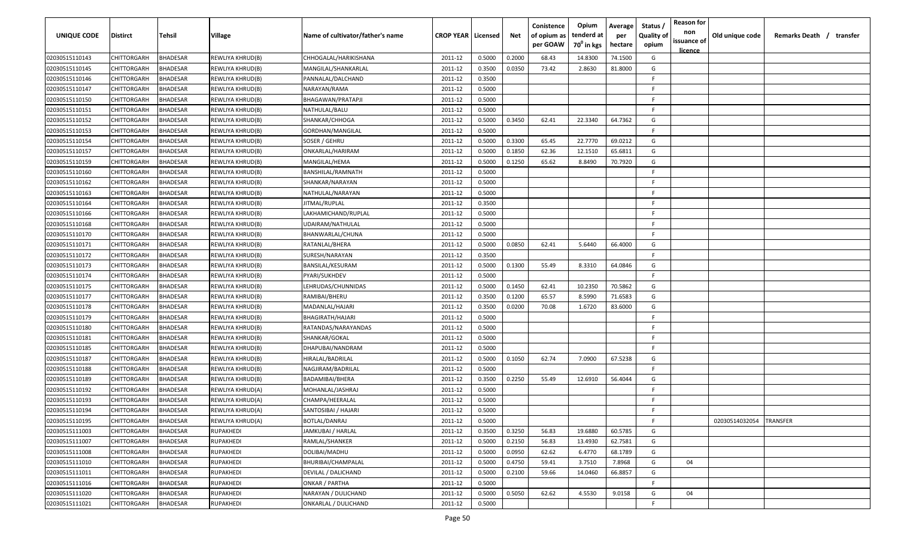| <b>UNIQUE CODE</b> | <b>Distirct</b>    | <b>Tehsil</b>   | Village          | Name of cultivator/father's name | <b>CROP YEAR   Licensed</b> |        | Net    | Conistence<br>of opium as<br>per GOAW | Opium<br>tenderd at<br>70 <sup>0</sup> in kgs | Average<br>per<br>hectare | Status /<br>Quality of<br>opium | <b>Reason for</b><br>non<br>issuance of<br><u>licence</u> | Old unique code | Remarks Death /<br>transfer |
|--------------------|--------------------|-----------------|------------------|----------------------------------|-----------------------------|--------|--------|---------------------------------------|-----------------------------------------------|---------------------------|---------------------------------|-----------------------------------------------------------|-----------------|-----------------------------|
| 02030515110143     | CHITTORGARH        | <b>BHADESAR</b> | REWLIYA KHRUD(B) | CHHOGALAL/HARIKISHANA            | 2011-12                     | 0.5000 | 0.2000 | 68.43                                 | 14.8300                                       | 74.1500                   | G                               |                                                           |                 |                             |
| 02030515110145     | CHITTORGARH        | BHADESAR        | REWLIYA KHRUD(B) | MANGILAL/SHANKARLAL              | 2011-12                     | 0.3500 | 0.0350 | 73.42                                 | 2.8630                                        | 81.8000                   | G                               |                                                           |                 |                             |
| 02030515110146     | CHITTORGARH        | BHADESAR        | REWLIYA KHRUD(B) | PANNALAL/DALCHAND                | 2011-12                     | 0.3500 |        |                                       |                                               |                           | E                               |                                                           |                 |                             |
| 02030515110147     | CHITTORGARH        | BHADESAR        | REWLIYA KHRUD(B) | NARAYAN/RAMA                     | 2011-12                     | 0.5000 |        |                                       |                                               |                           | -F.                             |                                                           |                 |                             |
| 02030515110150     | CHITTORGARH        | BHADESAR        | REWLIYA KHRUD(B) | BHAGAWAN/PRATAPJI                | 2011-12                     | 0.5000 |        |                                       |                                               |                           | -F.                             |                                                           |                 |                             |
| 02030515110151     | CHITTORGARH        | BHADESAR        | REWLIYA KHRUD(B) | NATHULAL/BALU                    | 2011-12                     | 0.5000 |        |                                       |                                               |                           | -F                              |                                                           |                 |                             |
| 02030515110152     | CHITTORGARH        | BHADESAR        | REWLIYA KHRUD(B) | SHANKAR/CHHOGA                   | 2011-12                     | 0.5000 | 0.3450 | 62.41                                 | 22.3340                                       | 64.7362                   | G                               |                                                           |                 |                             |
| 02030515110153     | CHITTORGARH        | BHADESAR        | REWLIYA KHRUD(B) | GORDHAN/MANGILAL                 | 2011-12                     | 0.5000 |        |                                       |                                               |                           | -F.                             |                                                           |                 |                             |
| 02030515110154     | CHITTORGARH        | BHADESAR        | REWLIYA KHRUD(B) | SOSER / GEHRU                    | 2011-12                     | 0.5000 | 0.3300 | 65.45                                 | 22.7770                                       | 69.0212                   | G                               |                                                           |                 |                             |
| 02030515110157     | CHITTORGARH        | BHADESAR        | REWLIYA KHRUD(B) | ONKARLAL/HARIRAM                 | 2011-12                     | 0.5000 | 0.1850 | 62.36                                 | 12.1510                                       | 65.6811                   | G                               |                                                           |                 |                             |
| 02030515110159     | CHITTORGARH        | BHADESAR        | REWLIYA KHRUD(B) | MANGILAL/HEMA                    | 2011-12                     | 0.5000 | 0.1250 | 65.62                                 | 8.8490                                        | 70.7920                   | G                               |                                                           |                 |                             |
| 02030515110160     | CHITTORGARH        | BHADESAR        | REWLIYA KHRUD(B) | BANSHILAL/RAMNATH                | 2011-12                     | 0.5000 |        |                                       |                                               |                           | -F.                             |                                                           |                 |                             |
| 02030515110162     | CHITTORGARH        | BHADESAR        | REWLIYA KHRUD(B) | SHANKAR/NARAYAN                  | 2011-12                     | 0.5000 |        |                                       |                                               |                           | -F.                             |                                                           |                 |                             |
| 02030515110163     | CHITTORGARH        | BHADESAR        | REWLIYA KHRUD(B) | NATHULAL/NARAYAN                 | 2011-12                     | 0.5000 |        |                                       |                                               |                           | -F.                             |                                                           |                 |                             |
| 02030515110164     | CHITTORGARH        | BHADESAR        | REWLIYA KHRUD(B) | JITMAL/RUPLAL                    | 2011-12                     | 0.3500 |        |                                       |                                               |                           | -F.                             |                                                           |                 |                             |
| 02030515110166     | CHITTORGARH        | BHADESAR        | REWLIYA KHRUD(B) | LAKHAMICHAND/RUPLAL              | 2011-12                     | 0.5000 |        |                                       |                                               |                           | -F.                             |                                                           |                 |                             |
| 02030515110168     | CHITTORGARH        | BHADESAR        | REWLIYA KHRUD(B) | UDAIRAM/NATHULAL                 | 2011-12                     | 0.5000 |        |                                       |                                               |                           | -F.                             |                                                           |                 |                             |
| 02030515110170     | CHITTORGARH        | BHADESAR        | REWLIYA KHRUD(B) | BHANWARLAL/CHUNA                 | 2011-12                     | 0.5000 |        |                                       |                                               |                           | -F.                             |                                                           |                 |                             |
| 02030515110171     | CHITTORGARH        | BHADESAR        | REWLIYA KHRUD(B) | RATANLAL/BHERA                   | 2011-12                     | 0.5000 | 0.0850 | 62.41                                 | 5.6440                                        | 66.4000                   | G                               |                                                           |                 |                             |
| 02030515110172     | CHITTORGARH        | BHADESAR        | REWLIYA KHRUD(B) | SURESH/NARAYAN                   | 2011-12                     | 0.3500 |        |                                       |                                               |                           | -F.                             |                                                           |                 |                             |
| 02030515110173     | CHITTORGARH        | BHADESAR        | REWLIYA KHRUD(B) | BANSILAL/KESURAM                 | 2011-12                     | 0.5000 | 0.1300 | 55.49                                 | 8.3310                                        | 64.0846                   | G                               |                                                           |                 |                             |
| 02030515110174     | CHITTORGARH        | BHADESAR        | REWLIYA KHRUD(B) | PYARI/SUKHDEV                    | 2011-12                     | 0.5000 |        |                                       |                                               |                           | -F.                             |                                                           |                 |                             |
| 02030515110175     | CHITTORGARH        | BHADESAR        | REWLIYA KHRUD(B) | LEHRUDAS/CHUNNIDAS               | 2011-12                     | 0.5000 | 0.1450 | 62.41                                 | 10.2350                                       | 70.5862                   | G                               |                                                           |                 |                             |
| 02030515110177     | CHITTORGARH        | BHADESAR        | REWLIYA KHRUD(B) | RAMIBAI/BHERU                    | 2011-12                     | 0.3500 | 0.1200 | 65.57                                 | 8.5990                                        | 71.6583                   | G                               |                                                           |                 |                             |
| 02030515110178     | CHITTORGARH        | BHADESAR        | REWLIYA KHRUD(B) | MADANLAL/HAJARI                  | 2011-12                     | 0.3500 | 0.0200 | 70.08                                 | 1.6720                                        | 83.6000                   | G                               |                                                           |                 |                             |
| 02030515110179     | CHITTORGARH        | BHADESAR        | REWLIYA KHRUD(B) | BHAGIRATH/HAJARI                 | 2011-12                     | 0.5000 |        |                                       |                                               |                           | -F.                             |                                                           |                 |                             |
| 02030515110180     | CHITTORGARH        | BHADESAR        | REWLIYA KHRUD(B) | RATANDAS/NARAYANDAS              | 2011-12                     | 0.5000 |        |                                       |                                               |                           | -F.                             |                                                           |                 |                             |
| 02030515110181     | CHITTORGARH        | BHADESAR        | REWLIYA KHRUD(B) | SHANKAR/GOKAL                    | 2011-12                     | 0.5000 |        |                                       |                                               |                           | F.                              |                                                           |                 |                             |
| 02030515110185     | CHITTORGARH        | BHADESAR        | REWLIYA KHRUD(B) | DHAPUBAI/NANDRAM                 | 2011-12                     | 0.5000 |        |                                       |                                               |                           | -F.                             |                                                           |                 |                             |
| 02030515110187     | CHITTORGARH        | BHADESAR        | REWLIYA KHRUD(B) | HIRALAL/BADRILAL                 | 2011-12                     | 0.5000 | 0.1050 | 62.74                                 | 7.0900                                        | 67.5238                   | G                               |                                                           |                 |                             |
| 02030515110188     | CHITTORGARH        | BHADESAR        | REWLIYA KHRUD(B) | NAGJIRAM/BADRILAL                | 2011-12                     | 0.5000 |        |                                       |                                               |                           | -F.                             |                                                           |                 |                             |
| 02030515110189     | CHITTORGARH        | <b>BHADESAR</b> | REWLIYA KHRUD(B) | BADAMIBAI/BHERA                  | 2011-12                     | 0.3500 | 0.2250 | 55.49                                 | 12.6910                                       | 56.4044                   | G                               |                                                           |                 |                             |
| 02030515110192     | CHITTORGARH        | BHADESAR        | REWLIYA KHRUD(A) | MOHANLAL/JASHRAJ                 | 2011-12                     | 0.5000 |        |                                       |                                               |                           | -F.                             |                                                           |                 |                             |
| 02030515110193     | CHITTORGARH        | BHADESAR        | REWLIYA KHRUD(A) | CHAMPA/HEERALAL                  | 2011-12                     | 0.5000 |        |                                       |                                               |                           | E                               |                                                           |                 |                             |
| 02030515110194     | <b>CHITTORGARH</b> | BHADESAR        | REWLIYA KHRUD(A) | SANTOSIBAI / HAJARI              | 2011-12                     | 0.5000 |        |                                       |                                               |                           | E                               |                                                           |                 |                             |
| 02030515110195     | CHITTORGARH        | <b>BHADESAR</b> | REWLIYA KHRUD(A) | <b>BOTLAL/DANRAJ</b>             | 2011-12                     | 0.5000 |        |                                       |                                               |                           | F                               |                                                           | 02030514032054  | TRANSFER                    |
| 02030515111003     | <b>CHITTORGARH</b> | <b>BHADESAR</b> | RUPAKHEDI        | JAMKUBAI / HARLAL                | 2011-12                     | 0.3500 | 0.3250 | 56.83                                 | 19.6880                                       | 60.5785                   | G                               |                                                           |                 |                             |
| 02030515111007     | CHITTORGARH        | <b>BHADESAR</b> | RUPAKHEDI        | RAMLAL/SHANKER                   | 2011-12                     | 0.5000 | 0.2150 | 56.83                                 | 13.4930                                       | 62.7581                   | G                               |                                                           |                 |                             |
| 02030515111008     | CHITTORGARH        | <b>BHADESAR</b> | RUPAKHEDI        | DOLIBAI/MADHU                    | 2011-12                     | 0.5000 | 0.0950 | 62.62                                 | 6.4770                                        | 68.1789                   | G                               |                                                           |                 |                             |
| 02030515111010     | CHITTORGARH        | <b>BHADESAR</b> | RUPAKHEDI        | BHURIBAI/CHAMPALAL               | 2011-12                     | 0.5000 | 0.4750 | 59.41                                 | 3.7510                                        | 7.8968                    | G                               | 04                                                        |                 |                             |
| 02030515111011     | CHITTORGARH        | <b>BHADESAR</b> | RUPAKHEDI        | DEVILAL / DALICHAND              | 2011-12                     | 0.5000 | 0.2100 | 59.66                                 | 14.0460                                       | 66.8857                   | G                               |                                                           |                 |                             |
| 02030515111016     | CHITTORGARH        | <b>BHADESAR</b> | RUPAKHEDI        | <b>ONKAR / PARTHA</b>            | 2011-12                     | 0.5000 |        |                                       |                                               |                           | F                               |                                                           |                 |                             |
| 02030515111020     | <b>CHITTORGARH</b> | <b>BHADESAR</b> | RUPAKHEDI        | NARAYAN / DULICHAND              | 2011-12                     | 0.5000 | 0.5050 | 62.62                                 | 4.5530                                        | 9.0158                    | G                               | 04                                                        |                 |                             |
| 02030515111021     | CHITTORGARH        | <b>BHADESAR</b> | RUPAKHEDI        | ONKARLAL / DULICHAND             | 2011-12                     | 0.5000 |        |                                       |                                               |                           | F.                              |                                                           |                 |                             |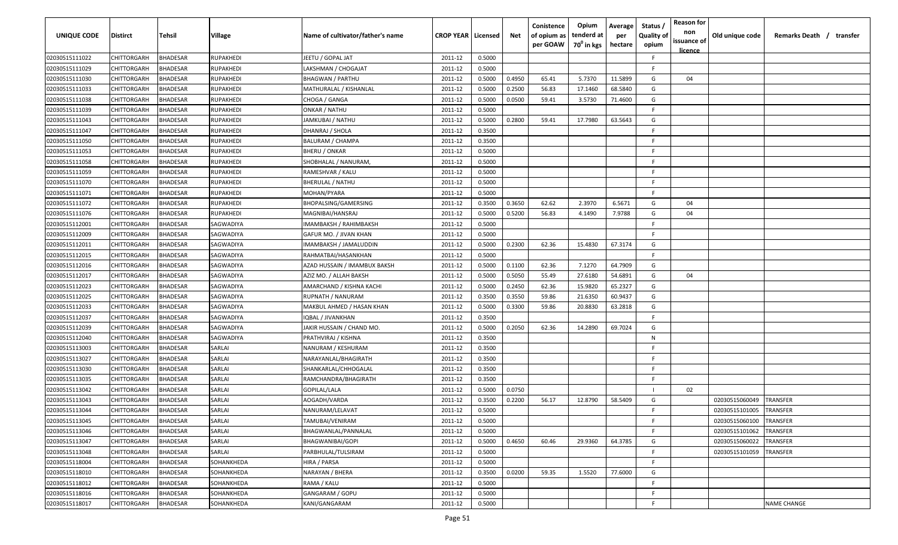| <b>UNIQUE CODE</b> | Distirct           | Tehsil          | Village          | Name of cultivator/father's name | <b>CROP YEAR Licensed</b> |        | Net    | Conistence<br>of opium as | Opium<br>tenderd at    | Average<br>per | Status /<br><b>Quality of</b> | <b>Reason for</b><br>non<br>issuance of | Old unique code | Remarks Death / transfer |
|--------------------|--------------------|-----------------|------------------|----------------------------------|---------------------------|--------|--------|---------------------------|------------------------|----------------|-------------------------------|-----------------------------------------|-----------------|--------------------------|
|                    |                    |                 |                  |                                  |                           |        |        | per GOAW                  | 70 <sup>0</sup> in kgs | hectare        | opium                         | <u>licence</u>                          |                 |                          |
| 02030515111022     | CHITTORGARH        | <b>BHADESAR</b> | <b>RUPAKHEDI</b> | JEETU / GOPAL JAT                | 2011-12                   | 0.5000 |        |                           |                        |                | F                             |                                         |                 |                          |
| 02030515111029     | CHITTORGARH        | BHADESAR        | RUPAKHEDI        | LAKSHMAN / CHOGAJAT              | 2011-12                   | 0.5000 |        |                           |                        |                | -F.                           |                                         |                 |                          |
| 02030515111030     | CHITTORGARH        | BHADESAR        | RUPAKHEDI        | <b>BHAGWAN / PARTHU</b>          | 2011-12                   | 0.5000 | 0.4950 | 65.41                     | 5.7370                 | 11.5899        | G                             | 04                                      |                 |                          |
| 02030515111033     | CHITTORGARH        | <b>BHADESAR</b> | RUPAKHEDI        | MATHURALAL / KISHANLAL           | 2011-12                   | 0.5000 | 0.2500 | 56.83                     | 17.1460                | 68.5840        | G                             |                                         |                 |                          |
| 02030515111038     | CHITTORGARH        | BHADESAR        | RUPAKHEDI        | CHOGA / GANGA                    | 2011-12                   | 0.5000 | 0.0500 | 59.41                     | 3.5730                 | 71.4600        | G                             |                                         |                 |                          |
| 02030515111039     | CHITTORGARH        | <b>BHADESAR</b> | RUPAKHEDI        | ONKAR / NATHU                    | 2011-12                   | 0.5000 |        |                           |                        |                | E                             |                                         |                 |                          |
| 02030515111043     | CHITTORGARH        | <b>BHADESAR</b> | RUPAKHEDI        | JAMKUBAI / NATHU                 | 2011-12                   | 0.5000 | 0.2800 | 59.41                     | 17.7980                | 63.5643        | G                             |                                         |                 |                          |
| 02030515111047     | CHITTORGARH        | BHADESAR        | RUPAKHEDI        | DHANRAJ / SHOLA                  | 2011-12                   | 0.3500 |        |                           |                        |                | -F.                           |                                         |                 |                          |
| 02030515111050     | CHITTORGARH        | BHADESAR        | RUPAKHEDI        | <b>BALURAM / CHAMPA</b>          | 2011-12                   | 0.3500 |        |                           |                        |                | -F.                           |                                         |                 |                          |
| 02030515111053     | CHITTORGARH        | BHADESAR        | RUPAKHEDI        | <b>BHERU / ONKAR</b>             | 2011-12                   | 0.5000 |        |                           |                        |                | F.                            |                                         |                 |                          |
| 02030515111058     | CHITTORGARH        | BHADESAR        | RUPAKHEDI        | SHOBHALAL / NANURAM,             | 2011-12                   | 0.5000 |        |                           |                        |                | -F.                           |                                         |                 |                          |
| 02030515111059     | CHITTORGARH        | BHADESAR        | RUPAKHEDI        | RAMESHVAR / KALU                 | 2011-12                   | 0.5000 |        |                           |                        |                | F.                            |                                         |                 |                          |
| 02030515111070     | CHITTORGARH        | BHADESAR        | RUPAKHEDI        | <b>BHERULAL / NATHU</b>          | 2011-12                   | 0.5000 |        |                           |                        |                | -F.                           |                                         |                 |                          |
| 02030515111071     | CHITTORGARH        | <b>BHADESAR</b> | RUPAKHEDI        | MOHAN/PYARA                      | 2011-12                   | 0.5000 |        |                           |                        |                | F.                            |                                         |                 |                          |
| 02030515111072     | CHITTORGARH        | BHADESAR        | RUPAKHEDI        | BHOPALSING/GAMERSING             | 2011-12                   | 0.3500 | 0.3650 | 62.62                     | 2.3970                 | 6.5671         | G                             | 04                                      |                 |                          |
| 02030515111076     | CHITTORGARH        | <b>BHADESAR</b> | RUPAKHEDI        | MAGNIBAI/HANSRAJ                 | 2011-12                   | 0.5000 | 0.5200 | 56.83                     | 4.1490                 | 7.9788         | G                             | 04                                      |                 |                          |
| 02030515112001     | CHITTORGARH        | <b>BHADESAR</b> | SAGWADIYA        | IMAMBAKSH / RAHIMBAKSH           | 2011-12                   | 0.5000 |        |                           |                        |                | -F.                           |                                         |                 |                          |
| 02030515112009     | CHITTORGARH        | <b>BHADESAR</b> | SAGWADIYA        | GAFUR MO. / JIVAN KHAN           | 2011-12                   | 0.5000 |        |                           |                        |                | F.                            |                                         |                 |                          |
| 02030515112011     | CHITTORGARH        | BHADESAR        | SAGWADIYA        | IMAMBAKSH / JAMALUDDIN           | 2011-12                   | 0.5000 | 0.2300 | 62.36                     | 15.4830                | 67.3174        | G                             |                                         |                 |                          |
| 02030515112015     | CHITTORGARH        | <b>BHADESAR</b> | SAGWADIYA        | RAHMATBAI/HASANKHAN              | 2011-12                   | 0.5000 |        |                           |                        |                | F.                            |                                         |                 |                          |
| 02030515112016     | CHITTORGARH        | <b>BHADESAR</b> | SAGWADIYA        | AZAD HUSSAIN / IMAMBUX BAKSH     | 2011-12                   | 0.5000 | 0.1100 | 62.36                     | 7.1270                 | 64.7909        | G                             |                                         |                 |                          |
| 02030515112017     | CHITTORGARH        | <b>BHADESAR</b> | SAGWADIYA        | AZIZ MO. / ALLAH BAKSH           | 2011-12                   | 0.5000 | 0.5050 | 55.49                     | 27.6180                | 54.6891        | G                             | 04                                      |                 |                          |
| 02030515112023     | CHITTORGARH        | <b>BHADESAR</b> | SAGWADIYA        | AMARCHAND / KISHNA KACHI         | 2011-12                   | 0.5000 | 0.2450 | 62.36                     | 15.9820                | 65.2327        | G                             |                                         |                 |                          |
| 02030515112025     | CHITTORGARH        | <b>BHADESAR</b> | SAGWADIYA        | RUPNATH / NANURAM                | 2011-12                   | 0.3500 | 0.3550 | 59.86                     | 21.6350                | 60.9437        | G                             |                                         |                 |                          |
| 02030515112033     | CHITTORGARH        | BHADESAR        | SAGWADIYA        | MAKBUL AHMED / HASAN KHAN        | 2011-12                   | 0.5000 | 0.3300 | 59.86                     | 20.8830                | 63.2818        | G                             |                                         |                 |                          |
| 02030515112037     | CHITTORGARH        | BHADESAR        | SAGWADIYA        | IQBAL / JIVANKHAN                | 2011-12                   | 0.3500 |        |                           |                        |                | -F.                           |                                         |                 |                          |
| 02030515112039     | CHITTORGARH        | BHADESAR        | SAGWADIYA        | JAKIR HUSSAIN / CHAND MO.        | 2011-12                   | 0.5000 | 0.2050 | 62.36                     | 14.2890                | 69.7024        | G                             |                                         |                 |                          |
| 02030515112040     | CHITTORGARH        | BHADESAR        | SAGWADIYA        | PRATHVIRAJ / KISHNA              | 2011-12                   | 0.3500 |        |                           |                        |                | N                             |                                         |                 |                          |
| 02030515113003     | CHITTORGARH        | BHADESAR        | SARLAI           | NANURAM / KESHURAM               | 2011-12                   | 0.3500 |        |                           |                        |                | -F.                           |                                         |                 |                          |
| 02030515113027     | CHITTORGARH        | BHADESAR        | SARLAI           | NARAYANLAL/BHAGIRATH             | 2011-12                   | 0.3500 |        |                           |                        |                | -F.                           |                                         |                 |                          |
| 02030515113030     | CHITTORGARH        | BHADESAR        | SARLAI           | SHANKARLAL/CHHOGALAL             | 2011-12                   | 0.3500 |        |                           |                        |                | -F.                           |                                         |                 |                          |
| 02030515113035     | CHITTORGARH        | <b>BHADESAR</b> | SARLAI           | RAMCHANDRA/BHAGIRATH             | 2011-12                   | 0.3500 |        |                           |                        |                | -F.                           |                                         |                 |                          |
| 02030515113042     | CHITTORGARH        | BHADESAR        | SARLAI           | GOPILAL/LALA                     | 2011-12                   | 0.5000 | 0.0750 |                           |                        |                |                               | 02                                      |                 |                          |
| 02030515113043     | CHITTORGARH        | BHADESAR        | SARLAI           | AOGADH/VARDA                     | 2011-12                   | 0.3500 | 0.2200 | 56.17                     | 12.8790                | 58.5409        | G                             |                                         | 02030515060049  | <b>TRANSFER</b>          |
| 02030515113044     | <b>CHITTORGARH</b> | BHADESAR        | SARLAI           | NANURAM/LELAVAT                  | 2011-12                   | 0.5000 |        |                           |                        |                | F                             |                                         | 02030515101005  | TRANSFER                 |
| 02030515113045     | CHITTORGARH        | <b>BHADESAR</b> | SARLAI           | TAMUBAI/VENIRAM                  | 2011-12                   | 0.5000 |        |                           |                        |                | F.                            |                                         | 02030515060100  | TRANSFER                 |
| 02030515113046     | CHITTORGARH        | <b>BHADESAR</b> | SARLAI           | BHAGWANLAL/PANNALAL              | 2011-12                   | 0.5000 |        |                           |                        |                | F                             |                                         | 02030515101062  | <b>TRANSFER</b>          |
| 02030515113047     | CHITTORGARH        | <b>BHADESAR</b> | SARLAI           | <b>BHAGWANIBAI/GOPI</b>          | 2011-12                   | 0.5000 | 0.4650 | 60.46                     | 29.9360                | 64.3785        | G                             |                                         | 02030515060022  | <b>TRANSFER</b>          |
| 02030515113048     | <b>CHITTORGARH</b> | <b>BHADESAR</b> | SARLAI           | PARBHULAL/TULSIRAM               | 2011-12                   | 0.5000 |        |                           |                        |                | F.                            |                                         | 02030515101059  | TRANSFER                 |
| 02030515118004     | CHITTORGARH        | <b>BHADESAR</b> | SOHANKHEDA       | HIRA / PARSA                     | 2011-12                   | 0.5000 |        |                           |                        |                | F.                            |                                         |                 |                          |
| 02030515118010     | CHITTORGARH        | <b>BHADESAR</b> | SOHANKHEDA       | NARAYAN / BHERA                  | 2011-12                   | 0.3500 | 0.0200 | 59.35                     | 1.5520                 | 77.6000        | G                             |                                         |                 |                          |
| 02030515118012     | <b>CHITTORGARH</b> | BHADESAR        | SOHANKHEDA       | RAMA / KALU                      | 2011-12                   | 0.5000 |        |                           |                        |                | F.                            |                                         |                 |                          |
| 02030515118016     | CHITTORGARH        | BHADESAR        | SOHANKHEDA       | GANGARAM / GOPU                  | 2011-12                   | 0.5000 |        |                           |                        |                | F.                            |                                         |                 |                          |
| 02030515118017     | CHITTORGARH        | <b>BHADESAR</b> | SOHANKHEDA       | KANI/GANGARAM                    | 2011-12                   | 0.5000 |        |                           |                        |                | -F                            |                                         |                 | <b>NAME CHANGE</b>       |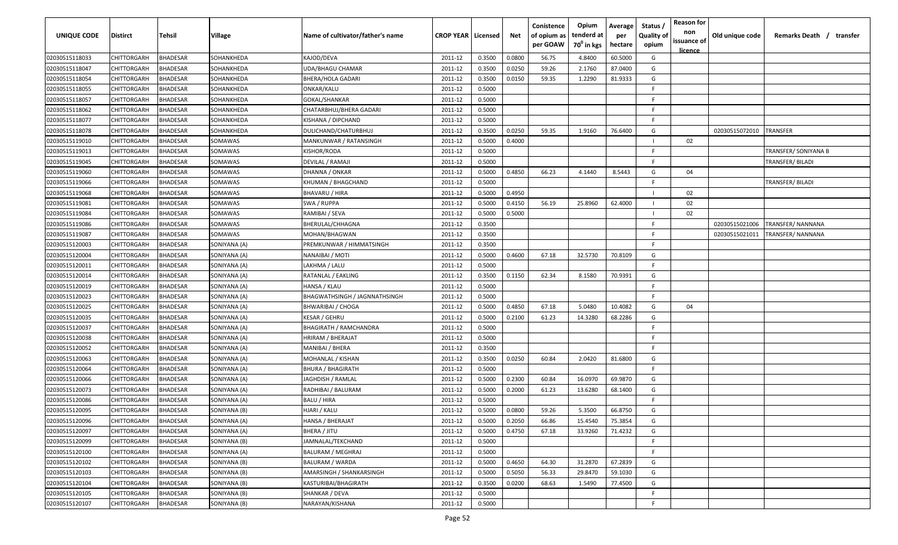| UNIQUE CODE    | Distirct           | Tehsil          | Village      | Name of cultivator/father's name | <b>CROP YEAR   Licensed</b> |        | Net    | Conistence<br>of opium as<br>per GOAW | Opium<br>tenderd at<br>70 <sup>0</sup> in kgs | Average<br>per<br>hectare | Status /<br><b>Quality of</b><br>opium | <b>Reason for</b><br>non<br>issuance of<br><u>licence</u> | Old unique code | Remarks Death / transfer |
|----------------|--------------------|-----------------|--------------|----------------------------------|-----------------------------|--------|--------|---------------------------------------|-----------------------------------------------|---------------------------|----------------------------------------|-----------------------------------------------------------|-----------------|--------------------------|
| 02030515118033 | CHITTORGARH        | <b>BHADESAR</b> | SOHANKHEDA   | KAJOD/DEVA                       | 2011-12                     | 0.3500 | 0.0800 | 56.75                                 | 4.8400                                        | 60.5000                   | G                                      |                                                           |                 |                          |
| 02030515118047 | CHITTORGARH        | BHADESAR        | SOHANKHEDA   | UDA/BHAGU CHAMAR                 | 2011-12                     | 0.3500 | 0.0250 | 59.26                                 | 2.1760                                        | 87.0400                   | G                                      |                                                           |                 |                          |
| 02030515118054 | CHITTORGARH        | BHADESAR        | SOHANKHEDA   | BHERA/HOLA GADARI                | 2011-12                     | 0.3500 | 0.0150 | 59.35                                 | 1.2290                                        | 81.9333                   | G                                      |                                                           |                 |                          |
| 02030515118055 | CHITTORGARH        | BHADESAR        | SOHANKHEDA   | ONKAR/KALU                       | 2011-12                     | 0.5000 |        |                                       |                                               |                           | -F.                                    |                                                           |                 |                          |
| 02030515118057 | CHITTORGARH        | BHADESAR        | SOHANKHEDA   | GOKAL/SHANKAR                    | 2011-12                     | 0.5000 |        |                                       |                                               |                           | -F.                                    |                                                           |                 |                          |
| 02030515118062 | CHITTORGARH        | <b>BHADESAR</b> | SOHANKHEDA   | CHATARBHUJ/BHERA GADARI          | 2011-12                     | 0.5000 |        |                                       |                                               |                           | -F.                                    |                                                           |                 |                          |
| 02030515118077 | CHITTORGARH        | <b>BHADESAR</b> | SOHANKHEDA   | KISHANA / DIPCHAND               | 2011-12                     | 0.5000 |        |                                       |                                               |                           | -F.                                    |                                                           |                 |                          |
| 02030515118078 | CHITTORGARH        | BHADESAR        | SOHANKHEDA   | DULICHAND/CHATURBHUJ             | 2011-12                     | 0.3500 | 0.0250 | 59.35                                 | 1.9160                                        | 76.6400                   | G                                      |                                                           | 02030515072010  | <b>TRANSFER</b>          |
| 02030515119010 | CHITTORGARH        | BHADESAR        | SOMAWAS      | MANKUNWAR / RATANSINGH           | 2011-12                     | 0.5000 | 0.4000 |                                       |                                               |                           |                                        | 02                                                        |                 |                          |
| 02030515119013 | CHITTORGARH        | BHADESAR        | SOMAWAS      | KISHOR/RODA                      | 2011-12                     | 0.5000 |        |                                       |                                               |                           | F.                                     |                                                           |                 | TRANSFER/ SONIYANA B     |
| 02030515119045 | CHITTORGARH        | BHADESAR        | SOMAWAS      | DEVILAL / RAMAJI                 | 2011-12                     | 0.5000 |        |                                       |                                               |                           | -F.                                    |                                                           |                 | TRANSFER/ BILADI         |
| 02030515119060 | CHITTORGARH        | BHADESAR        | SOMAWAS      | DHANNA / ONKAR                   | 2011-12                     | 0.5000 | 0.4850 | 66.23                                 | 4.1440                                        | 8.5443                    | G                                      | 04                                                        |                 |                          |
| 02030515119066 | CHITTORGARH        | BHADESAR        | SOMAWAS      | KHUMAN / BHAGCHAND               | 2011-12                     | 0.5000 |        |                                       |                                               |                           | F.                                     |                                                           |                 | TRANSFER/ BILADI         |
| 02030515119068 | CHITTORGARH        | <b>BHADESAR</b> | SOMAWAS      | BHAVARU / HIRA                   | 2011-12                     | 0.5000 | 0.4950 |                                       |                                               |                           |                                        | 02                                                        |                 |                          |
| 02030515119081 | CHITTORGARH        | <b>BHADESAR</b> | SOMAWAS      | SWA / RUPPA                      | 2011-12                     | 0.5000 | 0.4150 | 56.19                                 | 25.8960                                       | 62.4000                   |                                        | 02                                                        |                 |                          |
| 02030515119084 | CHITTORGARH        | <b>BHADESAR</b> | SOMAWAS      | RAMIBAI / SEVA                   | 2011-12                     | 0.5000 | 0.5000 |                                       |                                               |                           |                                        | 02                                                        |                 |                          |
| 02030515119086 | CHITTORGARH        | <b>BHADESAR</b> | SOMAWAS      | BHERULAL/CHHAGNA                 | 2011-12                     | 0.3500 |        |                                       |                                               |                           | F.                                     |                                                           | 02030515021006  | TRANSFER/NANNANA         |
| 02030515119087 | CHITTORGARH        | BHADESAR        | SOMAWAS      | MOHAN/BHAGWAN                    | 2011-12                     | 0.3500 |        |                                       |                                               |                           | E                                      |                                                           | 02030515021011  | TRANSFER/ NANNANA        |
| 02030515120003 | CHITTORGARH        | BHADESAR        | SONIYANA (A) | PREMKUNWAR / HIMMATSINGH         | 2011-12                     | 0.3500 |        |                                       |                                               |                           | F.                                     |                                                           |                 |                          |
| 02030515120004 | CHITTORGARH        | BHADESAR        | SONIYANA (A) | NANAIBAI / MOTI                  | 2011-12                     | 0.5000 | 0.4600 | 67.18                                 | 32.5730                                       | 70.8109                   | G                                      |                                                           |                 |                          |
| 02030515120011 | CHITTORGARH        | <b>BHADESAR</b> | SONIYANA (A) | LAKHMA / LALU                    | 2011-12                     | 0.5000 |        |                                       |                                               |                           | -F.                                    |                                                           |                 |                          |
| 02030515120014 | CHITTORGARH        | <b>BHADESAR</b> | SONIYANA (A) | RATANLAL / EAKLING               | 2011-12                     | 0.3500 | 0.1150 | 62.34                                 | 8.1580                                        | 70.9391                   | G                                      |                                                           |                 |                          |
| 02030515120019 | CHITTORGARH        | <b>BHADESAR</b> | SONIYANA (A) | HANSA / KLAU                     | 2011-12                     | 0.5000 |        |                                       |                                               |                           | -F.                                    |                                                           |                 |                          |
| 02030515120023 | CHITTORGARH        | BHADESAR        | SONIYANA (A) | BHAGWATHSINGH / JAGNNATHSINGH    | 2011-12                     | 0.5000 |        |                                       |                                               |                           | -F.                                    |                                                           |                 |                          |
| 02030515120025 | CHITTORGARH        | BHADESAR        | SONIYANA (A) | <b>BHWARIBAI / CHOGA</b>         | 2011-12                     | 0.5000 | 0.4850 | 67.18                                 | 5.0480                                        | 10.4082                   | G                                      | 04                                                        |                 |                          |
| 02030515120035 | CHITTORGARH        | BHADESAR        | SONIYANA (A) | KESAR / GEHRU                    | 2011-12                     | 0.5000 | 0.2100 | 61.23                                 | 14.3280                                       | 68.2286                   | G                                      |                                                           |                 |                          |
| 02030515120037 | CHITTORGARH        | BHADESAR        | SONIYANA (A) | <b>BHAGIRATH / RAMCHANDRA</b>    | 2011-12                     | 0.5000 |        |                                       |                                               |                           | -F.                                    |                                                           |                 |                          |
| 02030515120038 | CHITTORGARH        | BHADESAR        | SONIYANA (A) | HRIRAM / BHERAJAT                | 2011-12                     | 0.5000 |        |                                       |                                               |                           | -F.                                    |                                                           |                 |                          |
| 02030515120052 | CHITTORGARH        | BHADESAR        | SONIYANA (A) | MANIBAI / BHERA                  | 2011-12                     | 0.3500 |        |                                       |                                               |                           | F.                                     |                                                           |                 |                          |
| 02030515120063 | CHITTORGARH        | BHADESAR        | SONIYANA (A) | MOHANLAL / KISHAN                | 2011-12                     | 0.3500 | 0.0250 | 60.84                                 | 2.0420                                        | 81.6800                   | G                                      |                                                           |                 |                          |
| 02030515120064 | CHITTORGARH        | BHADESAR        | SONIYANA (A) | <b>BHURA / BHAGIRATH</b>         | 2011-12                     | 0.5000 |        |                                       |                                               |                           | F                                      |                                                           |                 |                          |
| 02030515120066 | CHITTORGARH        | <b>BHADESAR</b> | SONIYANA (A) | JAGHDISH / RAMLAL                | 2011-12                     | 0.5000 | 0.2300 | 60.84                                 | 16.0970                                       | 69.9870                   | G                                      |                                                           |                 |                          |
| 02030515120073 | CHITTORGARH        | BHADESAR        | SONIYANA (A) | RADHIBAI / BALURAM               | 2011-12                     | 0.5000 | 0.2000 | 61.23                                 | 13.6280                                       | 68.1400                   | G                                      |                                                           |                 |                          |
| 02030515120086 | CHITTORGARH        | BHADESAR        | SONIYANA (A) | BALU / HIRA                      | 2011-12                     | 0.5000 |        |                                       |                                               |                           | -F.                                    |                                                           |                 |                          |
| 02030515120095 | <b>CHITTORGARH</b> | BHADESAR        | SONIYANA (B) | HJARI / KALU                     | 2011-12                     | 0.5000 | 0.0800 | 59.26                                 | 5.3500                                        | 66.8750                   | G                                      |                                                           |                 |                          |
| 02030515120096 | <b>CHITTORGARH</b> | <b>BHADESAR</b> | SONIYANA (A) | <b>HANSA / BHERAJAT</b>          | 2011-12                     | 0.5000 | 0.2050 | 66.86                                 | 15.4540                                       | 75.3854                   | G                                      |                                                           |                 |                          |
| 02030515120097 | CHITTORGARH        | <b>BHADESAR</b> | SONIYANA (A) | BHERA / JITU                     | 2011-12                     | 0.5000 | 0.4750 | 67.18                                 | 33.9260                                       | 71.4232                   | G                                      |                                                           |                 |                          |
| 02030515120099 | CHITTORGARH        | <b>BHADESAR</b> | SONIYANA (B) | JAMNALAL/TEKCHAND                | 2011-12                     | 0.5000 |        |                                       |                                               |                           | F.                                     |                                                           |                 |                          |
| 02030515120100 | <b>CHITTORGARH</b> | <b>BHADESAR</b> | SONIYANA (A) | <b>BALURAM / MEGHRAJ</b>         | 2011-12                     | 0.5000 |        |                                       |                                               |                           | F.                                     |                                                           |                 |                          |
| 02030515120102 | CHITTORGARH        | BHADESAR        | SONIYANA (B) | <b>BALURAM / WARDA</b>           | 2011-12                     | 0.5000 | 0.4650 | 64.30                                 | 31.2870                                       | 67.2839                   | G                                      |                                                           |                 |                          |
| 02030515120103 | <b>CHITTORGARH</b> | BHADESAR        | SONIYANA (B) | AMARSINGH / SHANKARSINGH         | 2011-12                     | 0.5000 | 0.5050 | 56.33                                 | 29.8470                                       | 59.1030                   | G                                      |                                                           |                 |                          |
| 02030515120104 | CHITTORGARH        | <b>BHADESAR</b> | SONIYANA (B) | KASTURIBAI/BHAGIRATH             | 2011-12                     | 0.3500 | 0.0200 | 68.63                                 | 1.5490                                        | 77.4500                   | G                                      |                                                           |                 |                          |
| 02030515120105 | CHITTORGARH        | BHADESAR        | SONIYANA (B) | SHANKAR / DEVA                   | 2011-12                     | 0.5000 |        |                                       |                                               |                           | F.                                     |                                                           |                 |                          |
| 02030515120107 | <b>CHITTORGARH</b> | <b>BHADESAR</b> | SONIYANA (B) | NARAYAN/KISHANA                  | 2011-12                     | 0.5000 |        |                                       |                                               |                           | F.                                     |                                                           |                 |                          |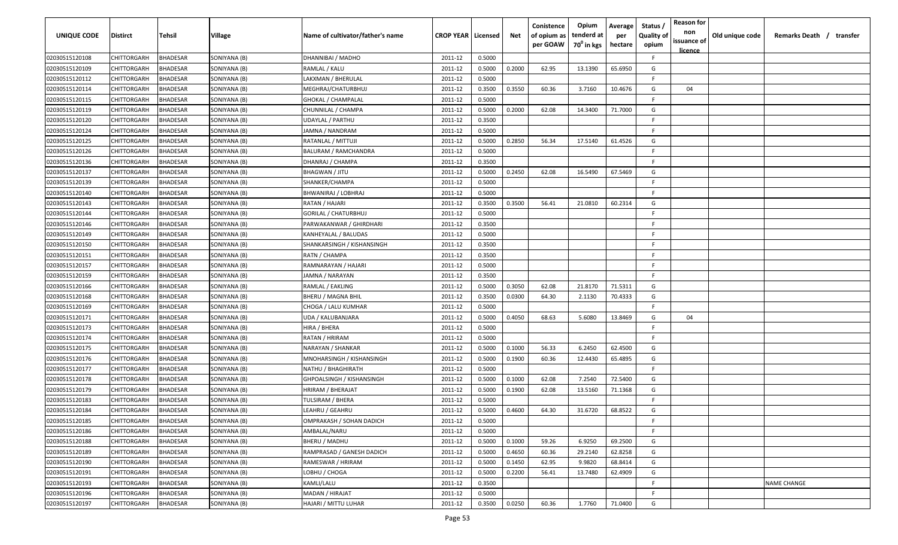| <b>UNIQUE CODE</b> | Distirct           | Tehsil          | Village      | Name of cultivator/father's name | <b>CROP YEAR Licensed</b> |        | Net    | Conistence<br>of opium as<br>per GOAW | Opium<br>tenderd at<br>70 <sup>0</sup> in kgs | Average<br>per<br>hectare | Status /<br><b>Quality of</b><br>opium | <b>Reason for</b><br>non<br>issuance of | Old unique code | Remarks Death / transfer |
|--------------------|--------------------|-----------------|--------------|----------------------------------|---------------------------|--------|--------|---------------------------------------|-----------------------------------------------|---------------------------|----------------------------------------|-----------------------------------------|-----------------|--------------------------|
| 02030515120108     | CHITTORGARH        | <b>BHADESAR</b> | SONIYANA (B) | DHANNIBAI / MADHO                | 2011-12                   | 0.5000 |        |                                       |                                               |                           | F.                                     | <u>licence</u>                          |                 |                          |
| 02030515120109     | CHITTORGARH        | BHADESAR        | SONIYANA (B) | RAMLAL / KALU                    | 2011-12                   | 0.5000 | 0.2000 | 62.95                                 | 13.1390                                       | 65.6950                   | G                                      |                                         |                 |                          |
| 02030515120112     | CHITTORGARH        | BHADESAR        | SONIYANA (B) | LAKXMAN / BHERULAL               | 2011-12                   | 0.5000 |        |                                       |                                               |                           | -F.                                    |                                         |                 |                          |
| 02030515120114     | CHITTORGARH        | <b>BHADESAR</b> | SONIYANA (B) | MEGHRAJ/CHATURBHUJ               | 2011-12                   | 0.3500 | 0.3550 | 60.36                                 | 3.7160                                        | 10.4676                   | G                                      | 04                                      |                 |                          |
| 02030515120115     | CHITTORGARH        | BHADESAR        | SONIYANA (B) | <b>GHOKAL / CHAMPALAL</b>        | 2011-12                   | 0.5000 |        |                                       |                                               |                           | -F.                                    |                                         |                 |                          |
| 02030515120119     | CHITTORGARH        | <b>BHADESAR</b> | SONIYANA (B) | CHUNNILAL / CHAMPA               | 2011-12                   | 0.5000 | 0.2000 | 62.08                                 | 14.3400                                       | 71.7000                   | G                                      |                                         |                 |                          |
| 02030515120120     | CHITTORGARH        | <b>BHADESAR</b> | SONIYANA (B) | UDAYLAL / PARTHU                 | 2011-12                   | 0.3500 |        |                                       |                                               |                           | -F                                     |                                         |                 |                          |
| 02030515120124     | CHITTORGARH        | BHADESAR        | SONIYANA (B) | JAMNA / NANDRAM                  | 2011-12                   | 0.5000 |        |                                       |                                               |                           | -F.                                    |                                         |                 |                          |
| 02030515120125     | CHITTORGARH        | BHADESAR        | SONIYANA (B) | RATANLAL / MITTUJI               | 2011-12                   | 0.5000 | 0.2850 | 56.34                                 | 17.5140                                       | 61.4526                   | G                                      |                                         |                 |                          |
| 02030515120126     | CHITTORGARH        | BHADESAR        | SONIYANA (B) | BALURAM / RAMCHANDRA             | 2011-12                   | 0.5000 |        |                                       |                                               |                           | F                                      |                                         |                 |                          |
| 02030515120136     | CHITTORGARH        | BHADESAR        | SONIYANA (B) | DHANRAJ / CHAMPA                 | 2011-12                   | 0.3500 |        |                                       |                                               |                           | -F.                                    |                                         |                 |                          |
| 02030515120137     | CHITTORGARH        | BHADESAR        | SONIYANA (B) | <b>BHAGWAN / JITU</b>            | 2011-12                   | 0.5000 | 0.2450 | 62.08                                 | 16.5490                                       | 67.5469                   | G                                      |                                         |                 |                          |
| 02030515120139     | CHITTORGARH        | BHADESAR        | SONIYANA (B) | SHANKER/CHAMPA                   | 2011-12                   | 0.5000 |        |                                       |                                               |                           | -F.                                    |                                         |                 |                          |
| 02030515120140     | CHITTORGARH        | <b>BHADESAR</b> | SONIYANA (B) | BHWANIRAJ / LOBHRAJ              | 2011-12                   | 0.5000 |        |                                       |                                               |                           | F.                                     |                                         |                 |                          |
| 02030515120143     | CHITTORGARH        | BHADESAR        | SONIYANA (B) | RATAN / HAJARI                   | 2011-12                   | 0.3500 | 0.3500 | 56.41                                 | 21.0810                                       | 60.2314                   | G                                      |                                         |                 |                          |
| 02030515120144     | CHITTORGARH        | <b>BHADESAR</b> | SONIYANA (B) | <b>GORILAL / CHATURBHUJ</b>      | 2011-12                   | 0.5000 |        |                                       |                                               |                           | F.                                     |                                         |                 |                          |
| 02030515120146     | CHITTORGARH        | <b>BHADESAR</b> | SONIYANA (B) | PARWAKANWAR / GHIRDHARI          | 2011-12                   | 0.3500 |        |                                       |                                               |                           | -F.                                    |                                         |                 |                          |
| 02030515120149     | CHITTORGARH        | <b>BHADESAR</b> | SONIYANA (B) | KANHEYALAL / BALUDAS             | 2011-12                   | 0.5000 |        |                                       |                                               |                           | E                                      |                                         |                 |                          |
| 02030515120150     | CHITTORGARH        | BHADESAR        | SONIYANA (B) | SHANKARSINGH / KISHANSINGH       | 2011-12                   | 0.3500 |        |                                       |                                               |                           | E                                      |                                         |                 |                          |
| 02030515120151     | CHITTORGARH        | BHADESAR        | SONIYANA (B) | RATN / CHAMPA                    | 2011-12                   | 0.3500 |        |                                       |                                               |                           | F.                                     |                                         |                 |                          |
| 02030515120157     | CHITTORGARH        | <b>BHADESAR</b> | SONIYANA (B) | RAMNARAYAN / HAJARI              | 2011-12                   | 0.5000 |        |                                       |                                               |                           | -F.                                    |                                         |                 |                          |
| 02030515120159     | CHITTORGARH        | <b>BHADESAR</b> | SONIYANA (B) | JAMNA / NARAYAN                  | 2011-12                   | 0.3500 |        |                                       |                                               |                           | -F                                     |                                         |                 |                          |
| 02030515120166     | CHITTORGARH        | <b>BHADESAR</b> | SONIYANA (B) | RAMLAL / EAKLING                 | 2011-12                   | 0.5000 | 0.3050 | 62.08                                 | 21.8170                                       | 71.5311                   | G                                      |                                         |                 |                          |
| 02030515120168     | CHITTORGARH        | <b>BHADESAR</b> | SONIYANA (B) | <b>BHERU / MAGNA BHIL</b>        | 2011-12                   | 0.3500 | 0.0300 | 64.30                                 | 2.1130                                        | 70.4333                   | G                                      |                                         |                 |                          |
| 02030515120169     | CHITTORGARH        | BHADESAR        | SONIYANA (B) | CHOGA / LALU KUMHAR              | 2011-12                   | 0.5000 |        |                                       |                                               |                           | -F                                     |                                         |                 |                          |
| 02030515120171     | CHITTORGARH        | BHADESAR        | SONIYANA (B) | UDA / KALUBANJARA                | 2011-12                   | 0.5000 | 0.4050 | 68.63                                 | 5.6080                                        | 13.8469                   | G                                      | 04                                      |                 |                          |
| 02030515120173     | CHITTORGARH        | BHADESAR        | SONIYANA (B) | HIRA / BHERA                     | 2011-12                   | 0.5000 |        |                                       |                                               |                           | -F.                                    |                                         |                 |                          |
| 02030515120174     | CHITTORGARH        | BHADESAR        | SONIYANA (B) | RATAN / HRIRAM                   | 2011-12                   | 0.5000 |        |                                       |                                               |                           | -F.                                    |                                         |                 |                          |
| 02030515120175     | CHITTORGARH        | BHADESAR        | SONIYANA (B) | NARAYAN / SHANKAR                | 2011-12                   | 0.5000 | 0.1000 | 56.33                                 | 6.2450                                        | 62.4500                   | G                                      |                                         |                 |                          |
| 02030515120176     | CHITTORGARH        | BHADESAR        | SONIYANA (B) | MNOHARSINGH / KISHANSINGH        | 2011-12                   | 0.5000 | 0.1900 | 60.36                                 | 12.4430                                       | 65.4895                   | G                                      |                                         |                 |                          |
| 02030515120177     | CHITTORGARH        | BHADESAR        | SONIYANA (B) | NATHU / BHAGHIRATH               | 2011-12                   | 0.5000 |        |                                       |                                               |                           | -F                                     |                                         |                 |                          |
| 02030515120178     | CHITTORGARH        | BHADESAR        | SONIYANA (B) | GHPOALSINGH / KISHANSINGH        | 2011-12                   | 0.5000 | 0.1000 | 62.08                                 | 7.2540                                        | 72.5400                   | G                                      |                                         |                 |                          |
| 02030515120179     | CHITTORGARH        | BHADESAR        | SONIYANA (B) | HRIRAM / BHERAJAT                | 2011-12                   | 0.5000 | 0.1900 | 62.08                                 | 13.5160                                       | 71.1368                   | G                                      |                                         |                 |                          |
| 02030515120183     | CHITTORGARH        | BHADESAR        | SONIYANA (B) | TULSIRAM / BHERA                 | 2011-12                   | 0.5000 |        |                                       |                                               |                           | -F.                                    |                                         |                 |                          |
| 02030515120184     | <b>CHITTORGARH</b> | BHADESAR        | SONIYANA (B) | LEAHRU / GEAHRU                  | 2011-12                   | 0.5000 | 0.4600 | 64.30                                 | 31.6720                                       | 68.8522                   | G                                      |                                         |                 |                          |
| 02030515120185     | CHITTORGARH        | <b>BHADESAR</b> | SONIYANA (B) | OMPRAKASH / SOHAN DADICH         | 2011-12                   | 0.5000 |        |                                       |                                               |                           | F.                                     |                                         |                 |                          |
| 02030515120186     | CHITTORGARH        | <b>BHADESAR</b> | SONIYANA (B) | AMBALAL/NARU                     | 2011-12                   | 0.5000 |        |                                       |                                               |                           | F                                      |                                         |                 |                          |
| 02030515120188     | CHITTORGARH        | <b>BHADESAR</b> | SONIYANA (B) | BHERU / MADHU                    | 2011-12                   | 0.5000 | 0.1000 | 59.26                                 | 6.9250                                        | 69.2500                   | G                                      |                                         |                 |                          |
| 02030515120189     | <b>CHITTORGARH</b> | <b>BHADESAR</b> | SONIYANA (B) | RAMPRASAD / GANESH DADICH        | 2011-12                   | 0.5000 | 0.4650 | 60.36                                 | 29.2140                                       | 62.8258                   | G                                      |                                         |                 |                          |
| 02030515120190     | CHITTORGARH        | <b>BHADESAR</b> | SONIYANA (B) | RAMESWAR / HRIRAM                | 2011-12                   | 0.5000 | 0.1450 | 62.95                                 | 9.9820                                        | 68.8414                   | G                                      |                                         |                 |                          |
| 02030515120191     | CHITTORGARH        | BHADESAR        | SONIYANA (B) | LOBHU / CHOGA                    | 2011-12                   | 0.5000 | 0.2200 | 56.41                                 | 13.7480                                       | 62.4909                   | G                                      |                                         |                 |                          |
| 02030515120193     | CHITTORGARH        | BHADESAR        | SONIYANA (B) | KAMLI/LALU                       | 2011-12                   | 0.3500 |        |                                       |                                               |                           | F.                                     |                                         |                 | <b>NAME CHANGE</b>       |
| 02030515120196     | CHITTORGARH        | BHADESAR        | SONIYANA (B) | MADAN / HIRAJAT                  | 2011-12                   | 0.5000 |        |                                       |                                               |                           | F.                                     |                                         |                 |                          |
| 02030515120197     | <b>CHITTORGARH</b> | <b>BHADESAR</b> | SONIYANA (B) | HAJARI / MITTU LUHAR             | 2011-12                   | 0.3500 | 0.0250 | 60.36                                 | 1.7760                                        | 71.0400                   | G                                      |                                         |                 |                          |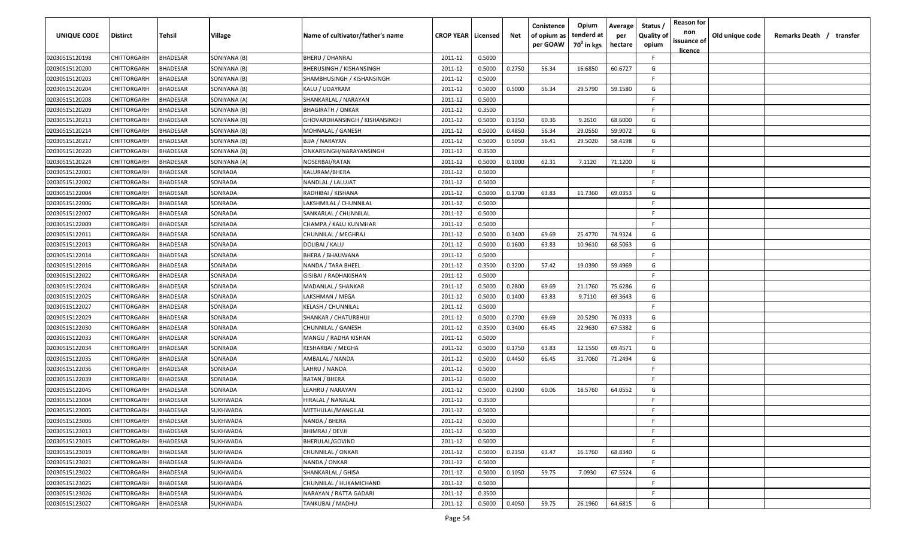| <b>UNIQUE CODE</b> | Distirct           | Tehsil          | Village      | Name of cultivator/father's name | <b>CROP YEAR Licensed</b> |        | Net    | Conistence<br>of opium as | Opium<br>tenderd at    | Average<br>per | Status /<br><b>Quality of</b> | <b>Reason for</b><br>non<br>issuance of | Old unique code | Remarks Death / transfer |
|--------------------|--------------------|-----------------|--------------|----------------------------------|---------------------------|--------|--------|---------------------------|------------------------|----------------|-------------------------------|-----------------------------------------|-----------------|--------------------------|
|                    |                    |                 |              |                                  |                           |        |        | per GOAW                  | 70 <sup>0</sup> in kgs | hectare        | opium                         | <u>licence</u>                          |                 |                          |
| 02030515120198     | CHITTORGARH        | <b>BHADESAR</b> | SONIYANA (B) | <b>BHERU / DHANRAJ</b>           | 2011-12                   | 0.5000 |        |                           |                        |                | F.                            |                                         |                 |                          |
| 02030515120200     | CHITTORGARH        | BHADESAR        | SONIYANA (B) | <b>BHERUSINGH / KISHANSINGH</b>  | 2011-12                   | 0.5000 | 0.2750 | 56.34                     | 16.6850                | 60.6727        | G                             |                                         |                 |                          |
| 02030515120203     | CHITTORGARH        | BHADESAR        | SONIYANA (B) | SHAMBHUSINGH / KISHANSINGH       | 2011-12                   | 0.5000 |        |                           |                        |                | -F.                           |                                         |                 |                          |
| 02030515120204     | CHITTORGARH        | <b>BHADESAR</b> | SONIYANA (B) | KALU / UDAYRAM                   | 2011-12                   | 0.5000 | 0.5000 | 56.34                     | 29.5790                | 59.1580        | G                             |                                         |                 |                          |
| 02030515120208     | CHITTORGARH        | BHADESAR        | SONIYANA (A) | SHANKARLAL / NARAYAN             | 2011-12                   | 0.5000 |        |                           |                        |                | -F.                           |                                         |                 |                          |
| 02030515120209     | CHITTORGARH        | <b>BHADESAR</b> | SONIYANA (B) | <b>BHAGIRATH / ONKAR</b>         | 2011-12                   | 0.3500 |        |                           |                        |                | -F.                           |                                         |                 |                          |
| 02030515120213     | CHITTORGARH        | <b>BHADESAR</b> | SONIYANA (B) | GHOVARDHANSINGH / KISHANSINGH    | 2011-12                   | 0.5000 | 0.1350 | 60.36                     | 9.2610                 | 68.6000        | G                             |                                         |                 |                          |
| 02030515120214     | CHITTORGARH        | BHADESAR        | SONIYANA (B) | MOHNALAL / GANESH                | 2011-12                   | 0.5000 | 0.4850 | 56.34                     | 29.0550                | 59.9072        | G                             |                                         |                 |                          |
| 02030515120217     | CHITTORGARH        | BHADESAR        | SONIYANA (B) | BJJA / NARAYAN                   | 2011-12                   | 0.5000 | 0.5050 | 56.41                     | 29.5020                | 58.4198        | G                             |                                         |                 |                          |
| 02030515120220     | CHITTORGARH        | BHADESAR        | SONIYANA (B) | ONKARSINGH/NARAYANSINGH          | 2011-12                   | 0.3500 |        |                           |                        |                | F                             |                                         |                 |                          |
| 02030515120224     | CHITTORGARH        | BHADESAR        | SONIYANA (A) | NOSERBAI/RATAN                   | 2011-12                   | 0.5000 | 0.1000 | 62.31                     | 7.1120                 | 71.1200        | G                             |                                         |                 |                          |
| 02030515122001     | CHITTORGARH        | BHADESAR        | SONRADA      | KALURAM/BHERA                    | 2011-12                   | 0.5000 |        |                           |                        |                | F.                            |                                         |                 |                          |
| 02030515122002     | CHITTORGARH        | BHADESAR        | SONRADA      | NANDLAL / LALUJAT                | 2011-12                   | 0.5000 |        |                           |                        |                | -F.                           |                                         |                 |                          |
| 02030515122004     | CHITTORGARH        | <b>BHADESAR</b> | SONRADA      | RADHIBAI / KISHANA               | 2011-12                   | 0.5000 | 0.1700 | 63.83                     | 11.7360                | 69.0353        | G                             |                                         |                 |                          |
| 02030515122006     | CHITTORGARH        | BHADESAR        | SONRADA      | LAKSHMILAL / CHUNNILAL           | 2011-12                   | 0.5000 |        |                           |                        |                | -F.                           |                                         |                 |                          |
| 02030515122007     | CHITTORGARH        | <b>BHADESAR</b> | SONRADA      | SANKARLAL / CHUNNILAL            | 2011-12                   | 0.5000 |        |                           |                        |                | -F.                           |                                         |                 |                          |
| 02030515122009     | CHITTORGARH        | <b>BHADESAR</b> | SONRADA      | CHAMPA / KALU KUNMHAR            | 2011-12                   | 0.5000 |        |                           |                        |                | -F.                           |                                         |                 |                          |
| 02030515122011     | CHITTORGARH        | <b>BHADESAR</b> | SONRADA      | CHUNNILAL / MEGHRAJ              | 2011-12                   | 0.5000 | 0.3400 | 69.69                     | 25.4770                | 74.9324        | G                             |                                         |                 |                          |
| 02030515122013     | CHITTORGARH        | BHADESAR        | SONRADA      | DOLIBAI / KALU                   | 2011-12                   | 0.5000 | 0.1600 | 63.83                     | 10.9610                | 68.5063        | G                             |                                         |                 |                          |
| 02030515122014     | CHITTORGARH        | <b>BHADESAR</b> | SONRADA      | <b>BHERA / BHAUWANA</b>          | 2011-12                   | 0.5000 |        |                           |                        |                | F.                            |                                         |                 |                          |
| 02030515122016     | CHITTORGARH        | <b>BHADESAR</b> | SONRADA      | NANDA / TARA BHEEL               | 2011-12                   | 0.3500 | 0.3200 | 57.42                     | 19.0390                | 59.4969        | G                             |                                         |                 |                          |
| 02030515122022     | CHITTORGARH        | <b>BHADESAR</b> | SONRADA      | GISIBAI / RADHAKISHAN            | 2011-12                   | 0.5000 |        |                           |                        |                | -F.                           |                                         |                 |                          |
| 02030515122024     | CHITTORGARH        | <b>BHADESAR</b> | SONRADA      | MADANLAL / SHANKAR               | 2011-12                   | 0.5000 | 0.2800 | 69.69                     | 21.1760                | 75.6286        | G                             |                                         |                 |                          |
| 02030515122025     | CHITTORGARH        | BHADESAR        | SONRADA      | LAKSHMAN / MEGA                  | 2011-12                   | 0.5000 | 0.1400 | 63.83                     | 9.7110                 | 69.3643        | G                             |                                         |                 |                          |
| 02030515122027     | CHITTORGARH        | BHADESAR        | SONRADA      | <b>KELASH / CHUNNILAL</b>        | 2011-12                   | 0.5000 |        |                           |                        |                | -F                            |                                         |                 |                          |
| 02030515122029     | CHITTORGARH        | BHADESAR        | SONRADA      | SHANKAR / CHATURBHUJ             | 2011-12                   | 0.5000 | 0.2700 | 69.69                     | 20.5290                | 76.0333        | G                             |                                         |                 |                          |
| 02030515122030     | CHITTORGARH        | BHADESAR        | SONRADA      | CHUNNILAL / GANESH               | 2011-12                   | 0.3500 | 0.3400 | 66.45                     | 22.9630                | 67.5382        | G                             |                                         |                 |                          |
| 02030515122033     | CHITTORGARH        | BHADESAR        | SONRADA      | MANGU / RADHA KISHAN             | 2011-12                   | 0.5000 |        |                           |                        |                | -F.                           |                                         |                 |                          |
| 02030515122034     | CHITTORGARH        | BHADESAR        | SONRADA      | KESHARBAI / MEGHA                | 2011-12                   | 0.5000 | 0.1750 | 63.83                     | 12.1550                | 69.4571        | G                             |                                         |                 |                          |
| 02030515122035     | CHITTORGARH        | BHADESAR        | SONRADA      | AMBALAL / NANDA                  | 2011-12                   | 0.5000 | 0.4450 | 66.45                     | 31.7060                | 71.2494        | G                             |                                         |                 |                          |
| 02030515122036     | CHITTORGARH        | BHADESAR        | SONRADA      | LAHRU / NANDA                    | 2011-12                   | 0.5000 |        |                           |                        |                | -F.                           |                                         |                 |                          |
| 02030515122039     | CHITTORGARH        | <b>BHADESAR</b> | SONRADA      | RATAN / BHERA                    | 2011-12                   | 0.5000 |        |                           |                        |                | -F.                           |                                         |                 |                          |
| 02030515122045     | CHITTORGARH        | BHADESAR        | SONRADA      | LEAHRU / NARAYAN                 | 2011-12                   | 0.5000 | 0.2900 | 60.06                     | 18.5760                | 64.0552        | G                             |                                         |                 |                          |
| 02030515123004     | CHITTORGARH        | BHADESAR        | SUKHWADA     | HIRALAL / NANALAL                | 2011-12                   | 0.3500 |        |                           |                        |                | -F.                           |                                         |                 |                          |
| 02030515123005     | <b>CHITTORGARH</b> | BHADESAR        | SUKHWADA     | MITTHULAL/MANGILAL               | 2011-12                   | 0.5000 |        |                           |                        |                | F                             |                                         |                 |                          |
| 02030515123006     | <b>CHITTORGARH</b> | <b>BHADESAR</b> | SUKHWADA     | NANDA / BHERA                    | 2011-12                   | 0.5000 |        |                           |                        |                | F.                            |                                         |                 |                          |
| 02030515123013     | CHITTORGARH        | <b>BHADESAR</b> | SUKHWADA     | <b>BHIMRAJ / DEVJI</b>           | 2011-12                   | 0.5000 |        |                           |                        |                | F                             |                                         |                 |                          |
| 02030515123015     | CHITTORGARH        | <b>BHADESAR</b> | SUKHWADA     | BHERULAL/GOVIND                  | 2011-12                   | 0.5000 |        |                           |                        |                | F.                            |                                         |                 |                          |
| 02030515123019     | <b>CHITTORGARH</b> | <b>BHADESAR</b> | SUKHWADA     | CHUNNILAL / ONKAR                | 2011-12                   | 0.5000 | 0.2350 | 63.47                     | 16.1760                | 68.8340        | G                             |                                         |                 |                          |
| 02030515123021     | CHITTORGARH        | <b>BHADESAR</b> | SUKHWADA     | NANDA / ONKAR                    | 2011-12                   | 0.5000 |        |                           |                        |                | F.                            |                                         |                 |                          |
| 02030515123022     | CHITTORGARH        | BHADESAR        | SUKHWADA     | SHANKARLAL / GHISA               | 2011-12                   | 0.5000 | 0.1050 | 59.75                     | 7.0930                 | 67.5524        | G                             |                                         |                 |                          |
| 02030515123025     | CHITTORGARH        | <b>BHADESAR</b> | SUKHWADA     | CHUNNILAL / HUKAMICHAND          | 2011-12                   | 0.5000 |        |                           |                        |                | F.                            |                                         |                 |                          |
| 02030515123026     | CHITTORGARH        | BHADESAR        | SUKHWADA     | NARAYAN / RATTA GADARI           | 2011-12                   | 0.3500 |        |                           |                        |                | F.                            |                                         |                 |                          |
| 02030515123027     | CHITTORGARH        | <b>BHADESAR</b> | SUKHWADA     | TANKUBAI / MADHU                 | 2011-12                   | 0.5000 | 0.4050 | 59.75                     | 26.1960                | 64.6815        | G                             |                                         |                 |                          |
|                    |                    |                 |              |                                  |                           |        |        |                           |                        |                |                               |                                         |                 |                          |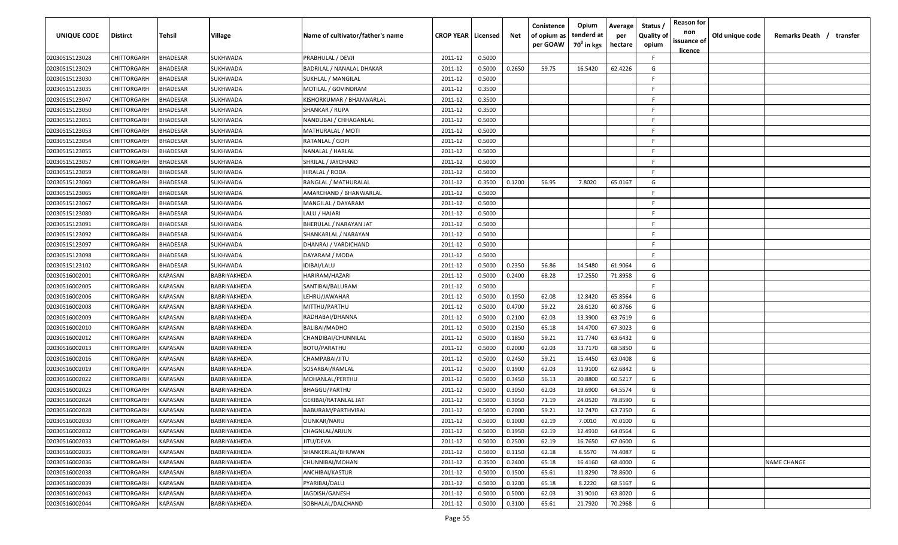| UNIQUE CODE    | <b>Distirct</b> | Tehsil                | Village         | Name of cultivator/father's name | <b>CROP YEAR   Licensed</b> |        | Net    | Conistence<br>of opium as<br>per GOAW | Opium<br>tenderd at<br>$70^0$ in kgs | Average<br>per<br>hectare | Status /<br><b>Quality of</b><br>opium | <b>Reason for</b><br>non<br>issuance of<br>licence | Old unique code | Remarks Death / transfer |
|----------------|-----------------|-----------------------|-----------------|----------------------------------|-----------------------------|--------|--------|---------------------------------------|--------------------------------------|---------------------------|----------------------------------------|----------------------------------------------------|-----------------|--------------------------|
| 02030515123028 | CHITTORGARH     | <b>BHADESAR</b>       | <b>SUKHWADA</b> | PRABHULAL / DEVJI                | 2011-12                     | 0.5000 |        |                                       |                                      |                           | F.                                     |                                                    |                 |                          |
| 02030515123029 | CHITTORGARH     | <b>BHADESAR</b>       | <b>SUKHWADA</b> | BADRILAL / NANALAL DHAKAR        | 2011-12                     | 0.5000 | 0.2650 | 59.75                                 | 16.5420                              | 62.4226                   | G                                      |                                                    |                 |                          |
| 02030515123030 | CHITTORGARH     | <b>HADESAR</b>        | <b>SUKHWADA</b> | SUKHLAL / MANGILAL               | 2011-12                     | 0.5000 |        |                                       |                                      |                           | F.                                     |                                                    |                 |                          |
| 02030515123035 | CHITTORGARH     | <b>BHADESAR</b>       | SUKHWADA        | MOTILAL / GOVINDRAM              | 2011-12                     | 0.3500 |        |                                       |                                      |                           | F.                                     |                                                    |                 |                          |
| 02030515123047 | CHITTORGARH     | <b>BHADESAR</b>       | SUKHWADA        | KISHORKUMAR / BHANWARLAL         | 2011-12                     | 0.3500 |        |                                       |                                      |                           | F.                                     |                                                    |                 |                          |
| 02030515123050 | CHITTORGARH     | <b>BHADESAR</b>       | SUKHWADA        | SHANKAR / RUPA                   | 2011-12                     | 0.3500 |        |                                       |                                      |                           | E                                      |                                                    |                 |                          |
| 02030515123051 | CHITTORGARH     | <b>HADESAR</b>        | SUKHWADA        | NANDUBAI / CHHAGANLAL            | 2011-12                     | 0.5000 |        |                                       |                                      |                           | F.                                     |                                                    |                 |                          |
| 02030515123053 | CHITTORGARH     | <b>HADESAR</b>        | SUKHWADA        | MATHURALAL / MOTI                | 2011-12                     | 0.5000 |        |                                       |                                      |                           | F.                                     |                                                    |                 |                          |
| 02030515123054 | CHITTORGARH     | <b>HADESAR</b>        | SUKHWADA        | RATANLAL / GOPI                  | 2011-12                     | 0.5000 |        |                                       |                                      |                           | F.                                     |                                                    |                 |                          |
| 02030515123055 | CHITTORGARH     | <b>BHADESAR</b>       | SUKHWADA        | NANALAL / HARLAL                 | 2011-12                     | 0.5000 |        |                                       |                                      |                           | F.                                     |                                                    |                 |                          |
| 02030515123057 | CHITTORGARH     | <b>HADESAR</b>        | SUKHWADA        | SHRILAL / JAYCHAND               | 2011-12                     | 0.5000 |        |                                       |                                      |                           | F.                                     |                                                    |                 |                          |
| 02030515123059 | CHITTORGARH     | <b>BHADESAR</b>       | SUKHWADA        | HIRALAL / RODA                   | 2011-12                     | 0.5000 |        |                                       |                                      |                           | F.                                     |                                                    |                 |                          |
| 02030515123060 | CHITTORGARH     | <b>BHADESAR</b>       | SUKHWADA        | RANGLAL / MATHURALAL             | 2011-12                     | 0.3500 | 0.1200 | 56.95                                 | 7.8020                               | 65.0167                   | G                                      |                                                    |                 |                          |
| 02030515123065 | CHITTORGARH     | <b>BHADESAR</b>       | SUKHWADA        | AMARCHAND / BHANWARLAL           | 2011-12                     | 0.5000 |        |                                       |                                      |                           | F                                      |                                                    |                 |                          |
| 02030515123067 | CHITTORGARH     | <b>BHADESAR</b>       | SUKHWADA        | MANGILAL / DAYARAM               | 2011-12                     | 0.5000 |        |                                       |                                      |                           | -F.                                    |                                                    |                 |                          |
| 02030515123080 | CHITTORGARH     | <b>BHADESAR</b>       | SUKHWADA        | LALU / HAJARI                    | 2011-12                     | 0.5000 |        |                                       |                                      |                           | F                                      |                                                    |                 |                          |
| 02030515123091 | CHITTORGARH     | <b>BHADESAR</b>       | SUKHWADA        | BHERULAL / NARAYAN JAT           | 2011-12                     | 0.5000 |        |                                       |                                      |                           | F                                      |                                                    |                 |                          |
| 02030515123092 | CHITTORGARH     | <b>BHADESAR</b>       | SUKHWADA        | SHANKARLAL / NARAYAN             | 2011-12                     | 0.5000 |        |                                       |                                      |                           | F                                      |                                                    |                 |                          |
| 02030515123097 | CHITTORGARH     | <b>BHADESAR</b>       | SUKHWADA        | DHANRAJ / VARDICHAND             | 2011-12                     | 0.5000 |        |                                       |                                      |                           | F.                                     |                                                    |                 |                          |
| 02030515123098 | CHITTORGARH     | <b>BHADESAR</b>       | SUKHWADA        | DAYARAM / MODA                   | 2011-12                     | 0.5000 |        |                                       |                                      |                           | F.                                     |                                                    |                 |                          |
| 02030515123102 | CHITTORGARH     | <b>BHADESAR</b>       | SUKHWADA        | IDIBAI/LALU                      | 2011-12                     | 0.5000 | 0.2350 | 56.86                                 | 14.5480                              | 61.9064                   | G                                      |                                                    |                 |                          |
| 02030516002001 | CHITTORGARH     | KAPASAN               | BABRIYAKHEDA    | HARIRAM/HAZARI                   | 2011-12                     | 0.5000 | 0.2400 | 68.28                                 | 17.2550                              | 71.8958                   | G                                      |                                                    |                 |                          |
| 02030516002005 | CHITTORGARH     | <b><i>KAPASAN</i></b> | BABRIYAKHEDA    | SANTIBAI/BALURAM                 | 2011-12                     | 0.5000 |        |                                       |                                      |                           | F.                                     |                                                    |                 |                          |
| 02030516002006 | CHITTORGARH     | KAPASAN               | BABRIYAKHEDA    | LEHRU/JAWAHAR                    | 2011-12                     | 0.5000 | 0.1950 | 62.08                                 | 12.8420                              | 65.8564                   | G                                      |                                                    |                 |                          |
| 02030516002008 | CHITTORGARH     | KAPASAN               | BABRIYAKHEDA    | MITTHU/PARTHU                    | 2011-12                     | 0.5000 | 0.4700 | 59.22                                 | 28.6120                              | 60.8766                   | G                                      |                                                    |                 |                          |
| 02030516002009 | CHITTORGARH     | KAPASAN               | BABRIYAKHEDA    | RADHABAI/DHANNA                  | 2011-12                     | 0.5000 | 0.2100 | 62.03                                 | 13.3900                              | 63.7619                   | G                                      |                                                    |                 |                          |
| 02030516002010 | CHITTORGARH     | KAPASAN               | BABRIYAKHEDA    | BALIBAI/MADHO                    | 2011-12                     | 0.5000 | 0.2150 | 65.18                                 | 14.4700                              | 67.3023                   | G                                      |                                                    |                 |                          |
| 02030516002012 | CHITTORGARH     | KAPASAN               | BABRIYAKHEDA    | CHANDIBAI/CHUNNILAL              | 2011-12                     | 0.5000 | 0.1850 | 59.21                                 | 11.7740                              | 63.6432                   | G                                      |                                                    |                 |                          |
| 02030516002013 | CHITTORGARH     | KAPASAN               | BABRIYAKHEDA    | BOTU/PARATHU                     | 2011-12                     | 0.5000 | 0.2000 | 62.03                                 | 13.7170                              | 68.5850                   | G                                      |                                                    |                 |                          |
| 02030516002016 | CHITTORGARH     | KAPASAN               | BABRIYAKHEDA    | CHAMPABAI/JITU                   | 2011-12                     | 0.5000 | 0.2450 | 59.21                                 | 15.4450                              | 63.0408                   | G                                      |                                                    |                 |                          |
| 02030516002019 | CHITTORGARH     | KAPASAN               | BABRIYAKHEDA    | SOSARBAI/RAMLAL                  | 2011-12                     | 0.5000 | 0.1900 | 62.03                                 | 11.9100                              | 62.6842                   | G                                      |                                                    |                 |                          |
| 02030516002022 | CHITTORGARH     | KAPASAN               | BABRIYAKHEDA    | MOHANLAL/PERTHU                  | 2011-12                     | 0.5000 | 0.3450 | 56.13                                 | 20.8800                              | 60.5217                   | G                                      |                                                    |                 |                          |
| 02030516002023 | CHITTORGARH     | <b><i>KAPASAN</i></b> | BABRIYAKHEDA    | <b>BHAGGU/PARTHU</b>             | 2011-12                     | 0.5000 | 0.3050 | 62.03                                 | 19.6900                              | 64.5574                   | G                                      |                                                    |                 |                          |
| 02030516002024 | CHITTORGARH     | KAPASAN               | BABRIYAKHEDA    | GEKIBAI/RATANLAL JAT             | 2011-12                     | 0.5000 | 0.3050 | 71.19                                 | 24.0520                              | 78.8590                   | G                                      |                                                    |                 |                          |
| 02030516002028 | CHITTORGARH     | KAPASAN               | BABRIYAKHEDA    | BABURAM/PARTHVIRAJ               | 2011-12                     | 0.5000 | 0.2000 | 59.21                                 | 12.7470                              | 63.7350                   | G                                      |                                                    |                 |                          |
| 02030516002030 | CHITTORGARH     | KAPASAN               | BABRIYAKHEDA    | <b>OUNKAR/NARU</b>               | 2011-12                     | 0.5000 | 0.1000 | 62.19                                 | 7.0010                               | 70.0100                   | G                                      |                                                    |                 |                          |
| 02030516002032 | CHITTORGARH     | KAPASAN               | BABRIYAKHEDA    | CHAGNLAL/ARJUN                   | 2011-12                     | 0.5000 | 0.1950 | 62.19                                 | 12.4910                              | 64.0564                   | G                                      |                                                    |                 |                          |
| 02030516002033 | CHITTORGARH     | KAPASAN               | BABRIYAKHEDA    | JITU/DEVA                        | 2011-12                     | 0.5000 | 0.2500 | 62.19                                 | 16.7650                              | 67.0600                   | G                                      |                                                    |                 |                          |
| 02030516002035 | CHITTORGARH     | KAPASAN               | BABRIYAKHEDA    | SHANKERLAL/BHUWAN                | 2011-12                     | 0.5000 | 0.1150 | 62.18                                 | 8.5570                               | 74.4087                   | G                                      |                                                    |                 |                          |
| 02030516002036 | CHITTORGARH     | KAPASAN               | BABRIYAKHEDA    | CHUNNIBAI/MOHAN                  | 2011-12                     | 0.3500 | 0.2400 | 65.18                                 | 16.4160                              | 68.4000                   | G                                      |                                                    |                 | NAME CHANGE              |
| 02030516002038 | CHITTORGARH     | KAPASAN               | BABRIYAKHEDA    | ANCHIBAI/KASTUR                  | 2011-12                     | 0.5000 | 0.1500 | 65.61                                 | 11.8290                              | 78.8600                   | G                                      |                                                    |                 |                          |
| 02030516002039 | CHITTORGARH     | KAPASAN               | BABRIYAKHEDA    | PYARIBAI/DALU                    | 2011-12                     | 0.5000 | 0.1200 | 65.18                                 | 8.2220                               | 68.5167                   | G                                      |                                                    |                 |                          |
| 02030516002043 | CHITTORGARH     | KAPASAN               | BABRIYAKHEDA    | JAGDISH/GANESH                   | 2011-12                     | 0.5000 | 0.5000 | 62.03                                 | 31.9010                              | 63.8020                   | G                                      |                                                    |                 |                          |
| 02030516002044 | CHITTORGARH     | KAPASAN               | BABRIYAKHEDA    | SOBHALAL/DALCHAND                | 2011-12                     | 0.5000 | 0.3100 | 65.61                                 | 21.7920                              | 70.2968                   | G                                      |                                                    |                 |                          |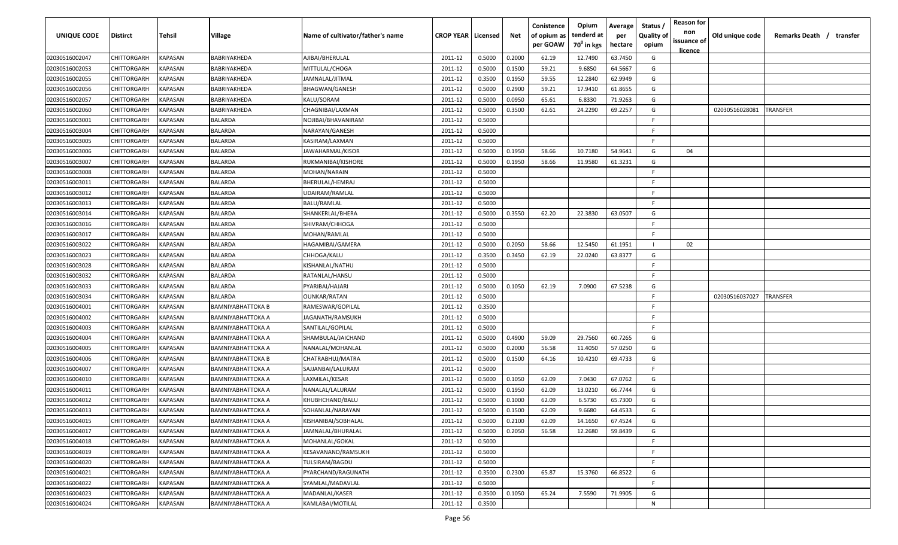| UNIQUE CODE    | <b>Distirct</b>    | Tehsil                | Village                  | Name of cultivator/father's name | <b>CROP YEAR   Licensed</b> |        | Net    | Conistence<br>of opium as<br>per GOAW | Opium<br>tenderd at<br>70 <sup>0</sup> in kgs | Average<br>per<br>hectare | Status<br><b>Quality of</b><br>opium | <b>Reason for</b><br>non<br>issuance of<br><u>licence</u> | Old unique code | Remarks Death / transfer |
|----------------|--------------------|-----------------------|--------------------------|----------------------------------|-----------------------------|--------|--------|---------------------------------------|-----------------------------------------------|---------------------------|--------------------------------------|-----------------------------------------------------------|-----------------|--------------------------|
| 02030516002047 | CHITTORGARH        | KAPASAN               | BABRIYAKHEDA             | AJIBAI/BHERULAL                  | 2011-12                     | 0.5000 | 0.2000 | 62.19                                 | 12.7490                                       | 63.7450                   | G                                    |                                                           |                 |                          |
| 02030516002053 | CHITTORGARH        | KAPASAN               | BABRIYAKHEDA             | MITTULAL/CHOGA                   | 2011-12                     | 0.5000 | 0.1500 | 59.21                                 | 9.6850                                        | 64.5667                   | G                                    |                                                           |                 |                          |
| 02030516002055 | CHITTORGARH        | KAPASAN               | BABRIYAKHEDA             | IAMNALAL/JITMAL                  | 2011-12                     | 0.3500 | 0.1950 | 59.55                                 | 12.2840                                       | 62.9949                   | G                                    |                                                           |                 |                          |
| 02030516002056 | CHITTORGARH        | KAPASAN               | BABRIYAKHEDA             | BHAGWAN/GANESH                   | 2011-12                     | 0.5000 | 0.2900 | 59.21                                 | 17.9410                                       | 61.8655                   | G                                    |                                                           |                 |                          |
| 02030516002057 | CHITTORGARH        | KAPASAN               | BABRIYAKHEDA             | KALU/SORAM                       | 2011-12                     | 0.5000 | 0.0950 | 65.61                                 | 6.8330                                        | 71.9263                   | G                                    |                                                           |                 |                          |
| 02030516002060 | CHITTORGARH        | KAPASAN               | BABRIYAKHEDA             | CHAGNIBAI/LAXMAN                 | 2011-12                     | 0.5000 | 0.3500 | 62.61                                 | 24.2290                                       | 69.2257                   | G                                    |                                                           | 02030516028081  | TRANSFER                 |
| 02030516003001 | CHITTORGARH        | KAPASAN               | <b>BALARDA</b>           | NOJIBAI/BHAVANIRAM               | 2011-12                     | 0.5000 |        |                                       |                                               |                           | F                                    |                                                           |                 |                          |
| 02030516003004 | CHITTORGARH        | KAPASAN               | <b>BALARDA</b>           | NARAYAN/GANESH                   | 2011-12                     | 0.5000 |        |                                       |                                               |                           | F.                                   |                                                           |                 |                          |
| 02030516003005 | CHITTORGARH        | KAPASAN               | BALARDA                  | KASIRAM/LAXMAN                   | 2011-12                     | 0.5000 |        |                                       |                                               |                           | F.                                   |                                                           |                 |                          |
| 02030516003006 | CHITTORGARH        | KAPASAN               | BALARDA                  | JAWAHARMAL/KISOR                 | 2011-12                     | 0.5000 | 0.1950 | 58.66                                 | 10.7180                                       | 54.9641                   | G                                    | 04                                                        |                 |                          |
| 02030516003007 | CHITTORGARH        | KAPASAN               | BALARDA                  | RUKMANIBAI/KISHORE               | 2011-12                     | 0.5000 | 0.1950 | 58.66                                 | 11.9580                                       | 61.3231                   | G                                    |                                                           |                 |                          |
| 02030516003008 | CHITTORGARH        | KAPASAN               | BALARDA                  | MOHAN/NARAIN                     | 2011-12                     | 0.5000 |        |                                       |                                               |                           | F.                                   |                                                           |                 |                          |
| 02030516003011 | CHITTORGARH        | KAPASAN               | BALARDA                  | BHERULAL/HEMRAJ                  | 2011-12                     | 0.5000 |        |                                       |                                               |                           | F.                                   |                                                           |                 |                          |
| 02030516003012 | CHITTORGARH        | KAPASAN               | BALARDA                  | UDAIRAM/RAMLAL                   | 2011-12                     | 0.5000 |        |                                       |                                               |                           | F                                    |                                                           |                 |                          |
| 02030516003013 | CHITTORGARH        | KAPASAN               | <b>BALARDA</b>           | BALU/RAMLAL                      | 2011-12                     | 0.5000 |        |                                       |                                               |                           | -F                                   |                                                           |                 |                          |
| 02030516003014 | CHITTORGARH        | KAPASAN               | <b>BALARDA</b>           | SHANKERLAL/BHERA                 | 2011-12                     | 0.5000 | 0.3550 | 62.20                                 | 22.3830                                       | 63.0507                   | G                                    |                                                           |                 |                          |
| 02030516003016 | CHITTORGARH        | KAPASAN               | <b>BALARDA</b>           | SHIVRAM/CHHOGA                   | 2011-12                     | 0.5000 |        |                                       |                                               |                           | E.                                   |                                                           |                 |                          |
| 02030516003017 | CHITTORGARH        | KAPASAN               | <b>BALARDA</b>           | MOHAN/RAMLAL                     | 2011-12                     | 0.5000 |        |                                       |                                               |                           | F                                    |                                                           |                 |                          |
| 02030516003022 | CHITTORGARH        | KAPASAN               | <b>BALARDA</b>           | HAGAMIBAI/GAMERA                 | 2011-12                     | 0.5000 | 0.2050 | 58.66                                 | 12.5450                                       | 61.1951                   |                                      | 02                                                        |                 |                          |
| 02030516003023 | CHITTORGARH        | KAPASAN               | <b>BALARDA</b>           | CHHOGA/KALU                      | 2011-12                     | 0.3500 | 0.3450 | 62.19                                 | 22.0240                                       | 63.8377                   | G                                    |                                                           |                 |                          |
| 02030516003028 | CHITTORGARH        | KAPASAN               | <b>BALARDA</b>           | KISHANLAL/NATHU                  | 2011-12                     | 0.5000 |        |                                       |                                               |                           | -F                                   |                                                           |                 |                          |
| 02030516003032 | CHITTORGARH        | KAPASAN               | <b>BALARDA</b>           | RATANLAL/HANSU                   | 2011-12                     | 0.5000 |        |                                       |                                               |                           | F                                    |                                                           |                 |                          |
| 02030516003033 | CHITTORGARH        | KAPASAN               | <b>BALARDA</b>           | PYARIBAI/HAJARI                  | 2011-12                     | 0.5000 | 0.1050 | 62.19                                 | 7.0900                                        | 67.5238                   | G                                    |                                                           |                 |                          |
| 02030516003034 | CHITTORGARH        | KAPASAN               | <b>BALARDA</b>           | OUNKAR/RATAN                     | 2011-12                     | 0.5000 |        |                                       |                                               |                           | F                                    |                                                           | 02030516037027  | TRANSFER                 |
| 02030516004001 | CHITTORGARH        | KAPASAN               | <b>BAMNIYABHATTOKA B</b> | RAMESWAR/GOPILAL                 | 2011-12                     | 0.3500 |        |                                       |                                               |                           | F.                                   |                                                           |                 |                          |
| 02030516004002 | CHITTORGARH        | KAPASAN               | <b>BAMNIYABHATTOKA A</b> | IAGANATH/RAMSUKH                 | 2011-12                     | 0.5000 |        |                                       |                                               |                           | F.                                   |                                                           |                 |                          |
| 02030516004003 | CHITTORGARH        | KAPASAN               | BAMNIYABHATTOKA A        | SANTILAL/GOPILAL                 | 2011-12                     | 0.5000 |        |                                       |                                               |                           | E                                    |                                                           |                 |                          |
| 02030516004004 | CHITTORGARH        | KAPASAN               | BAMNIYABHATTOKA A        | SHAMBULAL/JAICHAND               | 2011-12                     | 0.5000 | 0.4900 | 59.09                                 | 29.7560                                       | 60.7265                   | G                                    |                                                           |                 |                          |
| 02030516004005 | <b>CHITTORGARH</b> | KAPASAN               | BAMNIYABHATTOKA A        | NANALAL/MOHANLAL                 | 2011-12                     | 0.5000 | 0.2000 | 56.58                                 | 11.4050                                       | 57.0250                   | G                                    |                                                           |                 |                          |
| 02030516004006 | CHITTORGARH        | KAPASAN               | <b>BAMNIYABHATTOKA B</b> | CHATRABHUJ/MATRA                 | 2011-12                     | 0.5000 | 0.1500 | 64.16                                 | 10.4210                                       | 69.4733                   | G                                    |                                                           |                 |                          |
| 02030516004007 | CHITTORGARH        | <b><i>KAPASAN</i></b> | <b>BAMNIYABHATTOKA A</b> | SAJJANBAI/LALURAM                | 2011-12                     | 0.5000 |        |                                       |                                               |                           | -F                                   |                                                           |                 |                          |
| 02030516004010 | CHITTORGARH        | <b><i>KAPASAN</i></b> | <b>BAMNIYABHATTOKA A</b> | LAXMILAL/KESAR                   | 2011-12                     | 0.5000 | 0.1050 | 62.09                                 | 7.0430                                        | 67.0762                   | G                                    |                                                           |                 |                          |
| 02030516004011 | CHITTORGARH        | KAPASAN               | <b>BAMNIYABHATTOKA A</b> | NANALAL/LALURAM                  | 2011-12                     | 0.5000 | 0.1950 | 62.09                                 | 13.0210                                       | 66.7744                   | G                                    |                                                           |                 |                          |
| 02030516004012 | CHITTORGARH        | KAPASAN               | <b>BAMNIYABHATTOKA A</b> | KHUBHCHAND/BALU                  | 2011-12                     | 0.5000 | 0.1000 | 62.09                                 | 6.5730                                        | 65.7300                   | G                                    |                                                           |                 |                          |
| 02030516004013 | CHITTORGARH        | KAPASAN               | <b>BAMNIYABHATTOKA A</b> | SOHANLAL/NARAYAN                 | 2011-12                     | 0.5000 | 0.1500 | 62.09                                 | 9.6680                                        | 64.4533                   | G                                    |                                                           |                 |                          |
| 02030516004015 | CHITTORGARH        | <b>KAPASAN</b>        | <b>BAMNIYABHATTOKA A</b> | KISHANIBAI/SOBHALAL              | 2011-12                     | 0.5000 | 0.2100 | 62.09                                 | 14.1650                                       | 67.4524                   | G                                    |                                                           |                 |                          |
| 02030516004017 | CHITTORGARH        | <b>KAPASAN</b>        | <b>BAMNIYABHATTOKA A</b> | JAMNALAL/BHURALAL                | 2011-12                     | 0.5000 | 0.2050 | 56.58                                 | 12.2680                                       | 59.8439                   | G                                    |                                                           |                 |                          |
| 02030516004018 | CHITTORGARH        | <b>KAPASAN</b>        | <b>BAMNIYABHATTOKA A</b> | MOHANLAL/GOKAL                   | 2011-12                     | 0.5000 |        |                                       |                                               |                           | -F.                                  |                                                           |                 |                          |
| 02030516004019 | CHITTORGARH        | <b>KAPASAN</b>        | <b>BAMNIYABHATTOKA A</b> | KESAVANAND/RAMSUKH               | 2011-12                     | 0.5000 |        |                                       |                                               |                           | -F.                                  |                                                           |                 |                          |
| 02030516004020 | CHITTORGARH        | KAPASAN               | <b>BAMNIYABHATTOKA A</b> | TULSIRAM/BAGDU                   | 2011-12                     | 0.5000 |        |                                       |                                               |                           | -F                                   |                                                           |                 |                          |
| 02030516004021 | CHITTORGARH        | KAPASAN               | <b>BAMNIYABHATTOKA A</b> | PYARCHAND/RAGUNATH               | 2011-12                     | 0.3500 | 0.2300 | 65.87                                 | 15.3760                                       | 66.8522                   | G                                    |                                                           |                 |                          |
| 02030516004022 | CHITTORGARH        | KAPASAN               | <b>BAMNIYABHATTOKA A</b> | SYAMLAL/MADAVLAL                 | 2011-12                     | 0.5000 |        |                                       |                                               |                           | -F.                                  |                                                           |                 |                          |
| 02030516004023 | CHITTORGARH        | KAPASAN               | <b>BAMNIYABHATTOKA A</b> | MADANLAL/KASER                   | 2011-12                     | 0.3500 | 0.1050 | 65.24                                 | 7.5590                                        | 71.9905                   | G                                    |                                                           |                 |                          |
| 02030516004024 | CHITTORGARH        | KAPASAN               | <b>BAMNIYABHATTOKA A</b> | KAMLABAI/MOTILAL                 | 2011-12                     | 0.3500 |        |                                       |                                               |                           | N                                    |                                                           |                 |                          |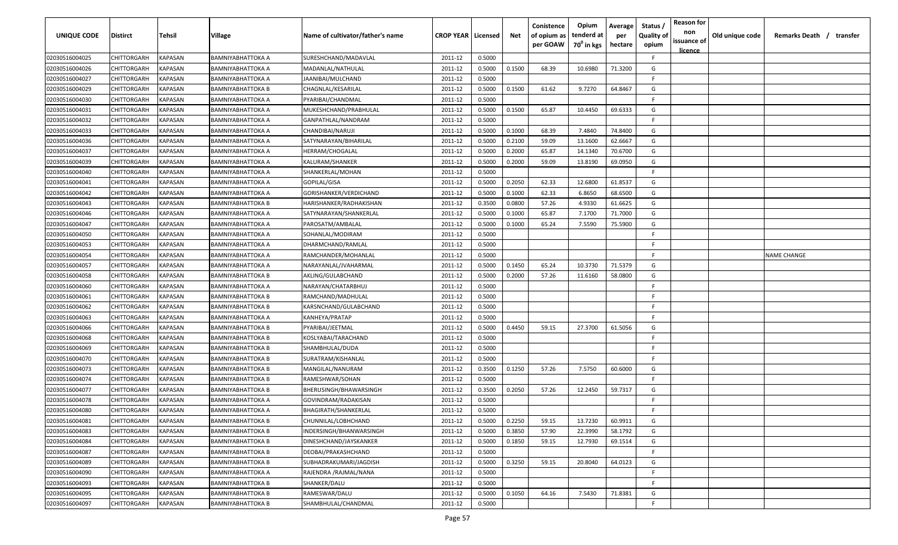| <b>UNIQUE CODE</b> | <b>Distirct</b>    | <b>Tehsil</b>  | Village                  | Name of cultivator/father's name | <b>CROP YEAR   Licensed</b> |        | Net    | Conistence<br>of opium as<br>per GOAW | Opium<br>tenderd at<br>70 <sup>0</sup> in kgs | Average<br>per<br>hectare | Status /<br><b>Quality of</b><br>opium | <b>Reason for</b><br>non<br>issuance of<br><u>licence</u> | Old unique code | Remarks Death / transfer |
|--------------------|--------------------|----------------|--------------------------|----------------------------------|-----------------------------|--------|--------|---------------------------------------|-----------------------------------------------|---------------------------|----------------------------------------|-----------------------------------------------------------|-----------------|--------------------------|
| 02030516004025     | CHITTORGARH        | <b>KAPASAN</b> | BAMNIYABHATTOKA A        | SURESHCHAND/MADAVLAL             | 2011-12                     | 0.5000 |        |                                       |                                               |                           | F.                                     |                                                           |                 |                          |
| 02030516004026     | CHITTORGARH        | KAPASAN        | BAMNIYABHATTOKA A        | MADANLAL/NATHULAL                | 2011-12                     | 0.5000 | 0.1500 | 68.39                                 | 10.6980                                       | 71.3200                   | G                                      |                                                           |                 |                          |
| 02030516004027     | CHITTORGARH        | KAPASAN        | BAMNIYABHATTOKA A        | JAANIBAI/MULCHAND                | 2011-12                     | 0.5000 |        |                                       |                                               |                           | -F.                                    |                                                           |                 |                          |
| 02030516004029     | CHITTORGARH        | KAPASAN        | BAMNIYABHATTOKA B        | CHAGNLAL/KESARILAL               | 2011-12                     | 0.5000 | 0.1500 | 61.62                                 | 9.7270                                        | 64.8467                   | G                                      |                                                           |                 |                          |
| 02030516004030     | CHITTORGARH        | KAPASAN        | BAMNIYABHATTOKA A        | PYARIBAI/CHANDMAL                | 2011-12                     | 0.5000 |        |                                       |                                               |                           | -F.                                    |                                                           |                 |                          |
| 02030516004031     | CHITTORGARH        | KAPASAN        | BAMNIYABHATTOKA A        | MUKESHCHAND/PRABHULAL            | 2011-12                     | 0.5000 | 0.1500 | 65.87                                 | 10.4450                                       | 69.6333                   | G                                      |                                                           |                 |                          |
| 02030516004032     | CHITTORGARH        | KAPASAN        | BAMNIYABHATTOKA A        | GANPATHLAL/NANDRAM               | 2011-12                     | 0.5000 |        |                                       |                                               |                           | -F                                     |                                                           |                 |                          |
| 02030516004033     | CHITTORGARH        | KAPASAN        | BAMNIYABHATTOKA A        | CHANDIBAI/NARUJI                 | 2011-12                     | 0.5000 | 0.1000 | 68.39                                 | 7.4840                                        | 74.8400                   | G                                      |                                                           |                 |                          |
| 02030516004036     | CHITTORGARH        | KAPASAN        | BAMNIYABHATTOKA A        | SATYNARAYAN/BIHARILAL            | 2011-12                     | 0.5000 | 0.2100 | 59.09                                 | 13.1600                                       | 62.6667                   | G                                      |                                                           |                 |                          |
| 02030516004037     | CHITTORGARH        | KAPASAN        | BAMNIYABHATTOKA A        | HERRAM/CHOGALAL                  | 2011-12                     | 0.5000 | 0.2000 | 65.87                                 | 14.1340                                       | 70.6700                   | G                                      |                                                           |                 |                          |
| 02030516004039     | CHITTORGARH        | KAPASAN        | BAMNIYABHATTOKA A        | KALURAM/SHANKER                  | 2011-12                     | 0.5000 | 0.2000 | 59.09                                 | 13.8190                                       | 69.0950                   | G                                      |                                                           |                 |                          |
| 02030516004040     | CHITTORGARH        | KAPASAN        | BAMNIYABHATTOKA A        | SHANKERLAL/MOHAN                 | 2011-12                     | 0.5000 |        |                                       |                                               |                           | -F.                                    |                                                           |                 |                          |
| 02030516004041     | CHITTORGARH        | KAPASAN        | BAMNIYABHATTOKA A        | GOPILAL/GISA                     | 2011-12                     | 0.5000 | 0.2050 | 62.33                                 | 12.6800                                       | 61.8537                   | G                                      |                                                           |                 |                          |
| 02030516004042     | CHITTORGARH        | KAPASAN        | BAMNIYABHATTOKA A        | GORISHANKER/VERDICHAND           | 2011-12                     | 0.5000 | 0.1000 | 62.33                                 | 6.8650                                        | 68.6500                   | G                                      |                                                           |                 |                          |
| 02030516004043     | CHITTORGARH        | KAPASAN        | BAMNIYABHATTOKA B        | HARISHANKER/RADHAKISHAN          | 2011-12                     | 0.3500 | 0.0800 | 57.26                                 | 4.9330                                        | 61.6625                   | G                                      |                                                           |                 |                          |
| 02030516004046     | CHITTORGARH        | KAPASAN        | BAMNIYABHATTOKA A        | SATYNARAYAN/SHANKERLAL           | 2011-12                     | 0.5000 | 0.1000 | 65.87                                 | 7.1700                                        | 71.7000                   | G                                      |                                                           |                 |                          |
| 02030516004047     | CHITTORGARH        | KAPASAN        | BAMNIYABHATTOKA A        | PAROSATM/AMBALAL                 | 2011-12                     | 0.5000 | 0.1000 | 65.24                                 | 7.5590                                        | 75.5900                   | G                                      |                                                           |                 |                          |
| 02030516004050     | CHITTORGARH        | KAPASAN        | BAMNIYABHATTOKA A        | SOHANLAL/MODIRAM                 | 2011-12                     | 0.5000 |        |                                       |                                               |                           | -F.                                    |                                                           |                 |                          |
| 02030516004053     | CHITTORGARH        | KAPASAN        | BAMNIYABHATTOKA A        | DHARMCHAND/RAMLAL                | 2011-12                     | 0.5000 |        |                                       |                                               |                           | -F.                                    |                                                           |                 |                          |
| 02030516004054     | CHITTORGARH        | KAPASAN        | BAMNIYABHATTOKA A        | RAMCHANDER/MOHANLAL              | 2011-12                     | 0.5000 |        |                                       |                                               |                           | -F.                                    |                                                           |                 | NAME CHANGE              |
| 02030516004057     | CHITTORGARH        | KAPASAN        | BAMNIYABHATTOKA A        | NARAYANLAL/JVAHARMAL             | 2011-12                     | 0.5000 | 0.1450 | 65.24                                 | 10.3730                                       | 71.5379                   | G                                      |                                                           |                 |                          |
| 02030516004058     | CHITTORGARH        | KAPASAN        | BAMNIYABHATTOKA B        | AKLING/GULABCHAND                | 2011-12                     | 0.5000 | 0.2000 | 57.26                                 | 11.6160                                       | 58.0800                   | G                                      |                                                           |                 |                          |
| 02030516004060     | CHITTORGARH        | KAPASAN        | BAMNIYABHATTOKA A        | NARAYAN/CHATARBHUJ               | 2011-12                     | 0.5000 |        |                                       |                                               |                           | -F.                                    |                                                           |                 |                          |
| 02030516004061     | CHITTORGARH        | KAPASAN        | BAMNIYABHATTOKA B        | RAMCHAND/MADHULAL                | 2011-12                     | 0.5000 |        |                                       |                                               |                           | -F.                                    |                                                           |                 |                          |
| 02030516004062     | CHITTORGARH        | KAPASAN        | BAMNIYABHATTOKA B        | KARSNCHAND/GULABCHAND            | 2011-12                     | 0.5000 |        |                                       |                                               |                           | -F                                     |                                                           |                 |                          |
| 02030516004063     | CHITTORGARH        | KAPASAN        | BAMNIYABHATTOKA A        | KANHEYA/PRATAP                   | 2011-12                     | 0.5000 |        |                                       |                                               |                           | -F.                                    |                                                           |                 |                          |
| 02030516004066     | CHITTORGARH        | KAPASAN        | BAMNIYABHATTOKA B        | PYARIBAI/JEETMAL                 | 2011-12                     | 0.5000 | 0.4450 | 59.15                                 | 27.3700                                       | 61.5056                   | G                                      |                                                           |                 |                          |
| 02030516004068     | CHITTORGARH        | KAPASAN        | BAMNIYABHATTOKA B        | KOSLYABAI/TARACHAND              | 2011-12                     | 0.5000 |        |                                       |                                               |                           | F.                                     |                                                           |                 |                          |
| 02030516004069     | CHITTORGARH        | KAPASAN        | BAMNIYABHATTOKA B        | SHAMBHULAL/DUDA                  | 2011-12                     | 0.5000 |        |                                       |                                               |                           | -F.                                    |                                                           |                 |                          |
| 02030516004070     | CHITTORGARH        | KAPASAN        | BAMNIYABHATTOKA B        | SURATRAM/KISHANLAL               | 2011-12                     | 0.5000 |        |                                       |                                               |                           | -F.                                    |                                                           |                 |                          |
| 02030516004073     | CHITTORGARH        | KAPASAN        | BAMNIYABHATTOKA B        | MANGILAL/NANURAM                 | 2011-12                     | 0.3500 | 0.1250 | 57.26                                 | 7.5750                                        | 60.6000                   | G                                      |                                                           |                 |                          |
| 02030516004074     | CHITTORGARH        | KAPASAN        | BAMNIYABHATTOKA B        | RAMESHWAR/SOHAN                  | 2011-12                     | 0.5000 |        |                                       |                                               |                           | F.                                     |                                                           |                 |                          |
| 02030516004077     | CHITTORGARH        | KAPASAN        | BAMNIYABHATTOKA B        | BHERUSINGH/BHAWARSINGH           | 2011-12                     | 0.3500 | 0.2050 | 57.26                                 | 12.2450                                       | 59.7317                   | G                                      |                                                           |                 |                          |
| 02030516004078     | CHITTORGARH        | KAPASAN        | BAMNIYABHATTOKA A        | GOVINDRAM/RADAKISAN              | 2011-12                     | 0.5000 |        |                                       |                                               |                           | -F                                     |                                                           |                 |                          |
| 02030516004080     | <b>CHITTORGARH</b> | KAPASAN        | BAMNIYABHATTOKA A        | BHAGIRATH/SHANKERLAL             | 2011-12                     | 0.5000 |        |                                       |                                               |                           | E                                      |                                                           |                 |                          |
| 02030516004081     | <b>CHITTORGARH</b> | <b>KAPASAN</b> | BAMNIYABHATTOKA B        | CHUNNILAL/LOBHCHAND              | 2011-12                     | 0.5000 | 0.2250 | 59.15                                 | 13.7230                                       | 60.9911                   | G                                      |                                                           |                 |                          |
| 02030516004083     | <b>CHITTORGARH</b> | KAPASAN        | BAMNIYABHATTOKA B        | INDERSINGH/BHANWARSINGH          | 2011-12                     | 0.5000 | 0.3850 | 57.90                                 | 22.3990                                       | 58.1792                   | G                                      |                                                           |                 |                          |
| 02030516004084     | CHITTORGARH        | KAPASAN        | BAMNIYABHATTOKA B        | DINESHCHAND/JAYSKANKER           | 2011-12                     | 0.5000 | 0.1850 | 59.15                                 | 12.7930                                       | 69.1514                   | G                                      |                                                           |                 |                          |
| 02030516004087     | CHITTORGARH        | KAPASAN        | <b>BAMNIYABHATTOKA B</b> | DEOBAI/PRAKASHCHAND              | 2011-12                     | 0.5000 |        |                                       |                                               |                           | F.                                     |                                                           |                 |                          |
| 02030516004089     | CHITTORGARH        | <b>KAPASAN</b> | BAMNIYABHATTOKA B        | SUBHADRAKUMARI/JAGDISH           | 2011-12                     | 0.5000 | 0.3250 | 59.15                                 | 20.8040                                       | 64.0123                   | G                                      |                                                           |                 |                          |
| 02030516004090     | CHITTORGARH        | KAPASAN        | BAMNIYABHATTOKA A        | RAJENDRA / RAJMAL/NANA           | 2011-12                     | 0.5000 |        |                                       |                                               |                           | F.                                     |                                                           |                 |                          |
| 02030516004093     | CHITTORGARH        | KAPASAN        | BAMNIYABHATTOKA B        | SHANKER/DALU                     | 2011-12                     | 0.5000 |        |                                       |                                               |                           | F.                                     |                                                           |                 |                          |
| 02030516004095     | CHITTORGARH        | KAPASAN        | <b>BAMNIYABHATTOKA B</b> | RAMESWAR/DALU                    | 2011-12                     | 0.5000 | 0.1050 | 64.16                                 | 7.5430                                        | 71.8381                   | G                                      |                                                           |                 |                          |
| 02030516004097     | CHITTORGARH        | KAPASAN        | BAMNIYABHATTOKA B        | SHAMBHULAL/CHANDMAL              | 2011-12                     | 0.5000 |        |                                       |                                               |                           | F                                      |                                                           |                 |                          |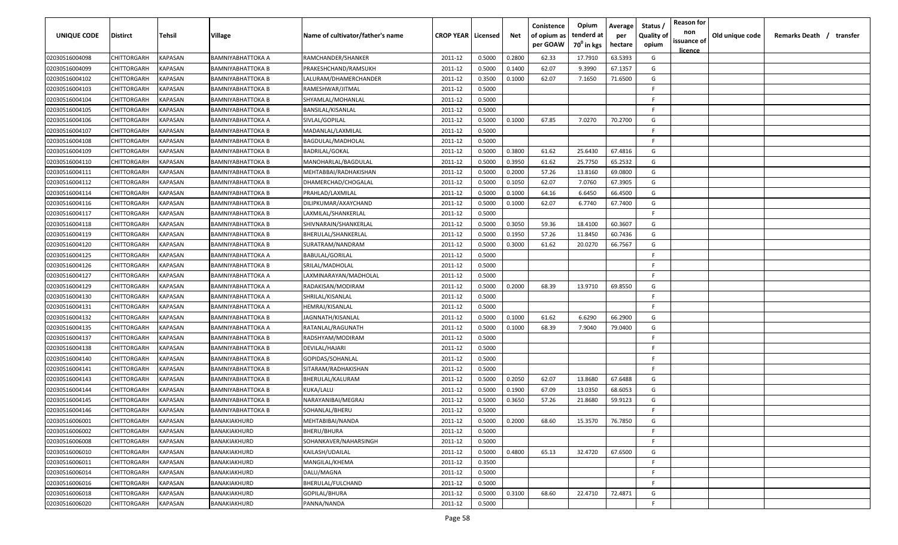| <b>UNIQUE CODE</b> | <b>Distirct</b>    | <b>Tehsil</b>  | Village                  | Name of cultivator/father's name | <b>CROP YEAR   Licensed</b> |        | Net    | Conistence<br>of opium as<br>per GOAW | Opium<br>tenderd at<br>70 <sup>0</sup> in kgs | Average<br>per<br>hectare | Status /<br><b>Quality of</b><br>opium | <b>Reason for</b><br>non<br>issuance of<br><u>licence</u> | Old unique code | Remarks Death /<br>transfer |
|--------------------|--------------------|----------------|--------------------------|----------------------------------|-----------------------------|--------|--------|---------------------------------------|-----------------------------------------------|---------------------------|----------------------------------------|-----------------------------------------------------------|-----------------|-----------------------------|
| 02030516004098     | CHITTORGARH        | <b>KAPASAN</b> | BAMNIYABHATTOKA A        | RAMCHANDER/SHANKER               | 2011-12                     | 0.5000 | 0.2800 | 62.33                                 | 17.7910                                       | 63.5393                   | G                                      |                                                           |                 |                             |
| 02030516004099     | CHITTORGARH        | KAPASAN        | BAMNIYABHATTOKA B        | PRAKESHCHAND/RAMSUKH             | 2011-12                     | 0.5000 | 0.1400 | 62.07                                 | 9.3990                                        | 67.1357                   | G                                      |                                                           |                 |                             |
| 02030516004102     | CHITTORGARH        | KAPASAN        | BAMNIYABHATTOKA B        | LALURAM/DHAMERCHANDER            | 2011-12                     | 0.3500 | 0.1000 | 62.07                                 | 7.1650                                        | 71.6500                   | G                                      |                                                           |                 |                             |
| 02030516004103     | CHITTORGARH        | KAPASAN        | BAMNIYABHATTOKA B        | RAMESHWAR/JITMAL                 | 2011-12                     | 0.5000 |        |                                       |                                               |                           | -F.                                    |                                                           |                 |                             |
| 02030516004104     | CHITTORGARH        | KAPASAN        | BAMNIYABHATTOKA B        | SHYAMLAL/MOHANLAL                | 2011-12                     | 0.5000 |        |                                       |                                               |                           | -F.                                    |                                                           |                 |                             |
| 02030516004105     | CHITTORGARH        | KAPASAN        | BAMNIYABHATTOKA B        | BANSILAL/KISANLAL                | 2011-12                     | 0.5000 |        |                                       |                                               |                           | -F                                     |                                                           |                 |                             |
| 02030516004106     | CHITTORGARH        | KAPASAN        | BAMNIYABHATTOKA A        | SIVLAL/GOPILAL                   | 2011-12                     | 0.5000 | 0.1000 | 67.85                                 | 7.0270                                        | 70.2700                   | G                                      |                                                           |                 |                             |
| 02030516004107     | CHITTORGARH        | KAPASAN        | BAMNIYABHATTOKA B        | MADANLAL/LAXMILAL                | 2011-12                     | 0.5000 |        |                                       |                                               |                           | -F.                                    |                                                           |                 |                             |
| 02030516004108     | CHITTORGARH        | KAPASAN        | BAMNIYABHATTOKA B        | BAGDULAL/MADHOLAL                | 2011-12                     | 0.5000 |        |                                       |                                               |                           | -F                                     |                                                           |                 |                             |
| 02030516004109     | CHITTORGARH        | KAPASAN        | BAMNIYABHATTOKA B        | <b>BADRILAL/GOKAL</b>            | 2011-12                     | 0.5000 | 0.3800 | 61.62                                 | 25.6430                                       | 67.4816                   | G                                      |                                                           |                 |                             |
| 02030516004110     | CHITTORGARH        | KAPASAN        | BAMNIYABHATTOKA B        | MANOHARLAL/BAGDULAL              | 2011-12                     | 0.5000 | 0.3950 | 61.62                                 | 25.7750                                       | 65.2532                   | G                                      |                                                           |                 |                             |
| 02030516004111     | CHITTORGARH        | KAPASAN        | BAMNIYABHATTOKA B        | MEHTABBAI/RADHAKISHAN            | 2011-12                     | 0.5000 | 0.2000 | 57.26                                 | 13.8160                                       | 69.0800                   | G                                      |                                                           |                 |                             |
| 02030516004112     | CHITTORGARH        | KAPASAN        | BAMNIYABHATTOKA B        | DHAMERCHAD/CHOGALAL              | 2011-12                     | 0.5000 | 0.1050 | 62.07                                 | 7.0760                                        | 67.3905                   | G                                      |                                                           |                 |                             |
| 02030516004114     | CHITTORGARH        | KAPASAN        | BAMNIYABHATTOKA B        | PRAHLAD/LAXMILAL                 | 2011-12                     | 0.5000 | 0.1000 | 64.16                                 | 6.6450                                        | 66.4500                   | G                                      |                                                           |                 |                             |
| 02030516004116     | CHITTORGARH        | KAPASAN        | BAMNIYABHATTOKA B        | DILIPKUMAR/AXAYCHAND             | 2011-12                     | 0.5000 | 0.1000 | 62.07                                 | 6.7740                                        | 67.7400                   | G                                      |                                                           |                 |                             |
| 02030516004117     | CHITTORGARH        | KAPASAN        | BAMNIYABHATTOKA B        | LAXMILAL/SHANKERLAL              | 2011-12                     | 0.5000 |        |                                       |                                               |                           | -F.                                    |                                                           |                 |                             |
| 02030516004118     | CHITTORGARH        | KAPASAN        | BAMNIYABHATTOKA B        | SHIVNARAIN/SHANKERLAL            | 2011-12                     | 0.5000 | 0.3050 | 59.36                                 | 18.4100                                       | 60.3607                   | G                                      |                                                           |                 |                             |
| 02030516004119     | CHITTORGARH        | KAPASAN        | <b>BAMNIYABHATTOKA B</b> | BHERULAL/SHANKERLAL              | 2011-12                     | 0.5000 | 0.1950 | 57.26                                 | 11.8450                                       | 60.7436                   | G                                      |                                                           |                 |                             |
| 02030516004120     | CHITTORGARH        | KAPASAN        | BAMNIYABHATTOKA B        | SURATRAM/NANDRAM                 | 2011-12                     | 0.5000 | 0.3000 | 61.62                                 | 20.0270                                       | 66.7567                   | G                                      |                                                           |                 |                             |
| 02030516004125     | CHITTORGARH        | KAPASAN        | BAMNIYABHATTOKA A        | <b>BABULAL/GORILAL</b>           | 2011-12                     | 0.5000 |        |                                       |                                               |                           | -F.                                    |                                                           |                 |                             |
| 02030516004126     | CHITTORGARH        | KAPASAN        | BAMNIYABHATTOKA B        | SRILAL/MADHOLAL                  | 2011-12                     | 0.5000 |        |                                       |                                               |                           | -F.                                    |                                                           |                 |                             |
| 02030516004127     | CHITTORGARH        | KAPASAN        | BAMNIYABHATTOKA A        | LAXMINARAYAN/MADHOLAL            | 2011-12                     | 0.5000 |        |                                       |                                               |                           | -F.                                    |                                                           |                 |                             |
| 02030516004129     | CHITTORGARH        | KAPASAN        | BAMNIYABHATTOKA A        | RADAKISAN/MODIRAM                | 2011-12                     | 0.5000 | 0.2000 | 68.39                                 | 13.9710                                       | 69.8550                   | G                                      |                                                           |                 |                             |
| 02030516004130     | CHITTORGARH        | KAPASAN        | BAMNIYABHATTOKA A        | SHRILAL/KISANLAL                 | 2011-12                     | 0.5000 |        |                                       |                                               |                           | -F.                                    |                                                           |                 |                             |
| 02030516004131     | CHITTORGARH        | KAPASAN        | BAMNIYABHATTOKA A        | HEMRAJ/KISANLAL                  | 2011-12                     | 0.5000 |        |                                       |                                               |                           | -F                                     |                                                           |                 |                             |
| 02030516004132     | CHITTORGARH        | KAPASAN        | BAMNIYABHATTOKA B        | JAGNNATH/KISANLAL                | 2011-12                     | 0.5000 | 0.1000 | 61.62                                 | 6.6290                                        | 66.2900                   | G                                      |                                                           |                 |                             |
| 02030516004135     | CHITTORGARH        | KAPASAN        | BAMNIYABHATTOKA A        | RATANLAL/RAGUNATH                | 2011-12                     | 0.5000 | 0.1000 | 68.39                                 | 7.9040                                        | 79.0400                   | G                                      |                                                           |                 |                             |
| 02030516004137     | CHITTORGARH        | KAPASAN        | BAMNIYABHATTOKA B        | RADSHYAM/MODIRAM                 | 2011-12                     | 0.5000 |        |                                       |                                               |                           | F.                                     |                                                           |                 |                             |
| 02030516004138     | CHITTORGARH        | KAPASAN        | BAMNIYABHATTOKA B        | DEVILAL/HAJARI                   | 2011-12                     | 0.5000 |        |                                       |                                               |                           | -F.                                    |                                                           |                 |                             |
| 02030516004140     | CHITTORGARH        | KAPASAN        | BAMNIYABHATTOKA B        | GOPIDAS/SOHANLAL                 | 2011-12                     | 0.5000 |        |                                       |                                               |                           | -F.                                    |                                                           |                 |                             |
| 02030516004141     | CHITTORGARH        | KAPASAN        | BAMNIYABHATTOKA B        | SITARAM/RADHAKISHAN              | 2011-12                     | 0.5000 |        |                                       |                                               |                           | -F.                                    |                                                           |                 |                             |
| 02030516004143     | CHITTORGARH        | KAPASAN        | BAMNIYABHATTOKA B        | BHERULAL/KALURAM                 | 2011-12                     | 0.5000 | 0.2050 | 62.07                                 | 13.8680                                       | 67.6488                   | G                                      |                                                           |                 |                             |
| 02030516004144     | CHITTORGARH        | KAPASAN        | BAMNIYABHATTOKA B        | KUKA/LALU                        | 2011-12                     | 0.5000 | 0.1900 | 67.09                                 | 13.0350                                       | 68.6053                   | G                                      |                                                           |                 |                             |
| 02030516004145     | CHITTORGARH        | KAPASAN        | BAMNIYABHATTOKA B        | NARAYANIBAI/MEGRAJ               | 2011-12                     | 0.5000 | 0.3650 | 57.26                                 | 21.8680                                       | 59.9123                   | G                                      |                                                           |                 |                             |
| 02030516004146     | <b>CHITTORGARH</b> | KAPASAN        | BAMNIYABHATTOKA B        | SOHANLAL/BHERU                   | 2011-12                     | 0.5000 |        |                                       |                                               |                           | E                                      |                                                           |                 |                             |
| 02030516006001     | CHITTORGARH        | <b>KAPASAN</b> | BANAKIAKHURD             | MEHTABIBAI/NANDA                 | 2011-12                     | 0.5000 | 0.2000 | 68.60                                 | 15.3570                                       | 76.7850                   | G                                      |                                                           |                 |                             |
| 02030516006002     | <b>CHITTORGARH</b> | KAPASAN        | BANAKIAKHURD             | BHERU/BHURA                      | 2011-12                     | 0.5000 |        |                                       |                                               |                           | F.                                     |                                                           |                 |                             |
| 02030516006008     | CHITTORGARH        | KAPASAN        | BANAKIAKHURD             | SOHANKAVER/NAHARSINGH            | 2011-12                     | 0.5000 |        |                                       |                                               |                           | $\mathsf{F}$                           |                                                           |                 |                             |
| 02030516006010     | CHITTORGARH        | <b>KAPASAN</b> | BANAKIAKHURD             | KAILASH/UDAILAL                  | 2011-12                     | 0.5000 | 0.4800 | 65.13                                 | 32.4720                                       | 67.6500                   | G                                      |                                                           |                 |                             |
| 02030516006011     | CHITTORGARH        | <b>KAPASAN</b> | BANAKIAKHURD             | MANGILAL/KHEMA                   | 2011-12                     | 0.3500 |        |                                       |                                               |                           | $\mathsf{F}$                           |                                                           |                 |                             |
| 02030516006014     | CHITTORGARH        | KAPASAN        | BANAKIAKHURD             | DALU/MAGNA                       | 2011-12                     | 0.5000 |        |                                       |                                               |                           | F.                                     |                                                           |                 |                             |
| 02030516006016     | CHITTORGARH        | KAPASAN        | BANAKIAKHURD             | BHERULAL/FULCHAND                | 2011-12                     | 0.5000 |        |                                       |                                               |                           | F.                                     |                                                           |                 |                             |
| 02030516006018     | <b>CHITTORGARH</b> | KAPASAN        | BANAKIAKHURD             | GOPILAL/BHURA                    | 2011-12                     | 0.5000 | 0.3100 | 68.60                                 | 22.4710                                       | 72.4871                   | G                                      |                                                           |                 |                             |
| 02030516006020     | CHITTORGARH        | <b>KAPASAN</b> | BANAKIAKHURD             | PANNA/NANDA                      | 2011-12                     | 0.5000 |        |                                       |                                               |                           | F                                      |                                                           |                 |                             |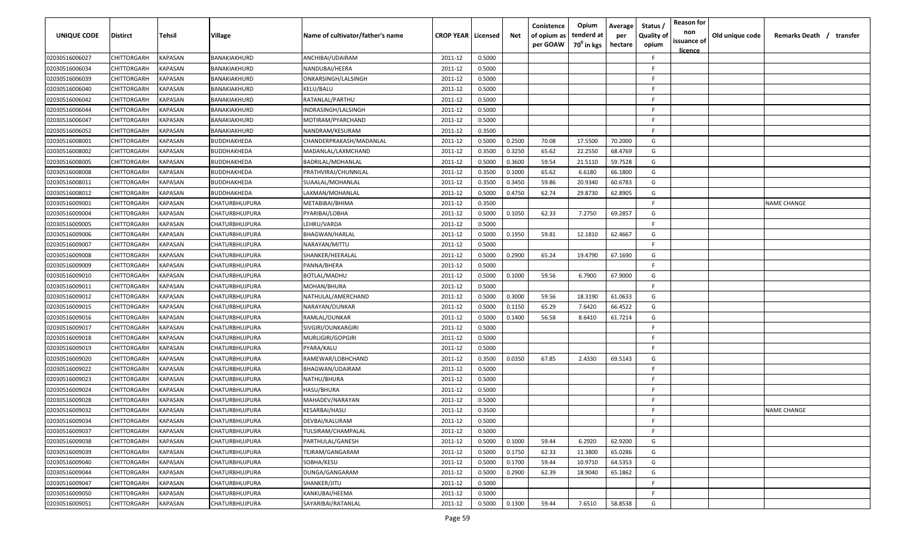| UNIQUE CODE    | Distirct           | Tehsil         | Village               | Name of cultivator/father's name | <b>CROP YEAR   Licensed</b> |        | Net    | Conistence<br>of opium as<br>per GOAW | Opium<br>tenderd at<br>70 <sup>0</sup> in kgs | Average<br>per<br>hectare | Status,<br><b>Quality of</b><br>opium | <b>Reason for</b><br>non<br>issuance of<br><u>licence</u> | Old unique code | Remarks Death / transfer |
|----------------|--------------------|----------------|-----------------------|----------------------------------|-----------------------------|--------|--------|---------------------------------------|-----------------------------------------------|---------------------------|---------------------------------------|-----------------------------------------------------------|-----------------|--------------------------|
| 02030516006027 | CHITTORGARH        | KAPASAN        | BANAKIAKHURD          | ANCHIBAI/UDAIRAM                 | 2011-12                     | 0.5000 |        |                                       |                                               |                           | F                                     |                                                           |                 |                          |
| 02030516006034 | CHITTORGARH        | KAPASAN        | BANAKIAKHURD          | NANDUBAI/HEERA                   | 2011-12                     | 0.5000 |        |                                       |                                               |                           | E                                     |                                                           |                 |                          |
| 02030516006039 | CHITTORGARH        | <b>KAPASAN</b> | BANAKIAKHURD          | ONKARSINGH/LALSINGH              | 2011-12                     | 0.5000 |        |                                       |                                               |                           | F                                     |                                                           |                 |                          |
| 02030516006040 | CHITTORGARH        | <b>KAPASAN</b> | BANAKIAKHURD          | KELU/BALU                        | 2011-12                     | 0.5000 |        |                                       |                                               |                           | F                                     |                                                           |                 |                          |
| 02030516006042 | CHITTORGARH        | KAPASAN        | BANAKIAKHURD          | RATANLAL/PARTHU                  | 2011-12                     | 0.5000 |        |                                       |                                               |                           | F                                     |                                                           |                 |                          |
| 02030516006044 | CHITTORGARH        | KAPASAN        | BANAKIAKHURD          | INDRASINGH/LALSINGH              | 2011-12                     | 0.5000 |        |                                       |                                               |                           | F                                     |                                                           |                 |                          |
| 02030516006047 | CHITTORGARH        | KAPASAN        | BANAKIAKHURD          | MOTIRAM/PYARCHAND                | 2011-12                     | 0.5000 |        |                                       |                                               |                           | F                                     |                                                           |                 |                          |
| 02030516006052 | CHITTORGARH        | KAPASAN        | BANAKIAKHURD          | NANDRAM/KESURAM                  | 2011-12                     | 0.3500 |        |                                       |                                               |                           | F                                     |                                                           |                 |                          |
| 02030516008001 | CHITTORGARH        | KAPASAN        | BUDDHAKHEDA           | CHANDERPRAKASH/MADANLAL          | 2011-12                     | 0.5000 | 0.2500 | 70.08                                 | 17.5500                                       | 70.2000                   | G                                     |                                                           |                 |                          |
| 02030516008002 | CHITTORGARH        | KAPASAN        | BUDDHAKHEDA           | MADANLAL/LAXMCHAND               | 2011-12                     | 0.3500 | 0.3250 | 65.62                                 | 22.2550                                       | 68.4769                   | G                                     |                                                           |                 |                          |
| 02030516008005 | CHITTORGARH        | KAPASAN        | 3UDDHAKHEDA           | BADRILAL/MOHANLAL                | 2011-12                     | 0.5000 | 0.3600 | 59.54                                 | 21.5110                                       | 59.7528                   | G                                     |                                                           |                 |                          |
| 02030516008008 | CHITTORGARH        | KAPASAN        | BUDDHAKHEDA           | PRATHVIRAJ/CHUNNILAL             | 2011-12                     | 0.3500 | 0.1000 | 65.62                                 | 6.6180                                        | 66.1800                   | G                                     |                                                           |                 |                          |
| 02030516008011 | CHITTORGARH        | <b>KAPASAN</b> | BUDDHAKHEDA           | SUAALAL/MOHANLAL                 | 2011-12                     | 0.3500 | 0.3450 | 59.86                                 | 20.9340                                       | 60.6783                   | G                                     |                                                           |                 |                          |
| 02030516008012 | CHITTORGARH        | KAPASAN        | BUDDHAKHEDA           | LAXMAN/MOHANLAL                  | 2011-12                     | 0.5000 | 0.4750 | 62.74                                 | 29.8730                                       | 62.8905                   | G                                     |                                                           |                 |                          |
| 02030516009001 | CHITTORGARH        | KAPASAN        | CHATURBHUJPURA        | METABIBAI/BHIMA                  | 2011-12                     | 0.3500 |        |                                       |                                               |                           | F                                     |                                                           |                 | <b>NAME CHANGE</b>       |
| 02030516009004 | CHITTORGARH        | <b>KAPASAN</b> | CHATURBHUJPURA        | PYARIBAI/LOBHA                   | 2011-12                     | 0.5000 | 0.1050 | 62.33                                 | 7.2750                                        | 69.2857                   | G                                     |                                                           |                 |                          |
| 02030516009005 | CHITTORGARH        | <b>KAPASAN</b> | CHATURBHUJPURA        | LEHRU/VARDA                      | 2011-12                     | 0.5000 |        |                                       |                                               |                           | F                                     |                                                           |                 |                          |
| 02030516009006 | CHITTORGARH        | KAPASAN        | CHATURBHUJPURA        | BHAGWAN/HARLAL                   | 2011-12                     | 0.5000 | 0.1950 | 59.81                                 | 12.1810                                       | 62.4667                   | G                                     |                                                           |                 |                          |
| 02030516009007 | CHITTORGARH        | KAPASAN        | CHATURBHUJPURA        | NARAYAN/MITTU                    | 2011-12                     | 0.5000 |        |                                       |                                               |                           | F                                     |                                                           |                 |                          |
| 02030516009008 | CHITTORGARH        | <b>KAPASAN</b> | CHATURBHUJPURA        | SHANKER/HEERALAL                 | 2011-12                     | 0.5000 | 0.2900 | 65.24                                 | 19.4790                                       | 67.1690                   | G                                     |                                                           |                 |                          |
| 02030516009009 | CHITTORGARH        | <b>KAPASAN</b> | CHATURBHUJPURA        | PANNA/BHERA                      | 2011-12                     | 0.5000 |        |                                       |                                               |                           | F                                     |                                                           |                 |                          |
| 02030516009010 | CHITTORGARH        | KAPASAN        | CHATURBHUJPURA        | BOTLAL/MADHU                     | 2011-12                     | 0.5000 | 0.1000 | 59.56                                 | 6.7900                                        | 67.9000                   | G                                     |                                                           |                 |                          |
| 02030516009011 | CHITTORGARH        | KAPASAN        | CHATURBHUJPURA        | MOHAN/BHURA                      | 2011-12                     | 0.5000 |        |                                       |                                               |                           | F                                     |                                                           |                 |                          |
| 02030516009012 | CHITTORGARH        | KAPASAN        | CHATURBHUJPURA        | NATHULAL/AMERCHAND               | 2011-12                     | 0.5000 | 0.3000 | 59.56                                 | 18.3190                                       | 61.0633                   | G                                     |                                                           |                 |                          |
| 02030516009015 | CHITTORGARH        | <b>KAPASAN</b> | CHATURBHUJPURA        | NARAYAN/OUNKAR                   | 2011-12                     | 0.5000 | 0.1150 | 65.29                                 | 7.6420                                        | 66.4522                   | G                                     |                                                           |                 |                          |
| 02030516009016 | CHITTORGARH        | KAPASAN        | CHATURBHUJPURA        | RAMLAL/OUNKAR                    | 2011-12                     | 0.5000 | 0.1400 | 56.58                                 | 8.6410                                        | 61.7214                   | G                                     |                                                           |                 |                          |
| 02030516009017 | CHITTORGARH        | KAPASAN        | CHATURBHUJPURA        | SIVGIRI/OUNKARGIRI               | 2011-12                     | 0.5000 |        |                                       |                                               |                           | F                                     |                                                           |                 |                          |
| 02030516009018 | CHITTORGARH        | KAPASAN        | CHATURBHUJPURA        | MURLIGIRI/GOPGIRI                | 2011-12                     | 0.5000 |        |                                       |                                               |                           | F.                                    |                                                           |                 |                          |
| 02030516009019 | CHITTORGARH        | KAPASAN        | CHATURBHUJPURA        | PYARA/KALU                       | 2011-12                     | 0.5000 |        |                                       |                                               |                           | F.                                    |                                                           |                 |                          |
| 02030516009020 | CHITTORGARH        | <b>KAPASAN</b> | CHATURBHUJPURA        | RAMEWAR/LOBHCHAND                | 2011-12                     | 0.3500 | 0.0350 | 67.85                                 | 2.4330                                        | 69.5143                   | G                                     |                                                           |                 |                          |
| 02030516009022 | CHITTORGARH        | KAPASAN        | CHATURBHUJPURA        | BHAGWAN/UDAIRAM                  | 2011-12                     | 0.5000 |        |                                       |                                               |                           | E                                     |                                                           |                 |                          |
| 02030516009023 | CHITTORGARH        | KAPASAN        | CHATURBHUJPURA        | NATHU/BHURA                      | 2011-12                     | 0.5000 |        |                                       |                                               |                           | F                                     |                                                           |                 |                          |
| 02030516009024 | CHITTORGARH        | <b>KAPASAN</b> | CHATURBHUJPURA        | HASU/BHURA                       | 2011-12                     | 0.5000 |        |                                       |                                               |                           | F                                     |                                                           |                 |                          |
| 02030516009028 | CHITTORGARH        | <b>KAPASAN</b> | CHATURBHUJPURA        | MAHADEV/NARAYAN                  | 2011-12                     | 0.5000 |        |                                       |                                               |                           | F                                     |                                                           |                 |                          |
| 02030516009032 | <b>CHITTORGARH</b> | <b>KAPASAN</b> | CHATURBHUJPURA        | KESARBAI/HASU                    | 2011-12                     | 0.3500 |        |                                       |                                               |                           | E                                     |                                                           |                 | <b>NAME CHANGE</b>       |
| 02030516009034 | <b>CHITTORGARH</b> | <b>KAPASAN</b> | CHATURBHUJPURA        | DEVBAI/KALURAM                   | 2011-12                     | 0.5000 |        |                                       |                                               |                           | F.                                    |                                                           |                 |                          |
| 02030516009037 | <b>CHITTORGARH</b> | <b>KAPASAN</b> | CHATURBHUJPURA        | TULSIRAM/CHAMPALAL               | 2011-12                     | 0.5000 |        |                                       |                                               |                           | F.                                    |                                                           |                 |                          |
| 02030516009038 | CHITTORGARH        | <b>KAPASAN</b> | CHATURBHUJPURA        | PARTHULAL/GANESH                 | 2011-12                     | 0.5000 | 0.1000 | 59.44                                 | 6.2920                                        | 62.9200                   | G                                     |                                                           |                 |                          |
| 02030516009039 | <b>CHITTORGARH</b> | <b>KAPASAN</b> | <b>CHATURBHUJPURA</b> | TEJRAM/GANGARAM                  | 2011-12                     | 0.5000 | 0.1750 | 62.33                                 | 11.3800                                       | 65.0286                   | G                                     |                                                           |                 |                          |
| 02030516009040 | CHITTORGARH        | <b>KAPASAN</b> | CHATURBHUJPURA        | SOBHA/KESU                       | 2011-12                     | 0.5000 | 0.1700 | 59.44                                 | 10.9710                                       | 64.5353                   | G                                     |                                                           |                 |                          |
| 02030516009044 | CHITTORGARH        | KAPASAN        | CHATURBHUJPURA        | DUNGA/GANGARAM                   | 2011-12                     | 0.5000 | 0.2900 | 62.39                                 | 18.9040                                       | 65.1862                   | G                                     |                                                           |                 |                          |
| 02030516009047 | CHITTORGARH        | KAPASAN        | CHATURBHUJPURA        | SHANKER/JITU                     | 2011-12                     | 0.5000 |        |                                       |                                               |                           | F.                                    |                                                           |                 |                          |
| 02030516009050 | CHITTORGARH        | <b>KAPASAN</b> | CHATURBHUJPURA        | KANKUBAI/HEEMA                   | 2011-12                     | 0.5000 |        |                                       |                                               |                           | F.                                    |                                                           |                 |                          |
| 02030516009051 | <b>CHITTORGARH</b> | <b>KAPASAN</b> | CHATURBHUJPURA        | SAYARIBAI/RATANLAL               | 2011-12                     | 0.5000 | 0.1300 | 59.44                                 | 7.6510                                        | 58.8538                   | G                                     |                                                           |                 |                          |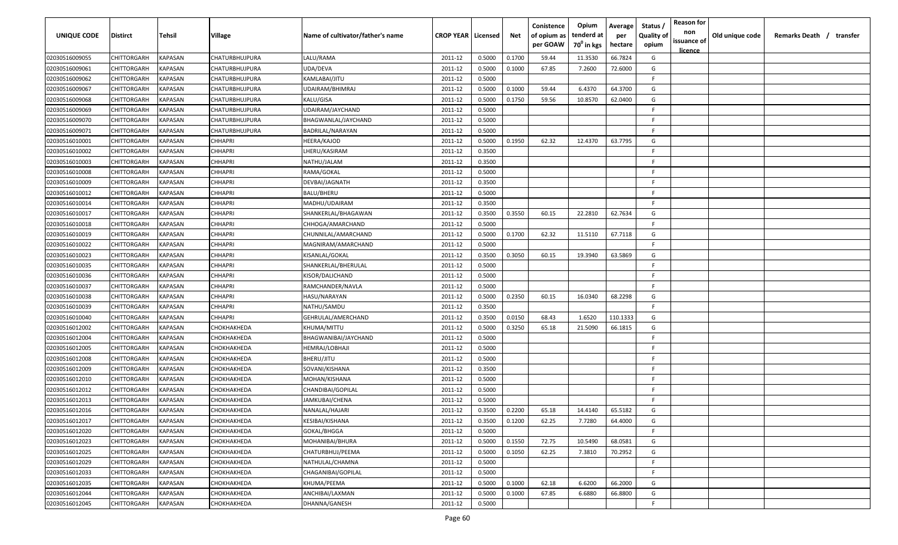| UNIQUE CODE    | <b>Distirct</b>    | Tehsil         | Village               | Name of cultivator/father's name | <b>CROP YEAR   Licensed</b> |        | Net    | Conistence<br>of opium as<br>per GOAW | Opium<br>tenderd at<br>70 <sup>0</sup> in kgs | Average<br>per<br>hectare | Status<br><b>Quality of</b><br>opium | <b>Reason for</b><br>non<br>issuance of<br><u>licence</u> | Old unique code | Remarks Death / transfer |
|----------------|--------------------|----------------|-----------------------|----------------------------------|-----------------------------|--------|--------|---------------------------------------|-----------------------------------------------|---------------------------|--------------------------------------|-----------------------------------------------------------|-----------------|--------------------------|
| 02030516009055 | CHITTORGARH        | <b>KAPASAN</b> | <b>CHATURBHUJPURA</b> | LALU/RAMA                        | 2011-12                     | 0.5000 | 0.1700 | 59.44                                 | 11.3530                                       | 66.7824                   | G                                    |                                                           |                 |                          |
| 02030516009061 | <b>CHITTORGARH</b> | KAPASAN        | CHATURBHUJPURA        | UDA/DEVA                         | 2011-12                     | 0.5000 | 0.1000 | 67.85                                 | 7.2600                                        | 72.6000                   | G                                    |                                                           |                 |                          |
| 02030516009062 | <b>CHITTORGARH</b> | KAPASAN        | CHATURBHUJPURA        | KAMLABAI/JITU                    | 2011-12                     | 0.5000 |        |                                       |                                               |                           | -F                                   |                                                           |                 |                          |
| 02030516009067 | <b>CHITTORGARH</b> | KAPASAN        | CHATURBHUJPURA        | UDAIRAM/BHIMRAJ                  | 2011-12                     | 0.5000 | 0.1000 | 59.44                                 | 6.4370                                        | 64.3700                   | G                                    |                                                           |                 |                          |
| 02030516009068 | <b>CHITTORGARH</b> | KAPASAN        | CHATURBHUJPURA        | KALU/GISA                        | 2011-12                     | 0.5000 | 0.1750 | 59.56                                 | 10.8570                                       | 62.0400                   | G                                    |                                                           |                 |                          |
| 02030516009069 | CHITTORGARH        | KAPASAN        | CHATURBHUJPURA        | UDAIRAM/JAYCHAND                 | 2011-12                     | 0.5000 |        |                                       |                                               |                           | -F.                                  |                                                           |                 |                          |
| 02030516009070 | <b>CHITTORGARH</b> | KAPASAN        | <b>CHATURBHUJPURA</b> | BHAGWANLAL/JAYCHAND              | 2011-12                     | 0.5000 |        |                                       |                                               |                           | -F                                   |                                                           |                 |                          |
| 02030516009071 | <b>CHITTORGARH</b> | KAPASAN        | CHATURBHUJPURA        | BADRILAL/NARAYAN                 | 2011-12                     | 0.5000 |        |                                       |                                               |                           | -F.                                  |                                                           |                 |                          |
| 02030516010001 | <b>CHITTORGARH</b> | KAPASAN        | <b>CHHAPRI</b>        | HEERA/KAJOD                      | 2011-12                     | 0.5000 | 0.1950 | 62.32                                 | 12.4370                                       | 63.7795                   | G                                    |                                                           |                 |                          |
| 02030516010002 | CHITTORGARH        | KAPASAN        | CHHAPRI               | LHERU/KASIRAM                    | 2011-12                     | 0.3500 |        |                                       |                                               |                           | F.                                   |                                                           |                 |                          |
| 02030516010003 | CHITTORGARH        | KAPASAN        | CHHAPRI               | NATHU/JALAM                      | 2011-12                     | 0.3500 |        |                                       |                                               |                           | -F.                                  |                                                           |                 |                          |
| 02030516010008 | CHITTORGARH        | KAPASAN        | CHHAPRI               | RAMA/GOKAL                       | 2011-12                     | 0.5000 |        |                                       |                                               |                           | F.                                   |                                                           |                 |                          |
| 02030516010009 | <b>CHITTORGARH</b> | KAPASAN        | CHHAPRI               | DEVBAI/JAGNATH                   | 2011-12                     | 0.3500 |        |                                       |                                               |                           | -F.                                  |                                                           |                 |                          |
| 02030516010012 | CHITTORGARH        | KAPASAN        | CHHAPRI               | BALU/BHERU                       | 2011-12                     | 0.5000 |        |                                       |                                               |                           | F.                                   |                                                           |                 |                          |
| 02030516010014 | <b>CHITTORGARH</b> | KAPASAN        | <b>CHHAPRI</b>        | MADHU/UDAIRAM                    | 2011-12                     | 0.3500 |        |                                       |                                               |                           | -F.                                  |                                                           |                 |                          |
| 02030516010017 | <b>CHITTORGARH</b> | KAPASAN        | CHHAPRI               | SHANKERLAL/BHAGAWAN              | 2011-12                     | 0.3500 | 0.3550 | 60.15                                 | 22.2810                                       | 62.7634                   | G                                    |                                                           |                 |                          |
| 02030516010018 | <b>CHITTORGARH</b> | KAPASAN        | <b>CHHAPRI</b>        | CHHOGA/AMARCHAND                 | 2011-12                     | 0.5000 |        |                                       |                                               |                           | -F.                                  |                                                           |                 |                          |
| 02030516010019 | <b>CHITTORGARH</b> | KAPASAN        | <b>CHHAPRI</b>        | CHUNNILAL/AMARCHAND              | 2011-12                     | 0.5000 | 0.1700 | 62.32                                 | 11.5110                                       | 67.7118                   | G                                    |                                                           |                 |                          |
| 02030516010022 | <b>CHITTORGARH</b> | KAPASAN        | <b>CHHAPRI</b>        | MAGNIRAM/AMARCHAND               | 2011-12                     | 0.5000 |        |                                       |                                               |                           | -F.                                  |                                                           |                 |                          |
| 02030516010023 | <b>CHITTORGARH</b> | KAPASAN        | <b>CHHAPRI</b>        | KISANLAL/GOKAL                   | 2011-12                     | 0.3500 | 0.3050 | 60.15                                 | 19.3940                                       | 63.5869                   | G                                    |                                                           |                 |                          |
| 02030516010035 | <b>CHITTORGARH</b> | <b>KAPASAN</b> | <b>CHHAPRI</b>        | SHANKERLAL/BHERULAL              | 2011-12                     | 0.5000 |        |                                       |                                               |                           | -F.                                  |                                                           |                 |                          |
| 02030516010036 | <b>CHITTORGARH</b> | <b>KAPASAN</b> | <b>CHHAPRI</b>        | KISOR/DALICHAND                  | 2011-12                     | 0.5000 |        |                                       |                                               |                           | -F.                                  |                                                           |                 |                          |
| 02030516010037 | CHITTORGARH        | KAPASAN        | CHHAPRI               | RAMCHANDER/NAVLA                 | 2011-12                     | 0.5000 |        |                                       |                                               |                           | -F.                                  |                                                           |                 |                          |
| 02030516010038 | <b>CHITTORGARH</b> | KAPASAN        | CHHAPRI               | HASU/NARAYAN                     | 2011-12                     | 0.5000 | 0.2350 | 60.15                                 | 16.0340                                       | 68.2298                   | G                                    |                                                           |                 |                          |
| 02030516010039 | <b>CHITTORGARH</b> | KAPASAN        | <b>CHHAPRI</b>        | NATHU/SAMDU                      | 2011-12                     | 0.3500 |        |                                       |                                               |                           | F.                                   |                                                           |                 |                          |
| 02030516010040 | <b>CHITTORGARH</b> | KAPASAN        | <b>CHHAPRI</b>        | GEHRULAL/AMERCHAND               | 2011-12                     | 0.3500 | 0.0150 | 68.43                                 | 1.6520                                        | 110.1333                  | G                                    |                                                           |                 |                          |
| 02030516012002 | <b>CHITTORGARH</b> | KAPASAN        | СНОКНАКНЕDА           | KHUMA/MITTU                      | 2011-12                     | 0.5000 | 0.3250 | 65.18                                 | 21.5090                                       | 66.1815                   | G                                    |                                                           |                 |                          |
| 02030516012004 | CHITTORGARH        | KAPASAN        | СНОКНАКНЕDА           | BHAGWANIBAI/JAYCHAND             | 2011-12                     | 0.5000 |        |                                       |                                               |                           | -F.                                  |                                                           |                 |                          |
| 02030516012005 | CHITTORGARH        | KAPASAN        | СНОКНАКНЕDА           | HEMRAJ/LOBHAJI                   | 2011-12                     | 0.5000 |        |                                       |                                               |                           | -F                                   |                                                           |                 |                          |
| 02030516012008 | <b>CHITTORGARH</b> | KAPASAN        | СНОКНАКНЕDА           | BHERU/JITU                       | 2011-12                     | 0.5000 |        |                                       |                                               |                           | -F.                                  |                                                           |                 |                          |
| 02030516012009 | <b>CHITTORGARH</b> | KAPASAN        | СНОКНАКНЕDА           | SOVANI/KISHANA                   | 2011-12                     | 0.3500 |        |                                       |                                               |                           | -F.                                  |                                                           |                 |                          |
| 02030516012010 | <b>CHITTORGARH</b> | KAPASAN        | СНОКНАКНЕDА           | MOHAN/KISHANA                    | 2011-12                     | 0.5000 |        |                                       |                                               |                           | -F.                                  |                                                           |                 |                          |
| 02030516012012 | <b>CHITTORGARH</b> | KAPASAN        | СНОКНАКНЕDА           | CHANDIBAI/GOPILAL                | 2011-12                     | 0.5000 |        |                                       |                                               |                           | -F.                                  |                                                           |                 |                          |
| 02030516012013 | <b>CHITTORGARH</b> | <b>KAPASAN</b> | СНОКНАКНЕDА           | JAMKUBAI/CHENA                   | 2011-12                     | 0.5000 |        |                                       |                                               |                           | -F.                                  |                                                           |                 |                          |
| 02030516012016 | <b>CHITTORGARH</b> | KAPASAN        | СНОКНАКНЕДА           | NANALAL/HAJARI                   | 2011-12                     | 0.3500 | 0.2200 | 65.18                                 | 14.4140                                       | 65.5182                   | G                                    |                                                           |                 |                          |
| 02030516012017 | <b>CHITTORGARH</b> | <b>KAPASAN</b> | <b>СНОКНАКНЕDA</b>    | KESIBAI/KISHANA                  | 2011-12                     | 0.3500 | 0.1200 | 62.25                                 | 7.7280                                        | 64.4000                   | G                                    |                                                           |                 |                          |
| 02030516012020 | <b>CHITTORGARH</b> | <b>KAPASAN</b> | СНОКНАКНЕDА           | GOKAL/BHGGA                      | 2011-12                     | 0.5000 |        |                                       |                                               |                           | F.                                   |                                                           |                 |                          |
| 02030516012023 | <b>CHITTORGARH</b> | <b>KAPASAN</b> | СНОКНАКНЕDА           | MOHANIBAI/BHURA                  | 2011-12                     | 0.5000 | 0.1550 | 72.75                                 | 10.5490                                       | 68.0581                   | G                                    |                                                           |                 |                          |
| 02030516012025 | CHITTORGARH        | <b>KAPASAN</b> | СНОКНАКНЕDА           | CHATURBHUJ/PEEMA                 | 2011-12                     | 0.5000 | 0.1050 | 62.25                                 | 7.3810                                        | 70.2952                   | G                                    |                                                           |                 |                          |
| 02030516012029 | CHITTORGARH        | <b>KAPASAN</b> | СНОКНАКНЕDА           | NATHULAL/CHAMNA                  | 2011-12                     | 0.5000 |        |                                       |                                               |                           | F.                                   |                                                           |                 |                          |
| 02030516012033 | <b>CHITTORGARH</b> | <b>KAPASAN</b> | СНОКНАКНЕDА           | CHAGANIBAI/GOPILAL               | 2011-12                     | 0.5000 |        |                                       |                                               |                           | F.                                   |                                                           |                 |                          |
| 02030516012035 | CHITTORGARH        | <b>KAPASAN</b> | СНОКНАКНЕDА           | KHUMA/PEEMA                      | 2011-12                     | 0.5000 | 0.1000 | 62.18                                 | 6.6200                                        | 66.2000                   | G                                    |                                                           |                 |                          |
| 02030516012044 | CHITTORGARH        | <b>KAPASAN</b> | <b>СНОКНАКНЕDA</b>    | ANCHIBAI/LAXMAN                  | 2011-12                     | 0.5000 | 0.1000 | 67.85                                 | 6.6880                                        | 66.8800                   | G                                    |                                                           |                 |                          |
| 02030516012045 | CHITTORGARH        | <b>KAPASAN</b> | СНОКНАКНЕДА           | DHANNA/GANESH                    | 2011-12                     | 0.5000 |        |                                       |                                               |                           | F.                                   |                                                           |                 |                          |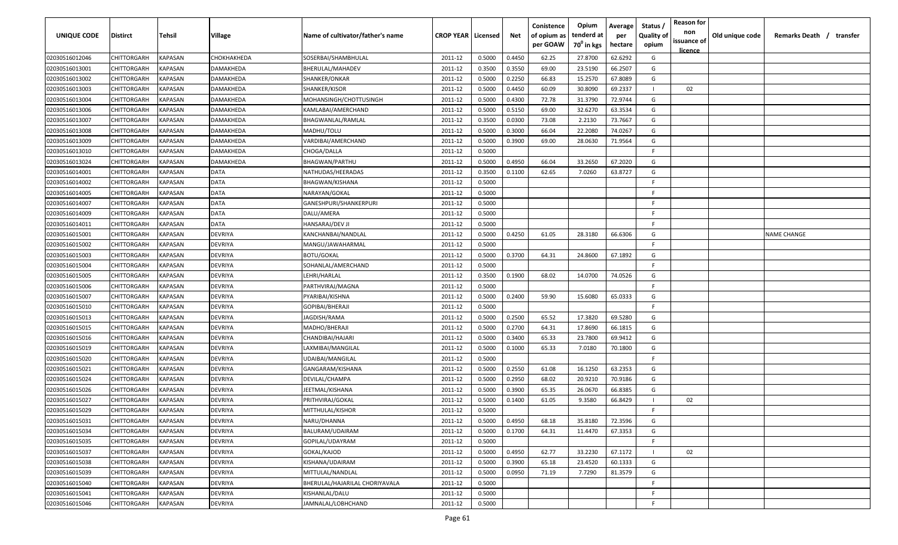| <b>UNIQUE CODE</b> | Distirct           | Tehsil         | Village     | Name of cultivator/father's name | <b>CROP YEAR   Licensed</b> |        | Net    | Conistence<br>of opium as | Opium<br>tenderd at    | Average<br>per | Status /<br><b>Quality of</b> | <b>Reason for</b><br>non<br>issuance of | Old unique code | Remarks Death / transfer |
|--------------------|--------------------|----------------|-------------|----------------------------------|-----------------------------|--------|--------|---------------------------|------------------------|----------------|-------------------------------|-----------------------------------------|-----------------|--------------------------|
|                    |                    |                |             |                                  |                             |        |        | per GOAW                  | 70 <sup>0</sup> in kgs | hectare        | opium                         | <u>licence</u>                          |                 |                          |
| 02030516012046     | CHITTORGARH        | <b>KAPASAN</b> | СНОКНАКНЕDА | SOSERBAI/SHAMBHULAL              | 2011-12                     | 0.5000 | 0.4450 | 62.25                     | 27.8700                | 62.6292        | G                             |                                         |                 |                          |
| 02030516013001     | CHITTORGARH        | KAPASAN        | DAMAKHEDA   | BHERULAL/MAHADEV                 | 2011-12                     | 0.3500 | 0.3550 | 69.00                     | 23.5190                | 66.2507        | G                             |                                         |                 |                          |
| 02030516013002     | CHITTORGARH        | KAPASAN        | DAMAKHEDA   | SHANKER/ONKAR                    | 2011-12                     | 0.5000 | 0.2250 | 66.83                     | 15.2570                | 67.8089        | G                             |                                         |                 |                          |
| 02030516013003     | CHITTORGARH        | KAPASAN        | DAMAKHEDA   | SHANKER/KISOR                    | 2011-12                     | 0.5000 | 0.4450 | 60.09                     | 30.8090                | 69.2337        |                               | 02                                      |                 |                          |
| 02030516013004     | CHITTORGARH        | KAPASAN        | DAMAKHEDA   | MOHANSINGH/CHOTTUSINGH           | 2011-12                     | 0.5000 | 0.4300 | 72.78                     | 31.3790                | 72.9744        | G                             |                                         |                 |                          |
| 02030516013006     | CHITTORGARH        | KAPASAN        | DAMAKHEDA   | KAMLABAI/AMERCHAND               | 2011-12                     | 0.5000 | 0.5150 | 69.00                     | 32.6270                | 63.3534        | G                             |                                         |                 |                          |
| 02030516013007     | <b>CHITTORGARH</b> | KAPASAN        | DAMAKHEDA   | BHAGWANLAL/RAMLAL                | 2011-12                     | 0.3500 | 0.0300 | 73.08                     | 2.2130                 | 73.7667        | G                             |                                         |                 |                          |
| 02030516013008     | CHITTORGARH        | KAPASAN        | DAMAKHEDA   | MADHU/TOLU                       | 2011-12                     | 0.5000 | 0.3000 | 66.04                     | 22.2080                | 74.0267        | G                             |                                         |                 |                          |
| 02030516013009     | CHITTORGARH        | KAPASAN        | DAMAKHEDA   | VARDIBAI/AMERCHAND               | 2011-12                     | 0.5000 | 0.3900 | 69.00                     | 28.0630                | 71.9564        | G                             |                                         |                 |                          |
| 02030516013010     | CHITTORGARH        | KAPASAN        | DAMAKHEDA   | CHOGA/DALLA                      | 2011-12                     | 0.5000 |        |                           |                        |                | F                             |                                         |                 |                          |
| 02030516013024     | CHITTORGARH        | KAPASAN        | DAMAKHEDA   | BHAGWAN/PARTHU                   | 2011-12                     | 0.5000 | 0.4950 | 66.04                     | 33.2650                | 67.2020        | G                             |                                         |                 |                          |
| 02030516014001     | CHITTORGARH        | KAPASAN        | DATA        | NATHUDAS/HEERADAS                | 2011-12                     | 0.3500 | 0.1100 | 62.65                     | 7.0260                 | 63.8727        | G                             |                                         |                 |                          |
| 02030516014002     | CHITTORGARH        | KAPASAN        | DATA        | BHAGWAN/KISHANA                  | 2011-12                     | 0.5000 |        |                           |                        |                | -F.                           |                                         |                 |                          |
| 02030516014005     | CHITTORGARH        | KAPASAN        | DATA        | NARAYAN/GOKAL                    | 2011-12                     | 0.5000 |        |                           |                        |                | F                             |                                         |                 |                          |
| 02030516014007     | CHITTORGARH        | KAPASAN        | DATA        | GANESHPURI/SHANKERPURI           | 2011-12                     | 0.5000 |        |                           |                        |                | -F.                           |                                         |                 |                          |
| 02030516014009     | CHITTORGARH        | KAPASAN        | <b>DATA</b> | DALU/AMERA                       | 2011-12                     | 0.5000 |        |                           |                        |                | -F.                           |                                         |                 |                          |
| 02030516014011     | CHITTORGARH        | KAPASAN        | <b>DATA</b> | HANSARAJ/DEV JI                  | 2011-12                     | 0.5000 |        |                           |                        |                | -F.                           |                                         |                 |                          |
| 02030516015001     | CHITTORGARH        | KAPASAN        | DEVRIYA     | KANCHANBAI/NANDLAL               | 2011-12                     | 0.5000 | 0.4250 | 61.05                     | 28.3180                | 66.6306        | G                             |                                         |                 | <b>NAME CHANGE</b>       |
| 02030516015002     | CHITTORGARH        | KAPASAN        | DEVRIYA     | MANGU/JAWAHARMAL                 | 2011-12                     | 0.5000 |        |                           |                        |                | -F.                           |                                         |                 |                          |
| 02030516015003     | CHITTORGARH        | KAPASAN        | DEVRIYA     | <b>BOTU/GOKAL</b>                | 2011-12                     | 0.5000 | 0.3700 | 64.31                     | 24.8600                | 67.1892        | G                             |                                         |                 |                          |
| 02030516015004     | CHITTORGARH        | KAPASAN        | DEVRIYA     | SOHANLAL/AMERCHAND               | 2011-12                     | 0.5000 |        |                           |                        |                | -F.                           |                                         |                 |                          |
| 02030516015005     | CHITTORGARH        | KAPASAN        | DEVRIYA     | LEHRI/HARLAL                     | 2011-12                     | 0.3500 | 0.1900 | 68.02                     | 14.0700                | 74.0526        | G                             |                                         |                 |                          |
| 02030516015006     | CHITTORGARH        | KAPASAN        | DEVRIYA     | PARTHVIRAJ/MAGNA                 | 2011-12                     | 0.5000 |        |                           |                        |                | -F.                           |                                         |                 |                          |
| 02030516015007     | CHITTORGARH        | KAPASAN        | DEVRIYA     | PYARIBAI/KISHNA                  | 2011-12                     | 0.5000 | 0.2400 | 59.90                     | 15.6080                | 65.0333        | G                             |                                         |                 |                          |
| 02030516015010     | CHITTORGARH        | KAPASAN        | DEVRIYA     | GOPIBAI/BHERAJI                  | 2011-12                     | 0.5000 |        |                           |                        |                | -F                            |                                         |                 |                          |
| 02030516015013     | CHITTORGARH        | KAPASAN        | DEVRIYA     | JAGDISH/RAMA                     | 2011-12                     | 0.5000 | 0.2500 | 65.52                     | 17.3820                | 69.5280        | G                             |                                         |                 |                          |
| 02030516015015     | CHITTORGARH        | KAPASAN        | DEVRIYA     | MADHO/BHERAJI                    | 2011-12                     | 0.5000 | 0.2700 | 64.31                     | 17.8690                | 66.1815        | G                             |                                         |                 |                          |
| 02030516015016     | CHITTORGARH        | KAPASAN        | DEVRIYA     | CHANDIBAI/HAJARI                 | 2011-12                     | 0.5000 | 0.3400 | 65.33                     | 23.7800                | 69.9412        | G                             |                                         |                 |                          |
| 02030516015019     | CHITTORGARH        | KAPASAN        | DEVRIYA     | LAXMIBAI/MANGILAL                | 2011-12                     | 0.5000 | 0.1000 | 65.33                     | 7.0180                 | 70.1800        | G                             |                                         |                 |                          |
| 02030516015020     | CHITTORGARH        | KAPASAN        | DEVRIYA     | UDAIBAI/MANGILAL                 | 2011-12                     | 0.5000 |        |                           |                        |                | -F.                           |                                         |                 |                          |
| 02030516015021     | CHITTORGARH        | KAPASAN        | DEVRIYA     | GANGARAM/KISHANA                 | 2011-12                     | 0.5000 | 0.2550 | 61.08                     | 16.1250                | 63.2353        | G                             |                                         |                 |                          |
| 02030516015024     | CHITTORGARH        | KAPASAN        | DEVRIYA     | DEVILAL/CHAMPA                   | 2011-12                     | 0.5000 | 0.2950 | 68.02                     | 20.9210                | 70.9186        | G                             |                                         |                 |                          |
| 02030516015026     | CHITTORGARH        | KAPASAN        | DEVRIYA     | JEETMAL/KISHANA                  | 2011-12                     | 0.5000 | 0.3900 | 65.35                     | 26.0670                | 66.8385        | G                             |                                         |                 |                          |
| 02030516015027     | CHITTORGARH        | KAPASAN        | DEVRIYA     | PRITHVIRAJ/GOKAL                 | 2011-12                     | 0.5000 | 0.1400 | 61.05                     | 9.3580                 | 66.8429        |                               | 02                                      |                 |                          |
| 02030516015029     | CHITTORGARH        | KAPASAN        | DEVRIYA     | MITTHULAL/KISHOR                 | 2011-12                     | 0.5000 |        |                           |                        |                | F                             |                                         |                 |                          |
| 02030516015031     | CHITTORGARH        | KAPASAN        | DEVRIYA     | NARU/DHANNA                      | 2011-12                     | 0.5000 | 0.4950 | 68.18                     | 35.8180                | 72.3596        | G                             |                                         |                 |                          |
| 02030516015034     | CHITTORGARH        | <b>KAPASAN</b> | DEVRIYA     | BALURAM/UDAIRAM                  | 2011-12                     | 0.5000 | 0.1700 | 64.31                     | 11.4470                | 67.3353        | G                             |                                         |                 |                          |
| 02030516015035     | CHITTORGARH        | <b>KAPASAN</b> | DEVRIYA     | GOPILAL/UDAYRAM                  | 2011-12                     | 0.5000 |        |                           |                        |                | F.                            |                                         |                 |                          |
| 02030516015037     | <b>CHITTORGARH</b> | <b>KAPASAN</b> | DEVRIYA     | GOKAL/KAJOD                      | 2011-12                     | 0.5000 | 0.4950 | 62.77                     | 33.2230                | 67.1172        |                               | 02                                      |                 |                          |
| 02030516015038     | CHITTORGARH        | KAPASAN        | DEVRIYA     | KISHANA/UDAIRAM                  | 2011-12                     | 0.5000 | 0.3900 | 65.18                     | 23.4520                | 60.1333        | G                             |                                         |                 |                          |
| 02030516015039     | CHITTORGARH        | KAPASAN        | DEVRIYA     | MITTULAL/NANDLAL                 | 2011-12                     | 0.5000 | 0.0950 | 71.19                     | 7.7290                 | 81.3579        | G                             |                                         |                 |                          |
| 02030516015040     | CHITTORGARH        | KAPASAN        | DEVRIYA     | BHERULAL/HAJARILAL CHORIYAVALA   | 2011-12                     | 0.5000 |        |                           |                        |                | F.                            |                                         |                 |                          |
| 02030516015041     | CHITTORGARH        | KAPASAN        | DEVRIYA     | KISHANLAL/DALU                   | 2011-12                     | 0.5000 |        |                           |                        |                | F.                            |                                         |                 |                          |
| 02030516015046     | <b>CHITTORGARH</b> | KAPASAN        | DEVRIYA     | JAMNALAL/LOBHCHAND               | 2011-12                     | 0.5000 |        |                           |                        |                | F                             |                                         |                 |                          |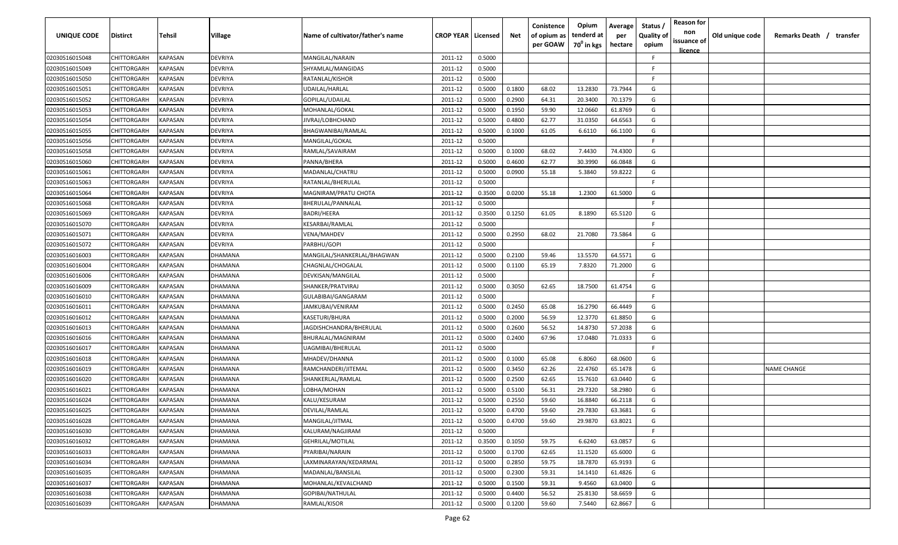| UNIQUE CODE    | <b>Distirct</b>    | Tehsil                | Village        | Name of cultivator/father's name | <b>CROP YEAR   Licensed</b> |        | Net    | Conistence<br>of opium as<br>per GOAW | Opium<br>tenderd at<br>70 <sup>0</sup> in kgs | Average<br>per<br>hectare | Status<br><b>Quality of</b><br>opium | <b>Reason for</b><br>non<br>issuance of | Old unique code | Remarks Death / transfer |
|----------------|--------------------|-----------------------|----------------|----------------------------------|-----------------------------|--------|--------|---------------------------------------|-----------------------------------------------|---------------------------|--------------------------------------|-----------------------------------------|-----------------|--------------------------|
| 02030516015048 | CHITTORGARH        | KAPASAN               | DEVRIYA        | MANGILAL/NARAIN                  | 2011-12                     | 0.5000 |        |                                       |                                               |                           | -F                                   | <u>licence</u>                          |                 |                          |
| 02030516015049 | CHITTORGARH        | KAPASAN               | DEVRIYA        | SHYAMLAL/MANGIDAS                | 2011-12                     | 0.5000 |        |                                       |                                               |                           | F.                                   |                                         |                 |                          |
| 02030516015050 | CHITTORGARH        | KAPASAN               | <b>DEVRIYA</b> | RATANLAL/KISHOR                  | 2011-12                     | 0.5000 |        |                                       |                                               |                           | F.                                   |                                         |                 |                          |
| 02030516015051 | CHITTORGARH        | KAPASAN               | DEVRIYA        | UDAILAL/HARLAL                   | 2011-12                     | 0.5000 | 0.1800 | 68.02                                 | 13.2830                                       | 73.7944                   | G                                    |                                         |                 |                          |
| 02030516015052 | CHITTORGARH        | KAPASAN               | DEVRIYA        | GOPILAL/UDAILAL                  | 2011-12                     | 0.5000 | 0.2900 | 64.31                                 | 20.3400                                       | 70.1379                   | G                                    |                                         |                 |                          |
| 02030516015053 | CHITTORGARH        | KAPASAN               | <b>DEVRIYA</b> | MOHANLAL/GOKAL                   | 2011-12                     | 0.5000 | 0.1950 | 59.90                                 | 12.0660                                       | 61.8769                   | G                                    |                                         |                 |                          |
| 02030516015054 | CHITTORGARH        | KAPASAN               | DEVRIYA        | IIVRAJ/LOBHCHAND                 | 2011-12                     | 0.5000 | 0.4800 | 62.77                                 | 31.0350                                       | 64.6563                   | G                                    |                                         |                 |                          |
| 02030516015055 | CHITTORGARH        | KAPASAN               | DEVRIYA        | BHAGWANIBAI/RAMLAL               | 2011-12                     | 0.5000 | 0.1000 | 61.05                                 | 6.6110                                        | 66.1100                   | G                                    |                                         |                 |                          |
| 02030516015056 | CHITTORGARH        | KAPASAN               | DEVRIYA        | MANGILAL/GOKAL                   | 2011-12                     | 0.5000 |        |                                       |                                               |                           | F.                                   |                                         |                 |                          |
| 02030516015058 | <b>CHITTORGARH</b> | KAPASAN               | DEVRIYA        | RAMLAL/SAVAIRAM                  | 2011-12                     | 0.5000 | 0.1000 | 68.02                                 | 7.4430                                        | 74.4300                   | G                                    |                                         |                 |                          |
| 02030516015060 | <b>CHITTORGARH</b> | <b><i>KAPASAN</i></b> | DEVRIYA        | PANNA/BHERA                      | 2011-12                     | 0.5000 | 0.4600 | 62.77                                 | 30.3990                                       | 66.0848                   | G                                    |                                         |                 |                          |
| 02030516015061 | CHITTORGARH        | KAPASAN               | DEVRIYA        | MADANLAL/CHATRU                  | 2011-12                     | 0.5000 | 0.0900 | 55.18                                 | 5.3840                                        | 59.8222                   | G                                    |                                         |                 |                          |
| 02030516015063 | CHITTORGARH        | KAPASAN               | DEVRIYA        | RATANLAL/BHERULAL                | 2011-12                     | 0.5000 |        |                                       |                                               |                           | E                                    |                                         |                 |                          |
| 02030516015064 | CHITTORGARH        | KAPASAN               | DEVRIYA        | MAGNIRAM/PRATU CHOTA             | 2011-12                     | 0.3500 | 0.0200 | 55.18                                 | 1.2300                                        | 61.5000                   | G                                    |                                         |                 |                          |
| 02030516015068 | CHITTORGARH        | KAPASAN               | <b>DEVRIYA</b> | BHERULAL/PANNALAL                | 2011-12                     | 0.5000 |        |                                       |                                               |                           | F.                                   |                                         |                 |                          |
| 02030516015069 | CHITTORGARH        | KAPASAN               | <b>DEVRIYA</b> | BADRI/HEERA                      | 2011-12                     | 0.3500 | 0.1250 | 61.05                                 | 8.1890                                        | 65.5120                   | G                                    |                                         |                 |                          |
| 02030516015070 | CHITTORGARH        | KAPASAN               | DEVRIYA        | KESARBAI/RAMLAL                  | 2011-12                     | 0.5000 |        |                                       |                                               |                           | -F.                                  |                                         |                 |                          |
| 02030516015071 | CHITTORGARH        | KAPASAN               | DEVRIYA        | VENA/MAHDEV                      | 2011-12                     | 0.5000 | 0.2950 | 68.02                                 | 21.7080                                       | 73.5864                   | G                                    |                                         |                 |                          |
| 02030516015072 | CHITTORGARH        | KAPASAN               | DEVRIYA        | PARBHU/GOPI                      | 2011-12                     | 0.5000 |        |                                       |                                               |                           | -F                                   |                                         |                 |                          |
| 02030516016003 | CHITTORGARH        | KAPASAN               | <b>DHAMANA</b> | MANGILAL/SHANKERLAL/BHAGWAN      | 2011-12                     | 0.5000 | 0.2100 | 59.46                                 | 13.5570                                       | 64.5571                   | G                                    |                                         |                 |                          |
| 02030516016004 | CHITTORGARH        | KAPASAN               | <b>DHAMANA</b> | CHAGNLAL/CHOGALAL                | 2011-12                     | 0.5000 | 0.1100 | 65.19                                 | 7.8320                                        | 71.2000                   | G                                    |                                         |                 |                          |
| 02030516016006 | CHITTORGARH        | KAPASAN               | <b>DHAMANA</b> | DEVKISAN/MANGILAL                | 2011-12                     | 0.5000 |        |                                       |                                               |                           | -F                                   |                                         |                 |                          |
| 02030516016009 | CHITTORGARH        | KAPASAN               | <b>DHAMANA</b> | SHANKER/PRATVIRAJ                | 2011-12                     | 0.5000 | 0.3050 | 62.65                                 | 18.7500                                       | 61.4754                   | G                                    |                                         |                 |                          |
| 02030516016010 | CHITTORGARH        | KAPASAN               | <b>DHAMANA</b> | GULABIBAI/GANGARAM               | 2011-12                     | 0.5000 |        |                                       |                                               |                           | F.                                   |                                         |                 |                          |
| 02030516016011 | CHITTORGARH        | KAPASAN               | <b>DHAMANA</b> | JAMKUBAI/VENIRAM                 | 2011-12                     | 0.5000 | 0.2450 | 65.08                                 | 16.2790                                       | 66.4449                   | G                                    |                                         |                 |                          |
| 02030516016012 | CHITTORGARH        | KAPASAN               | DHAMANA        | KASETURI/BHURA                   | 2011-12                     | 0.5000 | 0.2000 | 56.59                                 | 12.3770                                       | 61.8850                   | G                                    |                                         |                 |                          |
| 02030516016013 | <b>CHITTORGARH</b> | KAPASAN               | DHAMANA        | IAGDISHCHANDRA/BHERULAL          | 2011-12                     | 0.5000 | 0.2600 | 56.52                                 | 14.8730                                       | 57.2038                   | G                                    |                                         |                 |                          |
| 02030516016016 | <b>CHITTORGARH</b> | <b><i>KAPASAN</i></b> | <b>DHAMANA</b> | BHURALAL/MAGNIRAM                | 2011-12                     | 0.5000 | 0.2400 | 67.96                                 | 17.0480                                       | 71.0333                   | G                                    |                                         |                 |                          |
| 02030516016017 | CHITTORGARH        | KAPASAN               | <b>DHAMANA</b> | UAGMIBAI/BHERULAL                | 2011-12                     | 0.5000 |        |                                       |                                               |                           | F.                                   |                                         |                 |                          |
| 02030516016018 | CHITTORGARH        | <b><i>KAPASAN</i></b> | <b>DHAMANA</b> | MHADEV/DHANNA                    | 2011-12                     | 0.5000 | 0.1000 | 65.08                                 | 6.8060                                        | 68.0600                   | G                                    |                                         |                 |                          |
| 02030516016019 | CHITTORGARH        | KAPASAN               | <b>DHAMANA</b> | RAMCHANDERI/JITEMAL              | 2011-12                     | 0.5000 | 0.3450 | 62.26                                 | 22.4760                                       | 65.1478                   | G                                    |                                         |                 | NAME CHANGE              |
| 02030516016020 | CHITTORGARH        | KAPASAN               | <b>DHAMANA</b> | SHANKERLAL/RAMLAL                | 2011-12                     | 0.5000 | 0.2500 | 62.65                                 | 15.7610                                       | 63.0440                   | G                                    |                                         |                 |                          |
| 02030516016021 | CHITTORGARH        | KAPASAN               | DHAMANA        | LOBHA/MOHAN                      | 2011-12                     | 0.5000 | 0.5100 | 56.31                                 | 29.7320                                       | 58.2980                   | G                                    |                                         |                 |                          |
| 02030516016024 | CHITTORGARH        | KAPASAN               | <b>DHAMANA</b> | KALU/KESURAM                     | 2011-12                     | 0.5000 | 0.2550 | 59.60                                 | 16.8840                                       | 66.2118                   | G                                    |                                         |                 |                          |
| 02030516016025 | CHITTORGARH        | <b>KAPASAN</b>        | <b>DHAMANA</b> | DEVILAL/RAMLAL                   | 2011-12                     | 0.5000 | 0.4700 | 59.60                                 | 29.7830                                       | 63.3681                   | G                                    |                                         |                 |                          |
| 02030516016028 | CHITTORGARH        | <b>KAPASAN</b>        | <b>DHAMANA</b> | MANGILAL/JITMAL                  | 2011-12                     | 0.5000 | 0.4700 | 59.60                                 | 29.9870                                       | 63.8021                   | G                                    |                                         |                 |                          |
| 02030516016030 | CHITTORGARH        | <b>KAPASAN</b>        | <b>DHAMANA</b> | KALURAM/NAGJIRAM                 | 2011-12                     | 0.5000 |        |                                       |                                               |                           | -F                                   |                                         |                 |                          |
| 02030516016032 | CHITTORGARH        | KAPASAN               | DHAMANA        | GEHRILAL/MOTILAL                 | 2011-12                     | 0.3500 | 0.1050 | 59.75                                 | 6.6240                                        | 63.0857                   | G                                    |                                         |                 |                          |
| 02030516016033 | CHITTORGARH        | KAPASAN               | <b>DHAMANA</b> | PYARIBAI/NARAIN                  | 2011-12                     | 0.5000 | 0.1700 | 62.65                                 | 11.1520                                       | 65.6000                   | G                                    |                                         |                 |                          |
| 02030516016034 | CHITTORGARH        | KAPASAN               | <b>DHAMANA</b> | LAXMINARAYAN/KEDARMAL            | 2011-12                     | 0.5000 | 0.2850 | 59.75                                 | 18.7870                                       | 65.9193                   | G                                    |                                         |                 |                          |
| 02030516016035 | CHITTORGARH        | KAPASAN               | DHAMANA        | MADANLAL/BANSILAL                | 2011-12                     | 0.5000 | 0.2300 | 59.31                                 | 14.1410                                       | 61.4826                   | G                                    |                                         |                 |                          |
| 02030516016037 | CHITTORGARH        | KAPASAN               | <b>DHAMANA</b> | MOHANLAL/KEVALCHAND              | 2011-12                     | 0.5000 | 0.1500 | 59.31                                 | 9.4560                                        | 63.0400                   | G                                    |                                         |                 |                          |
| 02030516016038 | CHITTORGARH        | KAPASAN               | <b>DHAMANA</b> | GOPIBAI/NATHULAL                 | 2011-12                     | 0.5000 | 0.4400 | 56.52                                 | 25.8130                                       | 58.6659                   | G                                    |                                         |                 |                          |
| 02030516016039 | CHITTORGARH        | <b>KAPASAN</b>        | DHAMANA        | RAMLAL/KISOR                     | 2011-12                     | 0.5000 | 0.1200 | 59.60                                 | 7.5440                                        | 62.8667                   | G                                    |                                         |                 |                          |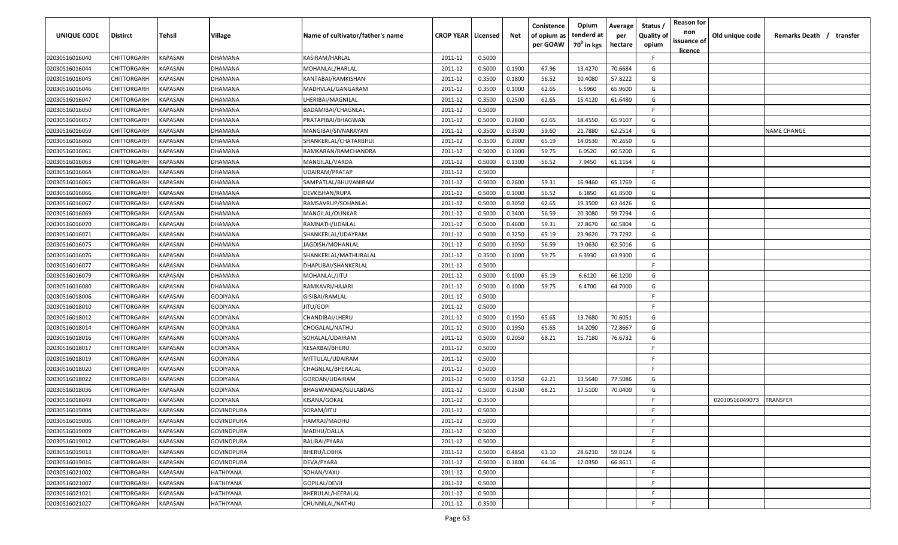| <b>UNIQUE CODE</b> | Distirct           | Tehsil         | Village           | Name of cultivator/father's name | <b>CROP YEAR   Licensed</b> |        | Net    | Conistence<br>of opium as | Opium<br>tenderd at    | Average<br>per | Status /<br><b>Quality of</b> | <b>Reason for</b><br>non      | Old unique code | Remarks Death / transfer |
|--------------------|--------------------|----------------|-------------------|----------------------------------|-----------------------------|--------|--------|---------------------------|------------------------|----------------|-------------------------------|-------------------------------|-----------------|--------------------------|
|                    |                    |                |                   |                                  |                             |        |        | per GOAW                  | 70 <sup>0</sup> in kgs | hectare        | opium                         | issuance of<br><u>licence</u> |                 |                          |
| 02030516016040     | CHITTORGARH        | <b>KAPASAN</b> | DHAMANA           | KASIRAM/HARLAL                   | 2011-12                     | 0.5000 |        |                           |                        |                | F.                            |                               |                 |                          |
| 02030516016044     | CHITTORGARH        | KAPASAN        | DHAMANA           | MOHANLAL/HARLAL                  | 2011-12                     | 0.5000 | 0.1900 | 67.96                     | 13.4270                | 70.6684        | G                             |                               |                 |                          |
| 02030516016045     | CHITTORGARH        | KAPASAN        | DHAMANA           | KANTABAI/RAMKISHAN               | 2011-12                     | 0.3500 | 0.1800 | 56.52                     | 10.4080                | 57.8222        | G                             |                               |                 |                          |
| 02030516016046     | CHITTORGARH        | KAPASAN        | DHAMANA           | MADHVLAL/GANGARAM                | 2011-12                     | 0.3500 | 0.1000 | 62.65                     | 6.5960                 | 65.9600        | G                             |                               |                 |                          |
| 02030516016047     | CHITTORGARH        | KAPASAN        | DHAMANA           | LHERIBAI/MAGNILAL                | 2011-12                     | 0.3500 | 0.2500 | 62.65                     | 15.4120                | 61.6480        | G                             |                               |                 |                          |
| 02030516016050     | CHITTORGARH        | KAPASAN        | DHAMANA           | BADAMIBAI/CHAGNLAL               | 2011-12                     | 0.5000 |        |                           |                        |                | E                             |                               |                 |                          |
| 02030516016057     | <b>CHITTORGARH</b> | KAPASAN        | DHAMANA           | PRATAPIBAI/BHAGWAN               | 2011-12                     | 0.5000 | 0.2800 | 62.65                     | 18.4550                | 65.9107        | G                             |                               |                 |                          |
| 02030516016059     | CHITTORGARH        | KAPASAN        | DHAMANA           | MANGIBAI/SIVNARAYAN              | 2011-12                     | 0.3500 | 0.3500 | 59.60                     | 21.7880                | 62.2514        | G                             |                               |                 | <b>NAME CHANGE</b>       |
| 02030516016060     | CHITTORGARH        | KAPASAN        | DHAMANA           | SHANKERLAL/CHATARBHUJ            | 2011-12                     | 0.3500 | 0.2000 | 65.19                     | 14.0530                | 70.2650        | G                             |                               |                 |                          |
| 02030516016061     | CHITTORGARH        | KAPASAN        | DHAMANA           | RAMKARAN/RAMCHANDRA              | 2011-12                     | 0.5000 | 0.1000 | 59.75                     | 6.0520                 | 60.5200        | G                             |                               |                 |                          |
| 02030516016063     | CHITTORGARH        | KAPASAN        | DHAMANA           | MANGILAL/VARDA                   | 2011-12                     | 0.5000 | 0.1300 | 56.52                     | 7.9450                 | 61.1154        | G                             |                               |                 |                          |
| 02030516016064     | CHITTORGARH        | KAPASAN        | DHAMANA           | UDAIRAM/PRATAP                   | 2011-12                     | 0.5000 |        |                           |                        |                | F.                            |                               |                 |                          |
| 02030516016065     | CHITTORGARH        | KAPASAN        | DHAMANA           | SAMPATLAL/BHUVANIRAM             | 2011-12                     | 0.5000 | 0.2600 | 59.31                     | 16.9460                | 65.1769        | G                             |                               |                 |                          |
| 02030516016066     | CHITTORGARH        | KAPASAN        | DHAMANA           | DEVKISHAN/RUPA                   | 2011-12                     | 0.5000 | 0.1000 | 56.52                     | 6.1850                 | 61.8500        | G                             |                               |                 |                          |
| 02030516016067     | CHITTORGARH        | KAPASAN        | DHAMANA           | RAMSAVRUP/SOHANLAL               | 2011-12                     | 0.5000 | 0.3050 | 62.65                     | 19.3500                | 63.4426        | G                             |                               |                 |                          |
| 02030516016069     | CHITTORGARH        | KAPASAN        | DHAMANA           | MANGILAL/OUNKAR                  | 2011-12                     | 0.5000 | 0.3400 | 56.59                     | 20.3080                | 59.7294        | G                             |                               |                 |                          |
| 02030516016070     | CHITTORGARH        | KAPASAN        | DHAMANA           | RAMNATH/UDAILAL                  | 2011-12                     | 0.5000 | 0.4600 | 59.31                     | 27.8670                | 60.5804        | G                             |                               |                 |                          |
| 02030516016071     | CHITTORGARH        | KAPASAN        | DHAMANA           | SHANKERLAL/UDAYRAM               | 2011-12                     | 0.5000 | 0.3250 | 65.19                     | 23.9620                | 73.7292        | G                             |                               |                 |                          |
| 02030516016075     | CHITTORGARH        | KAPASAN        | DHAMANA           | JAGDISH/MOHANLAL                 | 2011-12                     | 0.5000 | 0.3050 | 56.59                     | 19.0630                | 62.5016        | G                             |                               |                 |                          |
| 02030516016076     | CHITTORGARH        | KAPASAN        | DHAMANA           | SHANKERLAL/MATHURALAL            | 2011-12                     | 0.3500 | 0.1000 | 59.75                     | 6.3930                 | 63.9300        | G                             |                               |                 |                          |
| 02030516016077     | CHITTORGARH        | KAPASAN        | DHAMANA           | DHAPUBAI/SHANKERLAL              | 2011-12                     | 0.5000 |        |                           |                        |                | -F.                           |                               |                 |                          |
| 02030516016079     | CHITTORGARH        | KAPASAN        | DHAMANA           | MOHANLAL/JITU                    | 2011-12                     | 0.5000 | 0.1000 | 65.19                     | 6.6120                 | 66.1200        | G                             |                               |                 |                          |
| 02030516016080     | CHITTORGARH        | KAPASAN        | DHAMANA           | RAMKAVRI/HAJARI                  | 2011-12                     | 0.5000 | 0.1000 | 59.75                     | 6.4700                 | 64.7000        | G                             |                               |                 |                          |
| 02030516018006     | CHITTORGARH        | KAPASAN        | GODIYANA          | GISIBAI/RAMLAL                   | 2011-12                     | 0.5000 |        |                           |                        |                | -F.                           |                               |                 |                          |
| 02030516018010     | CHITTORGARH        | KAPASAN        | GODIYANA          | JITU/GOPI                        | 2011-12                     | 0.5000 |        |                           |                        |                | -F.                           |                               |                 |                          |
| 02030516018012     | CHITTORGARH        | KAPASAN        | GODIYANA          | CHANDIBAI/LHERU                  | 2011-12                     | 0.5000 | 0.1950 | 65.65                     | 13.7680                | 70.6051        | G                             |                               |                 |                          |
| 02030516018014     | CHITTORGARH        | KAPASAN        | GODIYANA          | CHOGALAL/NATHU                   | 2011-12                     | 0.5000 | 0.1950 | 65.65                     | 14.2090                | 72.8667        | G                             |                               |                 |                          |
| 02030516018016     | CHITTORGARH        | KAPASAN        | GODIYANA          | SOHALAL/UDAIRAM                  | 2011-12                     | 0.5000 | 0.2050 | 68.21                     | 15.7180                | 76.6732        | G                             |                               |                 |                          |
| 02030516018017     | CHITTORGARH        | KAPASAN        | GODIYANA          | KESARBAI/BHERU                   | 2011-12                     | 0.5000 |        |                           |                        |                | -F.                           |                               |                 |                          |
| 02030516018019     | CHITTORGARH        | KAPASAN        | GODIYANA          | MITTULAL/UDAIRAM                 | 2011-12                     | 0.5000 |        |                           |                        |                | -F.                           |                               |                 |                          |
| 02030516018020     | CHITTORGARH        | KAPASAN        | GODIYANA          | CHAGNLAL/BHERALAL                | 2011-12                     | 0.5000 |        |                           |                        |                | -F.                           |                               |                 |                          |
| 02030516018022     | CHITTORGARH        | KAPASAN        | GODIYANA          | GORDAN/UDAIRAM                   | 2011-12                     | 0.5000 | 0.1750 | 62.21                     | 13.5640                | 77.5086        | G                             |                               |                 |                          |
| 02030516018036     | CHITTORGARH        | KAPASAN        | <b>GODIYANA</b>   | BHAGWANDAS/GULABDAS              | 2011-12                     | 0.5000 | 0.2500 | 68.21                     | 17.5100                | 70.0400        | G                             |                               |                 |                          |
| 02030516018049     | CHITTORGARH        | KAPASAN        | <b>GODIYANA</b>   | KISANA/GOKAL                     | 2011-12                     | 0.3500 |        |                           |                        |                | E                             |                               | 02030516049073  | <b>TRANSFER</b>          |
| 02030516019004     | <b>CHITTORGARH</b> | KAPASAN        | <b>GOVINDPURA</b> | SORAM/JITU                       | 2011-12                     | 0.5000 |        |                           |                        |                | F                             |                               |                 |                          |
| 02030516019006     | CHITTORGARH        | KAPASAN        | <b>GOVINDPURA</b> | HAMRAJ/MADHU                     | 2011-12                     | 0.5000 |        |                           |                        |                | -F                            |                               |                 |                          |
| 02030516019009     | <b>CHITTORGARH</b> | <b>KAPASAN</b> | <b>GOVINDPURA</b> | MADHU/DALLA                      | 2011-12                     | 0.5000 |        |                           |                        |                | F                             |                               |                 |                          |
| 02030516019012     | CHITTORGARH        | <b>KAPASAN</b> | <b>GOVINDPURA</b> | <b>BALIBAI/PYARA</b>             | 2011-12                     | 0.5000 |        |                           |                        |                | F.                            |                               |                 |                          |
| 02030516019013     | <b>CHITTORGARH</b> | <b>KAPASAN</b> | <b>GOVINDPURA</b> | BHERU/LOBHA                      | 2011-12                     | 0.5000 | 0.4850 | 61.10                     | 28.6210                | 59.0124        | G                             |                               |                 |                          |
| 02030516019016     | CHITTORGARH        | KAPASAN        | <b>GOVINDPURA</b> | DEVA/PYARA                       | 2011-12                     | 0.5000 | 0.1800 | 64.16                     | 12.0350                | 66.8611        | G                             |                               |                 |                          |
| 02030516021002     | CHITTORGARH        | KAPASAN        | HATHIYANA         | SOHAN/VAXU                       | 2011-12                     | 0.5000 |        |                           |                        |                | F.                            |                               |                 |                          |
| 02030516021007     | CHITTORGARH        | KAPASAN        | HATHIYANA         | GOPILAL/DEVJI                    | 2011-12                     | 0.5000 |        |                           |                        |                | F.                            |                               |                 |                          |
| 02030516021021     | CHITTORGARH        | KAPASAN        | HATHIYANA         | BHERULAL/HEERALAL                | 2011-12                     | 0.5000 |        |                           |                        |                | F.                            |                               |                 |                          |
| 02030516021027     | CHITTORGARH        | KAPASAN        | HATHIYANA         | CHUNNILAL/NATHU                  | 2011-12                     | 0.3500 |        |                           |                        |                | -F                            |                               |                 |                          |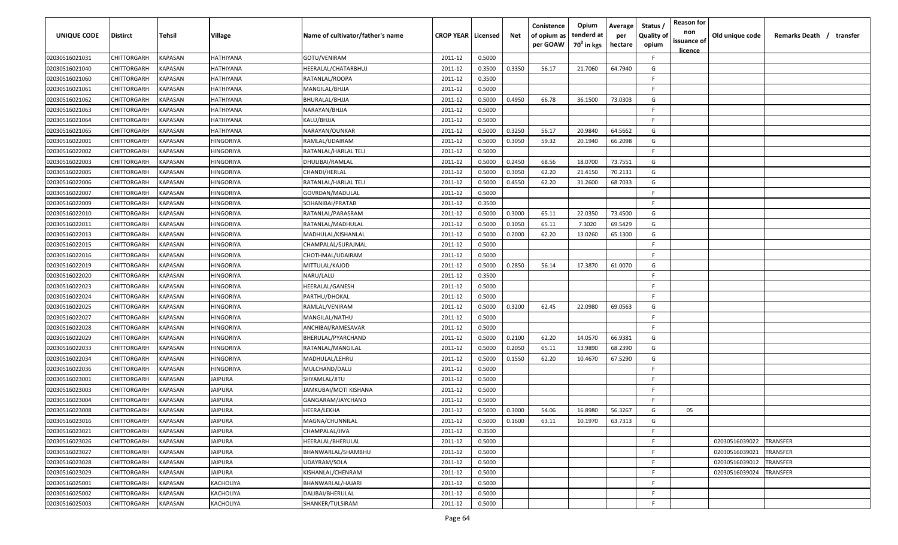| UNIQUE CODE    | <b>Distirct</b>    | Tehsil                | Village          | Name of cultivator/father's name | <b>CROP YEAR   Licensed</b> |        | Net    | Conistence<br>of opium as<br>per GOAW | Opium<br>tenderd at<br>70 <sup>0</sup> in kgs | Average<br>per<br>hectare | Status<br><b>Quality of</b><br>opium | <b>Reason for</b><br>non<br>issuance of<br><u>licence</u> | Old unique code | Remarks Death / transfer |
|----------------|--------------------|-----------------------|------------------|----------------------------------|-----------------------------|--------|--------|---------------------------------------|-----------------------------------------------|---------------------------|--------------------------------------|-----------------------------------------------------------|-----------------|--------------------------|
| 02030516021031 | CHITTORGARH        | KAPASAN               | <b>HATHIYANA</b> | GOTU/VENIRAM                     | 2011-12                     | 0.5000 |        |                                       |                                               |                           | -F.                                  |                                                           |                 |                          |
| 02030516021040 | CHITTORGARH        | KAPASAN               | HATHIYANA        | HEERALAL/CHATARBHUJ              | 2011-12                     | 0.3500 | 0.3350 | 56.17                                 | 21.7060                                       | 64.7940                   | G                                    |                                                           |                 |                          |
| 02030516021060 | CHITTORGARH        | KAPASAN               | HATHIYANA        | RATANLAL/ROOPA                   | 2011-12                     | 0.3500 |        |                                       |                                               |                           | -F                                   |                                                           |                 |                          |
| 02030516021061 | CHITTORGARH        | KAPASAN               | HATHIYANA        | MANGILAL/BHJJA                   | 2011-12                     | 0.5000 |        |                                       |                                               |                           | F.                                   |                                                           |                 |                          |
| 02030516021062 | CHITTORGARH        | KAPASAN               | HATHIYANA        | BHURALAL/BHJJA                   | 2011-12                     | 0.5000 | 0.4950 | 66.78                                 | 36.1500                                       | 73.0303                   | G                                    |                                                           |                 |                          |
| 02030516021063 | CHITTORGARH        | KAPASAN               | HATHIYANA        | NARAYAN/BHJJA                    | 2011-12                     | 0.5000 |        |                                       |                                               |                           | F                                    |                                                           |                 |                          |
| 02030516021064 | CHITTORGARH        | KAPASAN               | <b>HATHIYANA</b> | KALU/BHJJA                       | 2011-12                     | 0.5000 |        |                                       |                                               |                           | E                                    |                                                           |                 |                          |
| 02030516021065 | CHITTORGARH        | KAPASAN               | <b>HATHIYANA</b> | NARAYAN/OUNKAR                   | 2011-12                     | 0.5000 | 0.3250 | 56.17                                 | 20.9840                                       | 64.5662                   | G                                    |                                                           |                 |                          |
| 02030516022001 | CHITTORGARH        | KAPASAN               | HINGORIYA        | RAMLAL/UDAIRAM                   | 2011-12                     | 0.5000 | 0.3050 | 59.32                                 | 20.1940                                       | 66.2098                   | G                                    |                                                           |                 |                          |
| 02030516022002 | CHITTORGARH        | KAPASAN               | HINGORIYA        | RATANLAL/HARLAL TELI             | 2011-12                     | 0.5000 |        |                                       |                                               |                           | E                                    |                                                           |                 |                          |
| 02030516022003 | CHITTORGARH        | KAPASAN               | HINGORIYA        | DHULIBAI/RAMLAL                  | 2011-12                     | 0.5000 | 0.2450 | 68.56                                 | 18.0700                                       | 73.7551                   | G                                    |                                                           |                 |                          |
| 02030516022005 | CHITTORGARH        | KAPASAN               | HINGORIYA        | CHANDI/HERLAL                    | 2011-12                     | 0.5000 | 0.3050 | 62.20                                 | 21.4150                                       | 70.2131                   | G                                    |                                                           |                 |                          |
| 02030516022006 | CHITTORGARH        | KAPASAN               | HINGORIYA        | RATANLAL/HARLAL TELI             | 2011-12                     | 0.5000 | 0.4550 | 62.20                                 | 31.2600                                       | 68.7033                   | G                                    |                                                           |                 |                          |
| 02030516022007 | CHITTORGARH        | KAPASAN               | HINGORIYA        | GOVRDAN/MADULAL                  | 2011-12                     | 0.5000 |        |                                       |                                               |                           | F                                    |                                                           |                 |                          |
| 02030516022009 | CHITTORGARH        | KAPASAN               | HINGORIYA        | SOHANIBAI/PRATAB                 | 2011-12                     | 0.3500 |        |                                       |                                               |                           | -F                                   |                                                           |                 |                          |
| 02030516022010 | CHITTORGARH        | KAPASAN               | <b>HINGORIYA</b> | RATANLAL/PARASRAM                | 2011-12                     | 0.5000 | 0.3000 | 65.11                                 | 22.0350                                       | 73.4500                   | G                                    |                                                           |                 |                          |
| 02030516022011 | CHITTORGARH        | KAPASAN               | <b>HINGORIYA</b> | RATANLAL/MADHULAL                | 2011-12                     | 0.5000 | 0.1050 | 65.11                                 | 7.3020                                        | 69.5429                   | G                                    |                                                           |                 |                          |
| 02030516022013 | CHITTORGARH        | KAPASAN               | <b>HINGORIYA</b> | MADHULAL/KISHANLAL               | 2011-12                     | 0.5000 | 0.2000 | 62.20                                 | 13.0260                                       | 65.1300                   | G                                    |                                                           |                 |                          |
| 02030516022015 | CHITTORGARH        | KAPASAN               | HINGORIYA        | CHAMPALAL/SURAJMAL               | 2011-12                     | 0.5000 |        |                                       |                                               |                           | -F                                   |                                                           |                 |                          |
| 02030516022016 | CHITTORGARH        | KAPASAN               | <b>HINGORIYA</b> | CHOTHMAL/UDAIRAM                 | 2011-12                     | 0.5000 |        |                                       |                                               |                           | F.                                   |                                                           |                 |                          |
| 02030516022019 | CHITTORGARH        | KAPASAN               | <b>HINGORIYA</b> | MITTULAL/KAJOD                   | 2011-12                     | 0.5000 | 0.2850 | 56.14                                 | 17.3870                                       | 61.0070                   | G                                    |                                                           |                 |                          |
| 02030516022020 | CHITTORGARH        | KAPASAN               | HINGORIYA        | NARU/LALU                        | 2011-12                     | 0.3500 |        |                                       |                                               |                           | F                                    |                                                           |                 |                          |
| 02030516022023 | CHITTORGARH        | KAPASAN               | HINGORIYA        | <b>IEERALAL/GANESH</b>           | 2011-12                     | 0.5000 |        |                                       |                                               |                           | F                                    |                                                           |                 |                          |
| 02030516022024 | CHITTORGARH        | KAPASAN               | HINGORIYA        | PARTHU/DHOKAL                    | 2011-12                     | 0.5000 |        |                                       |                                               |                           | -F                                   |                                                           |                 |                          |
| 02030516022025 | CHITTORGARH        | KAPASAN               | HINGORIYA        | RAMLAL/VENIRAM                   | 2011-12                     | 0.5000 | 0.3200 | 62.45                                 | 22.0980                                       | 69.0563                   | G                                    |                                                           |                 |                          |
| 02030516022027 | CHITTORGARH        | KAPASAN               | HINGORIYA        | MANGILAL/NATHU                   | 2011-12                     | 0.5000 |        |                                       |                                               |                           | F.                                   |                                                           |                 |                          |
| 02030516022028 | CHITTORGARH        | KAPASAN               | HINGORIYA        | ANCHIBAI/RAMESAVAR               | 2011-12                     | 0.5000 |        |                                       |                                               |                           | E                                    |                                                           |                 |                          |
| 02030516022029 | CHITTORGARH        | KAPASAN               | HINGORIYA        | BHERULAL/PYARCHAND               | 2011-12                     | 0.5000 | 0.2100 | 62.20                                 | 14.0570                                       | 66.9381                   | G                                    |                                                           |                 |                          |
| 02030516022033 | <b>CHITTORGARH</b> | KAPASAN               | HINGORIYA        | RATANLAL/MANGILAL                | 2011-12                     | 0.5000 | 0.2050 | 65.11                                 | 13.9890                                       | 68.2390                   | G                                    |                                                           |                 |                          |
| 02030516022034 | CHITTORGARH        | KAPASAN               | HINGORIYA        | MADHULAL/LEHRU                   | 2011-12                     | 0.5000 | 0.1550 | 62.20                                 | 10.4670                                       | 67.5290                   | G                                    |                                                           |                 |                          |
| 02030516022036 | CHITTORGARH        | <b><i>KAPASAN</i></b> | HINGORIYA        | MULCHAND/DALU                    | 2011-12                     | 0.5000 |        |                                       |                                               |                           | -F                                   |                                                           |                 |                          |
| 02030516023001 | CHITTORGARH        | <b><i>KAPASAN</i></b> | JAIPURA          | SHYAMLAL/JITU                    | 2011-12                     | 0.5000 |        |                                       |                                               |                           | -F                                   |                                                           |                 |                          |
| 02030516023003 | CHITTORGARH        | KAPASAN               | JAIPURA          | IAMKUBAI/MOTI KISHANA            | 2011-12                     | 0.5000 |        |                                       |                                               |                           | -F                                   |                                                           |                 |                          |
| 02030516023004 | CHITTORGARH        | KAPASAN               | <b>JAIPURA</b>   | GANGARAM/JAYCHAND                | 2011-12                     | 0.5000 |        |                                       |                                               |                           | -F                                   |                                                           |                 |                          |
| 02030516023008 | CHITTORGARH        | KAPASAN               | JAIPURA          | HEERA/LEKHA                      | 2011-12                     | 0.5000 | 0.3000 | 54.06                                 | 16.8980                                       | 56.3267                   | G                                    | 05                                                        |                 |                          |
| 02030516023016 | CHITTORGARH        | <b>KAPASAN</b>        | <b>JAIPURA</b>   | MAGNA/CHUNNILAL                  | 2011-12                     | 0.5000 | 0.1600 | 63.11                                 | 10.1970                                       | 63.7313                   | G                                    |                                                           |                 |                          |
| 02030516023021 | CHITTORGARH        | <b>KAPASAN</b>        | <b>JAIPURA</b>   | CHAMPALAL/JIVA                   | 2011-12                     | 0.3500 |        |                                       |                                               |                           | F.                                   |                                                           |                 |                          |
| 02030516023026 | CHITTORGARH        | <b>KAPASAN</b>        | <b>JAIPURA</b>   | HEERALAL/BHERULAL                | 2011-12                     | 0.5000 |        |                                       |                                               |                           | -F                                   |                                                           | 02030516039022  | <b>TRANSFER</b>          |
| 02030516023027 | CHITTORGARH        | KAPASAN               | JAIPURA          | BHANWARLAL/SHAMBHU               | 2011-12                     | 0.5000 |        |                                       |                                               |                           | F.                                   |                                                           | 02030516039021  | TRANSFER                 |
| 02030516023028 | CHITTORGARH        | KAPASAN               | JAIPURA          | UDAYRAM/SOLA                     | 2011-12                     | 0.5000 |        |                                       |                                               |                           | -F                                   |                                                           | 02030516039012  | TRANSFER                 |
| 02030516023029 | CHITTORGARH        | KAPASAN               | JAIPURA          | KISHANLAL/CHENRAM                | 2011-12                     | 0.5000 |        |                                       |                                               |                           | F.                                   |                                                           | 02030516039024  | TRANSFER                 |
| 02030516025001 | CHITTORGARH        | KAPASAN               | <b>KACHOLIYA</b> | BHANWARLAL/HAJARI                | 2011-12                     | 0.5000 |        |                                       |                                               |                           | -F.                                  |                                                           |                 |                          |
| 02030516025002 | CHITTORGARH        | KAPASAN               | <b>KACHOLIYA</b> | DALIBAI/BHERULAL                 | 2011-12                     | 0.5000 |        |                                       |                                               |                           | -F.                                  |                                                           |                 |                          |
| 02030516025003 | CHITTORGARH        | KAPASAN               | <b>KACHOLIYA</b> | SHANKER/TULSIRAM                 | 2011-12                     | 0.5000 |        |                                       |                                               |                           | -F                                   |                                                           |                 |                          |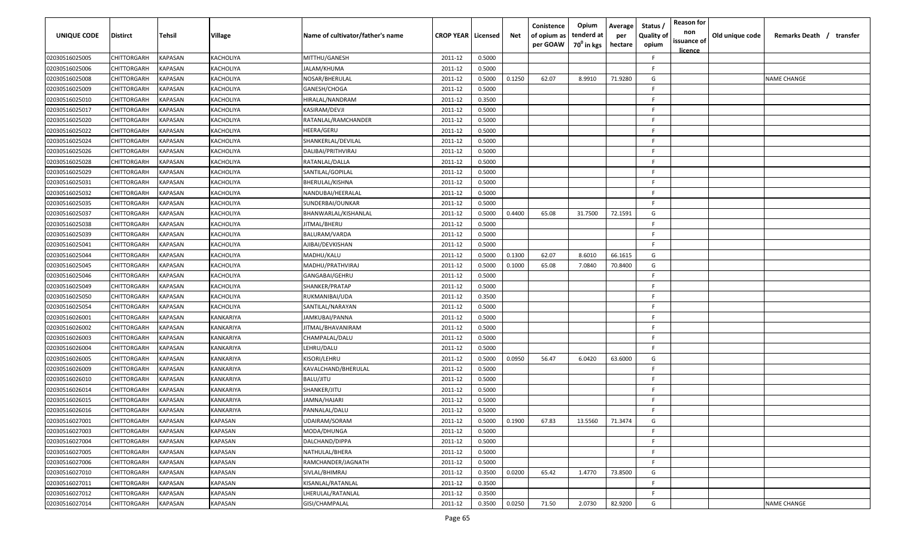| UNIQUE CODE    | <b>Distirct</b>    | Tehsil         | <b>Village</b> | Name of cultivator/father's name | <b>CROP YEAR   Licensed</b> |        | Net    | Conistence<br>of opium as<br>per GOAW | Opium<br>tenderd at<br>70 <sup>0</sup> in kgs | Average<br>per<br>hectare | Status /<br><b>Quality of</b><br>opium | <b>Reason for</b><br>non<br>issuance of<br><u>licence</u> | Old unique code | Remarks Death /<br>transfer |
|----------------|--------------------|----------------|----------------|----------------------------------|-----------------------------|--------|--------|---------------------------------------|-----------------------------------------------|---------------------------|----------------------------------------|-----------------------------------------------------------|-----------------|-----------------------------|
| 02030516025005 | CHITTORGARH        | KAPASAN        | KACHOLIYA      | MITTHU/GANESH                    | 2011-12                     | 0.5000 |        |                                       |                                               |                           | F                                      |                                                           |                 |                             |
| 02030516025006 | CHITTORGARH        | <b>KAPASAN</b> | KACHOLIYA      | JALAM/KHUMA                      | 2011-12                     | 0.5000 |        |                                       |                                               |                           | F                                      |                                                           |                 |                             |
| 02030516025008 | CHITTORGARH        | KAPASAN        | KACHOLIYA      | NOSAR/BHERULAL                   | 2011-12                     | 0.5000 | 0.1250 | 62.07                                 | 8.9910                                        | 71.9280                   | G                                      |                                                           |                 | <b>NAME CHANGE</b>          |
| 02030516025009 | CHITTORGARH        | <b>KAPASAN</b> | KACHOLIYA      | GANESH/CHOGA                     | 2011-12                     | 0.5000 |        |                                       |                                               |                           | E                                      |                                                           |                 |                             |
| 02030516025010 | CHITTORGARH        | KAPASAN        | KACHOLIYA      | HIRALAL/NANDRAM                  | 2011-12                     | 0.3500 |        |                                       |                                               |                           | E                                      |                                                           |                 |                             |
| 02030516025017 | CHITTORGARH        | KAPASAN        | KACHOLIYA      | KASIRAM/DEVJI                    | 2011-12                     | 0.5000 |        |                                       |                                               |                           | F                                      |                                                           |                 |                             |
| 02030516025020 | CHITTORGARH        | KAPASAN        | KACHOLIYA      | RATANLAL/RAMCHANDER              | 2011-12                     | 0.5000 |        |                                       |                                               |                           | F                                      |                                                           |                 |                             |
| 02030516025022 | CHITTORGARH        | KAPASAN        | KACHOLIYA      | HEERA/GERU                       | 2011-12                     | 0.5000 |        |                                       |                                               |                           | F                                      |                                                           |                 |                             |
| 02030516025024 | CHITTORGARH        | KAPASAN        | KACHOLIYA      | SHANKERLAL/DEVILAL               | 2011-12                     | 0.5000 |        |                                       |                                               |                           | E                                      |                                                           |                 |                             |
| 02030516025026 | CHITTORGARH        | KAPASAN        | KACHOLIYA      | DALIBAI/PRITHVIRAJ               | 2011-12                     | 0.5000 |        |                                       |                                               |                           | F.                                     |                                                           |                 |                             |
| 02030516025028 | CHITTORGARH        | KAPASAN        | KACHOLIYA      | RATANLAL/DALLA                   | 2011-12                     | 0.5000 |        |                                       |                                               |                           | E                                      |                                                           |                 |                             |
| 02030516025029 | CHITTORGARH        | KAPASAN        | KACHOLIYA      | SANTILAL/GOPILAL                 | 2011-12                     | 0.5000 |        |                                       |                                               |                           | F                                      |                                                           |                 |                             |
| 02030516025031 | CHITTORGARH        | KAPASAN        | KACHOLIYA      | BHERULAL/KISHNA                  | 2011-12                     | 0.5000 |        |                                       |                                               |                           | E                                      |                                                           |                 |                             |
| 02030516025032 | CHITTORGARH        | KAPASAN        | KACHOLIYA      | NANDUBAI/HEERALAL                | 2011-12                     | 0.5000 |        |                                       |                                               |                           | F                                      |                                                           |                 |                             |
| 02030516025035 | <b>CHITTORGARH</b> | KAPASAN        | KACHOLIYA      | SUNDERBAI/OUNKAR                 | 2011-12                     | 0.5000 |        |                                       |                                               |                           | F                                      |                                                           |                 |                             |
| 02030516025037 | CHITTORGARH        | KAPASAN        | KACHOLIYA      | BHANWARLAL/KISHANLAL             | 2011-12                     | 0.5000 | 0.4400 | 65.08                                 | 31.7500                                       | 72.1591                   | G                                      |                                                           |                 |                             |
| 02030516025038 | CHITTORGARH        | KAPASAN        | KACHOLIYA      | JITMAL/BHERU                     | 2011-12                     | 0.5000 |        |                                       |                                               |                           | F.                                     |                                                           |                 |                             |
| 02030516025039 | CHITTORGARH        | KAPASAN        | KACHOLIYA      | BALURAM/VARDA                    | 2011-12                     | 0.5000 |        |                                       |                                               |                           | E                                      |                                                           |                 |                             |
| 02030516025041 | CHITTORGARH        | <b>KAPASAN</b> | KACHOLIYA      | AJIBAI/DEVKISHAN                 | 2011-12                     | 0.5000 |        |                                       |                                               |                           | F                                      |                                                           |                 |                             |
| 02030516025044 | CHITTORGARH        | <b>KAPASAN</b> | KACHOLIYA      | MADHU/KALU                       | 2011-12                     | 0.5000 | 0.1300 | 62.07                                 | 8.6010                                        | 66.1615                   | G                                      |                                                           |                 |                             |
| 02030516025045 | CHITTORGARH        | <b>KAPASAN</b> | KACHOLIYA      | MADHU/PRATHVIRAJ                 | 2011-12                     | 0.5000 | 0.1000 | 65.08                                 | 7.0840                                        | 70.8400                   | G                                      |                                                           |                 |                             |
| 02030516025046 | CHITTORGARH        | KAPASAN        | KACHOLIYA      | GANGABAI/GEHRU                   | 2011-12                     | 0.5000 |        |                                       |                                               |                           |                                        |                                                           |                 |                             |
| 02030516025049 | CHITTORGARH        | KAPASAN        | KACHOLIYA      | SHANKER/PRATAP                   | 2011-12                     | 0.5000 |        |                                       |                                               |                           |                                        |                                                           |                 |                             |
| 02030516025050 | CHITTORGARH        | KAPASAN        | KACHOLIYA      | RUKMANIBAI/UDA                   | 2011-12                     | 0.3500 |        |                                       |                                               |                           | E.                                     |                                                           |                 |                             |
| 02030516025054 | CHITTORGARH        | KAPASAN        | KACHOLIYA      | SANTILAL/NARAYAN                 | 2011-12                     | 0.5000 |        |                                       |                                               |                           | E                                      |                                                           |                 |                             |
| 02030516026001 | CHITTORGARH        | KAPASAN        | KANKARIYA      | JAMKUBAI/PANNA                   | 2011-12                     | 0.5000 |        |                                       |                                               |                           | F                                      |                                                           |                 |                             |
| 02030516026002 | CHITTORGARH        | KAPASAN        | KANKARIYA      | IITMAL/BHAVANIRAM                | 2011-12                     | 0.5000 |        |                                       |                                               |                           | F                                      |                                                           |                 |                             |
| 02030516026003 | CHITTORGARH        | KAPASAN        | KANKARIYA      | CHAMPALAL/DALU                   | 2011-12                     | 0.5000 |        |                                       |                                               |                           | F                                      |                                                           |                 |                             |
| 02030516026004 | CHITTORGARH        | KAPASAN        | KANKARIYA      | LEHRU/DALU                       | 2011-12                     | 0.5000 |        |                                       |                                               |                           | F                                      |                                                           |                 |                             |
| 02030516026005 | CHITTORGARH        | KAPASAN        | KANKARIYA      | KISORI/LEHRU                     | 2011-12                     | 0.5000 | 0.0950 | 56.47                                 | 6.0420                                        | 63.6000                   | G                                      |                                                           |                 |                             |
| 02030516026009 | CHITTORGARH        | KAPASAN        | KANKARIYA      | KAVALCHAND/BHERULAL              | 2011-12                     | 0.5000 |        |                                       |                                               |                           | F                                      |                                                           |                 |                             |
| 02030516026010 | CHITTORGARH        | KAPASAN        | KANKARIYA      | BALU/JITU                        | 2011-12                     | 0.5000 |        |                                       |                                               |                           | F                                      |                                                           |                 |                             |
| 02030516026014 | CHITTORGARH        | KAPASAN        | KANKARIYA      | SHANKER/JITU                     | 2011-12                     | 0.5000 |        |                                       |                                               |                           | F                                      |                                                           |                 |                             |
| 02030516026015 | CHITTORGARH        | KAPASAN        | KANKARIYA      | JAMNA/HAJARI                     | 2011-12                     | 0.5000 |        |                                       |                                               |                           | F                                      |                                                           |                 |                             |
| 02030516026016 | CHITTORGARH        | <b>KAPASAN</b> | KANKARIYA      | PANNALAL/DALU                    | 2011-12                     | 0.5000 |        |                                       |                                               |                           | E                                      |                                                           |                 |                             |
| 02030516027001 | CHITTORGARH        | <b>KAPASAN</b> | <b>KAPASAN</b> | UDAIRAM/SORAM                    | 2011-12                     | 0.5000 | 0.1900 | 67.83                                 | 13.5560                                       | 71.3474                   | G                                      |                                                           |                 |                             |
| 02030516027003 | <b>CHITTORGARH</b> | <b>KAPASAN</b> | KAPASAN        | MODA/DHUNGA                      | 2011-12                     | 0.5000 |        |                                       |                                               |                           | F                                      |                                                           |                 |                             |
| 02030516027004 | CHITTORGARH        | <b>KAPASAN</b> | KAPASAN        | DALCHAND/DIPPA                   | 2011-12                     | 0.5000 |        |                                       |                                               |                           | F                                      |                                                           |                 |                             |
| 02030516027005 | CHITTORGARH        | KAPASAN        | KAPASAN        | NATHULAL/BHERA                   | 2011-12                     | 0.5000 |        |                                       |                                               |                           | F                                      |                                                           |                 |                             |
| 02030516027006 | CHITTORGARH        | KAPASAN        | KAPASAN        | RAMCHANDER/JAGNATH               | 2011-12                     | 0.5000 |        |                                       |                                               |                           | F                                      |                                                           |                 |                             |
| 02030516027010 | CHITTORGARH        | KAPASAN        | KAPASAN        | SIVLAL/BHIMRAJ                   | 2011-12                     | 0.3500 | 0.0200 | 65.42                                 | 1.4770                                        | 73.8500                   | G                                      |                                                           |                 |                             |
| 02030516027011 | CHITTORGARH        | KAPASAN        | KAPASAN        | KISANLAL/RATANLAL                | 2011-12                     | 0.3500 |        |                                       |                                               |                           | F                                      |                                                           |                 |                             |
| 02030516027012 | CHITTORGARH        | KAPASAN        | KAPASAN        | LHERULAL/RATANLAL                | 2011-12                     | 0.3500 |        |                                       |                                               |                           | E                                      |                                                           |                 |                             |
| 02030516027014 | CHITTORGARH        | <b>KAPASAN</b> | KAPASAN        | GISI/CHAMPALAL                   | 2011-12                     | 0.3500 | 0.0250 | 71.50                                 | 2.0730                                        | 82.9200                   | G                                      |                                                           |                 | <b>NAME CHANGE</b>          |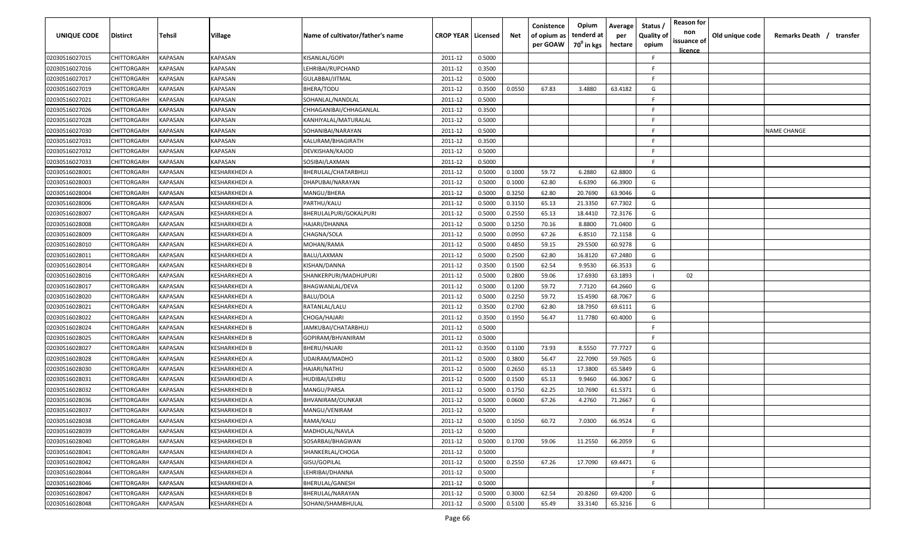| UNIQUE CODE    | <b>Distirct</b>    | Tehsil                | Village              | Name of cultivator/father's name | <b>CROP YEAR   Licensed</b> |        | Net    | Conistence<br>of opium as<br>per GOAW | Opium<br>tenderd at<br>70 <sup>0</sup> in kgs | Average<br>per<br>hectare | Status<br><b>Quality of</b><br>opium | <b>Reason for</b><br>non<br>issuance of<br><u>licence</u> | Old unique code | Remarks Death / transfer |
|----------------|--------------------|-----------------------|----------------------|----------------------------------|-----------------------------|--------|--------|---------------------------------------|-----------------------------------------------|---------------------------|--------------------------------------|-----------------------------------------------------------|-----------------|--------------------------|
| 02030516027015 | CHITTORGARH        | KAPASAN               | <b>KAPASAN</b>       | KISANLAL/GOPI                    | 2011-12                     | 0.5000 |        |                                       |                                               |                           | -F                                   |                                                           |                 |                          |
| 02030516027016 | CHITTORGARH        | KAPASAN               | <b>KAPASAN</b>       | LEHRIBAI/RUPCHAND                | 2011-12                     | 0.3500 |        |                                       |                                               |                           | -F                                   |                                                           |                 |                          |
| 02030516027017 | CHITTORGARH        | KAPASAN               | <b>KAPASAN</b>       | GULABBAI/JITMAL                  | 2011-12                     | 0.5000 |        |                                       |                                               |                           | -F                                   |                                                           |                 |                          |
| 02030516027019 | CHITTORGARH        | KAPASAN               | <b>KAPASAN</b>       | BHERA/TODU                       | 2011-12                     | 0.3500 | 0.0550 | 67.83                                 | 3.4880                                        | 63.4182                   | G                                    |                                                           |                 |                          |
| 02030516027021 | CHITTORGARH        | KAPASAN               | <b>KAPASAN</b>       | SOHANLAL/NANDLAL                 | 2011-12                     | 0.5000 |        |                                       |                                               |                           | F                                    |                                                           |                 |                          |
| 02030516027026 | CHITTORGARH        | KAPASAN               | <b>KAPASAN</b>       | CHHAGANIBAI/CHHAGANLAL           | 2011-12                     | 0.3500 |        |                                       |                                               |                           | F                                    |                                                           |                 |                          |
| 02030516027028 | CHITTORGARH        | KAPASAN               | KAPASAN              | KANHIYALAL/MATURALAL             | 2011-12                     | 0.5000 |        |                                       |                                               |                           | -F                                   |                                                           |                 |                          |
| 02030516027030 | CHITTORGARH        | KAPASAN               | <b>KAPASAN</b>       | SOHANIBAI/NARAYAN                | 2011-12                     | 0.5000 |        |                                       |                                               |                           | E.                                   |                                                           |                 | NAME CHANGE              |
| 02030516027031 | CHITTORGARH        | KAPASAN               | <b>KAPASAN</b>       | KALURAM/BHAGIRATH                | 2011-12                     | 0.3500 |        |                                       |                                               |                           | F.                                   |                                                           |                 |                          |
| 02030516027032 | CHITTORGARH        | KAPASAN               | <b>KAPASAN</b>       | DEVKISHAN/KAJOD                  | 2011-12                     | 0.5000 |        |                                       |                                               |                           | E                                    |                                                           |                 |                          |
| 02030516027033 | CHITTORGARH        | KAPASAN               | KAPASAN              | SOSIBAI/LAXMAN                   | 2011-12                     | 0.5000 |        |                                       |                                               |                           | -F                                   |                                                           |                 |                          |
| 02030516028001 | CHITTORGARH        | KAPASAN               | KESHARKHEDI A        | BHERULAL/CHATARBHUJ              | 2011-12                     | 0.5000 | 0.1000 | 59.72                                 | 6.2880                                        | 62.8800                   | G                                    |                                                           |                 |                          |
| 02030516028003 | CHITTORGARH        | KAPASAN               | <b>KESHARKHEDI A</b> | DHAPUBAI/NARAYAN                 | 2011-12                     | 0.5000 | 0.1000 | 62.80                                 | 6.6390                                        | 66.3900                   | G                                    |                                                           |                 |                          |
| 02030516028004 | CHITTORGARH        | KAPASAN               | KESHARKHEDI A        | MANGU/BHERA                      | 2011-12                     | 0.5000 | 0.3250 | 62.80                                 | 20.7690                                       | 63.9046                   | G                                    |                                                           |                 |                          |
| 02030516028006 | CHITTORGARH        | KAPASAN               | <b>KESHARKHEDI A</b> | PARTHU/KALU                      | 2011-12                     | 0.5000 | 0.3150 | 65.13                                 | 21.3350                                       | 67.7302                   | G                                    |                                                           |                 |                          |
| 02030516028007 | CHITTORGARH        | KAPASAN               | <b>KESHARKHEDI A</b> | BHERULALPURI/GOKALPURI           | 2011-12                     | 0.5000 | 0.2550 | 65.13                                 | 18.4410                                       | 72.3176                   | G                                    |                                                           |                 |                          |
| 02030516028008 | CHITTORGARH        | KAPASAN               | <b>KESHARKHEDI A</b> | HAJARI/DHANNA                    | 2011-12                     | 0.5000 | 0.1250 | 70.16                                 | 8.8800                                        | 71.0400                   | G                                    |                                                           |                 |                          |
| 02030516028009 | CHITTORGARH        | KAPASAN               | <b>KESHARKHEDI A</b> | CHAGNA/SOLA                      | 2011-12                     | 0.5000 | 0.0950 | 67.26                                 | 6.8510                                        | 72.1158                   | G                                    |                                                           |                 |                          |
| 02030516028010 | CHITTORGARH        | KAPASAN               | KESHARKHEDI A        | MOHAN/RAMA                       | 2011-12                     | 0.5000 | 0.4850 | 59.15                                 | 29.5500                                       | 60.9278                   | G                                    |                                                           |                 |                          |
| 02030516028011 | CHITTORGARH        | KAPASAN               | KESHARKHEDI A        | BALU/LAXMAN                      | 2011-12                     | 0.5000 | 0.2500 | 62.80                                 | 16.8120                                       | 67.2480                   | G                                    |                                                           |                 |                          |
| 02030516028014 | CHITTORGARH        | KAPASAN               | KESHARKHEDI B        | KISHAN/DANNA                     | 2011-12                     | 0.3500 | 0.1500 | 62.54                                 | 9.9530                                        | 66.3533                   | G                                    |                                                           |                 |                          |
| 02030516028016 | CHITTORGARH        | KAPASAN               | KESHARKHEDI A        | SHANKERPURI/MADHUPURI            | 2011-12                     | 0.5000 | 0.2800 | 59.06                                 | 17.6930                                       | 63.1893                   |                                      | 02                                                        |                 |                          |
| 02030516028017 | CHITTORGARH        | KAPASAN               | KESHARKHEDI A        | BHAGWANLAL/DEVA                  | 2011-12                     | 0.5000 | 0.1200 | 59.72                                 | 7.7120                                        | 64.2660                   | G                                    |                                                           |                 |                          |
| 02030516028020 | CHITTORGARH        | KAPASAN               | KESHARKHEDI A        | BALU/DOLA                        | 2011-12                     | 0.5000 | 0.2250 | 59.72                                 | 15.4590                                       | 68.7067                   | G                                    |                                                           |                 |                          |
| 02030516028021 | CHITTORGARH        | KAPASAN               | KESHARKHEDI A        | RATANLAL/LALU                    | 2011-12                     | 0.3500 | 0.2700 | 62.80                                 | 18.7950                                       | 69.6111                   | G                                    |                                                           |                 |                          |
| 02030516028022 | CHITTORGARH        | KAPASAN               | KESHARKHEDI A        | CHOGA/HAJARI                     | 2011-12                     | 0.3500 | 0.1950 | 56.47                                 | 11.7780                                       | 60.4000                   | G                                    |                                                           |                 |                          |
| 02030516028024 | CHITTORGARH        | KAPASAN               | KESHARKHEDI B        | JAMKUBAI/CHATARBHUJ              | 2011-12                     | 0.5000 |        |                                       |                                               |                           | E                                    |                                                           |                 |                          |
| 02030516028025 | CHITTORGARH        | KAPASAN               | KESHARKHEDI B        | GOPIRAM/BHVANIRAM                | 2011-12                     | 0.5000 |        |                                       |                                               |                           | -F.                                  |                                                           |                 |                          |
| 02030516028027 | <b>CHITTORGARH</b> | KAPASAN               | KESHARKHEDI B        | BHERU/HAJARI                     | 2011-12                     | 0.3500 | 0.1100 | 73.93                                 | 8.5550                                        | 77.7727                   | G                                    |                                                           |                 |                          |
| 02030516028028 | CHITTORGARH        | KAPASAN               | KESHARKHEDI A        | UDAIRAM/MADHO                    | 2011-12                     | 0.5000 | 0.3800 | 56.47                                 | 22.7090                                       | 59.7605                   | G                                    |                                                           |                 |                          |
| 02030516028030 | CHITTORGARH        | KAPASAN               | KESHARKHEDI A        | HAJARI/NATHU                     | 2011-12                     | 0.5000 | 0.2650 | 65.13                                 | 17.3800                                       | 65.5849                   | G                                    |                                                           |                 |                          |
| 02030516028031 | CHITTORGARH        | <b><i>KAPASAN</i></b> | <b>KESHARKHEDI A</b> | HUDIBAI/LEHRU                    | 2011-12                     | 0.5000 | 0.1500 | 65.13                                 | 9.9460                                        | 66.3067                   | G                                    |                                                           |                 |                          |
| 02030516028032 | CHITTORGARH        | KAPASAN               | <b>KESHARKHEDI B</b> | MANGU/PARSA                      | 2011-12                     | 0.5000 | 0.1750 | 62.25                                 | 10.7690                                       | 61.5371                   | G                                    |                                                           |                 |                          |
| 02030516028036 | CHITTORGARH        | KAPASAN               | KESHARKHEDI A        | BHVANIRAM/OUNKAR                 | 2011-12                     | 0.5000 | 0.0600 | 67.26                                 | 4.2760                                        | 71.2667                   | G                                    |                                                           |                 |                          |
| 02030516028037 | CHITTORGARH        | KAPASAN               | <b>KESHARKHEDI B</b> | MANGU/VENIRAM                    | 2011-12                     | 0.5000 |        |                                       |                                               |                           | F                                    |                                                           |                 |                          |
| 02030516028038 | CHITTORGARH        | <b>KAPASAN</b>        | <b>KESHARKHEDI A</b> | RAMA/KALU                        | 2011-12                     | 0.5000 | 0.1050 | 60.72                                 | 7.0300                                        | 66.9524                   | G                                    |                                                           |                 |                          |
| 02030516028039 | CHITTORGARH        | <b>KAPASAN</b>        | <b>KESHARKHEDI A</b> | MADHOLAL/NAVLA                   | 2011-12                     | 0.5000 |        |                                       |                                               |                           | F.                                   |                                                           |                 |                          |
| 02030516028040 | CHITTORGARH        | <b>KAPASAN</b>        | <b>KESHARKHEDI B</b> | SOSARBAI/BHAGWAN                 | 2011-12                     | 0.5000 | 0.1700 | 59.06                                 | 11.2550                                       | 66.2059                   | G                                    |                                                           |                 |                          |
| 02030516028041 | CHITTORGARH        | KAPASAN               | <b>KESHARKHEDI A</b> | SHANKERLAL/CHOGA                 | 2011-12                     | 0.5000 |        |                                       |                                               |                           | F.                                   |                                                           |                 |                          |
| 02030516028042 | CHITTORGARH        | KAPASAN               | <b>KESHARKHEDI A</b> | GISU/GOPILAL                     | 2011-12                     | 0.5000 | 0.2550 | 67.26                                 | 17.7090                                       | 69.4471                   | G                                    |                                                           |                 |                          |
| 02030516028044 | CHITTORGARH        | KAPASAN               | <b>KESHARKHEDI A</b> | LEHRIBAI/DHANNA                  | 2011-12                     | 0.5000 |        |                                       |                                               |                           | F.                                   |                                                           |                 |                          |
| 02030516028046 | CHITTORGARH        | KAPASAN               | <b>KESHARKHEDI A</b> | BHERULAL/GANESH                  | 2011-12                     | 0.5000 |        |                                       |                                               |                           | -F.                                  |                                                           |                 |                          |
| 02030516028047 | CHITTORGARH        | KAPASAN               | <b>KESHARKHEDI B</b> | BHERULAL/NARAYAN                 | 2011-12                     | 0.5000 | 0.3000 | 62.54                                 | 20.8260                                       | 69.4200                   | G                                    |                                                           |                 |                          |
| 02030516028048 | CHITTORGARH        | KAPASAN               | <b>KESHARKHEDI A</b> | SOHANI/SHAMBHULAL                | 2011-12                     | 0.5000 | 0.5100 | 65.49                                 | 33.3140                                       | 65.3216                   | G                                    |                                                           |                 |                          |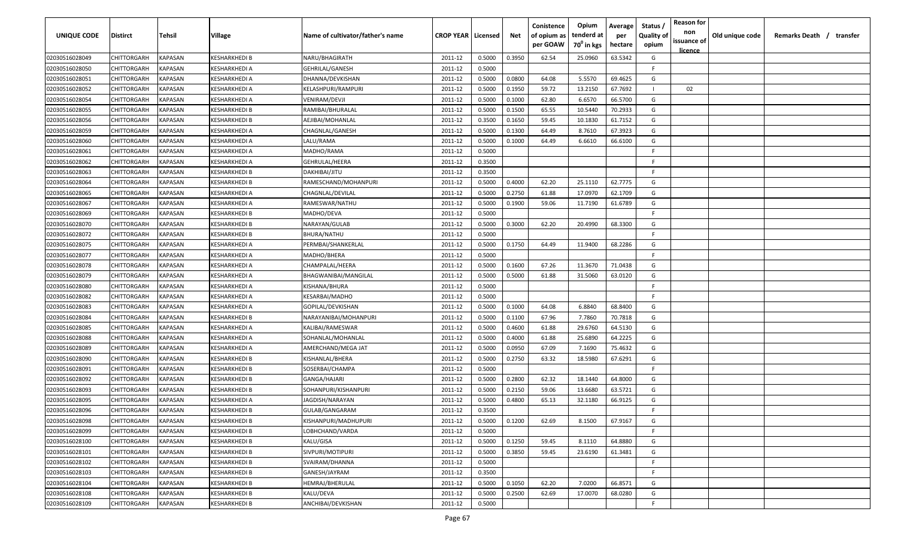| <b>UNIQUE CODE</b> | Distirct           | Tehsil         | Village              | Name of cultivator/father's name | <b>CROP YEAR   Licensed</b> |        | Net    | Conistence<br>of opium as<br>per GOAW | Opium<br>tenderd at<br>70 <sup>0</sup> in kgs | Average<br>per<br>hectare | Status /<br><b>Quality of</b><br>opium | <b>Reason for</b><br>non<br>issuance of | Old unique code | Remarks Death / transfer |
|--------------------|--------------------|----------------|----------------------|----------------------------------|-----------------------------|--------|--------|---------------------------------------|-----------------------------------------------|---------------------------|----------------------------------------|-----------------------------------------|-----------------|--------------------------|
|                    |                    |                |                      |                                  |                             |        |        |                                       |                                               |                           |                                        | <u>licence</u>                          |                 |                          |
| 02030516028049     | CHITTORGARH        | <b>KAPASAN</b> | KESHARKHEDI B        | NARU/BHAGIRATH                   | 2011-12                     | 0.5000 | 0.3950 | 62.54                                 | 25.0960                                       | 63.5342                   | G                                      |                                         |                 |                          |
| 02030516028050     | CHITTORGARH        | KAPASAN        | KESHARKHEDI A        | <b>GEHRILAL/GANESH</b>           | 2011-12                     | 0.5000 |        |                                       |                                               |                           | -F.                                    |                                         |                 |                          |
| 02030516028051     | CHITTORGARH        | KAPASAN        | KESHARKHEDI A        | DHANNA/DEVKISHAN                 | 2011-12                     | 0.5000 | 0.0800 | 64.08                                 | 5.5570                                        | 69.4625                   | G                                      |                                         |                 |                          |
| 02030516028052     | CHITTORGARH        | KAPASAN        | KESHARKHEDI A        | KELASHPURI/RAMPURI               | 2011-12                     | 0.5000 | 0.1950 | 59.72                                 | 13.2150                                       | 67.7692                   |                                        | 02                                      |                 |                          |
| 02030516028054     | CHITTORGARH        | KAPASAN        | KESHARKHEDI A        | VENIRAM/DEVJI                    | 2011-12                     | 0.5000 | 0.1000 | 62.80                                 | 6.6570                                        | 66.5700                   | G                                      |                                         |                 |                          |
| 02030516028055     | CHITTORGARH        | KAPASAN        | KESHARKHEDI B        | RAMIBAI/BHURALAL                 | 2011-12                     | 0.5000 | 0.1500 | 65.55                                 | 10.5440                                       | 70.2933                   | G                                      |                                         |                 |                          |
| 02030516028056     | CHITTORGARH        | KAPASAN        | KESHARKHEDI B        | AEJIBAI/MOHANLAL                 | 2011-12                     | 0.3500 | 0.1650 | 59.45                                 | 10.1830                                       | 61.7152                   | G                                      |                                         |                 |                          |
| 02030516028059     | <b>CHITTORGARH</b> | KAPASAN        | KESHARKHEDI A        | CHAGNLAL/GANESH                  | 2011-12                     | 0.5000 | 0.1300 | 64.49                                 | 8.7610                                        | 67.3923                   | G                                      |                                         |                 |                          |
| 02030516028060     | CHITTORGARH        | KAPASAN        | KESHARKHEDI A        | LALU/RAMA                        | 2011-12                     | 0.5000 | 0.1000 | 64.49                                 | 6.6610                                        | 66.6100                   | G                                      |                                         |                 |                          |
| 02030516028061     | CHITTORGARH        | KAPASAN        | KESHARKHEDI A        | MADHO/RAMA                       | 2011-12                     | 0.5000 |        |                                       |                                               |                           | F                                      |                                         |                 |                          |
| 02030516028062     | CHITTORGARH        | KAPASAN        | KESHARKHEDI A        | GEHRULAL/HEERA                   | 2011-12                     | 0.3500 |        |                                       |                                               |                           | -F.                                    |                                         |                 |                          |
| 02030516028063     | CHITTORGARH        | KAPASAN        | KESHARKHEDI B        | DAKHIBAI/JITU                    | 2011-12                     | 0.3500 |        |                                       |                                               |                           | F.                                     |                                         |                 |                          |
| 02030516028064     | CHITTORGARH        | KAPASAN        | KESHARKHEDI B        | RAMESCHAND/MOHANPURI             | 2011-12                     | 0.5000 | 0.4000 | 62.20                                 | 25.1110                                       | 62.7775                   | G                                      |                                         |                 |                          |
| 02030516028065     | CHITTORGARH        | KAPASAN        | KESHARKHEDI A        | CHAGNLAL/DEVILAL                 | 2011-12                     | 0.5000 | 0.2750 | 61.88                                 | 17.0970                                       | 62.1709                   | G                                      |                                         |                 |                          |
| 02030516028067     | CHITTORGARH        | KAPASAN        | KESHARKHEDI A        | RAMESWAR/NATHU                   | 2011-12                     | 0.5000 | 0.1900 | 59.06                                 | 11.7190                                       | 61.6789                   | G                                      |                                         |                 |                          |
| 02030516028069     | CHITTORGARH        | KAPASAN        | KESHARKHEDI B        | MADHO/DEVA                       | 2011-12                     | 0.5000 |        |                                       |                                               |                           | F.                                     |                                         |                 |                          |
| 02030516028070     | CHITTORGARH        | KAPASAN        | KESHARKHEDI B        | NARAYAN/GULAB                    | 2011-12                     | 0.5000 | 0.3000 | 62.20                                 | 20.4990                                       | 68.3300                   | G                                      |                                         |                 |                          |
| 02030516028072     | CHITTORGARH        | KAPASAN        | KESHARKHEDI B        | BHURA/NATHU                      | 2011-12                     | 0.5000 |        |                                       |                                               |                           | F                                      |                                         |                 |                          |
| 02030516028075     | CHITTORGARH        | KAPASAN        | KESHARKHEDI A        | PERMBAI/SHANKERLAL               | 2011-12                     | 0.5000 | 0.1750 | 64.49                                 | 11.9400                                       | 68.2286                   | G                                      |                                         |                 |                          |
| 02030516028077     | CHITTORGARH        | KAPASAN        | KESHARKHEDI A        | MADHO/BHERA                      | 2011-12                     | 0.5000 |        |                                       |                                               |                           | E                                      |                                         |                 |                          |
| 02030516028078     | CHITTORGARH        | KAPASAN        | KESHARKHEDI A        | CHAMPALAL/HEERA                  | 2011-12                     | 0.5000 | 0.1600 | 67.26                                 | 11.3670                                       | 71.0438                   | G                                      |                                         |                 |                          |
| 02030516028079     | CHITTORGARH        | KAPASAN        | KESHARKHEDI A        | BHAGWANIBAI/MANGILAL             | 2011-12                     | 0.5000 | 0.5000 | 61.88                                 | 31.5060                                       | 63.0120                   | G                                      |                                         |                 |                          |
| 02030516028080     | CHITTORGARH        | KAPASAN        | KESHARKHEDI A        | KISHANA/BHURA                    | 2011-12                     | 0.5000 |        |                                       |                                               |                           | -F.                                    |                                         |                 |                          |
| 02030516028082     | CHITTORGARH        | KAPASAN        | KESHARKHEDI A        | KESARBAI/MADHO                   | 2011-12                     | 0.5000 |        |                                       |                                               |                           | -F.                                    |                                         |                 |                          |
| 02030516028083     | CHITTORGARH        | KAPASAN        | KESHARKHEDI A        | GOPILAL/DEVKISHAN                | 2011-12                     | 0.5000 | 0.1000 | 64.08                                 | 6.8840                                        | 68.8400                   | G                                      |                                         |                 |                          |
| 02030516028084     | CHITTORGARH        | KAPASAN        | KESHARKHEDI B        | NARAYANIBAI/MOHANPURI            | 2011-12                     | 0.5000 | 0.1100 | 67.96                                 | 7.7860                                        | 70.7818                   | G                                      |                                         |                 |                          |
| 02030516028085     | CHITTORGARH        | KAPASAN        | KESHARKHEDI A        | KALIBAI/RAMESWAR                 | 2011-12                     | 0.5000 | 0.4600 | 61.88                                 | 29.6760                                       | 64.5130                   | G                                      |                                         |                 |                          |
| 02030516028088     | CHITTORGARH        | KAPASAN        | (ESHARKHEDI A        | SOHANLAL/MOHANLAL                | 2011-12                     | 0.5000 | 0.4000 | 61.88                                 | 25.6890                                       | 64.2225                   | G                                      |                                         |                 |                          |
| 02030516028089     | CHITTORGARH        | KAPASAN        | KESHARKHEDI A        | AMERCHAND/MEGA JAT               | 2011-12                     | 0.5000 | 0.0950 | 67.09                                 | 7.1690                                        | 75.4632                   | G                                      |                                         |                 |                          |
| 02030516028090     | CHITTORGARH        | KAPASAN        | KESHARKHEDI B        | KISHANLAL/BHERA                  | 2011-12                     | 0.5000 | 0.2750 | 63.32                                 | 18.5980                                       | 67.6291                   | G                                      |                                         |                 |                          |
| 02030516028091     | CHITTORGARH        | KAPASAN        | <b>KESHARKHEDI B</b> | SOSERBAI/CHAMPA                  | 2011-12                     | 0.5000 |        |                                       |                                               |                           | -F.                                    |                                         |                 |                          |
| 02030516028092     | CHITTORGARH        | KAPASAN        | KESHARKHEDI B        | GANGA/HAJARI                     | 2011-12                     | 0.5000 | 0.2800 | 62.32                                 | 18.1440                                       | 64.8000                   | G                                      |                                         |                 |                          |
| 02030516028093     | CHITTORGARH        | KAPASAN        | KESHARKHEDI B        | SOHANPURI/KISHANPURI             | 2011-12                     | 0.5000 | 0.2150 | 59.06                                 | 13.6680                                       | 63.5721                   | G                                      |                                         |                 |                          |
| 02030516028095     | CHITTORGARH        | KAPASAN        | KESHARKHEDI A        | JAGDISH/NARAYAN                  | 2011-12                     | 0.5000 | 0.4800 | 65.13                                 | 32.1180                                       | 66.9125                   | G                                      |                                         |                 |                          |
| 02030516028096     | CHITTORGARH        | KAPASAN        | KESHARKHEDI B        | GULAB/GANGARAM                   | 2011-12                     | 0.3500 |        |                                       |                                               |                           | E                                      |                                         |                 |                          |
| 02030516028098     | <b>CHITTORGARH</b> | KAPASAN        | <b>KESHARKHEDI B</b> | KISHANPURI/MADHUPURI             | 2011-12                     | 0.5000 | 0.1200 | 62.69                                 | 8.1500                                        | 67.9167                   | G                                      |                                         |                 |                          |
| 02030516028099     | <b>CHITTORGARH</b> | <b>KAPASAN</b> | KESHARKHEDI B        | LOBHCHAND/VARDA                  | 2011-12                     | 0.5000 |        |                                       |                                               |                           | F.                                     |                                         |                 |                          |
| 02030516028100     | <b>CHITTORGARH</b> | <b>KAPASAN</b> | KESHARKHEDI B        | KALU/GISA                        | 2011-12                     | 0.5000 | 0.1250 | 59.45                                 | 8.1110                                        | 64.8880                   | G                                      |                                         |                 |                          |
| 02030516028101     | <b>CHITTORGARH</b> | KAPASAN        | KESHARKHEDI B        | SIVPURI/MOTIPURI                 | 2011-12                     | 0.5000 | 0.3850 | 59.45                                 | 23.6190                                       | 61.3481                   | G                                      |                                         |                 |                          |
| 02030516028102     | CHITTORGARH        | KAPASAN        | KESHARKHEDI B        | SVAIRAM/DHANNA                   | 2011-12                     | 0.5000 |        |                                       |                                               |                           | F.                                     |                                         |                 |                          |
| 02030516028103     | <b>CHITTORGARH</b> | KAPASAN        | KESHARKHEDI B        | GANESH/JAYRAM                    | 2011-12                     | 0.3500 |        |                                       |                                               |                           | F.                                     |                                         |                 |                          |
| 02030516028104     | CHITTORGARH        | KAPASAN        | KESHARKHEDI B        | HEMRAJ/BHERULAL                  | 2011-12                     | 0.5000 | 0.1050 | 62.20                                 | 7.0200                                        | 66.8571                   | G                                      |                                         |                 |                          |
| 02030516028108     | CHITTORGARH        | KAPASAN        | KESHARKHEDI B        | KALU/DEVA                        | 2011-12                     | 0.5000 | 0.2500 | 62.69                                 | 17.0070                                       | 68.0280                   | G                                      |                                         |                 |                          |
| 02030516028109     | <b>CHITTORGARH</b> | KAPASAN        | KESHARKHEDI B        | ANCHIBAI/DEVKISHAN               | 2011-12                     | 0.5000 |        |                                       |                                               |                           | F.                                     |                                         |                 |                          |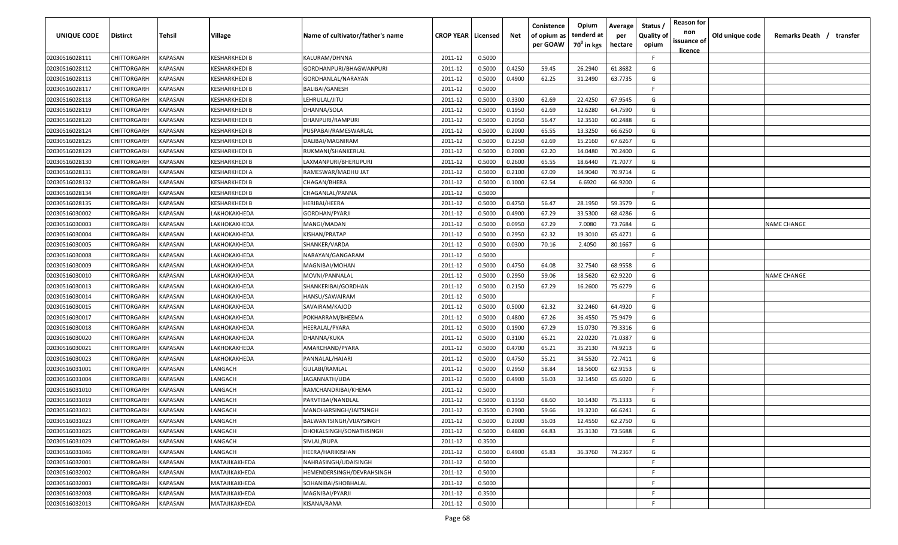| UNIQUE CODE                      | <b>Distirct</b>            | Tehsil             | Village                        | Name of cultivator/father's name           | <b>CROP YEAR   Licensed</b> |                  | Net              | Conistence<br>of opium as<br>per GOAW | Opium<br>tenderd at<br>$70^0$ in kgs | Average<br>per<br>hectare | Status /<br><b>Quality of</b><br>opium | <b>Reason for</b><br>non<br>issuance of | Old unique code | Remarks Death /<br>transfer |
|----------------------------------|----------------------------|--------------------|--------------------------------|--------------------------------------------|-----------------------------|------------------|------------------|---------------------------------------|--------------------------------------|---------------------------|----------------------------------------|-----------------------------------------|-----------------|-----------------------------|
|                                  |                            |                    |                                |                                            |                             |                  |                  |                                       |                                      |                           |                                        | <u>licence</u>                          |                 |                             |
| 02030516028111                   | CHITTORGARH                | KAPASAN            | KESHARKHEDI B                  | KALURAM/DHNNA                              | 2011-12                     | 0.5000           |                  |                                       |                                      |                           | F.                                     |                                         |                 |                             |
| 02030516028112                   | CHITTORGARH                | KAPASAN            | KESHARKHEDI B                  | GORDHANPURI/BHAGWANPURI                    | 2011-12                     | 0.5000           | 0.4250           | 59.45                                 | 26.2940                              | 61.8682                   | G                                      |                                         |                 |                             |
| 02030516028113                   | CHITTORGARH                | KAPASAN            | KESHARKHEDI B                  | GORDHANLAL/NARAYAN                         | 2011-12                     | 0.5000           | 0.4900           | 62.25                                 | 31.2490                              | 63.7735                   | G                                      |                                         |                 |                             |
| 02030516028117                   | CHITTORGARH                | KAPASAN            | KESHARKHEDI B                  | <b>BALIBAI/GANESH</b>                      | 2011-12                     | 0.5000           |                  |                                       |                                      |                           | -F                                     |                                         |                 |                             |
| 02030516028118                   | CHITTORGARH                | <b>KAPASAN</b>     | KESHARKHEDI B                  | LEHRULAL/JITU                              | 2011-12                     | 0.5000           | 0.3300           | 62.69                                 | 22.4250                              | 67.9545                   | G                                      |                                         |                 |                             |
| 02030516028119                   | CHITTORGARH                | KAPASAN            | KESHARKHEDI B                  | DHANNA/SOLA                                | 2011-12                     | 0.5000           | 0.1950           | 62.69                                 | 12.6280                              | 64.7590                   | G                                      |                                         |                 |                             |
| 02030516028120                   | CHITTORGARH                | KAPASAN            | KESHARKHEDI B                  | DHANPURI/RAMPURI                           | 2011-12                     | 0.5000           | 0.2050           | 56.47                                 | 12.3510                              | 60.2488                   | G                                      |                                         |                 |                             |
| 02030516028124                   | CHITTORGARH                | KAPASAN            | KESHARKHEDI B                  | PUSPABAI/RAMESWARLAL                       | 2011-12<br>2011-12          | 0.5000<br>0.5000 | 0.2000           | 65.55                                 | 13.3250<br>15.2160                   | 66.6250                   | G<br>G                                 |                                         |                 |                             |
| 02030516028125                   | CHITTORGARH                | KAPASAN            | KESHARKHEDI B<br>KESHARKHEDI B | DALIBAI/MAGNIRAM                           | 2011-12                     | 0.5000           | 0.2250<br>0.2000 | 62.69<br>62.20                        | 14.0480                              | 67.6267<br>70.2400        | G                                      |                                         |                 |                             |
| 02030516028129                   | CHITTORGARH                | KAPASAN            | KESHARKHEDI B                  | RUKMANI/SHANKERLAL                         | 2011-12                     | 0.5000           | 0.2600           | 65.55                                 | 18.6440                              | 71.7077                   | G                                      |                                         |                 |                             |
| 02030516028130                   | CHITTORGARH<br>CHITTORGARH | KAPASAN<br>KAPASAN | (ESHARKHEDI A                  | LAXMANPURI/BHERUPURI<br>RAMESWAR/MADHU JAT | 2011-12                     | 0.5000           | 0.2100           | 67.09                                 | 14.9040                              | 70.9714                   | G                                      |                                         |                 |                             |
| 02030516028131<br>02030516028132 | CHITTORGARH                | KAPASAN            | (ESHARKHEDI B                  | CHAGAN/BHERA                               | 2011-12                     | 0.5000           | 0.1000           | 62.54                                 | 6.6920                               | 66.9200                   | G                                      |                                         |                 |                             |
| 02030516028134                   | CHITTORGARH                | KAPASAN            | KESHARKHEDI B                  | CHAGANLAL/PANNA                            | 2011-12                     | 0.5000           |                  |                                       |                                      |                           | E                                      |                                         |                 |                             |
| 02030516028135                   | CHITTORGARH                | KAPASAN            | KESHARKHEDI B                  | HERIBAI/HEERA                              | 2011-12                     | 0.5000           | 0.4750           | 56.47                                 | 28.1950                              | 59.3579                   | G                                      |                                         |                 |                             |
|                                  | CHITTORGARH                | KAPASAN            | LAKHOKAKHEDA                   | GORDHAN/PYARJI                             | 2011-12                     | 0.5000           | 0.4900           | 67.29                                 | 33.5300                              | 68.4286                   | G                                      |                                         |                 |                             |
| 02030516030002<br>02030516030003 | CHITTORGARH                | KAPASAN            | LAKHOKAKHEDA                   | MANGI/MADAN                                | 2011-12                     | 0.5000           | 0.0950           | 67.29                                 | 7.0080                               | 73.7684                   | G                                      |                                         |                 | <b>NAME CHANGE</b>          |
| 02030516030004                   | CHITTORGARH                | KAPASAN            | LAKHOKAKHEDA                   | KISHAN/PRATAP                              | 2011-12                     | 0.5000           | 0.2950           | 62.32                                 | 19.3010                              | 65.4271                   | G                                      |                                         |                 |                             |
| 02030516030005                   | CHITTORGARH                | KAPASAN            | LAKHOKAKHEDA                   | SHANKER/VARDA                              | 2011-12                     | 0.5000           | 0.0300           | 70.16                                 | 2.4050                               | 80.1667                   | G                                      |                                         |                 |                             |
| 02030516030008                   | CHITTORGARH                | KAPASAN            | LAKHOKAKHEDA                   | NARAYAN/GANGARAM                           | 2011-12                     | 0.5000           |                  |                                       |                                      |                           | -F                                     |                                         |                 |                             |
| 02030516030009                   | CHITTORGARH                | KAPASAN            | LAKHOKAKHEDA                   | MAGNIBAI/MOHAN                             | 2011-12                     | 0.5000           | 0.4750           | 64.08                                 | 32.7540                              | 68.9558                   | G                                      |                                         |                 |                             |
| 02030516030010                   | CHITTORGARH                | KAPASAN            | LAKHOKAKHEDA                   | MOVNI/PANNALAL                             | 2011-12                     | 0.5000           | 0.2950           | 59.06                                 | 18.5620                              | 62.9220                   | G                                      |                                         |                 | <b>NAME CHANGE</b>          |
| 02030516030013                   | CHITTORGARH                | KAPASAN            | LAKHOKAKHEDA                   | SHANKERIBAI/GORDHAN                        | 2011-12                     | 0.5000           | 0.2150           | 67.29                                 | 16.2600                              | 75.6279                   | G                                      |                                         |                 |                             |
| 02030516030014                   | CHITTORGARH                | KAPASAN            | LAKHOKAKHEDA                   | HANSU/SAWAIRAM                             | 2011-12                     | 0.5000           |                  |                                       |                                      |                           | -F                                     |                                         |                 |                             |
| 02030516030015                   | CHITTORGARH                | KAPASAN            | AKHOKAKHEDA                    | SAVAIRAM/KAJOD                             | 2011-12                     | 0.5000           | 0.5000           | 62.32                                 | 32.2460                              | 64.4920                   | G                                      |                                         |                 |                             |
| 02030516030017                   | CHITTORGARH                | KAPASAN            | <b>АКНОКАКНЕDA</b>             | POKHARRAM/BHEEMA                           | 2011-12                     | 0.5000           | 0.4800           | 67.26                                 | 36.4550                              | 75.9479                   | G                                      |                                         |                 |                             |
| 02030516030018                   | CHITTORGARH                | KAPASAN            | .АКНОКАКНЕDA                   | HEERALAL/PYARA                             | 2011-12                     | 0.5000           | 0.1900           | 67.29                                 | 15.0730                              | 79.3316                   | G                                      |                                         |                 |                             |
| 02030516030020                   | CHITTORGARH                | KAPASAN            | .АКНОКАКНЕDA                   | DHANNA/KUKA                                | 2011-12                     | 0.5000           | 0.3100           | 65.21                                 | 22.0220                              | 71.0387                   | G                                      |                                         |                 |                             |
| 02030516030021                   | CHITTORGARH                | KAPASAN            | <u>.</u> АКНОКАКНЕDА           | AMARCHAND/PYARA                            | 2011-12                     | 0.5000           | 0.4700           | 65.21                                 | 35.2130                              | 74.9213                   | G                                      |                                         |                 |                             |
| 02030516030023                   | CHITTORGARH                | KAPASAN            | <u>.</u> АКНОКАКНЕDА           | PANNALAL/HAJARI                            | 2011-12                     | 0.5000           | 0.4750           | 55.21                                 | 34.5520                              | 72.7411                   | G                                      |                                         |                 |                             |
| 02030516031001                   | CHITTORGARH                | KAPASAN            | LANGACH                        | <b>GULABI/RAMLAL</b>                       | 2011-12                     | 0.5000           | 0.2950           | 58.84                                 | 18.5600                              | 62.9153                   | G                                      |                                         |                 |                             |
| 02030516031004                   | CHITTORGARH                | KAPASAN            | LANGACH                        | JAGANNATH/UDA                              | 2011-12                     | 0.5000           | 0.4900           | 56.03                                 | 32.1450                              | 65.6020                   | G                                      |                                         |                 |                             |
| 02030516031010                   | CHITTORGARH                | KAPASAN            | LANGACH                        | RAMCHANDRIBAI/KHEMA                        | 2011-12                     | 0.5000           |                  |                                       |                                      |                           | F.                                     |                                         |                 |                             |
| 02030516031019                   | CHITTORGARH                | KAPASAN            | LANGACH                        | PARVTIBAI/NANDLAL                          | 2011-12                     | 0.5000           | 0.1350           | 68.60                                 | 10.1430                              | 75.1333                   | G                                      |                                         |                 |                             |
| 02030516031021                   | CHITTORGARH                | KAPASAN            | LANGACH                        | MANOHARSINGH/JAITSINGH                     | 2011-12                     | 0.3500           | 0.2900           | 59.66                                 | 19.3210                              | 66.6241                   | G                                      |                                         |                 |                             |
| 02030516031023                   | <b>CHITTORGARH</b>         | <b>KAPASAN</b>     | LANGACH                        | BALWANTSINGH/VIJAYSINGH                    | 2011-12                     | 0.5000           | 0.2000           | 56.03                                 | 12.4550                              | 62.2750                   | G                                      |                                         |                 |                             |
| 02030516031025                   | CHITTORGARH                | <b>KAPASAN</b>     | LANGACH                        | DHOKALSINGH/SONATHSINGH                    | 2011-12                     | 0.5000           | 0.4800           | 64.83                                 | 35.3130                              | 73.5688                   | G                                      |                                         |                 |                             |
| 02030516031029                   | CHITTORGARH                | <b>KAPASAN</b>     | LANGACH                        | SIVLAL/RUPA                                | 2011-12                     | 0.3500           |                  |                                       |                                      |                           | F.                                     |                                         |                 |                             |
| 02030516031046                   | CHITTORGARH                | <b>KAPASAN</b>     | LANGACH                        | HEERA/HARIKISHAN                           | 2011-12                     | 0.5000           | 0.4900           | 65.83                                 | 36.3760                              | 74.2367                   | G                                      |                                         |                 |                             |
| 02030516032001                   | CHITTORGARH                | <b>KAPASAN</b>     | MATAJIKAKHEDA                  | NAHRASINGH/UDAISINGH                       | 2011-12                     | 0.5000           |                  |                                       |                                      |                           | E                                      |                                         |                 |                             |
| 02030516032002                   | CHITTORGARH                | KAPASAN            | MATAJIKAKHEDA                  | HEMENDERSINGH/DEVRAHSINGH                  | 2011-12                     | 0.5000           |                  |                                       |                                      |                           | -F                                     |                                         |                 |                             |
| 02030516032003                   | CHITTORGARH                | KAPASAN            | MATAJIKAKHEDA                  | SOHANIBAI/SHOBHALAL                        | 2011-12                     | 0.5000           |                  |                                       |                                      |                           | F.                                     |                                         |                 |                             |
| 02030516032008                   | CHITTORGARH                | KAPASAN            | MATAJIKAKHEDA                  | MAGNIBAI/PYARJI                            | 2011-12                     | 0.3500           |                  |                                       |                                      |                           | F.                                     |                                         |                 |                             |
| 02030516032013                   | CHITTORGARH                | <b>KAPASAN</b>     | MATAJIKAKHEDA                  | KISANA/RAMA                                | 2011-12                     | 0.5000           |                  |                                       |                                      |                           | E                                      |                                         |                 |                             |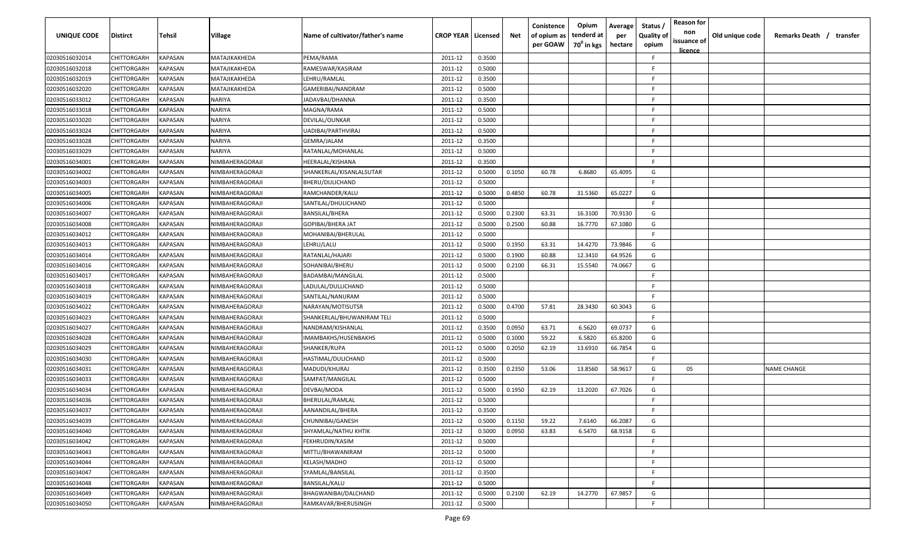| UNIQUE CODE    | <b>Distirct</b> | Tehsil                | Village                | Name of cultivator/father's name | <b>CROP YEAR   Licensed</b> |        | Net    | Conistence<br>of opium as<br>per GOAW | Opium<br>tenderd at<br>70 <sup>0</sup> in kgs | Average<br>per<br>hectare | Status<br><b>Quality of</b><br>opium | <b>Reason for</b><br>non<br>issuance of<br><u>licence</u> | Old unique code | Remarks Death / transfer |
|----------------|-----------------|-----------------------|------------------------|----------------------------------|-----------------------------|--------|--------|---------------------------------------|-----------------------------------------------|---------------------------|--------------------------------------|-----------------------------------------------------------|-----------------|--------------------------|
| 02030516032014 | CHITTORGARH     | KAPASAN               | MATAJIKAKHEDA          | PEMA/RAMA                        | 2011-12                     | 0.3500 |        |                                       |                                               |                           | -F                                   |                                                           |                 |                          |
| 02030516032018 | CHITTORGARH     | KAPASAN               | MATAJIKAKHEDA          | RAMESWAR/KASIRAM                 | 2011-12                     | 0.5000 |        |                                       |                                               |                           | -F                                   |                                                           |                 |                          |
| 02030516032019 | CHITTORGARH     | KAPASAN               | MATAJIKAKHEDA          | LEHRU/RAMLAL                     | 2011-12                     | 0.3500 |        |                                       |                                               |                           | -F                                   |                                                           |                 |                          |
| 02030516032020 | CHITTORGARH     | KAPASAN               | MATAJIKAKHEDA          | GAMERIBAI/NANDRAM                | 2011-12                     | 0.5000 |        |                                       |                                               |                           | F.                                   |                                                           |                 |                          |
| 02030516033012 | CHITTORGARH     | KAPASAN               | <b>NARIYA</b>          | JADAVBAI/DHANNA                  | 2011-12                     | 0.3500 |        |                                       |                                               |                           | -F                                   |                                                           |                 |                          |
| 02030516033018 | CHITTORGARH     | KAPASAN               | <b>NARIYA</b>          | MAGNA/RAMA                       | 2011-12                     | 0.5000 |        |                                       |                                               |                           | F                                    |                                                           |                 |                          |
| 02030516033020 | CHITTORGARH     | KAPASAN               | <b>NARIYA</b>          | DEVILAL/OUNKAR                   | 2011-12                     | 0.5000 |        |                                       |                                               |                           | -F                                   |                                                           |                 |                          |
| 02030516033024 | CHITTORGARH     | KAPASAN               | <b>NARIYA</b>          | UADIBAI/PARTHVIRAJ               | 2011-12                     | 0.5000 |        |                                       |                                               |                           | E.                                   |                                                           |                 |                          |
| 02030516033028 | CHITTORGARH     | KAPASAN               | <b>NARIYA</b>          | GEMRA/JALAM                      | 2011-12                     | 0.3500 |        |                                       |                                               |                           | F.                                   |                                                           |                 |                          |
| 02030516033029 | CHITTORGARH     | KAPASAN               | <b>NARIYA</b>          | RATANLAL/MOHANLAL                | 2011-12                     | 0.5000 |        |                                       |                                               |                           | E                                    |                                                           |                 |                          |
| 02030516034001 | CHITTORGARH     | KAPASAN               | NIMBAHERAGORAJI        | HEERALAL/KISHANA                 | 2011-12                     | 0.3500 |        |                                       |                                               |                           | -F                                   |                                                           |                 |                          |
| 02030516034002 | CHITTORGARH     | KAPASAN               | NIMBAHERAGORAJI        | SHANKERLAL/KISANLALSUTAR         | 2011-12                     | 0.5000 | 0.1050 | 60.78                                 | 6.8680                                        | 65.4095                   | G                                    |                                                           |                 |                          |
| 02030516034003 | CHITTORGARH     | KAPASAN               | NIMBAHERAGORAJI        | BHERU/DULICHAND                  | 2011-12                     | 0.5000 |        |                                       |                                               |                           | F.                                   |                                                           |                 |                          |
| 02030516034005 | CHITTORGARH     | KAPASAN               | NIMBAHERAGORAJI        | RAMCHANDER/KALU                  | 2011-12                     | 0.5000 | 0.4850 | 60.78                                 | 31.5360                                       | 65.0227                   | G                                    |                                                           |                 |                          |
| 02030516034006 | CHITTORGARH     | KAPASAN               | NIMBAHERAGORAJI        | SANTILAL/DHULICHAND              | 2011-12                     | 0.5000 |        |                                       |                                               |                           | F.                                   |                                                           |                 |                          |
| 02030516034007 | CHITTORGARH     | KAPASAN               | NIMBAHERAGORAJI        | <b>BANSILAL/BHERA</b>            | 2011-12                     | 0.5000 | 0.2300 | 63.31                                 | 16.3100                                       | 70.9130                   | G                                    |                                                           |                 |                          |
| 02030516034008 | CHITTORGARH     | KAPASAN               | NIMBAHERAGORAJI        | GOPIBAI/BHERA JAT                | 2011-12                     | 0.5000 | 0.2500 | 60.88                                 | 16.7770                                       | 67.1080                   | G                                    |                                                           |                 |                          |
| 02030516034012 | CHITTORGARH     | KAPASAN               | NIMBAHERAGORAJI        | MOHANIBAI/BHERULAL               | 2011-12                     | 0.5000 |        |                                       |                                               |                           | F.                                   |                                                           |                 |                          |
| 02030516034013 | CHITTORGARH     | KAPASAN               | NIMBAHERAGORAJI        | LEHRU/LALU                       | 2011-12                     | 0.5000 | 0.1950 | 63.31                                 | 14.4270                                       | 73.9846                   | G                                    |                                                           |                 |                          |
| 02030516034014 | CHITTORGARH     | KAPASAN               | NIMBAHERAGORAJI        | RATANLAL/HAJARI                  | 2011-12                     | 0.5000 | 0.1900 | 60.88                                 | 12.3410                                       | 64.9526                   | G                                    |                                                           |                 |                          |
| 02030516034016 | CHITTORGARH     | KAPASAN               | NIMBAHERAGORAJI        | SOHANIBAI/BHERU                  | 2011-12                     | 0.5000 | 0.2100 | 66.31                                 | 15.5540                                       | 74.0667                   | G                                    |                                                           |                 |                          |
| 02030516034017 | CHITTORGARH     | KAPASAN               | NIMBAHERAGORAJI        | BADAMBAI/MANGILAL                | 2011-12                     | 0.5000 |        |                                       |                                               |                           | F                                    |                                                           |                 |                          |
| 02030516034018 | CHITTORGARH     | KAPASAN               | NIMBAHERAGORAJI        | LADULAL/DULLICHAND               | 2011-12                     | 0.5000 |        |                                       |                                               |                           | F                                    |                                                           |                 |                          |
| 02030516034019 | CHITTORGARH     | KAPASAN               | NIMBAHERAGORAJI        | SANTILAL/NANURAM                 | 2011-12                     | 0.5000 |        |                                       |                                               |                           | -F                                   |                                                           |                 |                          |
| 02030516034022 | CHITTORGARH     | KAPASAN               | NIMBAHERAGORAJI        | NARAYAN/MOTISUTSR                | 2011-12                     | 0.5000 | 0.4700 | 57.81                                 | 28.3430                                       | 60.3043                   | G                                    |                                                           |                 |                          |
| 02030516034023 | CHITTORGARH     | KAPASAN               | NIMBAHERAGORAJI        | SHANKERLAL/BHUWANIRAM TELI       | 2011-12                     | 0.5000 |        |                                       |                                               |                           | F.                                   |                                                           |                 |                          |
| 02030516034027 | CHITTORGARH     | KAPASAN               | NIMBAHERAGORAJI        | NANDRAM/KISHANLAL                | 2011-12                     | 0.3500 | 0.0950 | 63.71                                 | 6.5620                                        | 69.0737                   | G                                    |                                                           |                 |                          |
| 02030516034028 | CHITTORGARH     | KAPASAN               | NIMBAHERAGORAJI        | IMAMBAKHS/HUSENBAKHS             | 2011-12                     | 0.5000 | 0.1000 | 59.22                                 | 6.5820                                        | 65.8200                   | G                                    |                                                           |                 |                          |
| 02030516034029 | CHITTORGARH     | KAPASAN               | NIMBAHERAGORAJI        | SHANKER/RUPA                     | 2011-12                     | 0.5000 | 0.2050 | 62.19                                 | 13.6910                                       | 66.7854                   | G                                    |                                                           |                 |                          |
| 02030516034030 | CHITTORGARH     | KAPASAN               | NIMBAHERAGORAJI        | HASTIMAL/DULICHAND               | 2011-12                     | 0.5000 |        |                                       |                                               |                           | -F                                   |                                                           |                 |                          |
| 02030516034031 | CHITTORGARH     | <b><i>KAPASAN</i></b> | NIMBAHERAGORAJI        | MADUDI/KHURAJ                    | 2011-12                     | 0.3500 | 0.2350 | 53.06                                 | 13.8560                                       | 58.9617                   | G                                    | 05                                                        |                 | <b>NAME CHANGE</b>       |
| 02030516034033 | CHITTORGARH     | <b><i>KAPASAN</i></b> | NIMBAHERAGORAJI        | SAMPAT/MANGILAL                  | 2011-12                     | 0.5000 |        |                                       |                                               |                           | -F                                   |                                                           |                 |                          |
| 02030516034034 | CHITTORGARH     | KAPASAN               | NIMBAHERAGORAJI        | DEVBAI/MODA                      | 2011-12                     | 0.5000 | 0.1950 | 62.19                                 | 13.2020                                       | 67.7026                   | G                                    |                                                           |                 |                          |
| 02030516034036 | CHITTORGARH     | KAPASAN               | NIMBAHERAGORAJI        | BHERULAL/RAMLAL                  | 2011-12                     | 0.5000 |        |                                       |                                               |                           | -F                                   |                                                           |                 |                          |
| 02030516034037 | CHITTORGARH     | KAPASAN               | NIMBAHERAGORAJI        | AANANDILAL/BHERA                 | 2011-12                     | 0.3500 |        |                                       |                                               |                           | -F                                   |                                                           |                 |                          |
| 02030516034039 | CHITTORGARH     | <b>KAPASAN</b>        | NIMBAHERAGORAJI        | CHUNNIBAI/GANESH                 | 2011-12                     | 0.5000 | 0.1150 | 59.22                                 | 7.6140                                        | 66.2087                   | G                                    |                                                           |                 |                          |
| 02030516034040 | CHITTORGARH     | <b>KAPASAN</b>        | NIMBAHERAGORAJI        | SHYAMLAL/NATHU KHTIK             | 2011-12                     | 0.5000 | 0.0950 | 63.83                                 | 6.5470                                        | 68.9158                   | G                                    |                                                           |                 |                          |
| 02030516034042 | CHITTORGARH     | <b>KAPASAN</b>        | <b>NIMBAHERAGORAJI</b> | FEKHRUDIN/KASIM                  | 2011-12                     | 0.5000 |        |                                       |                                               |                           | -F.                                  |                                                           |                 |                          |
| 02030516034043 | CHITTORGARH     | KAPASAN               | NIMBAHERAGORAJI        | MITTU/BHAWANIRAM                 | 2011-12                     | 0.5000 |        |                                       |                                               |                           | -F.                                  |                                                           |                 |                          |
| 02030516034044 | CHITTORGARH     | KAPASAN               | NIMBAHERAGORAJI        | KELASH/MADHO                     | 2011-12                     | 0.5000 |        |                                       |                                               |                           | -F                                   |                                                           |                 |                          |
| 02030516034047 | CHITTORGARH     | KAPASAN               | NIMBAHERAGORAJI        | SYAMLAL/BANSILAL                 | 2011-12                     | 0.3500 |        |                                       |                                               |                           | E                                    |                                                           |                 |                          |
| 02030516034048 | CHITTORGARH     | KAPASAN               | <b>NIMBAHERAGORAJI</b> | BANSILAL/KALU                    | 2011-12                     | 0.5000 |        |                                       |                                               |                           | -F.                                  |                                                           |                 |                          |
| 02030516034049 | CHITTORGARH     | KAPASAN               | NIMBAHERAGORAJI        | BHAGWANIBAI/DALCHAND             | 2011-12                     | 0.5000 | 0.2100 | 62.19                                 | 14.2770                                       | 67.9857                   | G                                    |                                                           |                 |                          |
| 02030516034050 | CHITTORGARH     | KAPASAN               | <b>NIMBAHERAGORAJI</b> | RAMKAVAR/BHERUSINGH              | 2011-12                     | 0.5000 |        |                                       |                                               |                           | F.                                   |                                                           |                 |                          |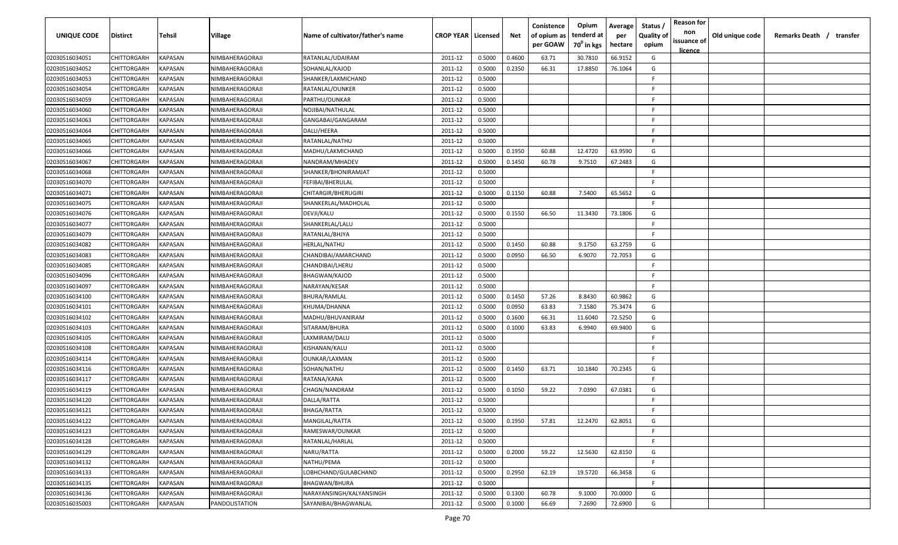| <b>UNIQUE CODE</b> | <b>Distirct</b>    | <b>Tehsil</b>  | Village         | Name of cultivator/father's name | <b>CROP YEAR   Licensed</b> |        | Net    | Conistence<br>of opium as<br>per GOAW | Opium<br>tenderd at<br>70 <sup>0</sup> in kgs | Average<br>per<br>hectare | Status /<br><b>Quality of</b><br>opium | <b>Reason for</b><br>non<br>issuance of<br>licence | Old unique code | Remarks Death /<br>transfer |  |
|--------------------|--------------------|----------------|-----------------|----------------------------------|-----------------------------|--------|--------|---------------------------------------|-----------------------------------------------|---------------------------|----------------------------------------|----------------------------------------------------|-----------------|-----------------------------|--|
| 02030516034051     | CHITTORGARH        | <b>KAPASAN</b> | NIMBAHERAGORAJI | RATANLAL/UDAIRAM                 | 2011-12                     | 0.5000 | 0.4600 | 63.71                                 | 30.7810                                       | 66.9152                   | G                                      |                                                    |                 |                             |  |
| 02030516034052     | CHITTORGARH        | KAPASAN        | NIMBAHERAGORAJI | SOHANLAL/KAJOD                   | 2011-12                     | 0.5000 | 0.2350 | 66.31                                 | 17.8850                                       | 76.1064                   | G                                      |                                                    |                 |                             |  |
| 02030516034053     | CHITTORGARH        | KAPASAN        | NIMBAHERAGORAJI | SHANKER/LAKMICHAND               | 2011-12                     | 0.5000 |        |                                       |                                               |                           | E                                      |                                                    |                 |                             |  |
| 02030516034054     | CHITTORGARH        | KAPASAN        | NIMBAHERAGORAJI | RATANLAL/OUNKER                  | 2011-12                     | 0.5000 |        |                                       |                                               |                           | -F.                                    |                                                    |                 |                             |  |
| 02030516034059     | CHITTORGARH        | KAPASAN        | NIMBAHERAGORAJI | PARTHU/OUNKAR                    | 2011-12                     | 0.5000 |        |                                       |                                               |                           | -F.                                    |                                                    |                 |                             |  |
| 02030516034060     | CHITTORGARH        | KAPASAN        | NIMBAHERAGORAJI | NOJIBAI/NATHULAL                 | 2011-12                     | 0.5000 |        |                                       |                                               |                           | -F.                                    |                                                    |                 |                             |  |
| 02030516034063     | CHITTORGARH        | KAPASAN        | NIMBAHERAGORAJI | GANGABAI/GANGARAM                | 2011-12                     | 0.5000 |        |                                       |                                               |                           | -F                                     |                                                    |                 |                             |  |
| 02030516034064     | <b>CHITTORGARH</b> | KAPASAN        | NIMBAHERAGORAJI | DALU/HEERA                       | 2011-12                     | 0.5000 |        |                                       |                                               |                           | -F.                                    |                                                    |                 |                             |  |
| 02030516034065     | CHITTORGARH        | KAPASAN        | NIMBAHERAGORAJI | RATANLAL/NATHU                   | 2011-12                     | 0.5000 |        |                                       |                                               |                           | -F.                                    |                                                    |                 |                             |  |
| 02030516034066     | CHITTORGARH        | KAPASAN        | NIMBAHERAGORAJI | MADHU/LAKMICHAND                 | 2011-12                     | 0.5000 | 0.1950 | 60.88                                 | 12.4720                                       | 63.9590                   | G                                      |                                                    |                 |                             |  |
| 02030516034067     | CHITTORGARH        | KAPASAN        | NIMBAHERAGORAJI | NANDRAM/MHADEV                   | 2011-12                     | 0.5000 | 0.1450 | 60.78                                 | 9.7510                                        | 67.2483                   | G                                      |                                                    |                 |                             |  |
| 02030516034068     | CHITTORGARH        | KAPASAN        | NIMBAHERAGORAJI | SHANKER/BHONIRAMJAT              | 2011-12                     | 0.5000 |        |                                       |                                               |                           | -F.                                    |                                                    |                 |                             |  |
| 02030516034070     | CHITTORGARH        | KAPASAN        | NIMBAHERAGORAJI | FEFIBAI/BHERULAL                 | 2011-12                     | 0.5000 |        |                                       |                                               |                           | -F.                                    |                                                    |                 |                             |  |
| 02030516034071     | CHITTORGARH        | KAPASAN        | NIMBAHERAGORAJI | CHITARGIR/BHERUGIRI              | 2011-12                     | 0.5000 | 0.1150 | 60.88                                 | 7.5400                                        | 65.5652                   | G                                      |                                                    |                 |                             |  |
| 02030516034075     | CHITTORGARH        | KAPASAN        | NIMBAHERAGORAJI | SHANKERLAL/MADHOLAL              | 2011-12                     | 0.5000 |        |                                       |                                               |                           | F.                                     |                                                    |                 |                             |  |
| 02030516034076     | CHITTORGARH        | KAPASAN        | NIMBAHERAGORAJI | DEVJI/KALU                       | 2011-12                     | 0.5000 | 0.1550 | 66.50                                 | 11.3430                                       | 73.1806                   | G                                      |                                                    |                 |                             |  |
| 02030516034077     | CHITTORGARH        | KAPASAN        | NIMBAHERAGORAJI | SHANKERLAL/LALU                  | 2011-12                     | 0.5000 |        |                                       |                                               |                           | -F.                                    |                                                    |                 |                             |  |
| 02030516034079     | CHITTORGARH        | KAPASAN        | NIMBAHERAGORAJI | RATANLAL/BHJYA                   | 2011-12                     | 0.5000 |        |                                       |                                               |                           | -F.                                    |                                                    |                 |                             |  |
| 02030516034082     | CHITTORGARH        | KAPASAN        | NIMBAHERAGORAJI | HERLAL/NATHU                     | 2011-12                     | 0.5000 | 0.1450 | 60.88                                 | 9.1750                                        | 63.2759                   | G                                      |                                                    |                 |                             |  |
| 02030516034083     | CHITTORGARH        | KAPASAN        | NIMBAHERAGORAJI | CHANDIBAI/AMARCHAND              | 2011-12                     | 0.5000 | 0.0950 | 66.50                                 | 6.9070                                        | 72.7053                   | G                                      |                                                    |                 |                             |  |
| 02030516034085     | CHITTORGARH        | KAPASAN        | NIMBAHERAGORAJI | CHANDIBAI/LHERU                  | 2011-12                     | 0.5000 |        |                                       |                                               |                           | -F.                                    |                                                    |                 |                             |  |
| 02030516034096     | CHITTORGARH        | KAPASAN        | NIMBAHERAGORAJI | <b>BHAGWAN/KAJOD</b>             | 2011-12                     | 0.5000 |        |                                       |                                               |                           | -F.                                    |                                                    |                 |                             |  |
| 02030516034097     | CHITTORGARH        | KAPASAN        | NIMBAHERAGORAJI | NARAYAN/KESAR                    | 2011-12                     | 0.5000 |        |                                       |                                               |                           | -F.                                    |                                                    |                 |                             |  |
| 02030516034100     | CHITTORGARH        | KAPASAN        | NIMBAHERAGORAJI | BHURA/RAMLAL                     | 2011-12                     | 0.5000 | 0.1450 | 57.26                                 | 8.8430                                        | 60.9862                   | G                                      |                                                    |                 |                             |  |
| 02030516034101     | CHITTORGARH        | KAPASAN        | NIMBAHERAGORAJI | KHUMA/DHANNA                     | 2011-12                     | 0.5000 | 0.0950 | 63.83                                 | 7.1580                                        | 75.3474                   | G                                      |                                                    |                 |                             |  |
| 02030516034102     | CHITTORGARH        | KAPASAN        | NIMBAHERAGORAJI | MADHU/BHUVANIRAM                 | 2011-12                     | 0.5000 | 0.1600 | 66.31                                 | 11.6040                                       | 72.5250                   | G                                      |                                                    |                 |                             |  |
| 02030516034103     | CHITTORGARH        | KAPASAN        | NIMBAHERAGORAJI | SITARAM/BHURA                    | 2011-12                     | 0.5000 | 0.1000 | 63.83                                 | 6.9940                                        | 69.9400                   | G                                      |                                                    |                 |                             |  |
| 02030516034105     | CHITTORGARH        | KAPASAN        | NIMBAHERAGORAJI | LAXMIRAM/DALU                    | 2011-12                     | 0.5000 |        |                                       |                                               |                           | F.                                     |                                                    |                 |                             |  |
| 02030516034108     | CHITTORGARH        | KAPASAN        | NIMBAHERAGORAJI | KISHANAN/KALU                    | 2011-12                     | 0.5000 |        |                                       |                                               |                           | -F.                                    |                                                    |                 |                             |  |
| 02030516034114     | CHITTORGARH        | KAPASAN        | NIMBAHERAGORAJI | OUNKAR/LAXMAN                    | 2011-12                     | 0.5000 |        |                                       |                                               |                           | F.                                     |                                                    |                 |                             |  |
| 02030516034116     | CHITTORGARH        | KAPASAN        | NIMBAHERAGORAJI | SOHAN/NATHU                      | 2011-12                     | 0.5000 | 0.1450 | 63.71                                 | 10.1840                                       | 70.2345                   | G                                      |                                                    |                 |                             |  |
| 02030516034117     | CHITTORGARH        | KAPASAN        | NIMBAHERAGORAJI | RATANA/KANA                      | 2011-12                     | 0.5000 |        |                                       |                                               |                           | F.                                     |                                                    |                 |                             |  |
| 02030516034119     | CHITTORGARH        | KAPASAN        | NIMBAHERAGORAJI | CHAGN/NANDRAM                    | 2011-12                     | 0.5000 | 0.1050 | 59.22                                 | 7.0390                                        | 67.0381                   | G                                      |                                                    |                 |                             |  |
| 02030516034120     | CHITTORGARH        | KAPASAN        | NIMBAHERAGORAJI | DALLA/RATTA                      | 2011-12                     | 0.5000 |        |                                       |                                               |                           | -F                                     |                                                    |                 |                             |  |
| 02030516034121     | <b>CHITTORGARH</b> | KAPASAN        | NIMBAHERAGORAJI | BHAGA/RATTA                      | 2011-12                     | 0.5000 |        |                                       |                                               |                           | E                                      |                                                    |                 |                             |  |
| 02030516034122     | <b>CHITTORGARH</b> | <b>KAPASAN</b> | NIMBAHERAGORAJI | MANGILAL/RATTA                   | 2011-12                     | 0.5000 | 0.1950 | 57.81                                 | 12.2470                                       | 62.8051                   | G                                      |                                                    |                 |                             |  |
| 02030516034123     | <b>CHITTORGARH</b> | KAPASAN        | NIMBAHERAGORAJI | RAMESWAR/OUNKAR                  | 2011-12                     | 0.5000 |        |                                       |                                               |                           | F.                                     |                                                    |                 |                             |  |
| 02030516034128     | CHITTORGARH        | KAPASAN        | NIMBAHERAGORAJI | RATANLAL/HARLAL                  | 2011-12                     | 0.5000 |        |                                       |                                               |                           | F                                      |                                                    |                 |                             |  |
| 02030516034129     | CHITTORGARH        | KAPASAN        | NIMBAHERAGORAJI | NARU/RATTA                       | 2011-12                     | 0.5000 | 0.2000 | 59.22                                 | 12.5630                                       | 62.8150                   | G                                      |                                                    |                 |                             |  |
| 02030516034132     | CHITTORGARH        | <b>KAPASAN</b> | NIMBAHERAGORAJI | NATHU/PEMA                       | 2011-12                     | 0.5000 |        |                                       |                                               |                           | $\mathsf{F}$                           |                                                    |                 |                             |  |
| 02030516034133     | CHITTORGARH        | KAPASAN        | NIMBAHERAGORAJI | LOBHCHAND/GULABCHAND             | 2011-12                     | 0.5000 | 0.2950 | 62.19                                 | 19.5720                                       | 66.3458                   | G                                      |                                                    |                 |                             |  |
| 02030516034135     | CHITTORGARH        | KAPASAN        | NIMBAHERAGORAJI | BHAGWAN/BHURA                    | 2011-12                     | 0.5000 |        |                                       |                                               |                           | F.                                     |                                                    |                 |                             |  |
| 02030516034136     | CHITTORGARH        | KAPASAN        | NIMBAHERAGORAJI | NARAYANSINGH/KALYANSINGH         | 2011-12                     | 0.5000 | 0.1300 | 60.78                                 | 9.1000                                        | 70.0000                   | G                                      |                                                    |                 |                             |  |
| 02030516035003     | <b>CHITTORGARH</b> | KAPASAN        | PANDOLISTATION  | SAYANIBAI/BHAGWANLAL             | 2011-12                     | 0.5000 | 0.1000 | 66.69                                 | 7.2690                                        | 72.6900                   | G                                      |                                                    |                 |                             |  |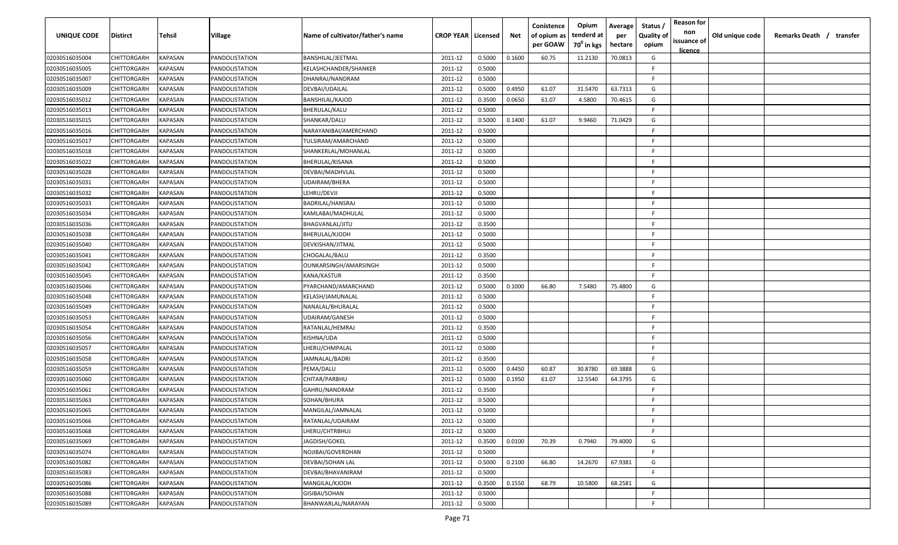| <b>UNIQUE CODE</b> | Distirct           | Tehsil         | Village               | Name of cultivator/father's name | <b>CROP YEAR   Licensed</b> |        | Net    | Conistence<br>of opium as<br>per GOAW | Opium<br>tenderd at<br>70 <sup>0</sup> in kgs | Average<br>per<br>hectare | Status /<br><b>Quality of</b><br>opium | <b>Reason for</b><br>non<br>issuance of | Old unique code | Remarks Death / transfer |
|--------------------|--------------------|----------------|-----------------------|----------------------------------|-----------------------------|--------|--------|---------------------------------------|-----------------------------------------------|---------------------------|----------------------------------------|-----------------------------------------|-----------------|--------------------------|
| 02030516035004     | CHITTORGARH        | KAPASAN        | PANDOLISTATION        | BANSHILAL/JEETMAL                | 2011-12                     | 0.5000 | 0.1600 | 60.75                                 | 11.2130                                       | 70.0813                   | G                                      | <u>licence</u>                          |                 |                          |
| 02030516035005     | CHITTORGARH        | KAPASAN        | PANDOLISTATION        | KELASHCHANDER/SHANKER            | 2011-12                     | 0.5000 |        |                                       |                                               |                           | -F.                                    |                                         |                 |                          |
| 02030516035007     | CHITTORGARH        | KAPASAN        | PANDOLISTATION        | DHANRAJ/NANDRAM                  | 2011-12                     | 0.5000 |        |                                       |                                               |                           | -F.                                    |                                         |                 |                          |
| 02030516035009     | CHITTORGARH        | KAPASAN        | PANDOLISTATION        | DEVBAI/UDAILAL                   | 2011-12                     | 0.5000 | 0.4950 | 61.07                                 | 31.5470                                       | 63.7313                   | G                                      |                                         |                 |                          |
| 02030516035012     | CHITTORGARH        | KAPASAN        | PANDOLISTATION        | BANSHILAL/KAJOD                  | 2011-12                     | 0.3500 | 0.0650 | 61.07                                 | 4.5800                                        | 70.4615                   | G                                      |                                         |                 |                          |
| 02030516035013     | CHITTORGARH        | KAPASAN        | PANDOLISTATION        | BHERULAL/KALU                    | 2011-12                     | 0.5000 |        |                                       |                                               |                           | -F.                                    |                                         |                 |                          |
| 02030516035015     | CHITTORGARH        | KAPASAN        | PANDOLISTATION        | SHANKAR/DALU                     | 2011-12                     | 0.5000 | 0.1400 | 61.07                                 | 9.9460                                        | 71.0429                   | G                                      |                                         |                 |                          |
| 02030516035016     | CHITTORGARH        | KAPASAN        | PANDOLISTATION        | NARAYANIBAI/AMERCHAND            | 2011-12                     | 0.5000 |        |                                       |                                               |                           | -F.                                    |                                         |                 |                          |
| 02030516035017     | CHITTORGARH        | KAPASAN        | PANDOLISTATION        | TULSIRAM/AMARCHAND               | 2011-12                     | 0.5000 |        |                                       |                                               |                           | -F.                                    |                                         |                 |                          |
| 02030516035018     | CHITTORGARH        | KAPASAN        | PANDOLISTATION        | SHANKERLAL/MOHANLAL              | 2011-12                     | 0.5000 |        |                                       |                                               |                           | F.                                     |                                         |                 |                          |
| 02030516035022     | CHITTORGARH        | KAPASAN        | PANDOLISTATION        | BHERULAL/KISANA                  | 2011-12                     | 0.5000 |        |                                       |                                               |                           | -F.                                    |                                         |                 |                          |
| 02030516035028     | CHITTORGARH        | KAPASAN        | PANDOLISTATION        | DEVBAI/MADHVLAL                  | 2011-12                     | 0.5000 |        |                                       |                                               |                           | F.                                     |                                         |                 |                          |
| 02030516035031     | CHITTORGARH        | KAPASAN        | PANDOLISTATION        | UDAIRAM/BHERA                    | 2011-12                     | 0.5000 |        |                                       |                                               |                           | F.                                     |                                         |                 |                          |
| 02030516035032     | CHITTORGARH        | KAPASAN        | PANDOLISTATION        | LEHRU/DEVJI                      | 2011-12                     | 0.5000 |        |                                       |                                               |                           | F                                      |                                         |                 |                          |
| 02030516035033     | CHITTORGARH        | KAPASAN        | PANDOLISTATION        | BADRILAL/HANSRAJ                 | 2011-12                     | 0.5000 |        |                                       |                                               |                           | -F.                                    |                                         |                 |                          |
| 02030516035034     | CHITTORGARH        | KAPASAN        | PANDOLISTATION        | KAMLABAI/MADHULAL                | 2011-12                     | 0.5000 |        |                                       |                                               |                           | E                                      |                                         |                 |                          |
| 02030516035036     | CHITTORGARH        | KAPASAN        | PANDOLISTATION        | <b>BHAGVANLAL/JITU</b>           | 2011-12                     | 0.3500 |        |                                       |                                               |                           | -F.                                    |                                         |                 |                          |
| 02030516035038     | CHITTORGARH        | KAPASAN        | PANDOLISTATION        | BHERULAL/KJODH                   | 2011-12                     | 0.5000 |        |                                       |                                               |                           | E                                      |                                         |                 |                          |
| 02030516035040     | CHITTORGARH        | KAPASAN        | PANDOLISTATION        | DEVKISHAN/JITMAL                 | 2011-12                     | 0.5000 |        |                                       |                                               |                           | F.                                     |                                         |                 |                          |
| 02030516035041     | CHITTORGARH        | KAPASAN        | PANDOLISTATION        | CHOGALAL/BALU                    | 2011-12                     | 0.3500 |        |                                       |                                               |                           | -F.                                    |                                         |                 |                          |
| 02030516035042     | CHITTORGARH        | KAPASAN        | PANDOLISTATION        | OUNKARSINGH/AMARSINGH            | 2011-12                     | 0.5000 |        |                                       |                                               |                           | -F.                                    |                                         |                 |                          |
| 02030516035045     | CHITTORGARH        | KAPASAN        | PANDOLISTATION        | KANA/KASTUR                      | 2011-12                     | 0.3500 |        |                                       |                                               |                           | -F.                                    |                                         |                 |                          |
| 02030516035046     | CHITTORGARH        | KAPASAN        | PANDOLISTATION        | PYARCHAND/AMARCHAND              | 2011-12                     | 0.5000 | 0.1000 | 66.80                                 | 7.5480                                        | 75.4800                   | G                                      |                                         |                 |                          |
| 02030516035048     | CHITTORGARH        | KAPASAN        | PANDOLISTATION        | KELASH/JAMUNALAL                 | 2011-12                     | 0.5000 |        |                                       |                                               |                           | -F.                                    |                                         |                 |                          |
| 02030516035049     | CHITTORGARH        | KAPASAN        | PANDOLISTATION        | NANALAL/BHURALAL                 | 2011-12                     | 0.5000 |        |                                       |                                               |                           | -F                                     |                                         |                 |                          |
| 02030516035053     | CHITTORGARH        | KAPASAN        | PANDOLISTATION        | UDAIRAM/GANESH                   | 2011-12                     | 0.5000 |        |                                       |                                               |                           | -F.                                    |                                         |                 |                          |
| 02030516035054     | CHITTORGARH        | KAPASAN        | PANDOLISTATION        | RATANLAL/HEMRAJ                  | 2011-12                     | 0.3500 |        |                                       |                                               |                           | -F.                                    |                                         |                 |                          |
| 02030516035056     | CHITTORGARH        | KAPASAN        | PANDOLISTATION        | KISHNA/UDA                       | 2011-12                     | 0.5000 |        |                                       |                                               |                           | -F.                                    |                                         |                 |                          |
| 02030516035057     | CHITTORGARH        | KAPASAN        | PANDOLISTATION        | LHERU/CHMPALAL                   | 2011-12                     | 0.5000 |        |                                       |                                               |                           | -F.                                    |                                         |                 |                          |
| 02030516035058     | CHITTORGARH        | KAPASAN        | PANDOLISTATION        | JAMNALAL/BADRI                   | 2011-12                     | 0.3500 |        |                                       |                                               |                           | -F.                                    |                                         |                 |                          |
| 02030516035059     | CHITTORGARH        | KAPASAN        | PANDOLISTATION        | PEMA/DALU                        | 2011-12                     | 0.5000 | 0.4450 | 60.87                                 | 30.8780                                       | 69.3888                   | G                                      |                                         |                 |                          |
| 02030516035060     | CHITTORGARH        | KAPASAN        | PANDOLISTATION        | CHITAR/PARBHU                    | 2011-12                     | 0.5000 | 0.1950 | 61.07                                 | 12.5540                                       | 64.3795                   | G                                      |                                         |                 |                          |
| 02030516035061     | CHITTORGARH        | KAPASAN        | PANDOLISTATION        | GAHRU/NANDRAM                    | 2011-12                     | 0.3500 |        |                                       |                                               |                           | E                                      |                                         |                 |                          |
| 02030516035063     | CHITTORGARH        | KAPASAN        | PANDOLISTATION        | SOHAN/BHURA                      | 2011-12                     | 0.5000 |        |                                       |                                               |                           | -F.                                    |                                         |                 |                          |
| 02030516035065     | <b>CHITTORGARH</b> | KAPASAN        | PANDOLISTATION        | MANGILAL/JAMNALAL                | 2011-12                     | 0.5000 |        |                                       |                                               |                           | E                                      |                                         |                 |                          |
| 02030516035066     | <b>CHITTORGARH</b> | KAPASAN        | PANDOLISTATION        | RATANLAL/UDAIRAM                 | 2011-12                     | 0.5000 |        |                                       |                                               |                           | F.                                     |                                         |                 |                          |
| 02030516035068     | CHITTORGARH        | <b>KAPASAN</b> | PANDOLISTATION        | LHERU/CHTRBHUJ                   | 2011-12                     | 0.5000 |        |                                       |                                               |                           | F                                      |                                         |                 |                          |
| 02030516035069     | CHITTORGARH        | <b>KAPASAN</b> | <b>PANDOLISTATION</b> | JAGDISH/GOKEL                    | 2011-12                     | 0.3500 | 0.0100 | 70.39                                 | 0.7940                                        | 79.4000                   | G                                      |                                         |                 |                          |
| 02030516035074     | <b>CHITTORGARH</b> | <b>KAPASAN</b> | PANDOLISTATION        | NOJIBAI/GOVERDHAN                | 2011-12                     | 0.5000 |        |                                       |                                               |                           | F.                                     |                                         |                 |                          |
| 02030516035082     | CHITTORGARH        | KAPASAN        | PANDOLISTATION        | DEVBAI/SOHAN LAL                 | 2011-12                     | 0.5000 | 0.2100 | 66.80                                 | 14.2670                                       | 67.9381                   | G                                      |                                         |                 |                          |
| 02030516035083     | <b>CHITTORGARH</b> | KAPASAN        | PANDOLISTATION        | DEVBAI/BHAVANIRAM                | 2011-12                     | 0.5000 |        |                                       |                                               |                           | F.                                     |                                         |                 |                          |
| 02030516035086     | CHITTORGARH        | KAPASAN        | PANDOLISTATION        | MANGILAL/KJODH                   | 2011-12                     | 0.3500 | 0.1550 | 68.79                                 | 10.5800                                       | 68.2581                   | G                                      |                                         |                 |                          |
| 02030516035088     | CHITTORGARH        | KAPASAN        | PANDOLISTATION        | GISIBAI/SOHAN                    | 2011-12                     | 0.5000 |        |                                       |                                               |                           | F.                                     |                                         |                 |                          |
| 02030516035089     | CHITTORGARH        | KAPASAN        | PANDOLISTATION        | BHANWARLAL/NARAYAN               | 2011-12                     | 0.5000 |        |                                       |                                               |                           | -F                                     |                                         |                 |                          |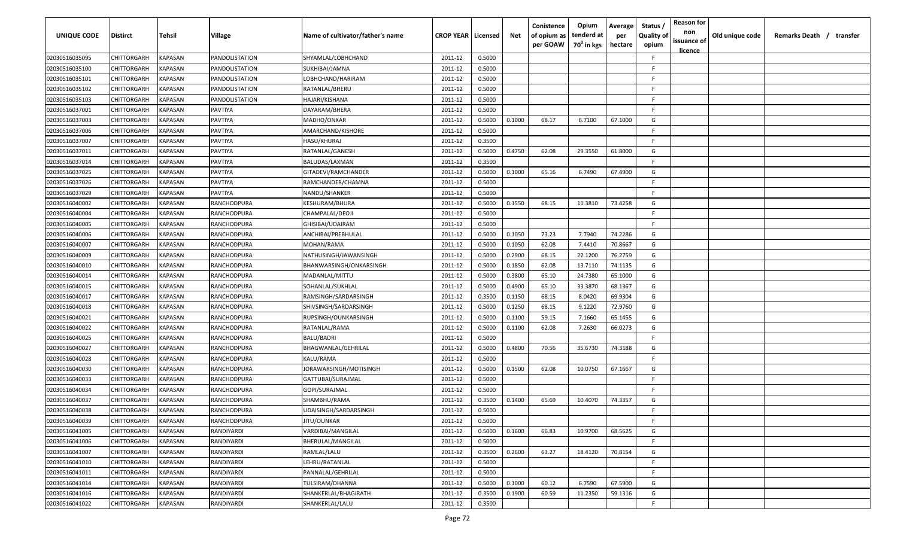| UNIQUE CODE    | <b>Distirct</b>    | Tehsil                | Village            | Name of cultivator/father's name | <b>CROP YEAR   Licensed</b> |        | Net    | Conistence<br>of opium as<br>per GOAW | Opium<br>tenderd at<br>70 <sup>0</sup> in kgs | Average<br>per<br>hectare | Status<br><b>Quality of</b><br>opium | <b>Reason for</b><br>non<br>issuance of<br><u>licence</u> | Old unique code | Remarks Death / transfer |
|----------------|--------------------|-----------------------|--------------------|----------------------------------|-----------------------------|--------|--------|---------------------------------------|-----------------------------------------------|---------------------------|--------------------------------------|-----------------------------------------------------------|-----------------|--------------------------|
| 02030516035095 | CHITTORGARH        | KAPASAN               | PANDOLISTATION     | SHYAMLAL/LOBHCHAND               | 2011-12                     | 0.5000 |        |                                       |                                               |                           | -F                                   |                                                           |                 |                          |
| 02030516035100 | CHITTORGARH        | KAPASAN               | PANDOLISTATION     | SUKHIBAI/JAMNA                   | 2011-12                     | 0.5000 |        |                                       |                                               |                           | -F                                   |                                                           |                 |                          |
| 02030516035101 | CHITTORGARH        | KAPASAN               | PANDOLISTATION     | LOBHCHAND/HARIRAM                | 2011-12                     | 0.5000 |        |                                       |                                               |                           | -F                                   |                                                           |                 |                          |
| 02030516035102 | CHITTORGARH        | KAPASAN               | PANDOLISTATION     | RATANLAL/BHERU                   | 2011-12                     | 0.5000 |        |                                       |                                               |                           | F.                                   |                                                           |                 |                          |
| 02030516035103 | CHITTORGARH        | KAPASAN               | PANDOLISTATION     | HAJARI/KISHANA                   | 2011-12                     | 0.5000 |        |                                       |                                               |                           | -F                                   |                                                           |                 |                          |
| 02030516037001 | CHITTORGARH        | KAPASAN               | PAVTIYA            | DAYARAM/BHERA                    | 2011-12                     | 0.5000 |        |                                       |                                               |                           | -F                                   |                                                           |                 |                          |
| 02030516037003 | CHITTORGARH        | KAPASAN               | PAVTIYA            | MADHO/ONKAR                      | 2011-12                     | 0.5000 | 0.1000 | 68.17                                 | 6.7100                                        | 67.1000                   | G                                    |                                                           |                 |                          |
| 02030516037006 | CHITTORGARH        | KAPASAN               | PAVTIYA            | AMARCHAND/KISHORE                | 2011-12                     | 0.5000 |        |                                       |                                               |                           | E.                                   |                                                           |                 |                          |
| 02030516037007 | CHITTORGARH        | KAPASAN               | PAVTIYA            | HASU/KHURAJ                      | 2011-12                     | 0.3500 |        |                                       |                                               |                           | F.                                   |                                                           |                 |                          |
| 02030516037011 | CHITTORGARH        | KAPASAN               | PAVTIYA            | RATANLAL/GANESH                  | 2011-12                     | 0.5000 | 0.4750 | 62.08                                 | 29.3550                                       | 61.8000                   | G                                    |                                                           |                 |                          |
| 02030516037014 | CHITTORGARH        | KAPASAN               | PAVTIYA            | BALUDAS/LAXMAN                   | 2011-12                     | 0.3500 |        |                                       |                                               |                           | F.                                   |                                                           |                 |                          |
| 02030516037025 | CHITTORGARH        | KAPASAN               | <b>PAVTIYA</b>     | GITADEVI/RAMCHANDER              | 2011-12                     | 0.5000 | 0.1000 | 65.16                                 | 6.7490                                        | 67.4900                   | G                                    |                                                           |                 |                          |
| 02030516037026 | CHITTORGARH        | KAPASAN               | PAVTIYA            | RAMCHANDER/CHAMNA                | 2011-12                     | 0.5000 |        |                                       |                                               |                           | F.                                   |                                                           |                 |                          |
| 02030516037029 | CHITTORGARH        | KAPASAN               | PAVTIYA            | NANDU/SHANKER                    | 2011-12                     | 0.5000 |        |                                       |                                               |                           | F.                                   |                                                           |                 |                          |
| 02030516040002 | CHITTORGARH        | KAPASAN               | RANCHODPURA        | KESHURAM/BHURA                   | 2011-12                     | 0.5000 | 0.1550 | 68.15                                 | 11.3810                                       | 73.4258                   | G                                    |                                                           |                 |                          |
| 02030516040004 | CHITTORGARH        | KAPASAN               | RANCHODPURA        | CHAMPALAL/DEOJI                  | 2011-12                     | 0.5000 |        |                                       |                                               |                           | F.                                   |                                                           |                 |                          |
| 02030516040005 | CHITTORGARH        | KAPASAN               | RANCHODPURA        | GHISIBAI/UDAIRAM                 | 2011-12                     | 0.5000 |        |                                       |                                               |                           | E.                                   |                                                           |                 |                          |
| 02030516040006 | CHITTORGARH        | KAPASAN               | RANCHODPURA        | ANCHIBAI/PREBHULAL               | 2011-12                     | 0.5000 | 0.1050 | 73.23                                 | 7.7940                                        | 74.2286                   | G                                    |                                                           |                 |                          |
| 02030516040007 | CHITTORGARH        | KAPASAN               | RANCHODPURA        | MOHAN/RAMA                       | 2011-12                     | 0.5000 | 0.1050 | 62.08                                 | 7.4410                                        | 70.8667                   | G                                    |                                                           |                 |                          |
| 02030516040009 | CHITTORGARH        | KAPASAN               | RANCHODPURA        | NATHUSINGH/JAWANSINGH            | 2011-12                     | 0.5000 | 0.2900 | 68.15                                 | 22.1200                                       | 76.2759                   | G                                    |                                                           |                 |                          |
| 02030516040010 | CHITTORGARH        | KAPASAN               | RANCHODPURA        | BHANWARSINGH/ONKARSINGH          | 2011-12                     | 0.5000 | 0.1850 | 62.08                                 | 13.7110                                       | 74.1135                   | G                                    |                                                           |                 |                          |
| 02030516040014 | CHITTORGARH        | KAPASAN               | RANCHODPURA        | MADANLAL/MITTU                   | 2011-12                     | 0.5000 | 0.3800 | 65.10                                 | 24.7380                                       | 65.1000                   | G                                    |                                                           |                 |                          |
| 02030516040015 | CHITTORGARH        | KAPASAN               | RANCHODPURA        | SOHANLAL/SUKHLAL                 | 2011-12                     | 0.5000 | 0.4900 | 65.10                                 | 33.3870                                       | 68.1367                   | G                                    |                                                           |                 |                          |
| 02030516040017 | CHITTORGARH        | KAPASAN               | RANCHODPURA        | RAMSINGH/SARDARSINGH             | 2011-12                     | 0.3500 | 0.1150 | 68.15                                 | 8.0420                                        | 69.9304                   | G                                    |                                                           |                 |                          |
| 02030516040018 | CHITTORGARH        | KAPASAN               | RANCHODPURA        | SHIVSINGH/SARDARSINGH            | 2011-12                     | 0.5000 | 0.1250 | 68.15                                 | 9.1220                                        | 72.9760                   | G                                    |                                                           |                 |                          |
| 02030516040021 | CHITTORGARH        | KAPASAN               | <b>RANCHODPURA</b> | RUPSINGH/OUNKARSINGH             | 2011-12                     | 0.5000 | 0.1100 | 59.15                                 | 7.1660                                        | 65.1455                   | G                                    |                                                           |                 |                          |
| 02030516040022 | CHITTORGARH        | KAPASAN               | RANCHODPURA        | RATANLAL/RAMA                    | 2011-12                     | 0.5000 | 0.1100 | 62.08                                 | 7.2630                                        | 66.0273                   | G                                    |                                                           |                 |                          |
| 02030516040025 | CHITTORGARH        | KAPASAN               | RANCHODPURA        | BALU/BADRI                       | 2011-12                     | 0.5000 |        |                                       |                                               |                           | -F.                                  |                                                           |                 |                          |
| 02030516040027 | <b>CHITTORGARH</b> | KAPASAN               | RANCHODPURA        | BHAGWANLAL/GEHRILAL              | 2011-12                     | 0.5000 | 0.4800 | 70.56                                 | 35.6730                                       | 74.3188                   | G                                    |                                                           |                 |                          |
| 02030516040028 | CHITTORGARH        | KAPASAN               | RANCHODPURA        | KALU/RAMA                        | 2011-12                     | 0.5000 |        |                                       |                                               |                           | -F.                                  |                                                           |                 |                          |
| 02030516040030 | CHITTORGARH        | KAPASAN               | RANCHODPURA        | JORAWARSINGH/MOTISINGH           | 2011-12                     | 0.5000 | 0.1500 | 62.08                                 | 10.0750                                       | 67.1667                   | G                                    |                                                           |                 |                          |
| 02030516040033 | CHITTORGARH        | <b><i>KAPASAN</i></b> | RANCHODPURA        | GATTUBAI/SURAJMAL                | 2011-12                     | 0.5000 |        |                                       |                                               |                           | -F                                   |                                                           |                 |                          |
| 02030516040034 | CHITTORGARH        | KAPASAN               | RANCHODPURA        | GOPI/SURAJMAL                    | 2011-12                     | 0.5000 |        |                                       |                                               |                           | E                                    |                                                           |                 |                          |
| 02030516040037 | CHITTORGARH        | KAPASAN               | RANCHODPURA        | SHAMBHU/RAMA                     | 2011-12                     | 0.3500 | 0.1400 | 65.69                                 | 10.4070                                       | 74.3357                   | G                                    |                                                           |                 |                          |
| 02030516040038 | CHITTORGARH        | KAPASAN               | RANCHODPURA        | UDAISINGH/SARDARSINGH            | 2011-12                     | 0.5000 |        |                                       |                                               |                           | -F                                   |                                                           |                 |                          |
| 02030516040039 | CHITTORGARH        | <b>KAPASAN</b>        | RANCHODPURA        | JITU/OUNKAR                      | 2011-12                     | 0.5000 |        |                                       |                                               |                           | -F                                   |                                                           |                 |                          |
| 02030516041005 | CHITTORGARH        | <b>KAPASAN</b>        | RANDIYARDI         | VARDIBAI/MANGILAL                | 2011-12                     | 0.5000 | 0.1600 | 66.83                                 | 10.9700                                       | 68.5625                   | G                                    |                                                           |                 |                          |
| 02030516041006 | CHITTORGARH        | <b>KAPASAN</b>        | RANDIYARDI         | BHERULAL/MANGILAL                | 2011-12                     | 0.5000 |        |                                       |                                               |                           | -F.                                  |                                                           |                 |                          |
| 02030516041007 | CHITTORGARH        | KAPASAN               | RANDIYARDI         | RAMLAL/LALU                      | 2011-12                     | 0.3500 | 0.2600 | 63.27                                 | 18.4120                                       | 70.8154                   | G                                    |                                                           |                 |                          |
| 02030516041010 | CHITTORGARH        | KAPASAN               | RANDIYARDI         | LEHRU/RATANLAL                   | 2011-12                     | 0.5000 |        |                                       |                                               |                           | F.                                   |                                                           |                 |                          |
| 02030516041011 | CHITTORGARH        | KAPASAN               | RANDIYARDI         | PANNALAL/GEHRILAL                | 2011-12                     | 0.5000 |        |                                       |                                               |                           | F.                                   |                                                           |                 |                          |
| 02030516041014 | CHITTORGARH        | KAPASAN               | RANDIYARDI         | TULSIRAM/DHANNA                  | 2011-12                     | 0.5000 | 0.1000 | 60.12                                 | 6.7590                                        | 67.5900                   | G                                    |                                                           |                 |                          |
| 02030516041016 | CHITTORGARH        | KAPASAN               | RANDIYARDI         | SHANKERLAL/BHAGIRATH             | 2011-12                     | 0.3500 | 0.1900 | 60.59                                 | 11.2350                                       | 59.1316                   | G                                    |                                                           |                 |                          |
| 02030516041022 | CHITTORGARH        | <b>KAPASAN</b>        | RANDIYARDI         | SHANKERLAL/LALU                  | 2011-12                     | 0.3500 |        |                                       |                                               |                           | F.                                   |                                                           |                 |                          |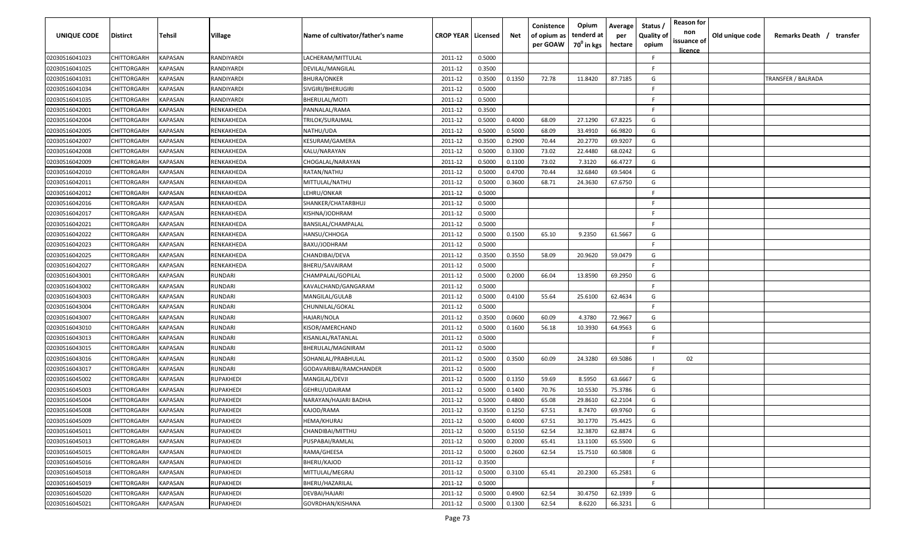| UNIQUE CODE    | <b>Distirct</b>    | Tehsil                | Village          | Name of cultivator/father's name | <b>CROP YEAR   Licensed</b> |        | Net    | Conistence<br>of opium as<br>per GOAW | Opium<br>tenderd at<br>70 <sup>°</sup> in kgs | Average<br>per<br>hectare | Status<br><b>Quality of</b><br>opium | <b>Reason for</b><br>non<br>issuance of<br><u>licence</u> | Old unique code | Remarks Death / transfer |
|----------------|--------------------|-----------------------|------------------|----------------------------------|-----------------------------|--------|--------|---------------------------------------|-----------------------------------------------|---------------------------|--------------------------------------|-----------------------------------------------------------|-----------------|--------------------------|
| 02030516041023 | CHITTORGARH        | KAPASAN               | RANDIYARDI       | LACHERAM/MITTULAL                | 2011-12                     | 0.5000 |        |                                       |                                               |                           | -F.                                  |                                                           |                 |                          |
| 02030516041025 | CHITTORGARH        | KAPASAN               | RANDIYARDI       | DEVILAL/MANGILAL                 | 2011-12                     | 0.3500 |        |                                       |                                               |                           | -F                                   |                                                           |                 |                          |
| 02030516041031 | CHITTORGARH        | KAPASAN               | RANDIYARDI       | BHURA/ONKER                      | 2011-12                     | 0.3500 | 0.1350 | 72.78                                 | 11.8420                                       | 87.7185                   | G                                    |                                                           |                 | TRANSFER / BALRADA       |
| 02030516041034 | CHITTORGARH        | KAPASAN               | RANDIYARDI       | SIVGIRI/BHERUGIRI                | 2011-12                     | 0.5000 |        |                                       |                                               |                           | F.                                   |                                                           |                 |                          |
| 02030516041035 | CHITTORGARH        | KAPASAN               | RANDIYARDI       | BHERULAL/MOTI                    | 2011-12                     | 0.5000 |        |                                       |                                               |                           | -F                                   |                                                           |                 |                          |
| 02030516042001 | CHITTORGARH        | KAPASAN               | RENKAKHEDA       | PANNALAL/RAMA                    | 2011-12                     | 0.3500 |        |                                       |                                               |                           | F.                                   |                                                           |                 |                          |
| 02030516042004 | CHITTORGARH        | KAPASAN               | RENKAKHEDA       | TRILOK/SURAJMAL                  | 2011-12                     | 0.5000 | 0.4000 | 68.09                                 | 27.1290                                       | 67.8225                   | G                                    |                                                           |                 |                          |
| 02030516042005 | CHITTORGARH        | KAPASAN               | RENKAKHEDA       | NATHU/UDA                        | 2011-12                     | 0.5000 | 0.5000 | 68.09                                 | 33.4910                                       | 66.9820                   | G                                    |                                                           |                 |                          |
| 02030516042007 | CHITTORGARH        | KAPASAN               | RENKAKHEDA       | KESURAM/GAMERA                   | 2011-12                     | 0.3500 | 0.2900 | 70.44                                 | 20.2770                                       | 69.9207                   | G                                    |                                                           |                 |                          |
| 02030516042008 | CHITTORGARH        | KAPASAN               | RENKAKHEDA       | KALU/NARAYAN                     | 2011-12                     | 0.5000 | 0.3300 | 73.02                                 | 22.4480                                       | 68.0242                   | G                                    |                                                           |                 |                          |
| 02030516042009 | CHITTORGARH        | KAPASAN               | RENKAKHEDA       | CHOGALAL/NARAYAN                 | 2011-12                     | 0.5000 | 0.1100 | 73.02                                 | 7.3120                                        | 66.4727                   | G                                    |                                                           |                 |                          |
| 02030516042010 | CHITTORGARH        | KAPASAN               | RENKAKHEDA       | RATAN/NATHU                      | 2011-12                     | 0.5000 | 0.4700 | 70.44                                 | 32.6840                                       | 69.5404                   | G                                    |                                                           |                 |                          |
| 02030516042011 | CHITTORGARH        | KAPASAN               | RENKAKHEDA       | MITTULAL/NATHU                   | 2011-12                     | 0.5000 | 0.3600 | 68.71                                 | 24.3630                                       | 67.6750                   | G                                    |                                                           |                 |                          |
| 02030516042012 | CHITTORGARH        | KAPASAN               | RENKAKHEDA       | LEHRU/ONKAR                      | 2011-12                     | 0.5000 |        |                                       |                                               |                           | F                                    |                                                           |                 |                          |
| 02030516042016 | CHITTORGARH        | KAPASAN               | RENKAKHEDA       | SHANKER/CHATARBHUJ               | 2011-12                     | 0.5000 |        |                                       |                                               |                           | -F                                   |                                                           |                 |                          |
| 02030516042017 | CHITTORGARH        | KAPASAN               | RENKAKHEDA       | KISHNA/JODHRAM                   | 2011-12                     | 0.5000 |        |                                       |                                               |                           | F                                    |                                                           |                 |                          |
| 02030516042021 | CHITTORGARH        | KAPASAN               | RENKAKHEDA       | BANSILAL/CHAMPALAL               | 2011-12                     | 0.5000 |        |                                       |                                               |                           | E.                                   |                                                           |                 |                          |
| 02030516042022 | CHITTORGARH        | KAPASAN               | RENKAKHEDA       | HANSU/CHHOGA                     | 2011-12                     | 0.5000 | 0.1500 | 65.10                                 | 9.2350                                        | 61.5667                   | G                                    |                                                           |                 |                          |
| 02030516042023 | CHITTORGARH        | KAPASAN               | RENKAKHEDA       | BAXU/JODHRAM                     | 2011-12                     | 0.5000 |        |                                       |                                               |                           | F.                                   |                                                           |                 |                          |
| 02030516042025 | CHITTORGARH        | KAPASAN               | RENKAKHEDA       | CHANDIBAI/DEVA                   | 2011-12                     | 0.3500 | 0.3550 | 58.09                                 | 20.9620                                       | 59.0479                   | G                                    |                                                           |                 |                          |
| 02030516042027 | CHITTORGARH        | KAPASAN               | RENKAKHEDA       | BHERU/SAVAIRAM                   | 2011-12                     | 0.5000 |        |                                       |                                               |                           | F.                                   |                                                           |                 |                          |
| 02030516043001 | CHITTORGARH        | KAPASAN               | RUNDARI          | CHAMPALAL/GOPILAL                | 2011-12                     | 0.5000 | 0.2000 | 66.04                                 | 13.8590                                       | 69.2950                   | G                                    |                                                           |                 |                          |
| 02030516043002 | CHITTORGARH        | KAPASAN               | RUNDARI          | KAVALCHAND/GANGARAM              | 2011-12                     | 0.5000 |        |                                       |                                               |                           | F                                    |                                                           |                 |                          |
| 02030516043003 | CHITTORGARH        | KAPASAN               | RUNDARI          | MANGILAL/GULAB                   | 2011-12                     | 0.5000 | 0.4100 | 55.64                                 | 25.6100                                       | 62.4634                   | G                                    |                                                           |                 |                          |
| 02030516043004 | CHITTORGARH        | KAPASAN               | RUNDARI          | CHUNNILAL/GOKAL                  | 2011-12                     | 0.5000 |        |                                       |                                               |                           | F.                                   |                                                           |                 |                          |
| 02030516043007 | CHITTORGARH        | KAPASAN               | RUNDARI          | HAJARI/NOLA                      | 2011-12                     | 0.3500 | 0.0600 | 60.09                                 | 4.3780                                        | 72.9667                   | G                                    |                                                           |                 |                          |
| 02030516043010 | CHITTORGARH        | KAPASAN               | RUNDARI          | KISOR/AMERCHAND                  | 2011-12                     | 0.5000 | 0.1600 | 56.18                                 | 10.3930                                       | 64.9563                   | G                                    |                                                           |                 |                          |
| 02030516043013 | CHITTORGARH        | KAPASAN               | RUNDARI          | KISANLAL/RATANLAL                | 2011-12                     | 0.5000 |        |                                       |                                               |                           | -F.                                  |                                                           |                 |                          |
| 02030516043015 | <b>CHITTORGARH</b> | KAPASAN               | RUNDARI          | BHERULAL/MAGNIRAM                | 2011-12                     | 0.5000 |        |                                       |                                               |                           | -F                                   |                                                           |                 |                          |
| 02030516043016 | CHITTORGARH        | KAPASAN               | RUNDARI          | SOHANLAL/PRABHULAL               | 2011-12                     | 0.5000 | 0.3500 | 60.09                                 | 24.3280                                       | 69.5086                   |                                      | 02                                                        |                 |                          |
| 02030516043017 | CHITTORGARH        | KAPASAN               | RUNDARI          | GODAVARIBAI/RAMCHANDER           | 2011-12                     | 0.5000 |        |                                       |                                               |                           | -F.                                  |                                                           |                 |                          |
| 02030516045002 | CHITTORGARH        | <b><i>KAPASAN</i></b> | <b>RUPAKHEDI</b> | MANGILAL/DEVJI                   | 2011-12                     | 0.5000 | 0.1350 | 59.69                                 | 8.5950                                        | 63.6667                   | G                                    |                                                           |                 |                          |
| 02030516045003 | CHITTORGARH        | KAPASAN               | <b>RUPAKHEDI</b> | GEHRU/UDAIRAM                    | 2011-12                     | 0.5000 | 0.1400 | 70.76                                 | 10.5530                                       | 75.3786                   | G                                    |                                                           |                 |                          |
| 02030516045004 | CHITTORGARH        | KAPASAN               | <b>RUPAKHEDI</b> | NARAYAN/HAJARI BADHA             | 2011-12                     | 0.5000 | 0.4800 | 65.08                                 | 29.8610                                       | 62.2104                   | G                                    |                                                           |                 |                          |
| 02030516045008 | CHITTORGARH        | KAPASAN               | <b>RUPAKHEDI</b> | KAJOD/RAMA                       | 2011-12                     | 0.3500 | 0.1250 | 67.51                                 | 8.7470                                        | 69.9760                   | G                                    |                                                           |                 |                          |
| 02030516045009 | CHITTORGARH        | <b>KAPASAN</b>        | <b>RUPAKHEDI</b> | HEMA/KHURAJ                      | 2011-12                     | 0.5000 | 0.4000 | 67.51                                 | 30.1770                                       | 75.4425                   | G                                    |                                                           |                 |                          |
| 02030516045011 | CHITTORGARH        | <b>KAPASAN</b>        | <b>RUPAKHEDI</b> | CHANDIBAI/MITTHU                 | 2011-12                     | 0.5000 | 0.5150 | 62.54                                 | 32.3870                                       | 62.8874                   | G                                    |                                                           |                 |                          |
| 02030516045013 | CHITTORGARH        | <b>KAPASAN</b>        | RUPAKHEDI        | PUSPABAI/RAMLAL                  | 2011-12                     | 0.5000 | 0.2000 | 65.41                                 | 13.1100                                       | 65.5500                   | G                                    |                                                           |                 |                          |
| 02030516045015 | CHITTORGARH        | <b>KAPASAN</b>        | <b>RUPAKHEDI</b> | RAMA/GHEESA                      | 2011-12                     | 0.5000 | 0.2600 | 62.54                                 | 15.7510                                       | 60.5808                   | G                                    |                                                           |                 |                          |
| 02030516045016 | CHITTORGARH        | KAPASAN               | <b>RUPAKHEDI</b> | BHERU/KAJOD                      | 2011-12                     | 0.3500 |        |                                       |                                               |                           | F.                                   |                                                           |                 |                          |
| 02030516045018 | CHITTORGARH        | KAPASAN               | <b>RUPAKHEDI</b> | MITTULAL/MEGRAJ                  | 2011-12                     | 0.5000 | 0.3100 | 65.41                                 | 20.2300                                       | 65.2581                   | G                                    |                                                           |                 |                          |
| 02030516045019 | CHITTORGARH        | KAPASAN               | RUPAKHEDI        | BHERU/HAZARILAL                  | 2011-12                     | 0.5000 |        |                                       |                                               |                           | -F.                                  |                                                           |                 |                          |
| 02030516045020 | CHITTORGARH        | KAPASAN               | <b>RUPAKHEDI</b> | DEVBAI/HAJARI                    | 2011-12                     | 0.5000 | 0.4900 | 62.54                                 | 30.4750                                       | 62.1939                   | G                                    |                                                           |                 |                          |
| 02030516045021 | CHITTORGARH        | KAPASAN               | <b>RUPAKHEDI</b> | GOVRDHAN/KISHANA                 | 2011-12                     | 0.5000 | 0.1300 | 62.54                                 | 8.6220                                        | 66.3231                   | G                                    |                                                           |                 |                          |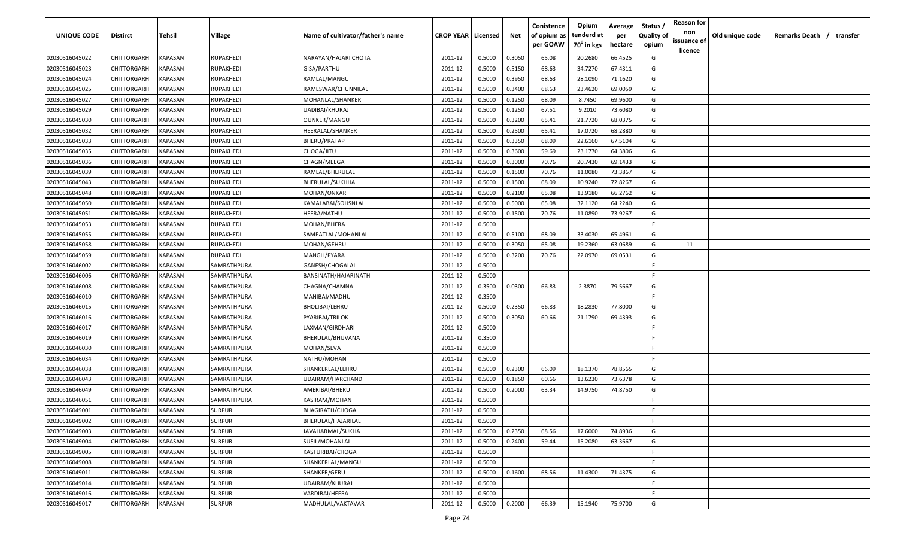| <b>UNIQUE CODE</b> | Distirct           | Tehsil         | Village       | Name of cultivator/father's name | <b>CROP YEAR   Licensed</b> |        | Net    | Conistence<br>of opium as | Opium<br>tenderd at    | Average<br>per | Status /<br><b>Quality of</b> | <b>Reason for</b><br>non      | Old unique code | Remarks Death / transfer |
|--------------------|--------------------|----------------|---------------|----------------------------------|-----------------------------|--------|--------|---------------------------|------------------------|----------------|-------------------------------|-------------------------------|-----------------|--------------------------|
|                    |                    |                |               |                                  |                             |        |        | per GOAW                  | 70 <sup>0</sup> in kgs | hectare        | opium                         | issuance of<br><u>licence</u> |                 |                          |
| 02030516045022     | CHITTORGARH        | <b>KAPASAN</b> | RUPAKHEDI     | NARAYAN/HAJARI CHOTA             | 2011-12                     | 0.5000 | 0.3050 | 65.08                     | 20.2680                | 66.4525        | G                             |                               |                 |                          |
| 02030516045023     | CHITTORGARH        | KAPASAN        | RUPAKHEDI     | GISA/PARTHU                      | 2011-12                     | 0.5000 | 0.5150 | 68.63                     | 34.7270                | 67.4311        | G                             |                               |                 |                          |
| 02030516045024     | CHITTORGARH        | KAPASAN        | RUPAKHEDI     | RAMLAL/MANGU                     | 2011-12                     | 0.5000 | 0.3950 | 68.63                     | 28.1090                | 71.1620        | G                             |                               |                 |                          |
| 02030516045025     | CHITTORGARH        | KAPASAN        | RUPAKHEDI     | RAMESWAR/CHUNNILAL               | 2011-12                     | 0.5000 | 0.3400 | 68.63                     | 23.4620                | 69.0059        | G                             |                               |                 |                          |
| 02030516045027     | CHITTORGARH        | KAPASAN        | RUPAKHEDI     | MOHANLAL/SHANKER                 | 2011-12                     | 0.5000 | 0.1250 | 68.09                     | 8.7450                 | 69.9600        | G                             |                               |                 |                          |
| 02030516045029     | CHITTORGARH        | KAPASAN        | RUPAKHEDI     | UADIBAI/KHURAJ                   | 2011-12                     | 0.5000 | 0.1250 | 67.51                     | 9.2010                 | 73.6080        | G                             |                               |                 |                          |
| 02030516045030     | CHITTORGARH        | KAPASAN        | RUPAKHEDI     | <b>OUNKER/MANGU</b>              | 2011-12                     | 0.5000 | 0.3200 | 65.41                     | 21.7720                | 68.0375        | G                             |                               |                 |                          |
| 02030516045032     | CHITTORGARH        | KAPASAN        | RUPAKHEDI     | HEERALAL/SHANKER                 | 2011-12                     | 0.5000 | 0.2500 | 65.41                     | 17.0720                | 68.2880        | G                             |                               |                 |                          |
| 02030516045033     | CHITTORGARH        | KAPASAN        | RUPAKHEDI     | BHERU/PRATAP                     | 2011-12                     | 0.5000 | 0.3350 | 68.09                     | 22.6160                | 67.5104        | G                             |                               |                 |                          |
| 02030516045035     | CHITTORGARH        | KAPASAN        | RUPAKHEDI     | CHOGA/JITU                       | 2011-12                     | 0.5000 | 0.3600 | 59.69                     | 23.1770                | 64.3806        | G                             |                               |                 |                          |
| 02030516045036     | CHITTORGARH        | KAPASAN        | RUPAKHEDI     | CHAGN/MEEGA                      | 2011-12                     | 0.5000 | 0.3000 | 70.76                     | 20.7430                | 69.1433        | G                             |                               |                 |                          |
| 02030516045039     | CHITTORGARH        | KAPASAN        | RUPAKHEDI     | RAMLAL/BHERULAL                  | 2011-12                     | 0.5000 | 0.1500 | 70.76                     | 11.0080                | 73.3867        | G                             |                               |                 |                          |
| 02030516045043     | CHITTORGARH        | KAPASAN        | RUPAKHEDI     | BHERULAL/SUKHHA                  | 2011-12                     | 0.5000 | 0.1500 | 68.09                     | 10.9240                | 72.8267        | G                             |                               |                 |                          |
| 02030516045048     | CHITTORGARH        | KAPASAN        | RUPAKHEDI     | MOHAN/ONKAR                      | 2011-12                     | 0.5000 | 0.2100 | 65.08                     | 13.9180                | 66.2762        | G                             |                               |                 |                          |
| 02030516045050     | CHITTORGARH        | KAPASAN        | RUPAKHEDI     | KAMALABAI/SOHSNLAL               | 2011-12                     | 0.5000 | 0.5000 | 65.08                     | 32.1120                | 64.2240        | G                             |                               |                 |                          |
| 02030516045051     | CHITTORGARH        | KAPASAN        | RUPAKHEDI     | HEERA/NATHU                      | 2011-12                     | 0.5000 | 0.1500 | 70.76                     | 11.0890                | 73.9267        | G                             |                               |                 |                          |
| 02030516045053     | CHITTORGARH        | KAPASAN        | RUPAKHEDI     | MOHAN/BHERA                      | 2011-12                     | 0.5000 |        |                           |                        |                | -F.                           |                               |                 |                          |
| 02030516045055     | CHITTORGARH        | KAPASAN        | RUPAKHEDI     | SAMPATLAL/MOHANLAL               | 2011-12                     | 0.5000 | 0.5100 | 68.09                     | 33.4030                | 65.4961        | G                             |                               |                 |                          |
| 02030516045058     | CHITTORGARH        | KAPASAN        | RUPAKHEDI     | MOHAN/GEHRU                      | 2011-12                     | 0.5000 | 0.3050 | 65.08                     | 19.2360                | 63.0689        | G                             | 11                            |                 |                          |
| 02030516045059     | CHITTORGARH        | KAPASAN        | RUPAKHEDI     | MANGLI/PYARA                     | 2011-12                     | 0.5000 | 0.3200 | 70.76                     | 22.0970                | 69.0531        | G                             |                               |                 |                          |
| 02030516046002     | CHITTORGARH        | KAPASAN        | SAMRATHPURA   | GANESH/CHOGALAL                  | 2011-12                     | 0.5000 |        |                           |                        |                | -F.                           |                               |                 |                          |
| 02030516046006     | CHITTORGARH        | KAPASAN        | SAMRATHPURA   | BANSINATH/HAJARINATH             | 2011-12                     | 0.5000 |        |                           |                        |                | -F.                           |                               |                 |                          |
| 02030516046008     | CHITTORGARH        | KAPASAN        | SAMRATHPURA   | CHAGNA/CHAMNA                    | 2011-12                     | 0.3500 | 0.0300 | 66.83                     | 2.3870                 | 79.5667        | G                             |                               |                 |                          |
| 02030516046010     | CHITTORGARH        | KAPASAN        | SAMRATHPURA   | MANIBAI/MADHU                    | 2011-12                     | 0.3500 |        |                           |                        |                | -F.                           |                               |                 |                          |
| 02030516046015     | CHITTORGARH        | KAPASAN        | SAMRATHPURA   | BHOLIBAI/LEHRU                   | 2011-12                     | 0.5000 | 0.2350 | 66.83                     | 18.2830                | 77.8000        | G                             |                               |                 |                          |
| 02030516046016     | CHITTORGARH        | KAPASAN        | SAMRATHPURA   | PYARIBAI/TRILOK                  | 2011-12                     | 0.5000 | 0.3050 | 60.66                     | 21.1790                | 69.4393        | G                             |                               |                 |                          |
| 02030516046017     | CHITTORGARH        | KAPASAN        | SAMRATHPURA   | LAXMAN/GIRDHARI                  | 2011-12                     | 0.5000 |        |                           |                        |                | -F.                           |                               |                 |                          |
| 02030516046019     | CHITTORGARH        | KAPASAN        | SAMRATHPURA   | BHERULAL/BHUVANA                 | 2011-12                     | 0.3500 |        |                           |                        |                | -F.                           |                               |                 |                          |
| 02030516046030     | CHITTORGARH        | KAPASAN        | SAMRATHPURA   | MOHAN/SEVA                       | 2011-12                     | 0.5000 |        |                           |                        |                | -F.                           |                               |                 |                          |
| 02030516046034     | CHITTORGARH        | KAPASAN        | SAMRATHPURA   | NATHU/MOHAN                      | 2011-12                     | 0.5000 |        |                           |                        |                | -F.                           |                               |                 |                          |
| 02030516046038     | CHITTORGARH        | KAPASAN        | SAMRATHPURA   | SHANKERLAL/LEHRU                 | 2011-12                     | 0.5000 | 0.2300 | 66.09                     | 18.1370                | 78.8565        | G                             |                               |                 |                          |
| 02030516046043     | CHITTORGARH        | KAPASAN        | SAMRATHPURA   | UDAIRAM/HARCHAND                 | 2011-12                     | 0.5000 | 0.1850 | 60.66                     | 13.6230                | 73.6378        | G                             |                               |                 |                          |
| 02030516046049     | CHITTORGARH        | KAPASAN        | SAMRATHPURA   | AMERIBAI/BHERU                   | 2011-12                     | 0.5000 | 0.2000 | 63.34                     | 14.9750                | 74.8750        | G                             |                               |                 |                          |
| 02030516046051     | CHITTORGARH        | KAPASAN        | SAMRATHPURA   | KASIRAM/MOHAN                    | 2011-12                     | 0.5000 |        |                           |                        |                | -F.                           |                               |                 |                          |
| 02030516049001     | <b>CHITTORGARH</b> | KAPASAN        | <b>SURPUR</b> | <b>BHAGIRATH/CHOGA</b>           | 2011-12                     | 0.5000 |        |                           |                        |                | E                             |                               |                 |                          |
| 02030516049002     | <b>CHITTORGARH</b> | KAPASAN        | <b>SURPUR</b> | BHERULAL/HAJARILAL               | 2011-12                     | 0.5000 |        |                           |                        |                | F.                            |                               |                 |                          |
| 02030516049003     | CHITTORGARH        | <b>KAPASAN</b> | <b>SURPUR</b> | JAVAHARMAL/SUKHA                 | 2011-12                     | 0.5000 | 0.2350 | 68.56                     | 17.6000                | 74.8936        | G                             |                               |                 |                          |
| 02030516049004     | CHITTORGARH        | <b>KAPASAN</b> | <b>SURPUR</b> | SUSIL/MOHANLAL                   | 2011-12                     | 0.5000 | 0.2400 | 59.44                     | 15.2080                | 63.3667        | G                             |                               |                 |                          |
| 02030516049005     | <b>CHITTORGARH</b> | <b>KAPASAN</b> | <b>SURPUR</b> | KASTURIBAI/CHOGA                 | 2011-12                     | 0.5000 |        |                           |                        |                | F.                            |                               |                 |                          |
| 02030516049008     | <b>CHITTORGARH</b> | KAPASAN        | <b>SURPUR</b> | SHANKERLAL/MANGU                 | 2011-12                     | 0.5000 |        |                           |                        |                | F.                            |                               |                 |                          |
| 02030516049011     | CHITTORGARH        | KAPASAN        | <b>SURPUR</b> | SHANKER/GERU                     | 2011-12                     | 0.5000 | 0.1600 | 68.56                     | 11.4300                | 71.4375        | G                             |                               |                 |                          |
| 02030516049014     | CHITTORGARH        | KAPASAN        | <b>SURPUR</b> | UDAIRAM/KHURAJ                   | 2011-12                     | 0.5000 |        |                           |                        |                | F.                            |                               |                 |                          |
| 02030516049016     | CHITTORGARH        | KAPASAN        | <b>SURPUR</b> | VARDIBAI/HEERA                   | 2011-12                     | 0.5000 |        |                           |                        |                | -F.                           |                               |                 |                          |
| 02030516049017     | CHITTORGARH        | KAPASAN        | <b>SURPUR</b> | MADHULAL/VAKTAVAR                | 2011-12                     | 0.5000 | 0.2000 | 66.39                     | 15.1940                | 75.9700        | G                             |                               |                 |                          |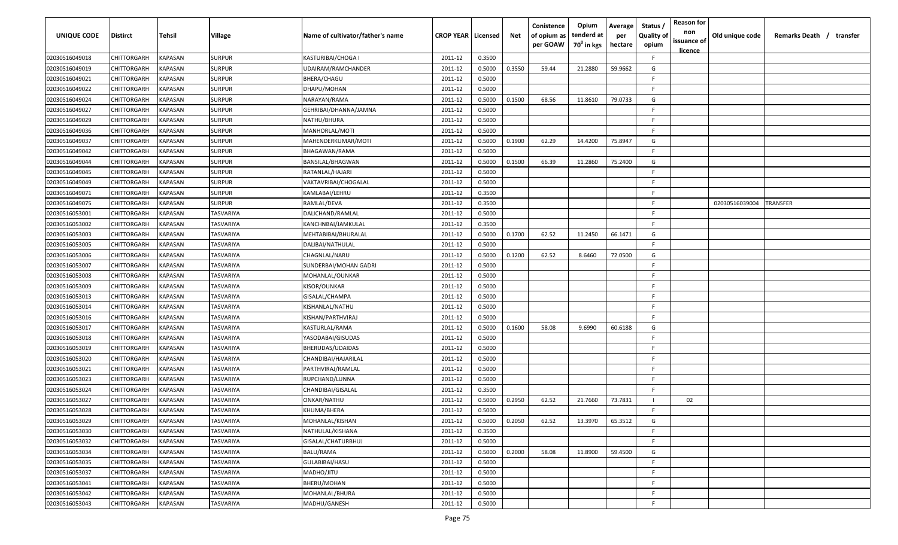| UNIQUE CODE    | <b>Distirct</b> | Tehsil         | Village          | Name of cultivator/father's name | <b>CROP YEAR   Licensed</b> |        | Net    | Conistence<br>of opium as<br>per GOAW | Opium<br>tenderd at<br>70 <sup>0</sup> in kgs | Average<br>per<br>hectare | Status<br><b>Quality of</b><br>opium | <b>Reason for</b><br>non<br>issuance of<br><u>licence</u> | Old unique code | Remarks Death / transfer |
|----------------|-----------------|----------------|------------------|----------------------------------|-----------------------------|--------|--------|---------------------------------------|-----------------------------------------------|---------------------------|--------------------------------------|-----------------------------------------------------------|-----------------|--------------------------|
| 02030516049018 | CHITTORGARH     | KAPASAN        | <b>SURPUR</b>    | KASTURIBAI/CHOGA I               | 2011-12                     | 0.3500 |        |                                       |                                               |                           | -F.                                  |                                                           |                 |                          |
| 02030516049019 | CHITTORGARH     | KAPASAN        | <b>SURPUR</b>    | UDAIRAM/RAMCHANDER               | 2011-12                     | 0.5000 | 0.3550 | 59.44                                 | 21.2880                                       | 59.9662                   | G                                    |                                                           |                 |                          |
| 02030516049021 | CHITTORGARH     | KAPASAN        | <b>SURPUR</b>    | BHERA/CHAGU                      | 2011-12                     | 0.5000 |        |                                       |                                               |                           | -F                                   |                                                           |                 |                          |
| 02030516049022 | CHITTORGARH     | KAPASAN        | <b>SURPUR</b>    | DHAPU/MOHAN                      | 2011-12                     | 0.5000 |        |                                       |                                               |                           | F.                                   |                                                           |                 |                          |
| 02030516049024 | CHITTORGARH     | KAPASAN        | <b>SURPUR</b>    | NARAYAN/RAMA                     | 2011-12                     | 0.5000 | 0.1500 | 68.56                                 | 11.8610                                       | 79.0733                   | G                                    |                                                           |                 |                          |
| 02030516049027 | CHITTORGARH     | KAPASAN        | <b>SURPUR</b>    | GEHRIBAI/DHANNA/JAMNA            | 2011-12                     | 0.5000 |        |                                       |                                               |                           | F                                    |                                                           |                 |                          |
| 02030516049029 | CHITTORGARH     | KAPASAN        | <b>SURPUR</b>    | NATHU/BHURA                      | 2011-12                     | 0.5000 |        |                                       |                                               |                           | F.                                   |                                                           |                 |                          |
| 02030516049036 | CHITTORGARH     | KAPASAN        | <b>SURPUR</b>    | MANHORLAL/MOTI                   | 2011-12                     | 0.5000 |        |                                       |                                               |                           | E.                                   |                                                           |                 |                          |
| 02030516049037 | CHITTORGARH     | KAPASAN        | <b>SURPUR</b>    | MAHENDERKUMAR/MOTI               | 2011-12                     | 0.5000 | 0.1900 | 62.29                                 | 14.4200                                       | 75.8947                   | G                                    |                                                           |                 |                          |
| 02030516049042 | CHITTORGARH     | KAPASAN        | <b>SURPUR</b>    | BHAGAWAN/RAMA                    | 2011-12                     | 0.5000 |        |                                       |                                               |                           | F.                                   |                                                           |                 |                          |
| 02030516049044 | CHITTORGARH     | KAPASAN        | <b>SURPUR</b>    | BANSILAL/BHAGWAN                 | 2011-12                     | 0.5000 | 0.1500 | 66.39                                 | 11.2860                                       | 75.2400                   | G                                    |                                                           |                 |                          |
| 02030516049045 | CHITTORGARH     | KAPASAN        | <b>SURPUR</b>    | RATANLAL/HAJARI                  | 2011-12                     | 0.5000 |        |                                       |                                               |                           | F.                                   |                                                           |                 |                          |
| 02030516049049 | CHITTORGARH     | KAPASAN        | <b>SURPUR</b>    | VAKTAVRIBAI/CHOGALAL             | 2011-12                     | 0.5000 |        |                                       |                                               |                           | F.                                   |                                                           |                 |                          |
| 02030516049071 | CHITTORGARH     | KAPASAN        | <b>SURPUR</b>    | KAMLABAI/LEHRU                   | 2011-12                     | 0.3500 |        |                                       |                                               |                           | F                                    |                                                           |                 |                          |
| 02030516049075 | CHITTORGARH     | KAPASAN        | <b>SURPUR</b>    | RAMLAL/DEVA                      | 2011-12                     | 0.3500 |        |                                       |                                               |                           | -F                                   |                                                           | 02030516039004  | TRANSFER                 |
| 02030516053001 | CHITTORGARH     | KAPASAN        | <b>TASVARIYA</b> | DALICHAND/RAMLAL                 | 2011-12                     | 0.5000 |        |                                       |                                               |                           | F                                    |                                                           |                 |                          |
| 02030516053002 | CHITTORGARH     | KAPASAN        | TASVARIYA        | KANCHNBAI/JAMKULAL               | 2011-12                     | 0.3500 |        |                                       |                                               |                           | E.                                   |                                                           |                 |                          |
| 02030516053003 | CHITTORGARH     | KAPASAN        | TASVARIYA        | MEHTABIBAI/BHURALAL              | 2011-12                     | 0.5000 | 0.1700 | 62.52                                 | 11.2450                                       | 66.1471                   | G                                    |                                                           |                 |                          |
| 02030516053005 | CHITTORGARH     | KAPASAN        | TASVARIYA        | DALIBAI/NATHULAL                 | 2011-12                     | 0.5000 |        |                                       |                                               |                           | F.                                   |                                                           |                 |                          |
| 02030516053006 | CHITTORGARH     | KAPASAN        | TASVARIYA        | CHAGNLAL/NARU                    | 2011-12                     | 0.5000 | 0.1200 | 62.52                                 | 8.6460                                        | 72.0500                   | G                                    |                                                           |                 |                          |
| 02030516053007 | CHITTORGARH     | KAPASAN        | TASVARIYA        | SUNDERBAI/MOHAN GADRI            | 2011-12                     | 0.5000 |        |                                       |                                               |                           | E                                    |                                                           |                 |                          |
| 02030516053008 | CHITTORGARH     | KAPASAN        | TASVARIYA        | MOHANLAL/OUNKAR                  | 2011-12                     | 0.5000 |        |                                       |                                               |                           | F                                    |                                                           |                 |                          |
| 02030516053009 | CHITTORGARH     | KAPASAN        | TASVARIYA        | KISOR/OUNKAR                     | 2011-12                     | 0.5000 |        |                                       |                                               |                           | F                                    |                                                           |                 |                          |
| 02030516053013 | CHITTORGARH     | KAPASAN        | TASVARIYA        | GISALAL/CHAMPA                   | 2011-12                     | 0.5000 |        |                                       |                                               |                           | F                                    |                                                           |                 |                          |
| 02030516053014 | CHITTORGARH     | KAPASAN        | TASVARIYA        | KISHANLAL/NATHU                  | 2011-12                     | 0.5000 |        |                                       |                                               |                           | F.                                   |                                                           |                 |                          |
| 02030516053016 | CHITTORGARH     | KAPASAN        | TASVARIYA        | KISHAN/PARTHVIRAJ                | 2011-12                     | 0.5000 |        |                                       |                                               |                           | -F.                                  |                                                           |                 |                          |
| 02030516053017 | CHITTORGARH     | KAPASAN        | TASVARIYA        | KASTURLAL/RAMA                   | 2011-12                     | 0.5000 | 0.1600 | 58.08                                 | 9.6990                                        | 60.6188                   | G                                    |                                                           |                 |                          |
| 02030516053018 | CHITTORGARH     | KAPASAN        | TASVARIYA        | YASODABAI/GISUDAS                | 2011-12                     | 0.5000 |        |                                       |                                               |                           | -F.                                  |                                                           |                 |                          |
| 02030516053019 | CHITTORGARH     | KAPASAN        | TASVARIYA        | BHERUDAS/UDAIDAS                 | 2011-12                     | 0.5000 |        |                                       |                                               |                           | -F                                   |                                                           |                 |                          |
| 02030516053020 | CHITTORGARH     | KAPASAN        | TASVARIYA        | CHANDIBAI/HAJARILAL              | 2011-12                     | 0.5000 |        |                                       |                                               |                           | - F                                  |                                                           |                 |                          |
| 02030516053021 | CHITTORGARH     | KAPASAN        | TASVARIYA        | PARTHVIRAJ/RAMLAL                | 2011-12                     | 0.5000 |        |                                       |                                               |                           | E                                    |                                                           |                 |                          |
| 02030516053023 | CHITTORGARH     | KAPASAN        | <b>TASVARIYA</b> | RUPCHAND/LUNNA                   | 2011-12                     | 0.5000 |        |                                       |                                               |                           | -F                                   |                                                           |                 |                          |
| 02030516053024 | CHITTORGARH     | KAPASAN        | TASVARIYA        | CHANDIBAI/GISALAL                | 2011-12                     | 0.3500 |        |                                       |                                               |                           | F.                                   |                                                           |                 |                          |
| 02030516053027 | CHITTORGARH     | KAPASAN        | TASVARIYA        | ONKAR/NATHU                      | 2011-12                     | 0.5000 | 0.2950 | 62.52                                 | 21.7660                                       | 73.7831                   |                                      | 02                                                        |                 |                          |
| 02030516053028 | CHITTORGARH     | KAPASAN        | TASVARIYA        | KHUMA/BHERA                      | 2011-12                     | 0.5000 |        |                                       |                                               |                           | E                                    |                                                           |                 |                          |
| 02030516053029 | CHITTORGARH     | <b>KAPASAN</b> | <b>TASVARIYA</b> | MOHANLAL/KISHAN                  | 2011-12                     | 0.5000 | 0.2050 | 62.52                                 | 13.3970                                       | 65.3512                   | G                                    |                                                           |                 |                          |
| 02030516053030 | CHITTORGARH     | <b>KAPASAN</b> | <b>TASVARIYA</b> | NATHULAL/KISHANA                 | 2011-12                     | 0.3500 |        |                                       |                                               |                           | F.                                   |                                                           |                 |                          |
| 02030516053032 | CHITTORGARH     | <b>KAPASAN</b> | <b>TASVARIYA</b> | GISALAL/CHATURBHUJ               | 2011-12                     | 0.5000 |        |                                       |                                               |                           | -F                                   |                                                           |                 |                          |
| 02030516053034 | CHITTORGARH     | KAPASAN        | <b>TASVARIYA</b> | BALU/RAMA                        | 2011-12                     | 0.5000 | 0.2000 | 58.08                                 | 11.8900                                       | 59.4500                   | G                                    |                                                           |                 |                          |
| 02030516053035 | CHITTORGARH     | KAPASAN        | TASVARIYA        | GULABIBAI/HASU                   | 2011-12                     | 0.5000 |        |                                       |                                               |                           | -F                                   |                                                           |                 |                          |
| 02030516053037 | CHITTORGARH     | KAPASAN        | <b>TASVARIYA</b> | MADHO/JITU                       | 2011-12                     | 0.5000 |        |                                       |                                               |                           | F.                                   |                                                           |                 |                          |
| 02030516053041 | CHITTORGARH     | KAPASAN        | <b>TASVARIYA</b> | BHERU/MOHAN                      | 2011-12                     | 0.5000 |        |                                       |                                               |                           | -F.                                  |                                                           |                 |                          |
| 02030516053042 | CHITTORGARH     | KAPASAN        | <b>TASVARIYA</b> | MOHANLAL/BHURA                   | 2011-12                     | 0.5000 |        |                                       |                                               |                           | -F.                                  |                                                           |                 |                          |
| 02030516053043 | CHITTORGARH     | KAPASAN        | TASVARIYA        | MADHU/GANESH                     | 2011-12                     | 0.5000 |        |                                       |                                               |                           | F.                                   |                                                           |                 |                          |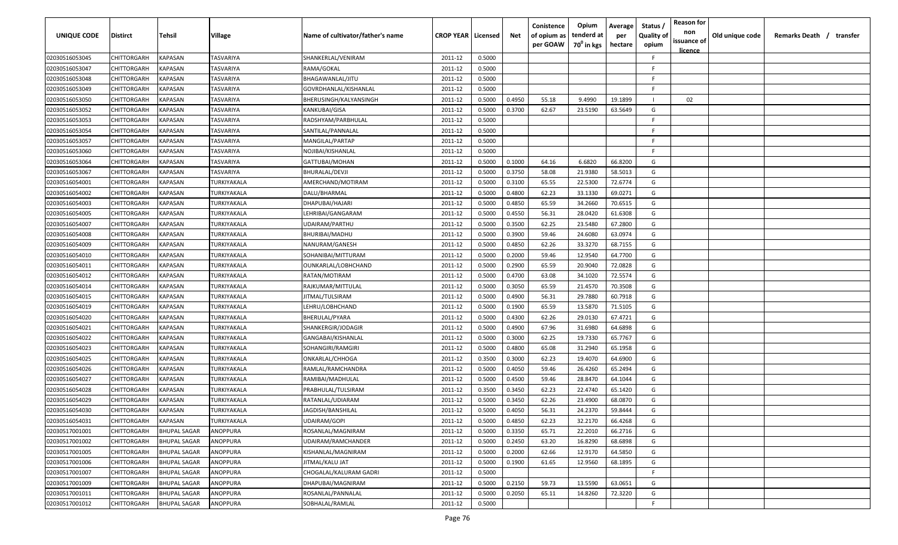| <b>UNIQUE CODE</b> | <b>Distirct</b>    | <b>Tehsil</b>       | <b>Village</b> | Name of cultivator/father's name | <b>CROP YEAR</b> | Licensed | Net    | Conistence<br>of opium as<br>per GOAW | Opium<br>tenderd at<br>70 <sup>0</sup> in kgs | Average<br>per<br>hectare | Status /<br><b>Quality of</b><br>opium | <b>Reason for</b><br>non<br>issuance of<br>licence | Old unique code | Remarks Death /<br>transfer |
|--------------------|--------------------|---------------------|----------------|----------------------------------|------------------|----------|--------|---------------------------------------|-----------------------------------------------|---------------------------|----------------------------------------|----------------------------------------------------|-----------------|-----------------------------|
| 02030516053045     | CHITTORGARH        | KAPASAN             | TASVARIYA      | SHANKERLAL/VENIRAM               | 2011-12          | 0.5000   |        |                                       |                                               |                           | -F.                                    |                                                    |                 |                             |
| 02030516053047     | CHITTORGARH        | KAPASAN             | TASVARIYA      | RAMA/GOKAL                       | 2011-12          | 0.5000   |        |                                       |                                               |                           | F.                                     |                                                    |                 |                             |
| 02030516053048     | CHITTORGARH        | KAPASAN             | TASVARIYA      | BHAGAWANLAL/JITU                 | 2011-12          | 0.5000   |        |                                       |                                               |                           | -F.                                    |                                                    |                 |                             |
| 02030516053049     | CHITTORGARH        | KAPASAN             | TASVARIYA      | GOVRDHANLAL/KISHANLAL            | 2011-12          | 0.5000   |        |                                       |                                               |                           | -F.                                    |                                                    |                 |                             |
| 02030516053050     | CHITTORGARH        | KAPASAN             | TASVARIYA      | BHERUSINGH/KALYANSINGH           | 2011-12          | 0.5000   | 0.4950 | 55.18                                 | 9.4990                                        | 19.1899                   |                                        | 02                                                 |                 |                             |
| 02030516053052     | CHITTORGARH        | KAPASAN             | TASVARIYA      | KANKUBAI/GISA                    | 2011-12          | 0.5000   | 0.3700 | 62.67                                 | 23.5190                                       | 63.5649                   | G                                      |                                                    |                 |                             |
| 02030516053053     | CHITTORGARH        | KAPASAN             | TASVARIYA      | RADSHYAM/PARBHULAL               | 2011-12          | 0.5000   |        |                                       |                                               |                           | -F                                     |                                                    |                 |                             |
| 02030516053054     | CHITTORGARH        | KAPASAN             | TASVARIYA      | SANTILAL/PANNALAL                | 2011-12          | 0.5000   |        |                                       |                                               |                           | -F.                                    |                                                    |                 |                             |
| 02030516053057     | CHITTORGARH        | KAPASAN             | TASVARIYA      | MANGILAL/PARTAP                  | 2011-12          | 0.5000   |        |                                       |                                               |                           | -F.                                    |                                                    |                 |                             |
| 02030516053060     | CHITTORGARH        | KAPASAN             | TASVARIYA      | NOJIBAI/KISHANLAL                | 2011-12          | 0.5000   |        |                                       |                                               |                           | -F.                                    |                                                    |                 |                             |
| 02030516053064     | CHITTORGARH        | KAPASAN             | TASVARIYA      | GATTUBAI/MOHAN                   | 2011-12          | 0.5000   | 0.1000 | 64.16                                 | 6.6820                                        | 66.8200                   | G                                      |                                                    |                 |                             |
| 02030516053067     | CHITTORGARH        | KAPASAN             | TASVARIYA      | BHURALAL/DEVJI                   | 2011-12          | 0.5000   | 0.3750 | 58.08                                 | 21.9380                                       | 58.5013                   | G                                      |                                                    |                 |                             |
| 02030516054001     | CHITTORGARH        | KAPASAN             | TURKIYAKALA    | AMERCHAND/MOTIRAM                | 2011-12          | 0.5000   | 0.3100 | 65.55                                 | 22.5300                                       | 72.6774                   | G                                      |                                                    |                 |                             |
| 02030516054002     | CHITTORGARH        | KAPASAN             | TURKIYAKALA    | DALU/BHARMAL                     | 2011-12          | 0.5000   | 0.4800 | 62.23                                 | 33.1330                                       | 69.0271                   | G                                      |                                                    |                 |                             |
| 02030516054003     | CHITTORGARH        | KAPASAN             | TURKIYAKALA    | DHAPUBAI/HAJARI                  | 2011-12          | 0.5000   | 0.4850 | 65.59                                 | 34.2660                                       | 70.6515                   | G                                      |                                                    |                 |                             |
| 02030516054005     | CHITTORGARH        | KAPASAN             | TURKIYAKALA    | LEHRIBAI/GANGARAM                | 2011-12          | 0.5000   | 0.4550 | 56.31                                 | 28.0420                                       | 61.6308                   | G                                      |                                                    |                 |                             |
| 02030516054007     | CHITTORGARH        | KAPASAN             | TURKIYAKALA    | UDAIRAM/PARTHU                   | 2011-12          | 0.5000   | 0.3500 | 62.25                                 | 23.5480                                       | 67.2800                   | G                                      |                                                    |                 |                             |
| 02030516054008     | CHITTORGARH        | KAPASAN             | TURKIYAKALA    | <b>BHURIBAI/MADHU</b>            | 2011-12          | 0.5000   | 0.3900 | 59.46                                 | 24.6080                                       | 63.0974                   | G                                      |                                                    |                 |                             |
| 02030516054009     | CHITTORGARH        | KAPASAN             | TURKIYAKALA    | NANURAM/GANESH                   | 2011-12          | 0.5000   | 0.4850 | 62.26                                 | 33.3270                                       | 68.7155                   | G                                      |                                                    |                 |                             |
| 02030516054010     | CHITTORGARH        | KAPASAN             | TURKIYAKALA    | SOHANIBAI/MITTURAM               | 2011-12          | 0.5000   | 0.2000 | 59.46                                 | 12.9540                                       | 64.7700                   | G                                      |                                                    |                 |                             |
| 02030516054011     | CHITTORGARH        | KAPASAN             | TURKIYAKALA    | OUNKARLAL/LOBHCHAND              | 2011-12          | 0.5000   | 0.2900 | 65.59                                 | 20.9040                                       | 72.0828                   | G                                      |                                                    |                 |                             |
| 02030516054012     | CHITTORGARH        | KAPASAN             | TURKIYAKALA    | RATAN/MOTIRAM                    | 2011-12          | 0.5000   | 0.4700 | 63.08                                 | 34.1020                                       | 72.5574                   | G                                      |                                                    |                 |                             |
| 02030516054014     | CHITTORGARH        | KAPASAN             | TURKIYAKALA    | RAJKUMAR/MITTULAL                | 2011-12          | 0.5000   | 0.3050 | 65.59                                 | 21.4570                                       | 70.3508                   | G                                      |                                                    |                 |                             |
| 02030516054015     | CHITTORGARH        | KAPASAN             | TURKIYAKALA    | JITMAL/TULSIRAM                  | 2011-12          | 0.5000   | 0.4900 | 56.31                                 | 29.7880                                       | 60.7918                   | G                                      |                                                    |                 |                             |
| 02030516054019     | CHITTORGARH        | KAPASAN             | TURKIYAKALA    | LEHRU/LOBHCHAND                  | 2011-12          | 0.5000   | 0.1900 | 65.59                                 | 13.5870                                       | 71.5105                   | G                                      |                                                    |                 |                             |
| 02030516054020     | CHITTORGARH        | KAPASAN             | TURKIYAKALA    | BHERULAL/PYARA                   | 2011-12          | 0.5000   | 0.4300 | 62.26                                 | 29.0130                                       | 67.4721                   | G                                      |                                                    |                 |                             |
| 02030516054021     | CHITTORGARH        | KAPASAN             | TURKIYAKALA    | SHANKERGIR/JODAGIR               | 2011-12          | 0.5000   | 0.4900 | 67.96                                 | 31.6980                                       | 64.6898                   | G                                      |                                                    |                 |                             |
| 02030516054022     | CHITTORGARH        | KAPASAN             | TURKIYAKALA    | GANGABAI/KISHANLAL               | 2011-12          | 0.5000   | 0.3000 | 62.25                                 | 19.7330                                       | 65.7767                   | G                                      |                                                    |                 |                             |
| 02030516054023     | CHITTORGARH        | KAPASAN             | TURKIYAKALA    | SOHANGIRI/RAMGIRI                | 2011-12          | 0.5000   | 0.4800 | 65.08                                 | 31.2940                                       | 65.1958                   | G                                      |                                                    |                 |                             |
| 02030516054025     | CHITTORGARH        | KAPASAN             | TURKIYAKALA    | ONKARLAL/CHHOGA                  | 2011-12          | 0.3500   | 0.3000 | 62.23                                 | 19.4070                                       | 64.6900                   | G                                      |                                                    |                 |                             |
| 02030516054026     | CHITTORGARH        | KAPASAN             | TURKIYAKALA    | RAMLAL/RAMCHANDRA                | 2011-12          | 0.5000   | 0.4050 | 59.46                                 | 26.4260                                       | 65.2494                   | G                                      |                                                    |                 |                             |
| 02030516054027     | CHITTORGARH        | KAPASAN             | TURKIYAKALA    | RAMIBAI/MADHULAL                 | 2011-12          | 0.5000   | 0.4500 | 59.46                                 | 28.8470                                       | 64.1044                   | G                                      |                                                    |                 |                             |
| 02030516054028     | CHITTORGARH        | KAPASAN             | TURKIYAKALA    | PRABHULAL/TULSIRAM               | 2011-12          | 0.3500   | 0.3450 | 62.23                                 | 22.4740                                       | 65.1420                   | G                                      |                                                    |                 |                             |
| 02030516054029     | CHITTORGARH        | KAPASAN             | TURKIYAKALA    | RATANLAL/UDIARAM                 | 2011-12          | 0.5000   | 0.3450 | 62.26                                 | 23.4900                                       | 68.0870                   | G                                      |                                                    |                 |                             |
| 02030516054030     | CHITTORGARH        | KAPASAN             | TURKIYAKALA    | JAGDISH/BANSHILAL                | 2011-12          | 0.5000   | 0.4050 | 56.31                                 | 24.2370                                       | 59.8444                   | G                                      |                                                    |                 |                             |
| 02030516054031     | <b>CHITTORGARH</b> | <b>KAPASAN</b>      | TURKIYAKALA    | UDAIRAM/GOPI                     | 2011-12          | 0.5000   | 0.4850 | 62.23                                 | 32.2170                                       | 66.4268                   | G                                      |                                                    |                 |                             |
| 02030517001001     | <b>CHITTORGARH</b> | <b>BHUPAL SAGAR</b> | ANOPPURA       | ROSANLAL/MAGNIRAM                | 2011-12          | 0.5000   | 0.3350 | 65.71                                 | 22.2010                                       | 66.2716                   | G                                      |                                                    |                 |                             |
| 02030517001002     | CHITTORGARH        | <b>BHUPAL SAGAR</b> | ANOPPURA       | UDAIRAM/RAMCHANDER               | 2011-12          | 0.5000   | 0.2450 | 63.20                                 | 16.8290                                       | 68.6898                   | G                                      |                                                    |                 |                             |
| 02030517001005     | CHITTORGARH        | <b>BHUPAL SAGAR</b> | ANOPPURA       | KISHANLAL/MAGNIRAM               | 2011-12          | 0.5000   | 0.2000 | 62.66                                 | 12.9170                                       | 64.5850                   | G                                      |                                                    |                 |                             |
| 02030517001006     | CHITTORGARH        | <b>BHUPAL SAGAR</b> | ANOPPURA       | JITMAL/KALU JAT                  | 2011-12          | 0.5000   | 0.1900 | 61.65                                 | 12.9560                                       | 68.1895                   | G                                      |                                                    |                 |                             |
| 02030517001007     | CHITTORGARH        | <b>BHUPAL SAGAR</b> | ANOPPURA       | CHOGALAL/KALURAM GADRI           | 2011-12          | 0.5000   |        |                                       |                                               |                           | F.                                     |                                                    |                 |                             |
| 02030517001009     | CHITTORGARH        | <b>BHUPAL SAGAR</b> | ANOPPURA       | DHAPUBAI/MAGNIRAM                | 2011-12          | 0.5000   | 0.2150 | 59.73                                 | 13.5590                                       | 63.0651                   | G                                      |                                                    |                 |                             |
| 02030517001011     | CHITTORGARH        | BHUPAL SAGAR        | ANOPPURA       | ROSANLAL/PANNALAL                | 2011-12          | 0.5000   | 0.2050 | 65.11                                 | 14.8260                                       | 72.3220                   | G                                      |                                                    |                 |                             |
| 02030517001012     | CHITTORGARH        | <b>BHUPAL SAGAR</b> | ANOPPURA       | SOBHALAL/RAMLAL                  | 2011-12          | 0.5000   |        |                                       |                                               |                           | $\mathsf{F}$                           |                                                    |                 |                             |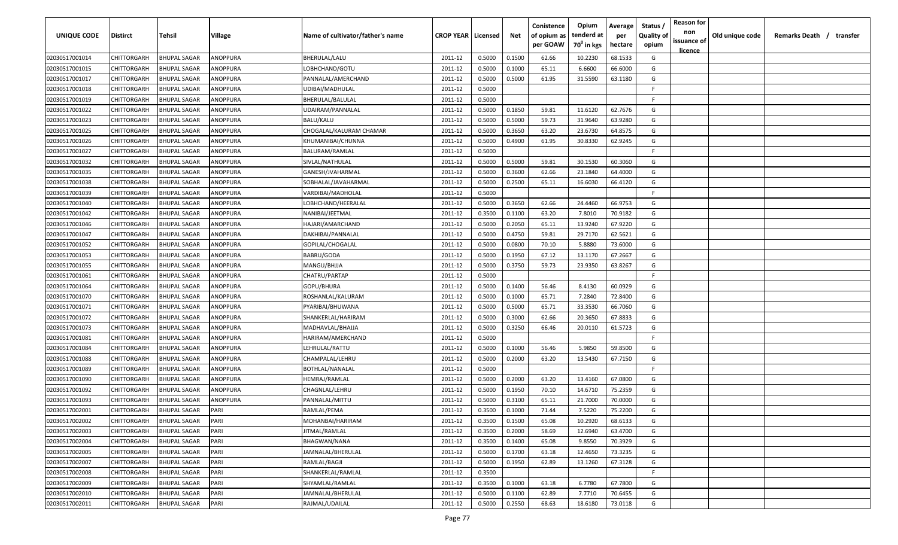| <b>UNIQUE CODE</b>               | Distirct                   | Tehsil                                     | Village              | Name of cultivator/father's name    | <b>CROP YEAR   Licensed</b> |                  | Net    | Conistence<br>of opium as<br>per GOAW | Opium<br>tenderd at<br>70 <sup>0</sup> in kgs | Average<br>per<br>hectare | Status /<br><b>Quality of</b><br>opium | <b>Reason for</b><br>non<br>issuance of | Old unique code | Remarks Death / transfer |
|----------------------------------|----------------------------|--------------------------------------------|----------------------|-------------------------------------|-----------------------------|------------------|--------|---------------------------------------|-----------------------------------------------|---------------------------|----------------------------------------|-----------------------------------------|-----------------|--------------------------|
| 02030517001014                   | CHITTORGARH                | <b>BHUPAL SAGAR</b>                        | ANOPPURA             | BHERULAL/LALU                       |                             | 0.5000           | 0.1500 | 62.66                                 | 10.2230                                       | 68.1533                   | G                                      | <u>licence</u>                          |                 |                          |
| 02030517001015                   | CHITTORGARH                | BHUPAL SAGAR                               | ANOPPURA             | LOBHCHAND/GOTU                      | 2011-12<br>2011-12          | 0.5000           | 0.1000 | 65.11                                 | 6.6600                                        | 66.6000                   | G                                      |                                         |                 |                          |
| 02030517001017                   | CHITTORGARH                | <b>BHUPAL SAGAR</b>                        | ANOPPURA             | PANNALAL/AMERCHAND                  |                             | 0.5000           | 0.5000 | 61.95                                 | 31.5590                                       | 63.1180                   | G                                      |                                         |                 |                          |
|                                  |                            |                                            |                      |                                     | 2011-12                     |                  |        |                                       |                                               |                           | -F.                                    |                                         |                 |                          |
| 02030517001018                   | CHITTORGARH<br>CHITTORGARH | <b>BHUPAL SAGAR</b><br><b>BHUPAL SAGAR</b> | ANOPPURA<br>ANOPPURA | UDIBAI/MADHULAL<br>BHERULAL/BALULAL | 2011-12<br>2011-12          | 0.5000<br>0.5000 |        |                                       |                                               |                           | -F.                                    |                                         |                 |                          |
| 02030517001019<br>02030517001022 | CHITTORGARH                | <b>BHUPAL SAGAR</b>                        | ANOPPURA             | UDAIRAM/PANNALAL                    | 2011-12                     | 0.5000           | 0.1850 | 59.81                                 | 11.6120                                       | 62.7676                   | G                                      |                                         |                 |                          |
| 02030517001023                   | CHITTORGARH                | <b>BHUPAL SAGAR</b>                        | ANOPPURA             | BALU/KALU                           | 2011-12                     | 0.5000           | 0.5000 | 59.73                                 | 31.9640                                       | 63.9280                   | G                                      |                                         |                 |                          |
| 02030517001025                   | CHITTORGARH                | <b>BHUPAL SAGAR</b>                        | ANOPPURA             | CHOGALAL/KALURAM CHAMAR             | 2011-12                     | 0.5000           | 0.3650 | 63.20                                 | 23.6730                                       | 64.8575                   | G                                      |                                         |                 |                          |
| 02030517001026                   | CHITTORGARH                | <b>BHUPAL SAGAR</b>                        | ANOPPURA             | KHUMANIBAI/CHUNNA                   | 2011-12                     | 0.5000           | 0.4900 | 61.95                                 | 30.8330                                       | 62.9245                   | G                                      |                                         |                 |                          |
| 02030517001027                   | CHITTORGARH                | <b>BHUPAL SAGAR</b>                        | ANOPPURA             | BALURAM/RAMLAL                      | 2011-12                     | 0.5000           |        |                                       |                                               |                           | F                                      |                                         |                 |                          |
| 02030517001032                   | CHITTORGARH                | <b>BHUPAL SAGAR</b>                        | ANOPPURA             | SIVLAL/NATHULAL                     | 2011-12                     | 0.5000           | 0.5000 | 59.81                                 | 30.1530                                       | 60.3060                   | G                                      |                                         |                 |                          |
| 02030517001035                   | CHITTORGARH                | <b>BHUPAL SAGAR</b>                        | ANOPPURA             | GANESH/JVAHARMAL                    | 2011-12                     | 0.5000           | 0.3600 | 62.66                                 | 23.1840                                       | 64.4000                   | G                                      |                                         |                 |                          |
|                                  | CHITTORGARH                | <b>BHUPAL SAGAR</b>                        | ANOPPURA             | SOBHALAL/JAVAHARMAL                 | 2011-12                     | 0.5000           | 0.2500 | 65.11                                 | 16.6030                                       | 66.4120                   | G                                      |                                         |                 |                          |
| 02030517001038<br>02030517001039 | CHITTORGARH                | <b>BHUPAL SAGAR</b>                        | ANOPPURA             | VARDIBAI/MADHOLAL                   | 2011-12                     | 0.5000           |        |                                       |                                               |                           | F.                                     |                                         |                 |                          |
| 02030517001040                   | CHITTORGARH                | <b>BHUPAL SAGAR</b>                        | ANOPPURA             | LOBHCHAND/HEERALAL                  | 2011-12                     | 0.5000           | 0.3650 | 62.66                                 | 24.4460                                       | 66.9753                   | G                                      |                                         |                 |                          |
|                                  | CHITTORGARH                | <b>BHUPAL SAGAR</b>                        | ANOPPURA             | NANIBAI/JEETMAL                     | 2011-12                     | 0.3500           | 0.1100 | 63.20                                 | 7.8010                                        | 70.9182                   | G                                      |                                         |                 |                          |
| 02030517001042                   |                            |                                            |                      | HAJARI/AMARCHAND                    |                             |                  | 0.2050 |                                       |                                               | 67.9220                   | G                                      |                                         |                 |                          |
| 02030517001046                   | CHITTORGARH                | <b>BHUPAL SAGAR</b>                        | ANOPPURA             |                                     | 2011-12                     | 0.5000           | 0.4750 | 65.11<br>59.81                        | 13.9240                                       | 62.5621                   | G                                      |                                         |                 |                          |
| 02030517001047                   | CHITTORGARH                | <b>BHUPAL SAGAR</b>                        | ANOPPURA             | DAKHIBAI/PANNALAL                   | 2011-12                     | 0.5000           |        |                                       | 29.7170                                       |                           |                                        |                                         |                 |                          |
| 02030517001052                   | CHITTORGARH                | <b>BHUPAL SAGAR</b>                        | ANOPPURA             | GOPILAL/CHOGALAL                    | 2011-12                     | 0.5000           | 0.0800 | 70.10                                 | 5.8880                                        | 73.6000                   | G                                      |                                         |                 |                          |
| 02030517001053                   | CHITTORGARH                | <b>BHUPAL SAGAR</b>                        | ANOPPURA             | BABRU/GODA                          | 2011-12                     | 0.5000           | 0.1950 | 67.12                                 | 13.1170<br>23.9350                            | 67.2667                   | G                                      |                                         |                 |                          |
| 02030517001055                   | CHITTORGARH                | <b>BHUPAL SAGAR</b>                        | ANOPPURA             | MANGU/BHJJA                         | 2011-12                     | 0.5000           | 0.3750 | 59.73                                 |                                               | 63.8267                   | G<br>-F.                               |                                         |                 |                          |
| 02030517001061                   | CHITTORGARH                | <b>BHUPAL SAGAR</b>                        | ANOPPURA             | CHATRU/PARTAP                       | 2011-12                     | 0.5000           |        |                                       |                                               |                           |                                        |                                         |                 |                          |
| 02030517001064                   | CHITTORGARH                | <b>BHUPAL SAGAR</b>                        | ANOPPURA             | GOPU/BHURA                          | 2011-12                     | 0.5000           | 0.1400 | 56.46                                 | 8.4130                                        | 60.0929                   | G                                      |                                         |                 |                          |
| 02030517001070                   | CHITTORGARH                | <b>BHUPAL SAGAR</b>                        | ANOPPURA             | ROSHANLAL/KALURAM                   | 2011-12                     | 0.5000           | 0.1000 | 65.71                                 | 7.2840                                        | 72.8400                   | G                                      |                                         |                 |                          |
| 02030517001071                   | CHITTORGARH                | <b>BHUPAL SAGAR</b>                        | ANOPPURA             | PYARIBAI/BHUWANA                    | 2011-12                     | 0.5000           | 0.5000 | 65.71                                 | 33.3530                                       | 66.7060                   | G                                      |                                         |                 |                          |
| 02030517001072                   | CHITTORGARH                | <b>BHUPAL SAGAR</b>                        | ANOPPURA             | SHANKERLAL/HARIRAM                  | 2011-12                     | 0.5000           | 0.3000 | 62.66                                 | 20.3650                                       | 67.8833                   | G                                      |                                         |                 |                          |
| 02030517001073                   | CHITTORGARH                | BHUPAL SAGAR                               | ANOPPURA             | MADHAVLAL/BHAJJA                    | 2011-12                     | 0.5000           | 0.3250 | 66.46                                 | 20.0110                                       | 61.5723                   | G                                      |                                         |                 |                          |
| 02030517001081                   | CHITTORGARH                | BHUPAL SAGAR                               | ANOPPURA             | HARIRAM/AMERCHAND                   | 2011-12                     | 0.5000           |        |                                       |                                               |                           | -F.                                    |                                         |                 |                          |
| 02030517001084                   | CHITTORGARH                | <b>BHUPAL SAGAR</b>                        | ANOPPURA             | LEHRULAL/RATTU                      | 2011-12                     | 0.5000           | 0.1000 | 56.46                                 | 5.9850                                        | 59.8500                   | G                                      |                                         |                 |                          |
| 02030517001088                   | CHITTORGARH                | <b>BHUPAL SAGAR</b>                        | ANOPPURA             | CHAMPALAL/LEHRU                     | 2011-12                     | 0.5000           | 0.2000 | 63.20                                 | 13.5430                                       | 67.7150                   | G                                      |                                         |                 |                          |
| 02030517001089                   | CHITTORGARH                | <b>BHUPAL SAGAR</b>                        | ANOPPURA             | BOTHLAL/NANALAL                     | 2011-12                     | 0.5000           |        |                                       |                                               |                           | -F.                                    |                                         |                 |                          |
| 02030517001090                   | CHITTORGARH                | <b>BHUPAL SAGAR</b>                        | ANOPPURA             | HEMRAJ/RAMLAL                       | 2011-12                     | 0.5000           | 0.2000 | 63.20                                 | 13.4160                                       | 67.0800                   | G                                      |                                         |                 |                          |
| 02030517001092                   | CHITTORGARH                | <b>BHUPAL SAGAR</b>                        | ANOPPURA             | CHAGNLAL/LEHRU                      | 2011-12                     | 0.5000           | 0.1950 | 70.10                                 | 14.6710                                       | 75.2359                   | G                                      |                                         |                 |                          |
| 02030517001093                   | CHITTORGARH                | <b>BHUPAL SAGAR</b>                        | ANOPPURA             | PANNALAL/MITTU                      | 2011-12                     | 0.5000           | 0.3100 | 65.11                                 | 21.7000                                       | 70.0000                   | G                                      |                                         |                 |                          |
| 02030517002001                   | CHITTORGARH                | <b>BHUPAL SAGAR</b>                        | PARI                 | RAMLAL/PEMA                         | 2011-12                     | 0.3500           | 0.1000 | 71.44                                 | 7.5220                                        | 75.2200                   | G                                      |                                         |                 |                          |
| 02030517002002                   | <b>CHITTORGARH</b>         | <b>BHUPAL SAGAR</b>                        | PARI                 | MOHANBAI/HARIRAM                    | 2011-12                     | 0.3500           | 0.1500 | 65.08                                 | 10.2920                                       | 68.6133                   | G                                      |                                         |                 |                          |
| 02030517002003                   | CHITTORGARH                | <b>BHUPAL SAGAR</b>                        | PARI                 | JITMAL/RAMLAL                       | 2011-12                     | 0.3500           | 0.2000 | 58.69                                 | 12.6940                                       | 63.4700                   | G                                      |                                         |                 |                          |
| 02030517002004                   | CHITTORGARH                | <b>BHUPAL SAGAR</b>                        | PARI                 | BHAGWAN/NANA                        | 2011-12                     | 0.3500           | 0.1400 | 65.08                                 | 9.8550                                        | 70.3929                   | G                                      |                                         |                 |                          |
| 02030517002005                   | <b>CHITTORGARH</b>         | <b>BHUPAL SAGAR</b>                        | PARI                 | JAMNALAL/BHERULAL                   | 2011-12                     | 0.5000           | 0.1700 | 63.18                                 | 12.4650                                       | 73.3235                   | G                                      |                                         |                 |                          |
| 02030517002007                   | CHITTORGARH                | <b>BHUPAL SAGAR</b>                        | PARI                 | RAMLAL/BAGJI                        | 2011-12                     | 0.5000           | 0.1950 | 62.89                                 | 13.1260                                       | 67.3128                   | G                                      |                                         |                 |                          |
| 02030517002008                   | CHITTORGARH                | <b>BHUPAL SAGAR</b>                        | PARI                 | SHANKERLAL/RAMLAL                   | 2011-12                     | 0.3500           |        |                                       |                                               |                           | F.                                     |                                         |                 |                          |
| 02030517002009                   | CHITTORGARH                | BHUPAL SAGAR                               | PARI                 | SHYAMLAL/RAMLAL                     | 2011-12                     | 0.3500           | 0.1000 | 63.18                                 | 6.7780                                        | 67.7800                   | G                                      |                                         |                 |                          |
| 02030517002010                   | CHITTORGARH                | BHUPAL SAGAR                               | PARI                 | JAMNALAL/BHERULAL                   | 2011-12                     | 0.5000           | 0.1100 | 62.89                                 | 7.7710                                        | 70.6455                   | G                                      |                                         |                 |                          |
| 02030517002011                   | CHITTORGARH                | BHUPAL SAGAR                               | PARI                 | RAJMAL/UDAILAL                      | 2011-12                     | 0.5000           | 0.2550 | 68.63                                 | 18.6180                                       | 73.0118                   | G                                      |                                         |                 |                          |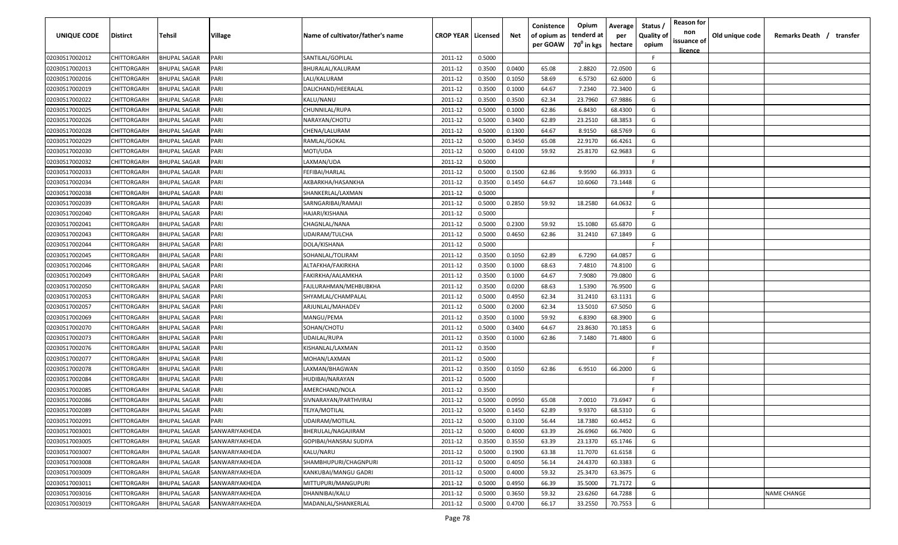| UNIQUE CODE    | <b>Distirct</b> | Tehsil              | Village        | Name of cultivator/father's name | <b>CROP YEAR   Licensed</b> |        | Net    | Conistence<br>of opium as | Opium<br>tenderd at    | Average<br>per | Status /<br><b>Quality of</b> | <b>Reason for</b><br>non<br>issuance of | Old unique code | Remarks Death /<br>transfer |
|----------------|-----------------|---------------------|----------------|----------------------------------|-----------------------------|--------|--------|---------------------------|------------------------|----------------|-------------------------------|-----------------------------------------|-----------------|-----------------------------|
|                |                 |                     |                |                                  |                             |        |        | per GOAW                  | 70 <sup>0</sup> in kgs | hectare        | opium                         | <u>licence</u>                          |                 |                             |
| 02030517002012 | CHITTORGARH     | <b>BHUPAL SAGAR</b> | PARI           | SANTILAL/GOPILAL                 | 2011-12                     | 0.5000 |        |                           |                        |                | F.                            |                                         |                 |                             |
| 02030517002013 | CHITTORGARH     | <b>BHUPAL SAGAR</b> | PARI           | BHURALAL/KALURAM                 | 2011-12                     | 0.3500 | 0.0400 | 65.08                     | 2.8820                 | 72.0500        | G                             |                                         |                 |                             |
| 02030517002016 | CHITTORGARH     | <b>BHUPAL SAGAR</b> | PARI           | LALI/KALURAM                     | 2011-12                     | 0.3500 | 0.1050 | 58.69                     | 6.5730                 | 62.6000        | G                             |                                         |                 |                             |
| 02030517002019 | CHITTORGARH     | <b>BHUPAL SAGAR</b> | PARI           | DALICHAND/HEERALAL               | 2011-12                     | 0.3500 | 0.1000 | 64.67                     | 7.2340                 | 72.3400        | G                             |                                         |                 |                             |
| 02030517002022 | CHITTORGARH     | <b>BHUPAL SAGAR</b> | PARI           | KALU/NANU                        | 2011-12                     | 0.3500 | 0.3500 | 62.34                     | 23.7960                | 67.9886        | G                             |                                         |                 |                             |
| 02030517002025 | CHITTORGARH     | <b>BHUPAL SAGAR</b> | PARI           | CHUNNILAL/RUPA                   | 2011-12                     | 0.5000 | 0.1000 | 62.86                     | 6.8430                 | 68.4300        | G                             |                                         |                 |                             |
| 02030517002026 | CHITTORGARH     | <b>BHUPAL SAGAR</b> | PARI           | NARAYAN/CHOTU                    | 2011-12                     | 0.5000 | 0.3400 | 62.89                     | 23.2510                | 68.3853        | G                             |                                         |                 |                             |
| 02030517002028 | CHITTORGARH     | <b>BHUPAL SAGAR</b> | PARI           | CHENA/LALURAM                    | 2011-12                     | 0.5000 | 0.1300 | 64.67                     | 8.9150                 | 68.5769        | G                             |                                         |                 |                             |
| 02030517002029 | CHITTORGARH     | BHUPAL SAGAR        | PARI           | RAMLAL/GOKAL                     | 2011-12                     | 0.5000 | 0.3450 | 65.08                     | 22.9170                | 66.4261        | G                             |                                         |                 |                             |
| 02030517002030 | CHITTORGARH     | BHUPAL SAGAR        | PARI           | MOTI/UDA                         | 2011-12                     | 0.5000 | 0.4100 | 59.92                     | 25.8170                | 62.9683        | G                             |                                         |                 |                             |
| 02030517002032 | CHITTORGARH     | BHUPAL SAGAR        | PARI           | LAXMAN/UDA                       | 2011-12                     | 0.5000 |        |                           |                        |                | F.                            |                                         |                 |                             |
| 02030517002033 | CHITTORGARH     | <b>BHUPAL SAGAR</b> | PARI           | FEFIBAI/HARLAL                   | 2011-12                     | 0.5000 | 0.1500 | 62.86                     | 9.9590                 | 66.3933        | G                             |                                         |                 |                             |
| 02030517002034 | CHITTORGARH     | <b>BHUPAL SAGAR</b> | PARI           | AKBARKHA/HASANKHA                | 2011-12                     | 0.3500 | 0.1450 | 64.67                     | 10.6060                | 73.1448        | G                             |                                         |                 |                             |
| 02030517002038 | CHITTORGARH     | <b>BHUPAL SAGAR</b> | PARI           | SHANKERLAL/LAXMAN                | 2011-12                     | 0.5000 |        |                           |                        |                | E                             |                                         |                 |                             |
| 02030517002039 | CHITTORGARH     | <b>BHUPAL SAGAR</b> | PARI           | SARNGARIBAI/RAMAJI               | 2011-12                     | 0.5000 | 0.2850 | 59.92                     | 18.2580                | 64.0632        | G                             |                                         |                 |                             |
| 02030517002040 | CHITTORGARH     | <b>BHUPAL SAGAR</b> | PARI           | HAJARI/KISHANA                   | 2011-12                     | 0.5000 |        |                           |                        |                | F.                            |                                         |                 |                             |
| 02030517002041 | CHITTORGARH     | <b>BHUPAL SAGAR</b> | PARI           | CHAGNLAL/NANA                    | 2011-12                     | 0.5000 | 0.2300 | 59.92                     | 15.1080                | 65.6870        | G                             |                                         |                 |                             |
| 02030517002043 | CHITTORGARH     | <b>BHUPAL SAGAR</b> | PARI           | UDAIRAM/TULCHA                   | 2011-12                     | 0.5000 | 0.4650 | 62.86                     | 31.2410                | 67.1849        | G                             |                                         |                 |                             |
| 02030517002044 | CHITTORGARH     | <b>BHUPAL SAGAR</b> | PARI           | DOLA/KISHANA                     | 2011-12                     | 0.5000 |        |                           |                        |                | F.                            |                                         |                 |                             |
| 02030517002045 | CHITTORGARH     | <b>BHUPAL SAGAR</b> | PARI           | SOHANLAL/TOLIRAM                 | 2011-12                     | 0.3500 | 0.1050 | 62.89                     | 6.7290                 | 64.0857        | G                             |                                         |                 |                             |
| 02030517002046 | CHITTORGARH     | <b>BHUPAL SAGAR</b> | PARI           | ALTAFKHA/FAKIRKHA                | 2011-12                     | 0.3500 | 0.1000 | 68.63                     | 7.4810                 | 74.8100        | G                             |                                         |                 |                             |
| 02030517002049 | CHITTORGARH     | <b>BHUPAL SAGAR</b> | PARI           | FAKIRKHA/AALAMKHA                | 2011-12                     | 0.3500 | 0.1000 | 64.67                     | 7.9080                 | 79.0800        | G                             |                                         |                 |                             |
| 02030517002050 | CHITTORGARH     | <b>BHUPAL SAGAR</b> | PARI           | FAJLURAHMAN/MEHBUBKHA            | 2011-12                     | 0.3500 | 0.0200 | 68.63                     | 1.5390                 | 76.9500        | G                             |                                         |                 |                             |
| 02030517002053 | CHITTORGARH     | <b>BHUPAL SAGAR</b> | PARI           | SHYAMLAL/CHAMPALAL               | 2011-12                     | 0.5000 | 0.4950 | 62.34                     | 31.2410                | 63.1131        | G                             |                                         |                 |                             |
| 02030517002057 | CHITTORGARH     | BHUPAL SAGAR        | PARI           | ARJUNLAL/MAHADEV                 | 2011-12                     | 0.5000 | 0.2000 | 62.34                     | 13.5010                | 67.5050        | G                             |                                         |                 |                             |
| 02030517002069 | CHITTORGARH     | BHUPAL SAGAR        | PARI           | MANGU/PEMA                       | 2011-12                     | 0.3500 | 0.1000 | 59.92                     | 6.8390                 | 68.3900        | G                             |                                         |                 |                             |
| 02030517002070 | CHITTORGARH     | BHUPAL SAGAR        | PARI           | SOHAN/CHOTU                      | 2011-12                     | 0.5000 | 0.3400 | 64.67                     | 23.8630                | 70.1853        | G                             |                                         |                 |                             |
| 02030517002073 | CHITTORGARH     | BHUPAL SAGAR        | PARI           | UDAILAL/RUPA                     | 2011-12                     | 0.3500 | 0.1000 | 62.86                     | 7.1480                 | 71.4800        | G                             |                                         |                 |                             |
| 02030517002076 | CHITTORGARH     | <b>BHUPAL SAGAR</b> | PARI           | KISHANLAL/LAXMAN                 | 2011-12                     | 0.3500 |        |                           |                        |                | F.                            |                                         |                 |                             |
| 02030517002077 | CHITTORGARH     | <b>BHUPAL SAGAR</b> | PARI           | MOHAN/LAXMAN                     | 2011-12                     | 0.5000 |        |                           |                        |                | E                             |                                         |                 |                             |
| 02030517002078 | CHITTORGARH     | <b>BHUPAL SAGAR</b> | PARI           | LAXMAN/BHAGWAN                   | 2011-12                     | 0.3500 | 0.1050 | 62.86                     | 6.9510                 | 66.2000        | G                             |                                         |                 |                             |
| 02030517002084 | CHITTORGARH     | BHUPAL SAGAR        | PARI           | HUDIBAI/NARAYAN                  | 2011-12                     | 0.5000 |        |                           |                        |                | -F                            |                                         |                 |                             |
| 02030517002085 | CHITTORGARH     | <b>BHUPAL SAGAR</b> | PARI           | AMERCHAND/NOLA                   | 2011-12                     | 0.3500 |        |                           |                        |                | F.                            |                                         |                 |                             |
| 02030517002086 | CHITTORGARH     | <b>BHUPAL SAGAR</b> | PARI           | SIVNARAYAN/PARTHVIRAJ            | 2011-12                     | 0.5000 | 0.0950 | 65.08                     | 7.0010                 | 73.6947        | G                             |                                         |                 |                             |
| 02030517002089 | CHITTORGARH     | <b>BHUPAL SAGAR</b> | PARI           | TEJYA/MOTILAL                    | 2011-12                     | 0.5000 | 0.1450 | 62.89                     | 9.9370                 | 68.5310        | G                             |                                         |                 |                             |
| 02030517002091 | CHITTORGARH     | <b>BHUPAL SAGAR</b> | PARI           | UDAIRAM/MOTILAL                  | 2011-12                     | 0.5000 | 0.3100 | 56.44                     | 18.7380                | 60.4452        | G                             |                                         |                 |                             |
| 02030517003001 | CHITTORGARH     | <b>BHUPAL SAGAR</b> | SANWARIYAKHEDA | BHERULAL/NAGAJIRAM               | 2011-12                     | 0.5000 | 0.4000 | 63.39                     | 26.6960                | 66.7400        | G                             |                                         |                 |                             |
| 02030517003005 | CHITTORGARH     | <b>BHUPAL SAGAR</b> | SANWARIYAKHEDA | GOPIBAI/HANSRAJ SUDIYA           | 2011-12                     | 0.3500 | 0.3550 | 63.39                     | 23.1370                | 65.1746        | G                             |                                         |                 |                             |
| 02030517003007 | CHITTORGARH     | <b>BHUPAL SAGAR</b> | SANWARIYAKHEDA | KALU/NARU                        | 2011-12                     | 0.5000 | 0.1900 | 63.38                     | 11.7070                | 61.6158        | G                             |                                         |                 |                             |
| 02030517003008 | CHITTORGARH     | <b>BHUPAL SAGAR</b> | SANWARIYAKHEDA | SHAMBHUPURI/CHAGNPURI            | 2011-12                     | 0.5000 | 0.4050 | 56.14                     | 24.4370                | 60.3383        | G                             |                                         |                 |                             |
| 02030517003009 | CHITTORGARH     | <b>BHUPAL SAGAR</b> | SANWARIYAKHEDA | KANKUBAI/MANGU GADRI             | 2011-12                     | 0.5000 | 0.4000 | 59.32                     | 25.3470                | 63.3675        | G                             |                                         |                 |                             |
| 02030517003011 | CHITTORGARH     | <b>BHUPAL SAGAR</b> | SANWARIYAKHEDA | MITTUPURI/MANGUPURI              | 2011-12                     | 0.5000 | 0.4950 | 66.39                     | 35.5000                | 71.7172        | G                             |                                         |                 |                             |
| 02030517003016 | CHITTORGARH     | <b>BHUPAL SAGAR</b> | SANWARIYAKHEDA | DHANNIBAI/KALU                   | 2011-12                     | 0.5000 | 0.3650 | 59.32                     | 23.6260                | 64.7288        | G                             |                                         |                 | <b>NAME CHANGE</b>          |
| 02030517003019 | CHITTORGARH     | <b>BHUPAL SAGAR</b> | SANWARIYAKHEDA | MADANLAL/SHANKERLAL              | 2011-12                     | 0.5000 | 0.4700 | 66.17                     | 33.2550                | 70.7553        | G                             |                                         |                 |                             |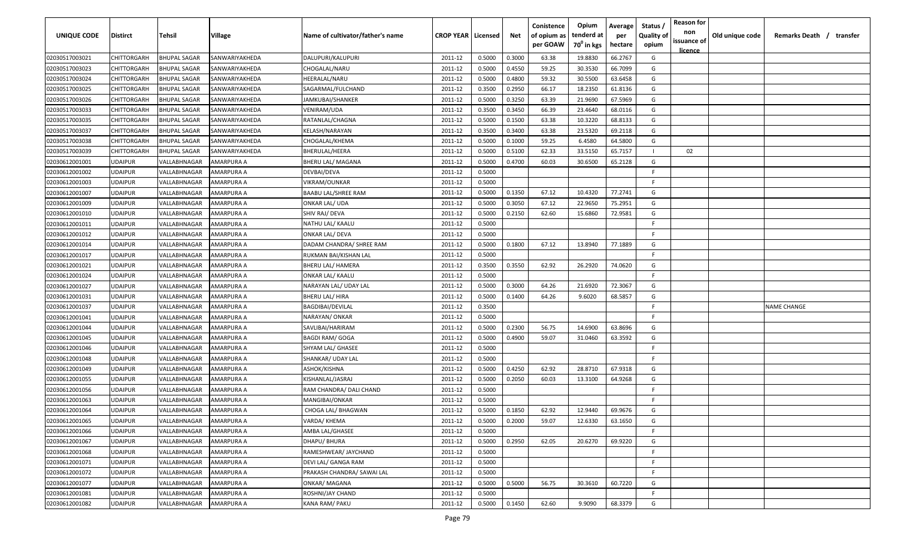| <b>UNIQUE CODE</b> | <b>Distirct</b>    | <b>Tehsil</b>       | Village        | Name of cultivator/father's name | <b>CROP YEAR   Licensed</b> |        | Net    | Conistence<br>of opium as<br>per GOAW | Opium<br>tenderd at<br>70 <sup>0</sup> in kgs | Average<br>per<br>hectare | Status /<br><b>Quality of</b><br>opium | <b>Reason for</b><br>non<br>issuance of | Old unique code | Remarks Death /<br>transfer |
|--------------------|--------------------|---------------------|----------------|----------------------------------|-----------------------------|--------|--------|---------------------------------------|-----------------------------------------------|---------------------------|----------------------------------------|-----------------------------------------|-----------------|-----------------------------|
| 02030517003021     | <b>CHITTORGARH</b> | <b>BHUPAL SAGAR</b> | SANWARIYAKHEDA | DALUPURI/KALUPURI                | 2011-12                     | 0.5000 | 0.3000 | 63.38                                 | 19.8830                                       | 66.2767                   | G                                      | <u>licence</u>                          |                 |                             |
| 02030517003023     | CHITTORGARH        | <b>BHUPAL SAGAR</b> | SANWARIYAKHEDA | CHOGALAL/NARU                    | 2011-12                     | 0.5000 | 0.4550 | 59.25                                 | 30.3530                                       | 66.7099                   | G                                      |                                         |                 |                             |
| 02030517003024     | CHITTORGARH        | <b>BHUPAL SAGAR</b> | SANWARIYAKHEDA | HEERALAL/NARU                    | 2011-12                     | 0.5000 | 0.4800 | 59.32                                 | 30.5500                                       | 63.6458                   | G                                      |                                         |                 |                             |
| 02030517003025     | CHITTORGARH        | <b>BHUPAL SAGAR</b> | SANWARIYAKHEDA | SAGARMAL/FULCHAND                | 2011-12                     | 0.3500 | 0.2950 | 66.17                                 | 18.2350                                       | 61.8136                   | G                                      |                                         |                 |                             |
| 02030517003026     | CHITTORGARH        | <b>BHUPAL SAGAR</b> | SANWARIYAKHEDA | JAMKUBAI/SHANKER                 | 2011-12                     | 0.5000 | 0.3250 | 63.39                                 | 21.9690                                       | 67.5969                   | G                                      |                                         |                 |                             |
| 02030517003033     | CHITTORGARH        | <b>BHUPAL SAGAR</b> | SANWARIYAKHEDA | VENIRAM/UDA                      | 2011-12                     | 0.3500 | 0.3450 | 66.39                                 | 23.4640                                       | 68.0116                   | G                                      |                                         |                 |                             |
| 02030517003035     | CHITTORGARH        | <b>BHUPAL SAGAR</b> | SANWARIYAKHEDA | RATANLAL/CHAGNA                  | 2011-12                     | 0.5000 | 0.1500 | 63.38                                 | 10.3220                                       | 68.8133                   | G                                      |                                         |                 |                             |
| 02030517003037     | CHITTORGARH        | BHUPAL SAGAR        | SANWARIYAKHEDA | KELASH/NARAYAN                   | 2011-12                     | 0.3500 | 0.3400 | 63.38                                 | 23.5320                                       | 69.2118                   | G                                      |                                         |                 |                             |
| 02030517003038     | CHITTORGARH        | <b>BHUPAL SAGAR</b> | SANWARIYAKHEDA | CHOGALAL/KHEMA                   | 2011-12                     | 0.5000 | 0.1000 | 59.25                                 | 6.4580                                        | 64.5800                   | G                                      |                                         |                 |                             |
| 02030517003039     | CHITTORGARH        | <b>BHUPAL SAGAR</b> | SANWARIYAKHEDA | BHERULAL/HEERA                   | 2011-12                     | 0.5000 | 0.5100 | 62.33                                 | 33.5150                                       | 65.7157                   | $\mathbf{L}$                           | 02                                      |                 |                             |
| 02030612001001     | UDAIPUR            | VALLABHNAGAR        | AMARPURA A     | BHERU LAL/ MAGANA                | 2011-12                     | 0.5000 | 0.4700 | 60.03                                 | 30.6500                                       | 65.2128                   | G                                      |                                         |                 |                             |
| 02030612001002     | UDAIPUR            | VALLABHNAGAR        | AMARPURA A     | DEVBAI/DEVA                      | 2011-12                     | 0.5000 |        |                                       |                                               |                           | -F.                                    |                                         |                 |                             |
| 02030612001003     | UDAIPUR            | VALLABHNAGAR        | AMARPURA A     | VIKRAM/OUNKAR                    | 2011-12                     | 0.5000 |        |                                       |                                               |                           | -F.                                    |                                         |                 |                             |
| 02030612001007     | UDAIPUR            | VALLABHNAGAR        | AMARPURA A     | BAABU LAL/SHREE RAM              | 2011-12                     | 0.5000 | 0.1350 | 67.12                                 | 10.4320                                       | 77.2741                   | G                                      |                                         |                 |                             |
| 02030612001009     | <b>UDAIPUR</b>     | VALLABHNAGAR        | AMARPURA A     | ONKAR LAL/ UDA                   | 2011-12                     | 0.5000 | 0.3050 | 67.12                                 | 22.9650                                       | 75.2951                   | G                                      |                                         |                 |                             |
| 02030612001010     | <b>UDAIPUR</b>     | VALLABHNAGAR        | AMARPURA A     | SHIV RAJ/ DEVA                   | 2011-12                     | 0.5000 | 0.2150 | 62.60                                 | 15.6860                                       | 72.9581                   | G                                      |                                         |                 |                             |
| 02030612001011     | <b>UDAIPUR</b>     | VALLABHNAGAR        | AMARPURA A     | NATHU LAL/ KAALU                 | 2011-12                     | 0.5000 |        |                                       |                                               |                           | -F.                                    |                                         |                 |                             |
| 02030612001012     | <b>UDAIPUR</b>     | VALLABHNAGAR        | AMARPURA A     | <b>ONKAR LAL/ DEVA</b>           | 2011-12                     | 0.5000 |        |                                       |                                               |                           | -F.                                    |                                         |                 |                             |
| 02030612001014     | <b>UDAIPUR</b>     | VALLABHNAGAR        | AMARPURA A     | DADAM CHANDRA/ SHREE RAM         | 2011-12                     | 0.5000 | 0.1800 | 67.12                                 | 13.8940                                       | 77.1889                   | G                                      |                                         |                 |                             |
| 02030612001017     | UDAIPUR            | VALLABHNAGAR        | AMARPURA A     | RUKMAN BAI/KISHAN LAL            | 2011-12                     | 0.5000 |        |                                       |                                               |                           | -F.                                    |                                         |                 |                             |
| 02030612001021     | <b>UDAIPUR</b>     | VALLABHNAGAR        | AMARPURA A     | <b>BHERU LAL/ HAMERA</b>         | 2011-12                     | 0.3500 | 0.3550 | 62.92                                 | 26.2920                                       | 74.0620                   | G                                      |                                         |                 |                             |
| 02030612001024     | <b>UDAIPUR</b>     | VALLABHNAGAR        | AMARPURA A     | <b>ONKAR LAL/ KAALU</b>          | 2011-12                     | 0.5000 |        |                                       |                                               |                           | -F.                                    |                                         |                 |                             |
| 02030612001027     | <b>UDAIPUR</b>     | VALLABHNAGAR        | AMARPURA A     | NARAYAN LAL/ UDAY LAL            | 2011-12                     | 0.5000 | 0.3000 | 64.26                                 | 21.6920                                       | 72.3067                   | G                                      |                                         |                 |                             |
| 02030612001031     | <b>UDAIPUR</b>     | VALLABHNAGAR        | AMARPURA A     | BHERU LAL/ HIRA                  | 2011-12                     | 0.5000 | 0.1400 | 64.26                                 | 9.6020                                        | 68.5857                   | G                                      |                                         |                 |                             |
| 02030612001037     | <b>UDAIPUR</b>     | VALLABHNAGAR        | AMARPURA A     | BAGDIBAI/DEVILAL                 | 2011-12                     | 0.3500 |        |                                       |                                               |                           | -F                                     |                                         |                 | <b>NAME CHANGE</b>          |
| 02030612001041     | <b>UDAIPUR</b>     | VALLABHNAGAR        | AMARPURA A     | NARAYAN/ONKAR                    | 2011-12                     | 0.5000 |        |                                       |                                               |                           | -F.                                    |                                         |                 |                             |
| 02030612001044     | <b>UDAIPUR</b>     | VALLABHNAGAR        | AMARPURA A     | SAVLIBAI/HARIRAM                 | 2011-12                     | 0.5000 | 0.2300 | 56.75                                 | 14.6900                                       | 63.8696                   | G                                      |                                         |                 |                             |
| 02030612001045     | UDAIPUR            | VALLABHNAGAR        | AMARPURA A     | <b>BAGDI RAM/ GOGA</b>           | 2011-12                     | 0.5000 | 0.4900 | 59.07                                 | 31.0460                                       | 63.3592                   | G                                      |                                         |                 |                             |
| 02030612001046     | UDAIPUR            | VALLABHNAGAR        | AMARPURA A     | SHYAM LAL/ GHASEE                | 2011-12                     | 0.5000 |        |                                       |                                               |                           | -F.                                    |                                         |                 |                             |
| 02030612001048     | UDAIPUR            | VALLABHNAGAR        | AMARPURA A     | SHANKAR/ UDAY LAL                | 2011-12                     | 0.5000 |        |                                       |                                               |                           | -F.                                    |                                         |                 |                             |
| 02030612001049     | UDAIPUR            | VALLABHNAGAR        | AMARPURA A     | ASHOK/KISHNA                     | 2011-12                     | 0.5000 | 0.4250 | 62.92                                 | 28.8710                                       | 67.9318                   | G                                      |                                         |                 |                             |
| 02030612001055     | UDAIPUR            | VALLABHNAGAR        | AMARPURA A     | KISHANLAL/JASRAJ                 | 2011-12                     | 0.5000 | 0.2050 | 60.03                                 | 13.3100                                       | 64.9268                   | G                                      |                                         |                 |                             |
| 02030612001056     | <b>UDAIPUR</b>     | VALLABHNAGAR        | AMARPURA A     | RAM CHANDRA/ DALI CHAND          | 2011-12                     | 0.5000 |        |                                       |                                               |                           | E                                      |                                         |                 |                             |
| 02030612001063     | UDAIPUR            | VALLABHNAGAR        | AMARPURA A     | MANGIBAI/ONKAR                   | 2011-12                     | 0.5000 |        |                                       |                                               |                           | E                                      |                                         |                 |                             |
| 02030612001064     | <b>UDAIPUR</b>     | VALLABHNAGAR        | AMARPURA A     | CHOGA LAL/ BHAGWAN               | 2011-12                     | 0.5000 | 0.1850 | 62.92                                 | 12.9440                                       | 69.9676                   | G                                      |                                         |                 |                             |
| 02030612001065     | <b>UDAIPUR</b>     | VALLABHNAGAR        | AMARPURA A     | VARDA/ KHEMA                     | 2011-12                     | 0.5000 | 0.2000 | 59.07                                 | 12.6330                                       | 63.1650                   | G                                      |                                         |                 |                             |
| 02030612001066     | <b>UDAIPUR</b>     | VALLABHNAGAR        | AMARPURA A     | AMBA LAL/GHASEE                  | 2011-12                     | 0.5000 |        |                                       |                                               |                           | F.                                     |                                         |                 |                             |
| 02030612001067     | <b>UDAIPUR</b>     | VALLABHNAGAR        | AMARPURA A     | <b>DHAPU/BHURA</b>               | 2011-12                     | 0.5000 | 0.2950 | 62.05                                 | 20.6270                                       | 69.9220                   | G                                      |                                         |                 |                             |
| 02030612001068     | <b>UDAIPUR</b>     | VALLABHNAGAR        | AMARPURA A     | RAMESHWEAR/ JAYCHAND             | 2011-12                     | 0.5000 |        |                                       |                                               |                           | F.                                     |                                         |                 |                             |
| 02030612001071     | <b>UDAIPUR</b>     | VALLABHNAGAR        | AMARPURA A     | DEVI LAL/ GANGA RAM              | 2011-12                     | 0.5000 |        |                                       |                                               |                           | F.                                     |                                         |                 |                             |
| 02030612001072     | <b>UDAIPUR</b>     | VALLABHNAGAR        | AMARPURA A     | PRAKASH CHANDRA/ SAWAI LAL       | 2011-12                     | 0.5000 |        |                                       |                                               |                           | F.                                     |                                         |                 |                             |
| 02030612001077     | <b>UDAIPUR</b>     | VALLABHNAGAR        | AMARPURA A     | <b>ONKAR/ MAGANA</b>             | 2011-12                     | 0.5000 | 0.5000 | 56.75                                 | 30.3610                                       | 60.7220                   | G                                      |                                         |                 |                             |
| 02030612001081     | <b>UDAIPUR</b>     | VALLABHNAGAR        | AMARPURA A     | ROSHNI/JAY CHAND                 | 2011-12                     | 0.5000 |        |                                       |                                               |                           | F.                                     |                                         |                 |                             |
| 02030612001082     | <b>UDAIPUR</b>     | VALLABHNAGAR        | AMARPURA A     | KANA RAM/ PAKU                   | 2011-12                     | 0.5000 | 0.1450 | 62.60                                 | 9.9090                                        | 68.3379                   | G                                      |                                         |                 |                             |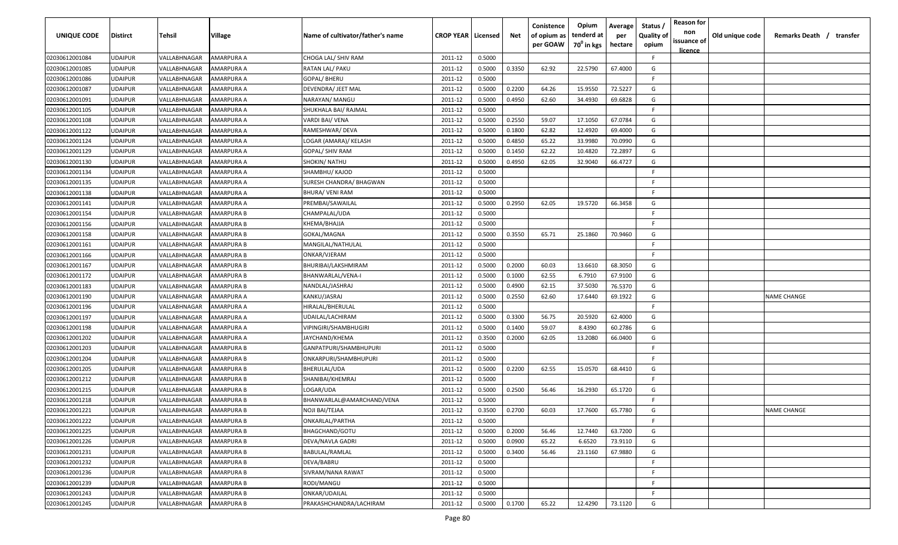| UNIQUE CODE                      | <b>Distirct</b>                  | Tehsil                       | Village                  | Name of cultivator/father's name         | <b>CROP YEAR   Licensed</b> |                  | Net    | Conistence<br>of opium as<br>per GOAW | Opium<br>tenderd at<br>70 <sup>0</sup> in kgs | Average<br>per<br>hectare | Status<br><b>Quality of</b><br>opium | <b>Reason for</b><br>non<br>issuance of | Old unique code | Remarks Death / transfer |
|----------------------------------|----------------------------------|------------------------------|--------------------------|------------------------------------------|-----------------------------|------------------|--------|---------------------------------------|-----------------------------------------------|---------------------------|--------------------------------------|-----------------------------------------|-----------------|--------------------------|
|                                  |                                  |                              |                          |                                          |                             |                  |        |                                       |                                               |                           |                                      | <u>licence</u>                          |                 |                          |
| 02030612001084                   | <b>UDAIPUR</b>                   | VALLABHNAGAR                 | AMARPURA A               | CHOGA LAL/ SHIV RAM                      | 2011-12                     | 0.5000           |        |                                       |                                               |                           | F.                                   |                                         |                 |                          |
| 02030612001085<br>02030612001086 | <b>UDAIPUR</b>                   | VALLABHNAGAR                 | AMARPURA A               | RATAN LAL/ PAKU                          | 2011-12                     | 0.5000           | 0.3350 | 62.92                                 | 22.5790                                       | 67.4000                   | G<br>-F                              |                                         |                 |                          |
|                                  | <b>UDAIPUR</b><br><b>UDAIPUR</b> | VALLABHNAGAR<br>VALLABHNAGAR | AMARPURA A<br>AMARPURA A | <b>GOPAL/BHERU</b><br>DEVENDRA/ JEET MAL | 2011-12<br>2011-12          | 0.5000           | 0.2200 | 64.26                                 | 15.9550                                       | 72.5227                   | G                                    |                                         |                 |                          |
| 02030612001087<br>02030612001091 | <b>UDAIPUR</b>                   | VALLABHNAGAR                 | AMARPURA A               | NARAYAN/ MANGU                           | 2011-12                     | 0.5000<br>0.5000 | 0.4950 | 62.60                                 | 34.4930                                       | 69.6828                   | G                                    |                                         |                 |                          |
| 02030612001105                   | <b>UDAIPUR</b>                   | VALLABHNAGAR                 | AMARPURA A               | SHUKHALA BAI/ RAJMAL                     | 2011-12                     | 0.5000           |        |                                       |                                               |                           | F.                                   |                                         |                 |                          |
| 02030612001108                   | <b>UDAIPUR</b>                   | VALLABHNAGAR                 | AMARPURA A               | VARDI BAI/ VENA                          | 2011-12                     | 0.5000           | 0.2550 | 59.07                                 | 17.1050                                       | 67.0784                   | G                                    |                                         |                 |                          |
| 02030612001122                   | <b>UDAIPUR</b>                   | VALLABHNAGAR                 | AMARPURA A               | RAMESHWAR/DEVA                           | 2011-12                     | 0.5000           | 0.1800 | 62.82                                 | 12.4920                                       | 69.4000                   | G                                    |                                         |                 |                          |
| 02030612001124                   | <b>UDAIPUR</b>                   | VALLABHNAGAR                 | AMARPURA A               | LOGAR (AMARA)/ KELASH                    | 2011-12                     | 0.5000           | 0.4850 | 65.22                                 | 33.9980                                       | 70.0990                   | G                                    |                                         |                 |                          |
| 02030612001129                   | <b>UDAIPUR</b>                   | VALLABHNAGAR                 | AMARPURA A               | GOPAL/ SHIV RAM                          | 2011-12                     | 0.5000           | 0.1450 | 62.22                                 | 10.4820                                       | 72.2897                   | G                                    |                                         |                 |                          |
| 02030612001130                   | UDAIPUR                          | VALLABHNAGAR                 | AMARPURA A               | SHOKIN/ NATHU                            | 2011-12                     | 0.5000           | 0.4950 | 62.05                                 | 32.9040                                       | 66.4727                   | G                                    |                                         |                 |                          |
| 02030612001134                   | <b>UDAIPUR</b>                   | VALLABHNAGAR                 | AMARPURA A               | SHAMBHU/ KAJOD                           | 2011-12                     | 0.5000           |        |                                       |                                               |                           | F.                                   |                                         |                 |                          |
| 02030612001135                   | <b>UDAIPUR</b>                   | VALLABHNAGAR                 | AMARPURA A               | SURESH CHANDRA/ BHAGWAN                  | 2011-12                     | 0.5000           |        |                                       |                                               |                           | -F.                                  |                                         |                 |                          |
| 02030612001138                   | <b>UDAIPUR</b>                   | VALLABHNAGAR                 | AMARPURA A               | BHURA/ VENI RAM                          | 2011-12                     | 0.5000           |        |                                       |                                               |                           | F.                                   |                                         |                 |                          |
| 02030612001141                   | <b>UDAIPUR</b>                   | VALLABHNAGAR                 | AMARPURA A               | PREMBAI/SAWAILAL                         | 2011-12                     | 0.5000           | 0.2950 | 62.05                                 | 19.5720                                       | 66.3458                   | G                                    |                                         |                 |                          |
| 02030612001154                   | <b>UDAIPUR</b>                   | VALLABHNAGAR                 | AMARPURA B               | CHAMPALAL/UDA                            | 2011-12                     | 0.5000           |        |                                       |                                               |                           | F                                    |                                         |                 |                          |
| 02030612001156                   | <b>UDAIPUR</b>                   | VALLABHNAGAR                 | AMARPURA B               | KHEMA/BHAJJA                             | 2011-12                     | 0.5000           |        |                                       |                                               |                           | F.                                   |                                         |                 |                          |
| 02030612001158                   | <b>UDAIPUR</b>                   | VALLABHNAGAR                 | AMARPURA B               | GOKAL/MAGNA                              | 2011-12                     | 0.5000           | 0.3550 | 65.71                                 | 25.1860                                       | 70.9460                   | G                                    |                                         |                 |                          |
| 02030612001161                   | <b>UDAIPUR</b>                   | VALLABHNAGAR                 | AMARPURA B               | MANGILAL/NATHULAL                        | 2011-12                     | 0.5000           |        |                                       |                                               |                           | -F.                                  |                                         |                 |                          |
| 02030612001166                   | <b>UDAIPUR</b>                   | VALLABHNAGAR                 | AMARPURA B               | ONKAR/VJERAM                             | 2011-12                     | 0.5000           |        |                                       |                                               |                           | F.                                   |                                         |                 |                          |
| 02030612001167                   | <b>UDAIPUR</b>                   | VALLABHNAGAR                 | AMARPURA B               | BHURIBAI/LAKSHMIRAM                      | 2011-12                     | 0.5000           | 0.2000 | 60.03                                 | 13.6610                                       | 68.3050                   | G                                    |                                         |                 |                          |
| 02030612001172                   | <b>UDAIPUR</b>                   | VALLABHNAGAR                 | AMARPURA B               | BHANWARLAL/VENA-I                        | 2011-12                     | 0.5000           | 0.1000 | 62.55                                 | 6.7910                                        | 67.9100                   | G                                    |                                         |                 |                          |
| 02030612001183                   | <b>UDAIPUR</b>                   | VALLABHNAGAR                 | AMARPURA B               | NANDLAL/JASHRAJ                          | 2011-12                     | 0.5000           | 0.4900 | 62.15                                 | 37.5030                                       | 76.5370                   | G                                    |                                         |                 |                          |
| 02030612001190                   | <b>UDAIPUR</b>                   | VALLABHNAGAR                 | AMARPURA A               | KANKU/JASRAJ                             | 2011-12                     | 0.5000           | 0.2550 | 62.60                                 | 17.6440                                       | 69.1922                   | G                                    |                                         |                 | <b>NAME CHANGE</b>       |
| 02030612001196                   | <b>UDAIPUR</b>                   | VALLABHNAGAR                 | AMARPURA A               | HIRALAL/BHERULAL                         | 2011-12                     | 0.5000           |        |                                       |                                               |                           | F.                                   |                                         |                 |                          |
| 02030612001197                   | <b>UDAIPUR</b>                   | VALLABHNAGAR                 | AMARPURA A               | UDAILAL/LACHIRAM                         | 2011-12                     | 0.5000           | 0.3300 | 56.75                                 | 20.5920                                       | 62.4000                   | G                                    |                                         |                 |                          |
| 02030612001198                   | <b>UDAIPUR</b>                   | VALLABHNAGAR                 | AMARPURA A               | VIPINGIRI/SHAMBHUGIRI                    | 2011-12                     | 0.5000           | 0.1400 | 59.07                                 | 8.4390                                        | 60.2786                   | G                                    |                                         |                 |                          |
| 02030612001202                   | UDAIPUR                          | VALLABHNAGAR                 | AMARPURA A               | IAYCHAND/KHEMA                           | 2011-12                     | 0.3500           | 0.2000 | 62.05                                 | 13.2080                                       | 66.0400                   | G                                    |                                         |                 |                          |
| 02030612001203                   | <b>UDAIPUR</b>                   | VALLABHNAGAR                 | AMARPURA B               | GANPATPURI/SHAMBHUPURI                   | 2011-12                     | 0.5000           |        |                                       |                                               |                           | F.                                   |                                         |                 |                          |
| 02030612001204                   | <b>UDAIPUR</b>                   | VALLABHNAGAR                 | AMARPURA B               | ONKARPURI/SHAMBHUPURI                    | 2011-12                     | 0.5000           |        |                                       |                                               |                           | -F.                                  |                                         |                 |                          |
| 02030612001205                   | <b>UDAIPUR</b>                   | VALLABHNAGAR                 | AMARPURA B               | BHERULAL/UDA                             | 2011-12                     | 0.5000           | 0.2200 | 62.55                                 | 15.0570                                       | 68.4410                   | G                                    |                                         |                 |                          |
| 02030612001212                   | <b>UDAIPUR</b>                   | VALLABHNAGAR                 | AMARPURA B               | SHANIBAI/KHEMRAJ                         | 2011-12                     | 0.5000           |        |                                       |                                               |                           | -F                                   |                                         |                 |                          |
| 02030612001215                   | <b>UDAIPUR</b>                   | VALLABHNAGAR                 | AMARPURA B               | LOGAR/UDA                                | 2011-12                     | 0.5000           | 0.2500 | 56.46                                 | 16.2930                                       | 65.1720                   | G                                    |                                         |                 |                          |
| 02030612001218                   | <b>UDAIPUR</b>                   | VALLABHNAGAR                 | AMARPURA B               | BHANWARLAL@AMARCHAND/VENA                | 2011-12                     | 0.5000           |        |                                       |                                               |                           | -F.                                  |                                         |                 |                          |
| 02030612001221                   | <b>UDAIPUR</b>                   | VALLABHNAGAR                 | AMARPURA B               | NOJI BAI/TEJAA                           | 2011-12                     | 0.3500           | 0.2700 | 60.03                                 | 17.7600                                       | 65.7780                   | G                                    |                                         |                 | <b>NAME CHANGE</b>       |
| 02030612001222                   | <b>UDAIPUR</b>                   | VALLABHNAGAR                 | <b>AMARPURA B</b>        | ONKARLAL/PARTHA                          | 2011-12                     | 0.5000           |        |                                       |                                               |                           | F.                                   |                                         |                 |                          |
| 02030612001225                   | <b>UDAIPUR</b>                   | VALLABHNAGAR                 | <b>AMARPURA B</b>        | BHAGCHAND/GOTU                           | 2011-12                     | 0.5000           | 0.2000 | 56.46                                 | 12.7440                                       | 63.7200                   | G                                    |                                         |                 |                          |
| 02030612001226                   | <b>UDAIPUR</b>                   | VALLABHNAGAR                 | <b>AMARPURA B</b>        | DEVA/NAVLA GADRI                         | 2011-12                     | 0.5000           | 0.0900 | 65.22                                 | 6.6520                                        | 73.9110                   | G                                    |                                         |                 |                          |
| 02030612001231                   | <b>UDAIPUR</b>                   | VALLABHNAGAR                 | AMARPURA B               | BABULAL/RAMLAL                           | 2011-12                     | 0.5000           | 0.3400 | 56.46                                 | 23.1160                                       | 67.9880                   | G                                    |                                         |                 |                          |
| 02030612001232                   | <b>UDAIPUR</b>                   | VALLABHNAGAR                 | AMARPURA B               | DEVA/BABRU                               | 2011-12                     | 0.5000           |        |                                       |                                               |                           | F.                                   |                                         |                 |                          |
| 02030612001236                   | <b>UDAIPUR</b>                   | VALLABHNAGAR                 | AMARPURA B               | SIVRAM/NANA RAWAT                        | 2011-12                     | 0.5000           |        |                                       |                                               |                           | F.                                   |                                         |                 |                          |
| 02030612001239                   | <b>UDAIPUR</b>                   | VALLABHNAGAR                 | AMARPURA B               | RODI/MANGU                               | 2011-12                     | 0.5000           |        |                                       |                                               |                           | F.                                   |                                         |                 |                          |
| 02030612001243                   | <b>UDAIPUR</b>                   | VALLABHNAGAR                 | AMARPURA B               | ONKAR/UDAILAL                            | 2011-12                     | 0.5000           |        |                                       |                                               |                           | F.                                   |                                         |                 |                          |
| 02030612001245                   | <b>UDAIPUR</b>                   | VALLABHNAGAR                 | AMARPURA B               | PRAKASHCHANDRA/LACHIRAM                  | 2011-12                     | 0.5000           | 0.1700 | 65.22                                 | 12.4290                                       | 73.1120                   | G                                    |                                         |                 |                          |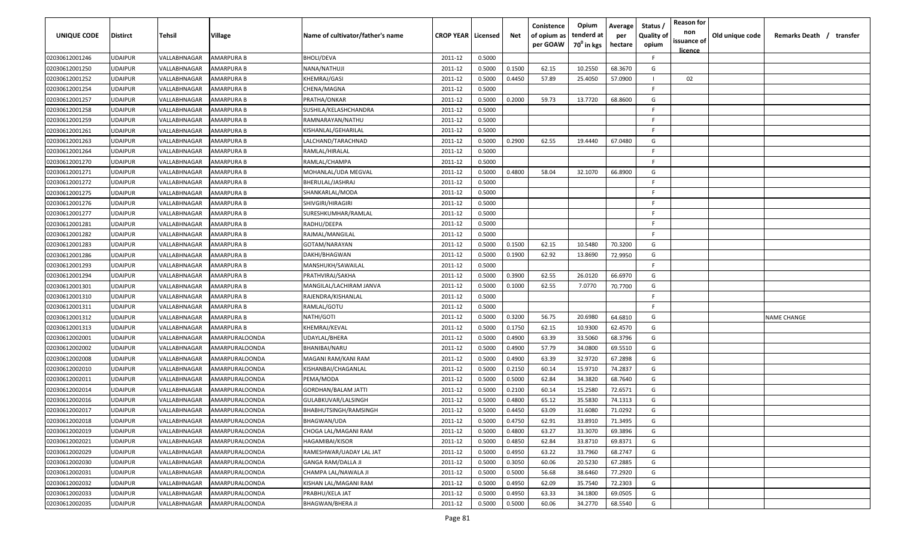| UNIQUE CODE    | <b>Distirct</b> | Tehsil       | Village               | Name of cultivator/father's name | <b>CROP YEAR   Licensed</b> |        | Net    | Conistence<br>of opium as<br>per GOAW | Opium<br>tenderd at<br>70 <sup>0</sup> in kgs | Average<br>per<br>hectare | Status<br><b>Quality of</b><br>opium | <b>Reason for</b><br>non<br>issuance of<br><u>licence</u> | Old unique code | Remarks Death / transfer |
|----------------|-----------------|--------------|-----------------------|----------------------------------|-----------------------------|--------|--------|---------------------------------------|-----------------------------------------------|---------------------------|--------------------------------------|-----------------------------------------------------------|-----------------|--------------------------|
| 02030612001246 | <b>UDAIPUR</b>  | VALLABHNAGAR | AMARPURA B            | BHOLI/DEVA                       | 2011-12                     | 0.5000 |        |                                       |                                               |                           | F.                                   |                                                           |                 |                          |
| 02030612001250 | <b>UDAIPUR</b>  | VALLABHNAGAR | AMARPURA B            | NANA/NATHUJI                     | 2011-12                     | 0.5000 | 0.1500 | 62.15                                 | 10.2550                                       | 68.3670                   | G                                    |                                                           |                 |                          |
| 02030612001252 | <b>UDAIPUR</b>  | VALLABHNAGAR | AMARPURA B            | KHEMRAJ/GASI                     | 2011-12                     | 0.5000 | 0.4450 | 57.89                                 | 25.4050                                       | 57.0900                   | $\mathbf{I}$                         | 02                                                        |                 |                          |
| 02030612001254 | <b>UDAIPUR</b>  | VALLABHNAGAR | AMARPURA B            | CHENA/MAGNA                      | 2011-12                     | 0.5000 |        |                                       |                                               |                           | -F                                   |                                                           |                 |                          |
| 02030612001257 | <b>UDAIPUR</b>  | VALLABHNAGAR | AMARPURA B            | PRATHA/ONKAR                     | 2011-12                     | 0.5000 | 0.2000 | 59.73                                 | 13.7720                                       | 68.8600                   | G                                    |                                                           |                 |                          |
| 02030612001258 | <b>UDAIPUR</b>  | VALLABHNAGAR | AMARPURA B            | SUSHILA/KELASHCHANDRA            | 2011-12                     | 0.5000 |        |                                       |                                               |                           | -F.                                  |                                                           |                 |                          |
| 02030612001259 | <b>UDAIPUR</b>  | VALLABHNAGAR | AMARPURA B            | RAMNARAYAN/NATHU                 | 2011-12                     | 0.5000 |        |                                       |                                               |                           | -F                                   |                                                           |                 |                          |
| 02030612001261 | <b>UDAIPUR</b>  | VALLABHNAGAR | AMARPURA B            | KISHANLAL/GEHARILAL              | 2011-12                     | 0.5000 |        |                                       |                                               |                           | -F.                                  |                                                           |                 |                          |
| 02030612001263 | <b>UDAIPUR</b>  | VALLABHNAGAR | AMARPURA B            | LALCHAND/TARACHNAD               | 2011-12                     | 0.5000 | 0.2900 | 62.55                                 | 19.4440                                       | 67.0480                   | G                                    |                                                           |                 |                          |
| 02030612001264 | <b>UDAIPUR</b>  | VALLABHNAGAR | AMARPURA B            | RAMLAL/HIRALAL                   | 2011-12                     | 0.5000 |        |                                       |                                               |                           | F.                                   |                                                           |                 |                          |
| 02030612001270 | UDAIPUR         | VALLABHNAGAR | AMARPURA B            | RAMLAL/CHAMPA                    | 2011-12                     | 0.5000 |        |                                       |                                               |                           | -F.                                  |                                                           |                 |                          |
| 02030612001271 | <b>UDAIPUR</b>  | VALLABHNAGAR | AMARPURA B            | MOHANLAL/UDA MEGVAL              | 2011-12                     | 0.5000 | 0.4800 | 58.04                                 | 32.1070                                       | 66.8900                   | G                                    |                                                           |                 |                          |
| 02030612001272 | <b>UDAIPUR</b>  | VALLABHNAGAR | AMARPURA B            | BHERULAL/JASHRAJ                 | 2011-12                     | 0.5000 |        |                                       |                                               |                           | -F.                                  |                                                           |                 |                          |
| 02030612001275 | <b>UDAIPUR</b>  | VALLABHNAGAR | AMARPURA B            | SHANKARLAL/MODA                  | 2011-12                     | 0.5000 |        |                                       |                                               |                           | F.                                   |                                                           |                 |                          |
| 02030612001276 | <b>UDAIPUR</b>  | VALLABHNAGAR | AMARPURA B            | SHIVGIRI/HIRAGIRI                | 2011-12                     | 0.5000 |        |                                       |                                               |                           | -F.                                  |                                                           |                 |                          |
| 02030612001277 | <b>UDAIPUR</b>  | VALLABHNAGAR | AMARPURA B            | SURESHKUMHAR/RAMLAL              | 2011-12                     | 0.5000 |        |                                       |                                               |                           | -F                                   |                                                           |                 |                          |
| 02030612001281 | <b>UDAIPUR</b>  | VALLABHNAGAR | AMARPURA B            | RADHU/DEEPA                      | 2011-12                     | 0.5000 |        |                                       |                                               |                           | -F.                                  |                                                           |                 |                          |
| 02030612001282 | <b>UDAIPUR</b>  | VALLABHNAGAR | AMARPURA B            | RAJMAL/MANGILAL                  | 2011-12                     | 0.5000 |        |                                       |                                               |                           | F.                                   |                                                           |                 |                          |
| 02030612001283 | <b>UDAIPUR</b>  | VALLABHNAGAR | AMARPURA B            | GOTAM/NARAYAN                    | 2011-12                     | 0.5000 | 0.1500 | 62.15                                 | 10.5480                                       | 70.3200                   | G                                    |                                                           |                 |                          |
| 02030612001286 | <b>UDAIPUR</b>  | VALLABHNAGAR | AMARPURA B            | DAKHI/BHAGWAN                    | 2011-12                     | 0.5000 | 0.1900 | 62.92                                 | 13.8690                                       | 72.9950                   | G                                    |                                                           |                 |                          |
| 02030612001293 | <b>UDAIPUR</b>  | VALLABHNAGAR | AMARPURA B            | MANSHUKH/SAWAILAL                | 2011-12                     | 0.5000 |        |                                       |                                               |                           | -F                                   |                                                           |                 |                          |
| 02030612001294 | <b>UDAIPUR</b>  | VALLABHNAGAR | AMARPURA B            | PRATHVIRAJ/SAKHA                 | 2011-12                     | 0.5000 | 0.3900 | 62.55                                 | 26.0120                                       | 66.6970                   | G                                    |                                                           |                 |                          |
| 02030612001301 | <b>UDAIPUR</b>  | VALLABHNAGAR | AMARPURA B            | MANGILAL/LACHIRAM JANVA          | 2011-12                     | 0.5000 | 0.1000 | 62.55                                 | 7.0770                                        | 70.7700                   | G                                    |                                                           |                 |                          |
| 02030612001310 | <b>UDAIPUR</b>  | VALLABHNAGAR | AMARPURA B            | RAJENDRA/KISHANLAL               | 2011-12                     | 0.5000 |        |                                       |                                               |                           | -F                                   |                                                           |                 |                          |
| 02030612001311 | <b>UDAIPUR</b>  | VALLABHNAGAR | AMARPURA B            | RAMLAL/GOTU                      | 2011-12                     | 0.5000 |        |                                       |                                               |                           | F.                                   |                                                           |                 |                          |
| 02030612001312 | <b>UDAIPUR</b>  | VALLABHNAGAR | AMARPURA B            | NATHI/GOTI                       | 2011-12                     | 0.5000 | 0.3200 | 56.75                                 | 20.6980                                       | 64.6810                   | G                                    |                                                           |                 | <b>NAME CHANGE</b>       |
| 02030612001313 | <b>UDAIPUR</b>  | VALLABHNAGAR | AMARPURA B            | KHEMRAJ/KEVAL                    | 2011-12                     | 0.5000 | 0.1750 | 62.15                                 | 10.9300                                       | 62.4570                   | G                                    |                                                           |                 |                          |
| 02030612002001 | UDAIPUR         | VALLABHNAGAR | AMARPURALOONDA        | UDAYLAL/BHERA                    | 2011-12                     | 0.5000 | 0.4900 | 63.39                                 | 33.5060                                       | 68.3796                   | G                                    |                                                           |                 |                          |
| 02030612002002 | <b>UDAIPUR</b>  | VALLABHNAGAR | AMARPURALOONDA        | BHANIBAI/NARU                    | 2011-12                     | 0.5000 | 0.4900 | 57.79                                 | 34.0800                                       | 69.5510                   | G                                    |                                                           |                 |                          |
| 02030612002008 | <b>UDAIPUR</b>  | VALLABHNAGAR | AMARPURALOONDA        | MAGANI RAM/KANI RAM              | 2011-12                     | 0.5000 | 0.4900 | 63.39                                 | 32.9720                                       | 67.2898                   | G                                    |                                                           |                 |                          |
| 02030612002010 | <b>UDAIPUR</b>  | VALLABHNAGAR | AMARPURALOONDA        | KISHANBAI/CHAGANLAL              | 2011-12                     | 0.5000 | 0.2150 | 60.14                                 | 15.9710                                       | 74.2837                   | G                                    |                                                           |                 |                          |
| 02030612002011 | <b>UDAIPUR</b>  | VALLABHNAGAR | AMARPURALOONDA        | PEMA/MODA                        | 2011-12                     | 0.5000 | 0.5000 | 62.84                                 | 34.3820                                       | 68.7640                   | G                                    |                                                           |                 |                          |
| 02030612002014 | <b>UDAIPUR</b>  | VALLABHNAGAR | AMARPURALOONDA        | <b>GORDHAN/BALAM JATTI</b>       | 2011-12                     | 0.5000 | 0.2100 | 60.14                                 | 15.2580                                       | 72.6571                   | G                                    |                                                           |                 |                          |
| 02030612002016 | <b>UDAIPUR</b>  | VALLABHNAGAR | AMARPURALOONDA        | GULABKUVAR/LALSINGH              | 2011-12                     | 0.5000 | 0.4800 | 65.12                                 | 35.5830                                       | 74.1313                   | G                                    |                                                           |                 |                          |
| 02030612002017 | <b>UDAIPUR</b>  | VALLABHNAGAR | AMARPURALOONDA        | BHABHUTSINGH/RAMSINGH            | 2011-12                     | 0.5000 | 0.4450 | 63.09                                 | 31.6080                                       | 71.0292                   | G                                    |                                                           |                 |                          |
| 02030612002018 | <b>UDAIPUR</b>  | VALLABHNAGAR | <b>AMARPURALOONDA</b> | <b>BHAGWAN/UDA</b>               | 2011-12                     | 0.5000 | 0.4750 | 62.91                                 | 33.8910                                       | 71.3495                   | G                                    |                                                           |                 |                          |
| 02030612002019 | <b>UDAIPUR</b>  | VALLABHNAGAR | AMARPURALOONDA        | CHOGA LAL/MAGANI RAM             | 2011-12                     | 0.5000 | 0.4800 | 63.27                                 | 33.3070                                       | 69.3896                   | G                                    |                                                           |                 |                          |
| 02030612002021 | <b>UDAIPUR</b>  | VALLABHNAGAR | <b>AMARPURALOONDA</b> | HAGAMIBAI/KISOR                  | 2011-12                     | 0.5000 | 0.4850 | 62.84                                 | 33.8710                                       | 69.8371                   | G                                    |                                                           |                 |                          |
| 02030612002029 | <b>UDAIPUR</b>  | VALLABHNAGAR | <b>AMARPURALOONDA</b> | RAMESHWAR/UADAY LAL JAT          | 2011-12                     | 0.5000 | 0.4950 | 63.22                                 | 33.7960                                       | 68.2747                   | G                                    |                                                           |                 |                          |
| 02030612002030 | <b>UDAIPUR</b>  | VALLABHNAGAR | AMARPURALOONDA        | <b>GANGA RAM/DALLA JI</b>        | 2011-12                     | 0.5000 | 0.3050 | 60.06                                 | 20.5230                                       | 67.2885                   | G                                    |                                                           |                 |                          |
| 02030612002031 | <b>UDAIPUR</b>  | VALLABHNAGAR | AMARPURALOONDA        | CHAMPA LAL/NAWALA JI             | 2011-12                     | 0.5000 | 0.5000 | 56.68                                 | 38.6460                                       | 77.2920                   | G                                    |                                                           |                 |                          |
| 02030612002032 | <b>UDAIPUR</b>  | VALLABHNAGAR | AMARPURALOONDA        | KISHAN LAL/MAGANI RAM            | 2011-12                     | 0.5000 | 0.4950 | 62.09                                 | 35.7540                                       | 72.2303                   | G                                    |                                                           |                 |                          |
| 02030612002033 | <b>UDAIPUR</b>  | VALLABHNAGAR | AMARPURALOONDA        | PRABHU/KELA JAT                  | 2011-12                     | 0.5000 | 0.4950 | 63.33                                 | 34.1800                                       | 69.0505                   | G                                    |                                                           |                 |                          |
| 02030612002035 | <b>UDAIPUR</b>  | VALLABHNAGAR | <b>AMARPURALOONDA</b> | BHAGWAN/BHERA JI                 | 2011-12                     | 0.5000 | 0.5000 | 60.06                                 | 34.2770                                       | 68.5540                   | G                                    |                                                           |                 |                          |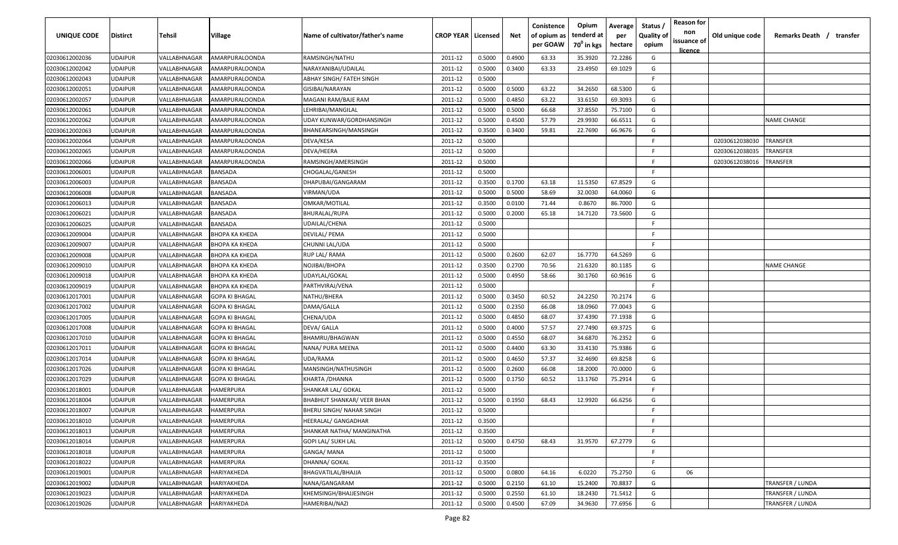| UNIQUE CODE    | Distirct       | <b>Tehsil</b>              | Village               | Name of cultivator/father's name  | <b>CROP YEAR   Licensed</b> |        | Net    | Conistence<br>of opium as<br>per GOAW | Opium<br>tenderd at<br>$70^0$ in kgs | Average<br>per<br>hectare | Status /<br><b>Quality of</b><br>opium | <b>Reason for</b><br>non<br>issuance of<br><u>licence</u> | Old unique code | Remarks Death / transfer |
|----------------|----------------|----------------------------|-----------------------|-----------------------------------|-----------------------------|--------|--------|---------------------------------------|--------------------------------------|---------------------------|----------------------------------------|-----------------------------------------------------------|-----------------|--------------------------|
| 02030612002036 | <b>UDAIPUR</b> | VALLABHNAGAR               | AMARPURALOONDA        | RAMSINGH/NATHU                    | 2011-12                     | 0.5000 | 0.4900 | 63.33                                 | 35.3920                              | 72.2286                   | G                                      |                                                           |                 |                          |
| 02030612002042 | <b>UDAIPUR</b> | VALLABHNAGAR               | AMARPURALOONDA        | NARAYANIBAI/UDAILAL               | 2011-12                     | 0.5000 | 0.3400 | 63.33                                 | 23.4950                              | 69.1029                   | G                                      |                                                           |                 |                          |
| 02030612002043 | <b>UDAIPUR</b> | VALLABHNAGAR               | <b>AMARPURALOONDA</b> | ABHAY SINGH/ FATEH SINGH          | 2011-12                     | 0.5000 |        |                                       |                                      |                           | F.                                     |                                                           |                 |                          |
| 02030612002051 | <b>UDAIPUR</b> | VALLABHNAGAR               | AMARPURALOONDA        | GISIBAI/NARAYAN                   | 2011-12                     | 0.5000 | 0.5000 | 63.22                                 | 34.2650                              | 68.5300                   | G                                      |                                                           |                 |                          |
| 02030612002057 | <b>UDAIPUR</b> | VALLABHNAGAR               | AMARPURALOONDA        | MAGANI RAM/BAJE RAM               | 2011-12                     | 0.5000 | 0.4850 | 63.22                                 | 33.6150                              | 69.3093                   | G                                      |                                                           |                 |                          |
| 02030612002061 | <b>UDAIPUR</b> | VALLABHNAGAR               | <b>AMARPURALOONDA</b> | LEHRIBAI/MANGILAL                 | 2011-12                     | 0.5000 | 0.5000 | 66.68                                 | 37.8550                              | 75.7100                   | G                                      |                                                           |                 |                          |
| 02030612002062 | <b>UDAIPUR</b> | VALLABHNAGAR               | AMARPURALOONDA        | UDAY KUNWAR/GORDHANSINGH          | 2011-12                     | 0.5000 | 0.4500 | 57.79                                 | 29.9930                              | 66.6511                   | G                                      |                                                           |                 | <b>NAME CHANGE</b>       |
| 02030612002063 | <b>UDAIPUR</b> | VALLABHNAGAR               | AMARPURALOONDA        | BHANEARSINGH/MANSINGH             | 2011-12                     | 0.3500 | 0.3400 | 59.81                                 | 22.7690                              | 66.9676                   | G                                      |                                                           |                 |                          |
| 02030612002064 | <b>UDAIPUR</b> | VALLABHNAGAR               | <b>AMARPURALOONDA</b> | DEVA/KESA                         | 2011-12                     | 0.5000 |        |                                       |                                      |                           | F.                                     |                                                           | 02030612038030  | <b>TRANSFER</b>          |
| 02030612002065 | UDAIPUR        | VALLABHNAGAR               | AMARPURALOONDA        | DEVA/HEERA                        | 2011-12                     | 0.5000 |        |                                       |                                      |                           | F.                                     |                                                           | 02030612038035  | TRANSFER                 |
| 02030612002066 | UDAIPUR        | VALLABHNAGAR               | AMARPURALOONDA        | RAMSINGH/AMERSINGH                | 2011-12                     | 0.5000 |        |                                       |                                      |                           | F.                                     |                                                           | 02030612038016  | TRANSFER                 |
| 02030612006001 | UDAIPUR        | VALLABHNAGAR               | <b>BANSADA</b>        | CHOGALAL/GANESH                   | 2011-12                     | 0.5000 |        |                                       |                                      |                           | F.                                     |                                                           |                 |                          |
| 02030612006003 | UDAIPUR        | VALLABHNAGAR               | <b>BANSADA</b>        | DHAPUBAI/GANGARAM                 | 2011-12                     | 0.3500 | 0.1700 | 63.18                                 | 11.5350                              | 67.8529                   | G                                      |                                                           |                 |                          |
| 02030612006008 | UDAIPUR        | VALLABHNAGAR               | BANSADA               | VIRMAN/UDA                        | 2011-12                     | 0.5000 | 0.5000 | 58.69                                 | 32.0030                              | 64.0060                   | G                                      |                                                           |                 |                          |
| 02030612006013 | <b>UDAIPUR</b> | <b><i>VALLABHNAGAR</i></b> | <b>BANSADA</b>        | OMKAR/MOTILAL                     | 2011-12                     | 0.3500 | 0.0100 | 71.44                                 | 0.8670                               | 86.7000                   | G                                      |                                                           |                 |                          |
| 02030612006021 | <b>UDAIPUR</b> | <b><i>VALLABHNAGAR</i></b> | <b>BANSADA</b>        | BHURALAL/RUPA                     | 2011-12                     | 0.5000 | 0.2000 | 65.18                                 | 14.7120                              | 73.5600                   | G                                      |                                                           |                 |                          |
| 02030612006025 | <b>UDAIPUR</b> | VALLABHNAGAR               | <b>BANSADA</b>        | UDAILAL/CHENA                     | 2011-12                     | 0.5000 |        |                                       |                                      |                           | F.                                     |                                                           |                 |                          |
| 02030612009004 | <b>UDAIPUR</b> | VALLABHNAGAR               | ВНОРА КА КНЕДА        | DEVILAL/ PEMA                     | 2011-12                     | 0.5000 |        |                                       |                                      |                           | E                                      |                                                           |                 |                          |
| 02030612009007 | <b>UDAIPUR</b> | VALLABHNAGAR               | BHOPA KA KHEDA        | CHUNNI LAL/UDA                    | 2011-12                     | 0.5000 |        |                                       |                                      |                           | F.                                     |                                                           |                 |                          |
| 02030612009008 | <b>UDAIPUR</b> | VALLABHNAGAR               | BHOPA KA KHEDA        | RUP LAL/ RAMA                     | 2011-12                     | 0.5000 | 0.2600 | 62.07                                 | 16.7770                              | 64.5269                   | G                                      |                                                           |                 |                          |
| 02030612009010 | <b>UDAIPUR</b> | VALLABHNAGAR               | ВНОРА КА КНЕДА        | NOJIBAI/BHOPA                     | 2011-12                     | 0.3500 | 0.2700 | 70.56                                 | 21.6320                              | 80.1185                   | G                                      |                                                           |                 | <b>NAME CHANGE</b>       |
| 02030612009018 | <b>UDAIPUR</b> | VALLABHNAGAR               | ВНОРА КА КНЕДА        | UDAYLAL/GOKAL                     | 2011-12                     | 0.5000 | 0.4950 | 58.66                                 | 30.1760                              | 60.9616                   | G                                      |                                                           |                 |                          |
| 02030612009019 | <b>UDAIPUR</b> | VALLABHNAGAR               | <b>BHOPA KA KHEDA</b> | PARTHVIRAJ/VENA                   | 2011-12                     | 0.5000 |        |                                       |                                      |                           | -F.                                    |                                                           |                 |                          |
| 02030612017001 | <b>UDAIPUR</b> | VALLABHNAGAR               | GOPA KI BHAGAL        | NATHU/BHERA                       | 2011-12                     | 0.5000 | 0.3450 | 60.52                                 | 24.2250                              | 70.2174                   | G                                      |                                                           |                 |                          |
| 02030612017002 | <b>UDAIPUR</b> | <b><i>VALLABHNAGAR</i></b> | GOPA KI BHAGAL        | DAMA/GALLA                        | 2011-12                     | 0.5000 | 0.2350 | 66.08                                 | 18.0960                              | 77.0043                   | G                                      |                                                           |                 |                          |
| 02030612017005 | <b>UDAIPUR</b> | VALLABHNAGAR               | GOPA KI BHAGAL        | CHENA/UDA                         | 2011-12                     | 0.5000 | 0.4850 | 68.07                                 | 37.4390                              | 77.1938                   | G                                      |                                                           |                 |                          |
| 02030612017008 | UDAIPUR        | VALLABHNAGAR               | GOPA KI BHAGAL        | DEVA/ GALLA                       | 2011-12                     | 0.5000 | 0.4000 | 57.57                                 | 27.7490                              | 69.3725                   | G                                      |                                                           |                 |                          |
| 02030612017010 | UDAIPUR        | VALLABHNAGAR               | GOPA KI BHAGAL        | BHAMRU/BHAGWAN                    | 2011-12                     | 0.5000 | 0.4550 | 68.07                                 | 34.6870                              | 76.2352                   | G                                      |                                                           |                 |                          |
| 02030612017011 | <b>UDAIPUR</b> | VALLABHNAGAR               | <b>GOPA KI BHAGAL</b> | NANA/ PURA MEENA                  | 2011-12                     | 0.5000 | 0.4400 | 63.30                                 | 33.4130                              | 75.9386                   | G                                      |                                                           |                 |                          |
| 02030612017014 | <b>UDAIPUR</b> | VALLABHNAGAR               | <b>GOPA KI BHAGAL</b> | UDA/RAMA                          | 2011-12                     | 0.5000 | 0.4650 | 57.37                                 | 32.4690                              | 69.8258                   | G                                      |                                                           |                 |                          |
| 02030612017026 | <b>UDAIPUR</b> | VALLABHNAGAR               | <b>GOPA KI BHAGAL</b> | MANSINGH/NATHUSINGH               | 2011-12                     | 0.5000 | 0.2600 | 66.08                                 | 18.2000                              | 70.0000                   | G                                      |                                                           |                 |                          |
| 02030612017029 | <b>UDAIPUR</b> | VALLABHNAGAR               | <b>GOPA KI BHAGAL</b> | KHARTA / DHANNA                   | 2011-12                     | 0.5000 | 0.1750 | 60.52                                 | 13.1760                              | 75.2914                   | G                                      |                                                           |                 |                          |
| 02030612018001 | <b>UDAIPUR</b> | <b><i>VALLABHNAGAR</i></b> | HAMERPURA             | SHANKAR LAL/ GOKAL                | 2011-12                     | 0.5000 |        |                                       |                                      |                           | F.                                     |                                                           |                 |                          |
| 02030612018004 | <b>UDAIPUR</b> | VALLABHNAGAR               | HAMERPURA             | <b>BHABHUT SHANKAR/ VEER BHAN</b> | 2011-12                     | 0.5000 | 0.1950 | 68.43                                 | 12.9920                              | 66.6256                   | G                                      |                                                           |                 |                          |
| 02030612018007 | <b>UDAIPUR</b> | VALLABHNAGAR               | HAMERPURA             | BHERU SINGH/ NAHAR SINGH          | 2011-12                     | 0.5000 |        |                                       |                                      |                           | F.                                     |                                                           |                 |                          |
| 02030612018010 | <b>UDAIPUR</b> | VALLABHNAGAR               | <b>HAMERPURA</b>      | <b>HEERALAL/ GANGADHAR</b>        | 2011-12                     | 0.3500 |        |                                       |                                      |                           | -F                                     |                                                           |                 |                          |
| 02030612018013 | <b>UDAIPUR</b> | VALLABHNAGAR               | <b>HAMERPURA</b>      | SHANKAR NATHA/ MANGINATHA         | 2011-12                     | 0.3500 |        |                                       |                                      |                           | F.                                     |                                                           |                 |                          |
| 02030612018014 | <b>UDAIPUR</b> | VALLABHNAGAR               | HAMERPURA             | GOPI LAL/ SUKH LAL                | 2011-12                     | 0.5000 | 0.4750 | 68.43                                 | 31.9570                              | 67.2779                   | G                                      |                                                           |                 |                          |
| 02030612018018 | <b>UDAIPUR</b> | VALLABHNAGAR               | <b>HAMERPURA</b>      | GANGA/ MANA                       | 2011-12                     | 0.5000 |        |                                       |                                      |                           | F.                                     |                                                           |                 |                          |
| 02030612018022 | <b>UDAIPUR</b> | VALLABHNAGAR               | HAMERPURA             | DHANNA/ GOKAL                     | 2011-12                     | 0.3500 |        |                                       |                                      |                           | F.                                     |                                                           |                 |                          |
| 02030612019001 | <b>UDAIPUR</b> | <b>VALLABHNAGAR</b>        | HARIYAKHEDA           | BHAGVATILAL/BHAJJA                | 2011-12                     | 0.5000 | 0.0800 | 64.16                                 | 6.0220                               | 75.2750                   | G                                      | 06                                                        |                 |                          |
| 02030612019002 | <b>UDAIPUR</b> | <b><i>VALLABHNAGAR</i></b> | HARIYAKHEDA           | NANA/GANGARAM                     | 2011-12                     | 0.5000 | 0.2150 | 61.10                                 | 15.2400                              | 70.8837                   | G                                      |                                                           |                 | TRANSFER / LUNDA         |
| 02030612019023 | <b>UDAIPUR</b> | VALLABHNAGAR               | HARIYAKHEDA           | KHEMSINGH/BHAJJESINGH             | 2011-12                     | 0.5000 | 0.2550 | 61.10                                 | 18.2430                              | 71.5412                   | G                                      |                                                           |                 | TRANSFER / LUNDA         |
| 02030612019026 | <b>UDAIPUR</b> | VALLABHNAGAR               | HARIYAKHEDA           | HAMERIBAI/NAZI                    | 2011-12                     | 0.5000 | 0.4500 | 67.09                                 | 34.9630                              | 77.6956                   | G                                      |                                                           |                 | TRANSFER / LUNDA         |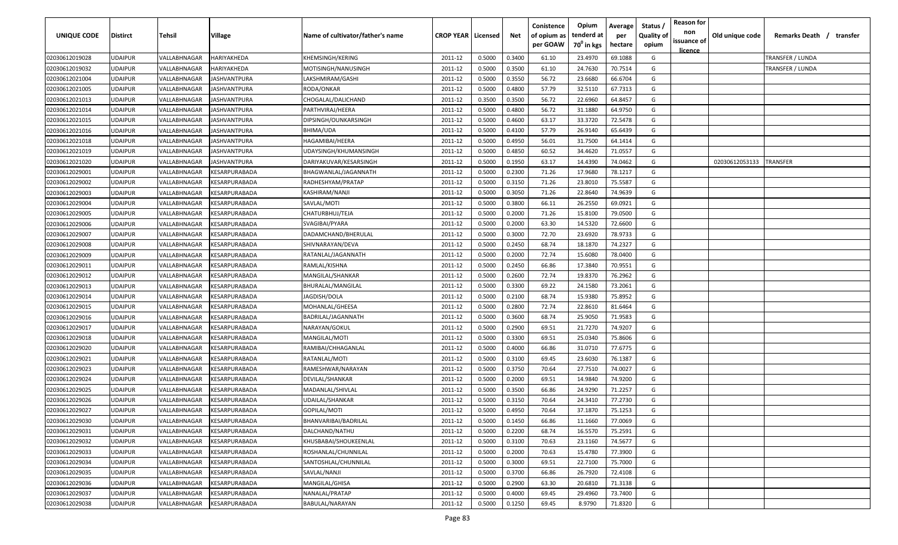| UNIQUE CODE    | <b>Distirct</b> | Tehsil       | Village                                     | Name of cultivator/father's name | <b>CROP YEAR   Licensed</b> |        | Net    | Conistence<br>of opium as<br>per GOAW | Opium<br>tenderd at<br>70 <sup>0</sup> in kgs | Average<br>per<br>hectare | Status<br><b>Quality of</b><br>opium | <b>Reason for</b><br>non<br>issuance of<br><u>licence</u> | Old unique code | Remarks Death / transfer |  |
|----------------|-----------------|--------------|---------------------------------------------|----------------------------------|-----------------------------|--------|--------|---------------------------------------|-----------------------------------------------|---------------------------|--------------------------------------|-----------------------------------------------------------|-----------------|--------------------------|--|
| 02030612019028 | <b>UDAIPUR</b>  | VALLABHNAGAR | HARIYAKHEDA                                 | KHEMSINGH/KERING                 | 2011-12                     | 0.5000 | 0.3400 | 61.10                                 | 23.4970                                       | 69.1088                   | G                                    |                                                           |                 | TRANSFER / LUNDA         |  |
| 02030612019032 | <b>UDAIPUR</b>  | VALLABHNAGAR | HARIYAKHEDA                                 | MOTISINGH/NANUSINGH              | 2011-12                     | 0.5000 | 0.3500 | 61.10                                 | 24.7630                                       | 70.7514                   | G                                    |                                                           |                 | TRANSFER / LUNDA         |  |
| 02030612021004 | <b>UDAIPUR</b>  | VALLABHNAGAR | IASHVANTPURA                                | LAKSHMIRAM/GASHI                 | 2011-12                     | 0.5000 | 0.3550 | 56.72                                 | 23.6680                                       | 66.6704                   | G                                    |                                                           |                 |                          |  |
| 02030612021005 | <b>UDAIPUR</b>  | VALLABHNAGAR | <b>JASHVANTPURA</b>                         | RODA/ONKAR                       | 2011-12                     | 0.5000 | 0.4800 | 57.79                                 | 32.5110                                       | 67.7313                   | G                                    |                                                           |                 |                          |  |
| 02030612021013 | <b>UDAIPUR</b>  | VALLABHNAGAR | IASHVANTPURA                                | CHOGALAL/DALICHAND               | 2011-12                     | 0.3500 | 0.3500 | 56.72                                 | 22.6960                                       | 64.8457                   | G                                    |                                                           |                 |                          |  |
| 02030612021014 | <b>UDAIPUR</b>  | VALLABHNAGAR | <b>JASHVANTPURA</b>                         | PARTHVIRAJ/HEERA                 | 2011-12                     | 0.5000 | 0.4800 | 56.72                                 | 31.1880                                       | 64.9750                   | G                                    |                                                           |                 |                          |  |
| 02030612021015 | <b>UDAIPUR</b>  | VALLABHNAGAR | <b>JASHVANTPURA</b>                         | DIPSINGH/OUNKARSINGH             | 2011-12                     | 0.5000 | 0.4600 | 63.17                                 | 33.3720                                       | 72.5478                   | G                                    |                                                           |                 |                          |  |
| 02030612021016 | <b>UDAIPUR</b>  | VALLABHNAGAR | <b>JASHVANTPURA</b>                         | BHIMA/UDA                        | 2011-12                     | 0.5000 | 0.4100 | 57.79                                 | 26.9140                                       | 65.6439                   | G                                    |                                                           |                 |                          |  |
| 02030612021018 | <b>UDAIPUR</b>  | VALLABHNAGAR | IASHVANTPURA                                | HAGAMIBAI/HEERA                  | 2011-12                     | 0.5000 | 0.4950 | 56.01                                 | 31.7500                                       | 64.1414                   | G                                    |                                                           |                 |                          |  |
| 02030612021019 | <b>UDAIPUR</b>  | VALLABHNAGAR | IASHVANTPURA                                | UDAYSINGH/KHUMANSINGH            | 2011-12                     | 0.5000 | 0.4850 | 60.52                                 | 34.4620                                       | 71.0557                   | G                                    |                                                           |                 |                          |  |
| 02030612021020 | <b>UDAIPUR</b>  | VALLABHNAGAR | IASHVANTPURA                                | DARIYAKUVAR/KESARSINGH           | 2011-12                     | 0.5000 | 0.1950 | 63.17                                 | 14.4390                                       | 74.0462                   | G                                    |                                                           | 02030612053133  | TRANSFER                 |  |
| 02030612029001 | <b>UDAIPUR</b>  | VALLABHNAGAR | <b><i>CESARPURABADA</i></b>                 | BHAGWANLAL/JAGANNATH             | 2011-12                     | 0.5000 | 0.2300 | 71.26                                 | 17.9680                                       | 78.1217                   | G                                    |                                                           |                 |                          |  |
| 02030612029002 | <b>UDAIPUR</b>  | VALLABHNAGAR | KESARPURABADA                               | RADHESHYAM/PRATAP                | 2011-12                     | 0.5000 | 0.3150 | 71.26                                 | 23.8010                                       | 75.5587                   | G                                    |                                                           |                 |                          |  |
| 02030612029003 | <b>UDAIPUR</b>  | VALLABHNAGAR | KESARPURABADA                               | KASHIRAM/NANJI                   | 2011-12                     | 0.5000 | 0.3050 | 71.26                                 | 22.8640                                       | 74.9639                   | G                                    |                                                           |                 |                          |  |
| 02030612029004 | <b>UDAIPUR</b>  | VALLABHNAGAR | KESARPURABADA                               | SAVLAL/MOTI                      | 2011-12                     | 0.5000 | 0.3800 | 66.11                                 | 26.2550                                       | 69.0921                   | G                                    |                                                           |                 |                          |  |
| 02030612029005 | <b>UDAIPUR</b>  | VALLABHNAGAR | <b><i>CESARPURABADA</i></b>                 | CHATURBHUJ/TEJA                  | 2011-12                     | 0.5000 | 0.2000 | 71.26                                 | 15.8100                                       | 79.0500                   | G                                    |                                                           |                 |                          |  |
| 02030612029006 | <b>UDAIPUR</b>  | VALLABHNAGAR | KESARPURABADA                               | SVAGIBAI/PYARA                   | 2011-12                     | 0.5000 | 0.2000 | 63.30                                 | 14.5320                                       | 72.6600                   | G                                    |                                                           |                 |                          |  |
| 02030612029007 | <b>UDAIPUR</b>  | VALLABHNAGAR | KESARPURABADA                               | DADAMCHAND/BHERULAL              | 2011-12                     | 0.5000 | 0.3000 | 72.70                                 | 23.6920                                       | 78.9733                   | G                                    |                                                           |                 |                          |  |
| 02030612029008 | <b>UDAIPUR</b>  | VALLABHNAGAR | <b><i>CESARPURABADA</i></b>                 | SHIVNARAYAN/DEVA                 | 2011-12                     | 0.5000 | 0.2450 | 68.74                                 | 18.1870                                       | 74.2327                   | G                                    |                                                           |                 |                          |  |
| 02030612029009 | <b>UDAIPUR</b>  | VALLABHNAGAR | <b>ESARPURABADA</b>                         | RATANLAL/JAGANNATH               | 2011-12                     | 0.5000 | 0.2000 | 72.74                                 | 15.6080                                       | 78.0400                   | G                                    |                                                           |                 |                          |  |
| 02030612029011 | <b>UDAIPUR</b>  | VALLABHNAGAR | <b><i>CESARPURABADA</i></b>                 | RAMLAL/KISHNA                    | 2011-12                     | 0.5000 | 0.2450 | 66.86                                 | 17.3840                                       | 70.9551                   | G                                    |                                                           |                 |                          |  |
| 02030612029012 | <b>UDAIPUR</b>  | VALLABHNAGAR | <b><i>CESARPURABADA</i></b>                 | MANGILAL/SHANKAR                 | 2011-12                     | 0.5000 | 0.2600 | 72.74                                 | 19.8370                                       | 76.2962                   | G                                    |                                                           |                 |                          |  |
| 02030612029013 | <b>UDAIPUR</b>  | VALLABHNAGAR | <b><i>CESARPURABADA</i></b>                 | BHURALAL/MANGILAL                | 2011-12                     | 0.5000 | 0.3300 | 69.22                                 | 24.1580                                       | 73.2061                   | G                                    |                                                           |                 |                          |  |
| 02030612029014 | <b>UDAIPUR</b>  | VALLABHNAGAR | <b>ESARPURABADA</b>                         | JAGDISH/DOLA                     | 2011-12                     | 0.5000 | 0.2100 | 68.74                                 | 15.9380                                       | 75.8952                   | G                                    |                                                           |                 |                          |  |
| 02030612029015 | <b>UDAIPUR</b>  | VALLABHNAGAR | <b>ESARPURABADA</b>                         | MOHANLAL/GHEESA                  | 2011-12                     | 0.5000 | 0.2800 | 72.74                                 | 22.8610                                       | 81.6464                   | G                                    |                                                           |                 |                          |  |
| 02030612029016 | <b>UDAIPUR</b>  | VALLABHNAGAR | <b><i>CESARPURABADA</i></b>                 | BADRILAL/JAGANNATH               | 2011-12                     | 0.5000 | 0.3600 | 68.74                                 | 25.9050                                       | 71.9583                   | G                                    |                                                           |                 |                          |  |
| 02030612029017 | <b>UDAIPUR</b>  | VALLABHNAGAR | <b><esarpurabada< b=""></esarpurabada<></b> | NARAYAN/GOKUL                    | 2011-12                     | 0.5000 | 0.2900 | 69.51                                 | 21.7270                                       | 74.9207                   | G                                    |                                                           |                 |                          |  |
| 02030612029018 | <b>UDAIPUR</b>  | VALLABHNAGAR | <b>ESARPURABADA</b>                         | MANGILAL/MOTI                    | 2011-12                     | 0.5000 | 0.3300 | 69.51                                 | 25.0340                                       | 75.8606                   | G                                    |                                                           |                 |                          |  |
| 02030612029020 | <b>UDAIPUR</b>  | VALLABHNAGAR | <b><esarpurabada< b=""></esarpurabada<></b> | RAMIBAI/CHHAGANLAL               | 2011-12                     | 0.5000 | 0.4000 | 66.86                                 | 31.0710                                       | 77.6775                   | G                                    |                                                           |                 |                          |  |
| 02030612029021 | <b>UDAIPUR</b>  | VALLABHNAGAR | KESARPURABADA                               | RATANLAL/MOTI                    | 2011-12                     | 0.5000 | 0.3100 | 69.45                                 | 23.6030                                       | 76.1387                   | G                                    |                                                           |                 |                          |  |
| 02030612029023 | <b>UDAIPUR</b>  | VALLABHNAGAR | KESARPURABADA                               | RAMESHWAR/NARAYAN                | 2011-12                     | 0.5000 | 0.3750 | 70.64                                 | 27.7510                                       | 74.0027                   | G                                    |                                                           |                 |                          |  |
| 02030612029024 | <b>UDAIPUR</b>  | VALLABHNAGAR | <b><esarpurabada< b=""></esarpurabada<></b> | DEVILAL/SHANKAR                  | 2011-12                     | 0.5000 | 0.2000 | 69.51                                 | 14.9840                                       | 74.9200                   | G                                    |                                                           |                 |                          |  |
| 02030612029025 | <b>UDAIPUR</b>  | VALLABHNAGAR | <b><esarpurabada< b=""></esarpurabada<></b> | MADANLAL/SHIVLAL                 | 2011-12                     | 0.5000 | 0.3500 | 66.86                                 | 24.9290                                       | 71.2257                   | G                                    |                                                           |                 |                          |  |
| 02030612029026 | <b>UDAIPUR</b>  | VALLABHNAGAR | <b><esarpurabada< b=""></esarpurabada<></b> | UDAILAL/SHANKAR                  | 2011-12                     | 0.5000 | 0.3150 | 70.64                                 | 24.3410                                       | 77.2730                   | G                                    |                                                           |                 |                          |  |
| 02030612029027 | <b>UDAIPUR</b>  | VALLABHNAGAR | KESARPURABADA                               | GOPILAL/MOTI                     | 2011-12                     | 0.5000 | 0.4950 | 70.64                                 | 37.1870                                       | 75.1253                   | G                                    |                                                           |                 |                          |  |
| 02030612029030 | <b>UDAIPUR</b>  | VALLABHNAGAR | <b>KESARPURABADA</b>                        | BHANVARIBAI/BADRILAL             | 2011-12                     | 0.5000 | 0.1450 | 66.86                                 | 11.1660                                       | 77.0069                   | G                                    |                                                           |                 |                          |  |
| 02030612029031 | <b>UDAIPUR</b>  | VALLABHNAGAR | KESARPURABADA                               | DALCHAND/NATHU                   | 2011-12                     | 0.5000 | 0.2200 | 68.74                                 | 16.5570                                       | 75.2591                   | G                                    |                                                           |                 |                          |  |
| 02030612029032 | <b>UDAIPUR</b>  | VALLABHNAGAR | KESARPURABADA                               | KHUSBABAI/SHOUKEENLAL            | 2011-12                     | 0.5000 | 0.3100 | 70.63                                 | 23.1160                                       | 74.5677                   | G                                    |                                                           |                 |                          |  |
| 02030612029033 | <b>UDAIPUR</b>  | VALLABHNAGAR | KESARPURABADA                               | ROSHANLAL/CHUNNILAL              | 2011-12                     | 0.5000 | 0.2000 | 70.63                                 | 15.4780                                       | 77.3900                   | G                                    |                                                           |                 |                          |  |
| 02030612029034 | <b>UDAIPUR</b>  | VALLABHNAGAR | KESARPURABADA                               | SANTOSHLAL/CHUNNILAL             | 2011-12                     | 0.5000 | 0.3000 | 69.51                                 | 22.7100                                       | 75.7000                   | G                                    |                                                           |                 |                          |  |
| 02030612029035 | <b>UDAIPUR</b>  | VALLABHNAGAR | KESARPURABADA                               | SAVLAL/NANJI                     | 2011-12                     | 0.5000 | 0.3700 | 66.86                                 | 26.7920                                       | 72.4108                   | G                                    |                                                           |                 |                          |  |
| 02030612029036 | <b>UDAIPUR</b>  | VALLABHNAGAR | KESARPURABADA                               | MANGILAL/GHISA                   | 2011-12                     | 0.5000 | 0.2900 | 63.30                                 | 20.6810                                       | 71.3138                   | G                                    |                                                           |                 |                          |  |
| 02030612029037 | <b>UDAIPUR</b>  | VALLABHNAGAR | KESARPURABADA                               | NANALAL/PRATAP                   | 2011-12                     | 0.5000 | 0.4000 | 69.45                                 | 29.4960                                       | 73.7400                   | G                                    |                                                           |                 |                          |  |
| 02030612029038 | <b>UDAIPUR</b>  | VALLABHNAGAR | KESARPURABADA                               | BABULAL/NARAYAN                  | 2011-12                     | 0.5000 | 0.1250 | 69.45                                 | 8.9790                                        | 71.8320                   | G                                    |                                                           |                 |                          |  |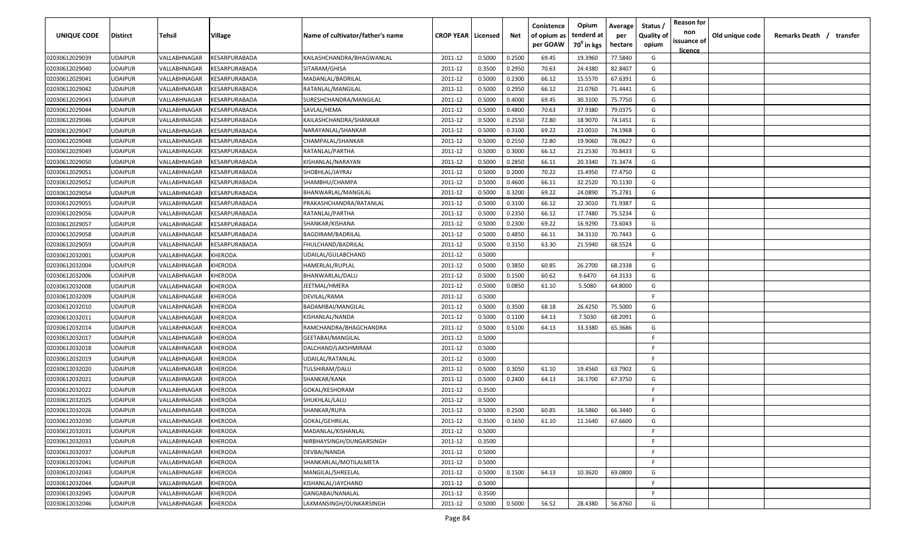| UNIQUE CODE    | <b>Distirct</b> | Tehsil       | Village                                     | Name of cultivator/father's name | <b>CROP YEAR   Licensed</b> |        | Net    | Conistence<br>of opium as<br>per GOAW | Opium<br>tenderd at<br>70 <sup>0</sup> in kgs | Average<br>per<br>hectare | Status<br><b>Quality of</b><br>opium | <b>Reason for</b><br>non<br>issuance of | Old unique code | Remarks Death / transfer |
|----------------|-----------------|--------------|---------------------------------------------|----------------------------------|-----------------------------|--------|--------|---------------------------------------|-----------------------------------------------|---------------------------|--------------------------------------|-----------------------------------------|-----------------|--------------------------|
| 02030612029039 | <b>UDAIPUR</b>  | VALLABHNAGAR | KESARPURABADA                               | KAILASHCHANDRA/BHAGWANLAL        | 2011-12                     | 0.5000 | 0.2500 | 69.45                                 | 19.3960                                       | 77.5840                   | G                                    | <u>licence</u>                          |                 |                          |
| 02030612029040 | <b>UDAIPUR</b>  | VALLABHNAGAR | <b><i>CESARPURABADA</i></b>                 | SITARAM/GHISA                    | 2011-12                     | 0.3500 | 0.2950 | 70.63                                 | 24.4380                                       | 82.8407                   | G                                    |                                         |                 |                          |
| 02030612029041 | <b>UDAIPUR</b>  | VALLABHNAGAR | <b><i>CESARPURABADA</i></b>                 | MADANLAL/BADRILAL                | 2011-12                     | 0.5000 | 0.2300 | 66.12                                 | 15.5570                                       | 67.6391                   | G                                    |                                         |                 |                          |
| 02030612029042 | <b>UDAIPUR</b>  | VALLABHNAGAR | <b><i>CESARPURABADA</i></b>                 | RATANLAL/MANGILAL                | 2011-12                     | 0.5000 | 0.2950 | 66.12                                 | 21.0760                                       | 71.4441                   | G                                    |                                         |                 |                          |
| 02030612029043 | <b>UDAIPUR</b>  | VALLABHNAGAR | <b><i>CESARPURABADA</i></b>                 | SURESHCHANDRA/MANGILAL           | 2011-12                     | 0.5000 | 0.4000 | 69.45                                 | 30.3100                                       | 75.7750                   | G                                    |                                         |                 |                          |
| 02030612029044 | <b>UDAIPUR</b>  | VALLABHNAGAR | <b><i>CESARPURABADA</i></b>                 | SAVLAL/HEMA                      | 2011-12                     | 0.5000 | 0.4800 | 70.63                                 | 37.9380                                       | 79.0375                   | G                                    |                                         |                 |                          |
| 02030612029046 | <b>UDAIPUR</b>  | VALLABHNAGAR | <b><i>CESARPURABADA</i></b>                 | KAILASHCHANDRA/SHANKAR           | 2011-12                     | 0.5000 | 0.2550 | 72.80                                 | 18.9070                                       | 74.1451                   | G                                    |                                         |                 |                          |
| 02030612029047 | <b>UDAIPUR</b>  | VALLABHNAGAR | <b><i>CESARPURABADA</i></b>                 | NARAYANLAL/SHANKAR               | 2011-12                     | 0.5000 | 0.3100 | 69.22                                 | 23.0010                                       | 74.1968                   | G                                    |                                         |                 |                          |
| 02030612029048 | <b>UDAIPUR</b>  | VALLABHNAGAR | <b><i>CESARPURABADA</i></b>                 | CHAMPALAL/SHANKAR                | 2011-12                     | 0.5000 | 0.2550 | 72.80                                 | 19.9060                                       | 78.0627                   | G                                    |                                         |                 |                          |
| 02030612029049 | <b>UDAIPUR</b>  | VALLABHNAGAR | <b><i>CESARPURABADA</i></b>                 | RATANLAL/PARTHA                  | 2011-12                     | 0.5000 | 0.3000 | 66.12                                 | 21.2530                                       | 70.8433                   | G                                    |                                         |                 |                          |
| 02030612029050 | <b>UDAIPUR</b>  | VALLABHNAGAR | <b><esarpurabada< b=""></esarpurabada<></b> | KISHANLAL/NARAYAN                | 2011-12                     | 0.5000 | 0.2850 | 66.11                                 | 20.3340                                       | 71.3474                   | G                                    |                                         |                 |                          |
| 02030612029051 | <b>UDAIPUR</b>  | VALLABHNAGAR | <b>KESARPURABADA</b>                        | SHOBHLAL/JAYRAJ                  | 2011-12                     | 0.5000 | 0.2000 | 70.22                                 | 15.4950                                       | 77.4750                   | G                                    |                                         |                 |                          |
| 02030612029052 | <b>UDAIPUR</b>  | VALLABHNAGAR | KESARPURABADA                               | SHAMBHU/CHAMPA                   | 2011-12                     | 0.5000 | 0.4600 | 66.11                                 | 32.2520                                       | 70.1130                   | G                                    |                                         |                 |                          |
| 02030612029054 | <b>UDAIPUR</b>  | VALLABHNAGAR | KESARPURABADA                               | BHANWARLAL/MANGILAL              | 2011-12                     | 0.5000 | 0.3200 | 69.22                                 | 24.0890                                       | 75.2781                   | G                                    |                                         |                 |                          |
| 02030612029055 | <b>UDAIPUR</b>  | VALLABHNAGAR | KESARPURABADA                               | PRAKASHCHANDRA/RATANLAL          | 2011-12                     | 0.5000 | 0.3100 | 66.12                                 | 22.3010                                       | 71.9387                   | G                                    |                                         |                 |                          |
| 02030612029056 | <b>UDAIPUR</b>  | VALLABHNAGAR | <b><i>CESARPURABADA</i></b>                 | RATANLAL/PARTHA                  | 2011-12                     | 0.5000 | 0.2350 | 66.12                                 | 17.7480                                       | 75.5234                   | G                                    |                                         |                 |                          |
| 02030612029057 | <b>UDAIPUR</b>  | VALLABHNAGAR | KESARPURABADA                               | SHANKAR/KISHANA                  | 2011-12                     | 0.5000 | 0.2300 | 69.22                                 | 16.9290                                       | 73.6043                   | G                                    |                                         |                 |                          |
| 02030612029058 | <b>UDAIPUR</b>  | VALLABHNAGAR | <b>KESARPURABADA</b>                        | BAGDIRAM/BADRILAL                | 2011-12                     | 0.5000 | 0.4850 | 66.11                                 | 34.3110                                       | 70.7443                   | G                                    |                                         |                 |                          |
| 02030612029059 | <b>UDAIPUR</b>  | VALLABHNAGAR | <b><esarpurabada< b=""></esarpurabada<></b> | FHULCHAND/BADRILAL               | 2011-12                     | 0.5000 | 0.3150 | 63.30                                 | 21.5940                                       | 68.5524                   | G                                    |                                         |                 |                          |
| 02030612032001 | <b>UDAIPUR</b>  | VALLABHNAGAR | KHERODA                                     | UDAILAL/GULABCHAND               | 2011-12                     | 0.5000 |        |                                       |                                               |                           | -F.                                  |                                         |                 |                          |
| 02030612032004 | <b>UDAIPUR</b>  | VALLABHNAGAR | KHERODA                                     | HAMERLAL/RUPLAL                  | 2011-12                     | 0.5000 | 0.3850 | 60.85                                 | 26.2700                                       | 68.2338                   | G                                    |                                         |                 |                          |
| 02030612032006 | <b>UDAIPUR</b>  | VALLABHNAGAR | KHERODA                                     | BHANWARLAL/DALU                  | 2011-12                     | 0.5000 | 0.1500 | 60.62                                 | 9.6470                                        | 64.3133                   | G                                    |                                         |                 |                          |
| 02030612032008 | <b>UDAIPUR</b>  | VALLABHNAGAR | KHERODA                                     | JEETMAL/HMERA                    | 2011-12                     | 0.5000 | 0.0850 | 61.10                                 | 5.5080                                        | 64.8000                   | G                                    |                                         |                 |                          |
| 02030612032009 | <b>UDAIPUR</b>  | VALLABHNAGAR | <b>CHERODA</b>                              | DEVILAL/RAMA                     | 2011-12                     | 0.5000 |        |                                       |                                               |                           | -F.                                  |                                         |                 |                          |
| 02030612032010 | <b>UDAIPUR</b>  | VALLABHNAGAR | KHERODA                                     | BADAMIBAI/MANGILAL               | 2011-12                     | 0.5000 | 0.3500 | 68.18                                 | 26.4250                                       | 75.5000                   | G                                    |                                         |                 |                          |
| 02030612032011 | <b>UDAIPUR</b>  | VALLABHNAGAR | KHERODA                                     | KISHANLAL/NANDA                  | 2011-12                     | 0.5000 | 0.1100 | 64.13                                 | 7.5030                                        | 68.2091                   | G                                    |                                         |                 |                          |
| 02030612032014 | <b>UDAIPUR</b>  | VALLABHNAGAR | KHERODA                                     | RAMCHANDRA/BHAGCHANDRA           | 2011-12                     | 0.5000 | 0.5100 | 64.13                                 | 33.3380                                       | 65.3686                   | G                                    |                                         |                 |                          |
| 02030612032017 | <b>UDAIPUR</b>  | VALLABHNAGAR | KHERODA                                     | GEETABAI/MANGILAL                | 2011-12                     | 0.5000 |        |                                       |                                               |                           | -F.                                  |                                         |                 |                          |
| 02030612032018 | <b>UDAIPUR</b>  | VALLABHNAGAR | KHERODA                                     | DALCHAND/LAKSHMIRAM              | 2011-12                     | 0.5000 |        |                                       |                                               |                           | -F.                                  |                                         |                 |                          |
| 02030612032019 | <b>UDAIPUR</b>  | VALLABHNAGAR | KHERODA                                     | UDAILAL/RATANLAL                 | 2011-12                     | 0.5000 |        |                                       |                                               |                           | -F.                                  |                                         |                 |                          |
| 02030612032020 | <b>UDAIPUR</b>  | VALLABHNAGAR | KHERODA                                     | TULSHIRAM/DALU                   | 2011-12                     | 0.5000 | 0.3050 | 61.10                                 | 19.4560                                       | 63.7902                   | G                                    |                                         |                 |                          |
| 02030612032021 | <b>UDAIPUR</b>  | VALLABHNAGAR | <b>CHERODA</b>                              | SHANKAR/KANA                     | 2011-12                     | 0.5000 | 0.2400 | 64.13                                 | 16.1700                                       | 67.3750                   | G                                    |                                         |                 |                          |
| 02030612032022 | <b>UDAIPUR</b>  | VALLABHNAGAR | <b>CHERODA</b>                              | GOKAL/KESHORAM                   | 2011-12                     | 0.3500 |        |                                       |                                               |                           | -F.                                  |                                         |                 |                          |
| 02030612032025 | <b>UDAIPUR</b>  | VALLABHNAGAR | <b>CHERODA</b>                              | SHUKHLAL/LALU                    | 2011-12                     | 0.5000 |        |                                       |                                               |                           | -F.                                  |                                         |                 |                          |
| 02030612032026 | <b>UDAIPUR</b>  | VALLABHNAGAR | KHERODA                                     | SHANKAR/RUPA                     | 2011-12                     | 0.5000 | 0.2500 | 60.85                                 | 16.5860                                       | 66.3440                   | G                                    |                                         |                 |                          |
| 02030612032030 | <b>UDAIPUR</b>  | VALLABHNAGAR | <b>KHERODA</b>                              | GOKAL/GEHRILAL                   | 2011-12                     | 0.3500 | 0.1650 | 61.10                                 | 11.1640                                       | 67.6600                   | G                                    |                                         |                 |                          |
| 02030612032031 | <b>UDAIPUR</b>  | VALLABHNAGAR | KHERODA                                     | MADANLAL/KISHANLAL               | 2011-12                     | 0.5000 |        |                                       |                                               |                           | F.                                   |                                         |                 |                          |
| 02030612032033 | <b>UDAIPUR</b>  | VALLABHNAGAR | KHERODA                                     | NIRBHAYSINGH/DUNGARSINGH         | 2011-12                     | 0.3500 |        |                                       |                                               |                           | F.                                   |                                         |                 |                          |
| 02030612032037 | <b>UDAIPUR</b>  | VALLABHNAGAR | KHERODA                                     | DEVBAI/NANDA                     | 2011-12                     | 0.5000 |        |                                       |                                               |                           | F.                                   |                                         |                 |                          |
| 02030612032041 | <b>UDAIPUR</b>  | VALLABHNAGAR | KHERODA                                     | SHANKARLAL/MOTILALMETA           | 2011-12                     | 0.5000 |        |                                       |                                               |                           | F.                                   |                                         |                 |                          |
| 02030612032043 | <b>UDAIPUR</b>  | VALLABHNAGAR | KHERODA                                     | MANGILAL/SHREELAL                | 2011-12                     | 0.5000 | 0.1500 | 64.13                                 | 10.3620                                       | 69.0800                   | G                                    |                                         |                 |                          |
| 02030612032044 | <b>UDAIPUR</b>  | VALLABHNAGAR | KHERODA                                     | KISHANLAL/JAYCHAND               | 2011-12                     | 0.5000 |        |                                       |                                               |                           | F.                                   |                                         |                 |                          |
| 02030612032045 | <b>UDAIPUR</b>  | VALLABHNAGAR | KHERODA                                     | GANGABAI/NANALAL                 | 2011-12                     | 0.3500 |        |                                       |                                               |                           | F                                    |                                         |                 |                          |
| 02030612032046 | <b>UDAIPUR</b>  | VALLABHNAGAR | <b>KHERODA</b>                              | LAXMANSINGH/OUNKARSINGH          | 2011-12                     | 0.5000 | 0.5000 | 56.52                                 | 28.4380                                       | 56.8760                   | G                                    |                                         |                 |                          |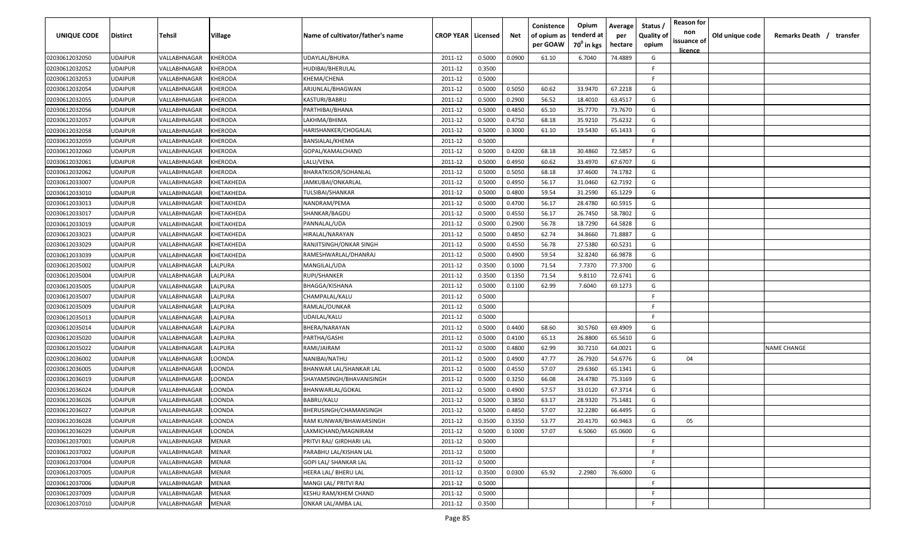| UNIQUE CODE    | <b>Distirct</b> | Tehsil       | Village       | Name of cultivator/father's name | <b>CROP YEAR   Licensed</b> |        | Net    | Conistence<br>of opium as<br>per GOAW | Opium<br>tenderd at<br>70 <sup>0</sup> in kgs | Average<br>per<br>hectare | Status<br><b>Quality of</b><br>opium | <b>Reason for</b><br>non<br>issuance of<br><u>licence</u> | Old unique code | Remarks Death / transfer |
|----------------|-----------------|--------------|---------------|----------------------------------|-----------------------------|--------|--------|---------------------------------------|-----------------------------------------------|---------------------------|--------------------------------------|-----------------------------------------------------------|-----------------|--------------------------|
| 02030612032050 | <b>UDAIPUR</b>  | VALLABHNAGAR | KHERODA       | UDAYLAL/BHURA                    | 2011-12                     | 0.5000 | 0.0900 | 61.10                                 | 6.7040                                        | 74.4889                   | G                                    |                                                           |                 |                          |
| 02030612032052 | <b>UDAIPUR</b>  | VALLABHNAGAR | KHERODA       | HUDIBAI/BHERULAL                 | 2011-12                     | 0.3500 |        |                                       |                                               |                           | -F.                                  |                                                           |                 |                          |
| 02030612032053 | <b>UDAIPUR</b>  | VALLABHNAGAR | KHERODA       | KHEMA/CHENA                      | 2011-12                     | 0.5000 |        |                                       |                                               |                           | -F                                   |                                                           |                 |                          |
| 02030612032054 | <b>UDAIPUR</b>  | VALLABHNAGAR | KHERODA       | ARJUNLAL/BHAGWAN                 | 2011-12                     | 0.5000 | 0.5050 | 60.62                                 | 33.9470                                       | 67.2218                   | G                                    |                                                           |                 |                          |
| 02030612032055 | <b>UDAIPUR</b>  | VALLABHNAGAR | KHERODA       | KASTURI/BABRU                    | 2011-12                     | 0.5000 | 0.2900 | 56.52                                 | 18.4010                                       | 63.4517                   | G                                    |                                                           |                 |                          |
| 02030612032056 | <b>UDAIPUR</b>  | VALLABHNAGAR | KHERODA       | PARTHIBAI/BHANA                  | 2011-12                     | 0.5000 | 0.4850 | 65.10                                 | 35.7770                                       | 73.7670                   | G                                    |                                                           |                 |                          |
| 02030612032057 | <b>UDAIPUR</b>  | VALLABHNAGAR | KHERODA       | LAKHMA/BHIMA                     | 2011-12                     | 0.5000 | 0.4750 | 68.18                                 | 35.9210                                       | 75.6232                   | G                                    |                                                           |                 |                          |
| 02030612032058 | <b>UDAIPUR</b>  | VALLABHNAGAR | KHERODA       | HARISHANKER/CHOGALAL             | 2011-12                     | 0.5000 | 0.3000 | 61.10                                 | 19.5430                                       | 65.1433                   | G                                    |                                                           |                 |                          |
| 02030612032059 | <b>UDAIPUR</b>  | VALLABHNAGAR | KHERODA       | BANSIALAL/KHEMA                  | 2011-12                     | 0.5000 |        |                                       |                                               |                           | F.                                   |                                                           |                 |                          |
| 02030612032060 | <b>UDAIPUR</b>  | VALLABHNAGAR | KHERODA       | GOPAL/KAMALCHAND                 | 2011-12                     | 0.5000 | 0.4200 | 68.18                                 | 30.4860                                       | 72.5857                   | G                                    |                                                           |                 |                          |
| 02030612032061 | UDAIPUR         | VALLABHNAGAR | KHERODA       | LALU/VENA                        | 2011-12                     | 0.5000 | 0.4950 | 60.62                                 | 33.4970                                       | 67.6707                   | G                                    |                                                           |                 |                          |
| 02030612032062 | <b>UDAIPUR</b>  | VALLABHNAGAR | KHERODA       | BHARATKISOR/SOHANLAL             | 2011-12                     | 0.5000 | 0.5050 | 68.18                                 | 37.4600                                       | 74.1782                   | G                                    |                                                           |                 |                          |
| 02030612033007 | <b>UDAIPUR</b>  | VALLABHNAGAR | KHETAKHEDA    | JAMKUBAI/ONKARLAL                | 2011-12                     | 0.5000 | 0.4950 | 56.17                                 | 31.0460                                       | 62.7192                   | G                                    |                                                           |                 |                          |
| 02030612033010 | <b>UDAIPUR</b>  | VALLABHNAGAR | KHETAKHEDA    | TULSIBAI/SHANKAR                 | 2011-12                     | 0.5000 | 0.4800 | 59.54                                 | 31.2590                                       | 65.1229                   | G                                    |                                                           |                 |                          |
| 02030612033013 | <b>UDAIPUR</b>  | VALLABHNAGAR | KHETAKHEDA    | NANDRAM/PEMA                     | 2011-12                     | 0.5000 | 0.4700 | 56.17                                 | 28.4780                                       | 60.5915                   | G                                    |                                                           |                 |                          |
| 02030612033017 | <b>UDAIPUR</b>  | VALLABHNAGAR | KHETAKHEDA    | SHANKAR/BAGDU                    | 2011-12                     | 0.5000 | 0.4550 | 56.17                                 | 26.7450                                       | 58.7802                   | G                                    |                                                           |                 |                          |
| 02030612033019 | <b>UDAIPUR</b>  | VALLABHNAGAR | KHETAKHEDA    | PANNALAL/UDA                     | 2011-12                     | 0.5000 | 0.2900 | 56.78                                 | 18.7290                                       | 64.5828                   | G                                    |                                                           |                 |                          |
| 02030612033023 | <b>UDAIPUR</b>  | VALLABHNAGAR | KHETAKHEDA    | HIRALAL/NARAYAN                  | 2011-12                     | 0.5000 | 0.4850 | 62.74                                 | 34.8660                                       | 71.8887                   | G                                    |                                                           |                 |                          |
| 02030612033029 | <b>UDAIPUR</b>  | VALLABHNAGAR | KHETAKHEDA    | RANJITSINGH/ONKAR SINGH          | 2011-12                     | 0.5000 | 0.4550 | 56.78                                 | 27.5380                                       | 60.5231                   | G                                    |                                                           |                 |                          |
| 02030612033039 | <b>UDAIPUR</b>  | VALLABHNAGAR | KHETAKHEDA    | RAMESHWARLAL/DHANRAJ             | 2011-12                     | 0.5000 | 0.4900 | 59.54                                 | 32.8240                                       | 66.9878                   | G                                    |                                                           |                 |                          |
| 02030612035002 | <b>UDAIPUR</b>  | VALLABHNAGAR | LALPURA       | MANGILAL/UDA                     | 2011-12                     | 0.3500 | 0.1000 | 71.54                                 | 7.7370                                        | 77.3700                   | G                                    |                                                           |                 |                          |
| 02030612035004 | <b>UDAIPUR</b>  | VALLABHNAGAR | LALPURA       | RUPI/SHANKER                     | 2011-12                     | 0.3500 | 0.1350 | 71.54                                 | 9.8110                                        | 72.6741                   | G                                    |                                                           |                 |                          |
| 02030612035005 | <b>UDAIPUR</b>  | VALLABHNAGAR | <b>ALPURA</b> | BHAGGA/KISHANA                   | 2011-12                     | 0.5000 | 0.1100 | 62.99                                 | 7.6040                                        | 69.1273                   | G                                    |                                                           |                 |                          |
| 02030612035007 | <b>UDAIPUR</b>  | VALLABHNAGAR | <b>ALPURA</b> | CHAMPALAL/KALU                   | 2011-12                     | 0.5000 |        |                                       |                                               |                           | -F                                   |                                                           |                 |                          |
| 02030612035009 | <b>UDAIPUR</b>  | VALLABHNAGAR | LALPURA       | RAMLAL/OUNKAR                    | 2011-12                     | 0.5000 |        |                                       |                                               |                           | -F                                   |                                                           |                 |                          |
| 02030612035013 | <b>UDAIPUR</b>  | VALLABHNAGAR | LALPURA       | UDAILAL/KALU                     | 2011-12                     | 0.5000 |        |                                       |                                               |                           | F.                                   |                                                           |                 |                          |
| 02030612035014 | <b>UDAIPUR</b>  | VALLABHNAGAR | <b>ALPURA</b> | BHERA/NARAYAN                    | 2011-12                     | 0.5000 | 0.4400 | 68.60                                 | 30.5760                                       | 69.4909                   | G                                    |                                                           |                 |                          |
| 02030612035020 | UDAIPUR         | VALLABHNAGAR | <b>ALPURA</b> | PARTHA/GASHI                     | 2011-12                     | 0.5000 | 0.4100 | 65.13                                 | 26.8800                                       | 65.5610                   | G                                    |                                                           |                 |                          |
| 02030612035022 | <b>UDAIPUR</b>  | VALLABHNAGAR | LALPURA       | RAMI/JAIRAM                      | 2011-12                     | 0.5000 | 0.4800 | 62.99                                 | 30.7210                                       | 64.0021                   | G                                    |                                                           |                 | <b>NAME CHANGE</b>       |
| 02030612036002 | <b>UDAIPUR</b>  | VALLABHNAGAR | LOONDA        | NANIBAI/NATHU                    | 2011-12                     | 0.5000 | 0.4900 | 47.77                                 | 26.7920                                       | 54.6776                   | G                                    | 04                                                        |                 |                          |
| 02030612036005 | <b>UDAIPUR</b>  | VALLABHNAGAR | LOONDA        | BHANWAR LAL/SHANKAR LAL          | 2011-12                     | 0.5000 | 0.4550 | 57.07                                 | 29.6360                                       | 65.1341                   | G                                    |                                                           |                 |                          |
| 02030612036019 | <b>UDAIPUR</b>  | VALLABHNAGAR | LOONDA        | SHAYAMSINGH/BHAVANISINGH         | 2011-12                     | 0.5000 | 0.3250 | 66.08                                 | 24.4780                                       | 75.3169                   | G                                    |                                                           |                 |                          |
| 02030612036024 | <b>UDAIPUR</b>  | VALLABHNAGAR | LOONDA        | BHANWARLAL/GOKAL                 | 2011-12                     | 0.5000 | 0.4900 | 57.57                                 | 33.0120                                       | 67.3714                   | G                                    |                                                           |                 |                          |
| 02030612036026 | <b>UDAIPUR</b>  | VALLABHNAGAR | LOONDA        | BABRU/KALU                       | 2011-12                     | 0.5000 | 0.3850 | 63.17                                 | 28.9320                                       | 75.1481                   | G                                    |                                                           |                 |                          |
| 02030612036027 | <b>UDAIPUR</b>  | VALLABHNAGAR | LOONDA        | BHERUSINGH/CHAMANSINGH           | 2011-12                     | 0.5000 | 0.4850 | 57.07                                 | 32.2280                                       | 66.4495                   | G                                    |                                                           |                 |                          |
| 02030612036028 | <b>UDAIPUR</b>  | VALLABHNAGAR | LOONDA        | RAM KUNWAR/BHAWARSINGH           | 2011-12                     | 0.3500 | 0.3350 | 53.77                                 | 20.4170                                       | 60.9463                   | G                                    | 05                                                        |                 |                          |
| 02030612036029 | <b>UDAIPUR</b>  | VALLABHNAGAR | LOONDA        | LAXMICHAND/MAGNIRAM              | 2011-12                     | 0.5000 | 0.1000 | 57.07                                 | 6.5060                                        | 65.0600                   | G                                    |                                                           |                 |                          |
| 02030612037001 | <b>UDAIPUR</b>  | VALLABHNAGAR | <b>MENAR</b>  | PRITVI RAJ/ GIRDHARI LAL         | 2011-12                     | 0.5000 |        |                                       |                                               |                           | F.                                   |                                                           |                 |                          |
| 02030612037002 | <b>UDAIPUR</b>  | VALLABHNAGAR | MENAR         | PARABHU LAL/KISHAN LAL           | 2011-12                     | 0.5000 |        |                                       |                                               |                           | F.                                   |                                                           |                 |                          |
| 02030612037004 | <b>UDAIPUR</b>  | VALLABHNAGAR | MENAR         | GOPI LAL/ SHANKAR LAL            | 2011-12                     | 0.5000 |        |                                       |                                               |                           | F.                                   |                                                           |                 |                          |
| 02030612037005 | <b>UDAIPUR</b>  | VALLABHNAGAR | MENAR         | HEERA LAL/ BHERU LAL             | 2011-12                     | 0.3500 | 0.0300 | 65.92                                 | 2.2980                                        | 76.6000                   | G                                    |                                                           |                 |                          |
| 02030612037006 | <b>UDAIPUR</b>  | VALLABHNAGAR | MENAR         | MANGI LAL/ PRITVI RAJ            | 2011-12                     | 0.5000 |        |                                       |                                               |                           | F.                                   |                                                           |                 |                          |
| 02030612037009 | <b>UDAIPUR</b>  | VALLABHNAGAR | MENAR         | KESHU RAM/KHEM CHAND             | 2011-12                     | 0.5000 |        |                                       |                                               |                           | F.                                   |                                                           |                 |                          |
| 02030612037010 | <b>UDAIPUR</b>  | VALLABHNAGAR | <b>MENAR</b>  | ONKAR LAL/AMBA LAL               | 2011-12                     | 0.3500 |        |                                       |                                               |                           | F                                    |                                                           |                 |                          |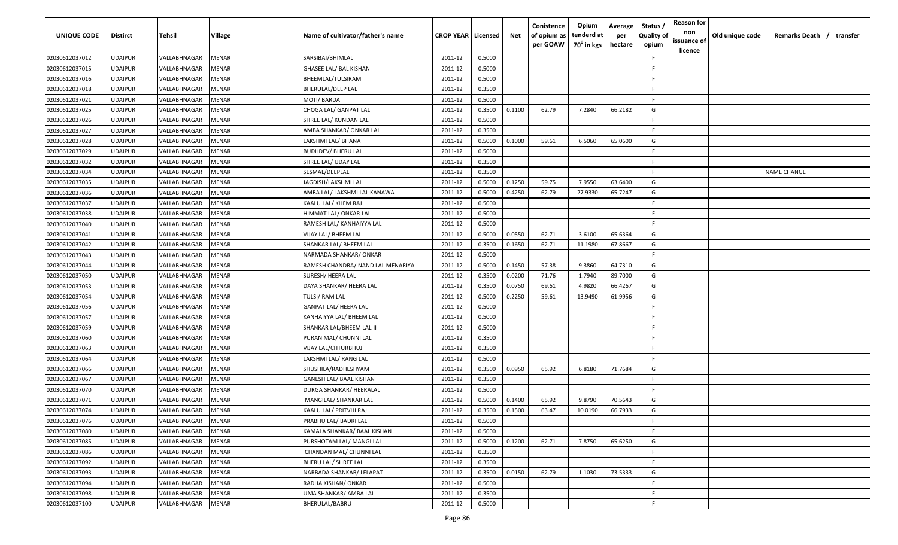| <b>UNIQUE CODE</b> | <b>Distirct</b> | Tehsil       | Village      | Name of cultivator/father's name  | <b>CROP YEAR   Licensed</b> |        | Net    | Conistence<br>of opium as<br>per GOAW | Opium<br>tenderd at<br>70 <sup>0</sup> in kgs | Average<br>per<br>hectare | Status /<br><b>Quality of</b><br>opium | <b>Reason for</b><br>non<br>issuance of<br>licence | Old unique code | Remarks Death / transfer |
|--------------------|-----------------|--------------|--------------|-----------------------------------|-----------------------------|--------|--------|---------------------------------------|-----------------------------------------------|---------------------------|----------------------------------------|----------------------------------------------------|-----------------|--------------------------|
| 02030612037012     | <b>UDAIPUR</b>  | VALLABHNAGAR | MENAR        | SARSIBAI/BHIMLAL                  | 2011-12                     | 0.5000 |        |                                       |                                               |                           | F.                                     |                                                    |                 |                          |
| 02030612037015     | <b>UDAIPUR</b>  | VALLABHNAGAR | MENAR        | GHASEE LAL/ BAL KISHAN            | 2011-12                     | 0.5000 |        |                                       |                                               |                           | F.                                     |                                                    |                 |                          |
| 02030612037016     | <b>UDAIPUR</b>  | VALLABHNAGAR | MENAR        | BHEEMLAL/TULSIRAM                 | 2011-12                     | 0.5000 |        |                                       |                                               |                           | -F                                     |                                                    |                 |                          |
| 02030612037018     | <b>UDAIPUR</b>  | VALLABHNAGAR | MENAR        | <b>BHERULAL/DEEP LAL</b>          | 2011-12                     | 0.3500 |        |                                       |                                               |                           | -F.                                    |                                                    |                 |                          |
| 02030612037021     | <b>UDAIPUR</b>  | VALLABHNAGAR | MENAR        | MOTI/ BARDA                       | 2011-12                     | 0.5000 |        |                                       |                                               |                           | F                                      |                                                    |                 |                          |
| 02030612037025     | <b>UDAIPUR</b>  | VALLABHNAGAR | MENAR        | CHOGA LAL/ GANPAT LAL             | 2011-12                     | 0.3500 | 0.1100 | 62.79                                 | 7.2840                                        | 66.2182                   | G                                      |                                                    |                 |                          |
| 02030612037026     | <b>UDAIPUR</b>  | VALLABHNAGAR | MENAR        | SHREE LAL/ KUNDAN LAL             | 2011-12                     | 0.5000 |        |                                       |                                               |                           | F.                                     |                                                    |                 |                          |
| 02030612037027     | <b>UDAIPUR</b>  | VALLABHNAGAR | MENAR        | AMBA SHANKAR/ ONKAR LAL           | 2011-12                     | 0.3500 |        |                                       |                                               |                           | F.                                     |                                                    |                 |                          |
| 02030612037028     | <b>UDAIPUR</b>  | VALLABHNAGAR | MENAR        | LAKSHMI LAL/ BHANA                | 2011-12                     | 0.5000 | 0.1000 | 59.61                                 | 6.5060                                        | 65.0600                   | G                                      |                                                    |                 |                          |
| 02030612037029     | <b>UDAIPUR</b>  | VALLABHNAGAR | MENAR        | BUDHDEV/ BHERU LAL                | 2011-12                     | 0.5000 |        |                                       |                                               |                           | F.                                     |                                                    |                 |                          |
| 02030612037032     | <b>UDAIPUR</b>  | VALLABHNAGAR | MENAR        | SHREE LAL/ UDAY LAL               | 2011-12                     | 0.3500 |        |                                       |                                               |                           | F                                      |                                                    |                 |                          |
| 02030612037034     | <b>UDAIPUR</b>  | VALLABHNAGAR | MENAR        | SESMAL/DEEPLAL                    | 2011-12                     | 0.3500 |        |                                       |                                               |                           | -F.                                    |                                                    |                 | <b>NAME CHANGE</b>       |
| 02030612037035     | <b>UDAIPUR</b>  | VALLABHNAGAR | MENAR        | JAGDISH/LAKSHMI LAL               | 2011-12                     | 0.5000 | 0.1250 | 59.75                                 | 7.9550                                        | 63.6400                   | G                                      |                                                    |                 |                          |
| 02030612037036     | <b>UDAIPUR</b>  | VALLABHNAGAR | MENAR        | AMBA LAL/ LAKSHMI LAL KANAWA      | 2011-12                     | 0.5000 | 0.4250 | 62.79                                 | 27.9330                                       | 65.7247                   | G                                      |                                                    |                 |                          |
| 02030612037037     | <b>UDAIPUR</b>  | VALLABHNAGAR | MENAR        | KAALU LAL/ KHEM RAJ               | 2011-12                     | 0.5000 |        |                                       |                                               |                           | F.                                     |                                                    |                 |                          |
| 02030612037038     | <b>UDAIPUR</b>  | VALLABHNAGAR | MENAR        | HIMMAT LAL/ ONKAR LAL             | 2011-12                     | 0.5000 |        |                                       |                                               |                           | -F.                                    |                                                    |                 |                          |
| 02030612037040     | <b>UDAIPUR</b>  | VALLABHNAGAR | MENAR        | RAMESH LAL/ KANHAIYYA LAL         | 2011-12                     | 0.5000 |        |                                       |                                               |                           | F.                                     |                                                    |                 |                          |
| 02030612037041     | <b>UDAIPUR</b>  | VALLABHNAGAR | MENAR        | VIJAY LAL/ BHEEM LAL              | 2011-12                     | 0.5000 | 0.0550 | 62.71                                 | 3.6100                                        | 65.6364                   | G                                      |                                                    |                 |                          |
| 02030612037042     | <b>UDAIPUR</b>  | VALLABHNAGAR | MENAR        | SHANKAR LAL/ BHEEM LAL            | 2011-12                     | 0.3500 | 0.1650 | 62.71                                 | 11.1980                                       | 67.8667                   | G                                      |                                                    |                 |                          |
| 02030612037043     | <b>UDAIPUR</b>  | VALLABHNAGAR | MENAR        | NARMADA SHANKAR/ONKAR             | 2011-12                     | 0.5000 |        |                                       |                                               |                           | -F                                     |                                                    |                 |                          |
| 02030612037044     | <b>UDAIPUR</b>  | VALLABHNAGAR | MENAR        | RAMESH CHANDRA/ NAND LAL MENARIYA | 2011-12                     | 0.5000 | 0.1450 | 57.38                                 | 9.3860                                        | 64.7310                   | G                                      |                                                    |                 |                          |
| 02030612037050     | <b>UDAIPUR</b>  | VALLABHNAGAR | MENAR        | SURESH/ HEERA LAL                 | 2011-12                     | 0.3500 | 0.0200 | 71.76                                 | 1.7940                                        | 89.7000                   | G                                      |                                                    |                 |                          |
| 02030612037053     | <b>UDAIPUR</b>  | VALLABHNAGAR | MENAR        | DAYA SHANKAR/ HEERA LAL           | 2011-12                     | 0.3500 | 0.0750 | 69.61                                 | 4.9820                                        | 66.4267                   | G                                      |                                                    |                 |                          |
| 02030612037054     | <b>UDAIPUR</b>  | VALLABHNAGAR | MENAR        | TULSI/ RAM LAL                    | 2011-12                     | 0.5000 | 0.2250 | 59.61                                 | 13.9490                                       | 61.9956                   | G                                      |                                                    |                 |                          |
| 02030612037056     | <b>UDAIPUR</b>  | VALLABHNAGAR | MENAR        | GANPAT LAL/ HEERA LAL             | 2011-12                     | 0.5000 |        |                                       |                                               |                           | F.                                     |                                                    |                 |                          |
| 02030612037057     | <b>UDAIPUR</b>  | VALLABHNAGAR | MENAR        | KANHAIYYA LAL/ BHEEM LAL          | 2011-12                     | 0.5000 |        |                                       |                                               |                           | F.                                     |                                                    |                 |                          |
| 02030612037059     | UDAIPUR         | VALLABHNAGAR | MENAR        | SHANKAR LAL/BHEEM LAL-II          | 2011-12                     | 0.5000 |        |                                       |                                               |                           | F                                      |                                                    |                 |                          |
| 02030612037060     | <b>UDAIPUR</b>  | VALLABHNAGAR | MENAR        | PURAN MAL/ CHUNNI LAL             | 2011-12                     | 0.3500 |        |                                       |                                               |                           | F                                      |                                                    |                 |                          |
| 02030612037063     | <b>UDAIPUR</b>  | VALLABHNAGAR | MENAR        | VIJAY LAL/CHTURBHUJ               | 2011-12                     | 0.3500 |        |                                       |                                               |                           | -F                                     |                                                    |                 |                          |
| 02030612037064     | <b>UDAIPUR</b>  | VALLABHNAGAR | MENAR        | LAKSHMI LAL/ RANG LAL             | 2011-12                     | 0.5000 |        |                                       |                                               |                           | F.                                     |                                                    |                 |                          |
| 02030612037066     | <b>UDAIPUR</b>  | VALLABHNAGAR | MENAR        | SHUSHILA/RADHESHYAM               | 2011-12                     | 0.3500 | 0.0950 | 65.92                                 | 6.8180                                        | 71.7684                   | G                                      |                                                    |                 |                          |
| 02030612037067     | <b>UDAIPUR</b>  | VALLABHNAGAR | MENAR        | GANESH LAL/ BAAL KISHAN           | 2011-12                     | 0.3500 |        |                                       |                                               |                           | F                                      |                                                    |                 |                          |
| 02030612037070     | <b>UDAIPUR</b>  | VALLABHNAGAR | MENAR        | DURGA SHANKAR/ HEERALAL           | 2011-12                     | 0.5000 |        |                                       |                                               |                           | F.                                     |                                                    |                 |                          |
| 02030612037071     | <b>UDAIPUR</b>  | VALLABHNAGAR | MENAR        | MANGILAL/ SHANKAR LAL             | 2011-12                     | 0.5000 | 0.1400 | 65.92                                 | 9.8790                                        | 70.5643                   | G                                      |                                                    |                 |                          |
| 02030612037074     | <b>UDAIPUR</b>  | VALLABHNAGAR | MENAR        | KAALU LAL/ PRITVHI RAJ            | 2011-12                     | 0.3500 | 0.1500 | 63.47                                 | 10.0190                                       | 66.7933                   | G                                      |                                                    |                 |                          |
| 02030612037076     | <b>UDAIPUR</b>  | VALLABHNAGAR | <b>MENAR</b> | PRABHU LAL/ BADRI LAL             | 2011-12                     | 0.5000 |        |                                       |                                               |                           | F.                                     |                                                    |                 |                          |
| 02030612037080     | <b>UDAIPUR</b>  | VALLABHNAGAR | MENAR        | KAMALA SHANKAR/ BAAL KISHAN       | 2011-12                     | 0.5000 |        |                                       |                                               |                           | F.                                     |                                                    |                 |                          |
| 02030612037085     | <b>UDAIPUR</b>  | VALLABHNAGAR | <b>MENAR</b> | PURSHOTAM LAL/ MANGI LAL          | 2011-12                     | 0.5000 | 0.1200 | 62.71                                 | 7.8750                                        | 65.6250                   | G                                      |                                                    |                 |                          |
| 02030612037086     | <b>UDAIPUR</b>  | VALLABHNAGAR | MENAR        | CHANDAN MAL/ CHUNNI LAL           | 2011-12                     | 0.3500 |        |                                       |                                               |                           | F.                                     |                                                    |                 |                          |
| 02030612037092     | <b>UDAIPUR</b>  | VALLABHNAGAR | MENAR        | BHERU LAL/ SHREE LAL              | 2011-12                     | 0.3500 |        |                                       |                                               |                           | F.                                     |                                                    |                 |                          |
| 02030612037093     | <b>UDAIPUR</b>  | VALLABHNAGAR | MENAR        | NARBADA SHANKAR/ LELAPAT          | 2011-12                     | 0.3500 | 0.0150 | 62.79                                 | 1.1030                                        | 73.5333                   | G                                      |                                                    |                 |                          |
| 02030612037094     | <b>UDAIPUR</b>  | VALLABHNAGAR | MENAR        | RADHA KISHAN/ ONKAR               | 2011-12                     | 0.5000 |        |                                       |                                               |                           | F.                                     |                                                    |                 |                          |
| 02030612037098     | <b>UDAIPUR</b>  | VALLABHNAGAR | MENAR        | UMA SHANKAR/ AMBA LAL             | 2011-12                     | 0.3500 |        |                                       |                                               |                           | F.                                     |                                                    |                 |                          |
| 02030612037100     | <b>UDAIPUR</b>  | VALLABHNAGAR | <b>MENAR</b> | BHERULAL/BABRU                    | 2011-12                     | 0.5000 |        |                                       |                                               |                           | F.                                     |                                                    |                 |                          |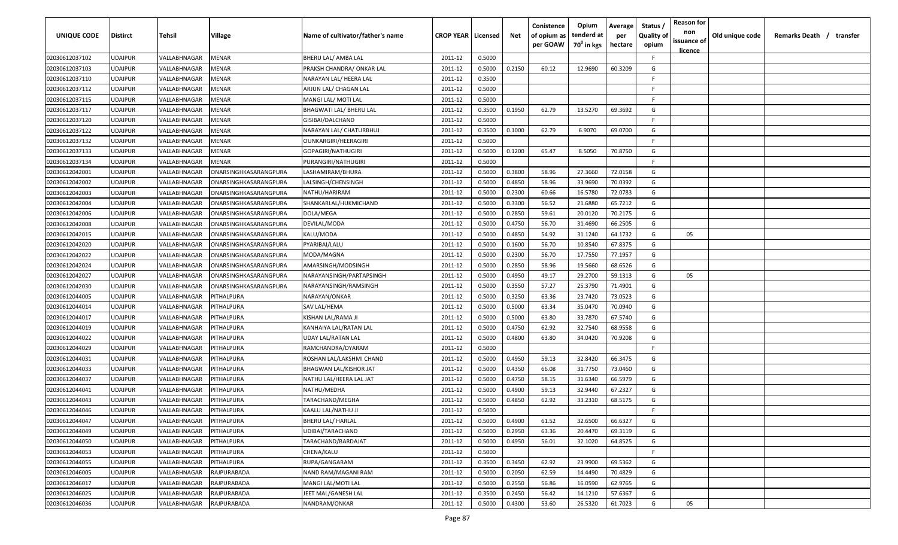| UNIQUE CODE    | <b>Distirct</b> | Tehsil       | Village               | Name of cultivator/father's name | <b>CROP YEAR   Licensed</b> |        | Net    | Conistence<br>of opium as<br>per GOAW | Opium<br>tenderd at<br>70 <sup>0</sup> in kgs | Average<br>per<br>hectare | Status<br><b>Quality of</b><br>opium | <b>Reason for</b><br>non<br>issuance of<br><u>licence</u> | Old unique code | Remarks Death / transfer |
|----------------|-----------------|--------------|-----------------------|----------------------------------|-----------------------------|--------|--------|---------------------------------------|-----------------------------------------------|---------------------------|--------------------------------------|-----------------------------------------------------------|-----------------|--------------------------|
| 02030612037102 | <b>UDAIPUR</b>  | VALLABHNAGAR | MENAR                 | BHERU LAL/ AMBA LAL              | 2011-12                     | 0.5000 |        |                                       |                                               |                           | F.                                   |                                                           |                 |                          |
| 02030612037103 | <b>UDAIPUR</b>  | VALLABHNAGAR | MENAR                 | PRAKSH CHANDRA/ ONKAR LAL        | 2011-12                     | 0.5000 | 0.2150 | 60.12                                 | 12.9690                                       | 60.3209                   | G                                    |                                                           |                 |                          |
| 02030612037110 | <b>UDAIPUR</b>  | VALLABHNAGAR | MENAR                 | NARAYAN LAL/ HEERA LAL           | 2011-12                     | 0.3500 |        |                                       |                                               |                           | -F                                   |                                                           |                 |                          |
| 02030612037112 | <b>UDAIPUR</b>  | VALLABHNAGAR | MENAR                 | ARJUN LAL/ CHAGAN LAL            | 2011-12                     | 0.5000 |        |                                       |                                               |                           | -F                                   |                                                           |                 |                          |
| 02030612037115 | <b>UDAIPUR</b>  | VALLABHNAGAR | MENAR                 | MANGI LAL/ MOTI LAL              | 2011-12                     | 0.5000 |        |                                       |                                               |                           | -F                                   |                                                           |                 |                          |
| 02030612037117 | <b>UDAIPUR</b>  | VALLABHNAGAR | MENAR                 | BHAGWATI LAL/ BHERU LAL          | 2011-12                     | 0.3500 | 0.1950 | 62.79                                 | 13.5270                                       | 69.3692                   | G                                    |                                                           |                 |                          |
| 02030612037120 | <b>UDAIPUR</b>  | VALLABHNAGAR | MENAR                 | GISIBAI/DALCHAND                 | 2011-12                     | 0.5000 |        |                                       |                                               |                           | -F                                   |                                                           |                 |                          |
| 02030612037122 | <b>UDAIPUR</b>  | VALLABHNAGAR | MENAR                 | NARAYAN LAL/ CHATURBHUJ          | 2011-12                     | 0.3500 | 0.1000 | 62.79                                 | 6.9070                                        | 69.0700                   | G                                    |                                                           |                 |                          |
| 02030612037132 | <b>UDAIPUR</b>  | VALLABHNAGAR | MENAR                 | <b>OUNKARGIRI/HEERAGIRI</b>      | 2011-12                     | 0.5000 |        |                                       |                                               |                           | F.                                   |                                                           |                 |                          |
| 02030612037133 | <b>UDAIPUR</b>  | VALLABHNAGAR | MENAR                 | GOPAGIRI/NATHUGIRI               | 2011-12                     | 0.5000 | 0.1200 | 65.47                                 | 8.5050                                        | 70.8750                   | G                                    |                                                           |                 |                          |
| 02030612037134 | <b>UDAIPUR</b>  | VALLABHNAGAR | MENAR                 | PURANGIRI/NATHUGIRI              | 2011-12                     | 0.5000 |        |                                       |                                               |                           | F.                                   |                                                           |                 |                          |
| 02030612042001 | <b>UDAIPUR</b>  | VALLABHNAGAR | ONARSINGHKASARANGPURA | LASHAMIRAM/BHURA                 | 2011-12                     | 0.5000 | 0.3800 | 58.96                                 | 27.3660                                       | 72.0158                   | G                                    |                                                           |                 |                          |
| 02030612042002 | <b>UDAIPUR</b>  | VALLABHNAGAR | ONARSINGHKASARANGPURA | LALSINGH/CHENSINGH               | 2011-12                     | 0.5000 | 0.4850 | 58.96                                 | 33.9690                                       | 70.0392                   | G                                    |                                                           |                 |                          |
| 02030612042003 | <b>UDAIPUR</b>  | VALLABHNAGAR | ONARSINGHKASARANGPURA | NATHU/HARIRAM                    | 2011-12                     | 0.5000 | 0.2300 | 60.66                                 | 16.5780                                       | 72.0783                   | G                                    |                                                           |                 |                          |
| 02030612042004 | <b>UDAIPUR</b>  | VALLABHNAGAR | ONARSINGHKASARANGPURA | SHANKARLAL/HUKMICHAND            | 2011-12                     | 0.5000 | 0.3300 | 56.52                                 | 21.6880                                       | 65.7212                   | G                                    |                                                           |                 |                          |
| 02030612042006 | <b>UDAIPUR</b>  | VALLABHNAGAR | ONARSINGHKASARANGPURA | DOLA/MEGA                        | 2011-12                     | 0.5000 | 0.2850 | 59.61                                 | 20.0120                                       | 70.2175                   | G                                    |                                                           |                 |                          |
| 02030612042008 | <b>UDAIPUR</b>  | VALLABHNAGAR | ONARSINGHKASARANGPURA | DEVILAL/MODA                     | 2011-12                     | 0.5000 | 0.4750 | 56.70                                 | 31.4690                                       | 66.2505                   | G                                    |                                                           |                 |                          |
| 02030612042015 | <b>UDAIPUR</b>  | VALLABHNAGAR | ONARSINGHKASARANGPURA | KALU/MODA                        | 2011-12                     | 0.5000 | 0.4850 | 54.92                                 | 31.1240                                       | 64.1732                   | G                                    | 05                                                        |                 |                          |
| 02030612042020 | <b>UDAIPUR</b>  | VALLABHNAGAR | ONARSINGHKASARANGPURA | PYARIBAI/LALU                    | 2011-12                     | 0.5000 | 0.1600 | 56.70                                 | 10.8540                                       | 67.8375                   | G                                    |                                                           |                 |                          |
| 02030612042022 | <b>UDAIPUR</b>  | VALLABHNAGAR | ONARSINGHKASARANGPURA | MODA/MAGNA                       | 2011-12                     | 0.5000 | 0.2300 | 56.70                                 | 17.7550                                       | 77.1957                   | G                                    |                                                           |                 |                          |
| 02030612042024 | <b>UDAIPUR</b>  | VALLABHNAGAR | ONARSINGHKASARANGPURA | AMARSINGH/MODSINGH               | 2011-12                     | 0.5000 | 0.2850 | 58.96                                 | 19.5660                                       | 68.6526                   | G                                    |                                                           |                 |                          |
| 02030612042027 | <b>UDAIPUR</b>  | VALLABHNAGAR | ONARSINGHKASARANGPURA | NARAYANSINGH/PARTAPSINGH         | 2011-12                     | 0.5000 | 0.4950 | 49.17                                 | 29.2700                                       | 59.1313                   | G                                    | 05                                                        |                 |                          |
| 02030612042030 | <b>UDAIPUR</b>  | VALLABHNAGAR | ONARSINGHKASARANGPURA | NARAYANSINGH/RAMSINGH            | 2011-12                     | 0.5000 | 0.3550 | 57.27                                 | 25.3790                                       | 71.4901                   | G                                    |                                                           |                 |                          |
| 02030612044005 | <b>UDAIPUR</b>  | VALLABHNAGAR | <b>PITHALPURA</b>     | NARAYAN/ONKAR                    | 2011-12                     | 0.5000 | 0.3250 | 63.36                                 | 23.7420                                       | 73.0523                   | G                                    |                                                           |                 |                          |
| 02030612044014 | <b>UDAIPUR</b>  | VALLABHNAGAR | <b>ITHALPURA</b>      | SAV LAL/HEMA                     | 2011-12                     | 0.5000 | 0.5000 | 63.34                                 | 35.0470                                       | 70.0940                   | G                                    |                                                           |                 |                          |
| 02030612044017 | <b>UDAIPUR</b>  | VALLABHNAGAR | <b>ITHALPURA</b>      | KISHAN LAL/RAMA JI               | 2011-12                     | 0.5000 | 0.5000 | 63.80                                 | 33.7870                                       | 67.5740                   | G                                    |                                                           |                 |                          |
| 02030612044019 | <b>UDAIPUR</b>  | VALLABHNAGAR | <b>ITHALPURA</b>      | KANHAIYA LAL/RATAN LAL           | 2011-12                     | 0.5000 | 0.4750 | 62.92                                 | 32.7540                                       | 68.9558                   | G                                    |                                                           |                 |                          |
| 02030612044022 | <b>UDAIPUR</b>  | VALLABHNAGAR | <b>ITHALPURA</b>      | UDAY LAL/RATAN LAL               | 2011-12                     | 0.5000 | 0.4800 | 63.80                                 | 34.0420                                       | 70.9208                   | G                                    |                                                           |                 |                          |
| 02030612044029 | <b>UDAIPUR</b>  | VALLABHNAGAR | PITHALPURA            | RAMCHANDRA/DYARAM                | 2011-12                     | 0.5000 |        |                                       |                                               |                           | F.                                   |                                                           |                 |                          |
| 02030612044031 | <b>UDAIPUR</b>  | VALLABHNAGAR | PITHALPURA            | ROSHAN LAL/LAKSHMI CHAND         | 2011-12                     | 0.5000 | 0.4950 | 59.13                                 | 32.8420                                       | 66.3475                   | G                                    |                                                           |                 |                          |
| 02030612044033 | <b>UDAIPUR</b>  | VALLABHNAGAR | PITHALPURA            | BHAGWAN LAL/KISHOR JAT           | 2011-12                     | 0.5000 | 0.4350 | 66.08                                 | 31.7750                                       | 73.0460                   | G                                    |                                                           |                 |                          |
| 02030612044037 | <b>UDAIPUR</b>  | VALLABHNAGAR | <b>ITHALPURA</b>      | NATHU LAL/HEERA LAL JAT          | 2011-12                     | 0.5000 | 0.4750 | 58.15                                 | 31.6340                                       | 66.5979                   | G                                    |                                                           |                 |                          |
| 02030612044041 | <b>UDAIPUR</b>  | VALLABHNAGAR | <b>ITHALPURA</b>      | NATHU/MEDHA                      | 2011-12                     | 0.5000 | 0.4900 | 59.13                                 | 32.9440                                       | 67.2327                   | G                                    |                                                           |                 |                          |
| 02030612044043 | <b>UDAIPUR</b>  | VALLABHNAGAR | <b>ITHALPURA</b>      | TARACHAND/MEGHA                  | 2011-12                     | 0.5000 | 0.4850 | 62.92                                 | 33.2310                                       | 68.5175                   | G                                    |                                                           |                 |                          |
| 02030612044046 | <b>UDAIPUR</b>  | VALLABHNAGAR | <b>PITHALPURA</b>     | KAALU LAL/NATHU JI               | 2011-12                     | 0.5000 |        |                                       |                                               |                           | F.                                   |                                                           |                 |                          |
| 02030612044047 | <b>UDAIPUR</b>  | VALLABHNAGAR | PITHALPURA            | <b>BHERU LAL/ HARLAL</b>         | 2011-12                     | 0.5000 | 0.4900 | 61.52                                 | 32.6500                                       | 66.6327                   | G                                    |                                                           |                 |                          |
| 02030612044049 | <b>UDAIPUR</b>  | VALLABHNAGAR | PITHALPURA            | UDIBAI/TARACHAND                 | 2011-12                     | 0.5000 | 0.2950 | 63.36                                 | 20.4470                                       | 69.3119                   | G                                    |                                                           |                 |                          |
| 02030612044050 | <b>UDAIPUR</b>  | VALLABHNAGAR | PITHALPURA            | TARACHAND/BARDAJAT               | 2011-12                     | 0.5000 | 0.4950 | 56.01                                 | 32.1020                                       | 64.8525                   | G                                    |                                                           |                 |                          |
| 02030612044053 | <b>UDAIPUR</b>  | VALLABHNAGAR | PITHALPURA            | CHENA/KALU                       | 2011-12                     | 0.5000 |        |                                       |                                               |                           | F.                                   |                                                           |                 |                          |
| 02030612044055 | <b>UDAIPUR</b>  | VALLABHNAGAR | PITHALPURA            | RUPA/GANGARAM                    | 2011-12                     | 0.3500 | 0.3450 | 62.92                                 | 23.9900                                       | 69.5362                   | G                                    |                                                           |                 |                          |
| 02030612046005 | <b>UDAIPUR</b>  | VALLABHNAGAR | RAJPURABADA           | NAND RAM/MAGANI RAM              | 2011-12                     | 0.5000 | 0.2050 | 62.59                                 | 14.4490                                       | 70.4829                   | G                                    |                                                           |                 |                          |
| 02030612046017 | <b>UDAIPUR</b>  | VALLABHNAGAR | RAJPURABADA           | MANGI LAL/MOTI LAL               | 2011-12                     | 0.5000 | 0.2550 | 56.86                                 | 16.0590                                       | 62.9765                   | G                                    |                                                           |                 |                          |
| 02030612046025 | <b>UDAIPUR</b>  | VALLABHNAGAR | RAJPURABADA           | JEET MAL/GANESH LAL              | 2011-12                     | 0.3500 | 0.2450 | 56.42                                 | 14.1210                                       | 57.6367                   | G                                    |                                                           |                 |                          |
| 02030612046036 | <b>UDAIPUR</b>  | VALLABHNAGAR | RAJPURABADA           | NANDRAM/ONKAR                    | 2011-12                     | 0.5000 | 0.4300 | 53.60                                 | 26.5320                                       | 61.7023                   | G                                    | 05                                                        |                 |                          |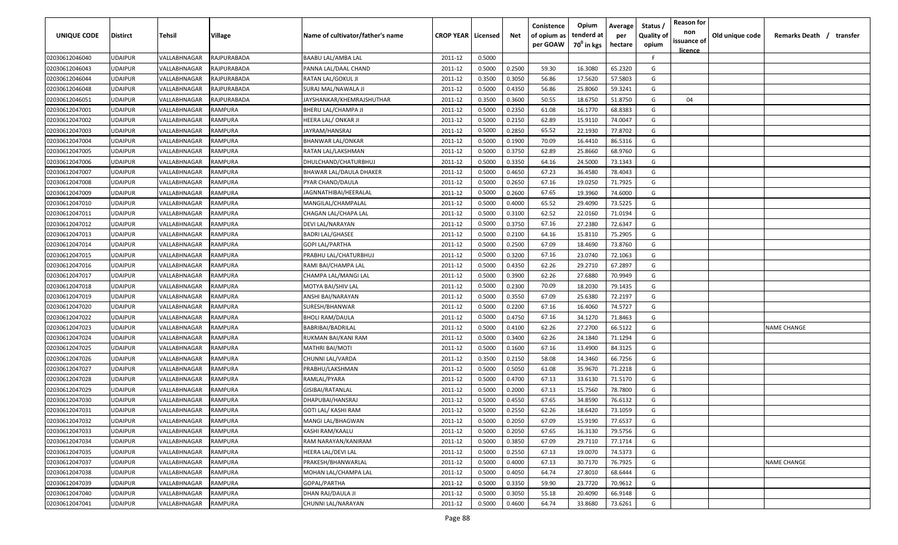| UNIQUE CODE    | <b>Distirct</b> | Tehsil       | Village        | Name of cultivator/father's name | <b>CROP YEAR   Licensed</b> |        | Net    | Conistence<br>of opium as | Opium<br>tenderd at    | Average<br>per | Status<br><b>Quality of</b> | <b>Reason for</b><br>non<br>issuance of | Old unique code | Remarks Death / transfer |
|----------------|-----------------|--------------|----------------|----------------------------------|-----------------------------|--------|--------|---------------------------|------------------------|----------------|-----------------------------|-----------------------------------------|-----------------|--------------------------|
|                |                 |              |                |                                  |                             |        |        | per GOAW                  | 70 <sup>°</sup> in kgs | hectare        | opium                       | <u>licence</u>                          |                 |                          |
| 02030612046040 | <b>UDAIPUR</b>  | VALLABHNAGAR | RAJPURABADA    | <b>BAABU LAL/AMBA LAL</b>        | 2011-12                     | 0.5000 |        |                           |                        |                | F.                          |                                         |                 |                          |
| 02030612046043 | <b>UDAIPUR</b>  | VALLABHNAGAR | RAJPURABADA    | PANNA LAL/DAAL CHAND             | 2011-12                     | 0.5000 | 0.2500 | 59.30                     | 16.3080                | 65.2320        | G                           |                                         |                 |                          |
| 02030612046044 | <b>UDAIPUR</b>  | VALLABHNAGAR | RAJPURABADA    | RATAN LAL/GOKUL JI               | 2011-12                     | 0.3500 | 0.3050 | 56.86                     | 17.5620                | 57.5803        | G                           |                                         |                 |                          |
| 02030612046048 | <b>UDAIPUR</b>  | VALLABHNAGAR | RAJPURABADA    | SURAJ MAL/NAWALA JI              | 2011-12                     | 0.5000 | 0.4350 | 56.86                     | 25.8060                | 59.3241        | G                           |                                         |                 |                          |
| 02030612046051 | <b>UDAIPUR</b>  | VALLABHNAGAR | RAJPURABADA    | JAYSHANKAR/KHEMRAJSHUTHAR        | 2011-12                     | 0.3500 | 0.3600 | 50.55                     | 18.6750                | 51.8750        | G                           | 04                                      |                 |                          |
| 02030612047001 | <b>UDAIPUR</b>  | VALLABHNAGAR | RAMPURA        | BHERU LAL/CHAMPA JI              | 2011-12                     | 0.5000 | 0.2350 | 61.08                     | 16.1770                | 68.8383        | G                           |                                         |                 |                          |
| 02030612047002 | <b>UDAIPUR</b>  | VALLABHNAGAR | RAMPURA        | HEERA LAL/ ONKAR JI              | 2011-12                     | 0.5000 | 0.2150 | 62.89                     | 15.9110                | 74.0047        | G                           |                                         |                 |                          |
| 02030612047003 | <b>UDAIPUR</b>  | VALLABHNAGAR | RAMPURA        | JAYRAM/HANSRAJ                   | 2011-12                     | 0.5000 | 0.2850 | 65.52                     | 22.1930                | 77.8702        | G                           |                                         |                 |                          |
| 02030612047004 | <b>UDAIPUR</b>  | VALLABHNAGAR | RAMPURA        | BHANWAR LAL/ONKAR                | 2011-12                     | 0.5000 | 0.1900 | 70.09                     | 16.4410                | 86.5316        | G                           |                                         |                 |                          |
| 02030612047005 | <b>UDAIPUR</b>  | VALLABHNAGAR | RAMPURA        | RATAN LAL/LAKSHMAN               | 2011-12                     | 0.5000 | 0.3750 | 62.89                     | 25.8660                | 68.9760        | G                           |                                         |                 |                          |
| 02030612047006 | <b>UDAIPUR</b>  | VALLABHNAGAR | RAMPURA        | DHULCHAND/CHATURBHUJ             | 2011-12                     | 0.5000 | 0.3350 | 64.16                     | 24.5000                | 73.1343        | G                           |                                         |                 |                          |
| 02030612047007 | <b>UDAIPUR</b>  | VALLABHNAGAR | RAMPURA        | BHAWAR LAL/DAULA DHAKER          | 2011-12                     | 0.5000 | 0.4650 | 67.23                     | 36.4580                | 78.4043        | G                           |                                         |                 |                          |
| 02030612047008 | <b>UDAIPUR</b>  | VALLABHNAGAR | RAMPURA        | PYAR CHAND/DAULA                 | 2011-12                     | 0.5000 | 0.2650 | 67.16                     | 19.0250                | 71.7925        | G                           |                                         |                 |                          |
| 02030612047009 | <b>UDAIPUR</b>  | VALLABHNAGAR | RAMPURA        | IAGNNATHIBAI/HEERALAL            | 2011-12                     | 0.5000 | 0.2600 | 67.65                     | 19.3960                | 74.6000        | G                           |                                         |                 |                          |
| 02030612047010 | <b>UDAIPUR</b>  | VALLABHNAGAR | <b>RAMPURA</b> | MANGILAL/CHAMPALAL               | 2011-12                     | 0.5000 | 0.4000 | 65.52                     | 29.4090                | 73.5225        | G                           |                                         |                 |                          |
| 02030612047011 | <b>UDAIPUR</b>  | VALLABHNAGAR | RAMPURA        | CHAGAN LAL/CHAPA LAL             | 2011-12                     | 0.5000 | 0.3100 | 62.52                     | 22.0160                | 71.0194        | G                           |                                         |                 |                          |
| 02030612047012 | <b>UDAIPUR</b>  | VALLABHNAGAR | <b>RAMPURA</b> | DEVI LAL/NARAYAN                 | 2011-12                     | 0.5000 | 0.3750 | 67.16                     | 27.2380                | 72.6347        | G                           |                                         |                 |                          |
| 02030612047013 | <b>UDAIPUR</b>  | VALLABHNAGAR | RAMPURA        | <b>BADRI LAL/GHASEE</b>          | 2011-12                     | 0.5000 | 0.2100 | 64.16                     | 15.8110                | 75.2905        | G                           |                                         |                 |                          |
| 02030612047014 | <b>UDAIPUR</b>  | VALLABHNAGAR | RAMPURA        | <b>GOPI LAL/PARTHA</b>           | 2011-12                     | 0.5000 | 0.2500 | 67.09                     | 18.4690                | 73.8760        | G                           |                                         |                 |                          |
| 02030612047015 | <b>UDAIPUR</b>  | VALLABHNAGAR | RAMPURA        | PRABHU LAL/CHATURBHUJ            | 2011-12                     | 0.5000 | 0.3200 | 67.16                     | 23.0740                | 72.1063        | G                           |                                         |                 |                          |
| 02030612047016 | <b>UDAIPUR</b>  | VALLABHNAGAR | RAMPURA        | RAMI BAI/CHAMPA LAL              | 2011-12                     | 0.5000 | 0.4350 | 62.26                     | 29.2710                | 67.2897        | G                           |                                         |                 |                          |
| 02030612047017 | <b>UDAIPUR</b>  | VALLABHNAGAR | RAMPURA        | CHAMPA LAL/MANGI LAL             | 2011-12                     | 0.5000 | 0.3900 | 62.26                     | 27.6880                | 70.9949        | G                           |                                         |                 |                          |
| 02030612047018 | <b>UDAIPUR</b>  | VALLABHNAGAR | RAMPURA        | MOTYA BAI/SHIV LAL               | 2011-12                     | 0.5000 | 0.2300 | 70.09                     | 18.2030                | 79.1435        | G                           |                                         |                 |                          |
| 02030612047019 | <b>UDAIPUR</b>  | VALLABHNAGAR | RAMPURA        | ANSHI BAI/NARAYAN                | 2011-12                     | 0.5000 | 0.3550 | 67.09                     | 25.6380                | 72.2197        | G                           |                                         |                 |                          |
| 02030612047020 | <b>UDAIPUR</b>  | VALLABHNAGAR | RAMPURA        | SURESH/BHANWAR                   | 2011-12                     | 0.5000 | 0.2200 | 67.16                     | 16.4060                | 74.5727        | G                           |                                         |                 |                          |
| 02030612047022 | <b>UDAIPUR</b>  | VALLABHNAGAR | RAMPURA        | BHOLI RAM/DAULA                  | 2011-12                     | 0.5000 | 0.4750 | 67.16                     | 34.1270                | 71.8463        | G                           |                                         |                 |                          |
| 02030612047023 | <b>UDAIPUR</b>  | VALLABHNAGAR | RAMPURA        | BABRIBAI/BADRILAL                | 2011-12                     | 0.5000 | 0.4100 | 62.26                     | 27.2700                | 66.5122        | G                           |                                         |                 | <b>NAME CHANGE</b>       |
| 02030612047024 | <b>UDAIPUR</b>  | VALLABHNAGAR | RAMPURA        | RUKMAN BAI/KANI RAM              | 2011-12                     | 0.5000 | 0.3400 | 62.26                     | 24.1840                | 71.1294        | G                           |                                         |                 |                          |
| 02030612047025 | <b>UDAIPUR</b>  | VALLABHNAGAR | RAMPURA        | MATHRI BAI/MOTI                  | 2011-12                     | 0.5000 | 0.1600 | 67.16                     | 13.4900                | 84.3125        | G                           |                                         |                 |                          |
| 02030612047026 | <b>UDAIPUR</b>  | VALLABHNAGAR | RAMPURA        | CHUNNI LAL/VARDA                 | 2011-12                     | 0.3500 | 0.2150 | 58.08                     | 14.3460                | 66.7256        | G                           |                                         |                 |                          |
| 02030612047027 | <b>UDAIPUR</b>  | VALLABHNAGAR | RAMPURA        | PRABHU/LAKSHMAN                  | 2011-12                     | 0.5000 | 0.5050 | 61.08                     | 35.9670                | 71.2218        | G                           |                                         |                 |                          |
| 02030612047028 | <b>UDAIPUR</b>  | VALLABHNAGAR | RAMPURA        | RAMLAL/PYARA                     | 2011-12                     | 0.5000 | 0.4700 | 67.13                     | 33.6130                | 71.5170        | G                           |                                         |                 |                          |
| 02030612047029 | <b>UDAIPUR</b>  | VALLABHNAGAR | RAMPURA        | GISIBAI/RATANLAL                 | 2011-12                     | 0.5000 | 0.2000 | 67.13                     | 15.7560                | 78.7800        | G                           |                                         |                 |                          |
| 02030612047030 | <b>UDAIPUR</b>  | VALLABHNAGAR | RAMPURA        | DHAPUBAI/HANSRAJ                 | 2011-12                     | 0.5000 | 0.4550 | 67.65                     | 34.8590                | 76.6132        | G                           |                                         |                 |                          |
| 02030612047031 | <b>UDAIPUR</b>  | VALLABHNAGAR | RAMPURA        | GOTI LAL/ KASHI RAM              | 2011-12                     | 0.5000 | 0.2550 | 62.26                     | 18.6420                | 73.1059        | G                           |                                         |                 |                          |
| 02030612047032 | <b>UDAIPUR</b>  | VALLABHNAGAR | RAMPURA        | MANGI LAL/BHAGWAN                | 2011-12                     | 0.5000 | 0.2050 | 67.09                     | 15.9190                | 77.6537        | G                           |                                         |                 |                          |
| 02030612047033 | <b>UDAIPUR</b>  | VALLABHNAGAR | RAMPURA        | KASHI RAM/KAALU                  | 2011-12                     | 0.5000 | 0.2050 | 67.65                     | 16.3130                | 79.5756        | G                           |                                         |                 |                          |
| 02030612047034 | <b>UDAIPUR</b>  | VALLABHNAGAR | RAMPURA        | RAM NARAYAN/KANIRAM              | 2011-12                     | 0.5000 | 0.3850 | 67.09                     | 29.7110                | 77.1714        | G                           |                                         |                 |                          |
| 02030612047035 | <b>UDAIPUR</b>  | VALLABHNAGAR | RAMPURA        | HEERA LAL/DEVI LAL               | 2011-12                     | 0.5000 | 0.2550 | 67.13                     | 19.0070                | 74.5373        | G                           |                                         |                 |                          |
| 02030612047037 | <b>UDAIPUR</b>  | VALLABHNAGAR | RAMPURA        | PRAKESH/BHANWARLAL               | 2011-12                     | 0.5000 | 0.4000 | 67.13                     | 30.7170                | 76.7925        | G                           |                                         |                 | <b>NAME CHANGE</b>       |
| 02030612047038 | <b>UDAIPUR</b>  | VALLABHNAGAR | RAMPURA        | MOHAN LAL/CHAMPA LAL             | 2011-12                     | 0.5000 | 0.4050 | 64.74                     | 27.8010                | 68.6444        | G                           |                                         |                 |                          |
| 02030612047039 | <b>UDAIPUR</b>  | VALLABHNAGAR | RAMPURA        | GOPAL/PARTHA                     | 2011-12                     | 0.5000 | 0.3350 | 59.90                     | 23.7720                | 70.9612        | G                           |                                         |                 |                          |
| 02030612047040 | <b>UDAIPUR</b>  | VALLABHNAGAR | RAMPURA        | DHAN RAJ/DAULA JI                | 2011-12                     | 0.5000 | 0.3050 | 55.18                     | 20.4090                | 66.9148        | G                           |                                         |                 |                          |
| 02030612047041 | <b>UDAIPUR</b>  | VALLABHNAGAR | RAMPURA        | CHUNNI LAL/NARAYAN               | 2011-12                     | 0.5000 | 0.4600 | 64.74                     | 33.8680                | 73.6261        | G                           |                                         |                 |                          |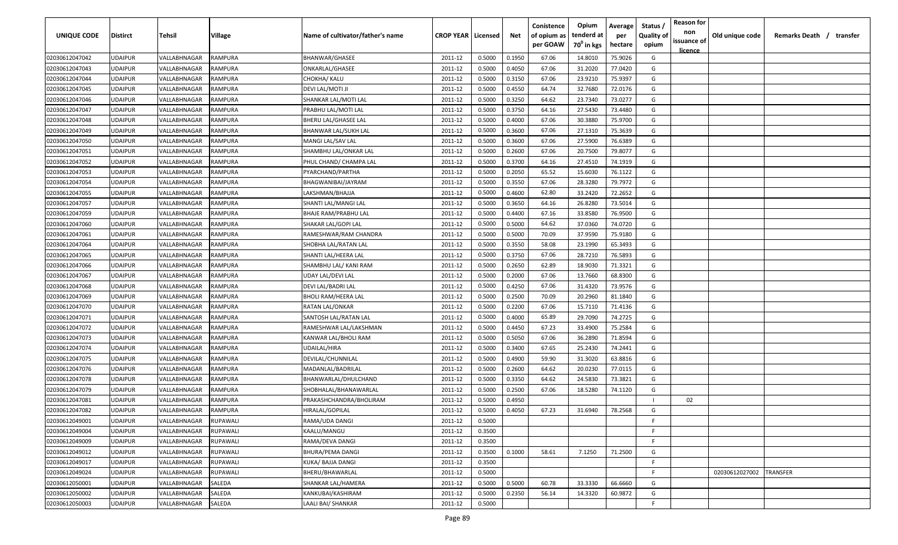| UNIQUE CODE    | <b>Distirct</b> | <b>Tehsil</b> | Village        | Name of cultivator/father's name | <b>CROP YEAR   Licensed</b> |        | Net    | Conistence<br>of opium as<br>per GOAW | Opium<br>tenderd at<br>70 <sup>0</sup> in kgs | Average<br>per<br>hectare | Status /<br><b>Quality of</b><br>opium | <b>Reason for</b><br>non<br>issuance of<br>licence | Old unique code | Remarks Death /<br>transfer |
|----------------|-----------------|---------------|----------------|----------------------------------|-----------------------------|--------|--------|---------------------------------------|-----------------------------------------------|---------------------------|----------------------------------------|----------------------------------------------------|-----------------|-----------------------------|
| 02030612047042 | <b>UDAIPUR</b>  | VALLABHNAGAR  | <b>RAMPURA</b> | BHANWAR/GHASEE                   | 2011-12                     | 0.5000 | 0.1950 | 67.06                                 | 14.8010                                       | 75.9026                   | G                                      |                                                    |                 |                             |
| 02030612047043 | <b>UDAIPUR</b>  | VALLABHNAGAR  | RAMPURA        | ONKARLAL/GHASEE                  | 2011-12                     | 0.5000 | 0.4050 | 67.06                                 | 31.2020                                       | 77.0420                   | G                                      |                                                    |                 |                             |
| 02030612047044 | <b>UDAIPUR</b>  | VALLABHNAGAR  | RAMPURA        | CHOKHA/ KALU                     | 2011-12                     | 0.5000 | 0.3150 | 67.06                                 | 23.9210                                       | 75.9397                   | G                                      |                                                    |                 |                             |
| 02030612047045 | <b>UDAIPUR</b>  | VALLABHNAGAR  | RAMPURA        | DEVI LAL/MOTI JI                 | 2011-12                     | 0.5000 | 0.4550 | 64.74                                 | 32.7680                                       | 72.0176                   | G                                      |                                                    |                 |                             |
| 02030612047046 | <b>UDAIPUR</b>  | VALLABHNAGAR  | RAMPURA        | SHANKAR LAL/MOTI LAL             | 2011-12                     | 0.5000 | 0.3250 | 64.62                                 | 23.7340                                       | 73.0277                   | G                                      |                                                    |                 |                             |
| 02030612047047 | <b>UDAIPUR</b>  | VALLABHNAGAR  | RAMPURA        | PRABHU LAL/MOTI LAL              | 2011-12                     | 0.5000 | 0.3750 | 64.16                                 | 27.5430                                       | 73.4480                   | G                                      |                                                    |                 |                             |
| 02030612047048 | <b>UDAIPUR</b>  | VALLABHNAGAR  | RAMPURA        | BHERU LAL/GHASEE LAL             | 2011-12                     | 0.5000 | 0.4000 | 67.06                                 | 30.3880                                       | 75.9700                   | G                                      |                                                    |                 |                             |
| 02030612047049 | <b>UDAIPUR</b>  | VALLABHNAGAR  | RAMPURA        | BHANWAR LAL/SUKH LAL             | 2011-12                     | 0.5000 | 0.3600 | 67.06                                 | 27.1310                                       | 75.3639                   | G                                      |                                                    |                 |                             |
| 02030612047050 | <b>UDAIPUR</b>  | VALLABHNAGAR  | RAMPURA        | MANGI LAL/SAV LAL                | 2011-12                     | 0.5000 | 0.3600 | 67.06                                 | 27.5900                                       | 76.6389                   | G                                      |                                                    |                 |                             |
| 02030612047051 | <b>UDAIPUR</b>  | VALLABHNAGAR  | RAMPURA        | SHAMBHU LAL/ONKAR LAL            | 2011-12                     | 0.5000 | 0.2600 | 67.06                                 | 20.7500                                       | 79.8077                   | G                                      |                                                    |                 |                             |
| 02030612047052 | <b>UDAIPUR</b>  | VALLABHNAGAR  | RAMPURA        | PHUL CHAND/ CHAMPA LAL           | 2011-12                     | 0.5000 | 0.3700 | 64.16                                 | 27.4510                                       | 74.1919                   | G                                      |                                                    |                 |                             |
| 02030612047053 | <b>UDAIPUR</b>  | VALLABHNAGAR  | RAMPURA        | PYARCHAND/PARTHA                 | 2011-12                     | 0.5000 | 0.2050 | 65.52                                 | 15.6030                                       | 76.1122                   | G                                      |                                                    |                 |                             |
| 02030612047054 | <b>UDAIPUR</b>  | VALLABHNAGAR  | RAMPURA        | BHAGWANIBAI/JAYRAM               | 2011-12                     | 0.5000 | 0.3550 | 67.06                                 | 28.3280                                       | 79.7972                   | G                                      |                                                    |                 |                             |
| 02030612047055 | UDAIPUR         | VALLABHNAGAR  | RAMPURA        | LAKSHMAN/BHAJJA                  | 2011-12                     | 0.5000 | 0.4600 | 62.80                                 | 33.2420                                       | 72.2652                   | G                                      |                                                    |                 |                             |
| 02030612047057 | <b>UDAIPUR</b>  | VALLABHNAGAR  | RAMPURA        | SHANTI LAL/MANGI LAL             | 2011-12                     | 0.5000 | 0.3650 | 64.16                                 | 26.8280                                       | 73.5014                   | G                                      |                                                    |                 |                             |
| 02030612047059 | <b>UDAIPUR</b>  | VALLABHNAGAR  | RAMPURA        | <b>BHAJE RAM/PRABHU LAL</b>      | 2011-12                     | 0.5000 | 0.4400 | 67.16                                 | 33.8580                                       | 76.9500                   | G                                      |                                                    |                 |                             |
| 02030612047060 | <b>UDAIPUR</b>  | VALLABHNAGAR  | <b>RAMPURA</b> | SHAKAR LAL/GOPI LAL              | 2011-12                     | 0.5000 | 0.5000 | 64.62                                 | 37.0360                                       | 74.0720                   | G                                      |                                                    |                 |                             |
| 02030612047061 | <b>UDAIPUR</b>  | VALLABHNAGAR  | <b>RAMPURA</b> | RAMESHWAR/RAM CHANDRA            | 2011-12                     | 0.5000 | 0.5000 | 70.09                                 | 37.9590                                       | 75.9180                   | G                                      |                                                    |                 |                             |
| 02030612047064 | <b>UDAIPUR</b>  | VALLABHNAGAR  | <b>RAMPURA</b> | SHOBHA LAL/RATAN LAL             | 2011-12                     | 0.5000 | 0.3550 | 58.08                                 | 23.1990                                       | 65.3493                   | G                                      |                                                    |                 |                             |
| 02030612047065 | <b>UDAIPUR</b>  | VALLABHNAGAR  | RAMPURA        | SHANTI LAL/HEERA LAL             | 2011-12                     | 0.5000 | 0.3750 | 67.06                                 | 28.7210                                       | 76.5893                   | G                                      |                                                    |                 |                             |
| 02030612047066 | <b>UDAIPUR</b>  | VALLABHNAGAR  | RAMPURA        | SHAMBHU LAL/ KANI RAM            | 2011-12                     | 0.5000 | 0.2650 | 62.89                                 | 18.9030                                       | 71.3321                   | G                                      |                                                    |                 |                             |
| 02030612047067 | <b>UDAIPUR</b>  | VALLABHNAGAR  | RAMPURA        | UDAY LAL/DEVI LAL                | 2011-12                     | 0.5000 | 0.2000 | 67.06                                 | 13.7660                                       | 68.8300                   | G                                      |                                                    |                 |                             |
| 02030612047068 | <b>UDAIPUR</b>  | VALLABHNAGAR  | RAMPURA        | DEVI LAL/BADRI LAL               | 2011-12                     | 0.5000 | 0.4250 | 67.06                                 | 31.4320                                       | 73.9576                   | G                                      |                                                    |                 |                             |
| 02030612047069 | <b>UDAIPUR</b>  | VALLABHNAGAR  | RAMPURA        | BHOLI RAM/HEERA LAL              | 2011-12                     | 0.5000 | 0.2500 | 70.09                                 | 20.2960                                       | 81.1840                   | G                                      |                                                    |                 |                             |
| 02030612047070 | <b>UDAIPUR</b>  | VALLABHNAGAR  | RAMPURA        | RATAN LAL/ONKAR                  | 2011-12                     | 0.5000 | 0.2200 | 67.06                                 | 15.7110                                       | 71.4136                   | G                                      |                                                    |                 |                             |
| 02030612047071 | <b>UDAIPUR</b>  | VALLABHNAGAR  | RAMPURA        | SANTOSH LAL/RATAN LAL            | 2011-12                     | 0.5000 | 0.4000 | 65.89                                 | 29.7090                                       | 74.2725                   | G                                      |                                                    |                 |                             |
| 02030612047072 | <b>UDAIPUR</b>  | VALLABHNAGAR  | RAMPURA        | RAMESHWAR LAL/LAKSHMAN           | 2011-12                     | 0.5000 | 0.4450 | 67.23                                 | 33.4900                                       | 75.2584                   | G                                      |                                                    |                 |                             |
| 02030612047073 | <b>UDAIPUR</b>  | VALLABHNAGAR  | RAMPURA        | KANWAR LAL/BHOLI RAM             | 2011-12                     | 0.5000 | 0.5050 | 67.06                                 | 36.2890                                       | 71.8594                   | G                                      |                                                    |                 |                             |
| 02030612047074 | <b>UDAIPUR</b>  | VALLABHNAGAR  | RAMPURA        | UDAILAL/HIRA                     | 2011-12                     | 0.5000 | 0.3400 | 67.65                                 | 25.2430                                       | 74.2441                   | G                                      |                                                    |                 |                             |
| 02030612047075 | <b>UDAIPUR</b>  | VALLABHNAGAR  | <b>RAMPURA</b> | DEVILAL/CHUNNILAL                | 2011-12                     | 0.5000 | 0.4900 | 59.90                                 | 31.3020                                       | 63.8816                   | G                                      |                                                    |                 |                             |
| 02030612047076 | <b>UDAIPUR</b>  | VALLABHNAGAR  | RAMPURA        | MADANLAL/BADRILAL                | 2011-12                     | 0.5000 | 0.2600 | 64.62                                 | 20.0230                                       | 77.0115                   | G                                      |                                                    |                 |                             |
| 02030612047078 | <b>UDAIPUR</b>  | VALLABHNAGAR  | RAMPURA        | BHANWARLAL/DHULCHAND             | 2011-12                     | 0.5000 | 0.3350 | 64.62                                 | 24.5830                                       | 73.3821                   | G                                      |                                                    |                 |                             |
| 02030612047079 | <b>UDAIPUR</b>  | VALLABHNAGAR  | RAMPURA        | SHOBHALAL/BHANAWARLAL            | 2011-12                     | 0.5000 | 0.2500 | 67.06                                 | 18.5280                                       | 74.1120                   | G                                      |                                                    |                 |                             |
| 02030612047081 | <b>UDAIPUR</b>  | VALLABHNAGAR  | RAMPURA        | PRAKASHCHANDRA/BHOLIRAM          | 2011-12                     | 0.5000 | 0.4950 |                                       |                                               |                           | $\mathbf{I}$                           | 02                                                 |                 |                             |
| 02030612047082 | <b>UDAIPUR</b>  | VALLABHNAGAR  | <b>RAMPURA</b> | HIRALAL/GOPILAL                  | 2011-12                     | 0.5000 | 0.4050 | 67.23                                 | 31.6940                                       | 78.2568                   | G                                      |                                                    |                 |                             |
| 02030612049001 | <b>UDAIPUR</b>  | VALLABHNAGAR  | RUPAWALI       | RAMA/UDA DANGI                   | 2011-12                     | 0.5000 |        |                                       |                                               |                           | F.                                     |                                                    |                 |                             |
| 02030612049004 | <b>UDAIPUR</b>  | VALLABHNAGAR  | RUPAWALI       | KAALU/MANGU                      | 2011-12                     | 0.3500 |        |                                       |                                               |                           | F                                      |                                                    |                 |                             |
| 02030612049009 | <b>UDAIPUR</b>  | VALLABHNAGAR  | RUPAWALI       | RAMA/DEVA DANGI                  | 2011-12                     | 0.3500 |        |                                       |                                               |                           | F                                      |                                                    |                 |                             |
| 02030612049012 | <b>UDAIPUR</b>  | VALLABHNAGAR  | RUPAWALI       | BHURA/PEMA DANGI                 | 2011-12                     | 0.3500 | 0.1000 | 58.61                                 | 7.1250                                        | 71.2500                   | G                                      |                                                    |                 |                             |
| 02030612049017 | <b>UDAIPUR</b>  | VALLABHNAGAR  | RUPAWALI       | KUKA/ BAJJA DANGI                | 2011-12                     | 0.3500 |        |                                       |                                               |                           | $\mathsf{F}$                           |                                                    |                 |                             |
| 02030612049024 | <b>UDAIPUR</b>  | VALLABHNAGAR  | RUPAWALI       | BHERU/BHAWARLAL                  | 2011-12                     | 0.5000 |        |                                       |                                               |                           | F.                                     |                                                    | 02030612027002  | TRANSFER                    |
| 02030612050001 | <b>UDAIPUR</b>  | VALLABHNAGAR  | SALEDA         | SHANKAR LAL/HAMERA               | 2011-12                     | 0.5000 | 0.5000 | 60.78                                 | 33.3330                                       | 66.6660                   | G                                      |                                                    |                 |                             |
| 02030612050002 | <b>UDAIPUR</b>  | VALLABHNAGAR  | SALEDA         | KANKUBAI/KASHIRAM                | 2011-12                     | 0.5000 | 0.2350 | 56.14                                 | 14.3320                                       | 60.9872                   | G                                      |                                                    |                 |                             |
| 02030612050003 | <b>UDAIPUR</b>  | VALLABHNAGAR  | SALEDA         | LAALI BAI/ SHANKAR               | 2011-12                     | 0.5000 |        |                                       |                                               |                           | F                                      |                                                    |                 |                             |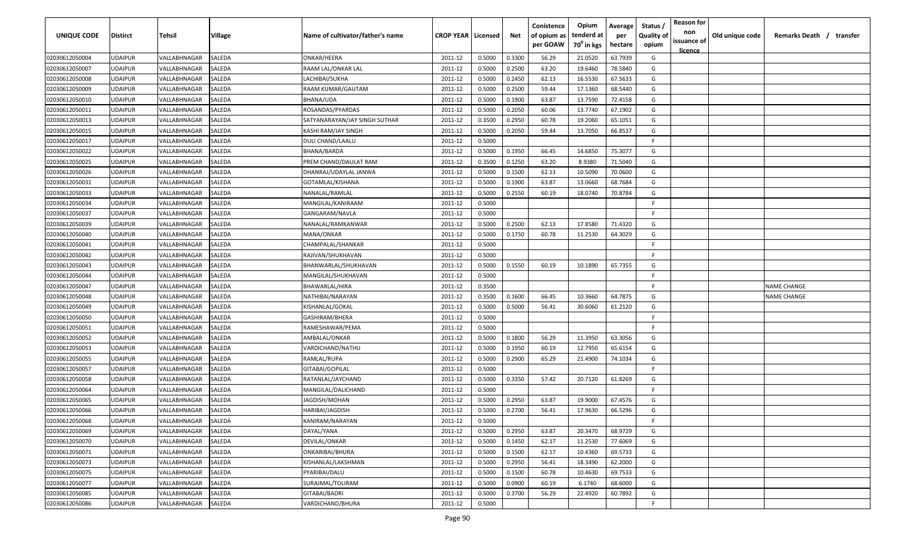| UNIQUE CODE    | <b>Distirct</b> | Tehsil       | Village | Name of cultivator/father's name | <b>CROP YEAR   Licensed</b> |        | Net    | Conistence<br>of opium as<br>per GOAW | Opium<br>tenderd at<br>70 <sup>0</sup> in kgs | Average<br>per<br>hectare | Status<br><b>Quality of</b><br>opium | <b>Reason for</b><br>non<br>issuance of | Old unique code | Remarks Death / transfer |
|----------------|-----------------|--------------|---------|----------------------------------|-----------------------------|--------|--------|---------------------------------------|-----------------------------------------------|---------------------------|--------------------------------------|-----------------------------------------|-----------------|--------------------------|
| 02030612050004 | <b>UDAIPUR</b>  | VALLABHNAGAR | SALEDA  | ONKAR/HEERA                      | 2011-12                     | 0.5000 | 0.3300 | 56.29                                 | 21.0520                                       | 63.7939                   | G                                    | <u>licence</u>                          |                 |                          |
| 02030612050007 | <b>UDAIPUR</b>  | VALLABHNAGAR | SALEDA  | RAAM LAL/ONKAR LAL               | 2011-12                     | 0.5000 | 0.2500 | 63.20                                 | 19.6460                                       | 78.5840                   | G                                    |                                         |                 |                          |
| 02030612050008 | <b>UDAIPUR</b>  | VALLABHNAGAR | SALEDA  | LACHIBAI/SUKHA                   | 2011-12                     | 0.5000 | 0.2450 | 62.13                                 | 16.5530                                       | 67.5633                   | G                                    |                                         |                 |                          |
| 02030612050009 | <b>UDAIPUR</b>  | VALLABHNAGAR | SALEDA  | RAAM KUMAR/GAUTAM                | 2011-12                     | 0.5000 | 0.2500 | 59.44                                 | 17.1360                                       | 68.5440                   | G                                    |                                         |                 |                          |
| 02030612050010 | <b>UDAIPUR</b>  | VALLABHNAGAR | SALEDA  | BHANA/UDA                        | 2011-12                     | 0.5000 | 0.1900 | 63.87                                 | 13.7590                                       | 72.4158                   | G                                    |                                         |                 |                          |
| 02030612050011 | <b>UDAIPUR</b>  | VALLABHNAGAR | SALEDA  | ROSANDAS/PYARDAS                 | 2011-12                     | 0.5000 | 0.2050 | 60.06                                 | 13.7740                                       | 67.1902                   | G                                    |                                         |                 |                          |
| 02030612050013 | <b>UDAIPUR</b>  | VALLABHNAGAR | SALEDA  | SATYANARAYAN/JAY SINGH SUTHAR    | 2011-12                     | 0.3500 | 0.2950 | 60.78                                 | 19.2060                                       | 65.1051                   | G                                    |                                         |                 |                          |
| 02030612050015 | <b>UDAIPUR</b>  | VALLABHNAGAR | SALEDA  | KASHI RAM/JAY SINGH              | 2011-12                     | 0.5000 | 0.2050 | 59.44                                 | 13.7050                                       | 66.8537                   | G                                    |                                         |                 |                          |
| 02030612050017 | <b>UDAIPUR</b>  | VALLABHNAGAR | SALEDA  | DULI CHAND/LAALU                 | 2011-12                     | 0.5000 |        |                                       |                                               |                           | F.                                   |                                         |                 |                          |
| 02030612050022 | <b>UDAIPUR</b>  | VALLABHNAGAR | SALEDA  | BHANA/BARDA                      | 2011-12                     | 0.5000 | 0.1950 | 66.45                                 | 14.6850                                       | 75.3077                   | G                                    |                                         |                 |                          |
| 02030612050025 | <b>UDAIPUR</b>  | VALLABHNAGAR | SALEDA  | PREM CHAND/DAULAT RAM            | 2011-12                     | 0.3500 | 0.1250 | 63.20                                 | 8.9380                                        | 71.5040                   | G                                    |                                         |                 |                          |
| 02030612050026 | <b>UDAIPUR</b>  | VALLABHNAGAR | SALEDA  | DHANRAJ/UDAYLAL JANWA            | 2011-12                     | 0.5000 | 0.1500 | 62.13                                 | 10.5090                                       | 70.0600                   | G                                    |                                         |                 |                          |
| 02030612050031 | <b>UDAIPUR</b>  | VALLABHNAGAR | SALEDA  | GOTAMLAL/KISHANA                 | 2011-12                     | 0.5000 | 0.1900 | 63.87                                 | 13.0660                                       | 68.7684                   | G                                    |                                         |                 |                          |
| 02030612050033 | <b>UDAIPUR</b>  | VALLABHNAGAR | SALEDA  | NANALAL/RAMLAL                   | 2011-12                     | 0.5000 | 0.2550 | 60.19                                 | 18.0740                                       | 70.8784                   | G                                    |                                         |                 |                          |
| 02030612050034 | <b>UDAIPUR</b>  | VALLABHNAGAR | SALEDA  | MANGILAL/KANIRAAM                | 2011-12                     | 0.5000 |        |                                       |                                               |                           | -F.                                  |                                         |                 |                          |
| 02030612050037 | <b>UDAIPUR</b>  | VALLABHNAGAR | SALEDA  | GANGARAM/NAVLA                   | 2011-12                     | 0.5000 |        |                                       |                                               |                           | F.                                   |                                         |                 |                          |
| 02030612050039 | <b>UDAIPUR</b>  | VALLABHNAGAR | SALEDA  | NANALAL/RAMKANWAR                | 2011-12                     | 0.5000 | 0.2500 | 62.13                                 | 17.8580                                       | 71.4320                   | G                                    |                                         |                 |                          |
| 02030612050040 | <b>UDAIPUR</b>  | VALLABHNAGAR | SALEDA  | MANA/ONKAR                       | 2011-12                     | 0.5000 | 0.1750 | 60.78                                 | 11.2530                                       | 64.3029                   | G                                    |                                         |                 |                          |
| 02030612050041 | <b>UDAIPUR</b>  | VALLABHNAGAR | SALEDA  | CHAMPALAL/SHANKAR                | 2011-12                     | 0.5000 |        |                                       |                                               |                           | -F.                                  |                                         |                 |                          |
| 02030612050042 | <b>UDAIPUR</b>  | VALLABHNAGAR | SALEDA  | RAJIVAN/SHUKHAVAN                | 2011-12                     | 0.5000 |        |                                       |                                               |                           | F.                                   |                                         |                 |                          |
| 02030612050043 | <b>UDAIPUR</b>  | VALLABHNAGAR | SALEDA  | BHANWARLAL/SHUKHAVAN             | 2011-12                     | 0.5000 | 0.1550 | 60.19                                 | 10.1890                                       | 65.7355                   | G                                    |                                         |                 |                          |
| 02030612050044 | <b>UDAIPUR</b>  | VALLABHNAGAR | SALEDA  | MANGILAL/SHUKHAVAN               | 2011-12                     | 0.5000 |        |                                       |                                               |                           | -F.                                  |                                         |                 |                          |
| 02030612050047 | <b>UDAIPUR</b>  | VALLABHNAGAR | SALEDA  | BHAWARLAL/HIRA                   | 2011-12                     | 0.3500 |        |                                       |                                               |                           | -F.                                  |                                         |                 | <b>NAME CHANGE</b>       |
| 02030612050048 | <b>UDAIPUR</b>  | VALLABHNAGAR | SALEDA  | NATHIBAI/NARAYAN                 | 2011-12                     | 0.3500 | 0.1600 | 66.45                                 | 10.3660                                       | 64.7875                   | G                                    |                                         |                 | <b>NAME CHANGE</b>       |
| 02030612050049 | <b>UDAIPUR</b>  | VALLABHNAGAR | SALEDA  | KISHANLAL/GOKAL                  | 2011-12                     | 0.5000 | 0.5000 | 56.41                                 | 30.6060                                       | 61.2120                   | G                                    |                                         |                 |                          |
| 02030612050050 | <b>UDAIPUR</b>  | VALLABHNAGAR | SALEDA  | GASHIRAM/BHERA                   | 2011-12                     | 0.5000 |        |                                       |                                               |                           | F.                                   |                                         |                 |                          |
| 02030612050051 | <b>UDAIPUR</b>  | VALLABHNAGAR | SALEDA  | RAMESHAWAR/PEMA                  | 2011-12                     | 0.5000 |        |                                       |                                               |                           | F.                                   |                                         |                 |                          |
| 02030612050052 | <b>UDAIPUR</b>  | VALLABHNAGAR | SALEDA  | AMBALAL/ONKAR                    | 2011-12                     | 0.5000 | 0.1800 | 56.29                                 | 11.3950                                       | 63.3056                   | G                                    |                                         |                 |                          |
| 02030612050053 | <b>UDAIPUR</b>  | VALLABHNAGAR | SALEDA  | VARDICHAND/NATHU                 | 2011-12                     | 0.5000 | 0.1950 | 60.19                                 | 12.7950                                       | 65.6154                   | G                                    |                                         |                 |                          |
| 02030612050055 | <b>UDAIPUR</b>  | VALLABHNAGAR | SALEDA  | RAMLAL/RUPA                      | 2011-12                     | 0.5000 | 0.2900 | 65.29                                 | 21.4900                                       | 74.1034                   | G                                    |                                         |                 |                          |
| 02030612050057 | <b>UDAIPUR</b>  | VALLABHNAGAR | SALEDA  | GITABAI/GOPILAL                  | 2011-12                     | 0.5000 |        |                                       |                                               |                           | F.                                   |                                         |                 |                          |
| 02030612050058 | <b>UDAIPUR</b>  | VALLABHNAGAR | SALEDA  | RATANLAL/JAYCHAND                | 2011-12                     | 0.5000 | 0.3350 | 57.42                                 | 20.7120                                       | 61.8269                   | G                                    |                                         |                 |                          |
| 02030612050064 | <b>UDAIPUR</b>  | VALLABHNAGAR | SALEDA  | MANGILAL/DALICHAND               | 2011-12                     | 0.5000 |        |                                       |                                               |                           | F.                                   |                                         |                 |                          |
| 02030612050065 | <b>UDAIPUR</b>  | VALLABHNAGAR | SALEDA  | IAGDISH/MOHAN                    | 2011-12                     | 0.5000 | 0.2950 | 63.87                                 | 19.9000                                       | 67.4576                   | G                                    |                                         |                 |                          |
| 02030612050066 | <b>UDAIPUR</b>  | VALLABHNAGAR | SALEDA  | HARIBAI/JAGDISH                  | 2011-12                     | 0.5000 | 0.2700 | 56.41                                 | 17.9630                                       | 66.5296                   | G                                    |                                         |                 |                          |
| 02030612050068 | <b>UDAIPUR</b>  | VALLABHNAGAR | SALEDA  | KANIRAM/NARAYAN                  | 2011-12                     | 0.5000 |        |                                       |                                               |                           | F.                                   |                                         |                 |                          |
| 02030612050069 | <b>UDAIPUR</b>  | VALLABHNAGAR | SALEDA  | DAYAL/YANA                       | 2011-12                     | 0.5000 | 0.2950 | 63.87                                 | 20.3470                                       | 68.9729                   | G                                    |                                         |                 |                          |
| 02030612050070 | <b>UDAIPUR</b>  | VALLABHNAGAR | SALEDA  | DEVILAL/ONKAR                    | 2011-12                     | 0.5000 | 0.1450 | 62.17                                 | 11.2530                                       | 77.6069                   | G                                    |                                         |                 |                          |
| 02030612050071 | <b>UDAIPUR</b>  | VALLABHNAGAR | SALEDA  | ONKARIBAI/BHURA                  | 2011-12                     | 0.5000 | 0.1500 | 62.17                                 | 10.4360                                       | 69.5733                   | G                                    |                                         |                 |                          |
| 02030612050073 | <b>UDAIPUR</b>  | VALLABHNAGAR | SALEDA  | KISHANLAL/LAKSHMAN               | 2011-12                     | 0.5000 | 0.2950 | 56.41                                 | 18.3490                                       | 62.2000                   | G                                    |                                         |                 |                          |
| 02030612050075 | <b>UDAIPUR</b>  | VALLABHNAGAR | SALEDA  | PYARIBAI/DALU                    | 2011-12                     | 0.5000 | 0.1500 | 60.78                                 | 10.4630                                       | 69.7533                   | G                                    |                                         |                 |                          |
| 02030612050077 | <b>UDAIPUR</b>  | VALLABHNAGAR | SALEDA  | SURAJMAL/TOLIRAM                 | 2011-12                     | 0.5000 | 0.0900 | 60.19                                 | 6.1740                                        | 68.6000                   | G                                    |                                         |                 |                          |
| 02030612050085 | <b>UDAIPUR</b>  | VALLABHNAGAR | SALEDA  | GITABAI/BADRI                    | 2011-12                     | 0.5000 | 0.3700 | 56.29                                 | 22.4920                                       | 60.7892                   | G                                    |                                         |                 |                          |
| 02030612050086 | <b>UDAIPUR</b>  | VALLABHNAGAR | SALEDA  | VARDICHAND/BHURA                 | 2011-12                     | 0.5000 |        |                                       |                                               |                           | F.                                   |                                         |                 |                          |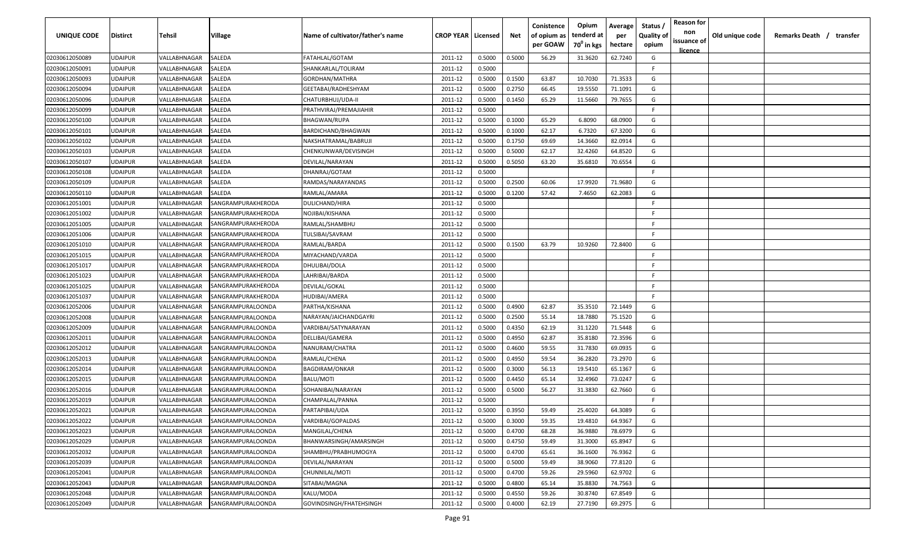| <b>UNIQUE CODE</b> | <b>Distirct</b> | Tehsil       | Village            | Name of cultivator/father's name | <b>CROP YEAR   Licensed</b> |        | Net    | Conistence<br>of opium as | Opium<br>tenderd at    | Average<br>per | Status /<br><b>Quality of</b> | <b>Reason for</b><br>non | Old unique code | Remarks Death / transfer |
|--------------------|-----------------|--------------|--------------------|----------------------------------|-----------------------------|--------|--------|---------------------------|------------------------|----------------|-------------------------------|--------------------------|-----------------|--------------------------|
|                    |                 |              |                    |                                  |                             |        |        | per GOAW                  | 70 <sup>0</sup> in kgs | hectare        | opium                         | issuance of<br>licence   |                 |                          |
| 02030612050089     | <b>UDAIPUR</b>  | VALLABHNAGAR | SALEDA             | FATAHLAL/GOTAM                   | 2011-12                     | 0.5000 | 0.5000 | 56.29                     | 31.3620                | 62.7240        | G                             |                          |                 |                          |
| 02030612050091     | <b>UDAIPUR</b>  | VALLABHNAGAR | SALEDA             | SHANKARLAL/TOLIRAM               | 2011-12                     | 0.5000 |        |                           |                        |                | F.                            |                          |                 |                          |
| 02030612050093     | <b>UDAIPUR</b>  | VALLABHNAGAR | SALEDA             | GORDHAN/MATHRA                   | 2011-12                     | 0.5000 | 0.1500 | 63.87                     | 10.7030                | 71.3533        | G                             |                          |                 |                          |
| 02030612050094     | <b>UDAIPUR</b>  | VALLABHNAGAR | SALEDA             | GEETABAI/RADHESHYAM              | 2011-12                     | 0.5000 | 0.2750 | 66.45                     | 19.5550                | 71.1091        | G                             |                          |                 |                          |
| 02030612050096     | <b>UDAIPUR</b>  | VALLABHNAGAR | SALEDA             | CHATURBHUJ/UDA-II                | 2011-12                     | 0.5000 | 0.1450 | 65.29                     | 11.5660                | 79.7655        | G                             |                          |                 |                          |
| 02030612050099     | <b>UDAIPUR</b>  | VALLABHNAGAR | SALEDA             | PRATHVIRAJ/PREMAJIAHIR           | 2011-12                     | 0.5000 |        |                           |                        |                | -F.                           |                          |                 |                          |
| 02030612050100     | <b>UDAIPUR</b>  | VALLABHNAGAR | SALEDA             | BHAGWAN/RUPA                     | 2011-12                     | 0.5000 | 0.1000 | 65.29                     | 6.8090                 | 68.0900        | G                             |                          |                 |                          |
| 02030612050101     | <b>UDAIPUR</b>  | VALLABHNAGAR | SALEDA             | BARDICHAND/BHAGWAN               | 2011-12                     | 0.5000 | 0.1000 | 62.17                     | 6.7320                 | 67.3200        | G                             |                          |                 |                          |
| 02030612050102     | <b>UDAIPUR</b>  | VALLABHNAGAR | SALEDA             | NAKSHATRAMAL/BABRUJI             | 2011-12                     | 0.5000 | 0.1750 | 69.69                     | 14.3660                | 82.0914        | G                             |                          |                 |                          |
| 02030612050103     | <b>UDAIPUR</b>  | VALLABHNAGAR | SALEDA             | CHENKUNWAR/DEVISINGH             | 2011-12                     | 0.5000 | 0.5000 | 62.17                     | 32.4260                | 64.8520        | G                             |                          |                 |                          |
| 02030612050107     | <b>UDAIPUR</b>  | VALLABHNAGAR | SALEDA             | DEVILAL/NARAYAN                  | 2011-12                     | 0.5000 | 0.5050 | 63.20                     | 35.6810                | 70.6554        | G                             |                          |                 |                          |
| 02030612050108     | UDAIPUR         | VALLABHNAGAR | SALEDA             | DHANRAJ/GOTAM                    | 2011-12                     | 0.5000 |        |                           |                        |                | -F.                           |                          |                 |                          |
| 02030612050109     | <b>UDAIPUR</b>  | VALLABHNAGAR | SALEDA             | RAMDAS/NARAYANDAS                | 2011-12                     | 0.5000 | 0.2500 | 60.06                     | 17.9920                | 71.9680        | G                             |                          |                 |                          |
| 02030612050110     | <b>UDAIPUR</b>  | VALLABHNAGAR | SALEDA             | RAMLAL/AMARA                     | 2011-12                     | 0.5000 | 0.1200 | 57.42                     | 7.4650                 | 62.2083        | G                             |                          |                 |                          |
| 02030612051001     | <b>UDAIPUR</b>  | VALLABHNAGAR | SANGRAMPURAKHERODA | <b>DULICHAND/HIRA</b>            | 2011-12                     | 0.5000 |        |                           |                        |                | F.                            |                          |                 |                          |
| 02030612051002     | <b>UDAIPUR</b>  | VALLABHNAGAR | SANGRAMPURAKHERODA | NOJIBAI/KISHANA                  | 2011-12                     | 0.5000 |        |                           |                        |                | -F.                           |                          |                 |                          |
| 02030612051005     | <b>UDAIPUR</b>  | VALLABHNAGAR | SANGRAMPURAKHERODA | RAMLAL/SHAMBHU                   | 2011-12                     | 0.5000 |        |                           |                        |                | -F.                           |                          |                 |                          |
| 02030612051006     | <b>UDAIPUR</b>  | VALLABHNAGAR | SANGRAMPURAKHERODA | TULSIBAI/SAVRAM                  | 2011-12                     | 0.5000 |        |                           |                        |                | -F                            |                          |                 |                          |
| 02030612051010     | <b>UDAIPUR</b>  | VALLABHNAGAR | SANGRAMPURAKHERODA | RAMLAL/BARDA                     | 2011-12                     | 0.5000 | 0.1500 | 63.79                     | 10.9260                | 72.8400        | G                             |                          |                 |                          |
| 02030612051015     | <b>UDAIPUR</b>  | VALLABHNAGAR | SANGRAMPURAKHERODA | MIYACHAND/VARDA                  | 2011-12                     | 0.5000 |        |                           |                        |                | -F                            |                          |                 |                          |
| 02030612051017     | <b>UDAIPUR</b>  | VALLABHNAGAR | SANGRAMPURAKHERODA | DHULIBAI/DOLA                    | 2011-12                     | 0.5000 |        |                           |                        |                | -F                            |                          |                 |                          |
| 02030612051023     | <b>UDAIPUR</b>  | VALLABHNAGAR | SANGRAMPURAKHERODA | LAHRIBAI/BARDA                   | 2011-12                     | 0.5000 |        |                           |                        |                | -F.                           |                          |                 |                          |
| 02030612051025     | <b>UDAIPUR</b>  | VALLABHNAGAR | SANGRAMPURAKHERODA | DEVILAL/GOKAL                    | 2011-12                     | 0.5000 |        |                           |                        |                | -F                            |                          |                 |                          |
| 02030612051037     | <b>UDAIPUR</b>  | VALLABHNAGAR | SANGRAMPURAKHERODA | HUDIBAI/AMERA                    | 2011-12                     | 0.5000 |        |                           |                        |                | F.                            |                          |                 |                          |
| 02030612052006     | <b>UDAIPUR</b>  | VALLABHNAGAR | SANGRAMPURALOONDA  | PARTHA/KISHANA                   | 2011-12                     | 0.5000 | 0.4900 | 62.87                     | 35.3510                | 72.1449        | G                             |                          |                 |                          |
| 02030612052008     | <b>UDAIPUR</b>  | VALLABHNAGAR | SANGRAMPURALOONDA  | NARAYAN/JAICHANDGAYRI            | 2011-12                     | 0.5000 | 0.2500 | 55.14                     | 18.7880                | 75.1520        | G                             |                          |                 |                          |
| 02030612052009     | UDAIPUR         | VALLABHNAGAR | SANGRAMPURALOONDA  | VARDIBAI/SATYNARAYAN             | 2011-12                     | 0.5000 | 0.4350 | 62.19                     | 31.1220                | 71.5448        | G                             |                          |                 |                          |
| 02030612052011     | <b>UDAIPUR</b>  | VALLABHNAGAR | SANGRAMPURALOONDA  | DELLIBAI/GAMERA                  | 2011-12                     | 0.5000 | 0.4950 | 62.87                     | 35.8180                | 72.3596        | G                             |                          |                 |                          |
| 02030612052012     | <b>UDAIPUR</b>  | VALLABHNAGAR | SANGRAMPURALOONDA  | NANURAM/CHATRA                   | 2011-12                     | 0.5000 | 0.4600 | 59.55                     | 31.7830                | 69.0935        | G                             |                          |                 |                          |
| 02030612052013     | <b>UDAIPUR</b>  | VALLABHNAGAR | SANGRAMPURALOONDA  | RAMLAL/CHENA                     | 2011-12                     | 0.5000 | 0.4950 | 59.54                     | 36.2820                | 73.2970        | G                             |                          |                 |                          |
| 02030612052014     | <b>UDAIPUR</b>  | VALLABHNAGAR | SANGRAMPURALOONDA  | <b>BAGDIRAM/ONKAR</b>            | 2011-12                     | 0.5000 | 0.3000 | 56.13                     | 19.5410                | 65.1367        | G                             |                          |                 |                          |
| 02030612052015     | <b>UDAIPUR</b>  | VALLABHNAGAR | SANGRAMPURALOONDA  | <b>BALU/MOTI</b>                 | 2011-12                     | 0.5000 | 0.4450 | 65.14                     | 32.4960                | 73.0247        | G                             |                          |                 |                          |
| 02030612052016     | <b>UDAIPUR</b>  | VALLABHNAGAR | SANGRAMPURALOONDA  | SOHANIBAI/NARAYAN                | 2011-12                     | 0.5000 | 0.5000 | 56.27                     | 31.3830                | 62.7660        | G                             |                          |                 |                          |
| 02030612052019     | <b>UDAIPUR</b>  | VALLABHNAGAR | SANGRAMPURALOONDA  | CHAMPALAL/PANNA                  | 2011-12                     | 0.5000 |        |                           |                        |                | F.                            |                          |                 |                          |
| 02030612052021     | <b>UDAIPUR</b>  | VALLABHNAGAR | SANGRAMPURALOONDA  | PARTAPIBAI/UDA                   | 2011-12                     | 0.5000 | 0.3950 | 59.49                     | 25.4020                | 64.3089        | G                             |                          |                 |                          |
| 02030612052022     | <b>UDAIPUR</b>  | VALLABHNAGAR | SANGRAMPURALOONDA  | VARDIBAI/GOPALDAS                | 2011-12                     | 0.5000 | 0.3000 | 59.35                     | 19.4810                | 64.9367        | G                             |                          |                 |                          |
| 02030612052023     | <b>UDAIPUR</b>  | VALLABHNAGAR | SANGRAMPURALOONDA  | MANGILAL/CHENA                   | 2011-12                     | 0.5000 | 0.4700 | 68.28                     | 36.9880                | 78.6979        | G                             |                          |                 |                          |
| 02030612052029     | <b>UDAIPUR</b>  | VALLABHNAGAR | SANGRAMPURALOONDA  | BHANWARSINGH/AMARSINGH           | 2011-12                     | 0.5000 | 0.4750 | 59.49                     | 31.3000                | 65.8947        | G                             |                          |                 |                          |
| 02030612052032     | <b>UDAIPUR</b>  | VALLABHNAGAR | SANGRAMPURALOONDA  | SHAMBHU/PRABHUMOGYA              | 2011-12                     | 0.5000 | 0.4700 | 65.61                     | 36.1600                | 76.9362        | G                             |                          |                 |                          |
| 02030612052039     | <b>UDAIPUR</b>  | VALLABHNAGAR | SANGRAMPURALOONDA  | DEVILAL/NARAYAN                  | 2011-12                     | 0.5000 | 0.5000 | 59.49                     | 38.9060                | 77.8120        | G                             |                          |                 |                          |
| 02030612052041     | <b>UDAIPUR</b>  | VALLABHNAGAR | SANGRAMPURALOONDA  | CHUNNILAL/MOTI                   | 2011-12                     | 0.5000 | 0.4700 | 59.26                     | 29.5960                | 62.9702        | G                             |                          |                 |                          |
| 02030612052043     | <b>UDAIPUR</b>  | VALLABHNAGAR | SANGRAMPURALOONDA  | SITABAI/MAGNA                    | 2011-12                     | 0.5000 | 0.4800 | 65.14                     | 35.8830                | 74.7563        | G                             |                          |                 |                          |
| 02030612052048     | <b>UDAIPUR</b>  | VALLABHNAGAR | SANGRAMPURALOONDA  | KALU/MODA                        | 2011-12                     | 0.5000 | 0.4550 | 59.26                     | 30.8740                | 67.8549        | G                             |                          |                 |                          |
| 02030612052049     | <b>UDAIPUR</b>  | VALLABHNAGAR | SANGRAMPURALOONDA  | GOVINDSINGH/FHATEHSINGH          | 2011-12                     | 0.5000 | 0.4000 | 62.19                     | 27.7190                | 69.2975        | G                             |                          |                 |                          |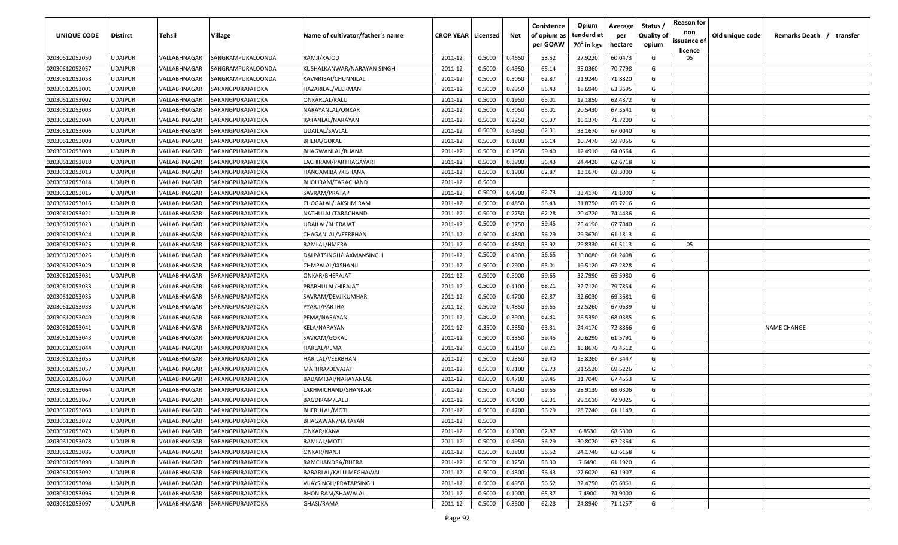| UNIQUE CODE    | Distirct       | Tehsil       | Village           | Name of cultivator/father's name | <b>CROP YEAR   Licensed</b> |        | Net    | Conistence<br>of opium as<br>per GOAW | Opium<br>tenderd at<br>70 <sup>0</sup> in kgs | Average<br>per<br>hectare | Status<br><b>Quality of</b><br>opium | <b>Reason for</b><br>non<br>issuance of<br>licence | Old unique code | Remarks Death /    | transfer |
|----------------|----------------|--------------|-------------------|----------------------------------|-----------------------------|--------|--------|---------------------------------------|-----------------------------------------------|---------------------------|--------------------------------------|----------------------------------------------------|-----------------|--------------------|----------|
| 02030612052050 | UDAIPUR        | VALLABHNAGAR | SANGRAMPURALOONDA | RAMJI/KAJOD                      | 2011-12                     | 0.5000 | 0.4650 | 53.52                                 | 27.9220                                       | 60.0473                   | G                                    | 05                                                 |                 |                    |          |
| 02030612052057 | UDAIPUR        | VALLABHNAGAR | SANGRAMPURALOONDA | KUSHALKANWAR/NARAYAN SINGH       | 2011-12                     | 0.5000 | 0.4950 | 65.14                                 | 35.0360                                       | 70.7798                   | G                                    |                                                    |                 |                    |          |
| 02030612052058 | UDAIPUR        | VALLABHNAGAR | SANGRAMPURALOONDA | KAVNRIBAI/CHUNNILAL              | 2011-12                     | 0.5000 | 0.3050 | 62.87                                 | 21.9240                                       | 71.8820                   | G                                    |                                                    |                 |                    |          |
| 02030612053001 | UDAIPUR        | VALLABHNAGAR | SARANGPURAJATOKA  | HAZARILAL/VEERMAN                | 2011-12                     | 0.5000 | 0.2950 | 56.43                                 | 18.6940                                       | 63.3695                   | G                                    |                                                    |                 |                    |          |
| 02030612053002 | UDAIPUR        | VALLABHNAGAR | SARANGPURAJATOKA  | ONKARLAL/KALU                    | 2011-12                     | 0.5000 | 0.1950 | 65.01                                 | 12.1850                                       | 62.4872                   | G                                    |                                                    |                 |                    |          |
| 02030612053003 | UDAIPUR        | VALLABHNAGAR | SARANGPURAJATOKA  | NARAYANLAL/ONKAR                 | 2011-12                     | 0.5000 | 0.3050 | 65.01                                 | 20.5430                                       | 67.3541                   | G                                    |                                                    |                 |                    |          |
| 02030612053004 | UDAIPUR        | VALLABHNAGAR | SARANGPURAJATOKA  | RATANLAL/NARAYAN                 | 2011-12                     | 0.5000 | 0.2250 | 65.37                                 | 16.1370                                       | 71.7200                   | G                                    |                                                    |                 |                    |          |
| 02030612053006 | UDAIPUR        | VALLABHNAGAR | SARANGPURAJATOKA  | UDAILAL/SAVLAL                   | 2011-12                     | 0.5000 | 0.4950 | 62.31                                 | 33.1670                                       | 67.0040                   | G                                    |                                                    |                 |                    |          |
| 02030612053008 | UDAIPUR        | VALLABHNAGAR | SARANGPURAJATOKA  | <b>BHERA/GOKAL</b>               | 2011-12                     | 0.5000 | 0.1800 | 56.14                                 | 10.7470                                       | 59.7056                   | G                                    |                                                    |                 |                    |          |
| 02030612053009 | UDAIPUR        | VALLABHNAGAR | SARANGPURAJATOKA  | BHAGWANLAL/BHANA                 | 2011-12                     | 0.5000 | 0.1950 | 59.40                                 | 12.4910                                       | 64.0564                   | G                                    |                                                    |                 |                    |          |
| 02030612053010 | UDAIPUR        | VALLABHNAGAR | SARANGPURAJATOKA  | LACHIRAM/PARTHAGAYARI            | 2011-12                     | 0.5000 | 0.3900 | 56.43                                 | 24.4420                                       | 62.6718                   | G                                    |                                                    |                 |                    |          |
| 02030612053013 | UDAIPUR        | VALLABHNAGAR | SARANGPURAJATOKA  | HANGAMIBAI/KISHANA               | 2011-12                     | 0.5000 | 0.1900 | 62.87                                 | 13.1670                                       | 69.3000                   | G                                    |                                                    |                 |                    |          |
| 02030612053014 | UDAIPUR        | VALLABHNAGAR | SARANGPURAJATOKA  | BHOLIRAM/TARACHAND               | 2011-12                     | 0.5000 |        |                                       |                                               |                           | -F.                                  |                                                    |                 |                    |          |
| 02030612053015 | UDAIPUR        | VALLABHNAGAR | SARANGPURAJATOKA  | SAVRAM/PRATAP                    | 2011-12                     | 0.5000 | 0.4700 | 62.73                                 | 33.4170                                       | 71.1000                   | G                                    |                                                    |                 |                    |          |
| 02030612053016 | UDAIPUR        | VALLABHNAGAR | SARANGPURAJATOKA  | CHOGALAL/LAKSHMIRAM              | 2011-12                     | 0.5000 | 0.4850 | 56.43                                 | 31.8750                                       | 65.7216                   | G                                    |                                                    |                 |                    |          |
| 02030612053021 | UDAIPUR        | VALLABHNAGAR | SARANGPURAJATOKA  | NATHULAL/TARACHAND               | 2011-12                     | 0.5000 | 0.2750 | 62.28                                 | 20.4720                                       | 74.4436                   | G                                    |                                                    |                 |                    |          |
| 02030612053023 | UDAIPUR        | VALLABHNAGAR | SARANGPURAJATOKA  | UDAILAL/BHERAJAT                 | 2011-12                     | 0.5000 | 0.3750 | 59.45                                 | 25.4190                                       | 67.7840                   | G                                    |                                                    |                 |                    |          |
| 02030612053024 | UDAIPUR        | VALLABHNAGAR | SARANGPURAJATOKA  | CHAGANLAL/VEERBHAN               | 2011-12                     | 0.5000 | 0.4800 | 56.29                                 | 29.3670                                       | 61.1813                   | G                                    |                                                    |                 |                    |          |
| 02030612053025 | UDAIPUR        | VALLABHNAGAR | SARANGPURAJATOKA  | RAMLAL/HMERA                     | 2011-12                     | 0.5000 | 0.4850 | 53.92                                 | 29.8330                                       | 61.5113                   | G                                    | 05                                                 |                 |                    |          |
| 02030612053026 | UDAIPUR        | VALLABHNAGAR | SARANGPURAJATOKA  | DALPATSINGH/LAXMANSINGH          | 2011-12                     | 0.5000 | 0.4900 | 56.65                                 | 30.0080                                       | 61.2408                   | G                                    |                                                    |                 |                    |          |
| 02030612053029 | UDAIPUR        | VALLABHNAGAR | SARANGPURAJATOKA  | CHMPALAL/KISHANJI                | 2011-12                     | 0.5000 | 0.2900 | 65.01                                 | 19.5120                                       | 67.2828                   | G                                    |                                                    |                 |                    |          |
| 02030612053031 | UDAIPUR        | VALLABHNAGAR | SARANGPURAJATOKA  | ONKAR/BHERAJAT                   | 2011-12                     | 0.5000 | 0.5000 | 59.65                                 | 32.7990                                       | 65.5980                   | G                                    |                                                    |                 |                    |          |
| 02030612053033 | UDAIPUR        | VALLABHNAGAR | SARANGPURAJATOKA  | PRABHULAL/HIRAJAT                | 2011-12                     | 0.5000 | 0.4100 | 68.21                                 | 32.7120                                       | 79.7854                   | G                                    |                                                    |                 |                    |          |
| 02030612053035 | UDAIPUR        | VALLABHNAGAR | SARANGPURAJATOKA  | SAVRAM/DEVJIKUMHAR               | 2011-12                     | 0.5000 | 0.4700 | 62.87                                 | 32.6030                                       | 69.3681                   | G                                    |                                                    |                 |                    |          |
| 02030612053038 | UDAIPUR        | VALLABHNAGAR | SARANGPURAJATOKA  | PYARJI/PARTHA                    | 2011-12                     | 0.5000 | 0.4850 | 59.65                                 | 32.5260                                       | 67.0639                   | G                                    |                                                    |                 |                    |          |
| 02030612053040 | UDAIPUR        | VALLABHNAGAR | SARANGPURAJATOKA  | PEMA/NARAYAN                     | 2011-12                     | 0.5000 | 0.3900 | 62.31                                 | 26.5350                                       | 68.0385                   | G                                    |                                                    |                 |                    |          |
| 02030612053041 | UDAIPUR        | VALLABHNAGAR | SARANGPURAJATOKA  | KELA/NARAYAN                     | 2011-12                     | 0.3500 | 0.3350 | 63.31                                 | 24.4170                                       | 72.8866                   | G                                    |                                                    |                 | <b>NAME CHANGE</b> |          |
| 02030612053043 | UDAIPUR        | VALLABHNAGAR | SARANGPURAJATOKA  | SAVRAM/GOKAL                     | 2011-12                     | 0.5000 | 0.3350 | 59.45                                 | 20.6290                                       | 61.5791                   | G                                    |                                                    |                 |                    |          |
| 02030612053044 | UDAIPUR        | VALLABHNAGAR | SARANGPURAJATOKA  | HARLAL/PEMA                      | 2011-12                     | 0.5000 | 0.2150 | 68.21                                 | 16.8670                                       | 78.4512                   | G                                    |                                                    |                 |                    |          |
| 02030612053055 | <b>JDAIPUR</b> | VALLABHNAGAR | SARANGPURAJATOKA  | HARILAL/VEERBHAN                 | 2011-12                     | 0.5000 | 0.2350 | 59.40                                 | 15.8260                                       | 67.3447                   | G                                    |                                                    |                 |                    |          |
| 02030612053057 | UDAIPUR        | VALLABHNAGAR | SARANGPURAJATOKA  | MATHRA/DEVAJAT                   | 2011-12                     | 0.5000 | 0.3100 | 62.73                                 | 21.5520                                       | 69.5226                   | G                                    |                                                    |                 |                    |          |
| 02030612053060 | UDAIPUR        | VALLABHNAGAR | SARANGPURAJATOKA  | BADAMIBAI/NARAYANLAL             | 2011-12                     | 0.5000 | 0.4700 | 59.45                                 | 31.7040                                       | 67.4553                   | G                                    |                                                    |                 |                    |          |
| 02030612053064 | UDAIPUR        | VALLABHNAGAR | SARANGPURAJATOKA  | LAKHMICHAND/SHANKAR              | 2011-12                     | 0.5000 | 0.4250 | 59.65                                 | 28.9130                                       | 68.0306                   | G                                    |                                                    |                 |                    |          |
| 02030612053067 | UDAIPUR        | VALLABHNAGAR | SARANGPURAJATOKA  | <b>BAGDIRAM/LALU</b>             | 2011-12                     | 0.5000 | 0.4000 | 62.31                                 | 29.1610                                       | 72.9025                   | G                                    |                                                    |                 |                    |          |
| 02030612053068 | UDAIPUR        | VALLABHNAGAR | SARANGPURAJATOKA  | BHERULAL/MOTI                    | 2011-12                     | 0.5000 | 0.4700 | 56.29                                 | 28.7240                                       | 61.1149                   | G                                    |                                                    |                 |                    |          |
| 02030612053072 | <b>UDAIPUR</b> | VALLABHNAGAR | SARANGPURAJATOKA  | BHAGAWAN/NARAYAN                 | 2011-12                     | 0.5000 |        |                                       |                                               |                           | -F                                   |                                                    |                 |                    |          |
| 02030612053073 | UDAIPUR        | VALLABHNAGAR | SARANGPURAJATOKA  | ONKAR/KANA                       | 2011-12                     | 0.5000 | 0.1000 | 62.87                                 | 6.8530                                        | 68.5300                   | G                                    |                                                    |                 |                    |          |
| 02030612053078 | UDAIPUR        | VALLABHNAGAR | SARANGPURAJATOKA  | RAMLAL/MOTI                      | 2011-12                     | 0.5000 | 0.4950 | 56.29                                 | 30.8070                                       | 62.2364                   | G                                    |                                                    |                 |                    |          |
| 02030612053086 | <b>UDAIPUR</b> | VALLABHNAGAR | SARANGPURAJATOKA  | ONKAR/NANJI                      | 2011-12                     | 0.5000 | 0.3800 | 56.52                                 | 24.1740                                       | 63.6158                   | G                                    |                                                    |                 |                    |          |
| 02030612053090 | UDAIPUR        | VALLABHNAGAR | SARANGPURAJATOKA  | RAMCHANDRA/BHERA                 | 2011-12                     | 0.5000 | 0.1250 | 56.30                                 | 7.6490                                        | 61.1920                   | G                                    |                                                    |                 |                    |          |
| 02030612053092 | UDAIPUR        | VALLABHNAGAR | SARANGPURAJATOKA  | BABARLAL/KALU MEGHAWAL           | 2011-12                     | 0.5000 | 0.4300 | 56.43                                 | 27.6020                                       | 64.1907                   | G                                    |                                                    |                 |                    |          |
| 02030612053094 | UDAIPUR        | VALLABHNAGAR | SARANGPURAJATOKA  | VIJAYSINGH/PRATAPSINGH           | 2011-12                     | 0.5000 | 0.4950 | 56.52                                 | 32.4750                                       | 65.6061                   | G                                    |                                                    |                 |                    |          |
| 02030612053096 | UDAIPUR        | VALLABHNAGAR | SARANGPURAJATOKA  | BHONIRAM/SHAWALAL                | 2011-12                     | 0.5000 | 0.1000 | 65.37                                 | 7.4900                                        | 74.9000                   | G                                    |                                                    |                 |                    |          |
| 02030612053097 | UDAIPUR        | VALLABHNAGAR | SARANGPURAJATOKA  | GHASI/RAMA                       | 2011-12                     | 0.5000 | 0.3500 | 62.28                                 | 24.8940                                       | 71.1257                   | G                                    |                                                    |                 |                    |          |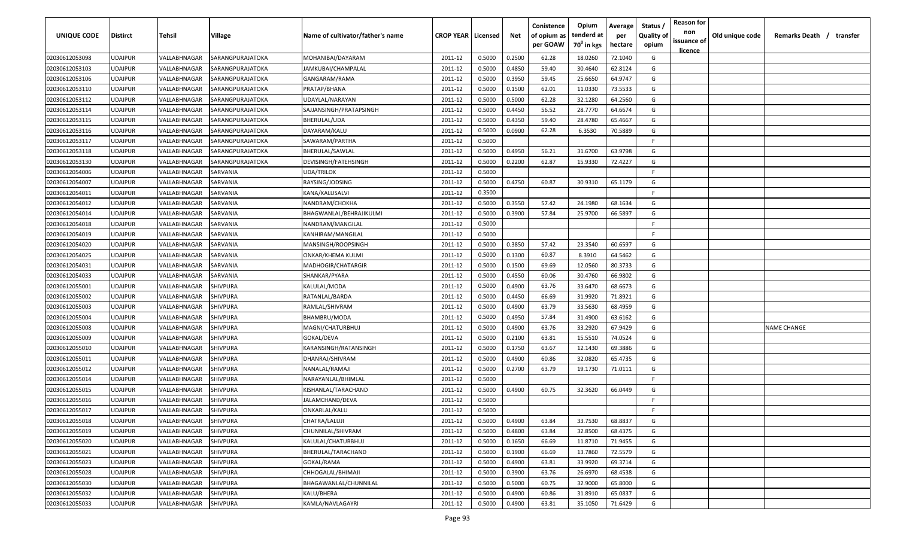| UNIQUE CODE    | <b>Distirct</b> | Tehsil       | Village          | Name of cultivator/father's name | <b>CROP YEAR   Licensed</b> |        | Net    | Conistence<br>of opium as<br>per GOAW | Opium<br>tenderd at<br>70 <sup>0</sup> in kgs | Average<br>per<br>hectare | Status<br><b>Quality of</b><br>opium | <b>Reason for</b><br>non<br>issuance of | Old unique code | Remarks Death / transfer |
|----------------|-----------------|--------------|------------------|----------------------------------|-----------------------------|--------|--------|---------------------------------------|-----------------------------------------------|---------------------------|--------------------------------------|-----------------------------------------|-----------------|--------------------------|
| 02030612053098 | <b>UDAIPUR</b>  | VALLABHNAGAR | SARANGPURAJATOKA | MOHANIBAI/DAYARAM                | 2011-12                     | 0.5000 | 0.2500 | 62.28                                 | 18.0260                                       | 72.1040                   | G                                    | <u>licence</u>                          |                 |                          |
| 02030612053103 | <b>UDAIPUR</b>  | VALLABHNAGAR | SARANGPURAJATOKA | JAMKUBAI/CHAMPALAL               | 2011-12                     | 0.5000 | 0.4850 | 59.40                                 | 30.4640                                       | 62.8124                   | G                                    |                                         |                 |                          |
| 02030612053106 | <b>UDAIPUR</b>  | VALLABHNAGAR | SARANGPURAJATOKA | GANGARAM/RAMA                    | 2011-12                     | 0.5000 | 0.3950 | 59.45                                 | 25.6650                                       | 64.9747                   | G                                    |                                         |                 |                          |
| 02030612053110 | <b>UDAIPUR</b>  | VALLABHNAGAR | SARANGPURAJATOKA | PRATAP/BHANA                     | 2011-12                     | 0.5000 | 0.1500 | 62.01                                 | 11.0330                                       | 73.5533                   | G                                    |                                         |                 |                          |
| 02030612053112 | <b>UDAIPUR</b>  | VALLABHNAGAR | SARANGPURAJATOKA | UDAYLAL/NARAYAN                  | 2011-12                     | 0.5000 | 0.5000 | 62.28                                 | 32.1280                                       | 64.2560                   | G                                    |                                         |                 |                          |
| 02030612053114 | <b>UDAIPUR</b>  | VALLABHNAGAR | SARANGPURAJATOKA | SAJJANSINGH/PRATAPSINGH          | 2011-12                     | 0.5000 | 0.4450 | 56.52                                 | 28.7770                                       | 64.6674                   | G                                    |                                         |                 |                          |
| 02030612053115 | <b>UDAIPUR</b>  | VALLABHNAGAR | SARANGPURAJATOKA | BHERULAL/UDA                     | 2011-12                     | 0.5000 | 0.4350 | 59.40                                 | 28.4780                                       | 65.4667                   | G                                    |                                         |                 |                          |
| 02030612053116 | <b>UDAIPUR</b>  | VALLABHNAGAR | SARANGPURAJATOKA | DAYARAM/KALU                     | 2011-12                     | 0.5000 | 0.0900 | 62.28                                 | 6.3530                                        | 70.5889                   | G                                    |                                         |                 |                          |
| 02030612053117 | <b>UDAIPUR</b>  | VALLABHNAGAR | SARANGPURAJATOKA | SAWARAM/PARTHA                   | 2011-12                     | 0.5000 |        |                                       |                                               |                           | -F.                                  |                                         |                 |                          |
| 02030612053118 | <b>UDAIPUR</b>  | VALLABHNAGAR | SARANGPURAJATOKA | BHERULAL/SAWLAL                  | 2011-12                     | 0.5000 | 0.4950 | 56.21                                 | 31.6700                                       | 63.9798                   | G                                    |                                         |                 |                          |
| 02030612053130 | <b>UDAIPUR</b>  | VALLABHNAGAR | SARANGPURAJATOKA | DEVISINGH/FATEHSINGH             | 2011-12                     | 0.5000 | 0.2200 | 62.87                                 | 15.9330                                       | 72.4227                   | G                                    |                                         |                 |                          |
| 02030612054006 | <b>UDAIPUR</b>  | VALLABHNAGAR | SARVANIA         | UDA/TRILOK                       | 2011-12                     | 0.5000 |        |                                       |                                               |                           | F.                                   |                                         |                 |                          |
| 02030612054007 | <b>UDAIPUR</b>  | VALLABHNAGAR | SARVANIA         | RAYSING/JODSING                  | 2011-12                     | 0.5000 | 0.4750 | 60.87                                 | 30.9310                                       | 65.1179                   | G                                    |                                         |                 |                          |
| 02030612054011 | <b>UDAIPUR</b>  | VALLABHNAGAR | SARVANIA         | KANA/KALUSALVI                   | 2011-12                     | 0.3500 |        |                                       |                                               |                           | F.                                   |                                         |                 |                          |
| 02030612054012 | <b>UDAIPUR</b>  | VALLABHNAGAR | SARVANIA         | NANDRAM/CHOKHA                   | 2011-12                     | 0.5000 | 0.3550 | 57.42                                 | 24.1980                                       | 68.1634                   | G                                    |                                         |                 |                          |
| 02030612054014 | <b>UDAIPUR</b>  | VALLABHNAGAR | SARVANIA         | BHAGWANLAL/BEHRAJIKULMI          | 2011-12                     | 0.5000 | 0.3900 | 57.84                                 | 25.9700                                       | 66.5897                   | G                                    |                                         |                 |                          |
| 02030612054018 | <b>UDAIPUR</b>  | VALLABHNAGAR | SARVANIA         | NANDRAM/MANGILAL                 | 2011-12                     | 0.5000 |        |                                       |                                               |                           | -F.                                  |                                         |                 |                          |
| 02030612054019 | <b>UDAIPUR</b>  | VALLABHNAGAR | SARVANIA         | KANHIRAM/MANGILAL                | 2011-12                     | 0.5000 |        |                                       |                                               |                           | -F.                                  |                                         |                 |                          |
| 02030612054020 | <b>UDAIPUR</b>  | VALLABHNAGAR | SARVANIA         | MANSINGH/ROOPSINGH               | 2011-12                     | 0.5000 | 0.3850 | 57.42                                 | 23.3540                                       | 60.6597                   | G                                    |                                         |                 |                          |
| 02030612054025 | <b>UDAIPUR</b>  | VALLABHNAGAR | SARVANIA         | <b>ONKAR/KHEMA KULMI</b>         | 2011-12                     | 0.5000 | 0.1300 | 60.87                                 | 8.3910                                        | 64.5462                   | G                                    |                                         |                 |                          |
| 02030612054031 | <b>UDAIPUR</b>  | VALLABHNAGAR | SARVANIA         | MADHOGIR/CHATARGIR               | 2011-12                     | 0.5000 | 0.1500 | 69.69                                 | 12.0560                                       | 80.3733                   | G                                    |                                         |                 |                          |
| 02030612054033 | <b>UDAIPUR</b>  | VALLABHNAGAR | SARVANIA         | SHANKAR/PYARA                    | 2011-12                     | 0.5000 | 0.4550 | 60.06                                 | 30.4760                                       | 66.9802                   | G                                    |                                         |                 |                          |
| 02030612055001 | <b>UDAIPUR</b>  | VALLABHNAGAR | SHIVPURA         | KALULAL/MODA                     | 2011-12                     | 0.5000 | 0.4900 | 63.76                                 | 33.6470                                       | 68.6673                   | G                                    |                                         |                 |                          |
| 02030612055002 | <b>UDAIPUR</b>  | VALLABHNAGAR | SHIVPURA         | RATANLAL/BARDA                   | 2011-12                     | 0.5000 | 0.4450 | 66.69                                 | 31.9920                                       | 71.8921                   | G                                    |                                         |                 |                          |
| 02030612055003 | <b>UDAIPUR</b>  | VALLABHNAGAR | SHIVPURA         | RAMLAL/SHIVRAM                   | 2011-12                     | 0.5000 | 0.4900 | 63.79                                 | 33.5630                                       | 68.4959                   | G                                    |                                         |                 |                          |
| 02030612055004 | <b>UDAIPUR</b>  | VALLABHNAGAR | SHIVPURA         | BHAMBRU/MODA                     | 2011-12                     | 0.5000 | 0.4950 | 57.84                                 | 31.4900                                       | 63.6162                   | G                                    |                                         |                 |                          |
| 02030612055008 | <b>UDAIPUR</b>  | VALLABHNAGAR | SHIVPURA         | MAGNI/CHATURBHUJ                 | 2011-12                     | 0.5000 | 0.4900 | 63.76                                 | 33.2920                                       | 67.9429                   | G                                    |                                         |                 | <b>NAME CHANGE</b>       |
| 02030612055009 | <b>UDAIPUR</b>  | VALLABHNAGAR | SHIVPURA         | GOKAL/DEVA                       | 2011-12                     | 0.5000 | 0.2100 | 63.81                                 | 15.5510                                       | 74.0524                   | G                                    |                                         |                 |                          |
| 02030612055010 | <b>UDAIPUR</b>  | VALLABHNAGAR | <b>SHIVPURA</b>  | KARANSINGH/RATANSINGH            | 2011-12                     | 0.5000 | 0.1750 | 63.67                                 | 12.1430                                       | 69.3886                   | G                                    |                                         |                 |                          |
| 02030612055011 | <b>UDAIPUR</b>  | VALLABHNAGAR | SHIVPURA         | DHANRAJ/SHIVRAM                  | 2011-12                     | 0.5000 | 0.4900 | 60.86                                 | 32.0820                                       | 65.4735                   | G                                    |                                         |                 |                          |
| 02030612055012 | <b>UDAIPUR</b>  | VALLABHNAGAR | SHIVPURA         | NANALAL/RAMAJI                   | 2011-12                     | 0.5000 | 0.2700 | 63.79                                 | 19.1730                                       | 71.0111                   | G                                    |                                         |                 |                          |
| 02030612055014 | <b>UDAIPUR</b>  | VALLABHNAGAR | SHIVPURA         | NARAYANLAL/BHIMLAL               | 2011-12                     | 0.5000 |        |                                       |                                               |                           | -F.                                  |                                         |                 |                          |
| 02030612055015 | <b>UDAIPUR</b>  | VALLABHNAGAR | SHIVPURA         | KISHANLAL/TARACHAND              | 2011-12                     | 0.5000 | 0.4900 | 60.75                                 | 32.3620                                       | 66.0449                   | G                                    |                                         |                 |                          |
| 02030612055016 | <b>UDAIPUR</b>  | VALLABHNAGAR | SHIVPURA         | IALAMCHAND/DEVA                  | 2011-12                     | 0.5000 |        |                                       |                                               |                           | -F.                                  |                                         |                 |                          |
| 02030612055017 | <b>UDAIPUR</b>  | VALLABHNAGAR | <b>SHIVPURA</b>  | ONKARLAL/KALU                    | 2011-12                     | 0.5000 |        |                                       |                                               |                           | F.                                   |                                         |                 |                          |
| 02030612055018 | <b>UDAIPUR</b>  | VALLABHNAGAR | <b>SHIVPURA</b>  | CHATRA/LALUJI                    | 2011-12                     | 0.5000 | 0.4900 | 63.84                                 | 33.7530                                       | 68.8837                   | G                                    |                                         |                 |                          |
| 02030612055019 | <b>UDAIPUR</b>  | VALLABHNAGAR | <b>SHIVPURA</b>  | CHUNNILAL/SHIVRAM                | 2011-12                     | 0.5000 | 0.4800 | 63.84                                 | 32.8500                                       | 68.4375                   | G                                    |                                         |                 |                          |
| 02030612055020 | <b>UDAIPUR</b>  | VALLABHNAGAR | <b>SHIVPURA</b>  | KALULAL/CHATURBHUJ               | 2011-12                     | 0.5000 | 0.1650 | 66.69                                 | 11.8710                                       | 71.9455                   | G                                    |                                         |                 |                          |
| 02030612055021 | <b>UDAIPUR</b>  | VALLABHNAGAR | <b>SHIVPURA</b>  | BHERULAL/TARACHAND               | 2011-12                     | 0.5000 | 0.1900 | 66.69                                 | 13.7860                                       | 72.5579                   | G                                    |                                         |                 |                          |
| 02030612055023 | <b>UDAIPUR</b>  | VALLABHNAGAR | <b>SHIVPURA</b>  | GOKAL/RAMA                       | 2011-12                     | 0.5000 | 0.4900 | 63.81                                 | 33.9920                                       | 69.3714                   | G                                    |                                         |                 |                          |
| 02030612055028 | <b>UDAIPUR</b>  | VALLABHNAGAR | <b>SHIVPURA</b>  | CHHOGALAL/BHIMAJI                | 2011-12                     | 0.5000 | 0.3900 | 63.76                                 | 26.6970                                       | 68.4538                   | G                                    |                                         |                 |                          |
| 02030612055030 | <b>UDAIPUR</b>  | VALLABHNAGAR | <b>SHIVPURA</b>  | BHAGAWANLAL/CHUNNILAL            | 2011-12                     | 0.5000 | 0.5000 | 60.75                                 | 32.9000                                       | 65.8000                   | G                                    |                                         |                 |                          |
| 02030612055032 | <b>UDAIPUR</b>  | VALLABHNAGAR | SHIVPURA         | KALU/BHERA                       | 2011-12                     | 0.5000 | 0.4900 | 60.86                                 | 31.8910                                       | 65.0837                   | G                                    |                                         |                 |                          |
| 02030612055033 | <b>UDAIPUR</b>  | VALLABHNAGAR | <b>SHIVPURA</b>  | KAMLA/NAVLAGAYRI                 | 2011-12                     | 0.5000 | 0.4900 | 63.81                                 | 35.1050                                       | 71.6429                   | G                                    |                                         |                 |                          |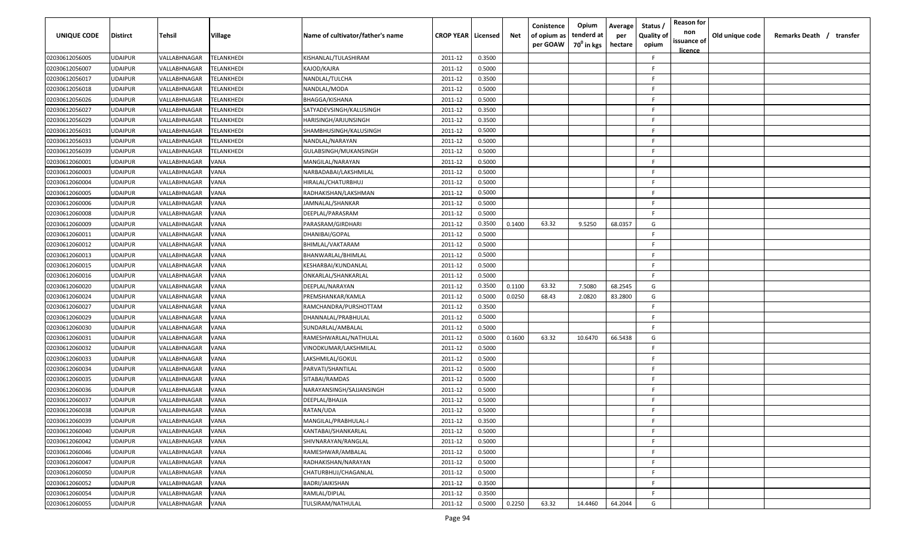| UNIQUE CODE    | <b>Distirct</b> | Tehsil                     | Village     | Name of cultivator/father's name | <b>CROP YEAR   Licensed</b> |        | Net    | Conistence<br>of opium as<br>per GOAW | Opium<br>tenderd at<br>70 <sup>0</sup> in kgs | Average<br>per<br>hectare | Status /<br><b>Quality of</b><br>opium | <b>Reason for</b><br>non<br>issuance of<br><u>licence</u> | Old unique code | Remarks Death / transfer |
|----------------|-----------------|----------------------------|-------------|----------------------------------|-----------------------------|--------|--------|---------------------------------------|-----------------------------------------------|---------------------------|----------------------------------------|-----------------------------------------------------------|-----------------|--------------------------|
| 02030612056005 | <b>JDAIPUR</b>  | VALLABHNAGAR               | TELANKHEDI  | KISHANLAL/TULASHIRAM             | 2011-12                     | 0.3500 |        |                                       |                                               |                           | -F                                     |                                                           |                 |                          |
| 02030612056007 | <b>JDAIPUR</b>  | VALLABHNAGAR               | TELANKHEDI  | KAJOD/KAJRA                      | 2011-12                     | 0.5000 |        |                                       |                                               |                           | F.                                     |                                                           |                 |                          |
| 02030612056017 | <b>JDAIPUR</b>  | VALLABHNAGAR               | TELANKHEDI  | NANDLAL/TULCHA                   | 2011-12                     | 0.3500 |        |                                       |                                               |                           | E.                                     |                                                           |                 |                          |
| 02030612056018 | <b>JDAIPUR</b>  | VALLABHNAGAR               | TELANKHEDI  | NANDLAL/MODA                     | 2011-12                     | 0.5000 |        |                                       |                                               |                           | -F                                     |                                                           |                 |                          |
| 02030612056026 | <b>JDAIPUR</b>  | VALLABHNAGAR               | TELANKHEDI  | BHAGGA/KISHANA                   | 2011-12                     | 0.5000 |        |                                       |                                               |                           | F                                      |                                                           |                 |                          |
| 02030612056027 | <b>JDAIPUR</b>  | VALLABHNAGAR               | TELANKHEDI  | SATYADEVSINGH/KALUSINGH          | 2011-12                     | 0.3500 |        |                                       |                                               |                           | -F                                     |                                                           |                 |                          |
| 02030612056029 | <b>JDAIPUR</b>  | <b><i>VALLABHNAGAR</i></b> | TELANKHEDI  | HARISINGH/ARJUNSINGH             | 2011-12                     | 0.3500 |        |                                       |                                               |                           | F.                                     |                                                           |                 |                          |
| 02030612056031 | <b>JDAIPUR</b>  | VALLABHNAGAR               | TELANKHEDI  | SHAMBHUSINGH/KALUSINGH           | 2011-12                     | 0.5000 |        |                                       |                                               |                           | -F.                                    |                                                           |                 |                          |
| 02030612056033 | UDAIPUR         | VALLABHNAGAR               | TELANKHEDI  | NANDLAL/NARAYAN                  | 2011-12                     | 0.5000 |        |                                       |                                               |                           | -F                                     |                                                           |                 |                          |
| 02030612056039 | JDAIPUR         | VALLABHNAGAR               | TELANKHEDI  | GULABSINGH/MUKANSINGH            | 2011-12                     | 0.5000 |        |                                       |                                               |                           | -F                                     |                                                           |                 |                          |
| 02030612060001 | <b>JDAIPUR</b>  | VALLABHNAGAR               | VANA        | MANGILAL/NARAYAN                 | 2011-12                     | 0.5000 |        |                                       |                                               |                           | -F                                     |                                                           |                 |                          |
| 02030612060003 | <b>JDAIPUR</b>  | <b><i>VALLABHNAGAR</i></b> | VANA        | NARBADABAI/LAKSHMILAL            | 2011-12                     | 0.5000 |        |                                       |                                               |                           | F.                                     |                                                           |                 |                          |
| 02030612060004 | <b>JDAIPUR</b>  | <b><i>VALLABHNAGAR</i></b> | VANA        | HIRALAL/CHATURBHUJ               | 2011-12                     | 0.5000 |        |                                       |                                               |                           | F.                                     |                                                           |                 |                          |
| 02030612060005 | <b>JDAIPUR</b>  | <b><i>VALLABHNAGAR</i></b> | VANA        | RADHAKISHAN/LAKSHMAN             | 2011-12                     | 0.5000 |        |                                       |                                               |                           | F.                                     |                                                           |                 |                          |
| 02030612060006 | <b>JDAIPUR</b>  | <b><i>VALLABHNAGAR</i></b> | VANA        | IAMNALAL/SHANKAR                 | 2011-12                     | 0.5000 |        |                                       |                                               |                           | E.                                     |                                                           |                 |                          |
| 02030612060008 | <b>JDAIPUR</b>  | VALLABHNAGAR               | VANA        | DEEPLAL/PARASRAM                 | 2011-12                     | 0.5000 |        |                                       |                                               |                           | F.                                     |                                                           |                 |                          |
| 02030612060009 | <b>JDAIPUR</b>  | VALLABHNAGAR               | VANA        | PARASRAM/GIRDHARI                | 2011-12                     | 0.3500 | 0.1400 | 63.32                                 | 9.5250                                        | 68.0357                   | G                                      |                                                           |                 |                          |
| 02030612060011 | JDAIPUR         | VALLABHNAGAR               | VANA        | DHANIBAI/GOPAL                   | 2011-12                     | 0.5000 |        |                                       |                                               |                           | -F                                     |                                                           |                 |                          |
| 02030612060012 | <b>JDAIPUR</b>  | VALLABHNAGAR               | VANA        | BHIMLAL/VAKTARAM                 | 2011-12                     | 0.5000 |        |                                       |                                               |                           | -F                                     |                                                           |                 |                          |
| 02030612060013 | <b>JDAIPUR</b>  | VALLABHNAGAR               | VANA        | BHANWARLAL/BHIMLAL               | 2011-12                     | 0.5000 |        |                                       |                                               |                           | -F                                     |                                                           |                 |                          |
| 02030612060015 | <b>JDAIPUR</b>  | VALLABHNAGAR               | VANA        | KESHARBAI/KUNDANLAL              | 2011-12                     | 0.5000 |        |                                       |                                               |                           | -F                                     |                                                           |                 |                          |
| 02030612060016 | <b>JDAIPUR</b>  | VALLABHNAGAR               | VANA        | ONKARLAL/SHANKARLAL              | 2011-12                     | 0.5000 |        |                                       |                                               |                           | -F                                     |                                                           |                 |                          |
| 02030612060020 | <b>JDAIPUR</b>  | <b><i>VALLABHNAGAR</i></b> | VANA        | DEEPLAL/NARAYAN                  | 2011-12                     | 0.3500 | 0.1100 | 63.32                                 | 7.5080                                        | 68.2545                   | G                                      |                                                           |                 |                          |
| 02030612060024 | <b>JDAIPUR</b>  | <b><i>VALLABHNAGAR</i></b> | VANA        | PREMSHANKAR/KAMLA                | 2011-12                     | 0.5000 | 0.0250 | 68.43                                 | 2.0820                                        | 83.2800                   | G                                      |                                                           |                 |                          |
| 02030612060027 | <b>JDAIPUR</b>  | <b><i>VALLABHNAGAR</i></b> | VANA        | RAMCHANDRA/PURSHOTTAM            | 2011-12                     | 0.3500 |        |                                       |                                               |                           | F.                                     |                                                           |                 |                          |
| 02030612060029 | UDAIPUR         | VALLABHNAGAR               | VANA        | DHANNALAL/PRABHULAL              | 2011-12                     | 0.5000 |        |                                       |                                               |                           | -F                                     |                                                           |                 |                          |
| 02030612060030 | JDAIPUR         | VALLABHNAGAR               | VANA        | SUNDARLAL/AMBALAL                | 2011-12                     | 0.5000 |        |                                       |                                               |                           | -F.                                    |                                                           |                 |                          |
| 02030612060031 | <b>JDAIPUR</b>  | /ALLABHNAGAR               | VANA        | RAMESHWARLAL/NATHULAL            | 2011-12                     | 0.5000 | 0.1600 | 63.32                                 | 10.6470                                       | 66.5438                   | G                                      |                                                           |                 |                          |
| 02030612060032 | <b>JDAIPUR</b>  | <b><i>VALLABHNAGAR</i></b> | VANA        | VINODKUMAR/LAKSHMILAL            | 2011-12                     | 0.5000 |        |                                       |                                               |                           | F.                                     |                                                           |                 |                          |
| 02030612060033 | <b>JDAIPUR</b>  | <b><i>VALLABHNAGAR</i></b> | VANA        | LAKSHMILAL/GOKUL                 | 2011-12                     | 0.5000 |        |                                       |                                               |                           | F.                                     |                                                           |                 |                          |
| 02030612060034 | <b>JDAIPUR</b>  | <b><i>VALLABHNAGAR</i></b> | VANA        | PARVATI/SHANTILAL                | 2011-12                     | 0.5000 |        |                                       |                                               |                           | F.                                     |                                                           |                 |                          |
| 02030612060035 | <b>JDAIPUR</b>  | <b><i>VALLABHNAGAR</i></b> | VANA        | SITABAI/RAMDAS                   | 2011-12                     | 0.5000 |        |                                       |                                               |                           | E.                                     |                                                           |                 |                          |
| 02030612060036 | <b>JDAIPUR</b>  | VALLABHNAGAR               | VANA        | NARAYANSINGH/SAJJANSINGH         | 2011-12                     | 0.5000 |        |                                       |                                               |                           | F.                                     |                                                           |                 |                          |
| 02030612060037 | <b>JDAIPUR</b>  | VALLABHNAGAR               | VANA        | DEEPLAL/BHAJJA                   | 2011-12                     | 0.5000 |        |                                       |                                               |                           | F                                      |                                                           |                 |                          |
| 02030612060038 | <b>JDAIPUR</b>  | VALLABHNAGAR               | VANA        | RATAN/UDA                        | 2011-12                     | 0.5000 |        |                                       |                                               |                           | F                                      |                                                           |                 |                          |
| 02030612060039 | <b>UDAIPUR</b>  | VALLABHNAGAR               | <b>VANA</b> | MANGILAL/PRABHULAL-I             | 2011-12                     | 0.3500 |        |                                       |                                               |                           | -F                                     |                                                           |                 |                          |
| 02030612060040 | UDAIPUR         | VALLABHNAGAR               | VANA        | KANTABAI/SHANKARLAL              | 2011-12                     | 0.5000 |        |                                       |                                               |                           | -F                                     |                                                           |                 |                          |
| 02030612060042 | <b>UDAIPUR</b>  | VALLABHNAGAR               | VANA        | SHIVNARAYAN/RANGLAL              | 2011-12                     | 0.5000 |        |                                       |                                               |                           | E                                      |                                                           |                 |                          |
| 02030612060046 | <b>JDAIPUR</b>  | VALLABHNAGAR               | VANA        | RAMESHWAR/AMBALAL                | 2011-12                     | 0.5000 |        |                                       |                                               |                           | -F                                     |                                                           |                 |                          |
| 02030612060047 | <b>JDAIPUR</b>  | VALLABHNAGAR               | VANA        | RADHAKISHAN/NARAYAN              | 2011-12                     | 0.5000 |        |                                       |                                               |                           | E                                      |                                                           |                 |                          |
| 02030612060050 | <b>JDAIPUR</b>  | VALLABHNAGAR               | VANA        | CHATURBHUJ/CHAGANLAL             | 2011-12                     | 0.5000 |        |                                       |                                               |                           | -F                                     |                                                           |                 |                          |
| 02030612060052 | <b>JDAIPUR</b>  | VALLABHNAGAR               | VANA        | BADRI/JAIKISHAN                  | 2011-12                     | 0.3500 |        |                                       |                                               |                           | E                                      |                                                           |                 |                          |
| 02030612060054 | JDAIPUR         | VALLABHNAGAR               | VANA        | RAMLAL/DIPLAL                    | 2011-12                     | 0.3500 |        |                                       |                                               |                           | E                                      |                                                           |                 |                          |
| 02030612060055 | <b>JDAIPUR</b>  | VALLABHNAGAR               | VANA        | TULSIRAM/NATHULAL                | 2011-12                     | 0.5000 | 0.2250 | 63.32                                 | 14.4460                                       | 64.2044                   | G                                      |                                                           |                 |                          |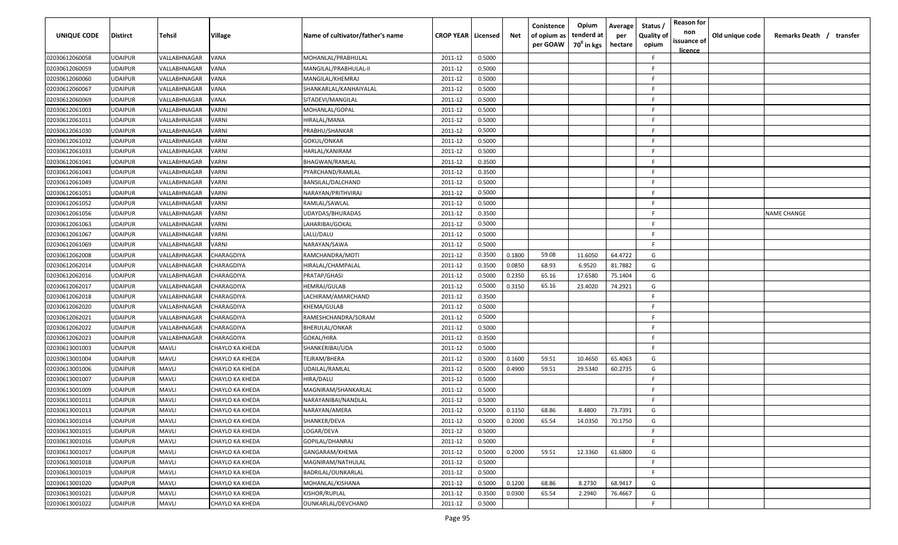| <b>UNIQUE CODE</b> | <b>Distirct</b> | Tehsil       | Village                | Name of cultivator/father's name | <b>CROP YEAR   Licensed</b> |        | Net    | Conistence<br>of opium as<br>per GOAW | Opium<br>tenderd at<br>70 <sup>0</sup> in kgs | Average<br>per<br>hectare | Status /<br><b>Quality of</b><br>opium | <b>Reason for</b><br>non<br>issuance of<br>licence | Old unique code | Remarks Death / transfer |
|--------------------|-----------------|--------------|------------------------|----------------------------------|-----------------------------|--------|--------|---------------------------------------|-----------------------------------------------|---------------------------|----------------------------------------|----------------------------------------------------|-----------------|--------------------------|
| 02030612060058     | <b>UDAIPUR</b>  | VALLABHNAGAR | VANA                   | MOHANLAL/PRABHULAL               | 2011-12                     | 0.5000 |        |                                       |                                               |                           | F.                                     |                                                    |                 |                          |
| 02030612060059     | <b>UDAIPUR</b>  | VALLABHNAGAR | VANA                   | MANGILAL/PRABHULAL-II            | 2011-12                     | 0.5000 |        |                                       |                                               |                           | F.                                     |                                                    |                 |                          |
| 02030612060060     | <b>UDAIPUR</b>  | VALLABHNAGAR | VANA                   | MANGILAL/KHEMRAJ                 | 2011-12                     | 0.5000 |        |                                       |                                               |                           | -F.                                    |                                                    |                 |                          |
| 02030612060067     | <b>UDAIPUR</b>  | VALLABHNAGAR | VANA                   | SHANKARLAL/KANHAIYALAL           | 2011-12                     | 0.5000 |        |                                       |                                               |                           | -F.                                    |                                                    |                 |                          |
| 02030612060069     | <b>UDAIPUR</b>  | VALLABHNAGAR | VANA                   | SITADEVI/MANGILAL                | 2011-12                     | 0.5000 |        |                                       |                                               |                           | -F.                                    |                                                    |                 |                          |
| 02030612061003     | <b>UDAIPUR</b>  | VALLABHNAGAR | VARNI                  | MOHANLAL/GOPAL                   | 2011-12                     | 0.5000 |        |                                       |                                               |                           | -F.                                    |                                                    |                 |                          |
| 02030612061011     | <b>UDAIPUR</b>  | VALLABHNAGAR | VARNI                  | HIRALAL/MANA                     | 2011-12                     | 0.5000 |        |                                       |                                               |                           | -F                                     |                                                    |                 |                          |
| 02030612061030     | <b>UDAIPUR</b>  | VALLABHNAGAR | VARNI                  | PRABHU/SHANKAR                   | 2011-12                     | 0.5000 |        |                                       |                                               |                           | F.                                     |                                                    |                 |                          |
| 02030612061032     | <b>UDAIPUR</b>  | VALLABHNAGAR | VARNI                  | GOKUL/ONKAR                      | 2011-12                     | 0.5000 |        |                                       |                                               |                           | -F                                     |                                                    |                 |                          |
| 02030612061033     | <b>UDAIPUR</b>  | VALLABHNAGAR | /ARNI                  | HARLAL/KANIRAM                   | 2011-12                     | 0.5000 |        |                                       |                                               |                           | -F                                     |                                                    |                 |                          |
| 02030612061041     | <b>UDAIPUR</b>  | VALLABHNAGAR | VARNI                  | BHAGWAN/RAMLAL                   | 2011-12                     | 0.3500 |        |                                       |                                               |                           | -F                                     |                                                    |                 |                          |
| 02030612061043     | <b>UDAIPUR</b>  | VALLABHNAGAR | VARNI                  | PYARCHAND/RAMLAL                 | 2011-12                     | 0.3500 |        |                                       |                                               |                           | -F.                                    |                                                    |                 |                          |
| 02030612061049     | <b>UDAIPUR</b>  | VALLABHNAGAR | VARNI                  | BANSILAL/DALCHAND                | 2011-12                     | 0.5000 |        |                                       |                                               |                           | F.                                     |                                                    |                 |                          |
| 02030612061051     | <b>UDAIPUR</b>  | VALLABHNAGAR | VARNI                  | NARAYAN/PRITHVIRAJ               | 2011-12                     | 0.5000 |        |                                       |                                               |                           | -F.                                    |                                                    |                 |                          |
| 02030612061052     | <b>UDAIPUR</b>  | VALLABHNAGAR | VARNI                  | RAMLAL/SAWLAL                    | 2011-12                     | 0.5000 |        |                                       |                                               |                           | -F.                                    |                                                    |                 |                          |
| 02030612061056     | <b>UDAIPUR</b>  | VALLABHNAGAR | VARNI                  | UDAYDAS/BHURADAS                 | 2011-12                     | 0.3500 |        |                                       |                                               |                           | -F.                                    |                                                    |                 | <b>NAME CHANGE</b>       |
| 02030612061063     | <b>UDAIPUR</b>  | VALLABHNAGAR | VARNI                  | LAHARIBAI/GOKAL                  | 2011-12                     | 0.5000 |        |                                       |                                               |                           | -F.                                    |                                                    |                 |                          |
| 02030612061067     | <b>UDAIPUR</b>  | VALLABHNAGAR | VARNI                  | LALU/DALU                        | 2011-12                     | 0.5000 |        |                                       |                                               |                           | -F                                     |                                                    |                 |                          |
| 02030612061069     | <b>UDAIPUR</b>  | VALLABHNAGAR | VARNI                  | NARAYAN/SAWA                     | 2011-12                     | 0.5000 |        |                                       |                                               |                           | -F                                     |                                                    |                 |                          |
| 02030612062008     | <b>UDAIPUR</b>  | VALLABHNAGAR | CHARAGDIYA             | RAMCHANDRA/MOTI                  | 2011-12                     | 0.3500 | 0.1800 | 59.08                                 | 11.6050                                       | 64.4722                   | G                                      |                                                    |                 |                          |
| 02030612062014     | <b>UDAIPUR</b>  | VALLABHNAGAR | <b>CHARAGDIYA</b>      | HIRALAL/CHAMPALAL                | 2011-12                     | 0.3500 | 0.0850 | 68.93                                 | 6.9520                                        | 81.7882                   | G                                      |                                                    |                 |                          |
| 02030612062016     | <b>UDAIPUR</b>  | VALLABHNAGAR | CHARAGDIYA             | PRATAP/GHASI                     | 2011-12                     | 0.5000 | 0.2350 | 65.16                                 | 17.6580                                       | 75.1404                   | G                                      |                                                    |                 |                          |
| 02030612062017     | <b>UDAIPUR</b>  | VALLABHNAGAR | CHARAGDIYA             | HEMRAJ/GULAB                     | 2011-12                     | 0.5000 | 0.3150 | 65.16                                 | 23.4020                                       | 74.2921                   | G                                      |                                                    |                 |                          |
| 02030612062018     | <b>UDAIPUR</b>  | VALLABHNAGAR | CHARAGDIYA             | LACHIRAM/AMARCHAND               | 2011-12                     | 0.3500 |        |                                       |                                               |                           | F.                                     |                                                    |                 |                          |
| 02030612062020     | <b>UDAIPUR</b>  | VALLABHNAGAR | CHARAGDIYA             | KHEMA/GULAB                      | 2011-12                     | 0.5000 |        |                                       |                                               |                           | F.                                     |                                                    |                 |                          |
| 02030612062021     | <b>UDAIPUR</b>  | VALLABHNAGAR | CHARAGDIYA             | RAMESHCHANDRA/SORAM              | 2011-12                     | 0.5000 |        |                                       |                                               |                           | F.                                     |                                                    |                 |                          |
| 02030612062022     | UDAIPUR         | VALLABHNAGAR | CHARAGDIYA             | BHERULAL/ONKAR                   | 2011-12                     | 0.5000 |        |                                       |                                               |                           | -F                                     |                                                    |                 |                          |
| 02030612062023     | <b>UDAIPUR</b>  | VALLABHNAGAR | CHARAGDIYA             | GOKAL/HIRA                       | 2011-12                     | 0.3500 |        |                                       |                                               |                           | -F.                                    |                                                    |                 |                          |
| 02030613001003     | <b>UDAIPUR</b>  | <b>MAVLI</b> | CHAYLO KA KHEDA        | SHANKERIBAI/UDA                  | 2011-12                     | 0.5000 |        |                                       |                                               |                           | -F.                                    |                                                    |                 |                          |
| 02030613001004     | <b>UDAIPUR</b>  | <b>MAVLI</b> | CHAYLO KA KHEDA        | TEJRAM/BHERA                     | 2011-12                     | 0.5000 | 0.1600 | 59.51                                 | 10.4650                                       | 65.4063                   | G                                      |                                                    |                 |                          |
| 02030613001006     | <b>UDAIPUR</b>  | <b>MAVLI</b> | CHAYLO KA KHEDA        | UDAILAL/RAMLAL                   | 2011-12                     | 0.5000 | 0.4900 | 59.51                                 | 29.5340                                       | 60.2735                   | G                                      |                                                    |                 |                          |
| 02030613001007     | <b>UDAIPUR</b>  | <b>MAVLI</b> | CHAYLO KA KHEDA        | HIRA/DALU                        | 2011-12                     | 0.5000 |        |                                       |                                               |                           | -F.                                    |                                                    |                 |                          |
| 02030613001009     | <b>UDAIPUR</b>  | <b>MAVLI</b> | CHAYLO KA KHEDA        | MAGNIRAM/SHANKARLAL              | 2011-12                     | 0.5000 |        |                                       |                                               |                           | -F.                                    |                                                    |                 |                          |
| 02030613001011     | <b>UDAIPUR</b>  | <b>MAVLI</b> | CHAYLO KA KHEDA        | NARAYANIBAI/NANDLAL              | 2011-12                     | 0.5000 |        |                                       |                                               |                           | F.                                     |                                                    |                 |                          |
| 02030613001013     | <b>UDAIPUR</b>  | <b>MAVLI</b> | CHAYLO KA KHEDA        | NARAYAN/AMERA                    | 2011-12                     | 0.5000 | 0.1150 | 68.86                                 | 8.4800                                        | 73.7391                   | G                                      |                                                    |                 |                          |
| 02030613001014     | <b>UDAIPUR</b>  | <b>MAVLI</b> | <b>CHAYLO KA KHEDA</b> | SHANKER/DEVA                     | 2011-12                     | 0.5000 | 0.2000 | 65.54                                 | 14.0350                                       | 70.1750                   | G                                      |                                                    |                 |                          |
| 02030613001015     | <b>UDAIPUR</b>  | <b>MAVLI</b> | <b>CHAYLO KA KHEDA</b> | LOGAR/DEVA                       | 2011-12                     | 0.5000 |        |                                       |                                               |                           | F.                                     |                                                    |                 |                          |
| 02030613001016     | <b>UDAIPUR</b>  | <b>MAVLI</b> | CHAYLO KA KHEDA        | GOPILAL/DHANRAJ                  | 2011-12                     | 0.5000 |        |                                       |                                               |                           | F                                      |                                                    |                 |                          |
| 02030613001017     | <b>UDAIPUR</b>  | MAVLI        | CHAYLO KA KHEDA        | GANGARAM/KHEMA                   | 2011-12                     | 0.5000 | 0.2000 | 59.51                                 | 12.3360                                       | 61.6800                   | G                                      |                                                    |                 |                          |
| 02030613001018     | <b>UDAIPUR</b>  | <b>MAVLI</b> | CHAYLO KA KHEDA        | MAGNIRAM/NATHULAL                | 2011-12                     | 0.5000 |        |                                       |                                               |                           | F.                                     |                                                    |                 |                          |
| 02030613001019     | <b>UDAIPUR</b>  | <b>MAVLI</b> | CHAYLO KA KHEDA        | BADRILAL/OUNKARLAL               | 2011-12                     | 0.5000 |        |                                       |                                               |                           | F.                                     |                                                    |                 |                          |
| 02030613001020     | <b>UDAIPUR</b>  | <b>MAVLI</b> | CHAYLO KA KHEDA        | MOHANLAL/KISHANA                 | 2011-12                     | 0.5000 | 0.1200 | 68.86                                 | 8.2730                                        | 68.9417                   | G                                      |                                                    |                 |                          |
| 02030613001021     | <b>UDAIPUR</b>  | <b>MAVLI</b> | CHAYLO KA KHEDA        | KISHOR/RUPLAL                    | 2011-12                     | 0.3500 | 0.0300 | 65.54                                 | 2.2940                                        | 76.4667                   | G                                      |                                                    |                 |                          |
| 02030613001022     | <b>UDAIPUR</b>  | <b>MAVLI</b> | CHAYLO KA KHEDA        | OUNKARLAL/DEVCHAND               | 2011-12                     | 0.5000 |        |                                       |                                               |                           | F                                      |                                                    |                 |                          |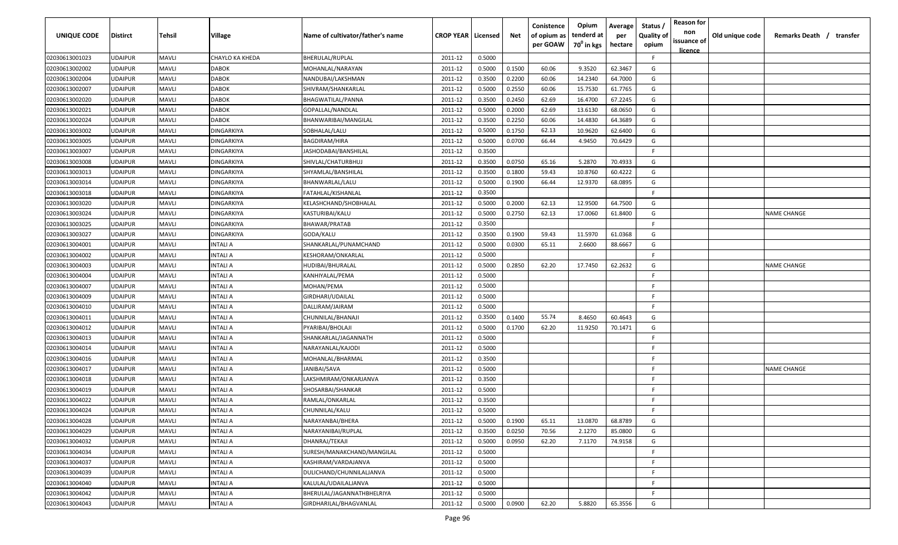| UNIQUE CODE    | <b>Distirct</b> | Tehsil       | Village                | Name of cultivator/father's name | <b>CROP YEAR   Licensed</b> |        | Net    | Conistence<br>of opium as | Opium<br>tenderd at    | Average<br>per | Status<br><b>Quality of</b> | <b>Reason for</b><br>non<br>issuance of | Old unique code | Remarks Death / transfer |
|----------------|-----------------|--------------|------------------------|----------------------------------|-----------------------------|--------|--------|---------------------------|------------------------|----------------|-----------------------------|-----------------------------------------|-----------------|--------------------------|
|                |                 |              |                        |                                  |                             |        |        | per GOAW                  | 70 <sup>0</sup> in kgs | hectare        | opium                       | <u>licence</u>                          |                 |                          |
| 02030613001023 | <b>UDAIPUR</b>  | <b>MAVLI</b> | <b>CHAYLO KA KHEDA</b> | BHERULAL/RUPLAL                  | 2011-12                     | 0.5000 |        |                           |                        |                | F.                          |                                         |                 |                          |
| 02030613002002 | <b>UDAIPUR</b>  | <b>MAVLI</b> | <b>DABOK</b>           | MOHANLAL/NARAYAN                 | 2011-12                     | 0.5000 | 0.1500 | 60.06                     | 9.3520                 | 62.3467        | G                           |                                         |                 |                          |
| 02030613002004 | <b>UDAIPUR</b>  | <b>MAVLI</b> | <b>DABOK</b>           | NANDUBAI/LAKSHMAN                | 2011-12                     | 0.3500 | 0.2200 | 60.06                     | 14.2340                | 64.7000        | G                           |                                         |                 |                          |
| 02030613002007 | <b>UDAIPUR</b>  | <b>MAVLI</b> | <b>DABOK</b>           | SHIVRAM/SHANKARLAL               | 2011-12                     | 0.5000 | 0.2550 | 60.06                     | 15.7530                | 61.7765        | G                           |                                         |                 |                          |
| 02030613002020 | <b>UDAIPUR</b>  | <b>MAVLI</b> | <b>DABOK</b>           | BHAGWATILAL/PANNA                | 2011-12                     | 0.3500 | 0.2450 | 62.69                     | 16.4700                | 67.2245        | G                           |                                         |                 |                          |
| 02030613002021 | <b>UDAIPUR</b>  | <b>MAVLI</b> | <b>DABOK</b>           | GOPALLAL/NANDLAL                 | 2011-12                     | 0.5000 | 0.2000 | 62.69                     | 13.6130                | 68.0650        | G                           |                                         |                 |                          |
| 02030613002024 | <b>UDAIPUR</b>  | <b>MAVLI</b> | <b>DABOK</b>           | BHANWARIBAI/MANGILAL             | 2011-12                     | 0.3500 | 0.2250 | 60.06                     | 14.4830                | 64.3689        | G                           |                                         |                 |                          |
| 02030613003002 | <b>UDAIPUR</b>  | <b>MAVLI</b> | <b>DINGARKIYA</b>      | SOBHALAL/LALU                    | 2011-12                     | 0.5000 | 0.1750 | 62.13                     | 10.9620                | 62.6400        | G                           |                                         |                 |                          |
| 02030613003005 | <b>UDAIPUR</b>  | <b>MAVLI</b> | <b>DINGARKIYA</b>      | <b>BAGDIRAM/HIRA</b>             | 2011-12                     | 0.5000 | 0.0700 | 66.44                     | 4.9450                 | 70.6429        | G                           |                                         |                 |                          |
| 02030613003007 | <b>UDAIPUR</b>  | <b>MAVLI</b> | <b>DINGARKIYA</b>      | IASHODABAI/BANSHILAL             | 2011-12                     | 0.3500 |        |                           |                        |                | F                           |                                         |                 |                          |
| 02030613003008 | <b>UDAIPUR</b>  | <b>MAVLI</b> | DINGARKIYA             | SHIVLAL/CHATURBHUJ               | 2011-12                     | 0.3500 | 0.0750 | 65.16                     | 5.2870                 | 70.4933        | G                           |                                         |                 |                          |
| 02030613003013 | <b>UDAIPUR</b>  | <b>MAVLI</b> | DINGARKIYA             | SHYAMLAL/BANSHILAL               | 2011-12                     | 0.3500 | 0.1800 | 59.43                     | 10.8760                | 60.4222        | G                           |                                         |                 |                          |
| 02030613003014 | <b>UDAIPUR</b>  | <b>MAVLI</b> | <b>DINGARKIYA</b>      | BHANWARLAL/LALU                  | 2011-12                     | 0.5000 | 0.1900 | 66.44                     | 12.9370                | 68.0895        | G                           |                                         |                 |                          |
| 02030613003018 | <b>UDAIPUR</b>  | <b>MAVLI</b> | <b>DINGARKIYA</b>      | FATAHLAL/KISHANLAL               | 2011-12                     | 0.3500 |        |                           |                        |                | F.                          |                                         |                 |                          |
| 02030613003020 | <b>UDAIPUR</b>  | <b>MAVLI</b> | <b>DINGARKIYA</b>      | KELASHCHAND/SHOBHALAL            | 2011-12                     | 0.5000 | 0.2000 | 62.13                     | 12.9500                | 64.7500        | G                           |                                         |                 |                          |
| 02030613003024 | <b>UDAIPUR</b>  | <b>MAVLI</b> | DINGARKIYA             | KASTURIBAI/KALU                  | 2011-12                     | 0.5000 | 0.2750 | 62.13                     | 17.0060                | 61.8400        | G                           |                                         |                 | <b>NAME CHANGE</b>       |
| 02030613003025 | <b>UDAIPUR</b>  | <b>MAVLI</b> | <b>DINGARKIYA</b>      | BHAWAR/PRATAB                    | 2011-12                     | 0.3500 |        |                           |                        |                | F.                          |                                         |                 |                          |
| 02030613003027 | <b>UDAIPUR</b>  | <b>MAVLI</b> | <b>DINGARKIYA</b>      | GODA/KALU                        | 2011-12                     | 0.3500 | 0.1900 | 59.43                     | 11.5970                | 61.0368        | G                           |                                         |                 |                          |
| 02030613004001 | <b>UDAIPUR</b>  | <b>MAVLI</b> | INTALI A               | SHANKARLAL/PUNAMCHAND            | 2011-12                     | 0.5000 | 0.0300 | 65.11                     | 2.6600                 | 88.6667        | G                           |                                         |                 |                          |
| 02030613004002 | <b>UDAIPUR</b>  | <b>MAVLI</b> | INTALI A               | KESHORAM/ONKARLAL                | 2011-12                     | 0.5000 |        |                           |                        |                | F.                          |                                         |                 |                          |
| 02030613004003 | <b>UDAIPUR</b>  | <b>MAVLI</b> | INTALI A               | HUDIBAI/BHURALAL                 | 2011-12                     | 0.5000 | 0.2850 | 62.20                     | 17.7450                | 62.2632        | G                           |                                         |                 | <b>NAME CHANGE</b>       |
| 02030613004004 | <b>UDAIPUR</b>  | <b>MAVLI</b> | INTALI A               | KANHIYALAL/PEMA                  | 2011-12                     | 0.5000 |        |                           |                        |                | -F.                         |                                         |                 |                          |
| 02030613004007 | <b>UDAIPUR</b>  | <b>MAVLI</b> | INTALI A               | MOHAN/PEMA                       | 2011-12                     | 0.5000 |        |                           |                        |                | -F.                         |                                         |                 |                          |
| 02030613004009 | <b>UDAIPUR</b>  | <b>MAVLI</b> | INTALI A               | GIRDHARI/UDAILAL                 | 2011-12                     | 0.5000 |        |                           |                        |                | -F.                         |                                         |                 |                          |
| 02030613004010 | <b>UDAIPUR</b>  | <b>MAVLI</b> | INTALI A               | DALLIRAM/JAIRAM                  | 2011-12                     | 0.5000 |        |                           |                        |                | -F                          |                                         |                 |                          |
| 02030613004011 | <b>UDAIPUR</b>  | <b>MAVLI</b> | INTALI A               | CHUNNILAL/BHANAJI                | 2011-12                     | 0.3500 | 0.1400 | 55.74                     | 8.4650                 | 60.4643        | G                           |                                         |                 |                          |
| 02030613004012 | <b>UDAIPUR</b>  | <b>MAVLI</b> | INTALI A               | PYARIBAI/BHOLAJI                 | 2011-12                     | 0.5000 | 0.1700 | 62.20                     | 11.9250                | 70.1471        | G                           |                                         |                 |                          |
| 02030613004013 | <b>UDAIPUR</b>  | <b>MAVLI</b> | INTALI A               | SHANKARLAL/JAGANNATH             | 2011-12                     | 0.5000 |        |                           |                        |                | F.                          |                                         |                 |                          |
| 02030613004014 | <b>UDAIPUR</b>  | <b>MAVLI</b> | INTALI A               | NARAYANLAL/KAJODI                | 2011-12                     | 0.5000 |        |                           |                        |                | -F.                         |                                         |                 |                          |
| 02030613004016 | <b>UDAIPUR</b>  | <b>MAVLI</b> | INTALI A               | MOHANLAL/BHARMAL                 | 2011-12                     | 0.3500 |        |                           |                        |                | -F.                         |                                         |                 |                          |
| 02030613004017 | <b>UDAIPUR</b>  | <b>MAVLI</b> | INTALI A               | JANIBAI/SAVA                     | 2011-12                     | 0.5000 |        |                           |                        |                | -F.                         |                                         |                 | <b>NAME CHANGE</b>       |
| 02030613004018 | <b>UDAIPUR</b>  | <b>MAVLI</b> | INTALI A               | LAKSHMIRAM/ONKARJANVA            | 2011-12                     | 0.3500 |        |                           |                        |                | -F.                         |                                         |                 |                          |
| 02030613004019 | <b>UDAIPUR</b>  | <b>MAVLI</b> | INTALI A               | SHOSARBAI/SHANKAR                | 2011-12                     | 0.5000 |        |                           |                        |                | -F.                         |                                         |                 |                          |
| 02030613004022 | <b>UDAIPUR</b>  | <b>MAVLI</b> | INTALI A               | RAMLAL/ONKARLAL                  | 2011-12                     | 0.3500 |        |                           |                        |                | -F.                         |                                         |                 |                          |
| 02030613004024 | <b>UDAIPUR</b>  | <b>MAVLI</b> | INTALI A               | CHUNNILAL/KALU                   | 2011-12                     | 0.5000 |        |                           |                        |                | -F.                         |                                         |                 |                          |
| 02030613004028 | <b>UDAIPUR</b>  | <b>MAVLI</b> | <b>INTALI A</b>        | NARAYANBAI/BHERA                 | 2011-12                     | 0.5000 | 0.1900 | 65.11                     | 13.0870                | 68.8789        | G                           |                                         |                 |                          |
| 02030613004029 | <b>UDAIPUR</b>  | <b>MAVLI</b> | INTALI A               | NARAYANIBAI/RUPLAL               | 2011-12                     | 0.3500 | 0.0250 | 70.56                     | 2.1270                 | 85.0800        | G                           |                                         |                 |                          |
| 02030613004032 | <b>UDAIPUR</b>  | <b>MAVLI</b> | <b>INTALI A</b>        | DHANRAJ/TEKAJI                   | 2011-12                     | 0.5000 | 0.0950 | 62.20                     | 7.1170                 | 74.9158        | G                           |                                         |                 |                          |
| 02030613004034 | <b>UDAIPUR</b>  | <b>MAVLI</b> | <b>INTALI A</b>        | SURESH/MANAKCHAND/MANGILAL       | 2011-12                     | 0.5000 |        |                           |                        |                | F.                          |                                         |                 |                          |
| 02030613004037 | <b>UDAIPUR</b>  | <b>MAVLI</b> | INTALI A               | KASHIRAM/VARDAJANVA              | 2011-12                     | 0.5000 |        |                           |                        |                | F.                          |                                         |                 |                          |
| 02030613004039 | <b>UDAIPUR</b>  | <b>MAVLI</b> | INTALI A               | DULICHAND/CHUNNILALJANVA         | 2011-12                     | 0.5000 |        |                           |                        |                | F.                          |                                         |                 |                          |
| 02030613004040 | <b>UDAIPUR</b>  | <b>MAVLI</b> | INTALI A               | KALULAL/UDAILALJANVA             | 2011-12                     | 0.5000 |        |                           |                        |                | F.                          |                                         |                 |                          |
| 02030613004042 | <b>UDAIPUR</b>  | <b>MAVLI</b> | INTALI A               | BHERULAL/JAGANNATHBHELRIYA       | 2011-12                     | 0.5000 |        |                           |                        |                | F.                          |                                         |                 |                          |
| 02030613004043 | <b>UDAIPUR</b>  | <b>MAVLI</b> | INTALI A               | GIRDHARILAL/BHAGVANLAL           | 2011-12                     | 0.5000 | 0.0900 | 62.20                     | 5.8820                 | 65.3556        | G                           |                                         |                 |                          |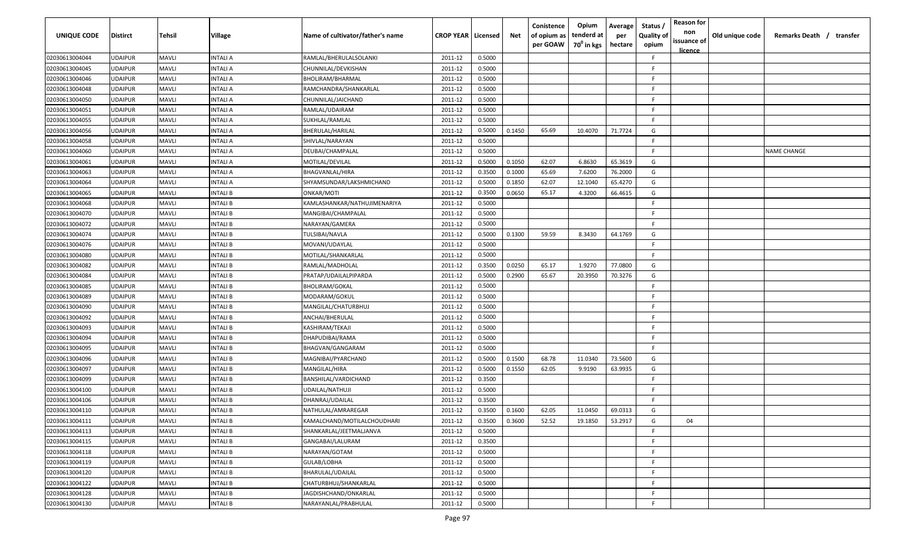| <b>UNIQUE CODE</b> | <b>Distirct</b> | Tehsil       | <b>Village</b>  | Name of cultivator/father's name | <b>CROP YEAR   Licensed</b> |        | Net    | Conistence<br>of opium as<br>per GOAW | Opium<br>tenderd at<br>70 <sup>0</sup> in kgs | Average<br>per<br>hectare | Status /<br><b>Quality of</b><br>opium | <b>Reason for</b><br>non<br>issuance of<br><u>licence</u> | Old unique code | Remarks Death / transfer |
|--------------------|-----------------|--------------|-----------------|----------------------------------|-----------------------------|--------|--------|---------------------------------------|-----------------------------------------------|---------------------------|----------------------------------------|-----------------------------------------------------------|-----------------|--------------------------|
| 02030613004044     | <b>UDAIPUR</b>  | <b>MAVLI</b> | INTALI A        | RAMLAL/BHERULALSOLANKI           | 2011-12                     | 0.5000 |        |                                       |                                               |                           | F.                                     |                                                           |                 |                          |
| 02030613004045     | <b>UDAIPUR</b>  | <b>MAVLI</b> | INTALI A        | CHUNNILAL/DEVKISHAN              | 2011-12                     | 0.5000 |        |                                       |                                               |                           | F.                                     |                                                           |                 |                          |
| 02030613004046     | <b>UDAIPUR</b>  | <b>MAVLI</b> | INTALI A        | BHOLIRAM/BHARMAL                 | 2011-12                     | 0.5000 |        |                                       |                                               |                           | -F                                     |                                                           |                 |                          |
| 02030613004048     | <b>UDAIPUR</b>  | <b>MAVLI</b> | INTALI A        | RAMCHANDRA/SHANKARLAL            | 2011-12                     | 0.5000 |        |                                       |                                               |                           | -F.                                    |                                                           |                 |                          |
| 02030613004050     | <b>UDAIPUR</b>  | <b>MAVLI</b> | INTALI A        | CHUNNILAL/JAICHAND               | 2011-12                     | 0.5000 |        |                                       |                                               |                           | F                                      |                                                           |                 |                          |
| 02030613004051     | <b>UDAIPUR</b>  | <b>MAVLI</b> | INTALI A        | RAMLAL/UDAIRAM                   | 2011-12                     | 0.5000 |        |                                       |                                               |                           | -F.                                    |                                                           |                 |                          |
| 02030613004055     | <b>UDAIPUR</b>  | <b>MAVLI</b> | INTALI A        | SUKHLAL/RAMLAL                   | 2011-12                     | 0.5000 |        |                                       |                                               |                           | F.                                     |                                                           |                 |                          |
| 02030613004056     | <b>UDAIPUR</b>  | <b>MAVLI</b> | INTALI A        | BHERULAL/HARILAL                 | 2011-12                     | 0.5000 | 0.1450 | 65.69                                 | 10.4070                                       | 71.7724                   | G                                      |                                                           |                 |                          |
| 02030613004058     | <b>UDAIPUR</b>  | <b>MAVLI</b> | INTALI A        | SHIVLAL/NARAYAN                  | 2011-12                     | 0.5000 |        |                                       |                                               |                           | F.                                     |                                                           |                 |                          |
| 02030613004060     | <b>UDAIPUR</b>  | <b>MAVLI</b> | INTALI A        | DEUBAI/CHAMPALAL                 | 2011-12                     | 0.5000 |        |                                       |                                               |                           | -F.                                    |                                                           |                 | <b>NAME CHANGE</b>       |
| 02030613004061     | <b>UDAIPUR</b>  | <b>MAVLI</b> | INTALI A        | MOTILAL/DEVILAL                  | 2011-12                     | 0.5000 | 0.1050 | 62.07                                 | 6.8630                                        | 65.3619                   | G                                      |                                                           |                 |                          |
| 02030613004063     | <b>UDAIPUR</b>  | <b>MAVLI</b> | INTALI A        | BHAGVANLAL/HIRA                  | 2011-12                     | 0.3500 | 0.1000 | 65.69                                 | 7.6200                                        | 76.2000                   | G                                      |                                                           |                 |                          |
| 02030613004064     | <b>UDAIPUR</b>  | <b>MAVLI</b> | INTALI A        | SHYAMSUNDAR/LAKSHMICHAND         | 2011-12                     | 0.5000 | 0.1850 | 62.07                                 | 12.1040                                       | 65.4270                   | G                                      |                                                           |                 |                          |
| 02030613004065     | <b>UDAIPUR</b>  | <b>MAVLI</b> | INTALI B        | ONKAR/MOTI                       | 2011-12                     | 0.3500 | 0.0650 | 65.17                                 | 4.3200                                        | 66.4615                   | G                                      |                                                           |                 |                          |
| 02030613004068     | <b>UDAIPUR</b>  | <b>MAVLI</b> | INTALI B        | KAMLASHANKAR/NATHUJIMENARIYA     | 2011-12                     | 0.5000 |        |                                       |                                               |                           | F.                                     |                                                           |                 |                          |
| 02030613004070     | <b>UDAIPUR</b>  | <b>MAVLI</b> | INTALI B        | MANGIBAI/CHAMPALAL               | 2011-12                     | 0.5000 |        |                                       |                                               |                           | -F.                                    |                                                           |                 |                          |
| 02030613004072     | <b>UDAIPUR</b>  | <b>MAVLI</b> | <b>INTALIB</b>  | NARAYAN/GAMERA                   | 2011-12                     | 0.5000 |        |                                       |                                               |                           | F.                                     |                                                           |                 |                          |
| 02030613004074     | <b>UDAIPUR</b>  | <b>MAVLI</b> | INTALI B        | TULSIBAI/NAVLA                   | 2011-12                     | 0.5000 | 0.1300 | 59.59                                 | 8.3430                                        | 64.1769                   | G                                      |                                                           |                 |                          |
| 02030613004076     | <b>UDAIPUR</b>  | <b>MAVLI</b> | INTALI B        | MOVANI/UDAYLAL                   | 2011-12                     | 0.5000 |        |                                       |                                               |                           | -F                                     |                                                           |                 |                          |
| 02030613004080     | <b>UDAIPUR</b>  | <b>MAVLI</b> | INTALI B        | MOTILAL/SHANKARLAL               | 2011-12                     | 0.5000 |        |                                       |                                               |                           | -F                                     |                                                           |                 |                          |
| 02030613004082     | <b>UDAIPUR</b>  | <b>MAVLI</b> | INTALI B        | RAMLAL/MADHOLAL                  | 2011-12                     | 0.3500 | 0.0250 | 65.17                                 | 1.9270                                        | 77.0800                   | G                                      |                                                           |                 |                          |
| 02030613004084     | <b>UDAIPUR</b>  | <b>MAVLI</b> | INTALI B        | PRATAP/UDAILALPIPARDA            | 2011-12                     | 0.5000 | 0.2900 | 65.67                                 | 20.3950                                       | 70.3276                   | G                                      |                                                           |                 |                          |
| 02030613004085     | <b>UDAIPUR</b>  | <b>MAVLI</b> | INTALI B        | <b>BHOLIRAM/GOKAL</b>            | 2011-12                     | 0.5000 |        |                                       |                                               |                           | -F                                     |                                                           |                 |                          |
| 02030613004089     | <b>UDAIPUR</b>  | <b>MAVLI</b> | INTALI B        | MODARAM/GOKUL                    | 2011-12                     | 0.5000 |        |                                       |                                               |                           | F.                                     |                                                           |                 |                          |
| 02030613004090     | <b>UDAIPUR</b>  | <b>MAVLI</b> | INTALI B        | MANGILAL/CHATURBHUJ              | 2011-12                     | 0.5000 |        |                                       |                                               |                           | F.                                     |                                                           |                 |                          |
| 02030613004092     | <b>UDAIPUR</b>  | <b>MAVLI</b> | INTALI B        | ANCHAI/BHERULAL                  | 2011-12                     | 0.5000 |        |                                       |                                               |                           | F.                                     |                                                           |                 |                          |
| 02030613004093     | UDAIPUR         | <b>MAVLI</b> | INTALI B        | KASHIRAM/TEKAJI                  | 2011-12                     | 0.5000 |        |                                       |                                               |                           | F                                      |                                                           |                 |                          |
| 02030613004094     | <b>UDAIPUR</b>  | <b>MAVLI</b> | INTALI B        | DHAPUDIBAI/RAMA                  | 2011-12                     | 0.5000 |        |                                       |                                               |                           | -F                                     |                                                           |                 |                          |
| 02030613004095     | <b>UDAIPUR</b>  | <b>MAVLI</b> | INTALI B        | BHAGVAN/GANGARAM                 | 2011-12                     | 0.5000 |        |                                       |                                               |                           | -F.                                    |                                                           |                 |                          |
| 02030613004096     | <b>UDAIPUR</b>  | <b>MAVLI</b> | INTALI B        | MAGNIBAI/PYARCHAND               | 2011-12                     | 0.5000 | 0.1500 | 68.78                                 | 11.0340                                       | 73.5600                   | G                                      |                                                           |                 |                          |
| 02030613004097     | <b>UDAIPUR</b>  | <b>MAVLI</b> | INTALI B        | MANGILAL/HIRA                    | 2011-12                     | 0.5000 | 0.1550 | 62.05                                 | 9.9190                                        | 63.9935                   | G                                      |                                                           |                 |                          |
| 02030613004099     | <b>UDAIPUR</b>  | <b>MAVLI</b> | <b>INTALIB</b>  | BANSHILAL/VARDICHAND             | 2011-12                     | 0.3500 |        |                                       |                                               |                           | F                                      |                                                           |                 |                          |
| 02030613004100     | <b>UDAIPUR</b>  | <b>MAVLI</b> | <b>INTALIB</b>  | UDAILAL/NATHUJI                  | 2011-12                     | 0.5000 |        |                                       |                                               |                           | -F.                                    |                                                           |                 |                          |
| 02030613004106     | <b>UDAIPUR</b>  | <b>MAVLI</b> | INTALI B        | DHANRAJ/UDAILAL                  | 2011-12                     | 0.3500 |        |                                       |                                               |                           | F.                                     |                                                           |                 |                          |
| 02030613004110     | <b>UDAIPUR</b>  | <b>MAVLI</b> | INTALI B        | NATHULAL/AMRAREGAR               | 2011-12                     | 0.3500 | 0.1600 | 62.05                                 | 11.0450                                       | 69.0313                   | G                                      |                                                           |                 |                          |
| 02030613004111     | <b>UDAIPUR</b>  | <b>MAVLI</b> | <b>INTALIB</b>  | KAMALCHAND/MOTILALCHOUDHARI      | 2011-12                     | 0.3500 | 0.3600 | 52.52                                 | 19.1850                                       | 53.2917                   | G                                      | 04                                                        |                 |                          |
| 02030613004113     | <b>UDAIPUR</b>  | <b>MAVLI</b> | INTALI B        | SHANKARLAL/JEETMALJANVA          | 2011-12                     | 0.5000 |        |                                       |                                               |                           | F.                                     |                                                           |                 |                          |
| 02030613004115     | <b>UDAIPUR</b>  | <b>MAVLI</b> | <b>INTALI B</b> | GANGABAI/LALURAM                 | 2011-12                     | 0.3500 |        |                                       |                                               |                           | F                                      |                                                           |                 |                          |
| 02030613004118     | <b>UDAIPUR</b>  | MAVLI        | INTALI B        | NARAYAN/GOTAM                    | 2011-12                     | 0.5000 |        |                                       |                                               |                           | F.                                     |                                                           |                 |                          |
| 02030613004119     | <b>UDAIPUR</b>  | <b>MAVLI</b> | INTALI B        | GULAB/LOBHA                      | 2011-12                     | 0.5000 |        |                                       |                                               |                           | F.                                     |                                                           |                 |                          |
| 02030613004120     | <b>UDAIPUR</b>  | <b>MAVLI</b> | INTALI B        | BHARULAL/UDAILAL                 | 2011-12                     | 0.5000 |        |                                       |                                               |                           | F.                                     |                                                           |                 |                          |
| 02030613004122     | <b>UDAIPUR</b>  | <b>MAVLI</b> | INTALI B        | CHATURBHUJ/SHANKARLAL            | 2011-12                     | 0.5000 |        |                                       |                                               |                           | F                                      |                                                           |                 |                          |
| 02030613004128     | <b>UDAIPUR</b>  | <b>MAVLI</b> | INTALI B        | IAGDISHCHAND/ONKARLAL            | 2011-12                     | 0.5000 |        |                                       |                                               |                           | F                                      |                                                           |                 |                          |
| 02030613004130     | <b>UDAIPUR</b>  | <b>MAVLI</b> | <b>INTALI B</b> | NARAYANLAL/PRABHULAL             | 2011-12                     | 0.5000 |        |                                       |                                               |                           | F                                      |                                                           |                 |                          |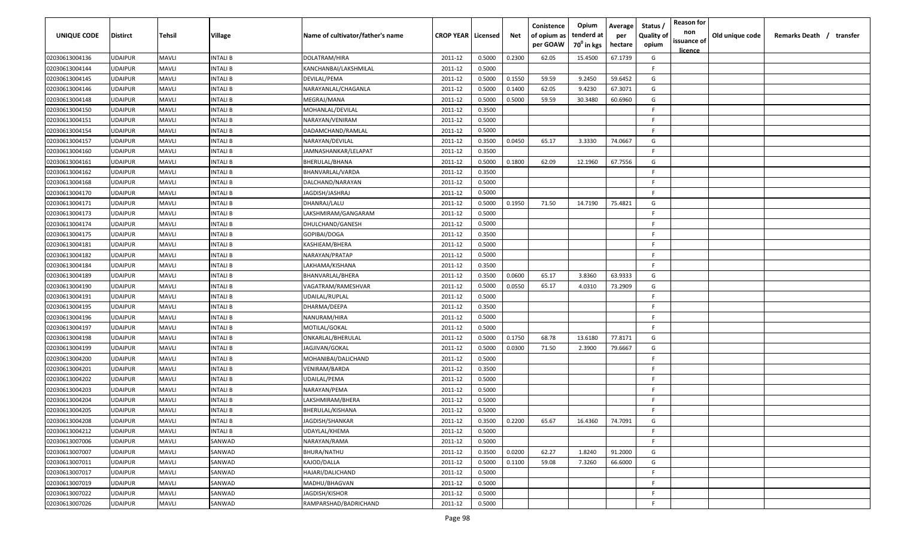| <b>UNIQUE CODE</b>               | <b>Distirct</b>                  | Tehsil                       | Village                     | Name of cultivator/father's name    | <b>CROP YEAR   Licensed</b> |                  | Net    | Conistence<br>of opium as<br>per GOAW | Opium<br>tenderd at<br>70 <sup>0</sup> in kgs | Average<br>per<br>hectare | Status /<br><b>Quality of</b><br>opium | <b>Reason for</b><br>non<br>issuance of | Old unique code | Remarks Death / transfer |
|----------------------------------|----------------------------------|------------------------------|-----------------------------|-------------------------------------|-----------------------------|------------------|--------|---------------------------------------|-----------------------------------------------|---------------------------|----------------------------------------|-----------------------------------------|-----------------|--------------------------|
|                                  |                                  |                              |                             |                                     |                             |                  |        |                                       |                                               |                           |                                        | <u>licence</u>                          |                 |                          |
| 02030613004136                   | <b>UDAIPUR</b>                   | <b>MAVLI</b>                 | INTALI B                    | DOLATRAM/HIRA                       | 2011-12                     | 0.5000           | 0.2300 | 62.05                                 | 15.4500                                       | 67.1739                   | G                                      |                                         |                 |                          |
| 02030613004144                   | <b>UDAIPUR</b>                   | <b>MAVLI</b>                 | INTALI B                    | KANCHANBAI/LAKSHMILAL               | 2011-12                     | 0.5000           |        |                                       |                                               |                           | F.                                     |                                         |                 |                          |
| 02030613004145                   | <b>UDAIPUR</b>                   | <b>MAVLI</b>                 | INTALI B                    | <b>DEVILAL/PEMA</b>                 | 2011-12                     | 0.5000           | 0.1550 | 59.59                                 | 9.2450                                        | 59.6452                   | G                                      |                                         |                 |                          |
| 02030613004146                   | <b>UDAIPUR</b><br><b>UDAIPUR</b> | <b>MAVLI</b><br><b>MAVLI</b> | INTALI B                    | NARAYANLAL/CHAGANLA                 | 2011-12                     | 0.5000           | 0.1400 | 62.05                                 | 9.4230<br>30.3480                             | 67.3071                   | G                                      |                                         |                 |                          |
| 02030613004148<br>02030613004150 | <b>UDAIPUR</b>                   | <b>MAVLI</b>                 | <b>INTALI B</b><br>INTALI B | MEGRAJ/MANA                         | 2011-12                     | 0.5000<br>0.3500 | 0.5000 | 59.59                                 |                                               | 60.6960                   | G<br>-F                                |                                         |                 |                          |
| 02030613004151                   | <b>UDAIPUR</b>                   | <b>MAVLI</b>                 | INTALI B                    | MOHANLAL/DEVILAL<br>NARAYAN/VENIRAM | 2011-12<br>2011-12          | 0.5000           |        |                                       |                                               |                           | F.                                     |                                         |                 |                          |
| 02030613004154                   | <b>UDAIPUR</b>                   | <b>MAVLI</b>                 | INTALI B                    | DADAMCHAND/RAMLAL                   | 2011-12                     | 0.5000           |        |                                       |                                               |                           | F.                                     |                                         |                 |                          |
| 02030613004157                   | <b>UDAIPUR</b>                   | <b>MAVLI</b>                 | INTALI B                    | NARAYAN/DEVILAL                     | 2011-12                     | 0.3500           | 0.0450 | 65.17                                 | 3.3330                                        | 74.0667                   | G                                      |                                         |                 |                          |
| 02030613004160                   | <b>UDAIPUR</b>                   | <b>MAVLI</b>                 | INTALI B                    | IAMNASHANKAR/LELAPAT                | 2011-12                     | 0.3500           |        |                                       |                                               |                           | F.                                     |                                         |                 |                          |
| 02030613004161                   | <b>UDAIPUR</b>                   | <b>MAVLI</b>                 | INTALI B                    | BHERULAL/BHANA                      | 2011-12                     | 0.5000           | 0.1800 | 62.09                                 | 12.1960                                       | 67.7556                   | G                                      |                                         |                 |                          |
| 02030613004162                   | <b>UDAIPUR</b>                   | <b>MAVLI</b>                 | INTALI B                    | BHANVARLAL/VARDA                    | 2011-12                     | 0.3500           |        |                                       |                                               |                           | -F                                     |                                         |                 |                          |
| 02030613004168                   | <b>UDAIPUR</b>                   | <b>MAVLI</b>                 | INTALI B                    | DALCHAND/NARAYAN                    | 2011-12                     | 0.5000           |        |                                       |                                               |                           | F.                                     |                                         |                 |                          |
| 02030613004170                   | <b>UDAIPUR</b>                   | <b>MAVLI</b>                 | INTALI B                    | JAGDISH/JASHRAJ                     | 2011-12                     | 0.5000           |        |                                       |                                               |                           | -F                                     |                                         |                 |                          |
| 02030613004171                   | <b>UDAIPUR</b>                   | <b>MAVLI</b>                 | INTALI B                    | DHANRAJ/LALU                        | 2011-12                     | 0.5000           | 0.1950 | 71.50                                 | 14.7190                                       | 75.4821                   | G                                      |                                         |                 |                          |
| 02030613004173                   | <b>UDAIPUR</b>                   | <b>MAVLI</b>                 | INTALI B                    | LAKSHMIRAM/GANGARAM                 | 2011-12                     | 0.5000           |        |                                       |                                               |                           | -F.                                    |                                         |                 |                          |
| 02030613004174                   | <b>UDAIPUR</b>                   | <b>MAVLI</b>                 | <b>INTALIB</b>              | DHULCHAND/GANESH                    | 2011-12                     | 0.5000           |        |                                       |                                               |                           | -F.                                    |                                         |                 |                          |
| 02030613004175                   | <b>UDAIPUR</b>                   | <b>MAVLI</b>                 | INTALI B                    | GOPIBAI/DOGA                        | 2011-12                     | 0.3500           |        |                                       |                                               |                           | -F                                     |                                         |                 |                          |
| 02030613004181                   | <b>UDAIPUR</b>                   | <b>MAVLI</b>                 | INTALI B                    | KASHIEAM/BHERA                      | 2011-12                     | 0.5000           |        |                                       |                                               |                           | -F                                     |                                         |                 |                          |
| 02030613004182                   | <b>UDAIPUR</b>                   | <b>MAVLI</b>                 | INTALI B                    | NARAYAN/PRATAP                      | 2011-12                     | 0.5000           |        |                                       |                                               |                           | -F                                     |                                         |                 |                          |
| 02030613004184                   | <b>UDAIPUR</b>                   | <b>MAVLI</b>                 | INTALI B                    | LAKHAMA/KISHANA                     | 2011-12                     | 0.3500           |        |                                       |                                               |                           | -F                                     |                                         |                 |                          |
| 02030613004189                   | <b>UDAIPUR</b>                   | <b>MAVLI</b>                 | INTALI B                    | BHANVARLAL/BHERA                    | 2011-12                     | 0.3500           | 0.0600 | 65.17                                 | 3.8360                                        | 63.9333                   | G                                      |                                         |                 |                          |
| 02030613004190                   | <b>UDAIPUR</b>                   | <b>MAVLI</b>                 | INTALI B                    | VAGATRAM/RAMESHVAR                  | 2011-12                     | 0.5000           | 0.0550 | 65.17                                 | 4.0310                                        | 73.2909                   | G                                      |                                         |                 |                          |
| 02030613004191                   | <b>UDAIPUR</b>                   | <b>MAVLI</b>                 | INTALI B                    | UDAILAL/RUPLAL                      | 2011-12                     | 0.5000           |        |                                       |                                               |                           | F.                                     |                                         |                 |                          |
| 02030613004195                   | <b>UDAIPUR</b>                   | <b>MAVLI</b>                 | INTALI B                    | DHARMA/DEEPA                        | 2011-12                     | 0.3500           |        |                                       |                                               |                           | F.                                     |                                         |                 |                          |
| 02030613004196                   | <b>UDAIPUR</b>                   | <b>MAVLI</b>                 | INTALI B                    | NANURAM/HIRA                        | 2011-12                     | 0.5000           |        |                                       |                                               |                           | F.                                     |                                         |                 |                          |
| 02030613004197                   | <b>UDAIPUR</b>                   | <b>MAVLI</b>                 | INTALI B                    | MOTILAL/GOKAL                       | 2011-12                     | 0.5000           |        |                                       |                                               |                           | F.                                     |                                         |                 |                          |
| 02030613004198                   | <b>UDAIPUR</b>                   | <b>MAVLI</b>                 | INTALI B                    | ONKARLAL/BHERULAL                   | 2011-12                     | 0.5000           | 0.1750 | 68.78                                 | 13.6180                                       | 77.8171                   | G                                      |                                         |                 |                          |
| 02030613004199                   | <b>UDAIPUR</b>                   | <b>MAVLI</b>                 | INTALI B                    | JAGJIVAN/GOKAL                      | 2011-12                     | 0.5000           | 0.0300 | 71.50                                 | 2.3900                                        | 79.6667                   | G                                      |                                         |                 |                          |
| 02030613004200                   | <b>UDAIPUR</b>                   | <b>MAVLI</b>                 | INTALI B                    | MOHANIBAI/DALICHAND                 | 2011-12                     | 0.5000           |        |                                       |                                               |                           | F.                                     |                                         |                 |                          |
| 02030613004201                   | <b>UDAIPUR</b>                   | <b>MAVLI</b>                 | INTALI B                    | VENIRAM/BARDA                       | 2011-12                     | 0.3500           |        |                                       |                                               |                           | -F.                                    |                                         |                 |                          |
| 02030613004202                   | <b>UDAIPUR</b>                   | <b>MAVLI</b>                 | <b>INTALIB</b>              | UDAILAL/PEMA                        | 2011-12                     | 0.5000           |        |                                       |                                               |                           | -F.                                    |                                         |                 |                          |
| 02030613004203                   | <b>UDAIPUR</b>                   | <b>MAVLI</b>                 | <b>INTALIB</b>              | NARAYAN/PEMA                        | 2011-12                     | 0.5000           |        |                                       |                                               |                           | -F.                                    |                                         |                 |                          |
| 02030613004204                   | <b>UDAIPUR</b>                   | <b>MAVLI</b>                 | INTALI B                    | LAKSHMIRAM/BHERA                    | 2011-12                     | 0.5000           |        |                                       |                                               |                           | F.                                     |                                         |                 |                          |
| 02030613004205                   | <b>UDAIPUR</b>                   | <b>MAVLI</b>                 | INTALI B                    | BHERULAL/KISHANA                    | 2011-12                     | 0.5000           |        |                                       |                                               |                           | F.                                     |                                         |                 |                          |
| 02030613004208                   | <b>UDAIPUR</b>                   | <b>MAVLI</b>                 | <b>INTALIB</b>              | JAGDISH/SHANKAR                     | 2011-12                     | 0.3500           | 0.2200 | 65.67                                 | 16.4360                                       | 74.7091                   | G                                      |                                         |                 |                          |
| 02030613004212                   | <b>UDAIPUR</b>                   | <b>MAVLI</b>                 | INTALI B                    | UDAYLAL/KHEMA                       | 2011-12                     | 0.5000           |        |                                       |                                               |                           | F.                                     |                                         |                 |                          |
| 02030613007006                   | <b>UDAIPUR</b>                   | <b>MAVLI</b>                 | SANWAD                      | NARAYAN/RAMA                        | 2011-12                     | 0.5000           |        |                                       |                                               |                           | F                                      |                                         |                 |                          |
| 02030613007007                   | <b>UDAIPUR</b>                   | MAVLI                        | SANWAD                      | BHURA/NATHU                         | 2011-12                     | 0.3500           | 0.0200 | 62.27                                 | 1.8240                                        | 91.2000                   | G                                      |                                         |                 |                          |
| 02030613007011                   | <b>UDAIPUR</b>                   | <b>MAVLI</b>                 | SANWAD                      | KAJOD/DALLA                         | 2011-12                     | 0.5000           | 0.1100 | 59.08                                 | 7.3260                                        | 66.6000                   | G                                      |                                         |                 |                          |
| 02030613007017                   | <b>UDAIPUR</b>                   | <b>MAVLI</b>                 | SANWAD                      | HAJARI/DALICHAND                    | 2011-12                     | 0.5000           |        |                                       |                                               |                           | F.                                     |                                         |                 |                          |
| 02030613007019                   | <b>UDAIPUR</b>                   | <b>MAVLI</b>                 | SANWAD                      | MADHU/BHAGVAN                       | 2011-12                     | 0.5000           |        |                                       |                                               |                           | F.                                     |                                         |                 |                          |
| 02030613007022                   | <b>UDAIPUR</b>                   | <b>MAVLI</b>                 | SANWAD                      | <b>JAGDISH/KISHOR</b>               | 2011-12                     | 0.5000           |        |                                       |                                               |                           | F.                                     |                                         |                 |                          |
| 02030613007026                   | <b>UDAIPUR</b>                   | <b>MAVLI</b>                 | SANWAD                      | RAMPARSHAD/BADRICHAND               | 2011-12                     | 0.5000           |        |                                       |                                               |                           | $\mathsf{F}$                           |                                         |                 |                          |